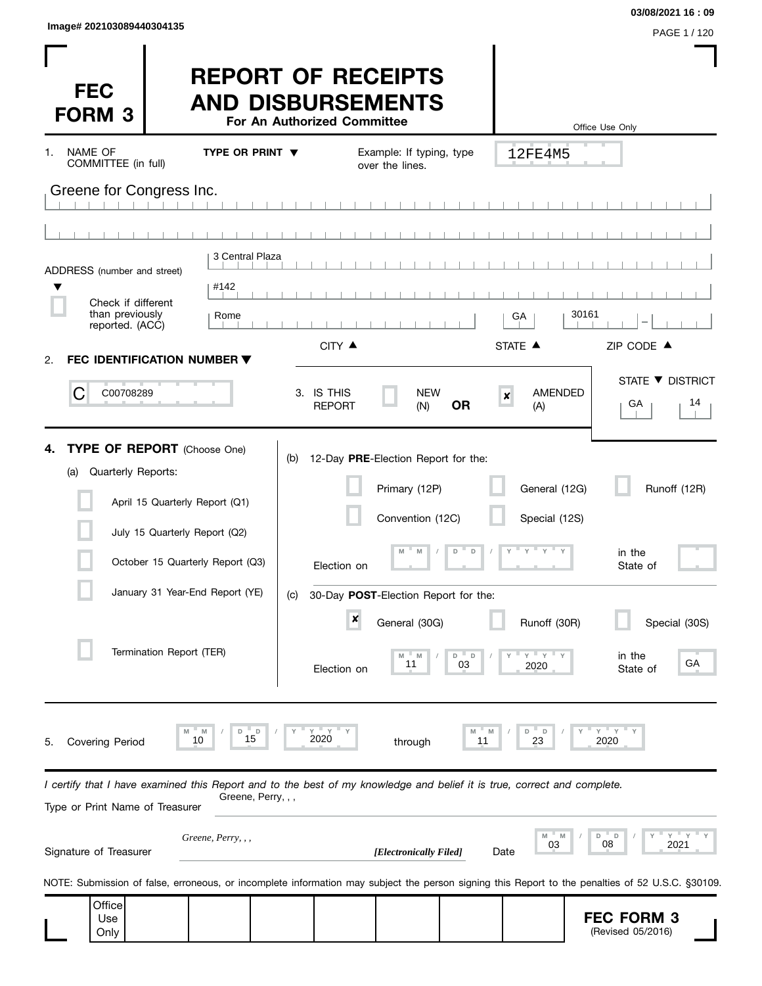| Image# 202103089440304135 |              |
|---------------------------|--------------|
|                           | PAGE 1 / 120 |

 $\mathbf{I}$ 

**03/08/2021 16 : 09**

 $\overline{\phantom{a}}$ 

| <b>FEC</b><br><b>FORM 3</b>                                                                                                                                |                                                                 |                                    | <b>REPORT OF RECEIPTS</b><br><b>AND DISBURSEMENTS</b><br>For An Authorized Committee |                                                                          |                   |                                         | Office Use Only                                                                                                                                  |
|------------------------------------------------------------------------------------------------------------------------------------------------------------|-----------------------------------------------------------------|------------------------------------|--------------------------------------------------------------------------------------|--------------------------------------------------------------------------|-------------------|-----------------------------------------|--------------------------------------------------------------------------------------------------------------------------------------------------|
| <b>NAME OF</b><br>1.<br>COMMITTEE (in full)                                                                                                                |                                                                 | TYPE OR PRINT $\blacktriangledown$ |                                                                                      | Example: If typing, type<br>over the lines.                              |                   | 12FE4M5                                 |                                                                                                                                                  |
| Greene for Congress Inc.                                                                                                                                   |                                                                 |                                    |                                                                                      |                                                                          |                   |                                         |                                                                                                                                                  |
| ADDRESS (number and street)<br>Check if different<br>than previously                                                                                       |                                                                 | 3 Central Plaza<br>#142<br>Rome    |                                                                                      |                                                                          |                   | GA                                      | 30161                                                                                                                                            |
| reported. (ACC)                                                                                                                                            |                                                                 |                                    | CITY ▲                                                                               |                                                                          |                   | STATE A                                 | ZIP CODE ▲                                                                                                                                       |
| FEC IDENTIFICATION NUMBER ▼<br>2.<br>С<br>C00708289                                                                                                        |                                                                 |                                    | 3. IS THIS<br><b>REPORT</b>                                                          | <b>NEW</b><br>(N)                                                        | <b>OR</b>         | <b>AMENDED</b><br>$\pmb{\times}$<br>(A) | STATE ▼ DISTRICT<br>14<br>GA                                                                                                                     |
| <b>TYPE OF REPORT</b> (Choose One)<br>4.<br>Quarterly Reports:<br>(a)                                                                                      | April 15 Quarterly Report (Q1)<br>July 15 Quarterly Report (Q2) |                                    | (b)                                                                                  | 12-Day PRE-Election Report for the:<br>Primary (12P)<br>Convention (12C) | D<br>D            | General (12G)<br>Special (12S)          | Runoff (12R)                                                                                                                                     |
|                                                                                                                                                            | October 15 Quarterly Report (Q3)                                |                                    | Election on                                                                          |                                                                          |                   |                                         | in the<br>State of                                                                                                                               |
|                                                                                                                                                            | January 31 Year-End Report (YE)                                 |                                    | (C)<br>$\pmb{\times}$                                                                | 30-Day POST-Election Report for the:<br>General (30G)                    |                   | Runoff (30R)                            | Special (30S)                                                                                                                                    |
|                                                                                                                                                            | Termination Report (TER)                                        |                                    | Election on                                                                          | M<br>M<br>11                                                             | $\Box$<br>D<br>03 | $Y'$ Y<br>2020                          | in the<br>GА<br>State of                                                                                                                         |
| <b>Covering Period</b><br>5.                                                                                                                               | M<br>10                                                         | D<br>15                            | $Y$ $=$ $Y$<br>2020                                                                  | through                                                                  | 11                | D<br>D<br>23                            | $Y$ $Y$<br>2020                                                                                                                                  |
| I certify that I have examined this Report and to the best of my knowledge and belief it is true, correct and complete.<br>Type or Print Name of Treasurer |                                                                 | Greene, Perry, , ,                 |                                                                                      |                                                                          |                   |                                         |                                                                                                                                                  |
| Signature of Treasurer                                                                                                                                     | Greene, Perry, , ,                                              |                                    |                                                                                      | [Electronically Filed]                                                   |                   | M<br>'N<br>03<br>Date                   | $Y = Y$<br>D<br>$\Box$<br>08<br>2021                                                                                                             |
|                                                                                                                                                            |                                                                 |                                    |                                                                                      |                                                                          |                   |                                         | NOTE: Submission of false, erroneous, or incomplete information may subject the person signing this Report to the penalties of 52 U.S.C. §30109. |
| Office<br>Use<br>Only                                                                                                                                      |                                                                 |                                    |                                                                                      |                                                                          |                   |                                         | <b>FEC FORM 3</b><br>(Revised 05/2016)                                                                                                           |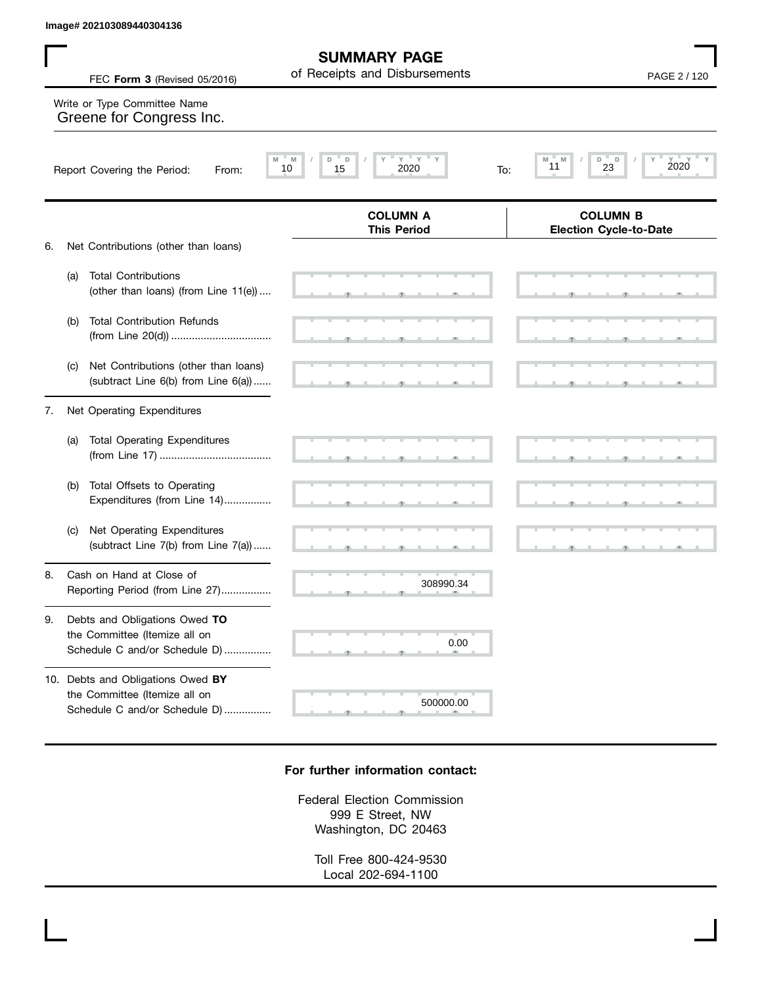**SUMMARY PAGE**

**COLUMN B**

# , , . , , . , , . , , . , , . , , .  **M M / D D / Y Y Y Y M M / D D / Y Y Y Y Election Cycle-to-Date COLUMN A This Period** 6. Net Contributions (other than loans) (a) Total Contributions (other than loans) (from Line 11(e)) .... (b) Total Contribution Refunds (from Line 20(d)) .................................. (c) Net Contributions (other than loans) (subtract Line 6(b) from Line 6(a)) ...... 7. Net Operating Expenditures (a) Total Operating Expenditures FEC **Form 3** (Revised 05/2016) **PAGE 2** / 120 of Receipts and Disbursements Report Covering the Period: From: 10 15 2020 To: Write or Type Committee Name Greene for Congress Inc. Image# 202103089440304136<br>
FEC Form 3 (Revised 05/2016) of Receipts and Disbursements<br>
Write or Type Committee Name<br>
Greene for Congress Inc.<br>
Report Covering the Period: From: Marina 19 Page 11 2020<br>
PAGE 2 / 120<br>
Report

| (b) Total Offsets to Operating |
|--------------------------------|
| Expenditures (from Line 14)    |

- (c) Net Operating Expenditures (subtract Line 7(b) from Line 7(a)) ......
- 8. Cash on Hand at Close of Reporting Period (from Line 27).................
- 9. Debts and Obligations Owed **TO** the Committee (Itemize all on Schedule C and/or Schedule D) ................
- 10. Debts and Obligations Owed **BY** the Committee (Itemize all on Schedule C and/or Schedule D) ................

## **For further information contact:**

, , . 308990.34

 $\sim$  0.0

0.00

 $500000.00$ 

, , . , , .

, , . , , .

, , . , , .

Federal Election Commission 999 E Street, NW Washington, DC 20463

Toll Free 800-424-9530 Local 202-694-1100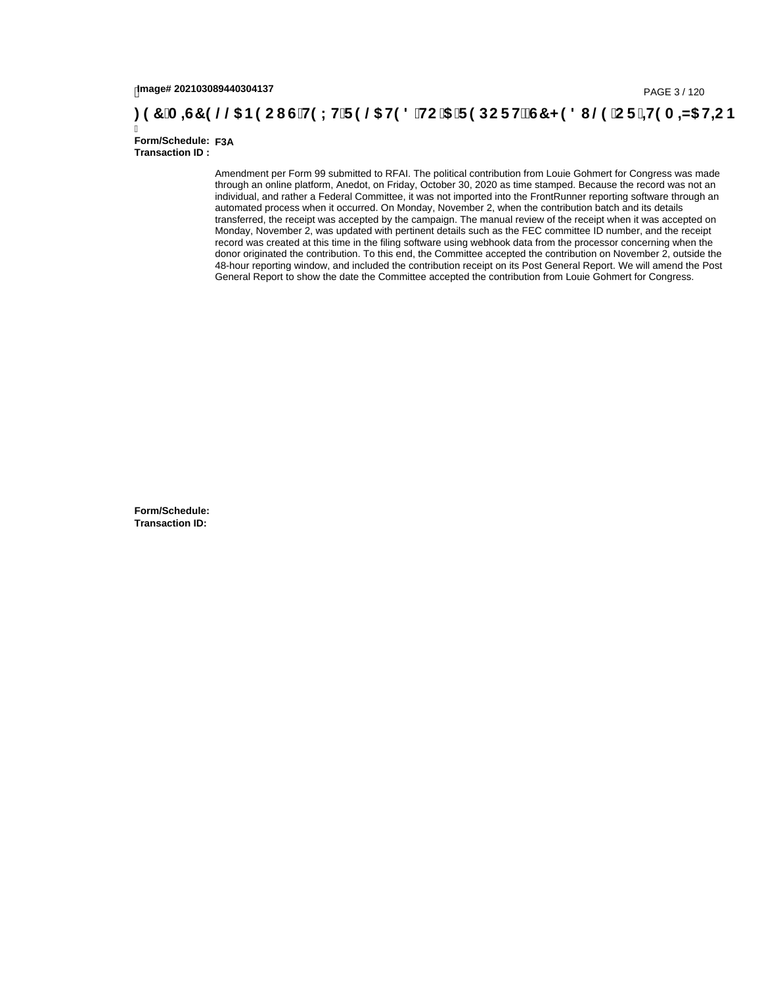# lmage# 202103089440304137<br>**(20,134,6BP) (@DIDENTERENT OF THE USITS THE USITS TE SOC FILES TE SOCT HE USITS HE USITS HE USITS HE USITS TE S**

Ī **Form/Schedule: F3A Transaction ID :** 

> Amendment per Form 99 submitted to RFAI. The political contribution from Louie Gohmert for Congress was made through an online platform, Anedot, on Friday, October 30, 2020 as time stamped. Because the record was not an individual, and rather a Federal Committee, it was not imported into the FrontRunner reporting software through an automated process when it occurred. On Monday, November 2, when the contribution batch and its details transferred, the receipt was accepted by the campaign. The manual review of the receipt when it was accepted on Monday, November 2, was updated with pertinent details such as the FEC committee ID number, and the receipt record was created at this time in the filing software using webhook data from the processor concerning when the donor originated the contribution. To this end, the Committee accepted the contribution on November 2, outside the 48-hour reporting window, and included the contribution receipt on its Post General Report. We will amend the Post General Report to show the date the Committee accepted the contribution from Louie Gohmert for Congress.

**Form/Schedule: Transaction ID:**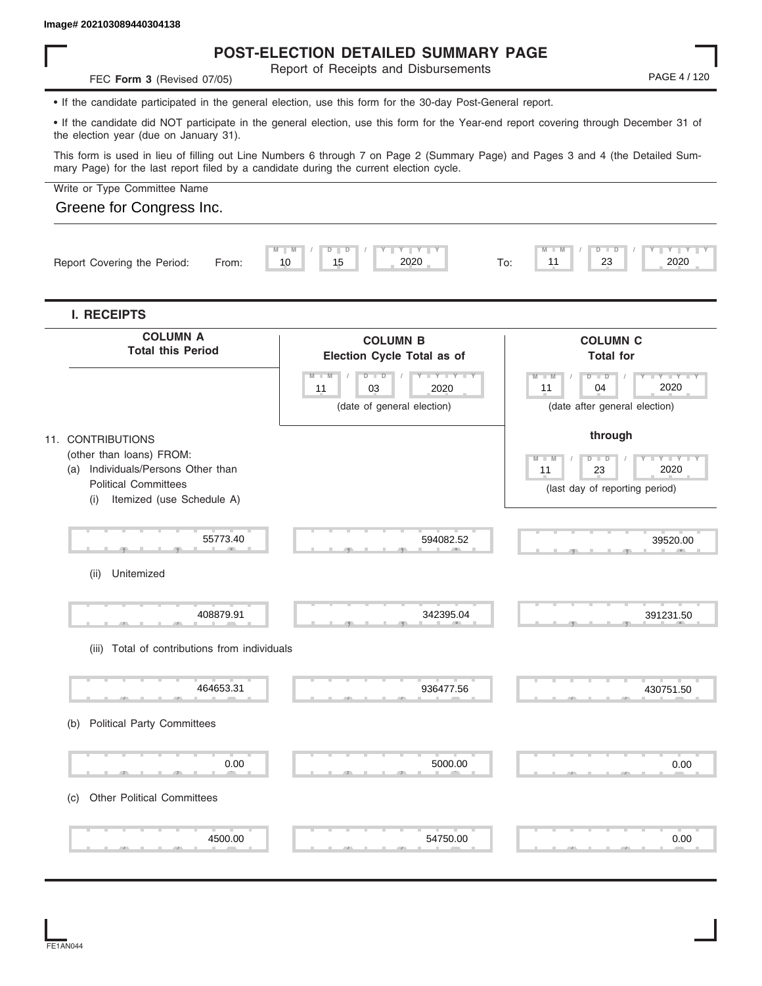#### **Image# 202103089440304138**

# **POST-ELECTION DETAILED SUMMARY PAGE**

Report of Receipts and Disbursements

• If the candidate participated in the general election, use this form for the 30-day Post-General report.

• If the candidate did NOT participate in the general election, use this form for the Year-end report covering through December 31 of the election year (due on January 31).

This form is used in lieu of filling out Line Numbers 6 through 7 on Page 2 (Summary Page) and Pages 3 and 4 (the Detailed Summary Page) for the last report filed by a candidate during the current election cycle.

Write or Type Committee Name

### Greene for Congress Inc.

**FEC Form 3** (Revised 07/05)

|    | <b>COLUMN B</b>                                                                                                                                            | <b>COLUMN C</b><br><b>Total for</b>                                                                        |
|----|------------------------------------------------------------------------------------------------------------------------------------------------------------|------------------------------------------------------------------------------------------------------------|
| 11 | $D - I - D$<br><b>LEY LE</b><br>V<br>03<br>2020<br>(date of general election)                                                                              | $D - I - D$<br>$-Y - Y - I$<br>$M - M$<br>11<br>2020<br>04<br>(date after general election)                |
|    |                                                                                                                                                            | through<br>M<br>M<br>$D - D$<br><b>LEYTEY L</b><br>T<br>2020<br>11<br>23<br>(last day of reporting period) |
|    | 594082.52                                                                                                                                                  | 39520.00                                                                                                   |
|    | 342395.04                                                                                                                                                  | 391231.50                                                                                                  |
|    | 936477.56                                                                                                                                                  | 430751.50                                                                                                  |
|    | 5000.00                                                                                                                                                    | 0.00                                                                                                       |
|    | Individuals/Persons Other than<br>Itemized (use Schedule A)<br>55773.40<br>408879.91<br>(iii) Total of contributions from individuals<br>464653.31<br>0.00 | Election Cycle Total as of<br>$M - M$                                                                      |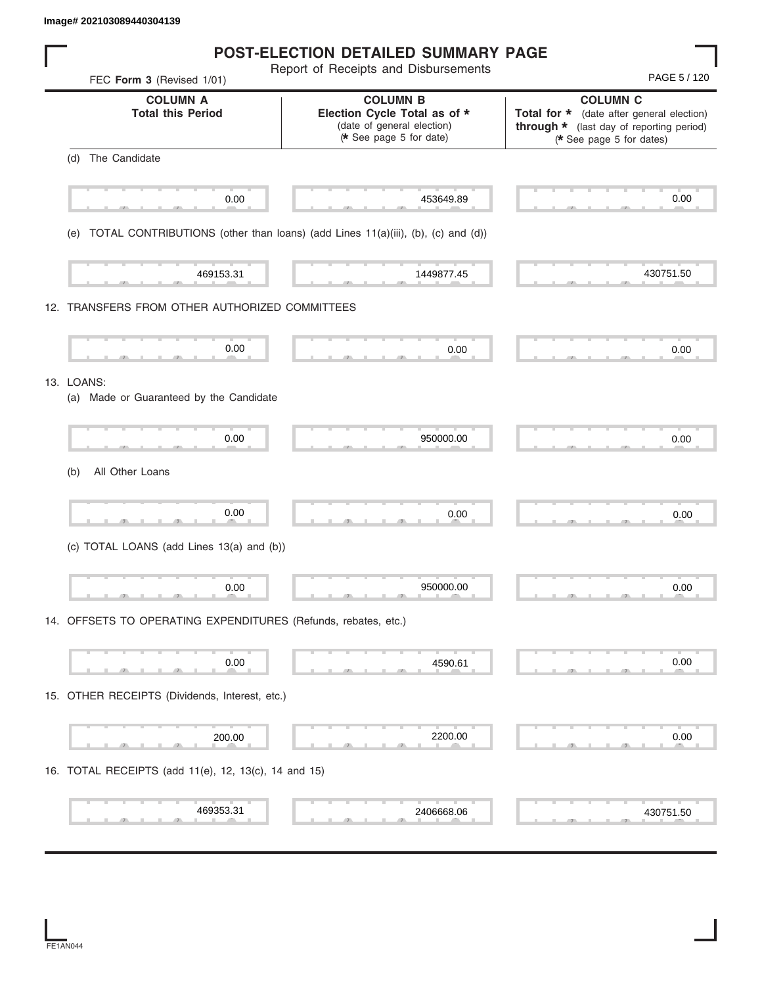| Image# 202103089440304139                                                              |                                                                                                         |                                                                                                                                      |
|----------------------------------------------------------------------------------------|---------------------------------------------------------------------------------------------------------|--------------------------------------------------------------------------------------------------------------------------------------|
|                                                                                        | <b>POST-ELECTION DETAILED SUMMARY PAGE</b>                                                              |                                                                                                                                      |
| FEC Form 3 (Revised 1/01)                                                              | Report of Receipts and Disbursements                                                                    | PAGE 5 / 120                                                                                                                         |
| <b>COLUMN A</b><br><b>Total this Period</b>                                            | <b>COLUMN B</b><br>Election Cycle Total as of *<br>(date of general election)<br>* See page 5 for date) | <b>COLUMN C</b><br>Total for * (date after general election)<br>through * (last day of reporting period)<br>(* See page 5 for dates) |
| (d) The Candidate                                                                      |                                                                                                         |                                                                                                                                      |
| 0.00                                                                                   | 453649.89                                                                                               | 0.00                                                                                                                                 |
| TOTAL CONTRIBUTIONS (other than loans) (add Lines 11(a)(iii), (b), (c) and (d))<br>(e) |                                                                                                         |                                                                                                                                      |
| 469153.31                                                                              | 1449877.45                                                                                              | 430751.50                                                                                                                            |
| 12. TRANSFERS FROM OTHER AUTHORIZED COMMITTEES                                         |                                                                                                         |                                                                                                                                      |
| 0.00                                                                                   | 0.00                                                                                                    | 0.00                                                                                                                                 |
| 13. LOANS:<br>(a) Made or Guaranteed by the Candidate                                  |                                                                                                         |                                                                                                                                      |
| 0.00                                                                                   | 950000.00                                                                                               | 0.00                                                                                                                                 |
| All Other Loans<br>(b)                                                                 |                                                                                                         |                                                                                                                                      |
| 0.00                                                                                   | 0.00                                                                                                    | 0.00                                                                                                                                 |
| (c) TOTAL LOANS (add Lines 13(a) and (b))                                              |                                                                                                         |                                                                                                                                      |
| 0.00                                                                                   | 950000.00                                                                                               | 0.00                                                                                                                                 |
| 14. OFFSETS TO OPERATING EXPENDITURES (Refunds, rebates, etc.)                         |                                                                                                         |                                                                                                                                      |
| 0.00                                                                                   | 4590.61                                                                                                 | 0.00                                                                                                                                 |
| 15. OTHER RECEIPTS (Dividends, Interest, etc.)                                         |                                                                                                         |                                                                                                                                      |
| 200.00                                                                                 | 2200.00                                                                                                 | 0.00                                                                                                                                 |
| 16. TOTAL RECEIPTS (add 11(e), 12, 13(c), 14 and 15)                                   |                                                                                                         |                                                                                                                                      |
| 469353.31                                                                              | 2406668.06                                                                                              | 430751.50                                                                                                                            |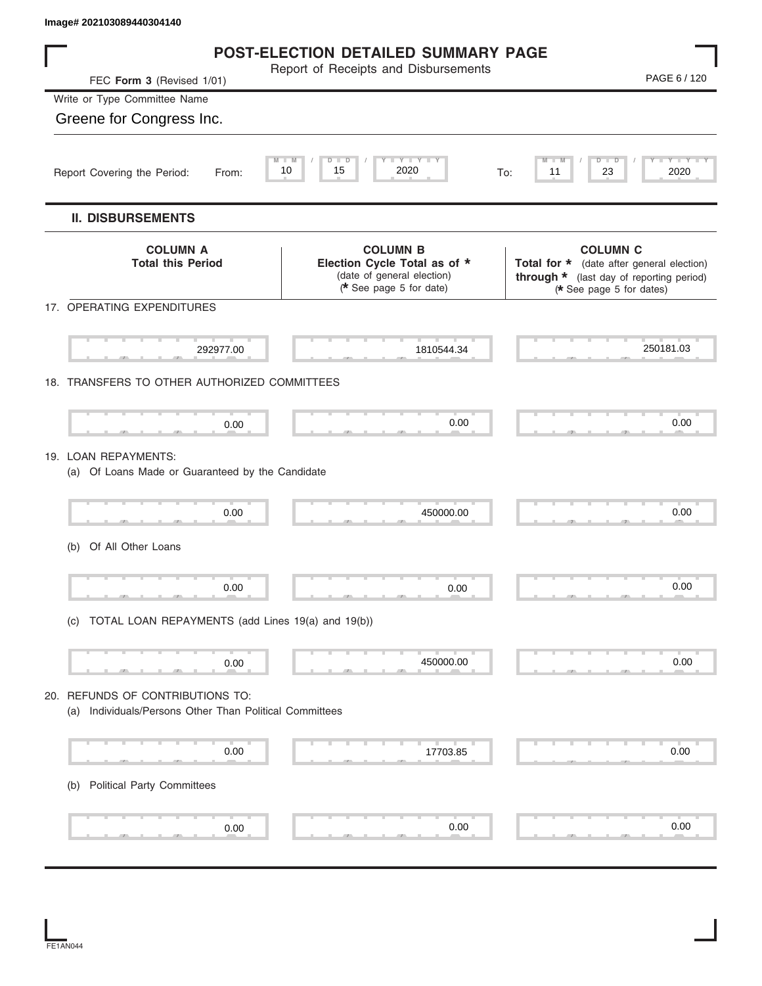| Image# 202103089440304140                                                                   |                                                                                                         |                                                                                                                                      |
|---------------------------------------------------------------------------------------------|---------------------------------------------------------------------------------------------------------|--------------------------------------------------------------------------------------------------------------------------------------|
|                                                                                             | <b>POST-ELECTION DETAILED SUMMARY PAGE</b>                                                              |                                                                                                                                      |
| FEC Form 3 (Revised 1/01)                                                                   | Report of Receipts and Disbursements                                                                    | PAGE 6 / 120                                                                                                                         |
| Write or Type Committee Name                                                                |                                                                                                         |                                                                                                                                      |
| Greene for Congress Inc.                                                                    |                                                                                                         |                                                                                                                                      |
| 10<br>Report Covering the Period:<br>From:                                                  | Y T Y T<br>$\overline{\mathsf{M}}$<br>D<br>$\overline{D}$<br>2020<br>15                                 | Y I Y I Y<br>D<br>D<br>23<br>2020<br>11<br>To:                                                                                       |
| <b>II. DISBURSEMENTS</b>                                                                    |                                                                                                         |                                                                                                                                      |
| <b>COLUMN A</b><br><b>Total this Period</b>                                                 | <b>COLUMN B</b><br>Election Cycle Total as of *<br>(date of general election)<br>* See page 5 for date) | <b>COLUMN C</b><br>Total for * (date after general election)<br>through * (last day of reporting period)<br>(* See page 5 for dates) |
| 17. OPERATING EXPENDITURES                                                                  |                                                                                                         |                                                                                                                                      |
| 292977.00                                                                                   | 1810544.34                                                                                              | 250181.03                                                                                                                            |
| 18. TRANSFERS TO OTHER AUTHORIZED COMMITTEES                                                |                                                                                                         |                                                                                                                                      |
| 0.00                                                                                        | 0.00                                                                                                    | 0.00                                                                                                                                 |
| 19. LOAN REPAYMENTS:<br>(a) Of Loans Made or Guaranteed by the Candidate                    |                                                                                                         |                                                                                                                                      |
| 0.00                                                                                        | 450000.00                                                                                               | 0.00                                                                                                                                 |
| Of All Other Loans<br>(b)                                                                   |                                                                                                         |                                                                                                                                      |
| 0.00                                                                                        | 0.00                                                                                                    | 0.00                                                                                                                                 |
| (c) TOTAL LOAN REPAYMENTS (add Lines 19(a) and 19(b))                                       |                                                                                                         |                                                                                                                                      |
| 0.00                                                                                        | 450000.00                                                                                               | 0.00                                                                                                                                 |
| 20. REFUNDS OF CONTRIBUTIONS TO:<br>(a) Individuals/Persons Other Than Political Committees |                                                                                                         |                                                                                                                                      |
| 0.00                                                                                        | 17703.85                                                                                                | 0.00                                                                                                                                 |
| <b>Political Party Committees</b><br>(b)                                                    |                                                                                                         |                                                                                                                                      |
| 0.00                                                                                        | 0.00                                                                                                    | 0.00                                                                                                                                 |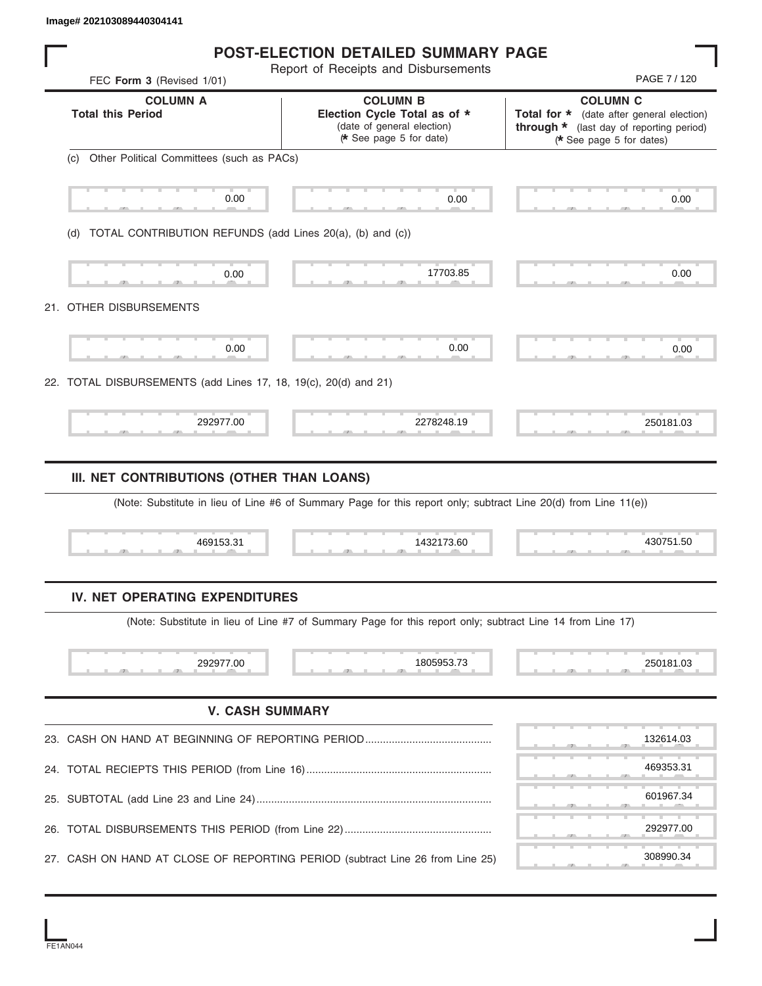|     | $m$ ggun 202100000-11000-1111                                                 |                                                                                                                               |                                                                                                                                      |
|-----|-------------------------------------------------------------------------------|-------------------------------------------------------------------------------------------------------------------------------|--------------------------------------------------------------------------------------------------------------------------------------|
|     |                                                                               | <b>POST-ELECTION DETAILED SUMMARY PAGE</b>                                                                                    |                                                                                                                                      |
|     | FEC Form 3 (Revised 1/01)                                                     | Report of Receipts and Disbursements                                                                                          | PAGE 7/120                                                                                                                           |
|     | <b>COLUMN A</b><br><b>Total this Period</b>                                   | <b>COLUMN B</b><br>Election Cycle Total as of *<br>(date of general election)<br>* See page 5 for date)                       | <b>COLUMN C</b><br>Total for * (date after general election)<br>through * (last day of reporting period)<br>(* See page 5 for dates) |
|     | Other Political Committees (such as PACs)<br>(c)                              |                                                                                                                               |                                                                                                                                      |
|     | 0.00                                                                          | 0.00                                                                                                                          | 0.00                                                                                                                                 |
|     | TOTAL CONTRIBUTION REFUNDS (add Lines 20(a), (b) and (c))<br>(d)              |                                                                                                                               |                                                                                                                                      |
|     | 0.00                                                                          | 17703.85                                                                                                                      | 0.00                                                                                                                                 |
|     | 21. OTHER DISBURSEMENTS                                                       |                                                                                                                               |                                                                                                                                      |
|     | 0.00                                                                          | 0.00                                                                                                                          | 0.00                                                                                                                                 |
|     | 22. TOTAL DISBURSEMENTS (add Lines 17, 18, 19(c), 20(d) and 21)               |                                                                                                                               |                                                                                                                                      |
|     | 292977.00                                                                     | 2278248.19                                                                                                                    | 250181.03                                                                                                                            |
|     | 469153.31                                                                     | (Note: Substitute in lieu of Line #6 of Summary Page for this report only; subtract Line 20(d) from Line 11(e))<br>1432173.60 | 430751.50                                                                                                                            |
|     | IV. NET OPERATING EXPENDITURES                                                |                                                                                                                               |                                                                                                                                      |
|     |                                                                               | (Note: Substitute in lieu of Line #7 of Summary Page for this report only; subtract Line 14 from Line 17)                     |                                                                                                                                      |
|     | 292977.00                                                                     | 1805953.73                                                                                                                    | 250181.03                                                                                                                            |
|     | <b>V. CASH SUMMARY</b>                                                        |                                                                                                                               |                                                                                                                                      |
|     |                                                                               |                                                                                                                               | 132614.03                                                                                                                            |
|     |                                                                               |                                                                                                                               | 469353.31                                                                                                                            |
| 25. |                                                                               |                                                                                                                               | 601967.34                                                                                                                            |
|     |                                                                               |                                                                                                                               | 292977.00                                                                                                                            |
|     | 27. CASH ON HAND AT CLOSE OF REPORTING PERIOD (subtract Line 26 from Line 25) |                                                                                                                               | 308990.34                                                                                                                            |

FE1AN044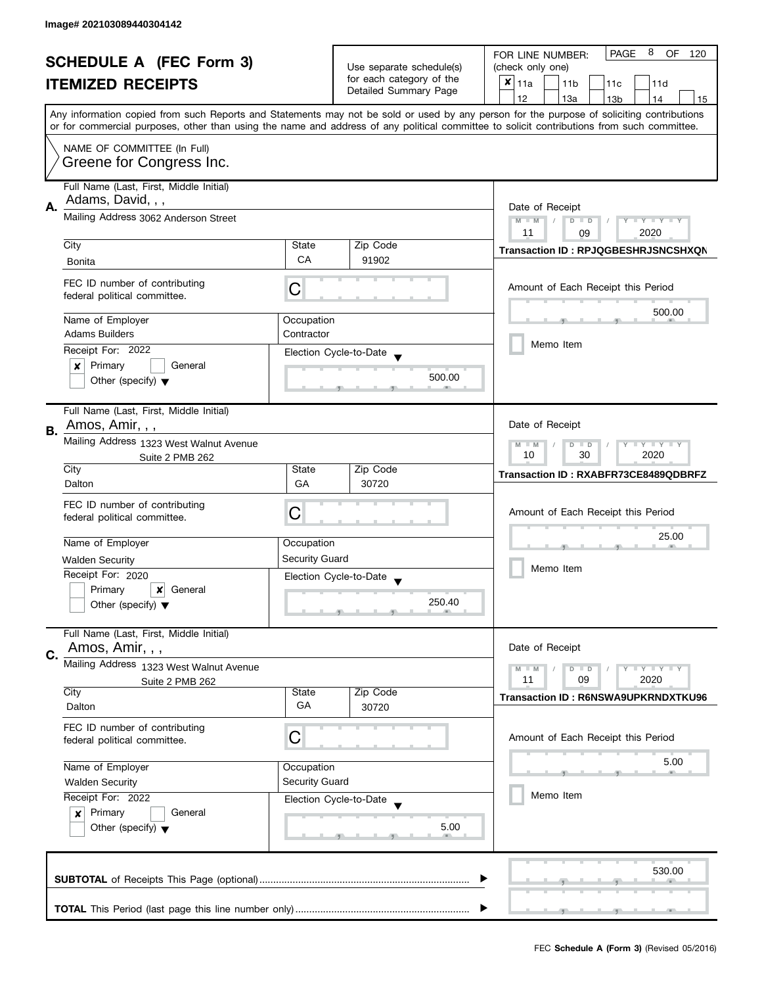| <b>SCHEDULE A (FEC Form 3)</b> |                                                                              |                                                   | 8<br><b>PAGE</b><br>OF<br>FOR LINE NUMBER:<br>120 |                                                                                                                                            |  |  |
|--------------------------------|------------------------------------------------------------------------------|---------------------------------------------------|---------------------------------------------------|--------------------------------------------------------------------------------------------------------------------------------------------|--|--|
| <b>ITEMIZED RECEIPTS</b>       |                                                                              | Use separate schedule(s)                          | (check only one)                                  |                                                                                                                                            |  |  |
|                                |                                                                              | for each category of the<br>Detailed Summary Page | $x _{11a}$<br>11 <sub>b</sub><br>11c<br>11d       |                                                                                                                                            |  |  |
|                                |                                                                              |                                                   |                                                   | 12<br>13a<br>13 <sub>b</sub><br>14<br>15                                                                                                   |  |  |
|                                |                                                                              |                                                   |                                                   | Any information copied from such Reports and Statements may not be sold or used by any person for the purpose of soliciting contributions  |  |  |
|                                |                                                                              |                                                   |                                                   | or for commercial purposes, other than using the name and address of any political committee to solicit contributions from such committee. |  |  |
|                                | NAME OF COMMITTEE (In Full)                                                  |                                                   |                                                   |                                                                                                                                            |  |  |
|                                | Greene for Congress Inc.                                                     |                                                   |                                                   |                                                                                                                                            |  |  |
|                                |                                                                              |                                                   |                                                   |                                                                                                                                            |  |  |
|                                | Full Name (Last, First, Middle Initial)                                      |                                                   |                                                   |                                                                                                                                            |  |  |
| Α.                             | Adams, David, , ,                                                            | Date of Receipt                                   |                                                   |                                                                                                                                            |  |  |
|                                | Mailing Address 3062 Anderson Street                                         |                                                   |                                                   | $M - M$<br>$Y - Y - Y - Y - Y$<br>$D$ $D$                                                                                                  |  |  |
|                                |                                                                              |                                                   |                                                   | 11<br>2020<br>09                                                                                                                           |  |  |
|                                | City                                                                         | State                                             | Zip Code                                          | Transaction ID: RPJQGBESHRJSNCSHXQN                                                                                                        |  |  |
|                                | Bonita                                                                       | CA                                                | 91902                                             |                                                                                                                                            |  |  |
|                                | FEC ID number of contributing                                                |                                                   |                                                   | Amount of Each Receipt this Period                                                                                                         |  |  |
|                                | federal political committee.                                                 | C                                                 |                                                   |                                                                                                                                            |  |  |
|                                |                                                                              |                                                   |                                                   | 500.00                                                                                                                                     |  |  |
|                                | Name of Employer<br><b>Adams Builders</b>                                    | Occupation                                        |                                                   |                                                                                                                                            |  |  |
|                                |                                                                              | Contractor                                        |                                                   | Memo Item                                                                                                                                  |  |  |
|                                | Receipt For: 2022                                                            |                                                   | Election Cycle-to-Date                            |                                                                                                                                            |  |  |
|                                | Primary<br>General<br>$\boldsymbol{x}$                                       |                                                   | 500.00                                            |                                                                                                                                            |  |  |
|                                | Other (specify) $\blacktriangledown$                                         |                                                   |                                                   |                                                                                                                                            |  |  |
|                                |                                                                              |                                                   |                                                   |                                                                                                                                            |  |  |
|                                | Full Name (Last, First, Middle Initial)                                      |                                                   |                                                   |                                                                                                                                            |  |  |
| В.                             | Amos, Amir, , ,                                                              | Date of Receipt                                   |                                                   |                                                                                                                                            |  |  |
|                                | Mailing Address 1323 West Walnut Avenue                                      |                                                   |                                                   | $\mathbf{y}$ $\mathbf{y}$<br>$M - M$<br>D<br>$\Box$<br>Y                                                                                   |  |  |
|                                | Suite 2 PMB 262                                                              |                                                   |                                                   | 30<br>2020<br>10                                                                                                                           |  |  |
|                                | City                                                                         | State                                             | Zip Code                                          | Transaction ID: RXABFR73CE8489QDBRFZ                                                                                                       |  |  |
|                                | Dalton                                                                       | GA                                                | 30720                                             |                                                                                                                                            |  |  |
|                                | FEC ID number of contributing                                                | C                                                 |                                                   | Amount of Each Receipt this Period                                                                                                         |  |  |
|                                | federal political committee.                                                 |                                                   |                                                   |                                                                                                                                            |  |  |
|                                | Name of Employer                                                             | Occupation                                        |                                                   | 25.00                                                                                                                                      |  |  |
|                                |                                                                              | Security Guard                                    |                                                   | Memo Item                                                                                                                                  |  |  |
|                                | <b>Walden Security</b>                                                       |                                                   |                                                   |                                                                                                                                            |  |  |
|                                | Receipt For: 2020<br>General                                                 |                                                   | Election Cycle-to-Date                            |                                                                                                                                            |  |  |
|                                | Primary<br>$\boldsymbol{\mathsf{x}}$<br>Other (specify) $\blacktriangledown$ |                                                   | 250.40                                            |                                                                                                                                            |  |  |
|                                |                                                                              |                                                   |                                                   |                                                                                                                                            |  |  |
|                                | Full Name (Last, First, Middle Initial)                                      |                                                   |                                                   |                                                                                                                                            |  |  |
|                                | Amos, Amir, , ,                                                              |                                                   |                                                   | Date of Receipt                                                                                                                            |  |  |
| C.                             | Mailing Address 1323 West Walnut Avenue                                      |                                                   |                                                   |                                                                                                                                            |  |  |
|                                | Suite 2 PMB 262                                                              |                                                   |                                                   | $Y \perp Y \perp Y$<br>$M - M$<br>$D$ $D$<br>11<br>09<br>2020                                                                              |  |  |
|                                | City                                                                         | State                                             | Zip Code                                          | <b>Transaction ID: R6NSWA9UPKRNDXTKU96</b>                                                                                                 |  |  |
|                                | Dalton                                                                       | GA                                                | 30720                                             |                                                                                                                                            |  |  |
|                                | FEC ID number of contributing                                                |                                                   |                                                   |                                                                                                                                            |  |  |
|                                | federal political committee.                                                 | С                                                 |                                                   | Amount of Each Receipt this Period                                                                                                         |  |  |
|                                |                                                                              |                                                   |                                                   |                                                                                                                                            |  |  |
|                                | Name of Employer                                                             | Occupation                                        |                                                   | 5.00                                                                                                                                       |  |  |
|                                | <b>Walden Security</b>                                                       | <b>Security Guard</b>                             |                                                   |                                                                                                                                            |  |  |
|                                | Receipt For: 2022                                                            |                                                   | Election Cycle-to-Date                            | Memo Item                                                                                                                                  |  |  |
|                                | Primary<br>General<br>$\boldsymbol{x}$                                       |                                                   |                                                   |                                                                                                                                            |  |  |
|                                | Other (specify) $\blacktriangledown$                                         |                                                   | 5.00                                              |                                                                                                                                            |  |  |
|                                |                                                                              |                                                   |                                                   |                                                                                                                                            |  |  |
|                                |                                                                              |                                                   |                                                   |                                                                                                                                            |  |  |
|                                |                                                                              |                                                   |                                                   | 530.00                                                                                                                                     |  |  |
|                                |                                                                              |                                                   |                                                   |                                                                                                                                            |  |  |
|                                |                                                                              |                                                   |                                                   |                                                                                                                                            |  |  |
|                                |                                                                              |                                                   |                                                   |                                                                                                                                            |  |  |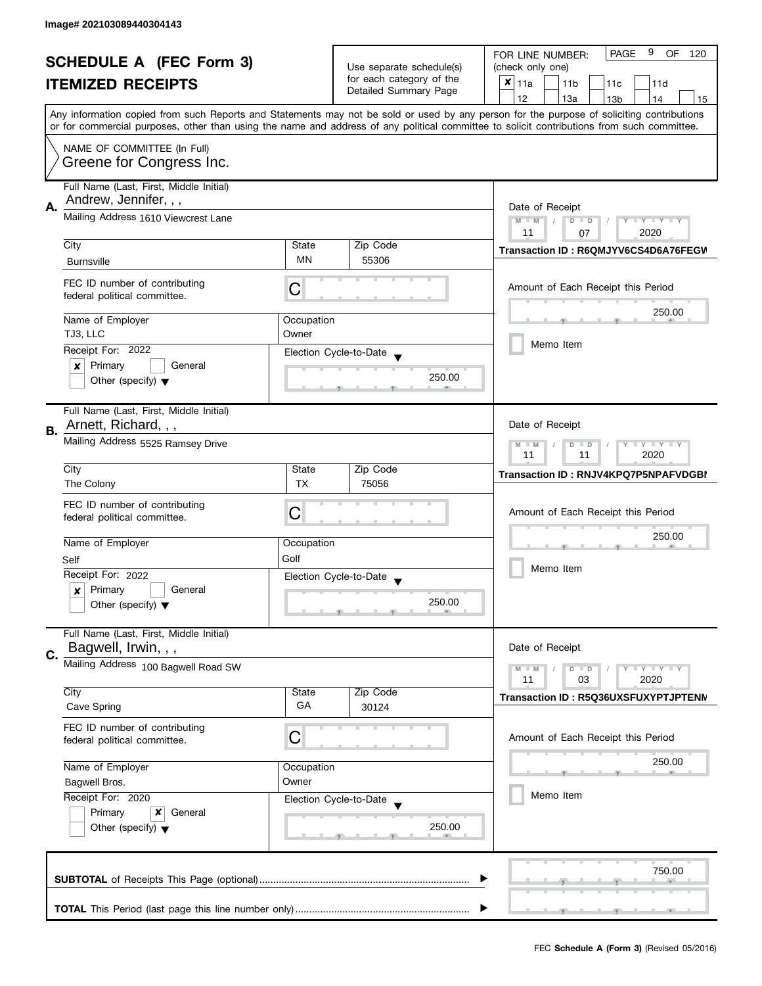| <b>SCHEDULE A (FEC Form 3)</b> |                                                                  |                                                     | 9<br><b>PAGE</b><br>OF<br>FOR LINE NUMBER:<br>120 |                                                                                                                                                                                                                                                                                         |  |
|--------------------------------|------------------------------------------------------------------|-----------------------------------------------------|---------------------------------------------------|-----------------------------------------------------------------------------------------------------------------------------------------------------------------------------------------------------------------------------------------------------------------------------------------|--|
|                                |                                                                  | Use separate schedule(s)                            | (check only one)                                  |                                                                                                                                                                                                                                                                                         |  |
|                                | <b>ITEMIZED RECEIPTS</b>                                         |                                                     | for each category of the<br>Detailed Summary Page | $x _{11a}$<br>11 <sub>b</sub><br>11d<br>11c                                                                                                                                                                                                                                             |  |
|                                |                                                                  |                                                     |                                                   | 12<br>13a<br>14<br>13 <sub>b</sub><br>15                                                                                                                                                                                                                                                |  |
|                                |                                                                  |                                                     |                                                   | Any information copied from such Reports and Statements may not be sold or used by any person for the purpose of soliciting contributions<br>or for commercial purposes, other than using the name and address of any political committee to solicit contributions from such committee. |  |
|                                |                                                                  |                                                     |                                                   |                                                                                                                                                                                                                                                                                         |  |
|                                | NAME OF COMMITTEE (In Full)<br>Greene for Congress Inc.          |                                                     |                                                   |                                                                                                                                                                                                                                                                                         |  |
|                                | Full Name (Last, First, Middle Initial)<br>Andrew, Jennifer, , , |                                                     |                                                   |                                                                                                                                                                                                                                                                                         |  |
| А.                             | Mailing Address 1610 Viewcrest Lane                              | Date of Receipt<br>$M - M$<br>$D$ $D$<br>Y TY TY TY |                                                   |                                                                                                                                                                                                                                                                                         |  |
|                                | City                                                             | State                                               | Zip Code                                          | 2020<br>11<br>07                                                                                                                                                                                                                                                                        |  |
|                                | <b>Burnsville</b>                                                | MN                                                  | 55306                                             | Transaction ID: R6QMJYV6CS4D6A76FEGV                                                                                                                                                                                                                                                    |  |
|                                |                                                                  |                                                     |                                                   |                                                                                                                                                                                                                                                                                         |  |
|                                | FEC ID number of contributing<br>federal political committee.    | С                                                   |                                                   | Amount of Each Receipt this Period                                                                                                                                                                                                                                                      |  |
|                                | Name of Employer                                                 | Occupation                                          |                                                   | 250.00                                                                                                                                                                                                                                                                                  |  |
|                                | TJ3, LLC                                                         | Owner                                               |                                                   |                                                                                                                                                                                                                                                                                         |  |
|                                | Receipt For: 2022                                                |                                                     | Election Cycle-to-Date                            | Memo Item                                                                                                                                                                                                                                                                               |  |
|                                | Primary<br>General<br>×                                          |                                                     |                                                   |                                                                                                                                                                                                                                                                                         |  |
|                                | Other (specify) $\blacktriangledown$                             |                                                     | 250.00                                            |                                                                                                                                                                                                                                                                                         |  |
|                                | Full Name (Last, First, Middle Initial)                          |                                                     |                                                   |                                                                                                                                                                                                                                                                                         |  |
| В.                             | Arnett, Richard, , ,                                             |                                                     |                                                   | Date of Receipt                                                                                                                                                                                                                                                                         |  |
|                                | Mailing Address 5525 Ramsey Drive                                |                                                     |                                                   | $\mathbf{y}$ $\mathbf{y}$<br>$M - M$<br>D<br>$\Box$<br>Y<br>2020<br>11<br>11                                                                                                                                                                                                            |  |
|                                | City                                                             | State                                               | Zip Code                                          | Transaction ID: RNJV4KPQ7P5NPAFVDGBI                                                                                                                                                                                                                                                    |  |
|                                | The Colony                                                       | <b>TX</b>                                           | 75056                                             |                                                                                                                                                                                                                                                                                         |  |
|                                | FEC ID number of contributing                                    |                                                     |                                                   |                                                                                                                                                                                                                                                                                         |  |
|                                | federal political committee.                                     | С                                                   |                                                   | Amount of Each Receipt this Period                                                                                                                                                                                                                                                      |  |
|                                |                                                                  |                                                     |                                                   | 250.00                                                                                                                                                                                                                                                                                  |  |
|                                | Name of Employer                                                 | Occupation                                          |                                                   | Memo Item                                                                                                                                                                                                                                                                               |  |
|                                | Self                                                             | Golf                                                |                                                   |                                                                                                                                                                                                                                                                                         |  |
|                                | Receipt For: 2022                                                |                                                     | Election Cycle-to-Date                            |                                                                                                                                                                                                                                                                                         |  |
|                                | Primary<br>General<br>x                                          |                                                     | 250.00                                            |                                                                                                                                                                                                                                                                                         |  |
|                                | Other (specify) $\blacktriangledown$                             |                                                     |                                                   |                                                                                                                                                                                                                                                                                         |  |
|                                | Full Name (Last, First, Middle Initial)                          |                                                     |                                                   |                                                                                                                                                                                                                                                                                         |  |
| C.                             | Bagwell, Irwin, , ,                                              |                                                     |                                                   | Date of Receipt                                                                                                                                                                                                                                                                         |  |
|                                | Mailing Address 100 Bagwell Road SW                              |                                                     |                                                   | $M - M$<br>Y L Y L Y<br>$D$ $D$<br>11<br>03<br>2020                                                                                                                                                                                                                                     |  |
|                                | City                                                             | State                                               | Zip Code                                          |                                                                                                                                                                                                                                                                                         |  |
|                                | Cave Spring                                                      | GA                                                  | 30124                                             | Transaction ID: R5Q36UXSFUXYPTJPTENN                                                                                                                                                                                                                                                    |  |
|                                | FEC ID number of contributing                                    |                                                     |                                                   |                                                                                                                                                                                                                                                                                         |  |
|                                | federal political committee.                                     | C                                                   |                                                   | Amount of Each Receipt this Period                                                                                                                                                                                                                                                      |  |
|                                | Name of Employer<br>Occupation                                   |                                                     |                                                   | 250.00                                                                                                                                                                                                                                                                                  |  |
|                                |                                                                  |                                                     |                                                   |                                                                                                                                                                                                                                                                                         |  |
|                                | Bagwell Bros.                                                    | Owner                                               |                                                   |                                                                                                                                                                                                                                                                                         |  |
|                                | Receipt For: 2020                                                |                                                     | Election Cycle-to-Date                            | Memo Item                                                                                                                                                                                                                                                                               |  |
|                                | Primary<br>x<br>General                                          |                                                     |                                                   |                                                                                                                                                                                                                                                                                         |  |
|                                | Other (specify) $\blacktriangledown$                             |                                                     | 250.00                                            |                                                                                                                                                                                                                                                                                         |  |
|                                |                                                                  |                                                     |                                                   |                                                                                                                                                                                                                                                                                         |  |
|                                |                                                                  |                                                     |                                                   | 750.00                                                                                                                                                                                                                                                                                  |  |
|                                |                                                                  |                                                     |                                                   |                                                                                                                                                                                                                                                                                         |  |
|                                |                                                                  |                                                     |                                                   |                                                                                                                                                                                                                                                                                         |  |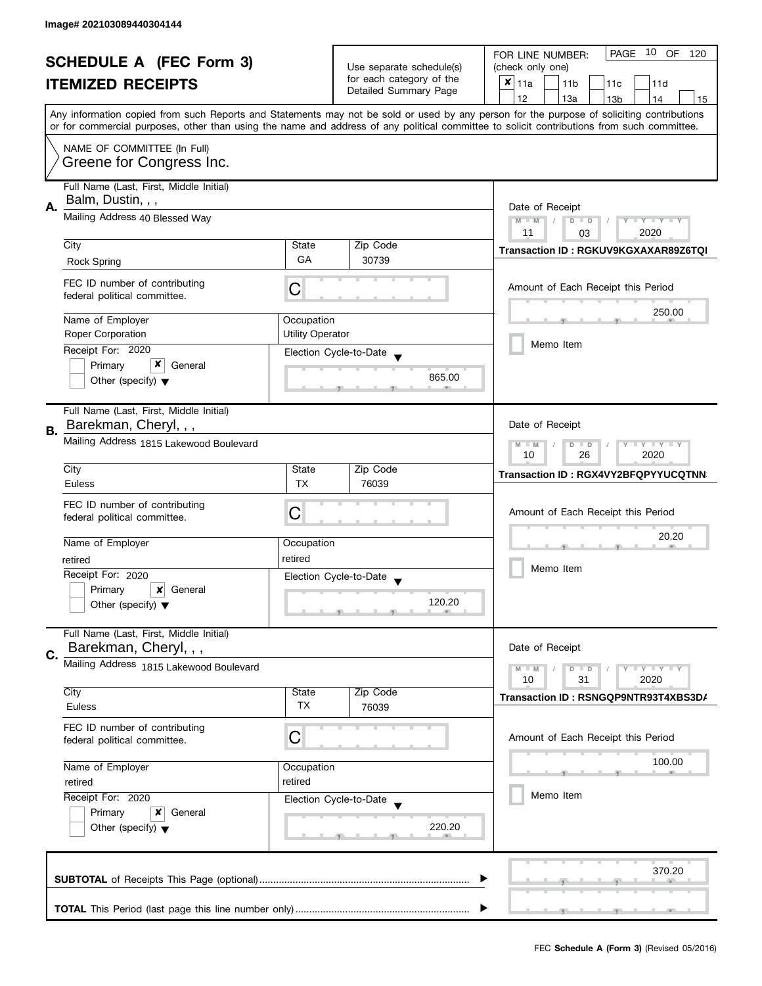|                                                            |                                             |                                            | 10 OF<br>PAGE<br>FOR LINE NUMBER:<br>120    |                                                                                                                                            |  |
|------------------------------------------------------------|---------------------------------------------|--------------------------------------------|---------------------------------------------|--------------------------------------------------------------------------------------------------------------------------------------------|--|
| <b>SCHEDULE A (FEC Form 3)</b><br><b>ITEMIZED RECEIPTS</b> |                                             | Use separate schedule(s)                   | (check only one)                            |                                                                                                                                            |  |
|                                                            |                                             | for each category of the                   | $x _{11a}$<br>11 <sub>b</sub><br>11c<br>11d |                                                                                                                                            |  |
|                                                            |                                             |                                            | Detailed Summary Page                       | 12<br>13a<br>13 <sub>b</sub><br>14<br>15                                                                                                   |  |
|                                                            |                                             |                                            |                                             | Any information copied from such Reports and Statements may not be sold or used by any person for the purpose of soliciting contributions  |  |
|                                                            |                                             |                                            |                                             | or for commercial purposes, other than using the name and address of any political committee to solicit contributions from such committee. |  |
|                                                            | NAME OF COMMITTEE (In Full)                 |                                            |                                             |                                                                                                                                            |  |
|                                                            | Greene for Congress Inc.                    |                                            |                                             |                                                                                                                                            |  |
|                                                            |                                             |                                            |                                             |                                                                                                                                            |  |
|                                                            | Full Name (Last, First, Middle Initial)     |                                            |                                             |                                                                                                                                            |  |
| Α.                                                         | Balm, Dustin, , ,                           | Date of Receipt                            |                                             |                                                                                                                                            |  |
|                                                            | Mailing Address 40 Blessed Way              | $M - M$<br>$T - Y = T - Y$<br>$D$ $D$<br>Y |                                             |                                                                                                                                            |  |
|                                                            |                                             |                                            |                                             | 11<br>2020<br>03                                                                                                                           |  |
|                                                            | City                                        | State                                      | Zip Code                                    | Transaction ID: RGKUV9KGXAXAR89Z6TQI                                                                                                       |  |
|                                                            | <b>Rock Spring</b>                          | GA                                         | 30739                                       |                                                                                                                                            |  |
|                                                            | FEC ID number of contributing               |                                            |                                             | Amount of Each Receipt this Period                                                                                                         |  |
|                                                            | federal political committee.                | C                                          |                                             |                                                                                                                                            |  |
|                                                            |                                             |                                            |                                             | 250.00                                                                                                                                     |  |
|                                                            | Name of Employer                            | Occupation                                 |                                             |                                                                                                                                            |  |
|                                                            | <b>Roper Corporation</b>                    | <b>Utility Operator</b>                    |                                             | Memo Item                                                                                                                                  |  |
|                                                            | Receipt For: 2020                           |                                            | Election Cycle-to-Date                      |                                                                                                                                            |  |
|                                                            | x<br>Primary<br>General                     |                                            |                                             |                                                                                                                                            |  |
|                                                            | Other (specify) $\blacktriangledown$        |                                            | 865.00                                      |                                                                                                                                            |  |
|                                                            |                                             |                                            |                                             |                                                                                                                                            |  |
|                                                            | Full Name (Last, First, Middle Initial)     |                                            |                                             |                                                                                                                                            |  |
| В.                                                         | Barekman, Cheryl, , ,                       |                                            |                                             | Date of Receipt                                                                                                                            |  |
|                                                            | Mailing Address 1815 Lakewood Boulevard     |                                            |                                             | $\mathbf{I}$ $\mathbf{Y}$ $\mathbf{I}$ $\mathbf{Y}$<br>$M - M$<br>D<br>$\Box$<br>Y                                                         |  |
|                                                            |                                             |                                            |                                             | 26<br>2020<br>10                                                                                                                           |  |
|                                                            | City                                        | State                                      | Zip Code                                    | <b>Transaction ID: RGX4VY2BFQPYYUCQTNN</b>                                                                                                 |  |
|                                                            | Euless                                      | <b>TX</b>                                  | 76039                                       |                                                                                                                                            |  |
|                                                            | FEC ID number of contributing               |                                            |                                             |                                                                                                                                            |  |
|                                                            | federal political committee.                | С                                          |                                             | Amount of Each Receipt this Period                                                                                                         |  |
|                                                            |                                             |                                            |                                             | 20.20                                                                                                                                      |  |
|                                                            | Name of Employer                            | Occupation                                 |                                             | Memo Item                                                                                                                                  |  |
|                                                            | retired                                     | retired                                    |                                             |                                                                                                                                            |  |
|                                                            | Receipt For: 2020                           |                                            | Election Cycle-to-Date                      |                                                                                                                                            |  |
|                                                            | Primary<br>$\boldsymbol{x}$<br>General      |                                            |                                             |                                                                                                                                            |  |
|                                                            | Other (specify) $\blacktriangledown$        |                                            | 120.20                                      |                                                                                                                                            |  |
|                                                            |                                             |                                            |                                             |                                                                                                                                            |  |
|                                                            | Full Name (Last, First, Middle Initial)     |                                            |                                             |                                                                                                                                            |  |
| C.                                                         | Barekman, Cheryl, , ,                       |                                            |                                             | Date of Receipt                                                                                                                            |  |
|                                                            | Mailing Address 1815 Lakewood Boulevard     |                                            |                                             | $M - M$<br>Y L Y L Y<br>$D$ $D$                                                                                                            |  |
|                                                            |                                             |                                            |                                             | 31<br>2020<br>10                                                                                                                           |  |
|                                                            | City                                        | State<br>TX                                | Zip Code                                    | Transaction ID: RSNGQP9NTR93T4XBS3D/                                                                                                       |  |
|                                                            | Euless                                      |                                            | 76039                                       |                                                                                                                                            |  |
|                                                            | FEC ID number of contributing               |                                            |                                             |                                                                                                                                            |  |
|                                                            | federal political committee.                | С                                          |                                             | Amount of Each Receipt this Period                                                                                                         |  |
|                                                            | Name of Employer<br>Occupation              |                                            |                                             | 100.00                                                                                                                                     |  |
|                                                            |                                             |                                            |                                             |                                                                                                                                            |  |
|                                                            | retired                                     | retired                                    |                                             | Memo Item                                                                                                                                  |  |
|                                                            | Receipt For: 2020<br>Election Cycle-to-Date |                                            |                                             |                                                                                                                                            |  |
|                                                            | Primary<br>General<br>x                     |                                            |                                             |                                                                                                                                            |  |
|                                                            | Other (specify) $\blacktriangledown$        |                                            | 220.20                                      |                                                                                                                                            |  |
|                                                            |                                             |                                            |                                             |                                                                                                                                            |  |
|                                                            |                                             |                                            |                                             |                                                                                                                                            |  |
|                                                            |                                             |                                            |                                             | 370.20                                                                                                                                     |  |
|                                                            |                                             |                                            |                                             |                                                                                                                                            |  |
|                                                            |                                             |                                            |                                             |                                                                                                                                            |  |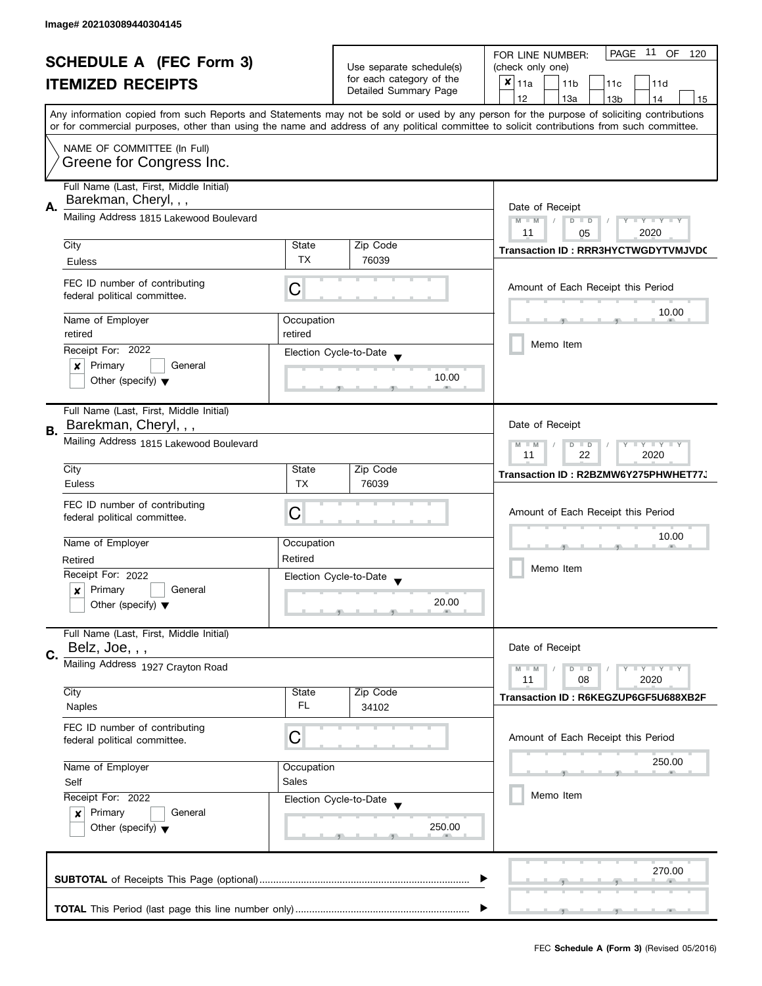| <b>SCHEDULE A (FEC Form 3)</b> |                                         |                                                                                                        | PAGE 11 OF<br>FOR LINE NUMBER:<br>120             |                                                                                                                                            |  |  |
|--------------------------------|-----------------------------------------|--------------------------------------------------------------------------------------------------------|---------------------------------------------------|--------------------------------------------------------------------------------------------------------------------------------------------|--|--|
|                                |                                         | Use separate schedule(s)                                                                               | (check only one)                                  |                                                                                                                                            |  |  |
|                                | <b>ITEMIZED RECEIPTS</b>                |                                                                                                        | for each category of the<br>Detailed Summary Page | $x _{11a}$<br>11 <sub>b</sub><br>11c<br>11d                                                                                                |  |  |
|                                |                                         |                                                                                                        |                                                   | 12<br>13a<br>13 <sub>b</sub><br>14<br>15                                                                                                   |  |  |
|                                |                                         |                                                                                                        |                                                   | Any information copied from such Reports and Statements may not be sold or used by any person for the purpose of soliciting contributions  |  |  |
|                                |                                         |                                                                                                        |                                                   | or for commercial purposes, other than using the name and address of any political committee to solicit contributions from such committee. |  |  |
|                                | NAME OF COMMITTEE (In Full)             |                                                                                                        |                                                   |                                                                                                                                            |  |  |
|                                | Greene for Congress Inc.                |                                                                                                        |                                                   |                                                                                                                                            |  |  |
|                                | Full Name (Last, First, Middle Initial) |                                                                                                        |                                                   |                                                                                                                                            |  |  |
|                                | Barekman, Cheryl, , ,                   |                                                                                                        |                                                   |                                                                                                                                            |  |  |
| А.                             |                                         | Date of Receipt                                                                                        |                                                   |                                                                                                                                            |  |  |
|                                | Mailing Address 1815 Lakewood Boulevard | $M - M$<br>$D$ $D$<br>$Y - Y - Y - Y - Y$                                                              |                                                   |                                                                                                                                            |  |  |
|                                | City                                    | State                                                                                                  | Zip Code                                          | 11<br>2020<br>05                                                                                                                           |  |  |
|                                |                                         | <b>TX</b>                                                                                              | 76039                                             | <b>Transaction ID: RRR3HYCTWGDYTVMJVD(</b>                                                                                                 |  |  |
|                                | Euless                                  |                                                                                                        |                                                   |                                                                                                                                            |  |  |
|                                | FEC ID number of contributing           | C                                                                                                      |                                                   | Amount of Each Receipt this Period                                                                                                         |  |  |
|                                | federal political committee.            |                                                                                                        |                                                   |                                                                                                                                            |  |  |
|                                |                                         |                                                                                                        |                                                   | 10.00                                                                                                                                      |  |  |
|                                | Name of Employer<br>retired             | Occupation<br>retired                                                                                  |                                                   |                                                                                                                                            |  |  |
|                                |                                         |                                                                                                        |                                                   | Memo Item                                                                                                                                  |  |  |
|                                | Receipt For: 2022                       |                                                                                                        | Election Cycle-to-Date                            |                                                                                                                                            |  |  |
|                                | Primary<br>General<br>×                 |                                                                                                        | 10.00                                             |                                                                                                                                            |  |  |
|                                | Other (specify) $\blacktriangledown$    |                                                                                                        |                                                   |                                                                                                                                            |  |  |
|                                |                                         |                                                                                                        |                                                   |                                                                                                                                            |  |  |
|                                | Full Name (Last, First, Middle Initial) |                                                                                                        |                                                   |                                                                                                                                            |  |  |
| В.                             | Barekman, Cheryl, , ,                   |                                                                                                        |                                                   | Date of Receipt                                                                                                                            |  |  |
|                                | Mailing Address 1815 Lakewood Boulevard | $\mathbf{I}$ $\mathbf{Y}$ $\mathbf{I}$ $\mathbf{Y}$<br>$M - M$<br>D<br>$\Box$<br>Y<br>22<br>2020<br>11 |                                                   |                                                                                                                                            |  |  |
|                                |                                         |                                                                                                        |                                                   |                                                                                                                                            |  |  |
|                                | City                                    | State                                                                                                  | Zip Code                                          | Transaction ID: R2BZMW6Y275PHWHET77、                                                                                                       |  |  |
|                                | Euless                                  | <b>TX</b>                                                                                              | 76039                                             |                                                                                                                                            |  |  |
|                                | FEC ID number of contributing           |                                                                                                        |                                                   | Amount of Each Receipt this Period                                                                                                         |  |  |
|                                | federal political committee.            | С                                                                                                      |                                                   | 10.00<br>Memo Item                                                                                                                         |  |  |
|                                | Name of Employer                        |                                                                                                        |                                                   |                                                                                                                                            |  |  |
|                                |                                         | Occupation                                                                                             |                                                   |                                                                                                                                            |  |  |
|                                | Retired                                 | Retired                                                                                                |                                                   |                                                                                                                                            |  |  |
|                                | Receipt For: 2022                       |                                                                                                        | Election Cycle-to-Date                            |                                                                                                                                            |  |  |
|                                | Primary<br>General<br>x                 |                                                                                                        | 20.00                                             |                                                                                                                                            |  |  |
|                                | Other (specify) $\blacktriangledown$    |                                                                                                        |                                                   |                                                                                                                                            |  |  |
|                                | Full Name (Last, First, Middle Initial) |                                                                                                        |                                                   |                                                                                                                                            |  |  |
|                                | Belz, Joe, , ,                          |                                                                                                        |                                                   | Date of Receipt                                                                                                                            |  |  |
| C.                             |                                         |                                                                                                        |                                                   |                                                                                                                                            |  |  |
|                                | Mailing Address 1927 Crayton Road       |                                                                                                        |                                                   | $M - M$<br>Y L Y L Y<br>$D$ $D$<br>11                                                                                                      |  |  |
|                                | City                                    | State                                                                                                  | Zip Code                                          | 08<br>2020                                                                                                                                 |  |  |
|                                | <b>Naples</b>                           | FL                                                                                                     | 34102                                             | Transaction ID: R6KEGZUP6GF5U688XB2F                                                                                                       |  |  |
|                                |                                         |                                                                                                        |                                                   |                                                                                                                                            |  |  |
|                                | FEC ID number of contributing           | С                                                                                                      |                                                   | Amount of Each Receipt this Period                                                                                                         |  |  |
|                                | federal political committee.            |                                                                                                        |                                                   |                                                                                                                                            |  |  |
|                                | Name of Employer<br>Occupation          |                                                                                                        |                                                   | 250.00                                                                                                                                     |  |  |
|                                | Self                                    | Sales                                                                                                  |                                                   |                                                                                                                                            |  |  |
|                                | Receipt For: 2022                       |                                                                                                        | Election Cycle-to-Date                            | Memo Item                                                                                                                                  |  |  |
|                                | Primary<br>General<br>$\boldsymbol{x}$  |                                                                                                        |                                                   |                                                                                                                                            |  |  |
|                                | Other (specify) $\blacktriangledown$    |                                                                                                        | 250.00                                            |                                                                                                                                            |  |  |
|                                |                                         |                                                                                                        |                                                   |                                                                                                                                            |  |  |
|                                |                                         |                                                                                                        |                                                   |                                                                                                                                            |  |  |
|                                |                                         |                                                                                                        |                                                   | 270.00                                                                                                                                     |  |  |
|                                |                                         |                                                                                                        |                                                   |                                                                                                                                            |  |  |
|                                |                                         |                                                                                                        |                                                   |                                                                                                                                            |  |  |
|                                |                                         |                                                                                                        |                                                   |                                                                                                                                            |  |  |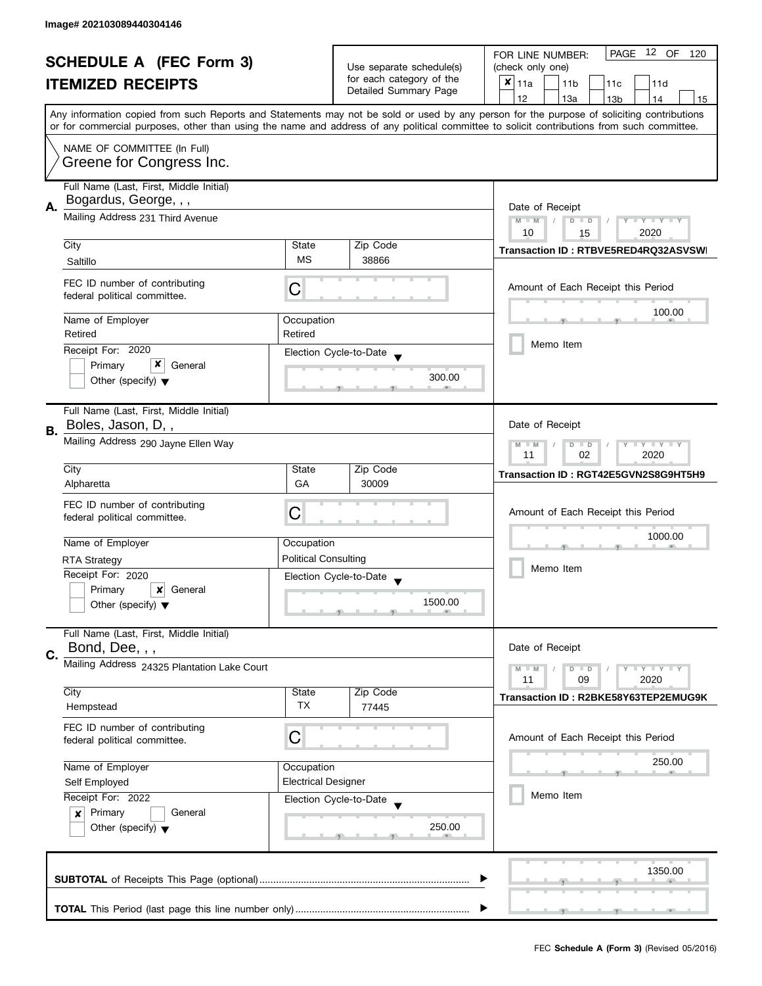| <b>SCHEDULE A (FEC Form 3)</b> |                                                                                         |                                                          | PAGE 12 OF<br>FOR LINE NUMBER:<br>120 |                                                                                                                                            |  |  |
|--------------------------------|-----------------------------------------------------------------------------------------|----------------------------------------------------------|---------------------------------------|--------------------------------------------------------------------------------------------------------------------------------------------|--|--|
|                                |                                                                                         | Use separate schedule(s)                                 | (check only one)                      |                                                                                                                                            |  |  |
|                                | <b>ITEMIZED RECEIPTS</b>                                                                |                                                          | for each category of the              | $x _{11a}$<br>11 <sub>b</sub><br>11d<br>11 <sub>c</sub>                                                                                    |  |  |
|                                |                                                                                         |                                                          | Detailed Summary Page                 | 12<br>13a<br>13 <sub>b</sub><br>14<br>15                                                                                                   |  |  |
|                                |                                                                                         |                                                          |                                       | Any information copied from such Reports and Statements may not be sold or used by any person for the purpose of soliciting contributions  |  |  |
|                                |                                                                                         |                                                          |                                       | or for commercial purposes, other than using the name and address of any political committee to solicit contributions from such committee. |  |  |
|                                | NAME OF COMMITTEE (In Full)                                                             |                                                          |                                       |                                                                                                                                            |  |  |
|                                | Greene for Congress Inc.                                                                |                                                          |                                       |                                                                                                                                            |  |  |
|                                |                                                                                         |                                                          |                                       |                                                                                                                                            |  |  |
|                                | Full Name (Last, First, Middle Initial)                                                 |                                                          |                                       |                                                                                                                                            |  |  |
| А.                             | Bogardus, George, , ,                                                                   | Date of Receipt                                          |                                       |                                                                                                                                            |  |  |
|                                | Mailing Address 231 Third Avenue                                                        | $M - M$<br>$T - Y = Y - T Y$<br>$\overline{D}$<br>$\Box$ |                                       |                                                                                                                                            |  |  |
|                                |                                                                                         |                                                          |                                       | 10<br>2020<br>15                                                                                                                           |  |  |
|                                | City                                                                                    | State                                                    | Zip Code                              | Transaction ID: RTBVE5RED4RQ32ASVSWI                                                                                                       |  |  |
|                                | Saltillo                                                                                | <b>MS</b>                                                | 38866                                 |                                                                                                                                            |  |  |
|                                | FEC ID number of contributing                                                           |                                                          |                                       | Amount of Each Receipt this Period                                                                                                         |  |  |
|                                | federal political committee.                                                            | C                                                        |                                       |                                                                                                                                            |  |  |
|                                |                                                                                         |                                                          |                                       | 100.00                                                                                                                                     |  |  |
|                                | Name of Employer                                                                        | Occupation                                               |                                       |                                                                                                                                            |  |  |
|                                | Retired                                                                                 | Retired                                                  |                                       | Memo Item                                                                                                                                  |  |  |
|                                | Receipt For: 2020                                                                       |                                                          | Election Cycle-to-Date                |                                                                                                                                            |  |  |
|                                | x<br>Primary<br>General                                                                 |                                                          | 300.00                                |                                                                                                                                            |  |  |
|                                | Other (specify) $\blacktriangledown$                                                    |                                                          |                                       |                                                                                                                                            |  |  |
|                                |                                                                                         |                                                          |                                       |                                                                                                                                            |  |  |
|                                | Full Name (Last, First, Middle Initial)                                                 |                                                          |                                       |                                                                                                                                            |  |  |
| В.                             | Boles, Jason, D,,                                                                       |                                                          |                                       | Date of Receipt                                                                                                                            |  |  |
|                                | Mailing Address 290 Jayne Ellen Way                                                     |                                                          |                                       | $\mathbf{y}$ $\mathbf{y}$<br>$M - M$<br>D<br>$\Box$<br>Y                                                                                   |  |  |
|                                |                                                                                         |                                                          |                                       | 02<br>2020<br>11                                                                                                                           |  |  |
|                                | City                                                                                    | State                                                    | Zip Code                              | Transaction ID: RGT42E5GVN2S8G9HT5H9                                                                                                       |  |  |
|                                | Alpharetta                                                                              | GA                                                       | 30009                                 |                                                                                                                                            |  |  |
|                                | FEC ID number of contributing                                                           | C                                                        |                                       | Amount of Each Receipt this Period                                                                                                         |  |  |
|                                | federal political committee.                                                            |                                                          |                                       |                                                                                                                                            |  |  |
|                                | Name of Employer                                                                        | Occupation                                               |                                       | 1000.00                                                                                                                                    |  |  |
|                                |                                                                                         | <b>Political Consulting</b>                              |                                       | Memo Item                                                                                                                                  |  |  |
|                                | <b>RTA Strategy</b>                                                                     |                                                          |                                       |                                                                                                                                            |  |  |
|                                | Receipt For: 2020                                                                       |                                                          | Election Cycle-to-Date                |                                                                                                                                            |  |  |
|                                | Primary<br>$\boldsymbol{\mathsf{x}}$<br>General<br>Other (specify) $\blacktriangledown$ |                                                          | 1500.00                               |                                                                                                                                            |  |  |
|                                |                                                                                         |                                                          |                                       |                                                                                                                                            |  |  |
|                                | Full Name (Last, First, Middle Initial)                                                 |                                                          |                                       |                                                                                                                                            |  |  |
|                                | Bond, Dee, , ,                                                                          |                                                          |                                       | Date of Receipt                                                                                                                            |  |  |
| C.                             | Mailing Address 24325 Plantation Lake Court                                             |                                                          |                                       | $Y = Y = Y$<br>$M - M$<br>$D$ $D$                                                                                                          |  |  |
|                                |                                                                                         |                                                          |                                       | 11<br>09<br>2020                                                                                                                           |  |  |
|                                | City                                                                                    | State                                                    | Zip Code                              | Transaction ID: R2BKE58Y63TEP2EMUG9K                                                                                                       |  |  |
|                                | Hempstead                                                                               | TX                                                       | 77445                                 |                                                                                                                                            |  |  |
|                                | FEC ID number of contributing                                                           |                                                          |                                       |                                                                                                                                            |  |  |
|                                | federal political committee.                                                            | С                                                        |                                       | Amount of Each Receipt this Period                                                                                                         |  |  |
|                                | Name of Employer<br>Occupation                                                          |                                                          |                                       | 250.00                                                                                                                                     |  |  |
|                                |                                                                                         |                                                          |                                       |                                                                                                                                            |  |  |
|                                | Self Employed                                                                           | <b>Electrical Designer</b>                               |                                       |                                                                                                                                            |  |  |
|                                | Receipt For: 2022                                                                       |                                                          | Election Cycle-to-Date                | Memo Item                                                                                                                                  |  |  |
|                                | Primary<br>General<br>$\boldsymbol{x}$                                                  |                                                          |                                       |                                                                                                                                            |  |  |
|                                | Other (specify) $\blacktriangledown$                                                    |                                                          | 250.00                                |                                                                                                                                            |  |  |
|                                |                                                                                         |                                                          |                                       |                                                                                                                                            |  |  |
|                                |                                                                                         |                                                          |                                       |                                                                                                                                            |  |  |
|                                |                                                                                         |                                                          |                                       | 1350.00                                                                                                                                    |  |  |
|                                |                                                                                         |                                                          |                                       |                                                                                                                                            |  |  |
|                                |                                                                                         |                                                          |                                       |                                                                                                                                            |  |  |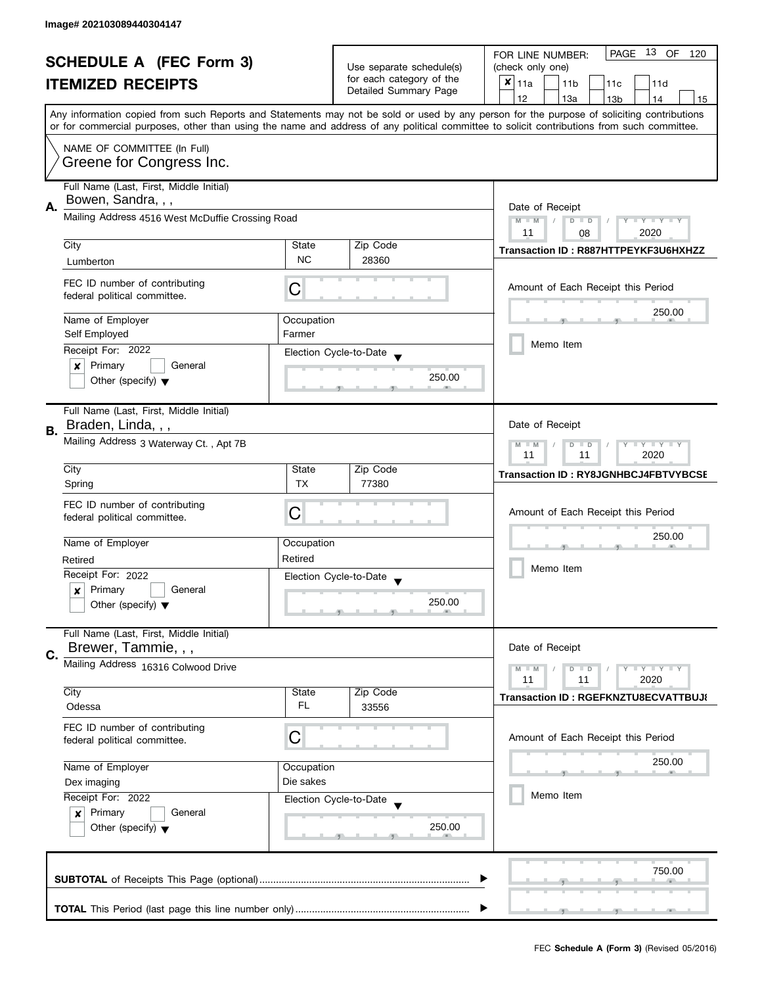|    | <b>SCHEDULE A (FEC Form 3)</b>                                      |                      |                                                      | PAGE<br>13 OF<br>FOR LINE NUMBER:<br>120<br>(check only one)                                                                                                                                                                                                                            |
|----|---------------------------------------------------------------------|----------------------|------------------------------------------------------|-----------------------------------------------------------------------------------------------------------------------------------------------------------------------------------------------------------------------------------------------------------------------------------------|
|    |                                                                     |                      | Use separate schedule(s)<br>for each category of the |                                                                                                                                                                                                                                                                                         |
|    | <b>ITEMIZED RECEIPTS</b>                                            |                      | Detailed Summary Page                                | $x _{11a}$<br>11 <sub>b</sub><br>11c<br>11d                                                                                                                                                                                                                                             |
|    |                                                                     |                      |                                                      | 12<br>13a<br>14<br>13 <sub>b</sub><br>15                                                                                                                                                                                                                                                |
|    |                                                                     |                      |                                                      | Any information copied from such Reports and Statements may not be sold or used by any person for the purpose of soliciting contributions<br>or for commercial purposes, other than using the name and address of any political committee to solicit contributions from such committee. |
|    | NAME OF COMMITTEE (In Full)                                         |                      |                                                      |                                                                                                                                                                                                                                                                                         |
|    | Greene for Congress Inc.                                            |                      |                                                      |                                                                                                                                                                                                                                                                                         |
|    | Full Name (Last, First, Middle Initial)                             |                      |                                                      |                                                                                                                                                                                                                                                                                         |
|    | Bowen, Sandra, , ,                                                  |                      |                                                      |                                                                                                                                                                                                                                                                                         |
| А. | Mailing Address 4516 West McDuffie Crossing Road                    |                      |                                                      | Date of Receipt<br>$M - M$<br>$D$ $D$<br>Y TY TY TY                                                                                                                                                                                                                                     |
|    | City                                                                | State                | Zip Code                                             | 2020<br>11<br>08                                                                                                                                                                                                                                                                        |
|    | Lumberton                                                           | <b>NC</b>            | 28360                                                | Transaction ID: R887HTTPEYKF3U6HXHZZ                                                                                                                                                                                                                                                    |
|    |                                                                     |                      |                                                      |                                                                                                                                                                                                                                                                                         |
|    | FEC ID number of contributing<br>federal political committee.       | С                    |                                                      | Amount of Each Receipt this Period                                                                                                                                                                                                                                                      |
|    |                                                                     |                      |                                                      | 250.00                                                                                                                                                                                                                                                                                  |
|    | Name of Employer<br>Self Employed                                   | Occupation<br>Farmer |                                                      |                                                                                                                                                                                                                                                                                         |
|    |                                                                     |                      |                                                      | Memo Item                                                                                                                                                                                                                                                                               |
|    | Receipt For: 2022<br>$\boldsymbol{x}$<br>Primary<br>General         |                      | Election Cycle-to-Date                               |                                                                                                                                                                                                                                                                                         |
|    | Other (specify) $\blacktriangledown$                                |                      | 250.00                                               |                                                                                                                                                                                                                                                                                         |
|    |                                                                     |                      |                                                      |                                                                                                                                                                                                                                                                                         |
|    | Full Name (Last, First, Middle Initial)                             |                      |                                                      |                                                                                                                                                                                                                                                                                         |
| В. | Braden, Linda, , ,                                                  |                      |                                                      | Date of Receipt                                                                                                                                                                                                                                                                         |
|    | Mailing Address 3 Waterway Ct., Apt 7B                              |                      |                                                      | $Y = Y + Y$<br>$M - M$<br>$D$ $D$<br>2020<br>11<br>11                                                                                                                                                                                                                                   |
|    | City                                                                | State                | Zip Code                                             |                                                                                                                                                                                                                                                                                         |
|    | Spring                                                              | <b>TX</b>            | 77380                                                | <b>Transaction ID: RY8JGNHBCJ4FBTVYBCSE</b>                                                                                                                                                                                                                                             |
|    |                                                                     |                      |                                                      |                                                                                                                                                                                                                                                                                         |
|    | FEC ID number of contributing<br>federal political committee.       | C                    |                                                      | Amount of Each Receipt this Period                                                                                                                                                                                                                                                      |
|    |                                                                     |                      |                                                      |                                                                                                                                                                                                                                                                                         |
|    | Name of Employer                                                    | Occupation           |                                                      | 250.00                                                                                                                                                                                                                                                                                  |
|    | Retired                                                             | Retired              |                                                      |                                                                                                                                                                                                                                                                                         |
|    | Receipt For: 2022                                                   |                      | Election Cycle-to-Date                               | Memo Item                                                                                                                                                                                                                                                                               |
|    | Primary<br>General<br>$\boldsymbol{x}$                              |                      |                                                      |                                                                                                                                                                                                                                                                                         |
|    | Other (specify) $\blacktriangledown$                                |                      | 250.00                                               |                                                                                                                                                                                                                                                                                         |
|    | Full Name (Last, First, Middle Initial)                             |                      |                                                      |                                                                                                                                                                                                                                                                                         |
| C. | Brewer, Tammie, , ,                                                 |                      |                                                      | Date of Receipt                                                                                                                                                                                                                                                                         |
|    | Mailing Address 16316 Colwood Drive                                 |                      |                                                      | $\bot$ Y $\bot$ Y $\bot$ Y<br>$M - M$<br>$D$ $D$<br>11<br>2020<br>11                                                                                                                                                                                                                    |
|    | City                                                                | State                | Zip Code                                             |                                                                                                                                                                                                                                                                                         |
|    | Odessa                                                              | FL                   | 33556                                                | Transaction ID: RGEFKNZTU8ECVATTBUJ{                                                                                                                                                                                                                                                    |
|    | FEC ID number of contributing                                       |                      |                                                      |                                                                                                                                                                                                                                                                                         |
|    | federal political committee.                                        | C                    |                                                      | Amount of Each Receipt this Period                                                                                                                                                                                                                                                      |
|    |                                                                     |                      |                                                      | 250.00                                                                                                                                                                                                                                                                                  |
|    | Name of Employer                                                    | Occupation           |                                                      |                                                                                                                                                                                                                                                                                         |
|    | Dex imaging                                                         | Die sakes            |                                                      | Memo Item                                                                                                                                                                                                                                                                               |
|    | Receipt For: 2022<br>General                                        |                      | Election Cycle-to-Date                               |                                                                                                                                                                                                                                                                                         |
|    | Primary<br>$\boldsymbol{x}$<br>Other (specify) $\blacktriangledown$ |                      | 250.00                                               |                                                                                                                                                                                                                                                                                         |
|    |                                                                     |                      |                                                      |                                                                                                                                                                                                                                                                                         |
|    |                                                                     |                      |                                                      |                                                                                                                                                                                                                                                                                         |
|    |                                                                     |                      |                                                      | 750.00                                                                                                                                                                                                                                                                                  |
|    |                                                                     |                      |                                                      |                                                                                                                                                                                                                                                                                         |
|    |                                                                     |                      |                                                      |                                                                                                                                                                                                                                                                                         |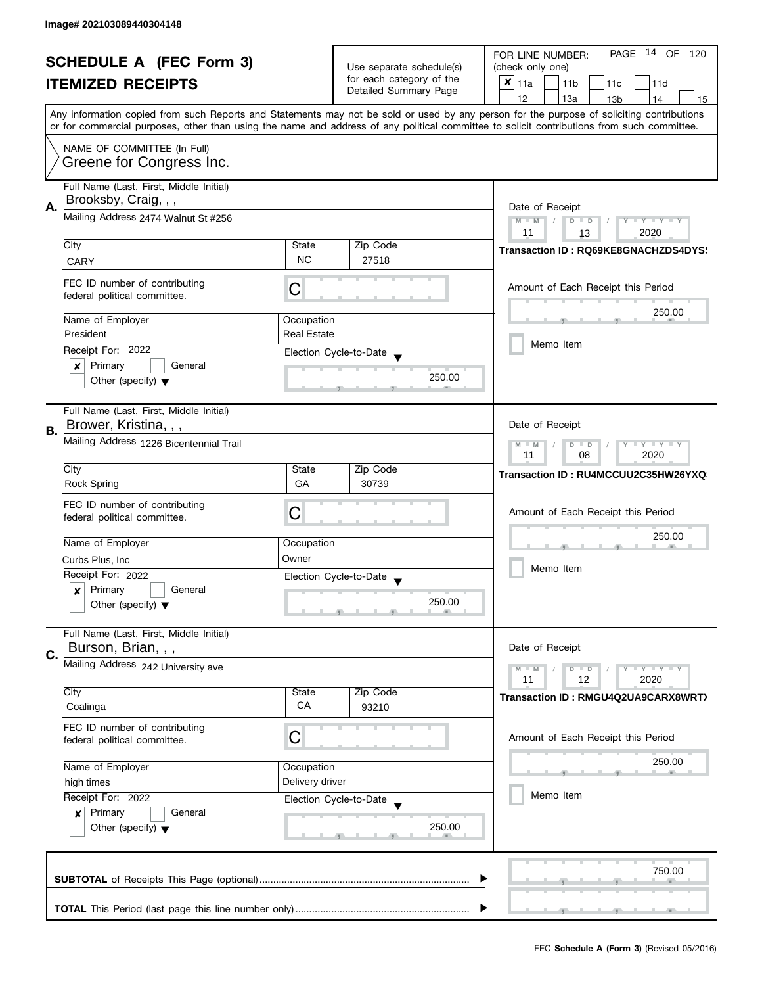| <b>SCHEDULE A (FEC Form 3)</b><br><b>ITEMIZED RECEIPTS</b> |                                                                 |                                                          | Use separate schedule(s) | 14 OF<br>PAGE<br>FOR LINE NUMBER:<br>120<br>(check only one)                                                                                                                                                                                                                            |
|------------------------------------------------------------|-----------------------------------------------------------------|----------------------------------------------------------|--------------------------|-----------------------------------------------------------------------------------------------------------------------------------------------------------------------------------------------------------------------------------------------------------------------------------------|
|                                                            |                                                                 |                                                          | for each category of the | ×<br>l 11a<br>11 <sub>b</sub><br>11c<br>11d                                                                                                                                                                                                                                             |
|                                                            |                                                                 |                                                          | Detailed Summary Page    |                                                                                                                                                                                                                                                                                         |
|                                                            |                                                                 |                                                          |                          | 12<br>13a<br>13 <sub>b</sub><br>14<br>15                                                                                                                                                                                                                                                |
|                                                            |                                                                 |                                                          |                          | Any information copied from such Reports and Statements may not be sold or used by any person for the purpose of soliciting contributions<br>or for commercial purposes, other than using the name and address of any political committee to solicit contributions from such committee. |
|                                                            | NAME OF COMMITTEE (In Full)                                     |                                                          |                          |                                                                                                                                                                                                                                                                                         |
|                                                            | Greene for Congress Inc.                                        |                                                          |                          |                                                                                                                                                                                                                                                                                         |
|                                                            | Full Name (Last, First, Middle Initial)<br>Brooksby, Craig, , , |                                                          |                          |                                                                                                                                                                                                                                                                                         |
| А.                                                         | Mailing Address 2474 Walnut St #256                             | Date of Receipt<br>$M - M$<br>$D$ $D$<br>$T - Y = Y + Y$ |                          |                                                                                                                                                                                                                                                                                         |
|                                                            |                                                                 |                                                          |                          | 11<br>2020<br>13                                                                                                                                                                                                                                                                        |
|                                                            | City                                                            | State                                                    | Zip Code                 | Transaction ID: RQ69KE8GNACHZDS4DYS!                                                                                                                                                                                                                                                    |
|                                                            | CARY                                                            | <b>NC</b>                                                | 27518                    |                                                                                                                                                                                                                                                                                         |
|                                                            | FEC ID number of contributing<br>federal political committee.   | C                                                        |                          | Amount of Each Receipt this Period                                                                                                                                                                                                                                                      |
|                                                            | Name of Employer                                                | Occupation                                               |                          | 250.00                                                                                                                                                                                                                                                                                  |
|                                                            | President                                                       | <b>Real Estate</b>                                       |                          |                                                                                                                                                                                                                                                                                         |
|                                                            | Receipt For: 2022                                               |                                                          | Election Cycle-to-Date   | Memo Item                                                                                                                                                                                                                                                                               |
|                                                            | Primary<br>General<br>×                                         |                                                          |                          |                                                                                                                                                                                                                                                                                         |
|                                                            | Other (specify) $\blacktriangledown$                            |                                                          | 250.00                   |                                                                                                                                                                                                                                                                                         |
|                                                            | Full Name (Last, First, Middle Initial)                         |                                                          |                          |                                                                                                                                                                                                                                                                                         |
| В.                                                         | Brower, Kristina, , ,                                           |                                                          |                          | Date of Receipt                                                                                                                                                                                                                                                                         |
|                                                            | Mailing Address 1226 Bicentennial Trail                         | $Y = Y + Y$<br>$M - M$<br>$D$ $D$<br>08<br>2020<br>11    |                          |                                                                                                                                                                                                                                                                                         |
|                                                            | City                                                            | State                                                    | Zip Code                 | Transaction ID: RU4MCCUU2C35HW26YXQ                                                                                                                                                                                                                                                     |
|                                                            | <b>Rock Spring</b>                                              | GA                                                       | 30739                    |                                                                                                                                                                                                                                                                                         |
|                                                            | FEC ID number of contributing                                   |                                                          |                          |                                                                                                                                                                                                                                                                                         |
|                                                            | federal political committee.                                    | С                                                        |                          | Amount of Each Receipt this Period                                                                                                                                                                                                                                                      |
|                                                            |                                                                 |                                                          |                          | 250.00                                                                                                                                                                                                                                                                                  |
|                                                            | Name of Employer                                                | Occupation                                               |                          |                                                                                                                                                                                                                                                                                         |
|                                                            | Curbs Plus, Inc.                                                | Owner                                                    |                          | Memo Item                                                                                                                                                                                                                                                                               |
|                                                            | Receipt For: 2022                                               |                                                          | Election Cycle-to-Date   |                                                                                                                                                                                                                                                                                         |
|                                                            | Primary<br>General<br>x                                         |                                                          |                          |                                                                                                                                                                                                                                                                                         |
|                                                            | Other (specify) $\blacktriangledown$                            |                                                          | 250.00                   |                                                                                                                                                                                                                                                                                         |
|                                                            | Full Name (Last, First, Middle Initial)<br>Burson, Brian, , ,   |                                                          |                          | Date of Receipt                                                                                                                                                                                                                                                                         |
| C.                                                         | Mailing Address 242 University ave                              |                                                          |                          |                                                                                                                                                                                                                                                                                         |
|                                                            |                                                                 |                                                          |                          | $M - M$<br>$Y = Y = Y$<br>$D$ $D$<br>12<br>11<br>2020                                                                                                                                                                                                                                   |
|                                                            | City                                                            | State                                                    | Zip Code                 | Transaction ID: RMGU4Q2UA9CARX8WRT)                                                                                                                                                                                                                                                     |
|                                                            | Coalinga                                                        | CA                                                       | 93210                    |                                                                                                                                                                                                                                                                                         |
|                                                            | FEC ID number of contributing                                   | C                                                        |                          | Amount of Each Receipt this Period                                                                                                                                                                                                                                                      |
|                                                            | federal political committee.                                    |                                                          |                          |                                                                                                                                                                                                                                                                                         |
|                                                            | Name of Employer                                                | Occupation                                               |                          | 250.00                                                                                                                                                                                                                                                                                  |
|                                                            | high times                                                      | Delivery driver                                          |                          |                                                                                                                                                                                                                                                                                         |
|                                                            | Receipt For: 2022                                               |                                                          | Election Cycle-to-Date   | Memo Item                                                                                                                                                                                                                                                                               |
|                                                            | Primary<br>General<br>$\boldsymbol{x}$                          |                                                          |                          |                                                                                                                                                                                                                                                                                         |
|                                                            | Other (specify) $\blacktriangledown$                            |                                                          | 250.00                   |                                                                                                                                                                                                                                                                                         |
|                                                            |                                                                 |                                                          |                          |                                                                                                                                                                                                                                                                                         |
|                                                            |                                                                 |                                                          |                          |                                                                                                                                                                                                                                                                                         |
|                                                            |                                                                 |                                                          |                          | 750.00                                                                                                                                                                                                                                                                                  |
|                                                            |                                                                 |                                                          |                          |                                                                                                                                                                                                                                                                                         |
|                                                            |                                                                 |                                                          |                          |                                                                                                                                                                                                                                                                                         |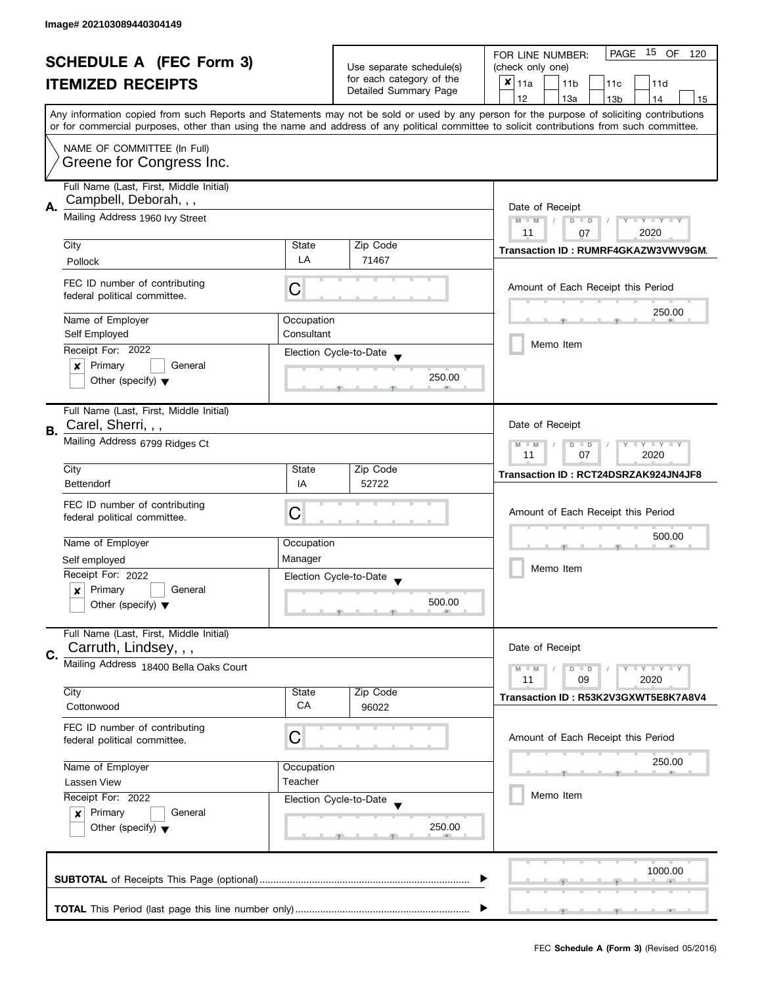| <b>SCHEDULE A (FEC Form 3)</b> |                                                               | Use separate schedule(s) | PAGE 15 OF<br>FOR LINE NUMBER:<br>120<br>(check only one) |                                                                                                                                                                                                                                                                                         |
|--------------------------------|---------------------------------------------------------------|--------------------------|-----------------------------------------------------------|-----------------------------------------------------------------------------------------------------------------------------------------------------------------------------------------------------------------------------------------------------------------------------------------|
|                                | <b>ITEMIZED RECEIPTS</b>                                      |                          | for each category of the                                  | ×<br>  11a<br>11 <sub>b</sub><br>11c<br>11d                                                                                                                                                                                                                                             |
|                                |                                                               |                          | Detailed Summary Page                                     | 12<br>13a                                                                                                                                                                                                                                                                               |
|                                |                                                               |                          |                                                           | 13 <sub>b</sub><br>14<br>15                                                                                                                                                                                                                                                             |
|                                |                                                               |                          |                                                           | Any information copied from such Reports and Statements may not be sold or used by any person for the purpose of soliciting contributions<br>or for commercial purposes, other than using the name and address of any political committee to solicit contributions from such committee. |
|                                | NAME OF COMMITTEE (In Full)                                   |                          |                                                           |                                                                                                                                                                                                                                                                                         |
|                                | Greene for Congress Inc.                                      |                          |                                                           |                                                                                                                                                                                                                                                                                         |
|                                | Full Name (Last, First, Middle Initial)                       |                          |                                                           |                                                                                                                                                                                                                                                                                         |
| А.                             | Campbell, Deborah, , ,                                        | Date of Receipt          |                                                           |                                                                                                                                                                                                                                                                                         |
|                                | Mailing Address 1960 Ivy Street                               |                          |                                                           | $M - M$<br>$\sqrt{2}$<br>$D$ $D$<br>$T - Y = T - Y$                                                                                                                                                                                                                                     |
|                                | City                                                          | State                    | Zip Code                                                  | 11<br>2020<br>07                                                                                                                                                                                                                                                                        |
|                                |                                                               | LA                       | 71467                                                     | Transaction ID: RUMRF4GKAZW3VWV9GM.                                                                                                                                                                                                                                                     |
|                                | Pollock                                                       |                          |                                                           |                                                                                                                                                                                                                                                                                         |
|                                | FEC ID number of contributing<br>federal political committee. | С                        |                                                           | Amount of Each Receipt this Period                                                                                                                                                                                                                                                      |
|                                | Name of Employer                                              | Occupation               |                                                           | 250.00                                                                                                                                                                                                                                                                                  |
|                                | Self Employed                                                 | Consultant               |                                                           |                                                                                                                                                                                                                                                                                         |
|                                | Receipt For: 2022                                             |                          | Election Cycle-to-Date                                    | Memo Item                                                                                                                                                                                                                                                                               |
|                                | Primary<br>General<br>×                                       |                          |                                                           |                                                                                                                                                                                                                                                                                         |
|                                | Other (specify) $\blacktriangledown$                          |                          | 250.00                                                    |                                                                                                                                                                                                                                                                                         |
|                                | Full Name (Last, First, Middle Initial)                       |                          |                                                           |                                                                                                                                                                                                                                                                                         |
| В.                             | Carel, Sherri, , ,                                            |                          |                                                           | Date of Receipt                                                                                                                                                                                                                                                                         |
|                                | Mailing Address 6799 Ridges Ct                                |                          |                                                           | $Y - Y - Y$<br>$M - M$<br>D<br>$\Box$<br>07<br>2020<br>11                                                                                                                                                                                                                               |
|                                | City                                                          | State                    | Zip Code                                                  |                                                                                                                                                                                                                                                                                         |
|                                | <b>Bettendorf</b>                                             | IA                       | 52722                                                     | Transaction ID: RCT24DSRZAK924JN4JF8                                                                                                                                                                                                                                                    |
|                                | FEC ID number of contributing                                 |                          |                                                           |                                                                                                                                                                                                                                                                                         |
|                                | federal political committee.                                  | С                        |                                                           | Amount of Each Receipt this Period                                                                                                                                                                                                                                                      |
|                                |                                                               |                          |                                                           | 500.00                                                                                                                                                                                                                                                                                  |
|                                | Name of Employer                                              | Occupation               |                                                           |                                                                                                                                                                                                                                                                                         |
|                                | Self employed                                                 | Manager                  |                                                           | Memo Item                                                                                                                                                                                                                                                                               |
|                                | Receipt For: 2022                                             |                          | Election Cycle-to-Date                                    |                                                                                                                                                                                                                                                                                         |
|                                | Primary<br>General<br>x                                       |                          | 500.00                                                    |                                                                                                                                                                                                                                                                                         |
|                                | Other (specify) $\blacktriangledown$                          |                          |                                                           |                                                                                                                                                                                                                                                                                         |
|                                | Full Name (Last, First, Middle Initial)                       |                          |                                                           | Date of Receipt                                                                                                                                                                                                                                                                         |
| C.                             | Carruth, Lindsey, , ,                                         |                          |                                                           |                                                                                                                                                                                                                                                                                         |
|                                | Mailing Address 18400 Bella Oaks Court                        |                          |                                                           | $M - M$<br>$Y - Y - Y$<br>$D$ $D$<br>11<br>09<br>2020                                                                                                                                                                                                                                   |
|                                | City                                                          | State                    | Zip Code                                                  | Transaction ID: R53K2V3GXWT5E8K7A8V4                                                                                                                                                                                                                                                    |
|                                | Cottonwood                                                    | CA                       | 96022                                                     |                                                                                                                                                                                                                                                                                         |
|                                | FEC ID number of contributing                                 | C                        |                                                           | Amount of Each Receipt this Period                                                                                                                                                                                                                                                      |
|                                | federal political committee.                                  |                          |                                                           |                                                                                                                                                                                                                                                                                         |
|                                | Name of Employer                                              | Occupation               |                                                           | 250.00                                                                                                                                                                                                                                                                                  |
|                                | Lassen View                                                   | Teacher                  |                                                           |                                                                                                                                                                                                                                                                                         |
|                                | Receipt For: 2022                                             |                          | Election Cycle-to-Date                                    | Memo Item                                                                                                                                                                                                                                                                               |
|                                | Primary<br>$\boldsymbol{x}$<br>General                        |                          |                                                           |                                                                                                                                                                                                                                                                                         |
|                                | Other (specify) $\blacktriangledown$                          |                          | 250.00                                                    |                                                                                                                                                                                                                                                                                         |
|                                |                                                               |                          |                                                           |                                                                                                                                                                                                                                                                                         |
|                                |                                                               |                          |                                                           | 1000.00                                                                                                                                                                                                                                                                                 |
|                                |                                                               |                          |                                                           |                                                                                                                                                                                                                                                                                         |
|                                |                                                               |                          |                                                           |                                                                                                                                                                                                                                                                                         |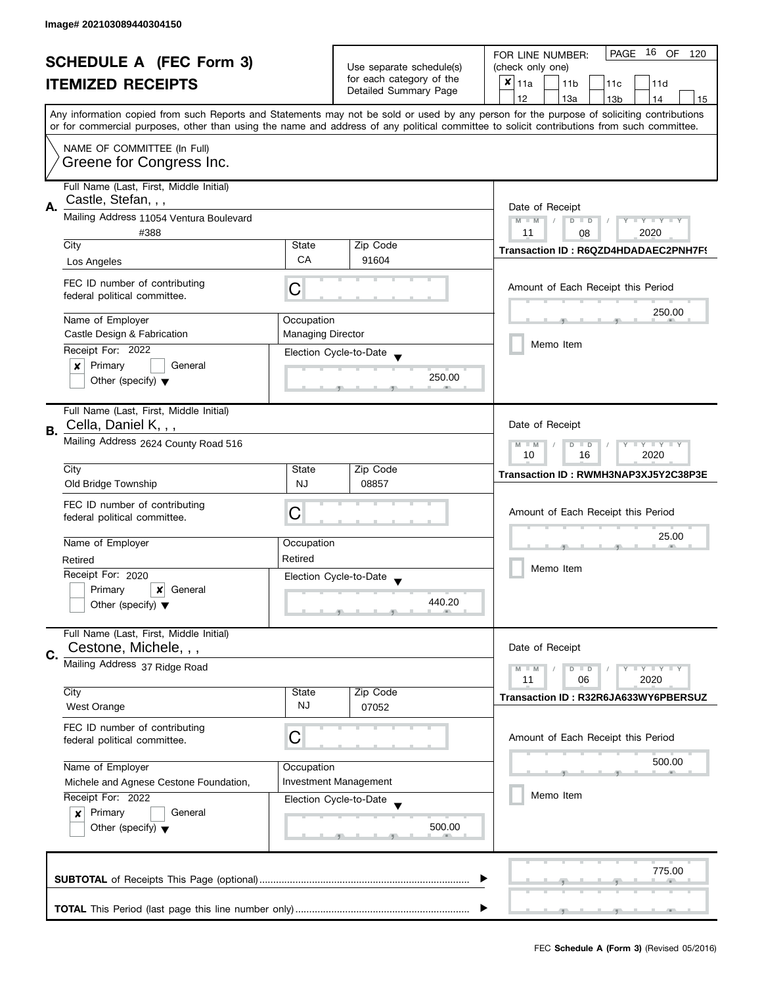| <b>SCHEDULE A (FEC Form 3)</b> |                                                               |                          |                                                      | 16 OF<br><b>PAGE</b><br>FOR LINE NUMBER:<br>120                                                                                                                                                                                                                                         |
|--------------------------------|---------------------------------------------------------------|--------------------------|------------------------------------------------------|-----------------------------------------------------------------------------------------------------------------------------------------------------------------------------------------------------------------------------------------------------------------------------------------|
|                                |                                                               |                          | Use separate schedule(s)<br>for each category of the | (check only one)                                                                                                                                                                                                                                                                        |
|                                | <b>ITEMIZED RECEIPTS</b>                                      |                          | Detailed Summary Page                                | ×<br>l 11a<br>11 <sub>b</sub><br>11c<br>11d                                                                                                                                                                                                                                             |
|                                |                                                               |                          |                                                      | 12<br>13a<br>13 <sub>b</sub><br>14<br>15                                                                                                                                                                                                                                                |
|                                |                                                               |                          |                                                      | Any information copied from such Reports and Statements may not be sold or used by any person for the purpose of soliciting contributions<br>or for commercial purposes, other than using the name and address of any political committee to solicit contributions from such committee. |
|                                |                                                               |                          |                                                      |                                                                                                                                                                                                                                                                                         |
|                                | NAME OF COMMITTEE (In Full)                                   |                          |                                                      |                                                                                                                                                                                                                                                                                         |
|                                | Greene for Congress Inc.                                      |                          |                                                      |                                                                                                                                                                                                                                                                                         |
|                                | Full Name (Last, First, Middle Initial)                       |                          |                                                      |                                                                                                                                                                                                                                                                                         |
|                                | Castle, Stefan, , ,                                           |                          |                                                      |                                                                                                                                                                                                                                                                                         |
| А.                             | Mailing Address 11054 Ventura Boulevard                       |                          |                                                      | Date of Receipt                                                                                                                                                                                                                                                                         |
|                                | #388                                                          |                          |                                                      | $M - M$<br>$T - Y = Y + Y$<br>$D$ $D$<br>11<br>2020<br>08                                                                                                                                                                                                                               |
|                                | City                                                          | State                    | Zip Code                                             |                                                                                                                                                                                                                                                                                         |
|                                | Los Angeles                                                   | CA                       | 91604                                                | Transaction ID: R6QZD4HDADAEC2PNH7F9                                                                                                                                                                                                                                                    |
|                                |                                                               |                          |                                                      |                                                                                                                                                                                                                                                                                         |
|                                | FEC ID number of contributing<br>federal political committee. | C                        |                                                      | Amount of Each Receipt this Period                                                                                                                                                                                                                                                      |
|                                |                                                               |                          |                                                      | 250.00                                                                                                                                                                                                                                                                                  |
|                                | Name of Employer                                              | Occupation               |                                                      |                                                                                                                                                                                                                                                                                         |
|                                | Castle Design & Fabrication                                   | <b>Managing Director</b> |                                                      |                                                                                                                                                                                                                                                                                         |
|                                | Receipt For: 2022                                             |                          | Election Cycle-to-Date                               | Memo Item                                                                                                                                                                                                                                                                               |
|                                | Primary<br>General<br>×                                       |                          |                                                      |                                                                                                                                                                                                                                                                                         |
|                                | Other (specify) $\blacktriangledown$                          |                          | 250.00                                               |                                                                                                                                                                                                                                                                                         |
|                                |                                                               |                          |                                                      |                                                                                                                                                                                                                                                                                         |
|                                | Full Name (Last, First, Middle Initial)                       |                          |                                                      |                                                                                                                                                                                                                                                                                         |
| В.                             | Cella, Daniel K, , ,                                          |                          |                                                      | Date of Receipt                                                                                                                                                                                                                                                                         |
|                                | Mailing Address 2624 County Road 516                          |                          |                                                      | $Y = Y + Y$<br>$M - M$<br>D<br>$\Box$<br>2020<br>10<br>16                                                                                                                                                                                                                               |
|                                | City                                                          | State                    | Zip Code                                             |                                                                                                                                                                                                                                                                                         |
|                                | Old Bridge Township                                           | <b>NJ</b>                | 08857                                                | Transaction ID: RWMH3NAP3XJ5Y2C38P3E                                                                                                                                                                                                                                                    |
|                                |                                                               |                          |                                                      |                                                                                                                                                                                                                                                                                         |
|                                | FEC ID number of contributing<br>federal political committee. | С                        |                                                      | Amount of Each Receipt this Period                                                                                                                                                                                                                                                      |
|                                |                                                               |                          |                                                      | 25.00                                                                                                                                                                                                                                                                                   |
|                                | Name of Employer                                              | Occupation               |                                                      |                                                                                                                                                                                                                                                                                         |
|                                | Retired                                                       | Retired                  |                                                      | Memo Item                                                                                                                                                                                                                                                                               |
|                                | Receipt For: 2020                                             |                          | Election Cycle-to-Date                               |                                                                                                                                                                                                                                                                                         |
|                                | Primary<br>$\boldsymbol{x}$<br>General                        |                          |                                                      |                                                                                                                                                                                                                                                                                         |
|                                | Other (specify) $\blacktriangledown$                          |                          | 440.20                                               |                                                                                                                                                                                                                                                                                         |
|                                | Full Name (Last, First, Middle Initial)                       |                          |                                                      |                                                                                                                                                                                                                                                                                         |
|                                | Cestone, Michele, , ,                                         |                          |                                                      | Date of Receipt                                                                                                                                                                                                                                                                         |
| C.                             | Mailing Address 37 Ridge Road                                 |                          |                                                      |                                                                                                                                                                                                                                                                                         |
|                                |                                                               |                          |                                                      | $M - M$<br>$Y + Y$<br>$D$ $D$<br>11<br>06<br>2020                                                                                                                                                                                                                                       |
|                                | City                                                          | State                    | Zip Code                                             | Transaction ID: R32R6JA633WY6PBERSUZ                                                                                                                                                                                                                                                    |
|                                | <b>West Orange</b>                                            | <b>NJ</b>                | 07052                                                |                                                                                                                                                                                                                                                                                         |
|                                | FEC ID number of contributing                                 |                          |                                                      |                                                                                                                                                                                                                                                                                         |
|                                | federal political committee.                                  | C                        |                                                      | Amount of Each Receipt this Period                                                                                                                                                                                                                                                      |
|                                |                                                               |                          |                                                      | 500.00                                                                                                                                                                                                                                                                                  |
|                                | Name of Employer                                              | Occupation               |                                                      |                                                                                                                                                                                                                                                                                         |
|                                | Michele and Agnese Cestone Foundation,                        |                          | <b>Investment Management</b>                         | Memo Item                                                                                                                                                                                                                                                                               |
|                                | Receipt For: 2022                                             |                          | Election Cycle-to-Date                               |                                                                                                                                                                                                                                                                                         |
|                                | Primary<br>General<br>$\boldsymbol{x}$                        |                          | 500.00                                               |                                                                                                                                                                                                                                                                                         |
|                                | Other (specify) $\blacktriangledown$                          |                          |                                                      |                                                                                                                                                                                                                                                                                         |
|                                |                                                               |                          |                                                      |                                                                                                                                                                                                                                                                                         |
|                                |                                                               |                          |                                                      | 775.00                                                                                                                                                                                                                                                                                  |
|                                |                                                               |                          |                                                      |                                                                                                                                                                                                                                                                                         |
|                                |                                                               |                          |                                                      |                                                                                                                                                                                                                                                                                         |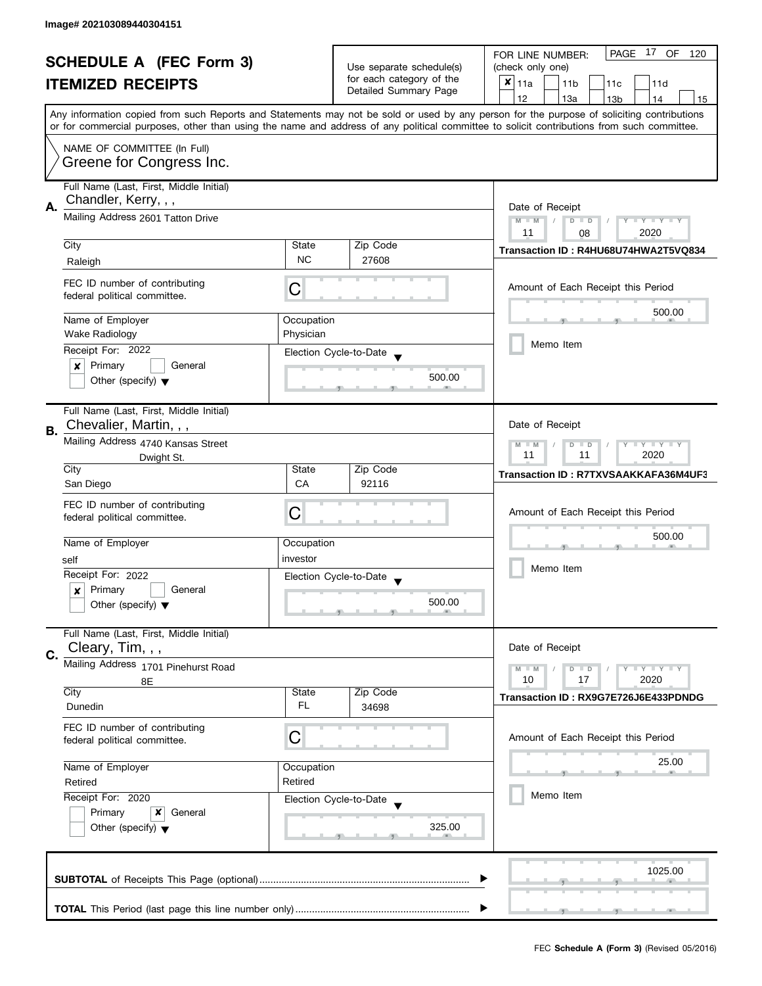| <b>SCHEDULE A (FEC Form 3)</b> |                                         |                         | PAGE<br>17 OF<br>FOR LINE NUMBER:<br>120                                      |                                                                                                                                                                                                                                                                                         |  |
|--------------------------------|-----------------------------------------|-------------------------|-------------------------------------------------------------------------------|-----------------------------------------------------------------------------------------------------------------------------------------------------------------------------------------------------------------------------------------------------------------------------------------|--|
|                                |                                         |                         | Use separate schedule(s)<br>for each category of the<br>Detailed Summary Page | (check only one)                                                                                                                                                                                                                                                                        |  |
|                                | <b>ITEMIZED RECEIPTS</b>                |                         |                                                                               | $x _{11a}$<br>11 <sub>b</sub><br>11c<br>11d                                                                                                                                                                                                                                             |  |
|                                |                                         |                         |                                                                               | 12<br>13a<br>14<br>13 <sub>b</sub><br>15                                                                                                                                                                                                                                                |  |
|                                |                                         |                         |                                                                               | Any information copied from such Reports and Statements may not be sold or used by any person for the purpose of soliciting contributions<br>or for commercial purposes, other than using the name and address of any political committee to solicit contributions from such committee. |  |
|                                |                                         |                         |                                                                               |                                                                                                                                                                                                                                                                                         |  |
|                                | NAME OF COMMITTEE (In Full)             |                         |                                                                               |                                                                                                                                                                                                                                                                                         |  |
|                                | Greene for Congress Inc.                |                         |                                                                               |                                                                                                                                                                                                                                                                                         |  |
|                                | Full Name (Last, First, Middle Initial) |                         |                                                                               |                                                                                                                                                                                                                                                                                         |  |
| А.                             | Chandler, Kerry, , ,                    |                         |                                                                               | Date of Receipt                                                                                                                                                                                                                                                                         |  |
|                                | Mailing Address 2601 Tatton Drive       |                         |                                                                               | $M - M$<br>Y TY TY TY<br>$D$ $D$                                                                                                                                                                                                                                                        |  |
|                                |                                         |                         |                                                                               | 2020<br>11<br>08                                                                                                                                                                                                                                                                        |  |
|                                | City                                    | State                   | Zip Code                                                                      | Transaction ID: R4HU68U74HWA2T5VQ834                                                                                                                                                                                                                                                    |  |
|                                | Raleigh                                 | <b>NC</b>               | 27608                                                                         |                                                                                                                                                                                                                                                                                         |  |
|                                | FEC ID number of contributing           |                         |                                                                               | Amount of Each Receipt this Period                                                                                                                                                                                                                                                      |  |
|                                | federal political committee.            | С                       |                                                                               |                                                                                                                                                                                                                                                                                         |  |
|                                |                                         |                         |                                                                               | 500.00                                                                                                                                                                                                                                                                                  |  |
|                                | Name of Employer<br>Wake Radiology      | Occupation<br>Physician |                                                                               |                                                                                                                                                                                                                                                                                         |  |
|                                | Receipt For: 2022                       |                         |                                                                               | Memo Item                                                                                                                                                                                                                                                                               |  |
|                                | $\boldsymbol{x}$<br>Primary<br>General  |                         | Election Cycle-to-Date                                                        |                                                                                                                                                                                                                                                                                         |  |
|                                | Other (specify) $\blacktriangledown$    |                         | 500.00                                                                        |                                                                                                                                                                                                                                                                                         |  |
|                                |                                         |                         |                                                                               |                                                                                                                                                                                                                                                                                         |  |
|                                | Full Name (Last, First, Middle Initial) |                         |                                                                               |                                                                                                                                                                                                                                                                                         |  |
| <b>B.</b>                      | Chevalier, Martin, , ,                  |                         |                                                                               | Date of Receipt                                                                                                                                                                                                                                                                         |  |
|                                | Mailing Address 4740 Kansas Street      |                         |                                                                               | $Y = Y + Y$<br>$M - M$<br>$D$ $D$                                                                                                                                                                                                                                                       |  |
|                                | Dwight St.                              |                         |                                                                               | 2020<br>11<br>11                                                                                                                                                                                                                                                                        |  |
|                                | City                                    | State                   | Zip Code                                                                      | Transaction ID: R7TXVSAAKKAFA36M4UF3                                                                                                                                                                                                                                                    |  |
|                                | San Diego                               | CA                      | 92116                                                                         |                                                                                                                                                                                                                                                                                         |  |
|                                | FEC ID number of contributing           |                         |                                                                               |                                                                                                                                                                                                                                                                                         |  |
|                                | federal political committee.            | C                       |                                                                               | Amount of Each Receipt this Period                                                                                                                                                                                                                                                      |  |
|                                | Name of Employer                        | Occupation              |                                                                               | 500.00                                                                                                                                                                                                                                                                                  |  |
|                                |                                         | investor                |                                                                               |                                                                                                                                                                                                                                                                                         |  |
|                                | self<br>Receipt For: 2022               |                         |                                                                               | Memo Item                                                                                                                                                                                                                                                                               |  |
|                                | Primary<br>General<br>$\boldsymbol{x}$  |                         | Election Cycle-to-Date                                                        |                                                                                                                                                                                                                                                                                         |  |
|                                | Other (specify) $\blacktriangledown$    |                         | 500.00                                                                        |                                                                                                                                                                                                                                                                                         |  |
|                                |                                         |                         |                                                                               |                                                                                                                                                                                                                                                                                         |  |
|                                | Full Name (Last, First, Middle Initial) |                         |                                                                               |                                                                                                                                                                                                                                                                                         |  |
| C.                             | Cleary, Tim, , ,                        |                         |                                                                               | Date of Receipt                                                                                                                                                                                                                                                                         |  |
|                                | Mailing Address 1701 Pinehurst Road     |                         |                                                                               | Y LY LY<br>$M - M$<br>$D$ $D$                                                                                                                                                                                                                                                           |  |
|                                | 8Ε                                      |                         |                                                                               | 10<br>17<br>2020                                                                                                                                                                                                                                                                        |  |
|                                | City                                    | State                   | Zip Code                                                                      | Transaction ID: RX9G7E726J6E433PDNDG                                                                                                                                                                                                                                                    |  |
|                                | Dunedin                                 | FL                      | 34698                                                                         |                                                                                                                                                                                                                                                                                         |  |
|                                | FEC ID number of contributing           |                         |                                                                               |                                                                                                                                                                                                                                                                                         |  |
|                                | federal political committee.            | C                       |                                                                               | Amount of Each Receipt this Period                                                                                                                                                                                                                                                      |  |
|                                | Name of Employer                        | Occupation              |                                                                               | 25.00                                                                                                                                                                                                                                                                                   |  |
|                                | Retired                                 | Retired                 |                                                                               |                                                                                                                                                                                                                                                                                         |  |
|                                | Receipt For: 2020                       |                         | Election Cycle-to-Date                                                        | Memo Item                                                                                                                                                                                                                                                                               |  |
|                                | Primary<br>x<br>General                 |                         |                                                                               |                                                                                                                                                                                                                                                                                         |  |
|                                | Other (specify) $\blacktriangledown$    |                         | 325.00                                                                        |                                                                                                                                                                                                                                                                                         |  |
|                                |                                         |                         |                                                                               |                                                                                                                                                                                                                                                                                         |  |
|                                |                                         |                         |                                                                               |                                                                                                                                                                                                                                                                                         |  |
|                                |                                         |                         |                                                                               | 1025.00                                                                                                                                                                                                                                                                                 |  |
|                                |                                         |                         |                                                                               |                                                                                                                                                                                                                                                                                         |  |
|                                |                                         |                         |                                                                               |                                                                                                                                                                                                                                                                                         |  |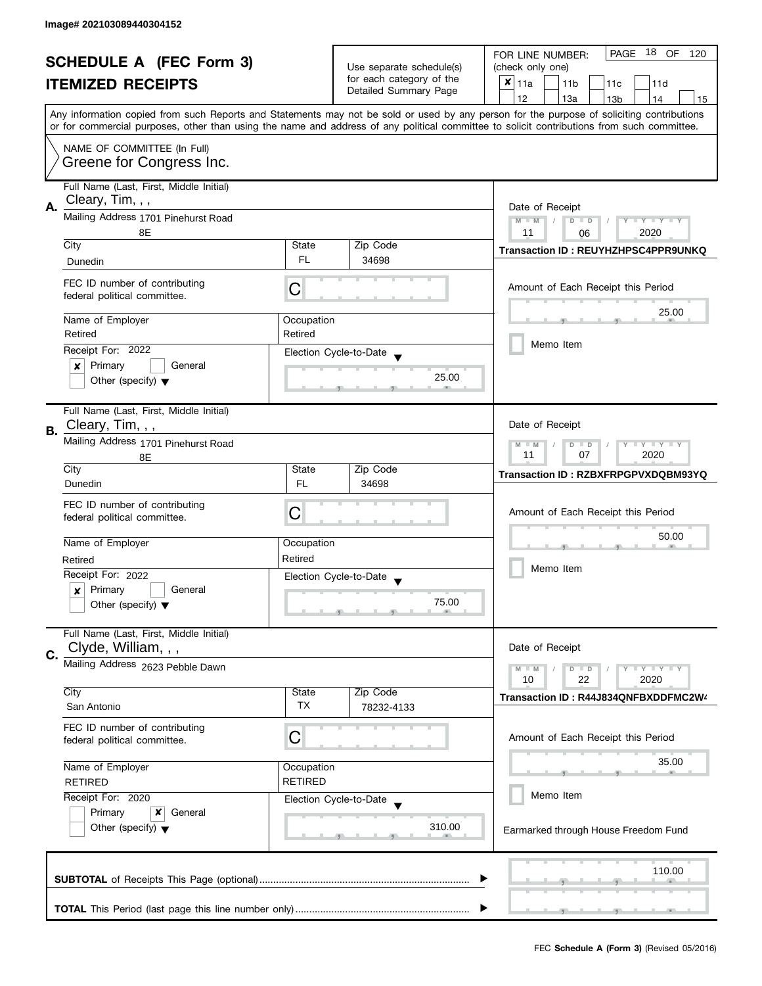| <b>SCHEDULE A (FEC Form 3)</b> |                                         |                    | PAGE 18 OF<br>FOR LINE NUMBER:<br>120                |                                                                                                                                            |
|--------------------------------|-----------------------------------------|--------------------|------------------------------------------------------|--------------------------------------------------------------------------------------------------------------------------------------------|
|                                |                                         |                    | Use separate schedule(s)<br>for each category of the | (check only one)                                                                                                                           |
|                                | <b>ITEMIZED RECEIPTS</b>                |                    | Detailed Summary Page                                | $x _{11a}$<br>11 <sub>b</sub><br>11c<br>11d                                                                                                |
|                                |                                         |                    |                                                      | 12<br>13a<br>13 <sub>b</sub><br>14<br>15                                                                                                   |
|                                |                                         |                    |                                                      | Any information copied from such Reports and Statements may not be sold or used by any person for the purpose of soliciting contributions  |
|                                |                                         |                    |                                                      | or for commercial purposes, other than using the name and address of any political committee to solicit contributions from such committee. |
|                                | NAME OF COMMITTEE (In Full)             |                    |                                                      |                                                                                                                                            |
|                                | Greene for Congress Inc.                |                    |                                                      |                                                                                                                                            |
|                                |                                         |                    |                                                      |                                                                                                                                            |
|                                | Full Name (Last, First, Middle Initial) |                    |                                                      |                                                                                                                                            |
| А.                             | Cleary, Tim, , ,                        |                    |                                                      | Date of Receipt                                                                                                                            |
|                                | Mailing Address 1701 Pinehurst Road     |                    |                                                      | $M - M$<br>$\sqrt{ }$<br>$D$ $D$<br>Y I Y I Y I Y                                                                                          |
|                                | 8E                                      |                    |                                                      | 11<br>2020<br>06                                                                                                                           |
|                                | City                                    | State              | Zip Code                                             | Transaction ID: REUYHZHPSC4PPR9UNKQ                                                                                                        |
|                                | Dunedin                                 | FL.                | 34698                                                |                                                                                                                                            |
|                                | FEC ID number of contributing           |                    |                                                      | Amount of Each Receipt this Period                                                                                                         |
|                                | federal political committee.            | С                  |                                                      |                                                                                                                                            |
|                                |                                         |                    |                                                      | 25.00                                                                                                                                      |
|                                | Name of Employer                        | Occupation         |                                                      |                                                                                                                                            |
|                                | Retired                                 | Retired            |                                                      | Memo Item                                                                                                                                  |
|                                | Receipt For: 2022                       |                    | Election Cycle-to-Date                               |                                                                                                                                            |
|                                | Primary<br>General<br>×                 |                    |                                                      |                                                                                                                                            |
|                                | Other (specify) $\blacktriangledown$    |                    | 25.00                                                |                                                                                                                                            |
|                                |                                         |                    |                                                      |                                                                                                                                            |
|                                | Full Name (Last, First, Middle Initial) |                    |                                                      |                                                                                                                                            |
| В.                             | Cleary, Tim, , ,                        |                    |                                                      | Date of Receipt                                                                                                                            |
|                                | Mailing Address 1701 Pinehurst Road     |                    |                                                      | $Y = Y + Y$<br>D<br>$\Box$<br>$-M$                                                                                                         |
|                                | 8E                                      |                    |                                                      | 2020<br>11<br>07                                                                                                                           |
|                                | City                                    | State              | Zip Code                                             | Transaction ID: RZBXFRPGPVXDQBM93YQ                                                                                                        |
|                                | Dunedin                                 | <b>FL</b>          | 34698                                                |                                                                                                                                            |
|                                | FEC ID number of contributing           |                    |                                                      |                                                                                                                                            |
|                                | federal political committee.            | С                  |                                                      | Amount of Each Receipt this Period                                                                                                         |
|                                |                                         |                    |                                                      | 50.00                                                                                                                                      |
|                                | Name of Employer                        | Occupation         |                                                      |                                                                                                                                            |
|                                | Retired                                 | Retired            |                                                      | Memo Item                                                                                                                                  |
|                                | Receipt For: 2022                       |                    | Election Cycle-to-Date                               |                                                                                                                                            |
|                                | Primary<br>General<br>x                 |                    |                                                      |                                                                                                                                            |
|                                | Other (specify) $\blacktriangledown$    |                    | 75.00                                                |                                                                                                                                            |
|                                |                                         |                    |                                                      |                                                                                                                                            |
|                                | Full Name (Last, First, Middle Initial) |                    |                                                      |                                                                                                                                            |
| C.                             | Clyde, William, , ,                     |                    |                                                      | Date of Receipt                                                                                                                            |
|                                | Mailing Address 2623 Pebble Dawn        |                    |                                                      | $M - M$<br>$Y - Y - Y$<br>D<br>$\blacksquare$                                                                                              |
|                                |                                         |                    |                                                      | 10<br>22<br>2020                                                                                                                           |
|                                | City<br>San Antonio                     | State<br><b>TX</b> | Zip Code                                             | Transaction ID: R44J834QNFBXDDFMC2W4                                                                                                       |
|                                |                                         |                    | 78232-4133                                           |                                                                                                                                            |
|                                | FEC ID number of contributing           |                    |                                                      |                                                                                                                                            |
|                                | federal political committee.            | С                  |                                                      | Amount of Each Receipt this Period                                                                                                         |
|                                | Name of Employer                        | Occupation         |                                                      | 35.00                                                                                                                                      |
|                                | <b>RETIRED</b>                          | <b>RETIRED</b>     |                                                      |                                                                                                                                            |
|                                | Receipt For: 2020                       |                    |                                                      | Memo Item                                                                                                                                  |
|                                | Primary<br>x                            |                    | Election Cycle-to-Date                               |                                                                                                                                            |
|                                | General                                 |                    | 310.00                                               |                                                                                                                                            |
|                                | Other (specify) $\blacktriangledown$    |                    |                                                      | Earmarked through House Freedom Fund                                                                                                       |
|                                |                                         |                    |                                                      |                                                                                                                                            |
|                                |                                         |                    |                                                      | 110.00                                                                                                                                     |
|                                |                                         |                    |                                                      |                                                                                                                                            |
|                                |                                         |                    |                                                      |                                                                                                                                            |
|                                |                                         |                    |                                                      |                                                                                                                                            |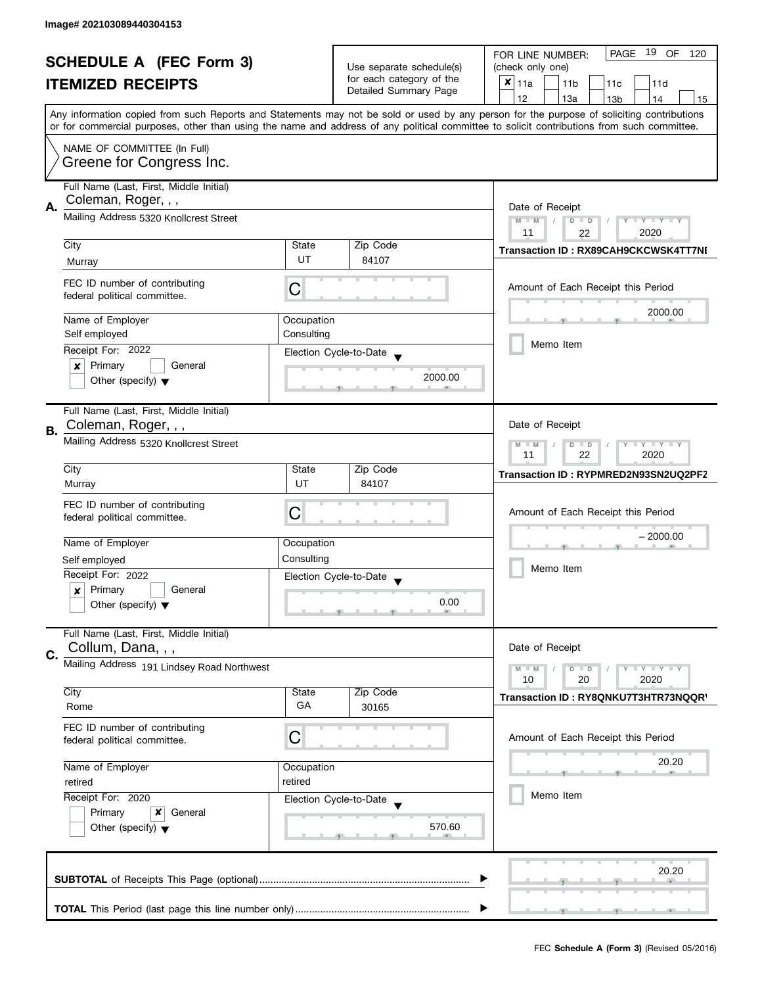| <b>SCHEDULE A (FEC Form 3)</b> |                                                                | Use separate schedule(s) | PAGE 19 OF<br>FOR LINE NUMBER:<br>120<br>(check only one) |                                                                                                                                                                                                                                                                                         |
|--------------------------------|----------------------------------------------------------------|--------------------------|-----------------------------------------------------------|-----------------------------------------------------------------------------------------------------------------------------------------------------------------------------------------------------------------------------------------------------------------------------------------|
|                                |                                                                |                          | for each category of the                                  |                                                                                                                                                                                                                                                                                         |
|                                | <b>ITEMIZED RECEIPTS</b>                                       |                          | Detailed Summary Page                                     | $x _{11a}$<br>11 <sub>b</sub><br>11d<br>11c                                                                                                                                                                                                                                             |
|                                |                                                                |                          |                                                           | 12<br>13a<br>13 <sub>b</sub><br>14<br>15                                                                                                                                                                                                                                                |
|                                |                                                                |                          |                                                           | Any information copied from such Reports and Statements may not be sold or used by any person for the purpose of soliciting contributions<br>or for commercial purposes, other than using the name and address of any political committee to solicit contributions from such committee. |
|                                |                                                                |                          |                                                           |                                                                                                                                                                                                                                                                                         |
|                                | NAME OF COMMITTEE (In Full)<br>Greene for Congress Inc.        |                          |                                                           |                                                                                                                                                                                                                                                                                         |
|                                | Full Name (Last, First, Middle Initial)<br>Coleman, Roger, , , |                          |                                                           |                                                                                                                                                                                                                                                                                         |
| А.                             |                                                                |                          |                                                           | Date of Receipt                                                                                                                                                                                                                                                                         |
|                                | Mailing Address 5320 Knollcrest Street                         |                          |                                                           | $M - M$<br>$\sqrt{2}$<br>$D$ $D$<br>$Y - Y - Y - Y - Y$                                                                                                                                                                                                                                 |
|                                | City                                                           | State                    | Zip Code                                                  | 11<br>2020<br>22                                                                                                                                                                                                                                                                        |
|                                |                                                                | UT                       |                                                           | <b>Transaction ID: RX89CAH9CKCWSK4TT7NI</b>                                                                                                                                                                                                                                             |
|                                | Murray                                                         |                          | 84107                                                     |                                                                                                                                                                                                                                                                                         |
|                                | FEC ID number of contributing<br>federal political committee.  | С                        |                                                           | Amount of Each Receipt this Period                                                                                                                                                                                                                                                      |
|                                | Name of Employer                                               | Occupation               |                                                           | 2000.00                                                                                                                                                                                                                                                                                 |
|                                | Self employed                                                  | Consulting               |                                                           |                                                                                                                                                                                                                                                                                         |
|                                | Receipt For: 2022                                              |                          |                                                           | Memo Item                                                                                                                                                                                                                                                                               |
|                                | Primary<br>$\pmb{\times}$<br>General                           |                          | Election Cycle-to-Date                                    |                                                                                                                                                                                                                                                                                         |
|                                | Other (specify) $\blacktriangledown$                           |                          | 2000.00                                                   |                                                                                                                                                                                                                                                                                         |
|                                | Full Name (Last, First, Middle Initial)                        |                          |                                                           |                                                                                                                                                                                                                                                                                         |
|                                | Coleman, Roger, , ,                                            |                          |                                                           | Date of Receipt                                                                                                                                                                                                                                                                         |
| В.                             | Mailing Address 5320 Knollcrest Street                         |                          |                                                           | $Y = Y + Y$<br>$M - M$<br>D<br>$\Box$<br>2020<br>11<br>22                                                                                                                                                                                                                               |
|                                | City                                                           | State                    | Zip Code                                                  | Transaction ID: RYPMRED2N93SN2UQ2PF2                                                                                                                                                                                                                                                    |
|                                | Murray                                                         | UT                       | 84107                                                     |                                                                                                                                                                                                                                                                                         |
|                                | FEC ID number of contributing                                  |                          |                                                           |                                                                                                                                                                                                                                                                                         |
|                                | federal political committee.                                   | С                        |                                                           | Amount of Each Receipt this Period                                                                                                                                                                                                                                                      |
|                                |                                                                |                          |                                                           |                                                                                                                                                                                                                                                                                         |
|                                | Name of Employer                                               | Occupation               |                                                           | $-2000.00$                                                                                                                                                                                                                                                                              |
|                                | Self employed                                                  | Consulting               |                                                           |                                                                                                                                                                                                                                                                                         |
|                                | Receipt For: 2022                                              |                          | Election Cycle-to-Date                                    | Memo Item                                                                                                                                                                                                                                                                               |
|                                | Primary<br>General<br>x                                        |                          |                                                           |                                                                                                                                                                                                                                                                                         |
|                                | Other (specify) $\blacktriangledown$                           |                          | 0.00                                                      |                                                                                                                                                                                                                                                                                         |
|                                | Full Name (Last, First, Middle Initial)                        |                          |                                                           |                                                                                                                                                                                                                                                                                         |
|                                | Collum, Dana, , ,                                              |                          |                                                           | Date of Receipt                                                                                                                                                                                                                                                                         |
| C.                             | Mailing Address 191 Lindsey Road Northwest                     |                          |                                                           | $M - M$<br>$Y - Y - Y$                                                                                                                                                                                                                                                                  |
|                                |                                                                |                          |                                                           | D<br>$\blacksquare$<br>10<br>20<br>2020                                                                                                                                                                                                                                                 |
|                                | City                                                           | State                    | Zip Code                                                  | Transaction ID: RY8QNKU7T3HTR73NQQR'                                                                                                                                                                                                                                                    |
|                                | Rome                                                           | GA                       | 30165                                                     |                                                                                                                                                                                                                                                                                         |
|                                | FEC ID number of contributing                                  |                          |                                                           |                                                                                                                                                                                                                                                                                         |
|                                | federal political committee.                                   | C                        |                                                           | Amount of Each Receipt this Period                                                                                                                                                                                                                                                      |
|                                |                                                                |                          |                                                           |                                                                                                                                                                                                                                                                                         |
|                                | Name of Employer                                               | Occupation               |                                                           | 20.20                                                                                                                                                                                                                                                                                   |
|                                | retired                                                        | retired                  |                                                           |                                                                                                                                                                                                                                                                                         |
|                                | Receipt For: 2020                                              |                          | Election Cycle-to-Date                                    | Memo Item                                                                                                                                                                                                                                                                               |
|                                | Primary<br>x<br>General                                        |                          |                                                           |                                                                                                                                                                                                                                                                                         |
|                                | Other (specify) $\blacktriangledown$                           |                          | 570.60                                                    |                                                                                                                                                                                                                                                                                         |
|                                |                                                                |                          |                                                           |                                                                                                                                                                                                                                                                                         |
|                                |                                                                |                          |                                                           | 20.20                                                                                                                                                                                                                                                                                   |
|                                |                                                                |                          |                                                           |                                                                                                                                                                                                                                                                                         |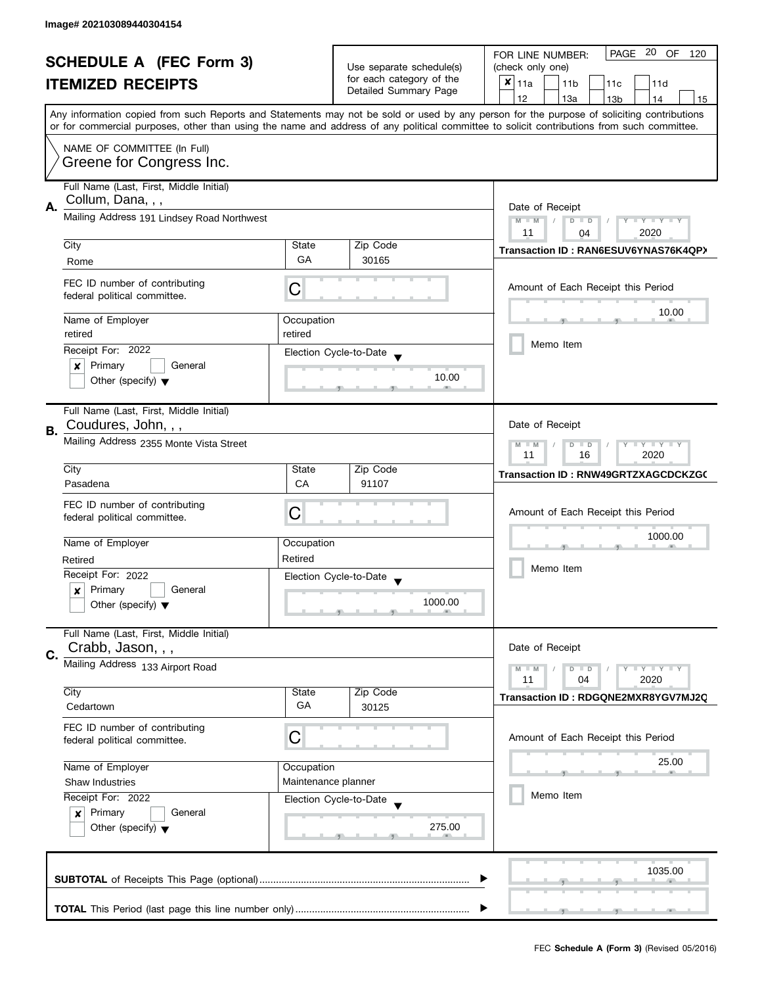| <b>SCHEDULE A (FEC Form 3)</b> |                                                               |                          | PAGE 20 OF<br>FOR LINE NUMBER:<br>120       |                                                                                                                                            |
|--------------------------------|---------------------------------------------------------------|--------------------------|---------------------------------------------|--------------------------------------------------------------------------------------------------------------------------------------------|
|                                |                                                               |                          | Use separate schedule(s)                    | (check only one)                                                                                                                           |
| <b>ITEMIZED RECEIPTS</b>       |                                                               | for each category of the | $x _{11a}$<br>11 <sub>b</sub><br>11c<br>11d |                                                                                                                                            |
|                                |                                                               |                          | Detailed Summary Page                       | 12<br>13a<br>13 <sub>b</sub><br>14<br>15                                                                                                   |
|                                |                                                               |                          |                                             | Any information copied from such Reports and Statements may not be sold or used by any person for the purpose of soliciting contributions  |
|                                |                                                               |                          |                                             | or for commercial purposes, other than using the name and address of any political committee to solicit contributions from such committee. |
|                                | NAME OF COMMITTEE (In Full)                                   |                          |                                             |                                                                                                                                            |
|                                | Greene for Congress Inc.                                      |                          |                                             |                                                                                                                                            |
|                                |                                                               |                          |                                             |                                                                                                                                            |
|                                | Full Name (Last, First, Middle Initial)                       |                          |                                             |                                                                                                                                            |
| А.                             | Collum, Dana, , ,                                             | Date of Receipt          |                                             |                                                                                                                                            |
|                                | Mailing Address 191 Lindsey Road Northwest                    |                          |                                             | $M - M$<br>$\sqrt{2}$<br>$D$ $D$<br>$Y - Y - Y - Y - Y$                                                                                    |
|                                |                                                               |                          |                                             | 11<br>2020<br>04                                                                                                                           |
|                                | City                                                          | State                    | Zip Code                                    | Transaction ID: RAN6ESUV6YNAS76K4QPX                                                                                                       |
|                                | Rome                                                          | GA                       | 30165                                       |                                                                                                                                            |
|                                |                                                               |                          |                                             |                                                                                                                                            |
|                                | FEC ID number of contributing<br>federal political committee. | С                        |                                             | Amount of Each Receipt this Period                                                                                                         |
|                                |                                                               |                          |                                             |                                                                                                                                            |
|                                | Name of Employer                                              | Occupation               |                                             | 10.00                                                                                                                                      |
|                                | retired                                                       | retired                  |                                             |                                                                                                                                            |
|                                | Receipt For: 2022                                             |                          | Election Cycle-to-Date                      | Memo Item                                                                                                                                  |
|                                | Primary<br>General<br>×                                       |                          |                                             |                                                                                                                                            |
|                                | Other (specify) $\blacktriangledown$                          |                          | 10.00                                       |                                                                                                                                            |
|                                |                                                               |                          |                                             |                                                                                                                                            |
|                                | Full Name (Last, First, Middle Initial)                       |                          |                                             |                                                                                                                                            |
| В.                             | Coudures, John, , ,                                           |                          |                                             | Date of Receipt                                                                                                                            |
|                                | Mailing Address 2355 Monte Vista Street                       |                          |                                             | $Y = Y + Y$<br>$M - M$<br>D<br>$\Box$                                                                                                      |
|                                |                                                               |                          |                                             | 11<br>16<br>2020                                                                                                                           |
|                                | City                                                          | State                    | Zip Code                                    | Transaction ID: RNW49GRTZXAGCDCKZG(                                                                                                        |
|                                | Pasadena                                                      | CA                       | 91107                                       |                                                                                                                                            |
|                                | FEC ID number of contributing                                 |                          |                                             |                                                                                                                                            |
|                                | federal political committee.                                  | С                        |                                             | Amount of Each Receipt this Period                                                                                                         |
|                                |                                                               |                          |                                             | 1000.00                                                                                                                                    |
|                                | Name of Employer                                              | Occupation               |                                             |                                                                                                                                            |
|                                | Retired                                                       | Retired                  |                                             |                                                                                                                                            |
|                                | Receipt For: 2022                                             |                          | Election Cycle-to-Date                      | Memo Item                                                                                                                                  |
|                                | Primary<br>General<br>x                                       |                          |                                             |                                                                                                                                            |
|                                | Other (specify) $\blacktriangledown$                          |                          | 1000.00                                     |                                                                                                                                            |
|                                |                                                               |                          |                                             |                                                                                                                                            |
|                                | Full Name (Last, First, Middle Initial)                       |                          |                                             |                                                                                                                                            |
| C.                             | Crabb, Jason, , ,                                             |                          |                                             | Date of Receipt                                                                                                                            |
|                                | Mailing Address 133 Airport Road                              |                          |                                             | $M - M$<br>$Y - Y - Y$<br>D<br>$\blacksquare$                                                                                              |
|                                |                                                               |                          |                                             | 11<br>04<br>2020                                                                                                                           |
|                                | City                                                          | State                    | Zip Code                                    | Transaction ID: RDGQNE2MXR8YGV7MJ2Q                                                                                                        |
|                                | Cedartown                                                     | GA                       | 30125                                       |                                                                                                                                            |
|                                | FEC ID number of contributing                                 |                          |                                             |                                                                                                                                            |
|                                | federal political committee.                                  | C                        |                                             | Amount of Each Receipt this Period                                                                                                         |
|                                |                                                               |                          |                                             | 25.00                                                                                                                                      |
|                                | Name of Employer                                              | Occupation               |                                             |                                                                                                                                            |
|                                | <b>Shaw Industries</b>                                        | Maintenance planner      |                                             | Memo Item                                                                                                                                  |
|                                | Receipt For: 2022                                             |                          | Election Cycle-to-Date                      |                                                                                                                                            |
|                                | Primary<br>$\boldsymbol{x}$<br>General                        |                          | 275.00                                      |                                                                                                                                            |
|                                | Other (specify) $\blacktriangledown$                          |                          |                                             |                                                                                                                                            |
|                                |                                                               |                          |                                             |                                                                                                                                            |
|                                |                                                               |                          |                                             | 1035.00                                                                                                                                    |
|                                |                                                               |                          |                                             |                                                                                                                                            |
|                                |                                                               |                          |                                             |                                                                                                                                            |
|                                |                                                               |                          |                                             |                                                                                                                                            |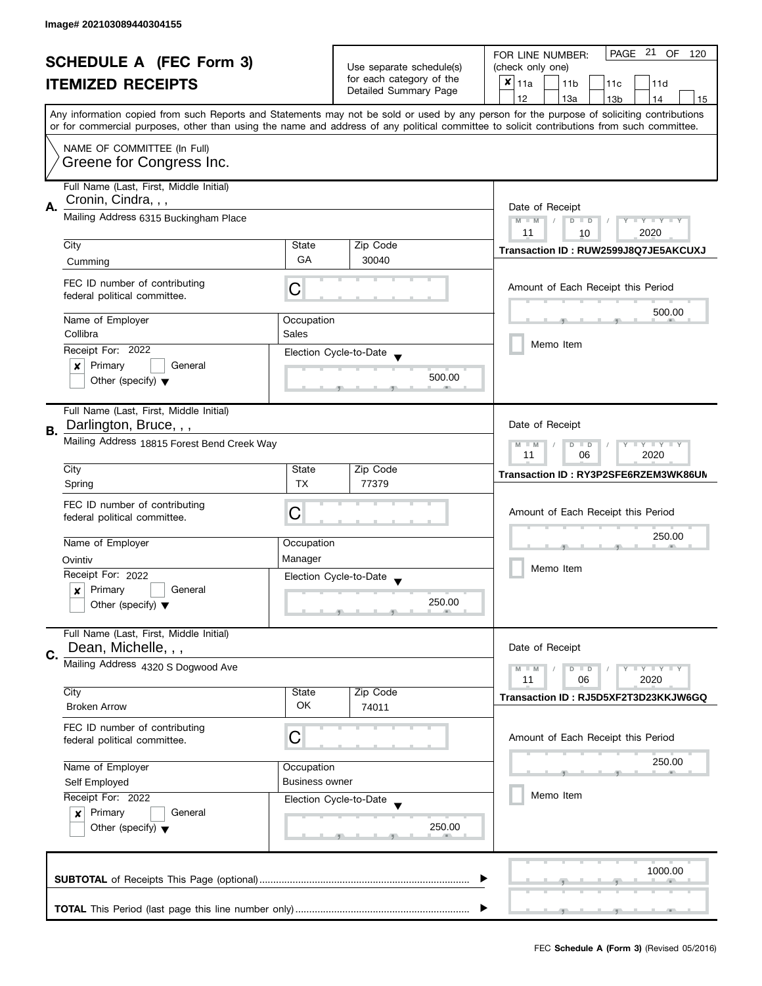| <b>SCHEDULE A (FEC Form 3)</b> |                                                                   |                       | PAGE 21 OF<br>FOR LINE NUMBER:<br>120             |                                                                                                                                                                                                                                                                                         |
|--------------------------------|-------------------------------------------------------------------|-----------------------|---------------------------------------------------|-----------------------------------------------------------------------------------------------------------------------------------------------------------------------------------------------------------------------------------------------------------------------------------------|
|                                |                                                                   |                       | Use separate schedule(s)                          | (check only one)                                                                                                                                                                                                                                                                        |
|                                | <b>ITEMIZED RECEIPTS</b>                                          |                       | for each category of the<br>Detailed Summary Page | $x _{11a}$<br>11 <sub>b</sub><br>11c<br>11d                                                                                                                                                                                                                                             |
|                                |                                                                   |                       |                                                   | 12<br>13a<br>13 <sub>b</sub><br>14<br>15                                                                                                                                                                                                                                                |
|                                |                                                                   |                       |                                                   | Any information copied from such Reports and Statements may not be sold or used by any person for the purpose of soliciting contributions<br>or for commercial purposes, other than using the name and address of any political committee to solicit contributions from such committee. |
|                                |                                                                   |                       |                                                   |                                                                                                                                                                                                                                                                                         |
|                                | NAME OF COMMITTEE (In Full)<br>Greene for Congress Inc.           |                       |                                                   |                                                                                                                                                                                                                                                                                         |
|                                | Full Name (Last, First, Middle Initial)<br>Cronin, Cindra, , ,    |                       |                                                   |                                                                                                                                                                                                                                                                                         |
| Α.                             | Mailing Address 6315 Buckingham Place                             |                       |                                                   | Date of Receipt<br>$M - M$<br>Y I Y I Y I Y<br>$\sqrt{ }$<br>$D$ $D$<br>11<br>2020<br>10                                                                                                                                                                                                |
|                                | City                                                              | State                 | Zip Code                                          | Transaction ID: RUW2599J8Q7JE5AKCUXJ                                                                                                                                                                                                                                                    |
|                                | Cumming                                                           | GA                    | 30040                                             |                                                                                                                                                                                                                                                                                         |
|                                | FEC ID number of contributing<br>federal political committee.     | С                     |                                                   | Amount of Each Receipt this Period                                                                                                                                                                                                                                                      |
|                                | Name of Employer                                                  | Occupation            |                                                   | 500.00                                                                                                                                                                                                                                                                                  |
|                                | Collibra                                                          | Sales                 |                                                   |                                                                                                                                                                                                                                                                                         |
|                                | Receipt For: 2022                                                 |                       | Election Cycle-to-Date                            | Memo Item                                                                                                                                                                                                                                                                               |
|                                | Primary<br>General<br>×                                           |                       |                                                   |                                                                                                                                                                                                                                                                                         |
|                                | Other (specify) $\blacktriangledown$                              |                       | 500.00                                            |                                                                                                                                                                                                                                                                                         |
|                                | Full Name (Last, First, Middle Initial)<br>Darlington, Bruce, , , |                       |                                                   | Date of Receipt                                                                                                                                                                                                                                                                         |
| В.                             | Mailing Address 18815 Forest Bend Creek Way                       |                       |                                                   | $Y = Y + Y$<br>$M - M$<br>D<br>$\Box$                                                                                                                                                                                                                                                   |
|                                |                                                                   |                       |                                                   | 2020<br>11<br>06                                                                                                                                                                                                                                                                        |
|                                | City                                                              | State                 | Zip Code                                          | Transaction ID: RY3P2SFE6RZEM3WK86UN                                                                                                                                                                                                                                                    |
|                                | Spring                                                            | <b>TX</b>             | 77379                                             |                                                                                                                                                                                                                                                                                         |
|                                | FEC ID number of contributing                                     |                       |                                                   | Amount of Each Receipt this Period                                                                                                                                                                                                                                                      |
|                                | federal political committee.                                      | С                     |                                                   |                                                                                                                                                                                                                                                                                         |
|                                | Name of Employer                                                  | Occupation            |                                                   | 250.00                                                                                                                                                                                                                                                                                  |
|                                | Ovintiv                                                           | Manager               |                                                   |                                                                                                                                                                                                                                                                                         |
|                                | Receipt For: 2022                                                 |                       | Election Cycle-to-Date                            | Memo Item                                                                                                                                                                                                                                                                               |
|                                | Primary<br>General<br>x                                           |                       |                                                   |                                                                                                                                                                                                                                                                                         |
|                                | Other (specify) $\blacktriangledown$                              |                       | 250.00                                            |                                                                                                                                                                                                                                                                                         |
|                                | Full Name (Last, First, Middle Initial)                           |                       |                                                   |                                                                                                                                                                                                                                                                                         |
| C.                             | Dean, Michelle, , ,                                               |                       |                                                   | Date of Receipt                                                                                                                                                                                                                                                                         |
|                                | Mailing Address 4320 S Dogwood Ave                                |                       |                                                   | $M - M$<br>$Y - Y - Y$<br>$D$ $D$                                                                                                                                                                                                                                                       |
|                                | City                                                              | State                 | Zip Code                                          | 11<br>06<br>2020                                                                                                                                                                                                                                                                        |
|                                | <b>Broken Arrow</b>                                               | OK.                   | 74011                                             | Transaction ID: RJ5D5XF2T3D23KKJW6GQ                                                                                                                                                                                                                                                    |
|                                | FEC ID number of contributing<br>federal political committee.     | C                     |                                                   | Amount of Each Receipt this Period                                                                                                                                                                                                                                                      |
|                                | Name of Employer                                                  | Occupation            |                                                   | 250.00                                                                                                                                                                                                                                                                                  |
|                                | Self Employed                                                     | <b>Business owner</b> |                                                   |                                                                                                                                                                                                                                                                                         |
|                                | Receipt For: 2022                                                 |                       | Election Cycle-to-Date                            | Memo Item                                                                                                                                                                                                                                                                               |
|                                | Primary<br>General<br>$\boldsymbol{x}$                            |                       |                                                   |                                                                                                                                                                                                                                                                                         |
|                                | Other (specify) $\blacktriangledown$                              |                       | 250.00                                            |                                                                                                                                                                                                                                                                                         |
|                                |                                                                   |                       |                                                   | 1000.00                                                                                                                                                                                                                                                                                 |
|                                |                                                                   |                       |                                                   |                                                                                                                                                                                                                                                                                         |
|                                |                                                                   |                       |                                                   |                                                                                                                                                                                                                                                                                         |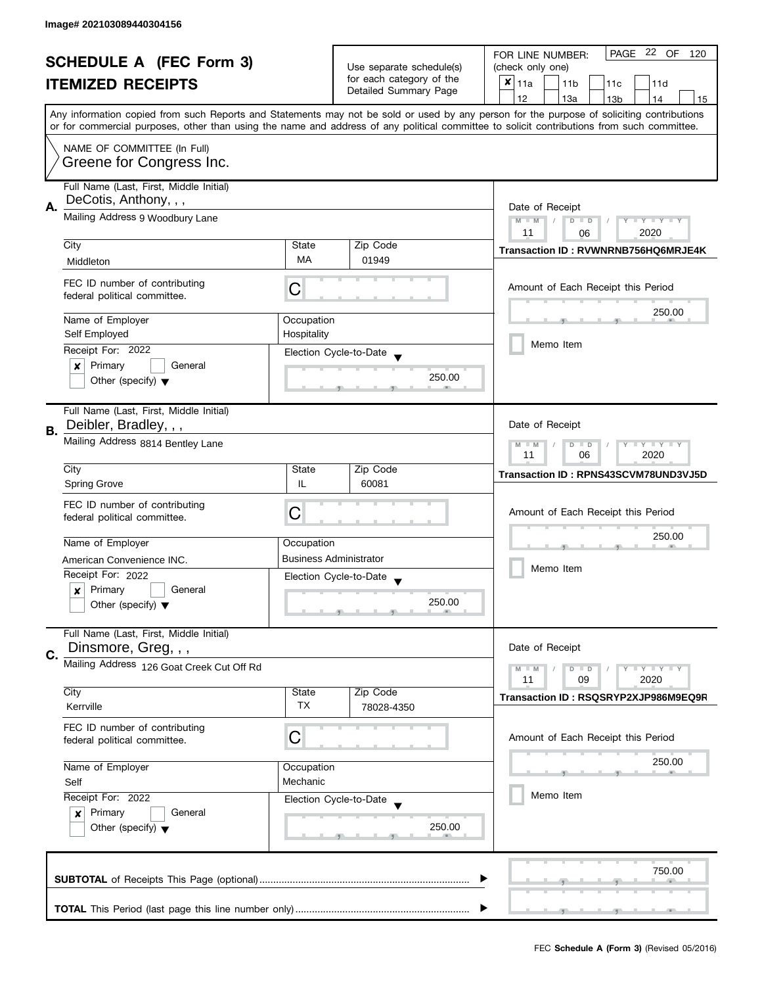| <b>SCHEDULE A (FEC Form 3)</b> |                                                                  |                               | PAGE 22 OF<br>FOR LINE NUMBER:<br>120             |                                                                                                                                            |  |  |
|--------------------------------|------------------------------------------------------------------|-------------------------------|---------------------------------------------------|--------------------------------------------------------------------------------------------------------------------------------------------|--|--|
|                                |                                                                  |                               | Use separate schedule(s)                          | (check only one)                                                                                                                           |  |  |
|                                | <b>ITEMIZED RECEIPTS</b>                                         |                               | for each category of the<br>Detailed Summary Page | $x _{11a}$<br>11 <sub>b</sub><br>11c<br>11d                                                                                                |  |  |
|                                |                                                                  |                               |                                                   | 12<br>13a<br>13 <sub>b</sub><br>14<br>15                                                                                                   |  |  |
|                                |                                                                  |                               |                                                   | Any information copied from such Reports and Statements may not be sold or used by any person for the purpose of soliciting contributions  |  |  |
|                                |                                                                  |                               |                                                   | or for commercial purposes, other than using the name and address of any political committee to solicit contributions from such committee. |  |  |
|                                | NAME OF COMMITTEE (In Full)                                      |                               |                                                   |                                                                                                                                            |  |  |
|                                | Greene for Congress Inc.                                         |                               |                                                   |                                                                                                                                            |  |  |
|                                | Full Name (Last, First, Middle Initial)                          |                               |                                                   |                                                                                                                                            |  |  |
|                                | DeCotis, Anthony, , ,                                            |                               |                                                   |                                                                                                                                            |  |  |
| А.                             | Mailing Address 9 Woodbury Lane                                  |                               |                                                   | Date of Receipt<br>$M - M$                                                                                                                 |  |  |
|                                |                                                                  |                               |                                                   | $\sqrt{ }$<br>$D$ $D$<br>$Y - Y - Y - Y - Y$<br>2020<br>11<br>06                                                                           |  |  |
|                                | City                                                             | State                         | Zip Code                                          | Transaction ID: RVWNRNB756HQ6MRJE4K                                                                                                        |  |  |
|                                | Middleton                                                        | <b>MA</b>                     | 01949                                             |                                                                                                                                            |  |  |
|                                |                                                                  |                               |                                                   |                                                                                                                                            |  |  |
|                                | FEC ID number of contributing<br>federal political committee.    | С                             |                                                   | Amount of Each Receipt this Period                                                                                                         |  |  |
|                                |                                                                  |                               |                                                   | 250.00                                                                                                                                     |  |  |
|                                | Name of Employer                                                 | Occupation                    |                                                   |                                                                                                                                            |  |  |
|                                | Self Employed                                                    | Hospitality                   |                                                   | Memo Item                                                                                                                                  |  |  |
|                                | Receipt For: 2022                                                |                               | Election Cycle-to-Date                            |                                                                                                                                            |  |  |
|                                | Primary<br>$\pmb{\times}$<br>General                             |                               | 250.00                                            |                                                                                                                                            |  |  |
|                                | Other (specify) $\blacktriangledown$                             |                               |                                                   |                                                                                                                                            |  |  |
|                                |                                                                  |                               |                                                   |                                                                                                                                            |  |  |
|                                | Full Name (Last, First, Middle Initial)<br>Deibler, Bradley, , , |                               |                                                   | Date of Receipt                                                                                                                            |  |  |
| В.                             |                                                                  |                               |                                                   |                                                                                                                                            |  |  |
|                                | Mailing Address 8814 Bentley Lane                                |                               |                                                   | $Y = Y + Y$<br>$M - M$<br>D<br>$\Box$<br>2020<br>11<br>06                                                                                  |  |  |
|                                | City                                                             | State                         | Zip Code                                          |                                                                                                                                            |  |  |
|                                | <b>Spring Grove</b>                                              | IL                            | 60081                                             | Transaction ID: RPNS43SCVM78UND3VJ5D                                                                                                       |  |  |
|                                |                                                                  |                               |                                                   |                                                                                                                                            |  |  |
|                                | FEC ID number of contributing<br>federal political committee.    | С                             |                                                   | Amount of Each Receipt this Period                                                                                                         |  |  |
|                                |                                                                  |                               |                                                   | 250.00                                                                                                                                     |  |  |
|                                | Name of Employer                                                 | Occupation                    |                                                   |                                                                                                                                            |  |  |
|                                | American Convenience INC.                                        | <b>Business Administrator</b> |                                                   | Memo Item                                                                                                                                  |  |  |
|                                | Receipt For: 2022                                                |                               | Election Cycle-to-Date                            |                                                                                                                                            |  |  |
|                                | Primary<br>General<br>x                                          |                               |                                                   |                                                                                                                                            |  |  |
|                                | Other (specify) $\blacktriangledown$                             |                               | 250.00                                            |                                                                                                                                            |  |  |
|                                |                                                                  |                               |                                                   |                                                                                                                                            |  |  |
|                                | Full Name (Last, First, Middle Initial)<br>Dinsmore, Greg, , ,   |                               |                                                   | Date of Receipt                                                                                                                            |  |  |
| C.                             | Mailing Address 126 Goat Creek Cut Off Rd                        |                               |                                                   |                                                                                                                                            |  |  |
|                                |                                                                  |                               |                                                   | $M - M$<br>$Y - Y - Y$<br>$D$ $D$<br>11<br>09<br>2020                                                                                      |  |  |
|                                | City                                                             | State                         | Zip Code                                          |                                                                                                                                            |  |  |
|                                | Kerrville                                                        | <b>TX</b>                     | 78028-4350                                        | Transaction ID: RSQSRYP2XJP986M9EQ9R                                                                                                       |  |  |
|                                | FEC ID number of contributing                                    |                               |                                                   |                                                                                                                                            |  |  |
|                                | federal political committee.                                     | C                             |                                                   | Amount of Each Receipt this Period                                                                                                         |  |  |
|                                |                                                                  |                               |                                                   |                                                                                                                                            |  |  |
|                                | Name of Employer                                                 | Occupation                    |                                                   | 250.00                                                                                                                                     |  |  |
|                                | Self                                                             | Mechanic                      |                                                   |                                                                                                                                            |  |  |
|                                | Receipt For: 2022                                                |                               | Election Cycle-to-Date                            | Memo Item                                                                                                                                  |  |  |
|                                | Primary<br>General<br>$\boldsymbol{x}$                           |                               |                                                   |                                                                                                                                            |  |  |
|                                | Other (specify) $\blacktriangledown$                             |                               | 250.00                                            |                                                                                                                                            |  |  |
|                                |                                                                  |                               |                                                   |                                                                                                                                            |  |  |
|                                |                                                                  |                               |                                                   | 750.00                                                                                                                                     |  |  |
|                                |                                                                  |                               |                                                   |                                                                                                                                            |  |  |
|                                |                                                                  |                               |                                                   |                                                                                                                                            |  |  |
|                                |                                                                  |                               |                                                   |                                                                                                                                            |  |  |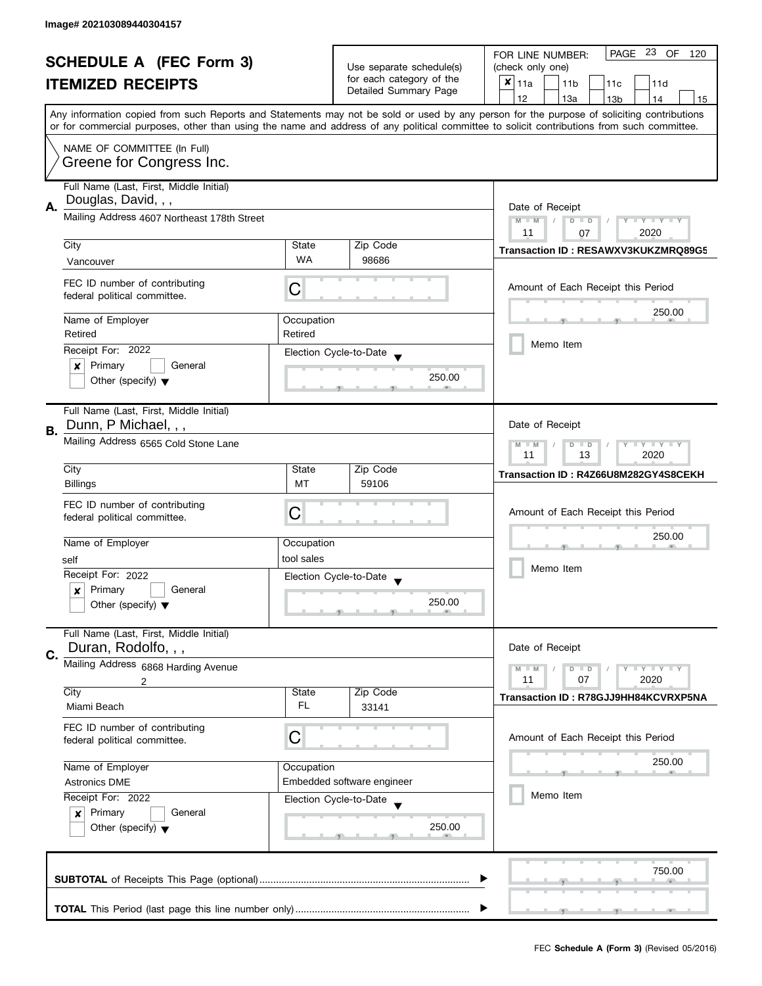|    | <b>SCHEDULE A (FEC Form 3)</b>                                                                  |                    | Use separate schedule(s)                          | PAGE 23 OF<br>FOR LINE NUMBER:<br>120<br>(check only one)                                                                                                                                                                                                                               |
|----|-------------------------------------------------------------------------------------------------|--------------------|---------------------------------------------------|-----------------------------------------------------------------------------------------------------------------------------------------------------------------------------------------------------------------------------------------------------------------------------------------|
|    | <b>ITEMIZED RECEIPTS</b>                                                                        |                    | for each category of the<br>Detailed Summary Page | $x _{11a}$<br>11 <sub>b</sub><br>11c<br>11d                                                                                                                                                                                                                                             |
|    |                                                                                                 |                    |                                                   | 12<br>13a<br>14<br>13 <sub>b</sub><br>15                                                                                                                                                                                                                                                |
|    |                                                                                                 |                    |                                                   | Any information copied from such Reports and Statements may not be sold or used by any person for the purpose of soliciting contributions<br>or for commercial purposes, other than using the name and address of any political committee to solicit contributions from such committee. |
|    | NAME OF COMMITTEE (In Full)<br>Greene for Congress Inc.                                         |                    |                                                   |                                                                                                                                                                                                                                                                                         |
| Α. | Full Name (Last, First, Middle Initial)<br>Douglas, David, , ,                                  |                    |                                                   | Date of Receipt                                                                                                                                                                                                                                                                         |
|    | Mailing Address 4607 Northeast 178th Street                                                     |                    |                                                   | $M - M$<br>Y TY TY TY<br>$D$ $D$<br>2020<br>11<br>07                                                                                                                                                                                                                                    |
|    | City<br>Vancouver                                                                               | State<br><b>WA</b> | Zip Code<br>98686                                 | Transaction ID: RESAWXV3KUKZMRQ89G5                                                                                                                                                                                                                                                     |
|    | FEC ID number of contributing<br>federal political committee.                                   | С                  |                                                   | Amount of Each Receipt this Period                                                                                                                                                                                                                                                      |
|    | Name of Employer                                                                                | Occupation         |                                                   | 250.00                                                                                                                                                                                                                                                                                  |
|    | Retired                                                                                         | Retired            |                                                   | Memo Item                                                                                                                                                                                                                                                                               |
|    | Receipt For: 2022<br>Primary<br>General<br>×                                                    |                    | Election Cycle-to-Date                            |                                                                                                                                                                                                                                                                                         |
|    | Other (specify) $\blacktriangledown$                                                            |                    | 250.00                                            |                                                                                                                                                                                                                                                                                         |
| В. | Full Name (Last, First, Middle Initial)<br>Dunn, P Michael, , ,                                 |                    |                                                   | Date of Receipt                                                                                                                                                                                                                                                                         |
|    | Mailing Address 6565 Cold Stone Lane                                                            |                    |                                                   | $Y = Y + Y$<br>$M - M$<br>$D$ $D$<br>11<br>13<br>2020                                                                                                                                                                                                                                   |
|    | City<br><b>Billings</b>                                                                         | State<br>MT        | Zip Code<br>59106                                 | Transaction ID: R4Z66U8M282GY4S8CEKH                                                                                                                                                                                                                                                    |
|    | FEC ID number of contributing<br>federal political committee.                                   | C                  |                                                   | Amount of Each Receipt this Period                                                                                                                                                                                                                                                      |
|    | Name of Employer                                                                                | Occupation         |                                                   | 250.00                                                                                                                                                                                                                                                                                  |
|    | self                                                                                            | tool sales         |                                                   | Memo Item                                                                                                                                                                                                                                                                               |
|    | Receipt For: 2022<br>Primary<br>General<br>$\boldsymbol{x}$                                     |                    | Election Cycle-to-Date                            |                                                                                                                                                                                                                                                                                         |
|    | Other (specify) $\blacktriangledown$                                                            |                    | 250.00                                            |                                                                                                                                                                                                                                                                                         |
|    | Full Name (Last, First, Middle Initial)<br>Duran, Rodolfo, , ,                                  |                    |                                                   | Date of Receipt                                                                                                                                                                                                                                                                         |
| C. | Mailing Address 6868 Harding Avenue                                                             |                    |                                                   | $\bot$ Y $\bot$ Y $\bot$ Y<br>$M - M$<br>$D$ $D$                                                                                                                                                                                                                                        |
|    | 2<br>City                                                                                       | State              | Zip Code                                          | 11<br>07<br>2020                                                                                                                                                                                                                                                                        |
|    | Miami Beach                                                                                     | FL                 | 33141                                             | Transaction ID: R78GJJ9HH84KCVRXP5NA                                                                                                                                                                                                                                                    |
|    | FEC ID number of contributing<br>federal political committee.                                   | С                  |                                                   | Amount of Each Receipt this Period                                                                                                                                                                                                                                                      |
|    | Name of Employer                                                                                | Occupation         |                                                   | 250.00                                                                                                                                                                                                                                                                                  |
|    | <b>Astronics DME</b>                                                                            |                    | Embedded software engineer                        | Memo Item                                                                                                                                                                                                                                                                               |
|    | Receipt For: 2022<br>Primary<br>General<br>$\mathbf{x}$<br>Other (specify) $\blacktriangledown$ |                    | Election Cycle-to-Date<br>250.00                  |                                                                                                                                                                                                                                                                                         |
|    |                                                                                                 |                    |                                                   | 750.00                                                                                                                                                                                                                                                                                  |
|    |                                                                                                 |                    |                                                   |                                                                                                                                                                                                                                                                                         |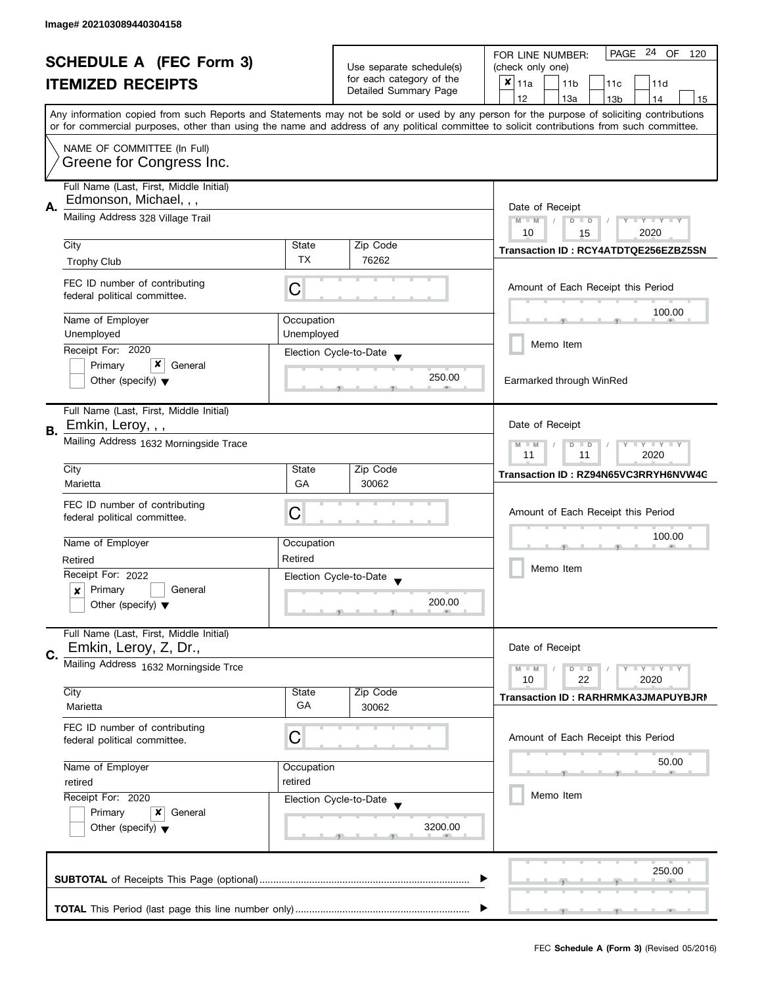|    | <b>SCHEDULE A (FEC Form 3)</b><br><b>ITEMIZED RECEIPTS</b>                                             |             | Use separate schedule(s)<br>for each category of the<br>Detailed Summary Page | PAGE 24 OF<br>120<br>FOR LINE NUMBER:<br>(check only one)<br>$x _{11a}$<br>11 <sub>b</sub><br>11c<br>11d<br>12<br>13a<br>13 <sub>b</sub><br>14<br>15                                                                                                                                    |
|----|--------------------------------------------------------------------------------------------------------|-------------|-------------------------------------------------------------------------------|-----------------------------------------------------------------------------------------------------------------------------------------------------------------------------------------------------------------------------------------------------------------------------------------|
|    | NAME OF COMMITTEE (In Full)<br>Greene for Congress Inc.                                                |             |                                                                               | Any information copied from such Reports and Statements may not be sold or used by any person for the purpose of soliciting contributions<br>or for commercial purposes, other than using the name and address of any political committee to solicit contributions from such committee. |
| Α. | Full Name (Last, First, Middle Initial)<br>Edmonson, Michael, , ,<br>Mailing Address 328 Village Trail |             |                                                                               | Date of Receipt<br>$M$ $M$<br>Y I Y I Y I Y<br>$D$ $D$<br>10<br>2020<br>15                                                                                                                                                                                                              |
|    | City                                                                                                   | State       | Zip Code                                                                      | Transaction ID: RCY4ATDTQE256EZBZ5SN                                                                                                                                                                                                                                                    |
|    | <b>Trophy Club</b>                                                                                     | <b>TX</b>   | 76262                                                                         |                                                                                                                                                                                                                                                                                         |
|    | FEC ID number of contributing<br>federal political committee.                                          | С           |                                                                               | Amount of Each Receipt this Period                                                                                                                                                                                                                                                      |
|    | Name of Employer                                                                                       | Occupation  |                                                                               | 100.00                                                                                                                                                                                                                                                                                  |
|    | Unemployed                                                                                             | Unemployed  |                                                                               |                                                                                                                                                                                                                                                                                         |
|    | Receipt For: 2020                                                                                      |             | Election Cycle-to-Date                                                        | Memo Item                                                                                                                                                                                                                                                                               |
|    | x<br>Primary<br>General<br>Other (specify) $\blacktriangledown$                                        |             | 250.00                                                                        | Earmarked through WinRed                                                                                                                                                                                                                                                                |
| В. | Full Name (Last, First, Middle Initial)<br>Emkin, Leroy, , ,                                           |             |                                                                               | Date of Receipt                                                                                                                                                                                                                                                                         |
|    | Mailing Address 1632 Morningside Trace                                                                 |             |                                                                               | $\bot$ $\gamma$ $\bot$ $\gamma$ $\bot$ $\gamma$<br>$M - M$<br>D<br>$\Box$<br>11<br>2020<br>11                                                                                                                                                                                           |
|    | City                                                                                                   | State<br>GA | Zip Code                                                                      | Transaction ID: RZ94N65VC3RRYH6NVW4C                                                                                                                                                                                                                                                    |
|    | Marietta<br>FEC ID number of contributing<br>federal political committee.                              | C           | 30062                                                                         | Amount of Each Receipt this Period                                                                                                                                                                                                                                                      |
|    | Name of Employer                                                                                       | Occupation  |                                                                               | 100.00                                                                                                                                                                                                                                                                                  |
|    | Retired                                                                                                | Retired     |                                                                               |                                                                                                                                                                                                                                                                                         |
|    | Receipt For: 2022<br>Primary<br>General<br>x<br>Other (specify) $\blacktriangledown$                   |             | Election Cycle-to-Date<br>200.00                                              | Memo Item                                                                                                                                                                                                                                                                               |
| C. | Full Name (Last, First, Middle Initial)<br>Emkin, Leroy, Z, Dr.,                                       |             |                                                                               | Date of Receipt                                                                                                                                                                                                                                                                         |
|    | Mailing Address 1632 Morningside Trce                                                                  |             |                                                                               | $M - M$<br>$Y - Y - Y$<br>$\overline{D}$<br>$\Box$<br>10<br>22<br>2020                                                                                                                                                                                                                  |
|    | City                                                                                                   | State       | Zip Code                                                                      | Transaction ID: RARHRMKA3JMAPUYBJRN                                                                                                                                                                                                                                                     |
|    | Marietta                                                                                               | GА          | 30062                                                                         |                                                                                                                                                                                                                                                                                         |
|    | FEC ID number of contributing<br>federal political committee.                                          | С           |                                                                               | Amount of Each Receipt this Period                                                                                                                                                                                                                                                      |
|    | Name of Employer                                                                                       | Occupation  |                                                                               | 50.00                                                                                                                                                                                                                                                                                   |
|    | retired                                                                                                | retired     |                                                                               |                                                                                                                                                                                                                                                                                         |
|    | Receipt For: 2020<br>Primary<br>x<br>General<br>Other (specify) $\blacktriangledown$                   |             | Election Cycle-to-Date<br>3200.00                                             | Memo Item                                                                                                                                                                                                                                                                               |
|    |                                                                                                        |             |                                                                               | 250.00                                                                                                                                                                                                                                                                                  |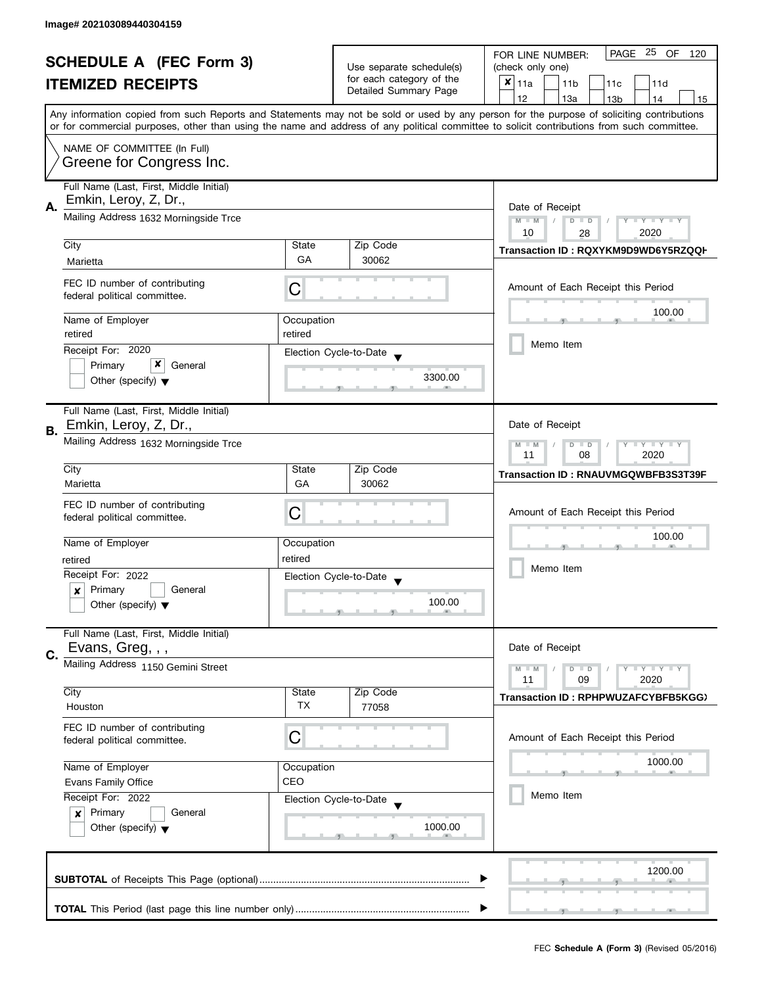| <b>SCHEDULE A (FEC Form 3)</b> |                                                                                          |                          | PAGE 25 OF<br>FOR LINE NUMBER:<br>120             |                                                                                                                                            |
|--------------------------------|------------------------------------------------------------------------------------------|--------------------------|---------------------------------------------------|--------------------------------------------------------------------------------------------------------------------------------------------|
|                                |                                                                                          | Use separate schedule(s) | (check only one)                                  |                                                                                                                                            |
|                                | <b>ITEMIZED RECEIPTS</b>                                                                 |                          | for each category of the<br>Detailed Summary Page | $x _{11a}$<br>11 <sub>b</sub><br>11d<br>11c                                                                                                |
|                                |                                                                                          |                          |                                                   | 12<br>13a<br>14<br>13 <sub>b</sub><br>15                                                                                                   |
|                                |                                                                                          |                          |                                                   | Any information copied from such Reports and Statements may not be sold or used by any person for the purpose of soliciting contributions  |
|                                |                                                                                          |                          |                                                   | or for commercial purposes, other than using the name and address of any political committee to solicit contributions from such committee. |
|                                | NAME OF COMMITTEE (In Full)                                                              |                          |                                                   |                                                                                                                                            |
|                                | Greene for Congress Inc.                                                                 |                          |                                                   |                                                                                                                                            |
|                                | Full Name (Last, First, Middle Initial)                                                  |                          |                                                   |                                                                                                                                            |
|                                | Emkin, Leroy, Z, Dr.,                                                                    |                          |                                                   |                                                                                                                                            |
| А.                             | Mailing Address 1632 Morningside Trce                                                    | Date of Receipt          |                                                   |                                                                                                                                            |
|                                |                                                                                          |                          |                                                   | $M - M$<br>$T - Y = T - Y$<br>$D$ $D$<br>Y                                                                                                 |
|                                | City                                                                                     | State                    | Zip Code                                          | 10<br>2020<br>28                                                                                                                           |
|                                | Marietta                                                                                 | GA                       | 30062                                             | Transaction ID: RQXYKM9D9WD6Y5RZQQI-                                                                                                       |
|                                |                                                                                          |                          |                                                   |                                                                                                                                            |
|                                | FEC ID number of contributing                                                            | C                        |                                                   | Amount of Each Receipt this Period                                                                                                         |
|                                | federal political committee.                                                             |                          |                                                   |                                                                                                                                            |
|                                | Name of Employer                                                                         | Occupation               |                                                   | 100.00                                                                                                                                     |
|                                | retired                                                                                  | retired                  |                                                   |                                                                                                                                            |
|                                | Receipt For: 2020                                                                        |                          |                                                   | Memo Item                                                                                                                                  |
|                                | x<br>Primary<br>General                                                                  |                          | Election Cycle-to-Date                            |                                                                                                                                            |
|                                | Other (specify) $\blacktriangledown$                                                     |                          | 3300.00                                           |                                                                                                                                            |
|                                |                                                                                          |                          |                                                   |                                                                                                                                            |
|                                | Full Name (Last, First, Middle Initial)                                                  |                          |                                                   |                                                                                                                                            |
|                                | Emkin, Leroy, Z, Dr.,                                                                    |                          |                                                   | Date of Receipt                                                                                                                            |
| В.                             | Mailing Address 1632 Morningside Trce                                                    |                          |                                                   |                                                                                                                                            |
|                                |                                                                                          |                          |                                                   | $\mathbf{I}$ $\mathbf{Y}$ $\mathbf{I}$ $\mathbf{Y}$<br>$M - M$<br>D<br>$\Box$<br>08<br>2020<br>11                                          |
|                                | City                                                                                     | State                    | Zip Code                                          |                                                                                                                                            |
|                                | Marietta                                                                                 | GA                       | 30062                                             | Transaction ID: RNAUVMGQWBFB3S3T39F                                                                                                        |
|                                |                                                                                          |                          |                                                   |                                                                                                                                            |
|                                | FEC ID number of contributing                                                            | С                        |                                                   | Amount of Each Receipt this Period                                                                                                         |
|                                | federal political committee.                                                             |                          |                                                   |                                                                                                                                            |
|                                | Name of Employer                                                                         | Occupation               |                                                   | 100.00                                                                                                                                     |
|                                | retired                                                                                  | retired                  |                                                   |                                                                                                                                            |
|                                | Receipt For: 2022                                                                        |                          | Election Cycle-to-Date                            | Memo Item                                                                                                                                  |
|                                | Primary<br>General<br>x                                                                  |                          |                                                   |                                                                                                                                            |
|                                | Other (specify) $\blacktriangledown$                                                     |                          | 100.00                                            |                                                                                                                                            |
|                                |                                                                                          |                          |                                                   |                                                                                                                                            |
|                                | Full Name (Last, First, Middle Initial)                                                  |                          |                                                   |                                                                                                                                            |
| C.                             | Evans, Greg, , ,                                                                         |                          |                                                   | Date of Receipt                                                                                                                            |
|                                | Mailing Address 1150 Gemini Street                                                       |                          |                                                   | $M - M$<br>Y L Y L Y<br>$D$ $D$                                                                                                            |
|                                |                                                                                          |                          |                                                   | 11<br>09<br>2020                                                                                                                           |
|                                | City                                                                                     | State                    | Zip Code                                          | Transaction ID: RPHPWUZAFCYBFB5KGG)                                                                                                        |
|                                | Houston                                                                                  | TX                       | 77058                                             |                                                                                                                                            |
|                                | FEC ID number of contributing                                                            |                          |                                                   |                                                                                                                                            |
|                                | federal political committee.                                                             | С                        |                                                   | Amount of Each Receipt this Period                                                                                                         |
|                                |                                                                                          |                          |                                                   | 1000.00                                                                                                                                    |
|                                | Name of Employer<br>Occupation<br>CEO<br><b>Evans Family Office</b><br>Receipt For: 2022 |                          |                                                   |                                                                                                                                            |
|                                |                                                                                          |                          |                                                   |                                                                                                                                            |
|                                |                                                                                          |                          | Election Cycle-to-Date                            | Memo Item                                                                                                                                  |
|                                | Primary<br>General<br>$\boldsymbol{x}$                                                   |                          |                                                   |                                                                                                                                            |
|                                | Other (specify) $\blacktriangledown$                                                     |                          | 1000.00                                           |                                                                                                                                            |
|                                |                                                                                          |                          |                                                   |                                                                                                                                            |
|                                |                                                                                          |                          |                                                   |                                                                                                                                            |
|                                |                                                                                          |                          |                                                   | 1200.00                                                                                                                                    |
|                                |                                                                                          |                          |                                                   |                                                                                                                                            |
|                                |                                                                                          |                          |                                                   |                                                                                                                                            |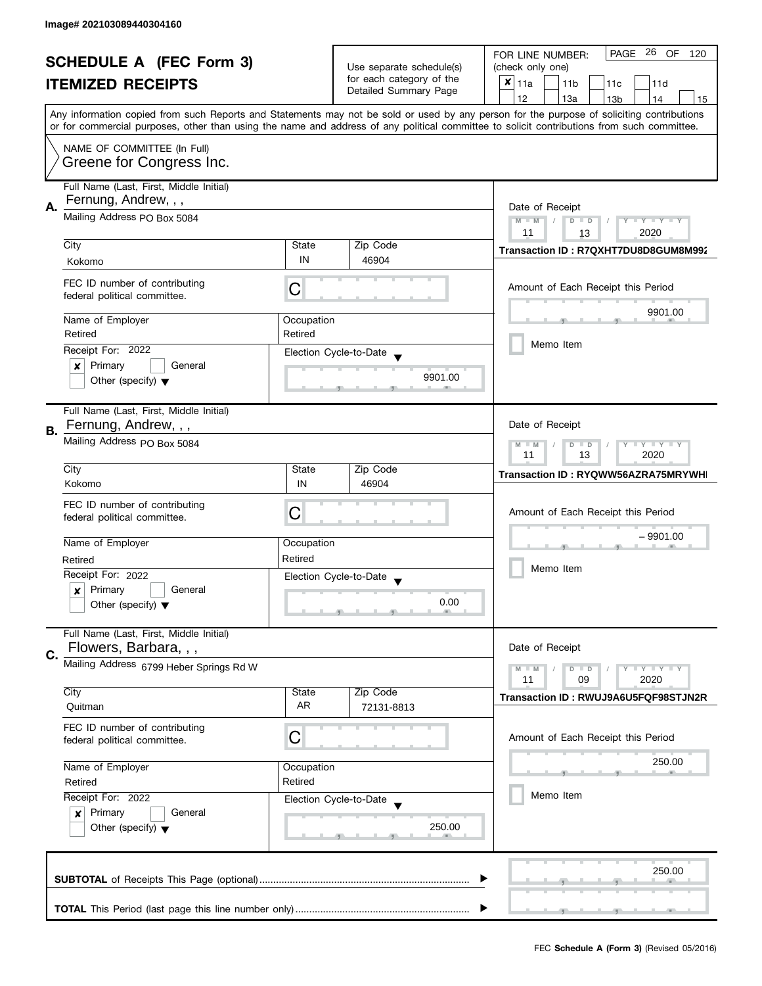|    | <b>SCHEDULE A (FEC Form 3)</b><br><b>ITEMIZED RECEIPTS</b>                                          |              | Use separate schedule(s)<br>for each category of the<br>Detailed Summary Page | PAGE 26 OF 120<br>FOR LINE NUMBER:<br>(check only one)<br>$\pmb{\times}$<br>11a<br>11 <sub>b</sub><br>11c<br>11d<br>12<br>13a<br>13 <sub>b</sub><br>14<br>15<br>Any information copied from such Reports and Statements may not be sold or used by any person for the purpose of soliciting contributions |
|----|-----------------------------------------------------------------------------------------------------|--------------|-------------------------------------------------------------------------------|-----------------------------------------------------------------------------------------------------------------------------------------------------------------------------------------------------------------------------------------------------------------------------------------------------------|
|    | NAME OF COMMITTEE (In Full)<br>Greene for Congress Inc.                                             |              |                                                                               | or for commercial purposes, other than using the name and address of any political committee to solicit contributions from such committee.                                                                                                                                                                |
| Α. | Full Name (Last, First, Middle Initial)<br>Fernung, Andrew, , ,<br>Mailing Address PO Box 5084      |              |                                                                               | Date of Receipt<br>$M - M$<br>$D$ $D$<br>Y I Y I Y I Y<br>$\sqrt{ }$<br>11<br>2020<br>13                                                                                                                                                                                                                  |
|    | City                                                                                                | State        | Zip Code                                                                      | Transaction ID: R7QXHT7DU8D8GUM8M992                                                                                                                                                                                                                                                                      |
|    | Kokomo                                                                                              | IN           | 46904                                                                         |                                                                                                                                                                                                                                                                                                           |
|    | FEC ID number of contributing<br>federal political committee.                                       | С            |                                                                               | Amount of Each Receipt this Period<br>9901.00                                                                                                                                                                                                                                                             |
|    | Name of Employer                                                                                    | Occupation   |                                                                               |                                                                                                                                                                                                                                                                                                           |
|    | Retired                                                                                             | Retired      |                                                                               | Memo Item                                                                                                                                                                                                                                                                                                 |
|    | Receipt For: 2022                                                                                   |              | Election Cycle-to-Date                                                        |                                                                                                                                                                                                                                                                                                           |
|    | Primary<br>General<br>×<br>Other (specify) $\blacktriangledown$                                     |              | 9901.00                                                                       |                                                                                                                                                                                                                                                                                                           |
| В. | Full Name (Last, First, Middle Initial)<br>Fernung, Andrew, , ,                                     |              |                                                                               | Date of Receipt                                                                                                                                                                                                                                                                                           |
|    | Mailing Address PO Box 5084                                                                         |              |                                                                               | $Y = Y + Y$<br>$M - M$<br>$\overline{D}$<br>$\Box$<br>11<br>13<br>2020                                                                                                                                                                                                                                    |
|    | City<br>Kokomo                                                                                      | State<br>IN  | Zip Code<br>46904                                                             | Transaction ID: RYQWW56AZRA75MRYWH                                                                                                                                                                                                                                                                        |
|    | FEC ID number of contributing<br>federal political committee.                                       | С            |                                                                               | Amount of Each Receipt this Period                                                                                                                                                                                                                                                                        |
|    | Name of Employer                                                                                    | Occupation   |                                                                               | $-9901.00$                                                                                                                                                                                                                                                                                                |
|    | Retired                                                                                             | Retired      |                                                                               |                                                                                                                                                                                                                                                                                                           |
|    | Receipt For: 2022                                                                                   |              | Election Cycle-to-Date                                                        | Memo Item                                                                                                                                                                                                                                                                                                 |
|    | Primary<br>General<br>$\boldsymbol{x}$<br>Other (specify) $\blacktriangledown$                      |              | 0.00                                                                          |                                                                                                                                                                                                                                                                                                           |
| C. | Full Name (Last, First, Middle Initial)<br>Flowers, Barbara, , ,                                    |              |                                                                               | Date of Receipt                                                                                                                                                                                                                                                                                           |
|    | Mailing Address 6799 Heber Springs Rd W                                                             |              |                                                                               | $M - M$<br>$Y - Y - Y$<br>$D$ $D$<br>11<br>09<br>2020                                                                                                                                                                                                                                                     |
|    | City<br>Quitman                                                                                     | State<br>AR. | Zip Code<br>72131-8813                                                        | Transaction ID: RWUJ9A6U5FQF98STJN2R                                                                                                                                                                                                                                                                      |
|    | FEC ID number of contributing<br>federal political committee.                                       | С            |                                                                               | Amount of Each Receipt this Period                                                                                                                                                                                                                                                                        |
|    | Name of Employer<br>Occupation<br>Retired<br>Retired                                                |              |                                                                               | 250.00                                                                                                                                                                                                                                                                                                    |
|    | Receipt For: 2022<br>Primary<br>General<br>$\boldsymbol{x}$<br>Other (specify) $\blacktriangledown$ |              | Election Cycle-to-Date<br>250.00                                              | Memo Item                                                                                                                                                                                                                                                                                                 |
|    |                                                                                                     |              |                                                                               | 250.00                                                                                                                                                                                                                                                                                                    |
|    |                                                                                                     |              |                                                                               |                                                                                                                                                                                                                                                                                                           |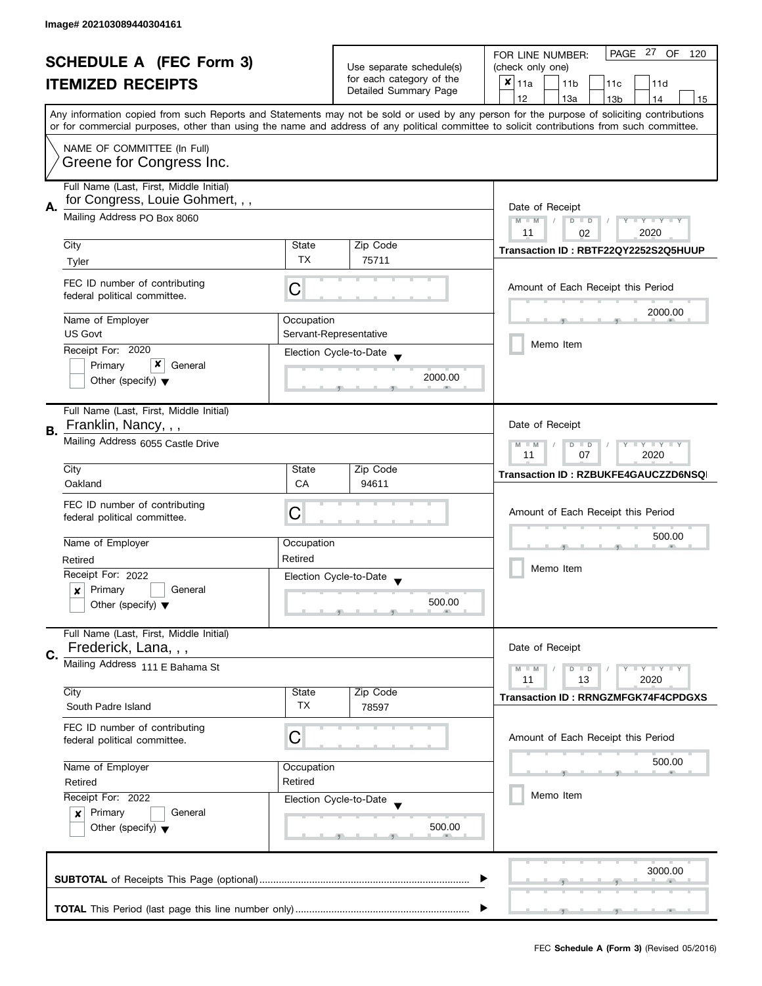| <b>SCHEDULE A (FEC Form 3)</b> |                                         |                                  |                                                      |                       | PAGE 27<br>OF<br>FOR LINE NUMBER:<br>120                                                                                                                                                                                                                                                |
|--------------------------------|-----------------------------------------|----------------------------------|------------------------------------------------------|-----------------------|-----------------------------------------------------------------------------------------------------------------------------------------------------------------------------------------------------------------------------------------------------------------------------------------|
|                                |                                         |                                  | Use separate schedule(s)<br>for each category of the |                       | (check only one)                                                                                                                                                                                                                                                                        |
|                                | <b>ITEMIZED RECEIPTS</b>                |                                  |                                                      | Detailed Summary Page | X<br>11a<br>11 <sub>b</sub><br>11c<br>11d                                                                                                                                                                                                                                               |
|                                |                                         |                                  |                                                      |                       | 12<br>13a<br>13 <sub>b</sub><br>14<br>15                                                                                                                                                                                                                                                |
|                                |                                         |                                  |                                                      |                       | Any information copied from such Reports and Statements may not be sold or used by any person for the purpose of soliciting contributions<br>or for commercial purposes, other than using the name and address of any political committee to solicit contributions from such committee. |
|                                |                                         |                                  |                                                      |                       |                                                                                                                                                                                                                                                                                         |
|                                | NAME OF COMMITTEE (In Full)             |                                  |                                                      |                       |                                                                                                                                                                                                                                                                                         |
|                                | Greene for Congress Inc.                |                                  |                                                      |                       |                                                                                                                                                                                                                                                                                         |
|                                | Full Name (Last, First, Middle Initial) |                                  |                                                      |                       |                                                                                                                                                                                                                                                                                         |
| А.                             | for Congress, Louie Gohmert, , ,        |                                  |                                                      |                       | Date of Receipt                                                                                                                                                                                                                                                                         |
|                                | Mailing Address PO Box 8060             | Y TY TY TY<br>$M - M$<br>$D$ $D$ |                                                      |                       |                                                                                                                                                                                                                                                                                         |
|                                |                                         |                                  |                                                      |                       | 2020<br>11<br>02                                                                                                                                                                                                                                                                        |
|                                | City                                    | State                            | Zip Code                                             |                       | Transaction ID: RBTF22QY2252S2Q5HUUP                                                                                                                                                                                                                                                    |
|                                | Tyler                                   | <b>TX</b>                        | 75711                                                |                       |                                                                                                                                                                                                                                                                                         |
|                                | FEC ID number of contributing           |                                  |                                                      |                       | Amount of Each Receipt this Period                                                                                                                                                                                                                                                      |
|                                | federal political committee.            | C                                |                                                      |                       |                                                                                                                                                                                                                                                                                         |
|                                |                                         |                                  |                                                      |                       | 2000.00                                                                                                                                                                                                                                                                                 |
|                                | Name of Employer<br><b>US Govt</b>      | Occupation                       | Servant-Representative                               |                       |                                                                                                                                                                                                                                                                                         |
|                                | Receipt For: 2020                       |                                  |                                                      |                       | Memo Item                                                                                                                                                                                                                                                                               |
|                                | x<br>Primary<br>General                 |                                  | Election Cycle-to-Date                               |                       |                                                                                                                                                                                                                                                                                         |
|                                | Other (specify) $\blacktriangledown$    |                                  |                                                      | 2000.00               |                                                                                                                                                                                                                                                                                         |
|                                |                                         |                                  |                                                      |                       |                                                                                                                                                                                                                                                                                         |
|                                | Full Name (Last, First, Middle Initial) |                                  |                                                      |                       |                                                                                                                                                                                                                                                                                         |
| В.                             | Franklin, Nancy, , ,                    |                                  |                                                      |                       | Date of Receipt                                                                                                                                                                                                                                                                         |
|                                | Mailing Address 6055 Castle Drive       |                                  |                                                      |                       | Y I Y I Y I Y<br>$M - M$<br>$D$ $D$                                                                                                                                                                                                                                                     |
|                                |                                         |                                  |                                                      |                       |                                                                                                                                                                                                                                                                                         |
|                                | City                                    | State                            | Zip Code                                             |                       | Transaction ID: RZBUKFE4GAUCZZD6NSQ                                                                                                                                                                                                                                                     |
|                                | Oakland                                 | CA                               | 94611                                                |                       |                                                                                                                                                                                                                                                                                         |
|                                | FEC ID number of contributing           | С                                |                                                      |                       | Amount of Each Receipt this Period                                                                                                                                                                                                                                                      |
|                                | federal political committee.            |                                  |                                                      |                       |                                                                                                                                                                                                                                                                                         |
|                                | Name of Employer                        | Occupation                       |                                                      |                       | 500.00                                                                                                                                                                                                                                                                                  |
|                                | Retired                                 | Retired                          |                                                      |                       |                                                                                                                                                                                                                                                                                         |
|                                | Receipt For: 2022                       |                                  | Election Cycle-to-Date                               |                       | Memo Item                                                                                                                                                                                                                                                                               |
|                                | Primary<br>General<br>$\boldsymbol{x}$  |                                  |                                                      |                       |                                                                                                                                                                                                                                                                                         |
|                                | Other (specify) $\blacktriangledown$    |                                  |                                                      | 500.00                |                                                                                                                                                                                                                                                                                         |
|                                |                                         |                                  |                                                      |                       |                                                                                                                                                                                                                                                                                         |
|                                | Full Name (Last, First, Middle Initial) |                                  |                                                      |                       |                                                                                                                                                                                                                                                                                         |
| C.                             | Frederick, Lana, , ,                    |                                  |                                                      |                       | Date of Receipt                                                                                                                                                                                                                                                                         |
|                                | Mailing Address 111 E Bahama St         |                                  |                                                      |                       | $Y - Y - Y - Y - Y$<br>$M - M$<br>$D$ $D$                                                                                                                                                                                                                                               |
|                                | City                                    | State                            | Zip Code                                             |                       | 11<br>2020<br>13                                                                                                                                                                                                                                                                        |
|                                | South Padre Island                      | TX                               | 78597                                                |                       | <b>Transaction ID: RRNGZMFGK74F4CPDGXS</b>                                                                                                                                                                                                                                              |
|                                | FEC ID number of contributing           |                                  |                                                      |                       |                                                                                                                                                                                                                                                                                         |
|                                | federal political committee.            | C                                |                                                      |                       | Amount of Each Receipt this Period                                                                                                                                                                                                                                                      |
|                                |                                         |                                  |                                                      |                       |                                                                                                                                                                                                                                                                                         |
|                                | Name of Employer                        | Occupation                       |                                                      |                       | 500.00                                                                                                                                                                                                                                                                                  |
|                                | Retired                                 | Retired                          |                                                      |                       |                                                                                                                                                                                                                                                                                         |
|                                | Receipt For: 2022                       |                                  | Election Cycle-to-Date                               |                       | Memo Item                                                                                                                                                                                                                                                                               |
|                                | Primary<br>General<br>$\boldsymbol{x}$  |                                  |                                                      |                       |                                                                                                                                                                                                                                                                                         |
|                                | Other (specify) $\blacktriangledown$    |                                  |                                                      | 500.00                |                                                                                                                                                                                                                                                                                         |
|                                |                                         |                                  |                                                      |                       |                                                                                                                                                                                                                                                                                         |
|                                |                                         |                                  |                                                      |                       | 3000.00                                                                                                                                                                                                                                                                                 |
|                                |                                         |                                  |                                                      |                       |                                                                                                                                                                                                                                                                                         |
|                                |                                         |                                  |                                                      |                       |                                                                                                                                                                                                                                                                                         |
|                                |                                         |                                  |                                                      |                       |                                                                                                                                                                                                                                                                                         |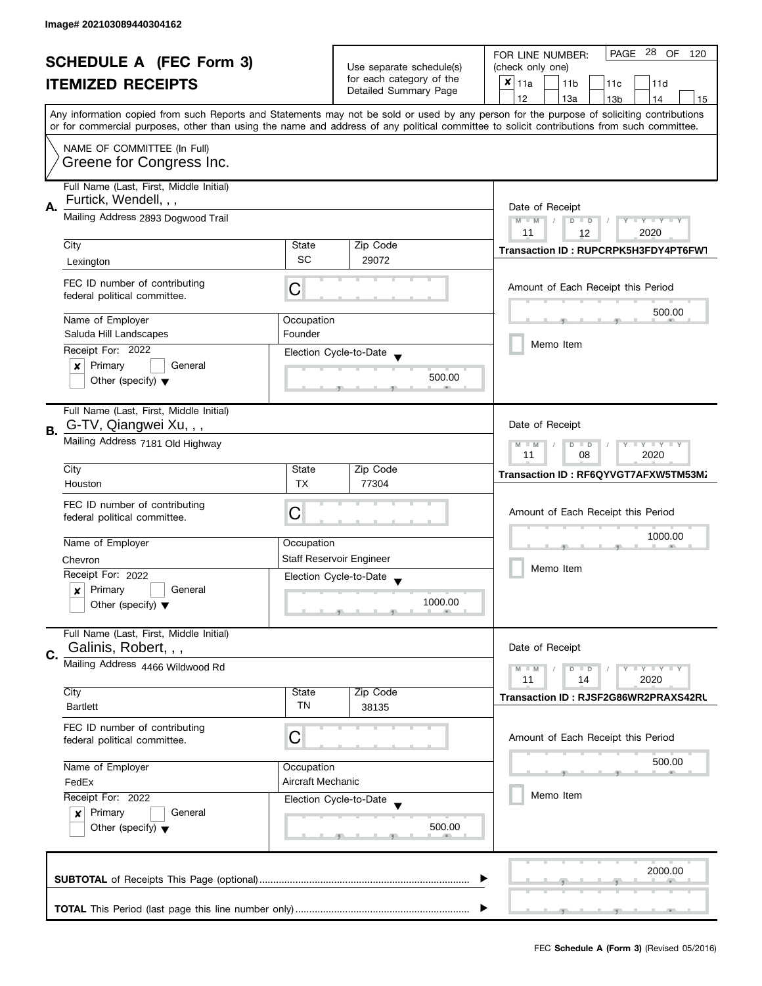| <b>SCHEDULE A (FEC Form 3)</b> |                                                               |                                  | PAGE 28 OF<br>FOR LINE NUMBER:<br>120 |                                                                                                                                            |
|--------------------------------|---------------------------------------------------------------|----------------------------------|---------------------------------------|--------------------------------------------------------------------------------------------------------------------------------------------|
|                                |                                                               | Use separate schedule(s)         | (check only one)                      |                                                                                                                                            |
|                                | <b>ITEMIZED RECEIPTS</b>                                      |                                  | for each category of the              | $x _{11a}$<br>11 <sub>b</sub><br>11d<br>11c                                                                                                |
|                                |                                                               |                                  | Detailed Summary Page                 | 12<br>13a<br>14<br>13 <sub>b</sub><br>15                                                                                                   |
|                                |                                                               |                                  |                                       | Any information copied from such Reports and Statements may not be sold or used by any person for the purpose of soliciting contributions  |
|                                |                                                               |                                  |                                       | or for commercial purposes, other than using the name and address of any political committee to solicit contributions from such committee. |
|                                | NAME OF COMMITTEE (In Full)                                   |                                  |                                       |                                                                                                                                            |
|                                | Greene for Congress Inc.                                      |                                  |                                       |                                                                                                                                            |
|                                |                                                               |                                  |                                       |                                                                                                                                            |
|                                | Full Name (Last, First, Middle Initial)                       |                                  |                                       |                                                                                                                                            |
| А.                             | Furtick, Wendell, , ,                                         | Date of Receipt                  |                                       |                                                                                                                                            |
|                                | Mailing Address 2893 Dogwood Trail                            | $M - M$<br>Y TY TY TY<br>$D$ $D$ |                                       |                                                                                                                                            |
|                                |                                                               |                                  |                                       | 2020<br>11<br>12                                                                                                                           |
|                                | City                                                          | State                            | Zip Code                              | Transaction ID: RUPCRPK5H3FDY4PT6FW1                                                                                                       |
|                                | Lexington                                                     | <b>SC</b>                        | 29072                                 |                                                                                                                                            |
|                                |                                                               |                                  |                                       |                                                                                                                                            |
|                                | FEC ID number of contributing<br>federal political committee. | C                                |                                       | Amount of Each Receipt this Period                                                                                                         |
|                                |                                                               |                                  |                                       |                                                                                                                                            |
|                                | Name of Employer                                              | Occupation                       |                                       | 500.00                                                                                                                                     |
|                                | Saluda Hill Landscapes                                        | Founder                          |                                       |                                                                                                                                            |
|                                | Receipt For: 2022                                             |                                  | Election Cycle-to-Date                | Memo Item                                                                                                                                  |
|                                | Primary<br>General<br>×                                       |                                  |                                       |                                                                                                                                            |
|                                | Other (specify) $\blacktriangledown$                          |                                  | 500.00                                |                                                                                                                                            |
|                                |                                                               |                                  |                                       |                                                                                                                                            |
|                                | Full Name (Last, First, Middle Initial)                       |                                  |                                       |                                                                                                                                            |
|                                | G-TV, Qiangwei Xu, , ,                                        |                                  |                                       | Date of Receipt                                                                                                                            |
| <b>B.</b>                      |                                                               |                                  |                                       |                                                                                                                                            |
|                                | Mailing Address 7181 Old Highway                              |                                  |                                       | $\mathbf{y}$ $\mathbf{y}$<br>$M - M$<br>$D$ $D$<br>Y<br>08<br>2020<br>11                                                                   |
|                                | City                                                          | State                            | Zip Code                              |                                                                                                                                            |
|                                | Houston                                                       | <b>TX</b>                        | 77304                                 | Transaction ID: RF6QYVGT7AFXW5TM53M                                                                                                        |
|                                |                                                               |                                  |                                       |                                                                                                                                            |
|                                | FEC ID number of contributing                                 | С                                |                                       | Amount of Each Receipt this Period                                                                                                         |
|                                | federal political committee.                                  |                                  |                                       |                                                                                                                                            |
|                                | Name of Employer                                              | Occupation                       |                                       | 1000.00                                                                                                                                    |
|                                |                                                               |                                  |                                       |                                                                                                                                            |
|                                | Chevron                                                       |                                  | <b>Staff Reservoir Engineer</b>       | Memo Item                                                                                                                                  |
|                                | Receipt For: 2022                                             |                                  | Election Cycle-to-Date                |                                                                                                                                            |
|                                | Primary<br>General<br>x                                       |                                  |                                       |                                                                                                                                            |
|                                | Other (specify) $\blacktriangledown$                          |                                  | 1000.00                               |                                                                                                                                            |
|                                |                                                               |                                  |                                       |                                                                                                                                            |
|                                | Full Name (Last, First, Middle Initial)                       |                                  |                                       |                                                                                                                                            |
| C.                             | Galinis, Robert, , ,                                          |                                  |                                       | Date of Receipt                                                                                                                            |
|                                | Mailing Address 4466 Wildwood Rd                              |                                  |                                       | $M - M$<br>Y L Y L Y<br>$D$ $D$                                                                                                            |
|                                |                                                               |                                  |                                       | 11<br>2020<br>14                                                                                                                           |
|                                | City<br><b>Bartlett</b>                                       | State<br>TN                      | Zip Code<br>38135                     | Transaction ID: RJSF2G86WR2PRAXS42RU                                                                                                       |
|                                |                                                               |                                  |                                       |                                                                                                                                            |
|                                | FEC ID number of contributing                                 |                                  |                                       |                                                                                                                                            |
|                                | federal political committee.                                  | C                                |                                       | Amount of Each Receipt this Period                                                                                                         |
|                                |                                                               |                                  |                                       | 500.00                                                                                                                                     |
|                                | Name of Employer<br>Occupation                                |                                  |                                       |                                                                                                                                            |
|                                | FedEx                                                         | Aircraft Mechanic                |                                       |                                                                                                                                            |
|                                | Receipt For: 2022                                             |                                  | Election Cycle-to-Date                | Memo Item                                                                                                                                  |
|                                | Primary<br>General<br>$\boldsymbol{x}$                        |                                  |                                       |                                                                                                                                            |
|                                | Other (specify) $\blacktriangledown$                          |                                  | 500.00                                |                                                                                                                                            |
|                                |                                                               |                                  |                                       |                                                                                                                                            |
|                                |                                                               |                                  |                                       |                                                                                                                                            |
|                                |                                                               |                                  |                                       | 2000.00                                                                                                                                    |
|                                |                                                               |                                  |                                       |                                                                                                                                            |
|                                |                                                               |                                  |                                       |                                                                                                                                            |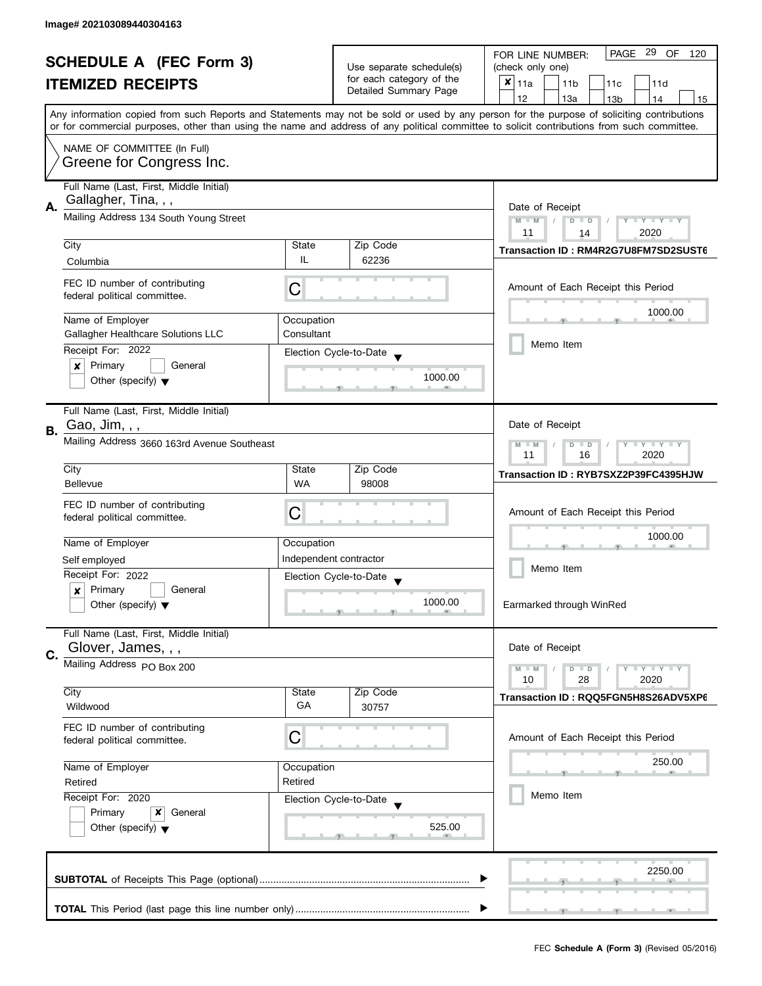| <b>SCHEDULE A (FEC Form 3)</b> |                                                                                                                                                                        |                          | PAGE 29 OF<br>FOR LINE NUMBER:<br>120             |                                                                                                                                            |  |
|--------------------------------|------------------------------------------------------------------------------------------------------------------------------------------------------------------------|--------------------------|---------------------------------------------------|--------------------------------------------------------------------------------------------------------------------------------------------|--|
|                                |                                                                                                                                                                        | Use separate schedule(s) | (check only one)                                  |                                                                                                                                            |  |
|                                | <b>ITEMIZED RECEIPTS</b>                                                                                                                                               |                          | for each category of the<br>Detailed Summary Page | $x _{11a}$<br>11 <sub>b</sub><br>11c<br>11d                                                                                                |  |
|                                |                                                                                                                                                                        |                          |                                                   | 12<br>13a<br>13 <sub>b</sub><br>14<br>15                                                                                                   |  |
|                                |                                                                                                                                                                        |                          |                                                   | Any information copied from such Reports and Statements may not be sold or used by any person for the purpose of soliciting contributions  |  |
|                                |                                                                                                                                                                        |                          |                                                   | or for commercial purposes, other than using the name and address of any political committee to solicit contributions from such committee. |  |
|                                | NAME OF COMMITTEE (In Full)                                                                                                                                            |                          |                                                   |                                                                                                                                            |  |
|                                | Greene for Congress Inc.                                                                                                                                               |                          |                                                   |                                                                                                                                            |  |
|                                | Full Name (Last, First, Middle Initial)                                                                                                                                |                          |                                                   |                                                                                                                                            |  |
| А.                             | Gallagher, Tina, , ,                                                                                                                                                   | Date of Receipt          |                                                   |                                                                                                                                            |  |
|                                | Mailing Address 134 South Young Street                                                                                                                                 |                          |                                                   | $M - M$<br>$\sqrt{2}$<br>$D$ $D$<br>$Y - Y - Y - Y - Y$                                                                                    |  |
|                                | City                                                                                                                                                                   | State                    | Zip Code                                          | 11<br>2020<br>14                                                                                                                           |  |
|                                | Columbia                                                                                                                                                               | IL                       | 62236                                             | Transaction ID: RM4R2G7U8FM7SD2SUST6                                                                                                       |  |
|                                |                                                                                                                                                                        |                          |                                                   |                                                                                                                                            |  |
|                                | FEC ID number of contributing<br>federal political committee.                                                                                                          | С                        |                                                   | Amount of Each Receipt this Period                                                                                                         |  |
|                                |                                                                                                                                                                        |                          |                                                   | 1000.00                                                                                                                                    |  |
|                                | Name of Employer                                                                                                                                                       | Occupation<br>Consultant |                                                   |                                                                                                                                            |  |
|                                | Gallagher Healthcare Solutions LLC<br>Receipt For: 2022                                                                                                                |                          |                                                   | Memo Item                                                                                                                                  |  |
|                                | Primary<br>$\pmb{\times}$<br>General                                                                                                                                   |                          | Election Cycle-to-Date                            |                                                                                                                                            |  |
|                                | Other (specify) $\blacktriangledown$                                                                                                                                   |                          | 1000.00                                           |                                                                                                                                            |  |
|                                |                                                                                                                                                                        |                          |                                                   |                                                                                                                                            |  |
|                                | Full Name (Last, First, Middle Initial)                                                                                                                                |                          |                                                   |                                                                                                                                            |  |
| В.                             | Gao, Jim, , ,                                                                                                                                                          |                          |                                                   | Date of Receipt                                                                                                                            |  |
|                                | Mailing Address 3660 163rd Avenue Southeast                                                                                                                            |                          |                                                   | $Y = Y + Y$<br>$M - M$<br>D<br>$\Box$<br>11<br>16<br>2020                                                                                  |  |
|                                | City                                                                                                                                                                   | State                    | Zip Code                                          | Transaction ID: RYB7SXZ2P39FC4395HJW                                                                                                       |  |
|                                | <b>Bellevue</b>                                                                                                                                                        | <b>WA</b>                | 98008                                             |                                                                                                                                            |  |
|                                | FEC ID number of contributing                                                                                                                                          |                          |                                                   |                                                                                                                                            |  |
|                                | federal political committee.                                                                                                                                           | С                        |                                                   | Amount of Each Receipt this Period                                                                                                         |  |
|                                | Name of Employer                                                                                                                                                       | Occupation               |                                                   | 1000.00                                                                                                                                    |  |
|                                | Self employed                                                                                                                                                          |                          | Independent contractor                            |                                                                                                                                            |  |
|                                | Receipt For: 2022                                                                                                                                                      |                          | Election Cycle-to-Date                            | Memo Item                                                                                                                                  |  |
|                                | Primary<br>General<br>x                                                                                                                                                |                          |                                                   |                                                                                                                                            |  |
|                                | Other (specify) $\blacktriangledown$                                                                                                                                   |                          | 1000.00                                           | Earmarked through WinRed                                                                                                                   |  |
|                                | Full Name (Last, First, Middle Initial)                                                                                                                                |                          |                                                   |                                                                                                                                            |  |
| C.                             | Glover, James, , ,                                                                                                                                                     |                          |                                                   | Date of Receipt                                                                                                                            |  |
|                                | Mailing Address PO Box 200                                                                                                                                             |                          |                                                   | $M - M$<br>$Y - Y - Y$<br>$D$ $D$                                                                                                          |  |
|                                |                                                                                                                                                                        |                          |                                                   | 10<br>28<br>2020                                                                                                                           |  |
|                                | City<br>Wildwood                                                                                                                                                       | State<br>GA              | Zip Code<br>30757                                 | Transaction ID: RQQ5FGN5H8S26ADV5XP6                                                                                                       |  |
|                                | FEC ID number of contributing                                                                                                                                          |                          |                                                   |                                                                                                                                            |  |
|                                | federal political committee.                                                                                                                                           | C                        |                                                   | Amount of Each Receipt this Period                                                                                                         |  |
|                                |                                                                                                                                                                        |                          |                                                   | 250.00                                                                                                                                     |  |
|                                | Name of Employer<br>Occupation<br>Retired<br>Retired<br>Receipt For: 2020<br>Election Cycle-to-Date<br>Primary<br>x<br>General<br>Other (specify) $\blacktriangledown$ |                          |                                                   |                                                                                                                                            |  |
|                                |                                                                                                                                                                        |                          |                                                   | Memo Item                                                                                                                                  |  |
|                                |                                                                                                                                                                        |                          |                                                   |                                                                                                                                            |  |
|                                |                                                                                                                                                                        |                          | 525.00                                            |                                                                                                                                            |  |
|                                |                                                                                                                                                                        |                          |                                                   |                                                                                                                                            |  |
|                                |                                                                                                                                                                        |                          |                                                   |                                                                                                                                            |  |
|                                |                                                                                                                                                                        |                          |                                                   | 2250.00                                                                                                                                    |  |
|                                |                                                                                                                                                                        |                          |                                                   |                                                                                                                                            |  |
|                                |                                                                                                                                                                        |                          |                                                   |                                                                                                                                            |  |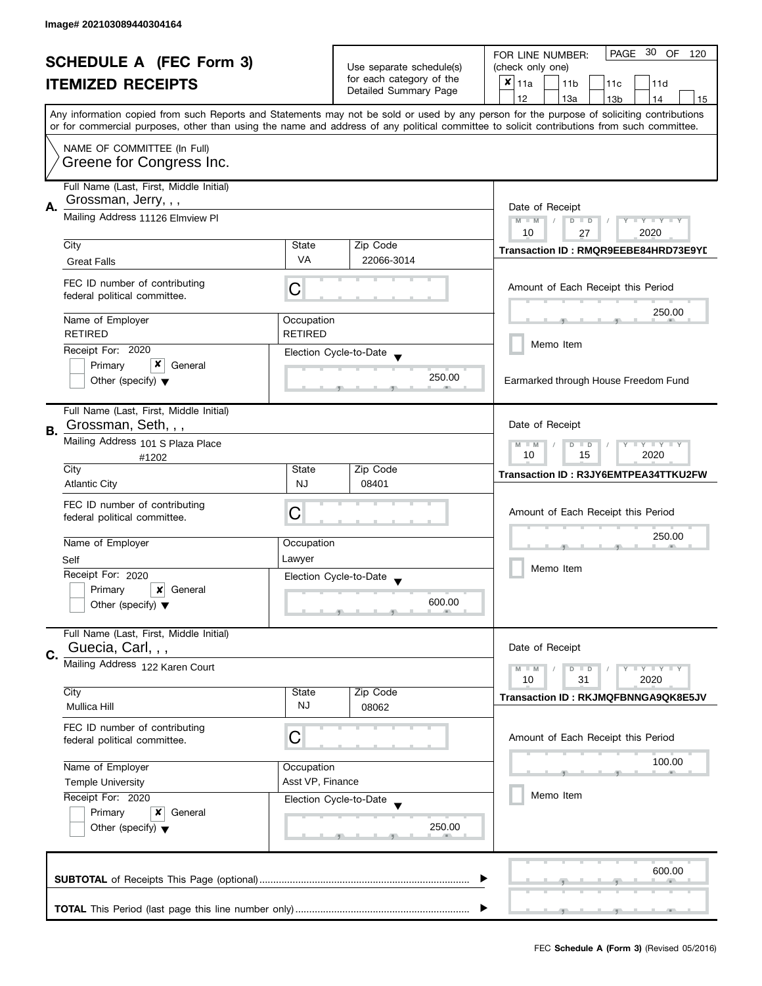| <b>SCHEDULE A (FEC Form 3)</b> |                                                                                                                                                                                                  | Use separate schedule(s)<br>for each category of the | PAGE 30 OF<br>FOR LINE NUMBER:<br>120 |                                                                                                                                                                                                                                                                                         |  |
|--------------------------------|--------------------------------------------------------------------------------------------------------------------------------------------------------------------------------------------------|------------------------------------------------------|---------------------------------------|-----------------------------------------------------------------------------------------------------------------------------------------------------------------------------------------------------------------------------------------------------------------------------------------|--|
|                                |                                                                                                                                                                                                  |                                                      | (check only one)                      |                                                                                                                                                                                                                                                                                         |  |
|                                | <b>ITEMIZED RECEIPTS</b>                                                                                                                                                                         |                                                      | Detailed Summary Page                 | $x _{11a}$<br>11 <sub>b</sub><br>11c<br>11d                                                                                                                                                                                                                                             |  |
|                                |                                                                                                                                                                                                  |                                                      |                                       | 12<br>13a<br>14<br>13 <sub>b</sub><br>15                                                                                                                                                                                                                                                |  |
|                                |                                                                                                                                                                                                  |                                                      |                                       | Any information copied from such Reports and Statements may not be sold or used by any person for the purpose of soliciting contributions<br>or for commercial purposes, other than using the name and address of any political committee to solicit contributions from such committee. |  |
|                                | NAME OF COMMITTEE (In Full)                                                                                                                                                                      |                                                      |                                       |                                                                                                                                                                                                                                                                                         |  |
|                                | Greene for Congress Inc.                                                                                                                                                                         |                                                      |                                       |                                                                                                                                                                                                                                                                                         |  |
|                                | Full Name (Last, First, Middle Initial)                                                                                                                                                          |                                                      |                                       |                                                                                                                                                                                                                                                                                         |  |
| А.                             | Grossman, Jerry, , ,                                                                                                                                                                             | Date of Receipt                                      |                                       |                                                                                                                                                                                                                                                                                         |  |
|                                | Mailing Address 11126 Elmview Pl                                                                                                                                                                 |                                                      |                                       | $M - M$<br>Y TY TY TY<br>$D$ $D$                                                                                                                                                                                                                                                        |  |
|                                | City                                                                                                                                                                                             | State                                                | Zip Code                              | 10<br>2020<br>27                                                                                                                                                                                                                                                                        |  |
|                                | <b>Great Falls</b>                                                                                                                                                                               | <b>VA</b>                                            | 22066-3014                            | Transaction ID: RMQR9EEBE84HRD73E9YD                                                                                                                                                                                                                                                    |  |
|                                |                                                                                                                                                                                                  |                                                      |                                       |                                                                                                                                                                                                                                                                                         |  |
|                                | FEC ID number of contributing<br>federal political committee.                                                                                                                                    | С                                                    |                                       | Amount of Each Receipt this Period                                                                                                                                                                                                                                                      |  |
|                                |                                                                                                                                                                                                  |                                                      |                                       | 250.00                                                                                                                                                                                                                                                                                  |  |
|                                | Name of Employer                                                                                                                                                                                 | Occupation                                           |                                       |                                                                                                                                                                                                                                                                                         |  |
|                                | <b>RETIRED</b>                                                                                                                                                                                   | <b>RETIRED</b>                                       |                                       | Memo Item                                                                                                                                                                                                                                                                               |  |
|                                | Receipt For: 2020<br>x                                                                                                                                                                           |                                                      | Election Cycle-to-Date                |                                                                                                                                                                                                                                                                                         |  |
|                                | Primary<br>General<br>Other (specify) $\blacktriangledown$                                                                                                                                       |                                                      | 250.00                                | Earmarked through House Freedom Fund                                                                                                                                                                                                                                                    |  |
|                                |                                                                                                                                                                                                  |                                                      |                                       |                                                                                                                                                                                                                                                                                         |  |
|                                | Full Name (Last, First, Middle Initial)                                                                                                                                                          |                                                      |                                       |                                                                                                                                                                                                                                                                                         |  |
| <b>B.</b>                      | Grossman, Seth, , ,                                                                                                                                                                              | Date of Receipt                                      |                                       |                                                                                                                                                                                                                                                                                         |  |
|                                | Mailing Address 101 S Plaza Place                                                                                                                                                                |                                                      |                                       | $Y = Y + Y$<br>$M - M$<br>$D$ $D$                                                                                                                                                                                                                                                       |  |
|                                | #1202                                                                                                                                                                                            |                                                      |                                       | 15<br>2020<br>10                                                                                                                                                                                                                                                                        |  |
|                                | City                                                                                                                                                                                             | State<br><b>NJ</b>                                   | Zip Code<br>08401                     | Transaction ID: R3JY6EMTPEA34TTKU2FW                                                                                                                                                                                                                                                    |  |
|                                | <b>Atlantic City</b>                                                                                                                                                                             |                                                      |                                       |                                                                                                                                                                                                                                                                                         |  |
|                                | FEC ID number of contributing<br>federal political committee.                                                                                                                                    | C                                                    |                                       | Amount of Each Receipt this Period                                                                                                                                                                                                                                                      |  |
|                                |                                                                                                                                                                                                  |                                                      |                                       |                                                                                                                                                                                                                                                                                         |  |
|                                | Name of Employer                                                                                                                                                                                 | Occupation                                           |                                       | 250.00                                                                                                                                                                                                                                                                                  |  |
|                                | Self                                                                                                                                                                                             | Lawyer                                               |                                       | Memo Item                                                                                                                                                                                                                                                                               |  |
|                                | Receipt For: 2020                                                                                                                                                                                |                                                      | Election Cycle-to-Date                |                                                                                                                                                                                                                                                                                         |  |
|                                | Primary<br>×<br>General                                                                                                                                                                          |                                                      | 600.00                                |                                                                                                                                                                                                                                                                                         |  |
|                                | Other (specify) $\blacktriangledown$                                                                                                                                                             |                                                      |                                       |                                                                                                                                                                                                                                                                                         |  |
|                                | Full Name (Last, First, Middle Initial)                                                                                                                                                          |                                                      |                                       |                                                                                                                                                                                                                                                                                         |  |
| C.                             | Guecia, Carl, , ,                                                                                                                                                                                |                                                      |                                       | Date of Receipt                                                                                                                                                                                                                                                                         |  |
|                                | Mailing Address 122 Karen Court                                                                                                                                                                  |                                                      |                                       | Y LY LY<br>$M - M$<br>$D$ $D$                                                                                                                                                                                                                                                           |  |
|                                | City                                                                                                                                                                                             | State                                                | Zip Code                              | 10<br>31<br>2020                                                                                                                                                                                                                                                                        |  |
|                                | <b>Mullica Hill</b>                                                                                                                                                                              | <b>NJ</b>                                            | 08062                                 | Transaction ID: RKJMQFBNNGA9QK8E5JV                                                                                                                                                                                                                                                     |  |
|                                | FEC ID number of contributing                                                                                                                                                                    |                                                      |                                       |                                                                                                                                                                                                                                                                                         |  |
|                                | federal political committee.                                                                                                                                                                     | C                                                    |                                       | Amount of Each Receipt this Period                                                                                                                                                                                                                                                      |  |
|                                |                                                                                                                                                                                                  |                                                      |                                       | 100.00                                                                                                                                                                                                                                                                                  |  |
|                                | Name of Employer<br>Occupation<br>Asst VP, Finance<br><b>Temple University</b><br>Receipt For: 2020<br>Election Cycle-to-Date<br>Primary<br>x<br>General<br>Other (specify) $\blacktriangledown$ |                                                      |                                       |                                                                                                                                                                                                                                                                                         |  |
|                                |                                                                                                                                                                                                  |                                                      |                                       | Memo Item                                                                                                                                                                                                                                                                               |  |
|                                |                                                                                                                                                                                                  |                                                      |                                       |                                                                                                                                                                                                                                                                                         |  |
|                                |                                                                                                                                                                                                  |                                                      | 250.00                                |                                                                                                                                                                                                                                                                                         |  |
|                                |                                                                                                                                                                                                  |                                                      |                                       |                                                                                                                                                                                                                                                                                         |  |
|                                |                                                                                                                                                                                                  |                                                      |                                       |                                                                                                                                                                                                                                                                                         |  |
|                                |                                                                                                                                                                                                  |                                                      |                                       | 600.00                                                                                                                                                                                                                                                                                  |  |
|                                |                                                                                                                                                                                                  |                                                      |                                       |                                                                                                                                                                                                                                                                                         |  |
|                                |                                                                                                                                                                                                  |                                                      |                                       |                                                                                                                                                                                                                                                                                         |  |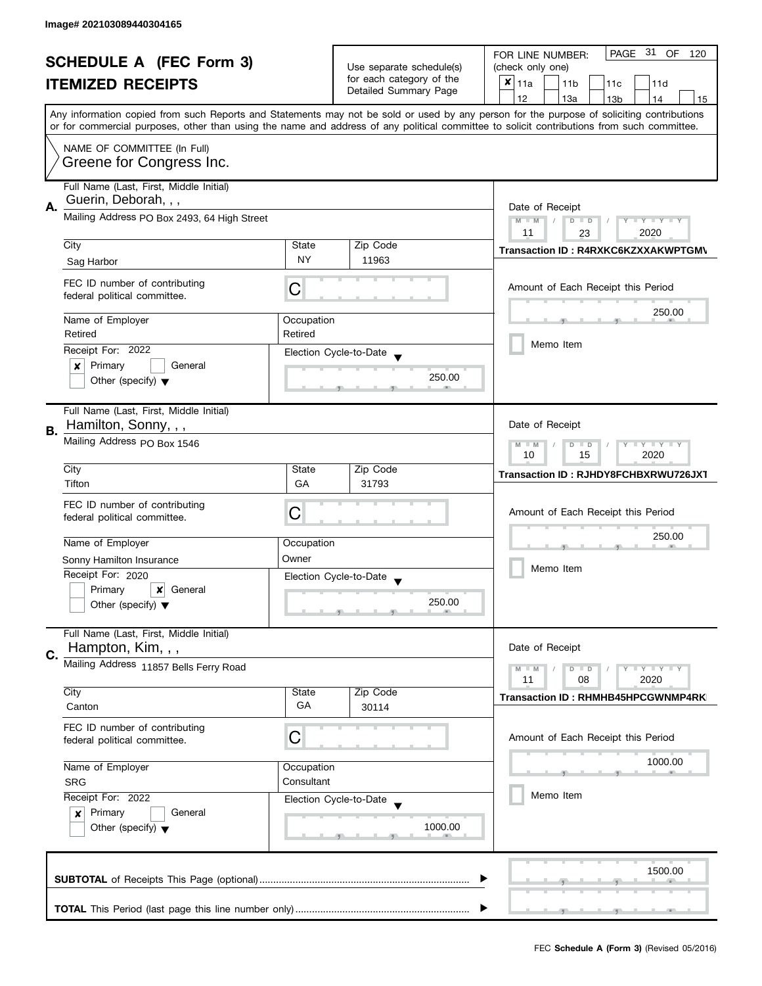|    | <b>SCHEDULE A (FEC Form 3)</b><br><b>ITEMIZED RECEIPTS</b>                                                     |             | Use separate schedule(s)<br>for each category of the<br>Detailed Summary Page | PAGE 31 OF 120<br>FOR LINE NUMBER:<br>(check only one)<br>$x _{11a}$<br>11 <sub>b</sub><br>11c<br>11d<br>12<br>13a<br>13 <sub>b</sub><br>14<br>15<br>Any information copied from such Reports and Statements may not be sold or used by any person for the purpose of soliciting contributions |
|----|----------------------------------------------------------------------------------------------------------------|-------------|-------------------------------------------------------------------------------|------------------------------------------------------------------------------------------------------------------------------------------------------------------------------------------------------------------------------------------------------------------------------------------------|
|    | NAME OF COMMITTEE (In Full)<br>Greene for Congress Inc.                                                        |             |                                                                               | or for commercial purposes, other than using the name and address of any political committee to solicit contributions from such committee.                                                                                                                                                     |
| А. | Full Name (Last, First, Middle Initial)<br>Guerin, Deborah, , ,<br>Mailing Address PO Box 2493, 64 High Street |             |                                                                               | Date of Receipt<br>$M - M$<br>$D$ $D$<br>$T - Y = T - Y$<br>Y<br>11<br>2020<br>23                                                                                                                                                                                                              |
|    | City                                                                                                           | State       | Zip Code                                                                      | Transaction ID: R4RXKC6KZXXAKWPTGM\                                                                                                                                                                                                                                                            |
|    | Sag Harbor                                                                                                     | <b>NY</b>   | 11963                                                                         |                                                                                                                                                                                                                                                                                                |
|    | FEC ID number of contributing<br>federal political committee.                                                  | Ĉ           |                                                                               | Amount of Each Receipt this Period                                                                                                                                                                                                                                                             |
|    | Name of Employer                                                                                               | Occupation  |                                                                               | 250.00                                                                                                                                                                                                                                                                                         |
|    | Retired                                                                                                        | Retired     |                                                                               |                                                                                                                                                                                                                                                                                                |
|    | Receipt For: 2022                                                                                              |             | Election Cycle-to-Date                                                        | Memo Item                                                                                                                                                                                                                                                                                      |
|    | Primary<br>General<br>×<br>Other (specify) $\blacktriangledown$                                                |             | 250.00                                                                        |                                                                                                                                                                                                                                                                                                |
| В. | Full Name (Last, First, Middle Initial)<br>Hamilton, Sonny, , ,                                                |             |                                                                               | Date of Receipt                                                                                                                                                                                                                                                                                |
|    | Mailing Address PO Box 1546                                                                                    |             |                                                                               | $\bot$ Y $\bot$ Y $\bot$ Y<br>$M - M$<br>$D$ $D$<br>2020<br>10<br>15                                                                                                                                                                                                                           |
|    | City                                                                                                           | State       | Zip Code                                                                      | Transaction ID: RJHDY8FCHBXRWU726JXT                                                                                                                                                                                                                                                           |
|    | Tifton<br>FEC ID number of contributing<br>federal political committee.                                        | GA<br>С     | 31793                                                                         | Amount of Each Receipt this Period                                                                                                                                                                                                                                                             |
|    | Name of Employer                                                                                               | Occupation  |                                                                               | 250.00                                                                                                                                                                                                                                                                                         |
|    | Sonny Hamilton Insurance                                                                                       | Owner       |                                                                               |                                                                                                                                                                                                                                                                                                |
|    | Receipt For: 2020                                                                                              |             | Election Cycle-to-Date                                                        | Memo Item                                                                                                                                                                                                                                                                                      |
|    | Primary<br>×<br>General<br>Other (specify) $\blacktriangledown$                                                |             | 250.00                                                                        |                                                                                                                                                                                                                                                                                                |
|    | Full Name (Last, First, Middle Initial)<br>Hampton, Kim, , ,                                                   |             |                                                                               | Date of Receipt                                                                                                                                                                                                                                                                                |
| C. | Mailing Address 11857 Bells Ferry Road                                                                         |             |                                                                               | $M - M$<br>$Y - Y - Y$<br>$D$ $D$<br>11<br>2020<br>08                                                                                                                                                                                                                                          |
|    | City<br>Canton                                                                                                 | State<br>GA | Zip Code<br>30114                                                             | Transaction ID: RHMHB45HPCGWNMP4RK                                                                                                                                                                                                                                                             |
|    | FEC ID number of contributing<br>federal political committee.                                                  | C           |                                                                               | Amount of Each Receipt this Period                                                                                                                                                                                                                                                             |
|    | Name of Employer<br>Occupation<br>Consultant<br><b>SRG</b><br>Receipt For: 2022                                |             |                                                                               | 1000.00                                                                                                                                                                                                                                                                                        |
|    |                                                                                                                |             | Election Cycle-to-Date                                                        | Memo Item                                                                                                                                                                                                                                                                                      |
|    | Primary<br>General<br>$\boldsymbol{x}$<br>Other (specify) $\blacktriangledown$                                 | 1000.00     |                                                                               |                                                                                                                                                                                                                                                                                                |
|    |                                                                                                                |             |                                                                               | 1500.00                                                                                                                                                                                                                                                                                        |
|    |                                                                                                                |             |                                                                               |                                                                                                                                                                                                                                                                                                |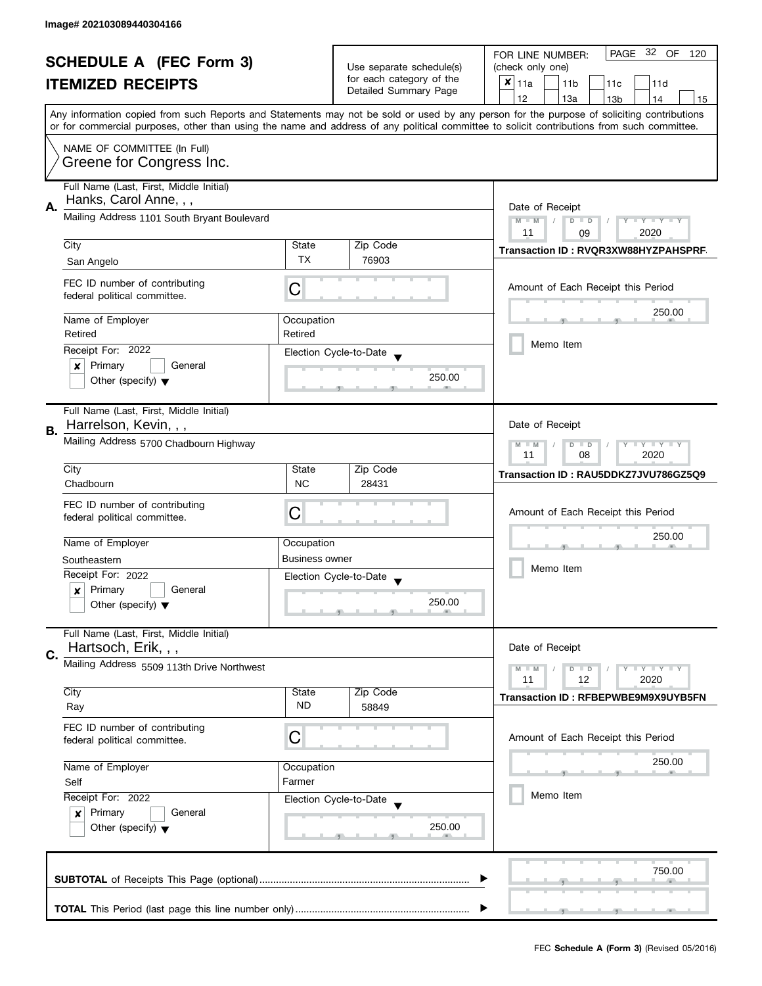| <b>SCHEDULE A (FEC Form 3)</b> |                                                                                                                                                                                   |                                                         | PAGE 32 OF<br>FOR LINE NUMBER:<br>120 |                                                                                                                                            |
|--------------------------------|-----------------------------------------------------------------------------------------------------------------------------------------------------------------------------------|---------------------------------------------------------|---------------------------------------|--------------------------------------------------------------------------------------------------------------------------------------------|
|                                |                                                                                                                                                                                   | Use separate schedule(s)                                | (check only one)                      |                                                                                                                                            |
|                                | <b>ITEMIZED RECEIPTS</b>                                                                                                                                                          |                                                         | for each category of the              | $x _{11a}$<br>11 <sub>b</sub><br>11c<br>11d                                                                                                |
|                                |                                                                                                                                                                                   |                                                         | Detailed Summary Page                 | 12<br>13a<br>13 <sub>b</sub><br>14<br>15                                                                                                   |
|                                |                                                                                                                                                                                   |                                                         |                                       | Any information copied from such Reports and Statements may not be sold or used by any person for the purpose of soliciting contributions  |
|                                |                                                                                                                                                                                   |                                                         |                                       | or for commercial purposes, other than using the name and address of any political committee to solicit contributions from such committee. |
|                                | NAME OF COMMITTEE (In Full)                                                                                                                                                       |                                                         |                                       |                                                                                                                                            |
|                                | Greene for Congress Inc.                                                                                                                                                          |                                                         |                                       |                                                                                                                                            |
|                                |                                                                                                                                                                                   |                                                         |                                       |                                                                                                                                            |
|                                | Full Name (Last, First, Middle Initial)                                                                                                                                           |                                                         |                                       |                                                                                                                                            |
| А.                             | Hanks, Carol Anne, , ,                                                                                                                                                            | Date of Receipt                                         |                                       |                                                                                                                                            |
|                                | Mailing Address 1101 South Bryant Boulevard                                                                                                                                       | $M - M$<br>$\sqrt{ }$<br>$D$ $D$<br>$Y - Y - Y - Y - Y$ |                                       |                                                                                                                                            |
|                                |                                                                                                                                                                                   |                                                         |                                       | 11<br>2020<br>09                                                                                                                           |
|                                | City                                                                                                                                                                              | State                                                   | Zip Code                              | Transaction ID: RVQR3XW88HYZPAHSPRF                                                                                                        |
|                                | San Angelo                                                                                                                                                                        | <b>TX</b>                                               | 76903                                 |                                                                                                                                            |
|                                |                                                                                                                                                                                   |                                                         |                                       |                                                                                                                                            |
|                                | FEC ID number of contributing<br>federal political committee.                                                                                                                     | С                                                       |                                       | Amount of Each Receipt this Period                                                                                                         |
|                                |                                                                                                                                                                                   |                                                         |                                       | 250.00                                                                                                                                     |
|                                | Name of Employer                                                                                                                                                                  | Occupation                                              |                                       |                                                                                                                                            |
|                                | Retired                                                                                                                                                                           | Retired                                                 |                                       | Memo Item                                                                                                                                  |
|                                | Receipt For: 2022                                                                                                                                                                 |                                                         | Election Cycle-to-Date                |                                                                                                                                            |
|                                | Primary<br>General<br>×                                                                                                                                                           |                                                         |                                       |                                                                                                                                            |
|                                | Other (specify) $\blacktriangledown$                                                                                                                                              |                                                         | 250.00                                |                                                                                                                                            |
|                                |                                                                                                                                                                                   |                                                         |                                       |                                                                                                                                            |
|                                | Full Name (Last, First, Middle Initial)                                                                                                                                           |                                                         |                                       |                                                                                                                                            |
| В.                             | Harrelson, Kevin, , ,                                                                                                                                                             |                                                         |                                       | Date of Receipt                                                                                                                            |
|                                | Mailing Address 5700 Chadbourn Highway                                                                                                                                            |                                                         |                                       | $Y = Y + Y$<br>$M - M$<br>D<br>$\Box$                                                                                                      |
|                                |                                                                                                                                                                                   | 11<br>08<br>2020                                        |                                       |                                                                                                                                            |
|                                | City                                                                                                                                                                              | State                                                   | Zip Code                              | Transaction ID: RAU5DDKZ7JVU786GZ5Q9                                                                                                       |
|                                | Chadbourn                                                                                                                                                                         | <b>NC</b>                                               | 28431                                 |                                                                                                                                            |
|                                | FEC ID number of contributing                                                                                                                                                     |                                                         |                                       |                                                                                                                                            |
|                                | federal political committee.                                                                                                                                                      | С                                                       |                                       | Amount of Each Receipt this Period                                                                                                         |
|                                |                                                                                                                                                                                   |                                                         |                                       | 250.00                                                                                                                                     |
|                                | Name of Employer                                                                                                                                                                  | Occupation                                              |                                       |                                                                                                                                            |
|                                | Southeastern                                                                                                                                                                      | <b>Business owner</b>                                   |                                       | Memo Item                                                                                                                                  |
|                                | Receipt For: 2022                                                                                                                                                                 |                                                         | Election Cycle-to-Date                |                                                                                                                                            |
|                                | Primary<br>General<br>x                                                                                                                                                           |                                                         | 250.00                                |                                                                                                                                            |
|                                | Other (specify) $\blacktriangledown$                                                                                                                                              |                                                         |                                       |                                                                                                                                            |
|                                | Full Name (Last, First, Middle Initial)                                                                                                                                           |                                                         |                                       |                                                                                                                                            |
|                                | Hartsoch, Erik, , ,                                                                                                                                                               |                                                         |                                       | Date of Receipt                                                                                                                            |
| C.                             | Mailing Address 5509 113th Drive Northwest                                                                                                                                        |                                                         |                                       |                                                                                                                                            |
|                                |                                                                                                                                                                                   |                                                         |                                       | $M - M$<br>$Y - Y - Y$<br>$\blacksquare$<br>11<br>12<br>2020                                                                               |
|                                | City                                                                                                                                                                              | State                                                   | Zip Code                              |                                                                                                                                            |
|                                | Ray                                                                                                                                                                               | <b>ND</b>                                               | 58849                                 | Transaction ID: RFBEPWBE9M9X9UYB5FN                                                                                                        |
|                                |                                                                                                                                                                                   |                                                         |                                       |                                                                                                                                            |
|                                | FEC ID number of contributing<br>federal political committee.                                                                                                                     | C                                                       |                                       | Amount of Each Receipt this Period                                                                                                         |
|                                |                                                                                                                                                                                   |                                                         |                                       |                                                                                                                                            |
|                                | Name of Employer<br>Occupation<br>Farmer<br>Self<br>Receipt For: 2022<br>Election Cycle-to-Date<br>Primary<br>General<br>$\boldsymbol{x}$<br>Other (specify) $\blacktriangledown$ |                                                         |                                       | 250.00                                                                                                                                     |
|                                |                                                                                                                                                                                   |                                                         |                                       |                                                                                                                                            |
|                                |                                                                                                                                                                                   |                                                         |                                       | Memo Item                                                                                                                                  |
|                                |                                                                                                                                                                                   |                                                         |                                       |                                                                                                                                            |
|                                |                                                                                                                                                                                   |                                                         | 250.00                                |                                                                                                                                            |
|                                |                                                                                                                                                                                   |                                                         |                                       |                                                                                                                                            |
|                                |                                                                                                                                                                                   |                                                         |                                       |                                                                                                                                            |
|                                |                                                                                                                                                                                   |                                                         |                                       | 750.00                                                                                                                                     |
|                                |                                                                                                                                                                                   |                                                         |                                       |                                                                                                                                            |
|                                |                                                                                                                                                                                   |                                                         |                                       |                                                                                                                                            |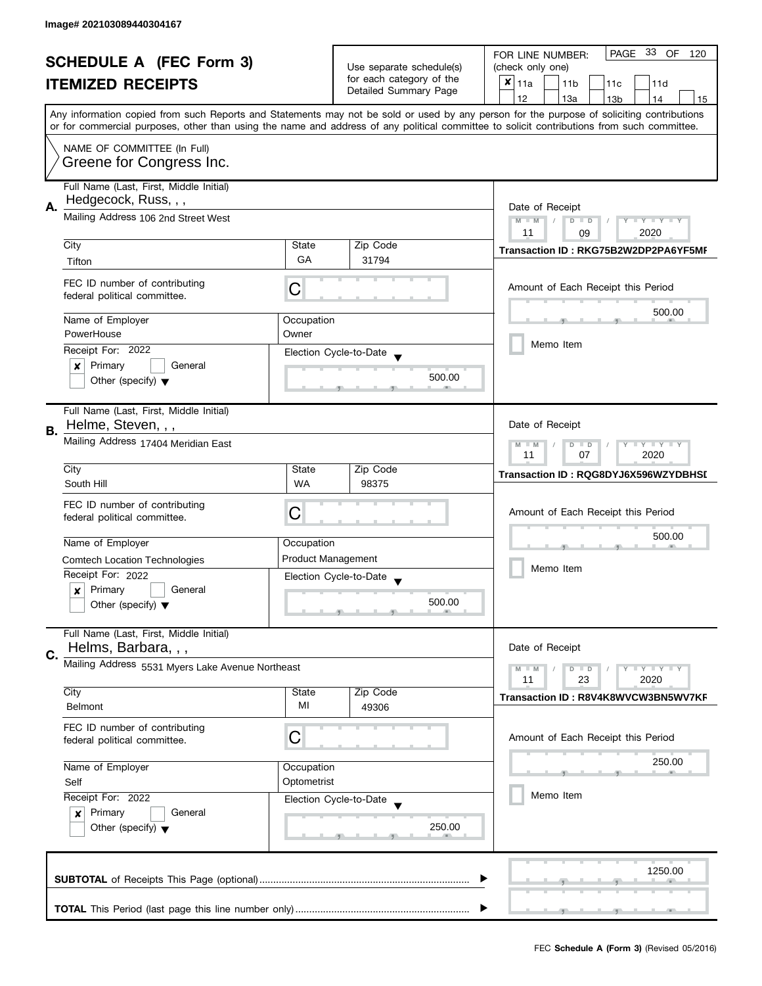| <b>SCHEDULE A (FEC Form 3)</b> |                                                                            |                                                      | PAGE 33 OF<br>FOR LINE NUMBER:<br>120 |                                                                                                                                                                                                                                                                                         |  |
|--------------------------------|----------------------------------------------------------------------------|------------------------------------------------------|---------------------------------------|-----------------------------------------------------------------------------------------------------------------------------------------------------------------------------------------------------------------------------------------------------------------------------------------|--|
|                                |                                                                            | Use separate schedule(s)<br>for each category of the | (check only one)                      |                                                                                                                                                                                                                                                                                         |  |
|                                | <b>ITEMIZED RECEIPTS</b>                                                   |                                                      | Detailed Summary Page                 | $x _{11a}$<br>11 <sub>b</sub><br>11c<br>11d                                                                                                                                                                                                                                             |  |
|                                |                                                                            |                                                      |                                       | 12<br>13a<br>14<br>13 <sub>b</sub><br>15                                                                                                                                                                                                                                                |  |
|                                |                                                                            |                                                      |                                       | Any information copied from such Reports and Statements may not be sold or used by any person for the purpose of soliciting contributions<br>or for commercial purposes, other than using the name and address of any political committee to solicit contributions from such committee. |  |
|                                |                                                                            |                                                      |                                       |                                                                                                                                                                                                                                                                                         |  |
|                                | NAME OF COMMITTEE (In Full)                                                |                                                      |                                       |                                                                                                                                                                                                                                                                                         |  |
|                                | Greene for Congress Inc.                                                   |                                                      |                                       |                                                                                                                                                                                                                                                                                         |  |
|                                | Full Name (Last, First, Middle Initial)                                    |                                                      |                                       |                                                                                                                                                                                                                                                                                         |  |
|                                | Hedgecock, Russ, , ,                                                       |                                                      |                                       |                                                                                                                                                                                                                                                                                         |  |
| А.                             | Mailing Address 106 2nd Street West                                        |                                                      |                                       | Date of Receipt                                                                                                                                                                                                                                                                         |  |
|                                |                                                                            | $M - M$<br>Y TY TY TY<br>$D$ $D$<br>2020<br>11       |                                       |                                                                                                                                                                                                                                                                                         |  |
|                                | City                                                                       | State                                                | Zip Code                              | 09                                                                                                                                                                                                                                                                                      |  |
|                                | Tifton                                                                     | GA                                                   | 31794                                 | Transaction ID: RKG75B2W2DP2PA6YF5MF                                                                                                                                                                                                                                                    |  |
|                                |                                                                            |                                                      |                                       |                                                                                                                                                                                                                                                                                         |  |
|                                | FEC ID number of contributing                                              | С                                                    |                                       | Amount of Each Receipt this Period                                                                                                                                                                                                                                                      |  |
|                                | federal political committee.                                               |                                                      |                                       |                                                                                                                                                                                                                                                                                         |  |
|                                | Name of Employer                                                           | Occupation                                           |                                       | 500.00                                                                                                                                                                                                                                                                                  |  |
|                                | PowerHouse                                                                 | Owner                                                |                                       |                                                                                                                                                                                                                                                                                         |  |
|                                | Receipt For: 2022                                                          |                                                      | Election Cycle-to-Date                | Memo Item                                                                                                                                                                                                                                                                               |  |
|                                | $\boldsymbol{x}$<br>Primary<br>General                                     |                                                      |                                       |                                                                                                                                                                                                                                                                                         |  |
|                                | Other (specify) $\blacktriangledown$                                       |                                                      | 500.00                                |                                                                                                                                                                                                                                                                                         |  |
|                                |                                                                            |                                                      |                                       |                                                                                                                                                                                                                                                                                         |  |
|                                | Full Name (Last, First, Middle Initial)                                    |                                                      |                                       |                                                                                                                                                                                                                                                                                         |  |
|                                | Helme, Steven, , ,                                                         |                                                      |                                       | Date of Receipt                                                                                                                                                                                                                                                                         |  |
| <b>B.</b>                      | Mailing Address 17404 Meridian East                                        |                                                      |                                       |                                                                                                                                                                                                                                                                                         |  |
|                                |                                                                            |                                                      |                                       | $Y = Y + Y$<br>$M - M$<br>$D$ $D$<br>2020<br>11<br>07                                                                                                                                                                                                                                   |  |
|                                | City                                                                       | State                                                | Zip Code                              |                                                                                                                                                                                                                                                                                         |  |
|                                | South Hill                                                                 | <b>WA</b>                                            | 98375                                 | Transaction ID: RQG8DYJ6X596WZYDBHSI                                                                                                                                                                                                                                                    |  |
|                                |                                                                            |                                                      |                                       |                                                                                                                                                                                                                                                                                         |  |
|                                | FEC ID number of contributing                                              | C                                                    |                                       | Amount of Each Receipt this Period                                                                                                                                                                                                                                                      |  |
|                                | federal political committee.                                               |                                                      |                                       |                                                                                                                                                                                                                                                                                         |  |
|                                | Name of Employer                                                           | Occupation                                           |                                       | 500.00                                                                                                                                                                                                                                                                                  |  |
|                                | <b>Comtech Location Technologies</b>                                       | <b>Product Management</b>                            |                                       |                                                                                                                                                                                                                                                                                         |  |
|                                | Receipt For: 2022                                                          |                                                      | Election Cycle-to-Date                | Memo Item                                                                                                                                                                                                                                                                               |  |
|                                | Primary<br>General<br>$\boldsymbol{x}$                                     |                                                      |                                       |                                                                                                                                                                                                                                                                                         |  |
|                                | Other (specify) $\blacktriangledown$                                       |                                                      | 500.00                                |                                                                                                                                                                                                                                                                                         |  |
|                                |                                                                            |                                                      |                                       |                                                                                                                                                                                                                                                                                         |  |
|                                | Full Name (Last, First, Middle Initial)                                    |                                                      |                                       |                                                                                                                                                                                                                                                                                         |  |
|                                | Helms, Barbara, , ,                                                        |                                                      |                                       | Date of Receipt                                                                                                                                                                                                                                                                         |  |
| C.                             | Mailing Address 5531 Myers Lake Avenue Northeast                           |                                                      |                                       | $Y = Y = Y$<br>$M - M$<br>$D$ $D$                                                                                                                                                                                                                                                       |  |
|                                |                                                                            |                                                      |                                       | 11<br>23<br>2020                                                                                                                                                                                                                                                                        |  |
|                                | City                                                                       | State                                                | Zip Code                              | Transaction ID: R8V4K8WVCW3BN5WV7KF                                                                                                                                                                                                                                                     |  |
|                                | <b>Belmont</b>                                                             | MI                                                   | 49306                                 |                                                                                                                                                                                                                                                                                         |  |
|                                | FEC ID number of contributing                                              |                                                      |                                       |                                                                                                                                                                                                                                                                                         |  |
|                                | federal political committee.                                               | C                                                    |                                       | Amount of Each Receipt this Period                                                                                                                                                                                                                                                      |  |
|                                |                                                                            |                                                      |                                       |                                                                                                                                                                                                                                                                                         |  |
|                                | Name of Employer<br>Occupation<br>Optometrist<br>Self<br>Receipt For: 2022 |                                                      |                                       | 250.00                                                                                                                                                                                                                                                                                  |  |
|                                |                                                                            |                                                      |                                       |                                                                                                                                                                                                                                                                                         |  |
|                                |                                                                            |                                                      | Election Cycle-to-Date                | Memo Item                                                                                                                                                                                                                                                                               |  |
|                                | Primary<br>General<br>$\boldsymbol{x}$                                     |                                                      |                                       |                                                                                                                                                                                                                                                                                         |  |
|                                | Other (specify) $\blacktriangledown$                                       |                                                      | 250.00                                |                                                                                                                                                                                                                                                                                         |  |
|                                |                                                                            |                                                      |                                       |                                                                                                                                                                                                                                                                                         |  |
|                                |                                                                            |                                                      |                                       |                                                                                                                                                                                                                                                                                         |  |
|                                |                                                                            |                                                      |                                       | 1250.00                                                                                                                                                                                                                                                                                 |  |
|                                |                                                                            |                                                      |                                       |                                                                                                                                                                                                                                                                                         |  |
|                                |                                                                            |                                                      |                                       |                                                                                                                                                                                                                                                                                         |  |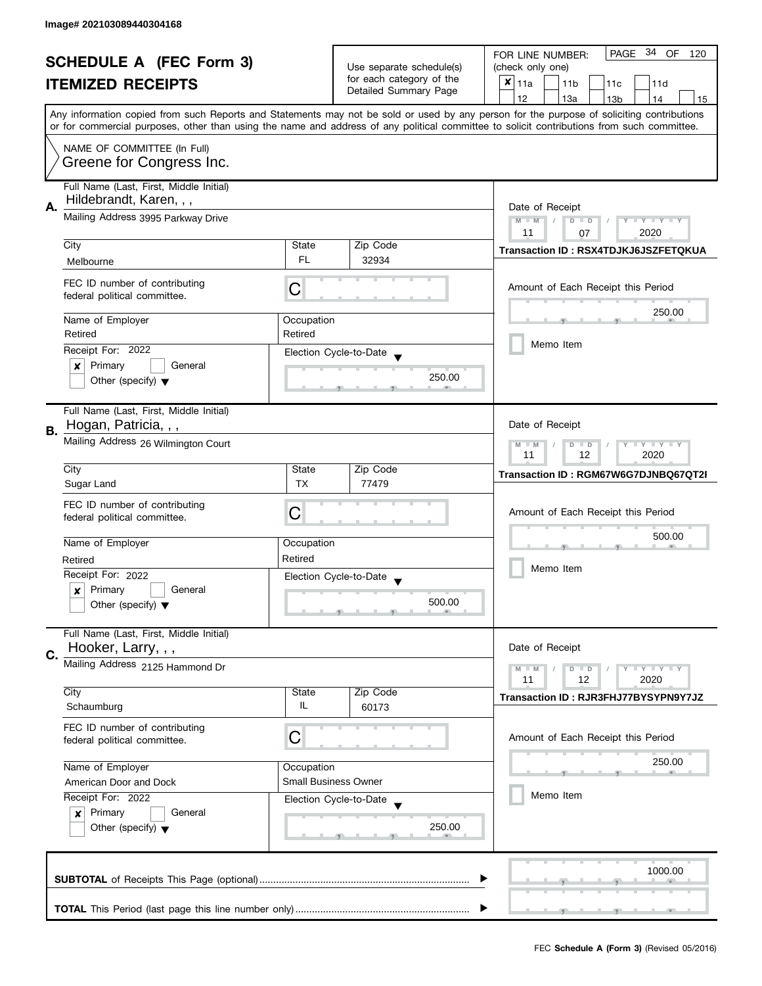| <b>SCHEDULE A (FEC Form 3)</b> |                                                                    |                                                                             | PAGE 34 OF<br>FOR LINE NUMBER:<br>120             |                                                                                                                                                                                                                                                                                         |
|--------------------------------|--------------------------------------------------------------------|-----------------------------------------------------------------------------|---------------------------------------------------|-----------------------------------------------------------------------------------------------------------------------------------------------------------------------------------------------------------------------------------------------------------------------------------------|
|                                |                                                                    | Use separate schedule(s)                                                    | (check only one)                                  |                                                                                                                                                                                                                                                                                         |
|                                | <b>ITEMIZED RECEIPTS</b>                                           |                                                                             | for each category of the<br>Detailed Summary Page | $x _{11a}$<br>11 <sub>b</sub><br>11d<br>11c                                                                                                                                                                                                                                             |
|                                |                                                                    |                                                                             |                                                   | 12<br>13a<br>13 <sub>b</sub><br>14<br>15                                                                                                                                                                                                                                                |
|                                |                                                                    |                                                                             |                                                   | Any information copied from such Reports and Statements may not be sold or used by any person for the purpose of soliciting contributions<br>or for commercial purposes, other than using the name and address of any political committee to solicit contributions from such committee. |
|                                | NAME OF COMMITTEE (In Full)                                        |                                                                             |                                                   |                                                                                                                                                                                                                                                                                         |
|                                | Greene for Congress Inc.                                           |                                                                             |                                                   |                                                                                                                                                                                                                                                                                         |
| А.                             | Full Name (Last, First, Middle Initial)<br>Hildebrandt, Karen, , , |                                                                             |                                                   | Date of Receipt                                                                                                                                                                                                                                                                         |
|                                | Mailing Address 3995 Parkway Drive                                 | $M - M$<br>$\sqrt{2}$<br>$D$ $D$<br>$Y - Y - Y - Y - Y$<br>2020<br>11<br>07 |                                                   |                                                                                                                                                                                                                                                                                         |
|                                | City                                                               | State                                                                       | Zip Code                                          | Transaction ID: RSX4TDJKJ6JSZFETQKUA                                                                                                                                                                                                                                                    |
|                                | Melbourne                                                          | FL.                                                                         | 32934                                             |                                                                                                                                                                                                                                                                                         |
|                                | FEC ID number of contributing<br>federal political committee.      | C                                                                           |                                                   | Amount of Each Receipt this Period                                                                                                                                                                                                                                                      |
|                                | Name of Employer                                                   | Occupation                                                                  |                                                   | 250.00                                                                                                                                                                                                                                                                                  |
|                                | Retired                                                            | Retired                                                                     |                                                   |                                                                                                                                                                                                                                                                                         |
|                                | Receipt For: 2022                                                  |                                                                             | Election Cycle-to-Date                            | Memo Item                                                                                                                                                                                                                                                                               |
|                                | Primary<br>General<br>x                                            |                                                                             |                                                   |                                                                                                                                                                                                                                                                                         |
|                                | Other (specify) $\blacktriangledown$                               |                                                                             | 250.00                                            |                                                                                                                                                                                                                                                                                         |
|                                | Full Name (Last, First, Middle Initial)                            |                                                                             |                                                   |                                                                                                                                                                                                                                                                                         |
| В.                             | Hogan, Patricia, , ,                                               |                                                                             |                                                   | Date of Receipt                                                                                                                                                                                                                                                                         |
|                                | Mailing Address 26 Wilmington Court                                |                                                                             |                                                   | $Y = Y + Y$<br>$M - M$<br>$D$ $D$<br>12<br>2020<br>11                                                                                                                                                                                                                                   |
|                                | City                                                               | State                                                                       | Zip Code                                          | Transaction ID: RGM67W6G7DJNBQ67QT2I                                                                                                                                                                                                                                                    |
|                                | Sugar Land                                                         | <b>TX</b>                                                                   | 77479                                             |                                                                                                                                                                                                                                                                                         |
|                                | FEC ID number of contributing                                      | С                                                                           |                                                   | Amount of Each Receipt this Period                                                                                                                                                                                                                                                      |
|                                | federal political committee.                                       |                                                                             |                                                   |                                                                                                                                                                                                                                                                                         |
|                                | Name of Employer                                                   | Occupation                                                                  |                                                   | 500.00                                                                                                                                                                                                                                                                                  |
|                                | Retired                                                            | Retired                                                                     |                                                   |                                                                                                                                                                                                                                                                                         |
|                                | Receipt For: 2022                                                  |                                                                             | Election Cycle-to-Date                            | Memo Item                                                                                                                                                                                                                                                                               |
|                                | Primary<br>General<br>x                                            |                                                                             |                                                   |                                                                                                                                                                                                                                                                                         |
|                                | Other (specify) $\blacktriangledown$                               |                                                                             | 500.00                                            |                                                                                                                                                                                                                                                                                         |
|                                | Full Name (Last, First, Middle Initial)                            |                                                                             |                                                   |                                                                                                                                                                                                                                                                                         |
| C.                             | Hooker, Larry, , ,                                                 |                                                                             |                                                   | Date of Receipt                                                                                                                                                                                                                                                                         |
|                                | Mailing Address 2125 Hammond Dr                                    |                                                                             |                                                   | $Y = Y = Y$<br>$M - M$<br>$D$ $D$<br>11<br>12<br>2020                                                                                                                                                                                                                                   |
|                                | City                                                               | State                                                                       | Zip Code                                          |                                                                                                                                                                                                                                                                                         |
|                                | Schaumburg                                                         | IL                                                                          | 60173                                             | Transaction ID: RJR3FHJ77BYSYPN9Y7JZ                                                                                                                                                                                                                                                    |
|                                | FEC ID number of contributing                                      |                                                                             |                                                   |                                                                                                                                                                                                                                                                                         |
|                                | federal political committee.                                       | С                                                                           |                                                   | Amount of Each Receipt this Period                                                                                                                                                                                                                                                      |
|                                | Name of Employer                                                   | Occupation                                                                  |                                                   | 250.00                                                                                                                                                                                                                                                                                  |
|                                | American Door and Dock                                             |                                                                             | <b>Small Business Owner</b>                       |                                                                                                                                                                                                                                                                                         |
|                                | Receipt For: 2022                                                  |                                                                             | Election Cycle-to-Date                            | Memo Item                                                                                                                                                                                                                                                                               |
|                                | Primary<br>General<br>$\boldsymbol{x}$                             |                                                                             |                                                   |                                                                                                                                                                                                                                                                                         |
|                                | Other (specify) $\blacktriangledown$                               |                                                                             | 250.00                                            |                                                                                                                                                                                                                                                                                         |
|                                |                                                                    |                                                                             |                                                   |                                                                                                                                                                                                                                                                                         |
|                                |                                                                    |                                                                             |                                                   |                                                                                                                                                                                                                                                                                         |
|                                |                                                                    |                                                                             |                                                   | 1000.00                                                                                                                                                                                                                                                                                 |
|                                |                                                                    |                                                                             |                                                   |                                                                                                                                                                                                                                                                                         |
|                                |                                                                    |                                                                             |                                                   |                                                                                                                                                                                                                                                                                         |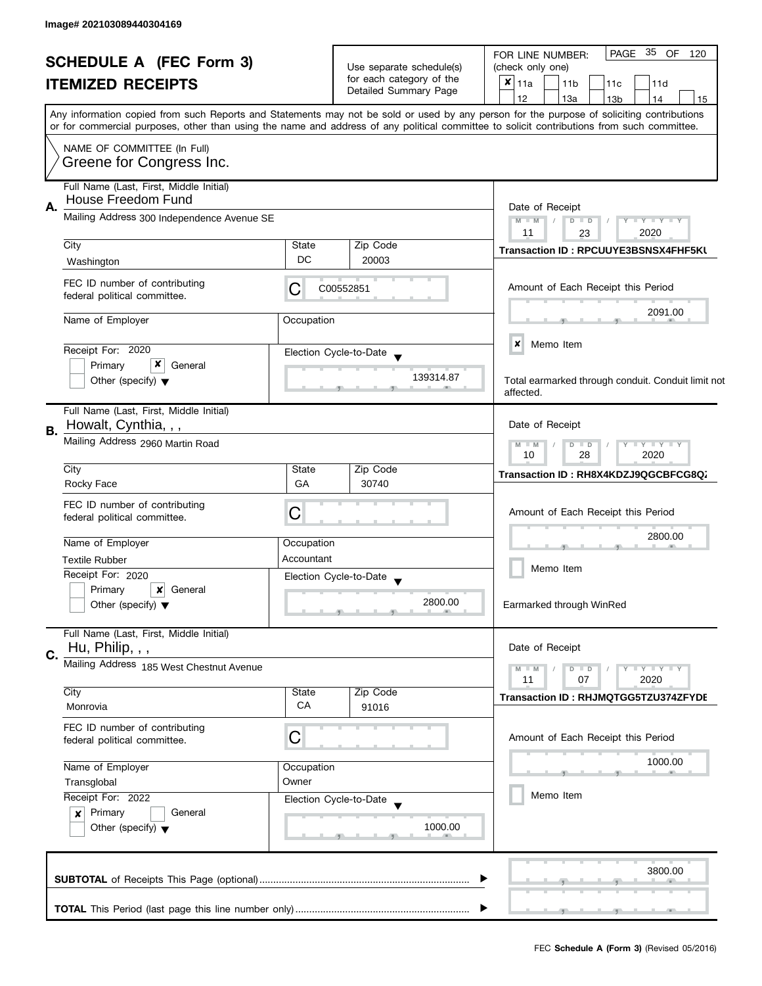|                                                                 |                                                                                  |                          | PAGE 35 OF<br>FOR LINE NUMBER:<br>120                                                                                                                                                                                                                                                   |  |  |
|-----------------------------------------------------------------|----------------------------------------------------------------------------------|--------------------------|-----------------------------------------------------------------------------------------------------------------------------------------------------------------------------------------------------------------------------------------------------------------------------------------|--|--|
| <b>SCHEDULE A (FEC Form 3)</b><br><b>ITEMIZED RECEIPTS</b>      |                                                                                  | Use separate schedule(s) | (check only one)                                                                                                                                                                                                                                                                        |  |  |
|                                                                 |                                                                                  | for each category of the | $x _{11a}$<br>11 <sub>b</sub><br>11c<br>11d                                                                                                                                                                                                                                             |  |  |
|                                                                 |                                                                                  | Detailed Summary Page    | 12<br>13a<br>13 <sub>b</sub><br>14<br>15                                                                                                                                                                                                                                                |  |  |
|                                                                 |                                                                                  |                          | Any information copied from such Reports and Statements may not be sold or used by any person for the purpose of soliciting contributions<br>or for commercial purposes, other than using the name and address of any political committee to solicit contributions from such committee. |  |  |
| NAME OF COMMITTEE (In Full)                                     |                                                                                  |                          |                                                                                                                                                                                                                                                                                         |  |  |
| Greene for Congress Inc.                                        |                                                                                  |                          |                                                                                                                                                                                                                                                                                         |  |  |
| Full Name (Last, First, Middle Initial)<br>House Freedom Fund   |                                                                                  |                          |                                                                                                                                                                                                                                                                                         |  |  |
| А.<br>Mailing Address 300 Independence Avenue SE                | Date of Receipt<br>$M - M$<br>$D$ $D$<br>$Y - Y - Y - Y - Y$<br>11<br>2020<br>23 |                          |                                                                                                                                                                                                                                                                                         |  |  |
| City                                                            | State                                                                            | Zip Code                 | Transaction ID: RPCUUYE3BSNSX4FHF5KU                                                                                                                                                                                                                                                    |  |  |
| Washington                                                      | DC                                                                               | 20003                    |                                                                                                                                                                                                                                                                                         |  |  |
| FEC ID number of contributing<br>federal political committee.   | C                                                                                | C00552851                | Amount of Each Receipt this Period                                                                                                                                                                                                                                                      |  |  |
| Name of Employer                                                | Occupation                                                                       |                          | 2091.00                                                                                                                                                                                                                                                                                 |  |  |
|                                                                 |                                                                                  |                          |                                                                                                                                                                                                                                                                                         |  |  |
| Receipt For: 2020                                               |                                                                                  | Election Cycle-to-Date   | ×<br>Memo Item                                                                                                                                                                                                                                                                          |  |  |
| x<br>Primary<br>General                                         |                                                                                  |                          |                                                                                                                                                                                                                                                                                         |  |  |
| Other (specify) $\blacktriangledown$                            |                                                                                  | 139314.87                | Total earmarked through conduit. Conduit limit not<br>affected.                                                                                                                                                                                                                         |  |  |
| Full Name (Last, First, Middle Initial)<br>Howalt, Cynthia, , , |                                                                                  |                          | Date of Receipt                                                                                                                                                                                                                                                                         |  |  |
| В.<br>Mailing Address 2960 Martin Road                          |                                                                                  |                          |                                                                                                                                                                                                                                                                                         |  |  |
| City                                                            | State                                                                            | Zip Code                 | Transaction ID: RH8X4KDZJ9QGCBFCG8Q.                                                                                                                                                                                                                                                    |  |  |
| Rocky Face                                                      | GA                                                                               | 30740                    |                                                                                                                                                                                                                                                                                         |  |  |
| FEC ID number of contributing                                   |                                                                                  |                          |                                                                                                                                                                                                                                                                                         |  |  |
| federal political committee.                                    | Ĉ                                                                                |                          | Amount of Each Receipt this Period                                                                                                                                                                                                                                                      |  |  |
| Name of Employer                                                | Occupation                                                                       |                          | 2800.00                                                                                                                                                                                                                                                                                 |  |  |
| <b>Textile Rubber</b>                                           | Accountant                                                                       |                          |                                                                                                                                                                                                                                                                                         |  |  |
| Receipt For: 2020                                               |                                                                                  | Election Cycle-to-Date   | Memo Item                                                                                                                                                                                                                                                                               |  |  |
| Primary<br>General<br>$\boldsymbol{x}$                          |                                                                                  |                          |                                                                                                                                                                                                                                                                                         |  |  |
| Other (specify) $\blacktriangledown$                            |                                                                                  | 2800.00                  | Earmarked through WinRed                                                                                                                                                                                                                                                                |  |  |
| Full Name (Last, First, Middle Initial)<br>Hu, Philip, , ,      |                                                                                  |                          | Date of Receipt                                                                                                                                                                                                                                                                         |  |  |
| C.<br>Mailing Address 185 West Chestnut Avenue                  |                                                                                  |                          | $M - M$<br>$D$ $D$<br>$\bot$ $\gamma$ $\bot$ $\gamma$ $\bot$ $\gamma$                                                                                                                                                                                                                   |  |  |
|                                                                 |                                                                                  |                          | 11<br>07<br>2020                                                                                                                                                                                                                                                                        |  |  |
| City                                                            | State                                                                            | Zip Code                 | Transaction ID: RHJMQTGG5TZU374ZFYDE                                                                                                                                                                                                                                                    |  |  |
| Monrovia                                                        | СA                                                                               | 91016                    |                                                                                                                                                                                                                                                                                         |  |  |
| FEC ID number of contributing<br>federal political committee.   | С                                                                                |                          | Amount of Each Receipt this Period                                                                                                                                                                                                                                                      |  |  |
| Name of Employer                                                | Occupation                                                                       |                          | 1000.00                                                                                                                                                                                                                                                                                 |  |  |
| Transglobal                                                     | Owner                                                                            |                          |                                                                                                                                                                                                                                                                                         |  |  |
| Receipt For: 2022                                               |                                                                                  | Election Cycle-to-Date   | Memo Item                                                                                                                                                                                                                                                                               |  |  |
| Primary<br>General<br>$\boldsymbol{x}$                          |                                                                                  |                          |                                                                                                                                                                                                                                                                                         |  |  |
| Other (specify) $\blacktriangledown$                            |                                                                                  | 1000.00                  |                                                                                                                                                                                                                                                                                         |  |  |
|                                                                 |                                                                                  |                          | 3800.00                                                                                                                                                                                                                                                                                 |  |  |
|                                                                 |                                                                                  |                          |                                                                                                                                                                                                                                                                                         |  |  |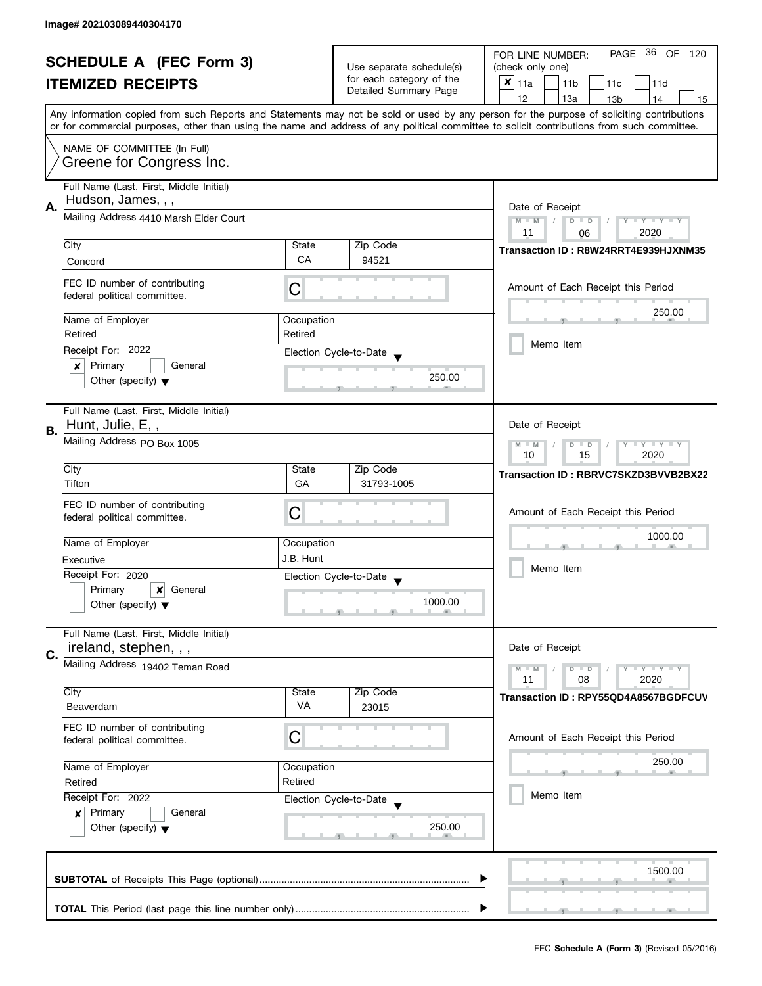| <b>SCHEDULE A (FEC Form 3)</b> |                                                                                       |                                                                            | PAGE 36 OF<br>FOR LINE NUMBER:<br>120             |                                                                                                                                            |
|--------------------------------|---------------------------------------------------------------------------------------|----------------------------------------------------------------------------|---------------------------------------------------|--------------------------------------------------------------------------------------------------------------------------------------------|
|                                |                                                                                       | Use separate schedule(s)                                                   | (check only one)                                  |                                                                                                                                            |
|                                | <b>ITEMIZED RECEIPTS</b>                                                              |                                                                            | for each category of the<br>Detailed Summary Page | $x _{11a}$<br>11 <sub>b</sub><br>11c<br>11d                                                                                                |
|                                |                                                                                       |                                                                            |                                                   | 12<br>13a<br>13 <sub>b</sub><br>14<br>15                                                                                                   |
|                                |                                                                                       |                                                                            |                                                   | Any information copied from such Reports and Statements may not be sold or used by any person for the purpose of soliciting contributions  |
|                                |                                                                                       |                                                                            |                                                   | or for commercial purposes, other than using the name and address of any political committee to solicit contributions from such committee. |
|                                | NAME OF COMMITTEE (In Full)                                                           |                                                                            |                                                   |                                                                                                                                            |
|                                | Greene for Congress Inc.                                                              |                                                                            |                                                   |                                                                                                                                            |
|                                | Full Name (Last, First, Middle Initial)                                               |                                                                            |                                                   |                                                                                                                                            |
|                                | Hudson, James, , ,                                                                    |                                                                            |                                                   |                                                                                                                                            |
| А.                             | Mailing Address 4410 Marsh Elder Court                                                | Date of Receipt<br>$M - M$<br>$\sqrt{ }$<br>$D$ $D$<br>$Y - Y - Y - Y - Y$ |                                                   |                                                                                                                                            |
|                                |                                                                                       | 2020<br>11<br>06                                                           |                                                   |                                                                                                                                            |
|                                | City                                                                                  | State                                                                      | Zip Code                                          | Transaction ID: R8W24RRT4E939HJXNM35                                                                                                       |
|                                | Concord                                                                               | CA                                                                         | 94521                                             |                                                                                                                                            |
|                                | FEC ID number of contributing                                                         |                                                                            |                                                   |                                                                                                                                            |
|                                | federal political committee.                                                          | С                                                                          |                                                   | Amount of Each Receipt this Period                                                                                                         |
|                                |                                                                                       |                                                                            |                                                   | 250.00                                                                                                                                     |
|                                | Name of Employer<br>Retired                                                           | Occupation<br>Retired                                                      |                                                   |                                                                                                                                            |
|                                | Receipt For: 2022                                                                     |                                                                            |                                                   | Memo Item                                                                                                                                  |
|                                | Primary<br>General<br>×                                                               |                                                                            | Election Cycle-to-Date                            |                                                                                                                                            |
|                                | Other (specify) $\blacktriangledown$                                                  |                                                                            | 250.00                                            |                                                                                                                                            |
|                                |                                                                                       |                                                                            |                                                   |                                                                                                                                            |
|                                | Full Name (Last, First, Middle Initial)                                               |                                                                            |                                                   |                                                                                                                                            |
| В.                             | Hunt, Julie, E,,                                                                      |                                                                            |                                                   | Date of Receipt                                                                                                                            |
|                                | Mailing Address PO Box 1005                                                           |                                                                            |                                                   | $Y = Y + Y$<br>$M - M$<br>D<br>$\Box$                                                                                                      |
|                                |                                                                                       | 2020<br>10<br>15                                                           |                                                   |                                                                                                                                            |
|                                | City<br>Tifton                                                                        | State<br>GA                                                                | Zip Code<br>31793-1005                            | Transaction ID: RBRVC7SKZD3BVVB2BX22                                                                                                       |
|                                |                                                                                       |                                                                            |                                                   |                                                                                                                                            |
|                                | FEC ID number of contributing                                                         | С                                                                          |                                                   | Amount of Each Receipt this Period                                                                                                         |
|                                | federal political committee.                                                          |                                                                            |                                                   |                                                                                                                                            |
|                                | Name of Employer                                                                      | Occupation                                                                 |                                                   | 1000.00                                                                                                                                    |
|                                | Executive                                                                             | J.B. Hunt                                                                  |                                                   |                                                                                                                                            |
|                                | Receipt For: 2020                                                                     |                                                                            | Election Cycle-to-Date                            | Memo Item                                                                                                                                  |
|                                | Primary<br>×<br>General                                                               |                                                                            |                                                   |                                                                                                                                            |
|                                | Other (specify) $\blacktriangledown$                                                  |                                                                            | 1000.00                                           |                                                                                                                                            |
|                                |                                                                                       |                                                                            |                                                   |                                                                                                                                            |
|                                | Full Name (Last, First, Middle Initial)<br>ireland, stephen, , ,                      |                                                                            |                                                   | Date of Receipt                                                                                                                            |
| C.                             | Mailing Address 19402 Teman Road                                                      |                                                                            |                                                   |                                                                                                                                            |
|                                |                                                                                       |                                                                            |                                                   | $M - M$<br>$Y - Y - Y$<br>$D$ $D$<br>11<br>08<br>2020                                                                                      |
|                                | City                                                                                  | State                                                                      | Zip Code                                          | Transaction ID: RPY55QD4A8567BGDFCUV                                                                                                       |
|                                | Beaverdam                                                                             | VA                                                                         | 23015                                             |                                                                                                                                            |
|                                | FEC ID number of contributing                                                         |                                                                            |                                                   |                                                                                                                                            |
|                                | federal political committee.                                                          | C                                                                          |                                                   | Amount of Each Receipt this Period                                                                                                         |
|                                |                                                                                       |                                                                            |                                                   | 250.00                                                                                                                                     |
|                                | Name of Employer<br>Retired                                                           | Occupation<br>Retired                                                      |                                                   |                                                                                                                                            |
|                                | Receipt For: 2022<br>Election Cycle-to-Date<br>Primary<br>General<br>$\boldsymbol{x}$ |                                                                            |                                                   | Memo Item                                                                                                                                  |
|                                |                                                                                       |                                                                            |                                                   |                                                                                                                                            |
|                                | Other (specify) $\blacktriangledown$                                                  |                                                                            | 250.00                                            |                                                                                                                                            |
|                                |                                                                                       |                                                                            |                                                   |                                                                                                                                            |
|                                |                                                                                       |                                                                            |                                                   |                                                                                                                                            |
|                                |                                                                                       |                                                                            |                                                   | 1500.00                                                                                                                                    |
|                                |                                                                                       |                                                                            |                                                   |                                                                                                                                            |
|                                |                                                                                       |                                                                            |                                                   |                                                                                                                                            |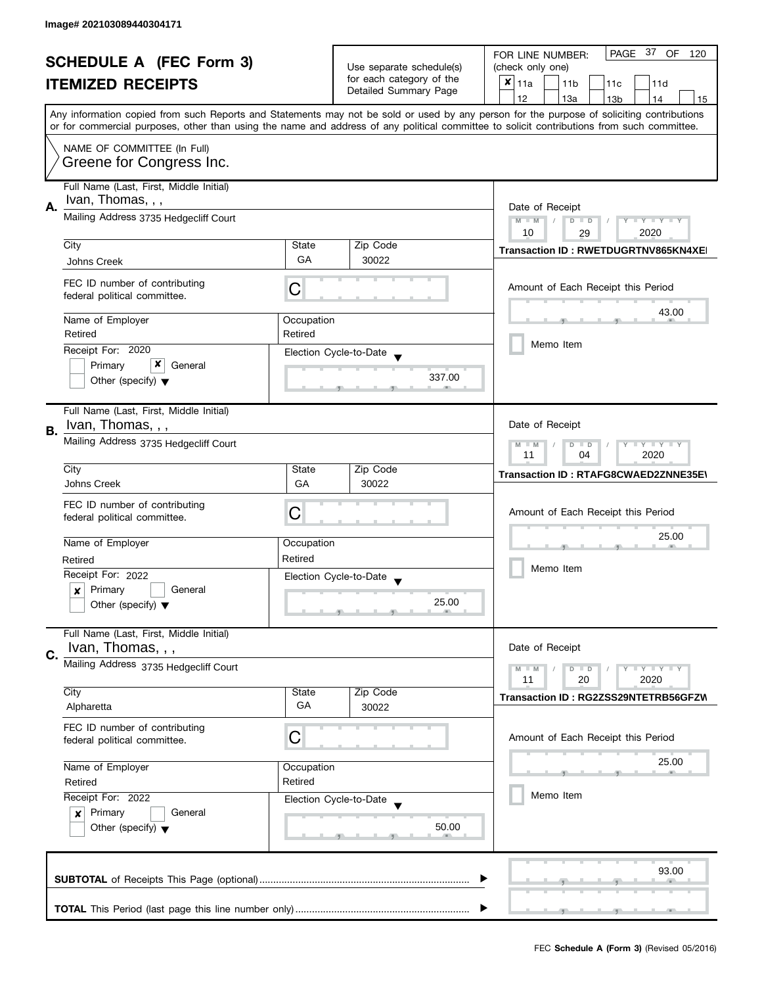| <b>SCHEDULE A (FEC Form 3)</b> |                                                                                | Use separate schedule(s)                              | PAGE 37<br>OF<br>FOR LINE NUMBER:<br>120<br>(check only one) |                                                                                                                                                                                                                                                                                         |  |
|--------------------------------|--------------------------------------------------------------------------------|-------------------------------------------------------|--------------------------------------------------------------|-----------------------------------------------------------------------------------------------------------------------------------------------------------------------------------------------------------------------------------------------------------------------------------------|--|
|                                | <b>ITEMIZED RECEIPTS</b>                                                       |                                                       | for each category of the                                     | $x _{11a}$<br>11 <sub>b</sub><br>11c<br>11d                                                                                                                                                                                                                                             |  |
|                                |                                                                                |                                                       | Detailed Summary Page                                        | 12<br>13a<br>14<br>13 <sub>b</sub><br>15                                                                                                                                                                                                                                                |  |
|                                |                                                                                |                                                       |                                                              | Any information copied from such Reports and Statements may not be sold or used by any person for the purpose of soliciting contributions<br>or for commercial purposes, other than using the name and address of any political committee to solicit contributions from such committee. |  |
|                                | NAME OF COMMITTEE (In Full)<br>Greene for Congress Inc.                        |                                                       |                                                              |                                                                                                                                                                                                                                                                                         |  |
| А.                             | Full Name (Last, First, Middle Initial)<br>Ivan, Thomas, , ,                   |                                                       |                                                              | Date of Receipt                                                                                                                                                                                                                                                                         |  |
|                                | Mailing Address 3735 Hedgecliff Court                                          |                                                       |                                                              | Y TY TY TY<br>$M - M$<br>$D$ $D$<br>10<br>2020<br>29                                                                                                                                                                                                                                    |  |
|                                | City                                                                           | State<br>GA                                           | Zip Code                                                     | Transaction ID: RWETDUGRTNV865KN4XEI                                                                                                                                                                                                                                                    |  |
|                                | Johns Creek                                                                    |                                                       | 30022                                                        |                                                                                                                                                                                                                                                                                         |  |
|                                | FEC ID number of contributing<br>federal political committee.                  | С                                                     |                                                              | Amount of Each Receipt this Period                                                                                                                                                                                                                                                      |  |
|                                | Name of Employer                                                               | Occupation                                            |                                                              | 43.00                                                                                                                                                                                                                                                                                   |  |
|                                | Retired                                                                        | Retired                                               |                                                              | Memo Item                                                                                                                                                                                                                                                                               |  |
|                                | Receipt For: 2020                                                              |                                                       | Election Cycle-to-Date                                       |                                                                                                                                                                                                                                                                                         |  |
|                                | x<br>Primary<br>General<br>Other (specify) $\blacktriangledown$                |                                                       | 337.00                                                       |                                                                                                                                                                                                                                                                                         |  |
| В.                             | Full Name (Last, First, Middle Initial)<br>Ivan, Thomas, , ,                   |                                                       |                                                              | Date of Receipt                                                                                                                                                                                                                                                                         |  |
|                                | Mailing Address 3735 Hedgecliff Court                                          | $Y = Y + Y$<br>$M - M$<br>$D$ $D$<br>11<br>2020<br>04 |                                                              |                                                                                                                                                                                                                                                                                         |  |
|                                | City                                                                           | State                                                 | Zip Code                                                     | Transaction ID: RTAFG8CWAED2ZNNE35E\                                                                                                                                                                                                                                                    |  |
|                                | Johns Creek                                                                    | GA                                                    | 30022                                                        |                                                                                                                                                                                                                                                                                         |  |
|                                | FEC ID number of contributing<br>federal political committee.                  | C                                                     |                                                              | Amount of Each Receipt this Period                                                                                                                                                                                                                                                      |  |
|                                | Name of Employer                                                               | Occupation                                            |                                                              | 25.00                                                                                                                                                                                                                                                                                   |  |
|                                | Retired                                                                        | Retired                                               |                                                              | Memo Item                                                                                                                                                                                                                                                                               |  |
|                                | Receipt For: 2022                                                              |                                                       | Election Cycle-to-Date                                       |                                                                                                                                                                                                                                                                                         |  |
|                                | Primary<br>General<br>$\boldsymbol{x}$<br>Other (specify) $\blacktriangledown$ |                                                       | 25.00                                                        |                                                                                                                                                                                                                                                                                         |  |
|                                | Full Name (Last, First, Middle Initial)<br>Ivan, Thomas, , ,                   |                                                       |                                                              | Date of Receipt                                                                                                                                                                                                                                                                         |  |
| C.                             | Mailing Address 3735 Hedgecliff Court                                          |                                                       |                                                              | $\bot$ Y $\bot$ Y $\bot$ Y<br>$M - M$<br>$D$ $D$<br>11<br>20<br>2020                                                                                                                                                                                                                    |  |
|                                | City                                                                           | State                                                 | Zip Code                                                     | Transaction ID: RG2ZSS29NTETRB56GFZW                                                                                                                                                                                                                                                    |  |
|                                | Alpharetta                                                                     | GA                                                    | 30022                                                        |                                                                                                                                                                                                                                                                                         |  |
|                                | FEC ID number of contributing<br>federal political committee.                  | С                                                     |                                                              | Amount of Each Receipt this Period                                                                                                                                                                                                                                                      |  |
|                                | Name of Employer                                                               | Occupation                                            |                                                              | 25.00                                                                                                                                                                                                                                                                                   |  |
|                                | Retired<br>Retired                                                             |                                                       |                                                              |                                                                                                                                                                                                                                                                                         |  |
|                                | Receipt For: 2022                                                              |                                                       | Election Cycle-to-Date                                       | Memo Item                                                                                                                                                                                                                                                                               |  |
|                                | Primary<br>General<br>$\mathbf{x}$<br>Other (specify) $\blacktriangledown$     |                                                       | 50.00                                                        |                                                                                                                                                                                                                                                                                         |  |
|                                |                                                                                |                                                       |                                                              | 93.00                                                                                                                                                                                                                                                                                   |  |
|                                |                                                                                |                                                       |                                                              |                                                                                                                                                                                                                                                                                         |  |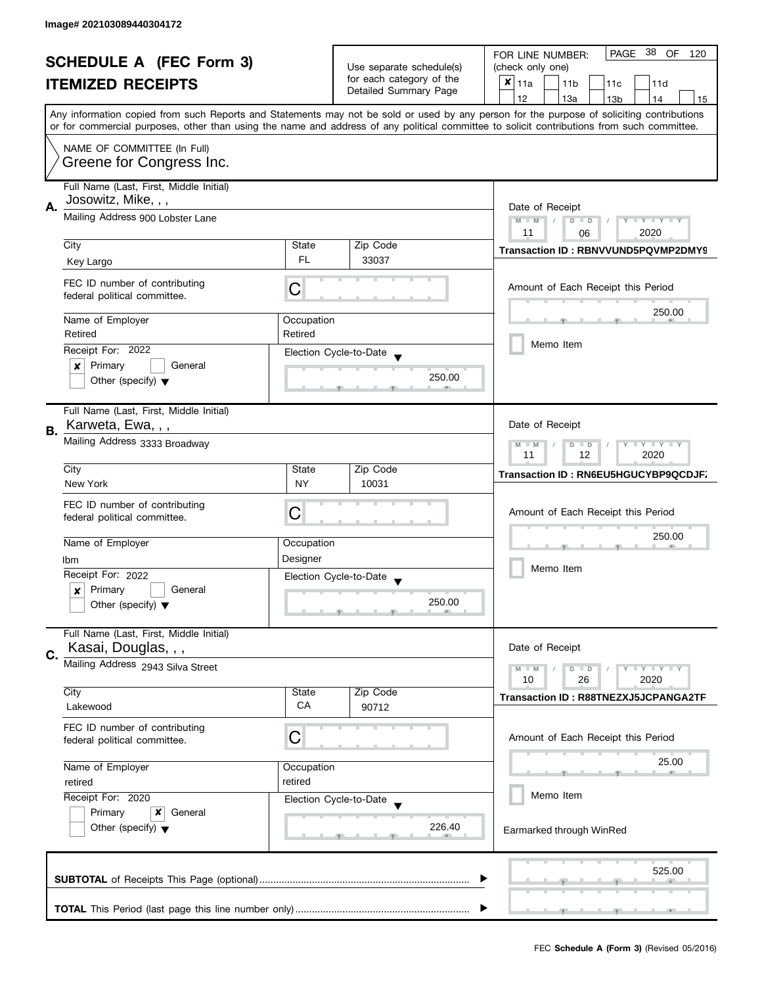| <b>SCHEDULE A (FEC Form 3)</b> |                                           |                        | PAGE 38 OF<br>FOR LINE NUMBER:<br>120             |                                                                                                                                                                                                                                                                                         |
|--------------------------------|-------------------------------------------|------------------------|---------------------------------------------------|-----------------------------------------------------------------------------------------------------------------------------------------------------------------------------------------------------------------------------------------------------------------------------------------|
|                                |                                           |                        | Use separate schedule(s)                          | (check only one)                                                                                                                                                                                                                                                                        |
|                                | <b>ITEMIZED RECEIPTS</b>                  |                        | for each category of the<br>Detailed Summary Page | $x _{11a}$<br>11 <sub>b</sub><br>11c<br>11d                                                                                                                                                                                                                                             |
|                                |                                           |                        |                                                   | 12<br>13a<br>13 <sub>b</sub><br>14<br>15                                                                                                                                                                                                                                                |
|                                |                                           |                        |                                                   | Any information copied from such Reports and Statements may not be sold or used by any person for the purpose of soliciting contributions<br>or for commercial purposes, other than using the name and address of any political committee to solicit contributions from such committee. |
|                                |                                           |                        |                                                   |                                                                                                                                                                                                                                                                                         |
|                                | NAME OF COMMITTEE (In Full)               |                        |                                                   |                                                                                                                                                                                                                                                                                         |
|                                | Greene for Congress Inc.                  |                        |                                                   |                                                                                                                                                                                                                                                                                         |
|                                | Full Name (Last, First, Middle Initial)   |                        |                                                   |                                                                                                                                                                                                                                                                                         |
|                                | Josowitz, Mike, , ,                       |                        |                                                   |                                                                                                                                                                                                                                                                                         |
| А.                             | Mailing Address 900 Lobster Lane          | Date of Receipt        |                                                   |                                                                                                                                                                                                                                                                                         |
|                                |                                           |                        |                                                   | $M - M$<br>$\sqrt{2}$<br>$D$ $D$<br>$Y - Y - Y - Y - Y$<br>11<br>2020<br>06                                                                                                                                                                                                             |
|                                | City                                      | State                  | Zip Code                                          |                                                                                                                                                                                                                                                                                         |
|                                | Key Largo                                 | FL.                    | 33037                                             | Transaction ID: RBNVVUND5PQVMP2DMY9                                                                                                                                                                                                                                                     |
|                                |                                           |                        |                                                   |                                                                                                                                                                                                                                                                                         |
|                                | FEC ID number of contributing             | C                      |                                                   | Amount of Each Receipt this Period                                                                                                                                                                                                                                                      |
|                                | federal political committee.              |                        |                                                   |                                                                                                                                                                                                                                                                                         |
|                                | Name of Employer                          | Occupation             |                                                   | 250.00                                                                                                                                                                                                                                                                                  |
|                                | Retired                                   | Retired                |                                                   |                                                                                                                                                                                                                                                                                         |
|                                | Receipt For: 2022                         |                        | Election Cycle-to-Date                            | Memo Item                                                                                                                                                                                                                                                                               |
|                                | Primary<br>General<br>x                   |                        |                                                   |                                                                                                                                                                                                                                                                                         |
|                                | Other (specify) $\blacktriangledown$      |                        | 250.00                                            |                                                                                                                                                                                                                                                                                         |
|                                |                                           |                        |                                                   |                                                                                                                                                                                                                                                                                         |
|                                | Full Name (Last, First, Middle Initial)   |                        |                                                   |                                                                                                                                                                                                                                                                                         |
| В.                             | Karweta, Ewa, , ,                         |                        |                                                   | Date of Receipt                                                                                                                                                                                                                                                                         |
|                                | Mailing Address 3333 Broadway             |                        |                                                   | $Y = Y + Y$<br>$M - M$<br>$D$ $D$                                                                                                                                                                                                                                                       |
|                                |                                           | 12<br>2020<br>11       |                                                   |                                                                                                                                                                                                                                                                                         |
|                                | City                                      | State                  | Zip Code                                          | <b>Transaction ID: RN6EU5HGUCYBP9QCDJF.</b>                                                                                                                                                                                                                                             |
|                                | New York                                  | <b>NY</b>              | 10031                                             |                                                                                                                                                                                                                                                                                         |
|                                | FEC ID number of contributing             |                        |                                                   |                                                                                                                                                                                                                                                                                         |
|                                | federal political committee.              | С                      |                                                   | Amount of Each Receipt this Period                                                                                                                                                                                                                                                      |
|                                | Name of Employer                          |                        |                                                   | 250.00                                                                                                                                                                                                                                                                                  |
|                                |                                           | Occupation<br>Designer |                                                   |                                                                                                                                                                                                                                                                                         |
|                                | lbm<br>Receipt For: 2022                  |                        |                                                   | Memo Item                                                                                                                                                                                                                                                                               |
|                                | Primary<br>General                        |                        | Election Cycle-to-Date                            |                                                                                                                                                                                                                                                                                         |
|                                | x<br>Other (specify) $\blacktriangledown$ |                        | 250.00                                            |                                                                                                                                                                                                                                                                                         |
|                                |                                           |                        |                                                   |                                                                                                                                                                                                                                                                                         |
|                                | Full Name (Last, First, Middle Initial)   |                        |                                                   |                                                                                                                                                                                                                                                                                         |
|                                | Kasai, Douglas, , ,                       |                        |                                                   | Date of Receipt                                                                                                                                                                                                                                                                         |
| C.                             | Mailing Address 2943 Silva Street         |                        |                                                   | $M - M$<br>Y L Y L Y<br>$D$ $D$                                                                                                                                                                                                                                                         |
|                                |                                           |                        |                                                   | 10<br>26<br>2020                                                                                                                                                                                                                                                                        |
|                                | City                                      | State                  | Zip Code                                          | Transaction ID: R88TNEZXJ5JCPANGA2TF                                                                                                                                                                                                                                                    |
|                                | Lakewood                                  | CA                     | 90712                                             |                                                                                                                                                                                                                                                                                         |
|                                | FEC ID number of contributing             |                        |                                                   |                                                                                                                                                                                                                                                                                         |
|                                | federal political committee.              | С                      |                                                   | Amount of Each Receipt this Period                                                                                                                                                                                                                                                      |
|                                |                                           |                        |                                                   | 25.00                                                                                                                                                                                                                                                                                   |
|                                | Name of Employer                          | Occupation             |                                                   |                                                                                                                                                                                                                                                                                         |
|                                | retired                                   | retired                |                                                   | Memo Item                                                                                                                                                                                                                                                                               |
|                                | Receipt For: 2020                         |                        | Election Cycle-to-Date                            |                                                                                                                                                                                                                                                                                         |
|                                | Primary<br>x<br>General                   |                        |                                                   |                                                                                                                                                                                                                                                                                         |
|                                | Other (specify) $\blacktriangledown$      |                        | 226.40                                            | Earmarked through WinRed                                                                                                                                                                                                                                                                |
|                                |                                           |                        |                                                   |                                                                                                                                                                                                                                                                                         |
|                                |                                           |                        |                                                   | 525.00                                                                                                                                                                                                                                                                                  |
|                                |                                           |                        |                                                   |                                                                                                                                                                                                                                                                                         |
|                                |                                           |                        |                                                   |                                                                                                                                                                                                                                                                                         |
|                                |                                           |                        |                                                   |                                                                                                                                                                                                                                                                                         |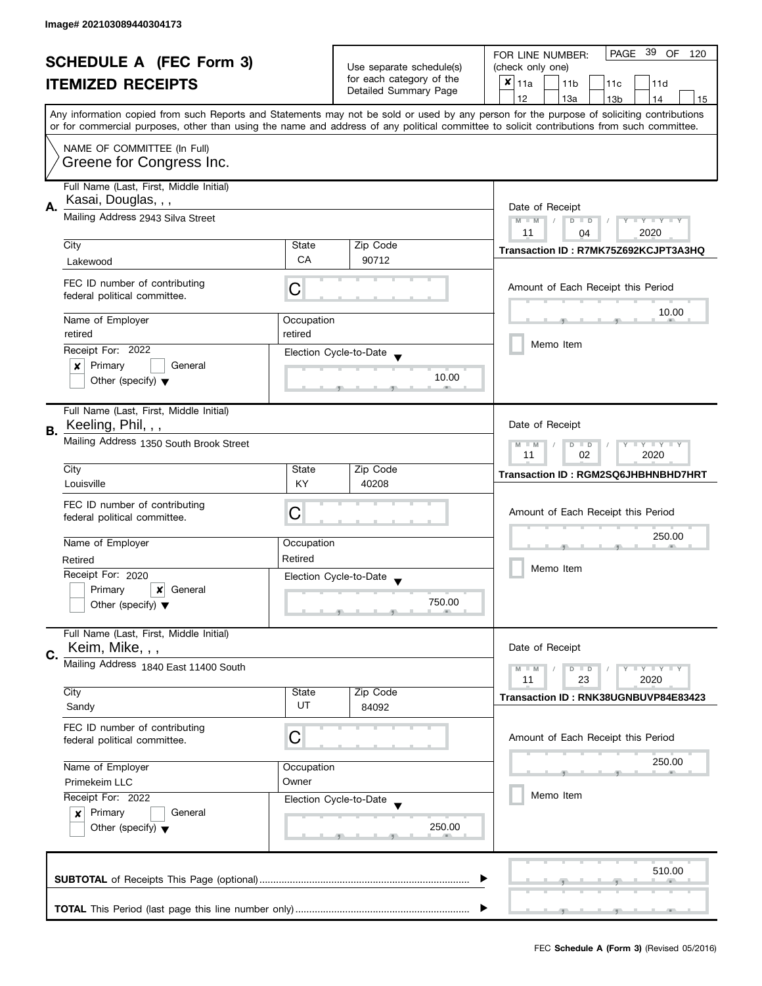| <b>SCHEDULE A (FEC Form 3)</b> |                                                               |                       |                                                   | PAGE 39 OF<br>FOR LINE NUMBER:<br>120                                                                                                                                                                                                                                                   |
|--------------------------------|---------------------------------------------------------------|-----------------------|---------------------------------------------------|-----------------------------------------------------------------------------------------------------------------------------------------------------------------------------------------------------------------------------------------------------------------------------------------|
|                                |                                                               |                       | Use separate schedule(s)                          | (check only one)                                                                                                                                                                                                                                                                        |
|                                | <b>ITEMIZED RECEIPTS</b>                                      |                       | for each category of the<br>Detailed Summary Page | $x _{11a}$<br>11 <sub>b</sub><br>11c<br>11d                                                                                                                                                                                                                                             |
|                                |                                                               |                       |                                                   | 12<br>13a<br>14<br>13 <sub>b</sub><br>15                                                                                                                                                                                                                                                |
|                                |                                                               |                       |                                                   | Any information copied from such Reports and Statements may not be sold or used by any person for the purpose of soliciting contributions<br>or for commercial purposes, other than using the name and address of any political committee to solicit contributions from such committee. |
|                                |                                                               |                       |                                                   |                                                                                                                                                                                                                                                                                         |
|                                | NAME OF COMMITTEE (In Full)<br>Greene for Congress Inc.       |                       |                                                   |                                                                                                                                                                                                                                                                                         |
|                                | Full Name (Last, First, Middle Initial)                       |                       |                                                   |                                                                                                                                                                                                                                                                                         |
| А.                             | Kasai, Douglas, , ,<br>Mailing Address 2943 Silva Street      | Date of Receipt       |                                                   |                                                                                                                                                                                                                                                                                         |
|                                |                                                               |                       |                                                   | $M - M$<br>$D$ $D$<br>Y TY TY TY<br>2020<br>11<br>04                                                                                                                                                                                                                                    |
|                                | City                                                          | State                 | Zip Code                                          |                                                                                                                                                                                                                                                                                         |
|                                | Lakewood                                                      | CA                    | 90712                                             | Transaction ID: R7MK75Z692KCJPT3A3HQ                                                                                                                                                                                                                                                    |
|                                |                                                               |                       |                                                   |                                                                                                                                                                                                                                                                                         |
|                                | FEC ID number of contributing<br>federal political committee. | C                     |                                                   | Amount of Each Receipt this Period                                                                                                                                                                                                                                                      |
|                                |                                                               |                       |                                                   | 10.00                                                                                                                                                                                                                                                                                   |
|                                | Name of Employer                                              | Occupation<br>retired |                                                   |                                                                                                                                                                                                                                                                                         |
|                                | retired<br>Receipt For: 2022                                  |                       |                                                   | Memo Item                                                                                                                                                                                                                                                                               |
|                                | Primary<br>General<br>×                                       |                       | Election Cycle-to-Date                            |                                                                                                                                                                                                                                                                                         |
|                                | Other (specify) $\blacktriangledown$                          |                       | 10.00                                             |                                                                                                                                                                                                                                                                                         |
|                                |                                                               |                       |                                                   |                                                                                                                                                                                                                                                                                         |
|                                | Full Name (Last, First, Middle Initial)                       |                       |                                                   |                                                                                                                                                                                                                                                                                         |
| В.                             | Keeling, Phil, , ,                                            |                       |                                                   | Date of Receipt                                                                                                                                                                                                                                                                         |
|                                | Mailing Address 1350 South Brook Street                       |                       |                                                   | $\mathbf{y}$ $\mathbf{y}$<br>$M - M$<br>$D$ $D$<br>Y                                                                                                                                                                                                                                    |
|                                |                                                               |                       |                                                   | 02<br>2020<br>11                                                                                                                                                                                                                                                                        |
|                                | City<br>Louisville                                            | State<br>KY           | Zip Code<br>40208                                 | Transaction ID: RGM2SQ6JHBHNBHD7HRT                                                                                                                                                                                                                                                     |
|                                |                                                               |                       |                                                   |                                                                                                                                                                                                                                                                                         |
|                                | FEC ID number of contributing<br>federal political committee. | С                     |                                                   | Amount of Each Receipt this Period                                                                                                                                                                                                                                                      |
|                                |                                                               |                       |                                                   |                                                                                                                                                                                                                                                                                         |
|                                | Name of Employer                                              | Occupation            |                                                   | 250.00                                                                                                                                                                                                                                                                                  |
|                                | Retired                                                       | Retired               |                                                   | Memo Item                                                                                                                                                                                                                                                                               |
|                                | Receipt For: 2020                                             |                       | Election Cycle-to-Date                            |                                                                                                                                                                                                                                                                                         |
|                                | Primary<br>×<br>General                                       |                       | 750.00                                            |                                                                                                                                                                                                                                                                                         |
|                                | Other (specify) $\blacktriangledown$                          |                       |                                                   |                                                                                                                                                                                                                                                                                         |
|                                | Full Name (Last, First, Middle Initial)                       |                       |                                                   |                                                                                                                                                                                                                                                                                         |
| C.                             | Keim, Mike, , ,                                               |                       |                                                   | Date of Receipt                                                                                                                                                                                                                                                                         |
|                                | Mailing Address 1840 East 11400 South                         |                       |                                                   | $M - M$<br>$Y \perp Y \perp Y$<br>$D$ $D$                                                                                                                                                                                                                                               |
|                                | City                                                          | State                 | Zip Code                                          | 11<br>23<br>2020                                                                                                                                                                                                                                                                        |
|                                | Sandy                                                         | UT                    | 84092                                             | Transaction ID: RNK38UGNBUVP84E83423                                                                                                                                                                                                                                                    |
|                                | FEC ID number of contributing                                 |                       |                                                   |                                                                                                                                                                                                                                                                                         |
|                                | federal political committee.                                  | С                     |                                                   | Amount of Each Receipt this Period                                                                                                                                                                                                                                                      |
|                                |                                                               |                       |                                                   |                                                                                                                                                                                                                                                                                         |
|                                | Name of Employer                                              | Occupation            |                                                   | 250.00                                                                                                                                                                                                                                                                                  |
|                                | Owner<br>Primekeim LLC                                        |                       |                                                   | Memo Item                                                                                                                                                                                                                                                                               |
|                                | Receipt For: 2022<br>Primary<br>General                       |                       | Election Cycle-to-Date                            |                                                                                                                                                                                                                                                                                         |
|                                | $\boldsymbol{x}$<br>Other (specify) $\blacktriangledown$      |                       | 250.00                                            |                                                                                                                                                                                                                                                                                         |
|                                |                                                               |                       |                                                   |                                                                                                                                                                                                                                                                                         |
|                                |                                                               |                       |                                                   |                                                                                                                                                                                                                                                                                         |
|                                |                                                               |                       |                                                   | 510.00                                                                                                                                                                                                                                                                                  |
|                                |                                                               |                       |                                                   |                                                                                                                                                                                                                                                                                         |
|                                |                                                               |                       |                                                   |                                                                                                                                                                                                                                                                                         |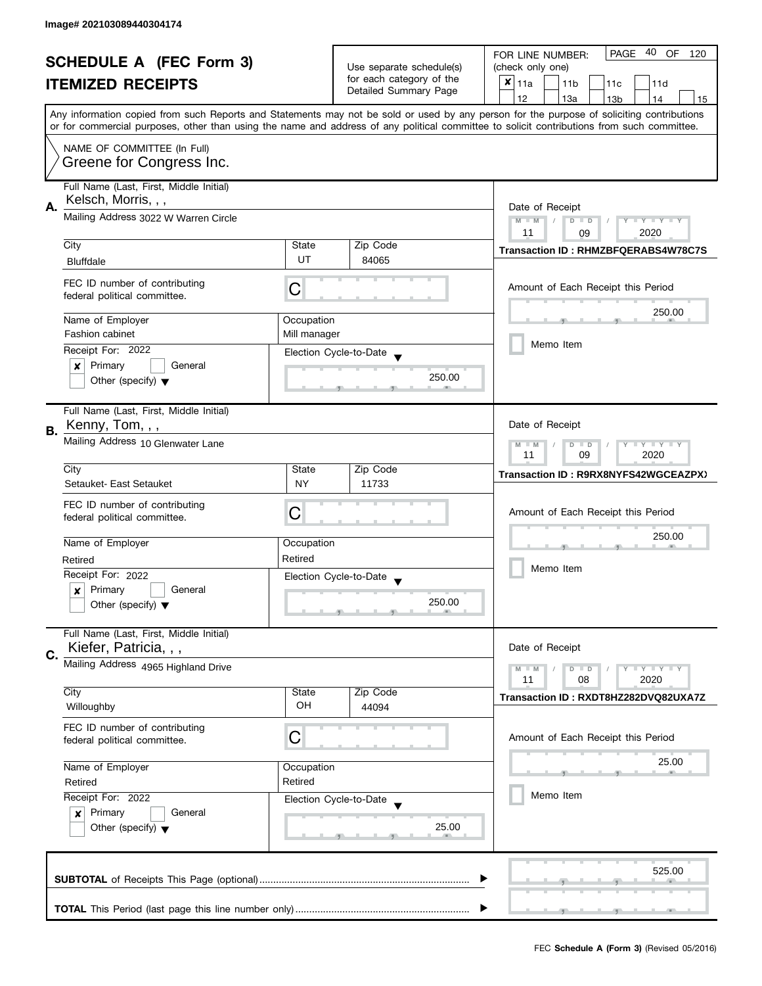| <b>SCHEDULE A (FEC Form 3)</b> |                                         |                          | 40 OF<br><b>PAGE</b><br>FOR LINE NUMBER:<br>120   |                                                                                                                                            |  |  |
|--------------------------------|-----------------------------------------|--------------------------|---------------------------------------------------|--------------------------------------------------------------------------------------------------------------------------------------------|--|--|
|                                |                                         | Use separate schedule(s) | (check only one)                                  |                                                                                                                                            |  |  |
|                                | <b>ITEMIZED RECEIPTS</b>                |                          | for each category of the<br>Detailed Summary Page | $x _{11a}$<br>11 <sub>b</sub><br>11c<br>11d                                                                                                |  |  |
|                                |                                         |                          |                                                   | 12<br>13a<br>13 <sub>b</sub><br>14<br>15                                                                                                   |  |  |
|                                |                                         |                          |                                                   | Any information copied from such Reports and Statements may not be sold or used by any person for the purpose of soliciting contributions  |  |  |
|                                |                                         |                          |                                                   | or for commercial purposes, other than using the name and address of any political committee to solicit contributions from such committee. |  |  |
|                                | NAME OF COMMITTEE (In Full)             |                          |                                                   |                                                                                                                                            |  |  |
|                                | Greene for Congress Inc.                |                          |                                                   |                                                                                                                                            |  |  |
|                                |                                         |                          |                                                   |                                                                                                                                            |  |  |
|                                | Full Name (Last, First, Middle Initial) |                          |                                                   |                                                                                                                                            |  |  |
| Α.                             | Kelsch, Morris, , ,                     |                          |                                                   |                                                                                                                                            |  |  |
|                                | Mailing Address 3022 W Warren Circle    |                          |                                                   | Date of Receipt<br>$M - M$<br>$Y - Y - Y - Y - Y$<br>$D$ $D$                                                                               |  |  |
|                                |                                         |                          |                                                   | 11<br>2020<br>09                                                                                                                           |  |  |
|                                | City                                    | State                    | Zip Code                                          | <b>Transaction ID: RHMZBFQERABS4W78C7S</b>                                                                                                 |  |  |
|                                | <b>Bluffdale</b>                        | UT                       | 84065                                             |                                                                                                                                            |  |  |
|                                | FEC ID number of contributing           |                          |                                                   |                                                                                                                                            |  |  |
|                                | federal political committee.            | C                        |                                                   | Amount of Each Receipt this Period                                                                                                         |  |  |
|                                |                                         |                          |                                                   | 250.00                                                                                                                                     |  |  |
|                                | Name of Employer                        | Occupation               |                                                   |                                                                                                                                            |  |  |
|                                | <b>Fashion cabinet</b>                  | Mill manager             |                                                   |                                                                                                                                            |  |  |
|                                | Receipt For: 2022                       |                          | Election Cycle-to-Date                            | Memo Item                                                                                                                                  |  |  |
|                                | Primary<br>General<br>$\boldsymbol{x}$  |                          |                                                   |                                                                                                                                            |  |  |
|                                | Other (specify) $\blacktriangledown$    |                          | 250.00                                            |                                                                                                                                            |  |  |
|                                |                                         |                          |                                                   |                                                                                                                                            |  |  |
|                                | Full Name (Last, First, Middle Initial) |                          |                                                   |                                                                                                                                            |  |  |
| В.                             | Kenny, Tom, , ,                         |                          |                                                   | Date of Receipt                                                                                                                            |  |  |
|                                | Mailing Address 10 Glenwater Lane       |                          |                                                   | Y LY LY<br>$M - M$<br>$D$ $D$                                                                                                              |  |  |
|                                |                                         |                          |                                                   | 09<br>2020<br>11                                                                                                                           |  |  |
|                                | City                                    | State                    | Zip Code                                          | Transaction ID: R9RX8NYFS42WGCEAZPX)                                                                                                       |  |  |
|                                | Setauket-East Setauket                  | <b>NY</b>                | 11733                                             |                                                                                                                                            |  |  |
|                                | FEC ID number of contributing           |                          |                                                   |                                                                                                                                            |  |  |
|                                | federal political committee.            | С                        |                                                   | Amount of Each Receipt this Period                                                                                                         |  |  |
|                                |                                         |                          |                                                   | 250.00                                                                                                                                     |  |  |
|                                | Name of Employer                        | Occupation               |                                                   |                                                                                                                                            |  |  |
|                                | Retired                                 | Retired                  |                                                   |                                                                                                                                            |  |  |
|                                | Receipt For: 2022                       |                          | Election Cycle-to-Date                            | Memo Item                                                                                                                                  |  |  |
|                                | Primary<br>General<br>x                 |                          |                                                   |                                                                                                                                            |  |  |
|                                | Other (specify) $\blacktriangledown$    |                          | 250.00                                            |                                                                                                                                            |  |  |
|                                |                                         |                          |                                                   |                                                                                                                                            |  |  |
|                                | Full Name (Last, First, Middle Initial) |                          |                                                   |                                                                                                                                            |  |  |
| C.                             | Kiefer, Patricia, , ,                   |                          |                                                   | Date of Receipt                                                                                                                            |  |  |
|                                | Mailing Address 4965 Highland Drive     |                          |                                                   | $Y \perp Y \perp Y$<br>$M - M$<br>$D$ $D$                                                                                                  |  |  |
|                                |                                         |                          |                                                   | 11<br>08<br>2020                                                                                                                           |  |  |
|                                | City                                    | State                    | Zip Code                                          | Transaction ID: RXDT8HZ282DVQ82UXA7Z                                                                                                       |  |  |
|                                | Willoughby                              | OH                       | 44094                                             |                                                                                                                                            |  |  |
|                                | FEC ID number of contributing           |                          |                                                   |                                                                                                                                            |  |  |
|                                | federal political committee.            | С                        |                                                   | Amount of Each Receipt this Period                                                                                                         |  |  |
|                                |                                         |                          |                                                   |                                                                                                                                            |  |  |
|                                | Name of Employer                        | Occupation               |                                                   | 25.00                                                                                                                                      |  |  |
|                                | Retired<br>Retired                      |                          |                                                   |                                                                                                                                            |  |  |
|                                | Receipt For: 2022                       |                          | Election Cycle-to-Date                            | Memo Item                                                                                                                                  |  |  |
|                                | Primary<br>General<br>$\mathbf{x}$      |                          |                                                   |                                                                                                                                            |  |  |
|                                | Other (specify) $\blacktriangledown$    |                          | 25.00                                             |                                                                                                                                            |  |  |
|                                |                                         |                          |                                                   |                                                                                                                                            |  |  |
|                                |                                         |                          |                                                   |                                                                                                                                            |  |  |
|                                |                                         |                          |                                                   | 525.00                                                                                                                                     |  |  |
|                                |                                         |                          |                                                   |                                                                                                                                            |  |  |
|                                |                                         |                          |                                                   |                                                                                                                                            |  |  |
|                                |                                         |                          |                                                   |                                                                                                                                            |  |  |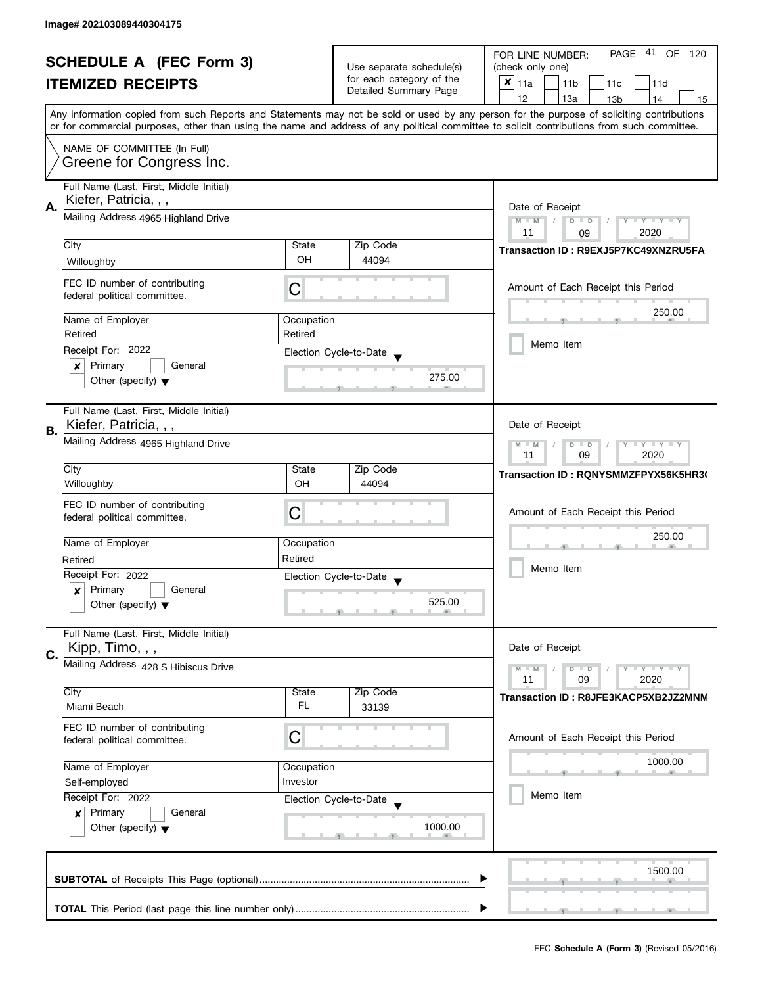| <b>SCHEDULE A (FEC Form 3)</b> |                                                                                | Use separate schedule(s)                                                                 | PAGE 41 OF<br>FOR LINE NUMBER:<br>120<br>(check only one) |                                                                                                                                                                                                                                                                                         |  |
|--------------------------------|--------------------------------------------------------------------------------|------------------------------------------------------------------------------------------|-----------------------------------------------------------|-----------------------------------------------------------------------------------------------------------------------------------------------------------------------------------------------------------------------------------------------------------------------------------------|--|
|                                |                                                                                | for each category of the                                                                 |                                                           |                                                                                                                                                                                                                                                                                         |  |
|                                | <b>ITEMIZED RECEIPTS</b>                                                       |                                                                                          | Detailed Summary Page                                     | $x _{11a}$<br>11 <sub>b</sub><br>11c<br>11d                                                                                                                                                                                                                                             |  |
|                                |                                                                                |                                                                                          |                                                           | 12<br>13a<br>13 <sub>b</sub><br>14<br>15                                                                                                                                                                                                                                                |  |
|                                |                                                                                |                                                                                          |                                                           | Any information copied from such Reports and Statements may not be sold or used by any person for the purpose of soliciting contributions<br>or for commercial purposes, other than using the name and address of any political committee to solicit contributions from such committee. |  |
|                                | NAME OF COMMITTEE (In Full)                                                    |                                                                                          |                                                           |                                                                                                                                                                                                                                                                                         |  |
|                                | Greene for Congress Inc.                                                       |                                                                                          |                                                           |                                                                                                                                                                                                                                                                                         |  |
|                                | Full Name (Last, First, Middle Initial)<br>Kiefer, Patricia, , ,               |                                                                                          |                                                           |                                                                                                                                                                                                                                                                                         |  |
| Α.                             | Mailing Address 4965 Highland Drive                                            | Date of Receipt<br>$M - M$<br>$\sqrt{2}$<br>$D$ $D$<br>Y I Y I Y I Y<br>2020<br>11<br>09 |                                                           |                                                                                                                                                                                                                                                                                         |  |
|                                | City                                                                           | State                                                                                    | Zip Code                                                  |                                                                                                                                                                                                                                                                                         |  |
|                                | Willoughby                                                                     | OH                                                                                       | 44094                                                     | Transaction ID: R9EXJ5P7KC49XNZRU5FA                                                                                                                                                                                                                                                    |  |
|                                | FEC ID number of contributing<br>federal political committee.                  | C                                                                                        |                                                           | Amount of Each Receipt this Period                                                                                                                                                                                                                                                      |  |
|                                | Name of Employer                                                               | Occupation                                                                               |                                                           | 250.00                                                                                                                                                                                                                                                                                  |  |
|                                | Retired                                                                        | Retired                                                                                  |                                                           | Memo Item                                                                                                                                                                                                                                                                               |  |
|                                | Receipt For: 2022                                                              |                                                                                          | Election Cycle-to-Date                                    |                                                                                                                                                                                                                                                                                         |  |
|                                | Primary<br>General<br>×<br>Other (specify) $\blacktriangledown$                |                                                                                          | 275.00                                                    |                                                                                                                                                                                                                                                                                         |  |
|                                |                                                                                |                                                                                          |                                                           |                                                                                                                                                                                                                                                                                         |  |
|                                | Full Name (Last, First, Middle Initial)                                        |                                                                                          |                                                           |                                                                                                                                                                                                                                                                                         |  |
| В.                             | Kiefer, Patricia, , ,                                                          |                                                                                          |                                                           | Date of Receipt                                                                                                                                                                                                                                                                         |  |
|                                | Mailing Address 4965 Highland Drive                                            |                                                                                          |                                                           | $Y = Y + Y$<br>$M - M$<br>D<br>$\Box$<br>2020<br>11<br>09                                                                                                                                                                                                                               |  |
|                                | City                                                                           | State                                                                                    | Zip Code                                                  | Transaction ID: RQNYSMMZFPYX56K5HR30                                                                                                                                                                                                                                                    |  |
|                                | Willoughby                                                                     | OH                                                                                       | 44094                                                     |                                                                                                                                                                                                                                                                                         |  |
|                                | FEC ID number of contributing                                                  | C                                                                                        |                                                           | Amount of Each Receipt this Period                                                                                                                                                                                                                                                      |  |
|                                | federal political committee.                                                   |                                                                                          |                                                           |                                                                                                                                                                                                                                                                                         |  |
|                                | Name of Employer                                                               | Occupation                                                                               |                                                           | 250.00                                                                                                                                                                                                                                                                                  |  |
|                                | Retired                                                                        | Retired                                                                                  |                                                           |                                                                                                                                                                                                                                                                                         |  |
|                                | Receipt For: 2022                                                              |                                                                                          | Election Cycle-to-Date                                    | Memo Item                                                                                                                                                                                                                                                                               |  |
|                                | Primary<br>General<br>x                                                        |                                                                                          |                                                           |                                                                                                                                                                                                                                                                                         |  |
|                                | Other (specify) $\blacktriangledown$                                           |                                                                                          | 525.00                                                    |                                                                                                                                                                                                                                                                                         |  |
|                                | Full Name (Last, First, Middle Initial)                                        |                                                                                          |                                                           |                                                                                                                                                                                                                                                                                         |  |
| C.                             | Kipp, Timo, , ,                                                                |                                                                                          |                                                           | Date of Receipt                                                                                                                                                                                                                                                                         |  |
|                                | Mailing Address 428 S Hibiscus Drive                                           |                                                                                          |                                                           | $Y = Y + Y$<br>$M - M$<br>$D$ $D$<br>11<br>09<br>2020                                                                                                                                                                                                                                   |  |
|                                | City                                                                           | State                                                                                    | Zip Code                                                  |                                                                                                                                                                                                                                                                                         |  |
|                                | Miami Beach                                                                    | FL.                                                                                      | 33139                                                     | Transaction ID: R8JFE3KACP5XB2JZ2MNM                                                                                                                                                                                                                                                    |  |
|                                | FEC ID number of contributing                                                  |                                                                                          |                                                           |                                                                                                                                                                                                                                                                                         |  |
|                                | federal political committee.                                                   | C                                                                                        |                                                           | Amount of Each Receipt this Period                                                                                                                                                                                                                                                      |  |
|                                |                                                                                |                                                                                          |                                                           | 1000.00                                                                                                                                                                                                                                                                                 |  |
|                                | Name of Employer<br>Occupation<br>Investor<br>Self-employed                    |                                                                                          |                                                           |                                                                                                                                                                                                                                                                                         |  |
|                                | Receipt For: 2022                                                              |                                                                                          | Election Cycle-to-Date                                    | Memo Item                                                                                                                                                                                                                                                                               |  |
|                                | Primary<br>General<br>$\boldsymbol{x}$<br>Other (specify) $\blacktriangledown$ |                                                                                          |                                                           |                                                                                                                                                                                                                                                                                         |  |
|                                |                                                                                |                                                                                          | 1000.00                                                   |                                                                                                                                                                                                                                                                                         |  |
|                                |                                                                                |                                                                                          |                                                           |                                                                                                                                                                                                                                                                                         |  |
|                                |                                                                                |                                                                                          |                                                           |                                                                                                                                                                                                                                                                                         |  |
|                                |                                                                                |                                                                                          |                                                           | 1500.00                                                                                                                                                                                                                                                                                 |  |
|                                |                                                                                |                                                                                          |                                                           |                                                                                                                                                                                                                                                                                         |  |
|                                |                                                                                |                                                                                          |                                                           |                                                                                                                                                                                                                                                                                         |  |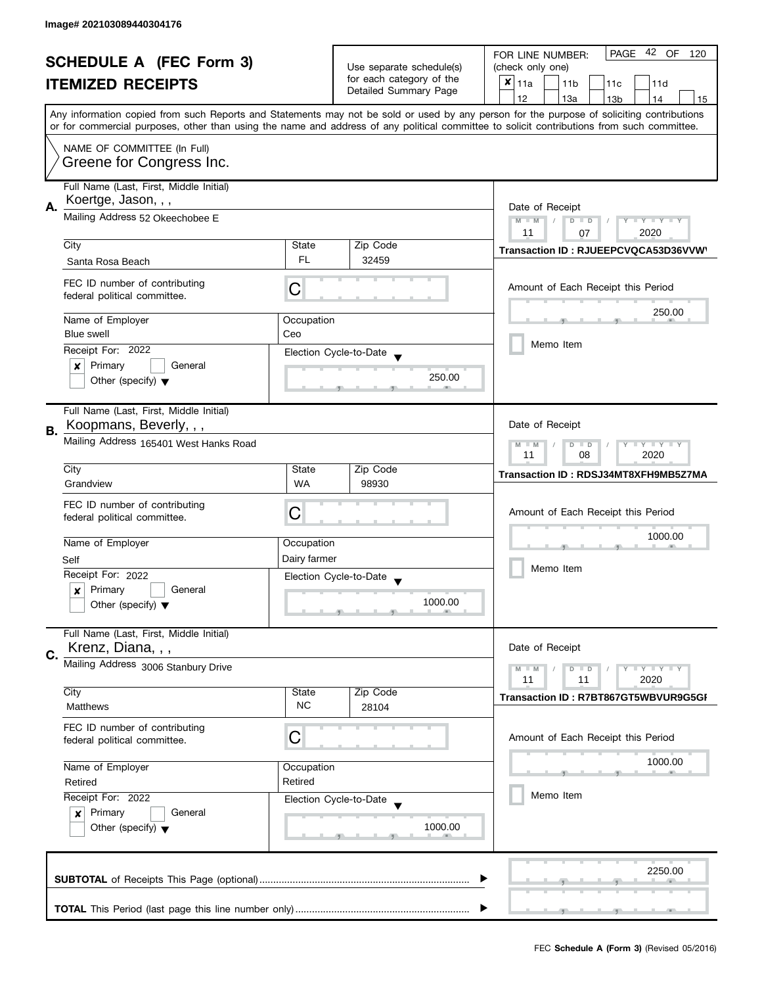| <b>SCHEDULE A (FEC Form 3)</b> |                                                                | Use separate schedule(s)                                                    | PAGE 42 OF<br>FOR LINE NUMBER:<br>120<br>(check only one) |                                                                                                                                                                                                                                                                                         |  |
|--------------------------------|----------------------------------------------------------------|-----------------------------------------------------------------------------|-----------------------------------------------------------|-----------------------------------------------------------------------------------------------------------------------------------------------------------------------------------------------------------------------------------------------------------------------------------------|--|
|                                |                                                                | for each category of the                                                    |                                                           |                                                                                                                                                                                                                                                                                         |  |
|                                | <b>ITEMIZED RECEIPTS</b>                                       |                                                                             | Detailed Summary Page                                     | $x _{11a}$<br>11 <sub>b</sub><br>11d<br>11c                                                                                                                                                                                                                                             |  |
|                                |                                                                |                                                                             |                                                           | 12<br>13a<br>14<br>13 <sub>b</sub><br>15                                                                                                                                                                                                                                                |  |
|                                |                                                                |                                                                             |                                                           | Any information copied from such Reports and Statements may not be sold or used by any person for the purpose of soliciting contributions<br>or for commercial purposes, other than using the name and address of any political committee to solicit contributions from such committee. |  |
|                                |                                                                |                                                                             |                                                           |                                                                                                                                                                                                                                                                                         |  |
|                                | NAME OF COMMITTEE (In Full)<br>Greene for Congress Inc.        |                                                                             |                                                           |                                                                                                                                                                                                                                                                                         |  |
|                                | Full Name (Last, First, Middle Initial)<br>Koertge, Jason, , , |                                                                             |                                                           |                                                                                                                                                                                                                                                                                         |  |
| А.                             | Mailing Address 52 Okeechobee E                                | Date of Receipt<br>$M - M$<br>$D$ $D$<br>Y TY TY TY                         |                                                           |                                                                                                                                                                                                                                                                                         |  |
|                                |                                                                |                                                                             |                                                           | 2020<br>11<br>07                                                                                                                                                                                                                                                                        |  |
|                                | City                                                           | State                                                                       | Zip Code                                                  | Transaction ID: RJUEEPCVQCA53D36VVW                                                                                                                                                                                                                                                     |  |
|                                | Santa Rosa Beach                                               | <b>FL</b>                                                                   | 32459                                                     |                                                                                                                                                                                                                                                                                         |  |
|                                | FEC ID number of contributing<br>federal political committee.  | C                                                                           |                                                           | Amount of Each Receipt this Period                                                                                                                                                                                                                                                      |  |
|                                | Name of Employer                                               | Occupation                                                                  |                                                           | 250.00                                                                                                                                                                                                                                                                                  |  |
|                                | Blue swell                                                     | Ceo                                                                         |                                                           |                                                                                                                                                                                                                                                                                         |  |
|                                | Receipt For: 2022                                              |                                                                             | Election Cycle-to-Date                                    | Memo Item                                                                                                                                                                                                                                                                               |  |
|                                | Primary<br>General<br>×                                        |                                                                             |                                                           |                                                                                                                                                                                                                                                                                         |  |
|                                | Other (specify) $\blacktriangledown$                           |                                                                             | 250.00                                                    |                                                                                                                                                                                                                                                                                         |  |
|                                | Full Name (Last, First, Middle Initial)                        |                                                                             |                                                           |                                                                                                                                                                                                                                                                                         |  |
| В.                             | Koopmans, Beverly, , ,                                         |                                                                             |                                                           | Date of Receipt                                                                                                                                                                                                                                                                         |  |
|                                | Mailing Address 165401 West Hanks Road                         | $T + Y = Y$<br>$M - M$<br>$\overline{D}$<br>$\Box$<br>Y<br>08<br>2020<br>11 |                                                           |                                                                                                                                                                                                                                                                                         |  |
|                                | City                                                           | State                                                                       | Zip Code                                                  | Transaction ID: RDSJ34MT8XFH9MB5Z7MA                                                                                                                                                                                                                                                    |  |
|                                | Grandview                                                      | <b>WA</b>                                                                   | 98930                                                     |                                                                                                                                                                                                                                                                                         |  |
|                                | FEC ID number of contributing                                  | С                                                                           |                                                           | Amount of Each Receipt this Period                                                                                                                                                                                                                                                      |  |
|                                | federal political committee.                                   |                                                                             |                                                           |                                                                                                                                                                                                                                                                                         |  |
|                                | Name of Employer                                               | Occupation                                                                  |                                                           | 1000.00                                                                                                                                                                                                                                                                                 |  |
|                                | Self                                                           | Dairy farmer                                                                |                                                           |                                                                                                                                                                                                                                                                                         |  |
|                                | Receipt For: 2022                                              |                                                                             | Election Cycle-to-Date                                    | Memo Item                                                                                                                                                                                                                                                                               |  |
|                                | Primary<br>General<br>x                                        |                                                                             |                                                           |                                                                                                                                                                                                                                                                                         |  |
|                                | Other (specify) $\blacktriangledown$                           |                                                                             | 1000.00                                                   |                                                                                                                                                                                                                                                                                         |  |
|                                | Full Name (Last, First, Middle Initial)<br>Krenz, Diana, , ,   |                                                                             |                                                           | Date of Receipt                                                                                                                                                                                                                                                                         |  |
| C.                             | Mailing Address 3006 Stanbury Drive                            |                                                                             |                                                           |                                                                                                                                                                                                                                                                                         |  |
|                                |                                                                |                                                                             |                                                           | $M - M$<br>$Y \perp Y \perp Y$<br>$D$ $D$<br>11<br>2020<br>11                                                                                                                                                                                                                           |  |
|                                | City                                                           | State                                                                       | Zip Code                                                  | Transaction ID: R7BT867GT5WBVUR9G5GI                                                                                                                                                                                                                                                    |  |
|                                | Matthews                                                       | <b>NC</b>                                                                   | 28104                                                     |                                                                                                                                                                                                                                                                                         |  |
|                                | FEC ID number of contributing                                  |                                                                             |                                                           |                                                                                                                                                                                                                                                                                         |  |
|                                | federal political committee.                                   | С                                                                           |                                                           | Amount of Each Receipt this Period                                                                                                                                                                                                                                                      |  |
|                                | Name of Employer<br>Occupation                                 |                                                                             |                                                           | 1000.00                                                                                                                                                                                                                                                                                 |  |
|                                | Retired                                                        | Retired                                                                     |                                                           |                                                                                                                                                                                                                                                                                         |  |
|                                | Receipt For: 2022                                              |                                                                             | Election Cycle-to-Date                                    | Memo Item                                                                                                                                                                                                                                                                               |  |
|                                | Primary<br>General<br>$\boldsymbol{x}$                         |                                                                             |                                                           |                                                                                                                                                                                                                                                                                         |  |
|                                | Other (specify) $\blacktriangledown$                           |                                                                             | 1000.00                                                   |                                                                                                                                                                                                                                                                                         |  |
|                                |                                                                |                                                                             |                                                           |                                                                                                                                                                                                                                                                                         |  |
|                                |                                                                |                                                                             |                                                           |                                                                                                                                                                                                                                                                                         |  |
|                                |                                                                |                                                                             |                                                           | 2250.00                                                                                                                                                                                                                                                                                 |  |
|                                |                                                                |                                                                             |                                                           |                                                                                                                                                                                                                                                                                         |  |
|                                |                                                                |                                                                             |                                                           |                                                                                                                                                                                                                                                                                         |  |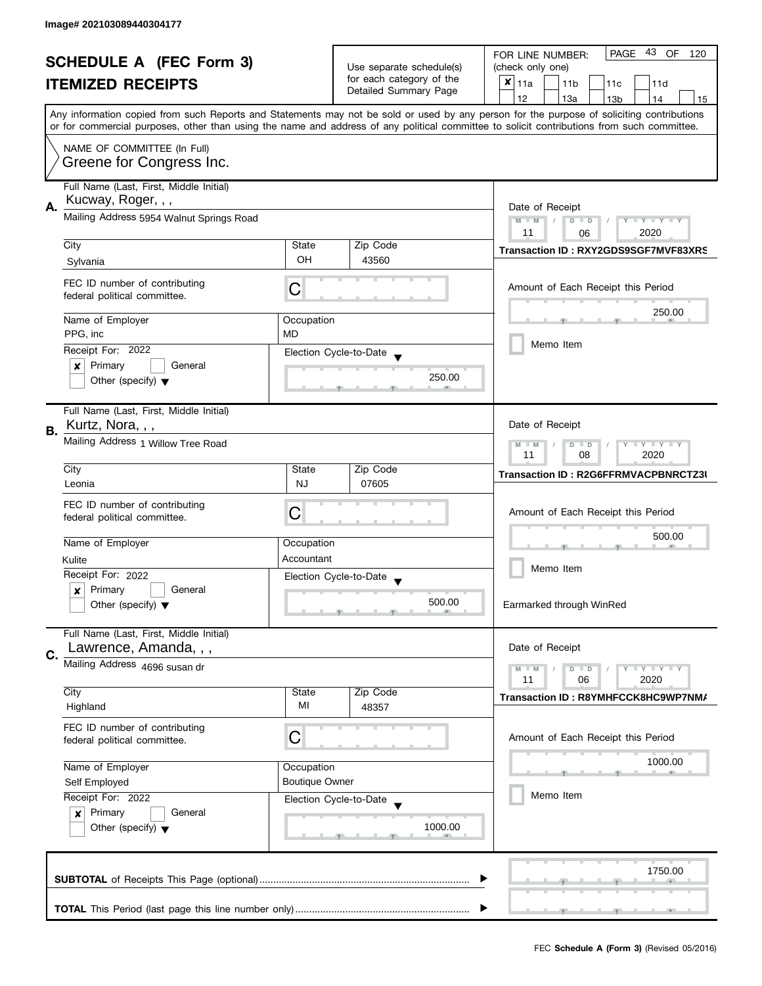|                                |                                                                  |                                                       |                          | 43 OF<br><b>PAGE</b><br>FOR LINE NUMBER:<br>120                                                                                                                                                                                                                                         |  |  |  |
|--------------------------------|------------------------------------------------------------------|-------------------------------------------------------|--------------------------|-----------------------------------------------------------------------------------------------------------------------------------------------------------------------------------------------------------------------------------------------------------------------------------------|--|--|--|
| <b>SCHEDULE A (FEC Form 3)</b> |                                                                  | Use separate schedule(s)                              | (check only one)         |                                                                                                                                                                                                                                                                                         |  |  |  |
|                                | <b>ITEMIZED RECEIPTS</b>                                         |                                                       | for each category of the | $x _{11a}$<br>11 <sub>b</sub><br>11c<br>11d                                                                                                                                                                                                                                             |  |  |  |
|                                |                                                                  |                                                       | Detailed Summary Page    | 12<br>13a<br>14<br>13 <sub>b</sub><br>15                                                                                                                                                                                                                                                |  |  |  |
|                                |                                                                  |                                                       |                          | Any information copied from such Reports and Statements may not be sold or used by any person for the purpose of soliciting contributions<br>or for commercial purposes, other than using the name and address of any political committee to solicit contributions from such committee. |  |  |  |
|                                | NAME OF COMMITTEE (In Full)                                      |                                                       |                          |                                                                                                                                                                                                                                                                                         |  |  |  |
|                                | Greene for Congress Inc.                                         |                                                       |                          |                                                                                                                                                                                                                                                                                         |  |  |  |
|                                | Full Name (Last, First, Middle Initial)<br>Kucway, Roger, , ,    |                                                       |                          | Date of Receipt                                                                                                                                                                                                                                                                         |  |  |  |
| А.                             | Mailing Address 5954 Walnut Springs Road                         |                                                       |                          |                                                                                                                                                                                                                                                                                         |  |  |  |
|                                | City                                                             | State                                                 | Zip Code                 | 2020<br>11<br>06<br>Transaction ID: RXY2GDS9SGF7MVF83XRS                                                                                                                                                                                                                                |  |  |  |
|                                | Sylvania                                                         | OH                                                    | 43560                    |                                                                                                                                                                                                                                                                                         |  |  |  |
|                                | FEC ID number of contributing<br>federal political committee.    | С                                                     |                          | Amount of Each Receipt this Period                                                                                                                                                                                                                                                      |  |  |  |
|                                | Name of Employer                                                 | Occupation                                            |                          | 250.00                                                                                                                                                                                                                                                                                  |  |  |  |
|                                | PPG, inc                                                         | <b>MD</b>                                             |                          |                                                                                                                                                                                                                                                                                         |  |  |  |
|                                | Receipt For: 2022                                                |                                                       | Election Cycle-to-Date   | Memo Item                                                                                                                                                                                                                                                                               |  |  |  |
|                                | Primary<br>General<br>×                                          |                                                       |                          |                                                                                                                                                                                                                                                                                         |  |  |  |
|                                | Other (specify) $\blacktriangledown$                             |                                                       | 250.00                   |                                                                                                                                                                                                                                                                                         |  |  |  |
| В.                             | Full Name (Last, First, Middle Initial)<br>Kurtz, Nora, , ,      |                                                       |                          | Date of Receipt                                                                                                                                                                                                                                                                         |  |  |  |
|                                | Mailing Address 1 Willow Tree Road                               | $Y = Y + Y$<br>$M - M$<br>$D$ $D$<br>11<br>08<br>2020 |                          |                                                                                                                                                                                                                                                                                         |  |  |  |
|                                | City                                                             | State                                                 | Zip Code                 | Transaction ID: R2G6FFRMVACPBNRCTZ3I                                                                                                                                                                                                                                                    |  |  |  |
|                                | Leonia                                                           | <b>NJ</b>                                             | 07605                    |                                                                                                                                                                                                                                                                                         |  |  |  |
|                                | FEC ID number of contributing                                    |                                                       |                          |                                                                                                                                                                                                                                                                                         |  |  |  |
|                                | federal political committee.                                     | C                                                     |                          | Amount of Each Receipt this Period                                                                                                                                                                                                                                                      |  |  |  |
|                                | Name of Employer                                                 | Occupation                                            |                          | 500.00                                                                                                                                                                                                                                                                                  |  |  |  |
|                                | Kulite                                                           | Accountant                                            |                          |                                                                                                                                                                                                                                                                                         |  |  |  |
|                                | Receipt For: 2022                                                |                                                       | Election Cycle-to-Date   | Memo Item                                                                                                                                                                                                                                                                               |  |  |  |
|                                | Primary<br>General<br>$\boldsymbol{x}$                           |                                                       |                          |                                                                                                                                                                                                                                                                                         |  |  |  |
|                                | Other (specify) $\blacktriangledown$                             |                                                       | 500.00                   | Earmarked through WinRed                                                                                                                                                                                                                                                                |  |  |  |
| C.                             | Full Name (Last, First, Middle Initial)<br>Lawrence, Amanda, , , |                                                       |                          | Date of Receipt                                                                                                                                                                                                                                                                         |  |  |  |
|                                | Mailing Address 4696 susan dr                                    |                                                       |                          | $Y = Y + Y$<br>$M - M$<br>$D$ $D$                                                                                                                                                                                                                                                       |  |  |  |
|                                | City                                                             | State                                                 | Zip Code                 | 11<br>06<br>2020                                                                                                                                                                                                                                                                        |  |  |  |
|                                | Highland                                                         | MI                                                    | 48357                    | Transaction ID: R8YMHFCCK8HC9WP7NM/                                                                                                                                                                                                                                                     |  |  |  |
|                                | FEC ID number of contributing<br>federal political committee.    | С                                                     |                          | Amount of Each Receipt this Period                                                                                                                                                                                                                                                      |  |  |  |
|                                | Name of Employer                                                 | Occupation                                            |                          | 1000.00                                                                                                                                                                                                                                                                                 |  |  |  |
|                                | <b>Boutique Owner</b><br>Self Employed                           |                                                       |                          |                                                                                                                                                                                                                                                                                         |  |  |  |
|                                | Receipt For: 2022                                                |                                                       | Election Cycle-to-Date   | Memo Item                                                                                                                                                                                                                                                                               |  |  |  |
|                                | Primary<br>General<br>$\boldsymbol{x}$                           |                                                       |                          |                                                                                                                                                                                                                                                                                         |  |  |  |
|                                | Other (specify) $\blacktriangledown$                             |                                                       | 1000.00                  |                                                                                                                                                                                                                                                                                         |  |  |  |
|                                |                                                                  |                                                       |                          | 1750.00                                                                                                                                                                                                                                                                                 |  |  |  |
|                                |                                                                  |                                                       |                          |                                                                                                                                                                                                                                                                                         |  |  |  |
|                                |                                                                  |                                                       |                          |                                                                                                                                                                                                                                                                                         |  |  |  |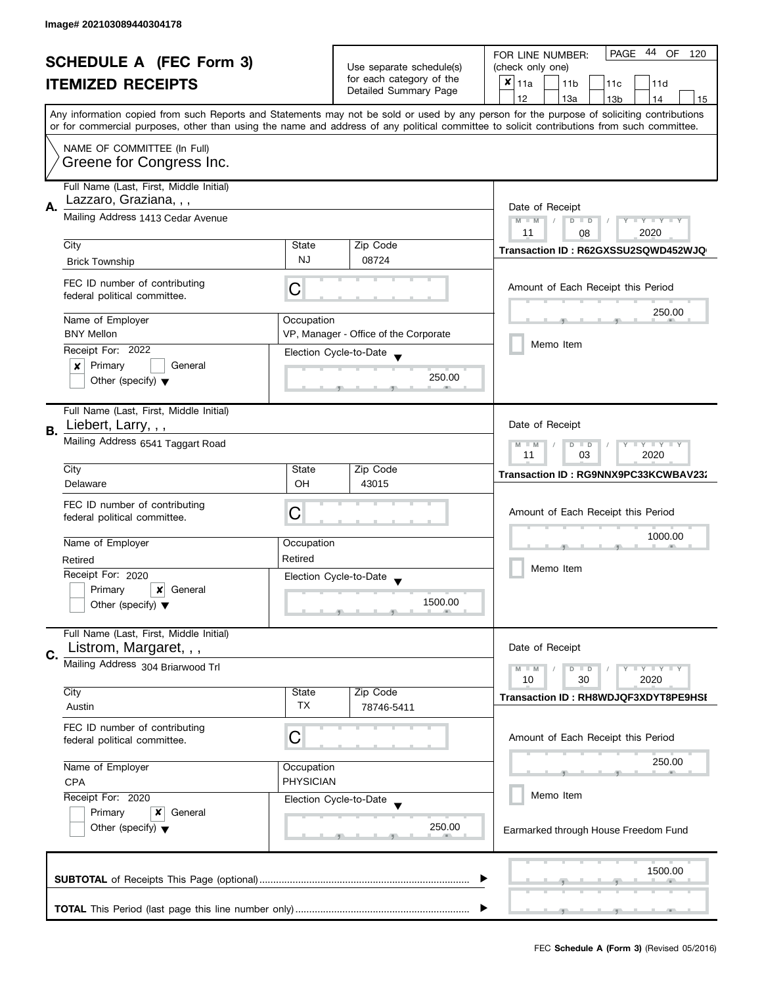| <b>SCHEDULE A (FEC Form 3)</b> |                                                               | Use separate schedule(s)<br>for each category of the | 44 OF<br><b>PAGE</b><br>FOR LINE NUMBER:<br>120<br>(check only one) |                                                                                                                                                                                                                                                                                         |  |
|--------------------------------|---------------------------------------------------------------|------------------------------------------------------|---------------------------------------------------------------------|-----------------------------------------------------------------------------------------------------------------------------------------------------------------------------------------------------------------------------------------------------------------------------------------|--|
|                                |                                                               |                                                      |                                                                     |                                                                                                                                                                                                                                                                                         |  |
|                                | <b>ITEMIZED RECEIPTS</b>                                      |                                                      | Detailed Summary Page                                               | $x _{11a}$<br>11 <sub>b</sub><br>11c<br>11d                                                                                                                                                                                                                                             |  |
|                                |                                                               |                                                      |                                                                     | 12<br>13a<br>13 <sub>b</sub><br>14<br>15                                                                                                                                                                                                                                                |  |
|                                |                                                               |                                                      |                                                                     | Any information copied from such Reports and Statements may not be sold or used by any person for the purpose of soliciting contributions<br>or for commercial purposes, other than using the name and address of any political committee to solicit contributions from such committee. |  |
|                                | NAME OF COMMITTEE (In Full)                                   |                                                      |                                                                     |                                                                                                                                                                                                                                                                                         |  |
|                                | Greene for Congress Inc.                                      |                                                      |                                                                     |                                                                                                                                                                                                                                                                                         |  |
|                                | Full Name (Last, First, Middle Initial)                       |                                                      |                                                                     |                                                                                                                                                                                                                                                                                         |  |
| А.                             | Lazzaro, Graziana, , ,                                        |                                                      |                                                                     | Date of Receipt                                                                                                                                                                                                                                                                         |  |
|                                | Mailing Address 1413 Cedar Avenue                             |                                                      |                                                                     | $M - M$<br>Y TY TY TY<br>$D$ $D$                                                                                                                                                                                                                                                        |  |
|                                | City                                                          | State                                                | Zip Code                                                            | 2020<br>11<br>08                                                                                                                                                                                                                                                                        |  |
|                                | <b>Brick Township</b>                                         | <b>NJ</b>                                            | 08724                                                               | Transaction ID: R62GXSSU2SQWD452WJQ                                                                                                                                                                                                                                                     |  |
|                                |                                                               |                                                      |                                                                     |                                                                                                                                                                                                                                                                                         |  |
|                                | FEC ID number of contributing<br>federal political committee. | С                                                    |                                                                     | Amount of Each Receipt this Period                                                                                                                                                                                                                                                      |  |
|                                |                                                               |                                                      |                                                                     | 250.00                                                                                                                                                                                                                                                                                  |  |
|                                | Name of Employer                                              | Occupation                                           |                                                                     |                                                                                                                                                                                                                                                                                         |  |
|                                | <b>BNY Mellon</b>                                             |                                                      | VP, Manager - Office of the Corporate                               | Memo Item                                                                                                                                                                                                                                                                               |  |
|                                | Receipt For: 2022                                             |                                                      | Election Cycle-to-Date                                              |                                                                                                                                                                                                                                                                                         |  |
|                                | Primary<br>General<br>x                                       |                                                      | 250.00                                                              |                                                                                                                                                                                                                                                                                         |  |
|                                | Other (specify) $\blacktriangledown$                          |                                                      |                                                                     |                                                                                                                                                                                                                                                                                         |  |
|                                | Full Name (Last, First, Middle Initial)                       |                                                      |                                                                     |                                                                                                                                                                                                                                                                                         |  |
| <b>B.</b>                      | Liebert, Larry, , ,                                           |                                                      |                                                                     | Date of Receipt                                                                                                                                                                                                                                                                         |  |
|                                | Mailing Address 6541 Taggart Road                             |                                                      |                                                                     |                                                                                                                                                                                                                                                                                         |  |
|                                | City                                                          | State                                                | Zip Code                                                            | 2020<br>11<br>03                                                                                                                                                                                                                                                                        |  |
|                                | Delaware                                                      | OH                                                   | 43015                                                               | Transaction ID: RG9NNX9PC33KCWBAV23:                                                                                                                                                                                                                                                    |  |
|                                |                                                               |                                                      |                                                                     |                                                                                                                                                                                                                                                                                         |  |
|                                | FEC ID number of contributing<br>federal political committee. | C                                                    |                                                                     | Amount of Each Receipt this Period                                                                                                                                                                                                                                                      |  |
|                                |                                                               |                                                      |                                                                     |                                                                                                                                                                                                                                                                                         |  |
|                                | Name of Employer                                              | Occupation                                           |                                                                     | 1000.00                                                                                                                                                                                                                                                                                 |  |
|                                | Retired                                                       | Retired                                              |                                                                     |                                                                                                                                                                                                                                                                                         |  |
|                                | Receipt For: 2020                                             |                                                      | Election Cycle-to-Date                                              | Memo Item                                                                                                                                                                                                                                                                               |  |
|                                | Primary<br>×<br>General                                       |                                                      |                                                                     |                                                                                                                                                                                                                                                                                         |  |
|                                | Other (specify) $\blacktriangledown$                          |                                                      | 1500.00                                                             |                                                                                                                                                                                                                                                                                         |  |
|                                | Full Name (Last, First, Middle Initial)                       |                                                      |                                                                     |                                                                                                                                                                                                                                                                                         |  |
| C.                             | Listrom, Margaret, , ,                                        |                                                      |                                                                     | Date of Receipt                                                                                                                                                                                                                                                                         |  |
|                                | Mailing Address 304 Briarwood Trl                             |                                                      |                                                                     | $Y = Y + Y$<br>$M - M$<br>$D$ $D$                                                                                                                                                                                                                                                       |  |
|                                |                                                               |                                                      |                                                                     | 10<br>30<br>2020                                                                                                                                                                                                                                                                        |  |
|                                | City<br>Austin                                                | State<br>TX                                          | Zip Code<br>78746-5411                                              | Transaction ID: RH8WDJQF3XDYT8PE9HSI                                                                                                                                                                                                                                                    |  |
|                                |                                                               |                                                      |                                                                     |                                                                                                                                                                                                                                                                                         |  |
|                                | FEC ID number of contributing                                 | C                                                    |                                                                     | Amount of Each Receipt this Period                                                                                                                                                                                                                                                      |  |
|                                | federal political committee.                                  |                                                      |                                                                     |                                                                                                                                                                                                                                                                                         |  |
|                                | Name of Employer                                              | Occupation                                           |                                                                     | 250.00                                                                                                                                                                                                                                                                                  |  |
|                                | <b>PHYSICIAN</b><br><b>CPA</b><br>Receipt For: 2020           |                                                      |                                                                     |                                                                                                                                                                                                                                                                                         |  |
|                                |                                                               |                                                      | Election Cycle-to-Date                                              | Memo Item                                                                                                                                                                                                                                                                               |  |
|                                | Primary<br>x<br>General                                       |                                                      |                                                                     |                                                                                                                                                                                                                                                                                         |  |
|                                | Other (specify) $\blacktriangledown$                          |                                                      | 250.00                                                              | Earmarked through House Freedom Fund                                                                                                                                                                                                                                                    |  |
|                                |                                                               |                                                      |                                                                     |                                                                                                                                                                                                                                                                                         |  |
|                                |                                                               |                                                      |                                                                     | 1500.00                                                                                                                                                                                                                                                                                 |  |
|                                |                                                               |                                                      |                                                                     |                                                                                                                                                                                                                                                                                         |  |
|                                |                                                               |                                                      |                                                                     |                                                                                                                                                                                                                                                                                         |  |
|                                |                                                               |                                                      |                                                                     |                                                                                                                                                                                                                                                                                         |  |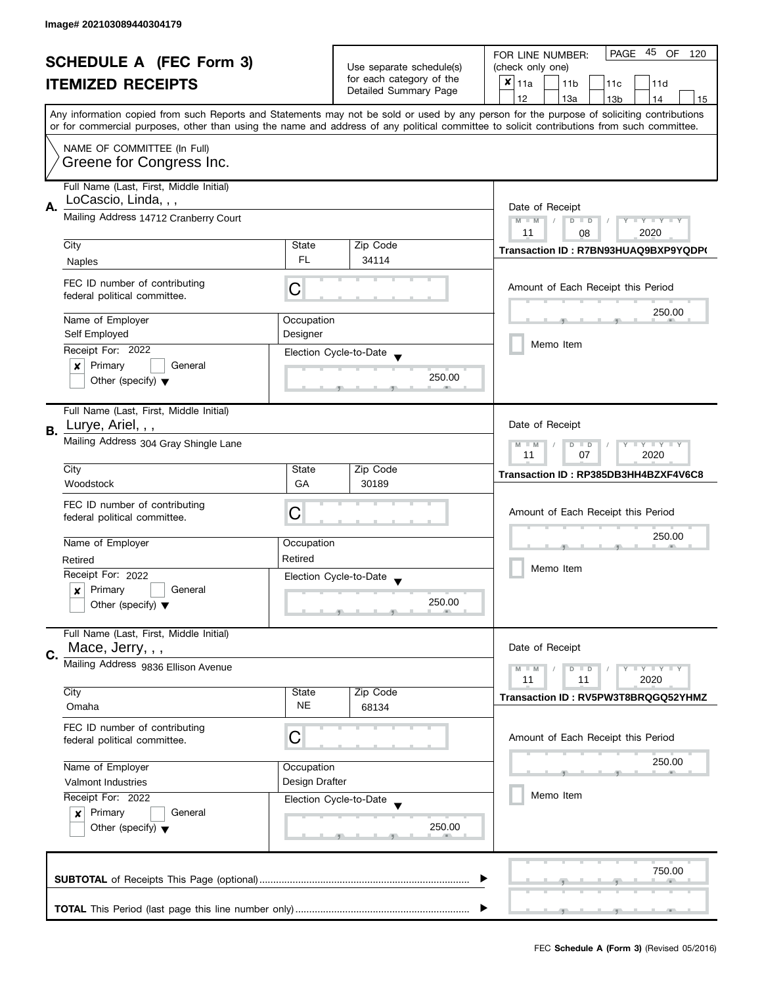| <b>SCHEDULE A (FEC Form 3)</b><br><b>ITEMIZED RECEIPTS</b> |                                         |                                  | 45 OF<br><b>PAGE</b><br>FOR LINE NUMBER:<br>120   |                                                                                                                                            |
|------------------------------------------------------------|-----------------------------------------|----------------------------------|---------------------------------------------------|--------------------------------------------------------------------------------------------------------------------------------------------|
|                                                            |                                         |                                  | Use separate schedule(s)                          | (check only one)                                                                                                                           |
|                                                            |                                         |                                  | for each category of the<br>Detailed Summary Page | $x _{11a}$<br>11 <sub>b</sub><br>11d<br>11c                                                                                                |
|                                                            |                                         |                                  |                                                   | 12<br>13a<br>13 <sub>b</sub><br>14<br>15                                                                                                   |
|                                                            |                                         |                                  |                                                   | Any information copied from such Reports and Statements may not be sold or used by any person for the purpose of soliciting contributions  |
|                                                            |                                         |                                  |                                                   | or for commercial purposes, other than using the name and address of any political committee to solicit contributions from such committee. |
|                                                            | NAME OF COMMITTEE (In Full)             |                                  |                                                   |                                                                                                                                            |
|                                                            | Greene for Congress Inc.                |                                  |                                                   |                                                                                                                                            |
|                                                            | Full Name (Last, First, Middle Initial) |                                  |                                                   |                                                                                                                                            |
| А.                                                         | LoCascio, Linda, , ,                    | Date of Receipt                  |                                                   |                                                                                                                                            |
|                                                            | Mailing Address 14712 Cranberry Court   | $M - M$<br>$D$ $D$<br>Y TY TY TY |                                                   |                                                                                                                                            |
|                                                            |                                         |                                  |                                                   | 2020<br>11<br>08                                                                                                                           |
|                                                            | City                                    | State                            | Zip Code                                          | Transaction ID: R7BN93HUAQ9BXP9YQDP(                                                                                                       |
|                                                            | Naples                                  | <b>FL</b>                        | 34114                                             |                                                                                                                                            |
|                                                            | FEC ID number of contributing           |                                  |                                                   |                                                                                                                                            |
|                                                            | federal political committee.            | C                                |                                                   | Amount of Each Receipt this Period                                                                                                         |
|                                                            |                                         |                                  |                                                   | 250.00                                                                                                                                     |
|                                                            | Name of Employer<br>Self Employed       | Occupation<br>Designer           |                                                   |                                                                                                                                            |
|                                                            | Receipt For: 2022                       |                                  |                                                   | Memo Item                                                                                                                                  |
|                                                            | Primary<br>General<br>×                 |                                  | Election Cycle-to-Date                            |                                                                                                                                            |
|                                                            | Other (specify) $\blacktriangledown$    |                                  | 250.00                                            |                                                                                                                                            |
|                                                            |                                         |                                  |                                                   |                                                                                                                                            |
|                                                            | Full Name (Last, First, Middle Initial) |                                  |                                                   |                                                                                                                                            |
| <b>B.</b>                                                  | Lurye, Ariel, , ,                       |                                  |                                                   | Date of Receipt                                                                                                                            |
|                                                            | Mailing Address 304 Gray Shingle Lane   |                                  |                                                   | $\mathbf{y}$ $\mathbf{y}$<br>$M - M$<br>D<br>$\Box$<br>Y                                                                                   |
|                                                            |                                         |                                  |                                                   | 07<br>2020<br>11                                                                                                                           |
|                                                            | City                                    | State                            | Zip Code                                          | Transaction ID: RP385DB3HH4BZXF4V6C8                                                                                                       |
|                                                            | Woodstock                               | GA                               | 30189                                             |                                                                                                                                            |
|                                                            | FEC ID number of contributing           |                                  |                                                   |                                                                                                                                            |
|                                                            | federal political committee.            | С                                |                                                   | Amount of Each Receipt this Period                                                                                                         |
|                                                            | Name of Employer                        | Occupation                       |                                                   | 250.00                                                                                                                                     |
|                                                            | Retired                                 | Retired                          |                                                   |                                                                                                                                            |
|                                                            | Receipt For: 2022                       |                                  |                                                   | Memo Item                                                                                                                                  |
|                                                            | Primary<br>General<br>x                 |                                  | Election Cycle-to-Date                            |                                                                                                                                            |
|                                                            | Other (specify) $\blacktriangledown$    |                                  | 250.00                                            |                                                                                                                                            |
|                                                            |                                         |                                  |                                                   |                                                                                                                                            |
|                                                            | Full Name (Last, First, Middle Initial) |                                  |                                                   |                                                                                                                                            |
| C.                                                         | Mace, Jerry, , ,                        |                                  |                                                   | Date of Receipt                                                                                                                            |
|                                                            | Mailing Address 9836 Ellison Avenue     |                                  |                                                   | $M - M$<br>$Y \perp Y \perp Y$<br>$D$ $D$                                                                                                  |
|                                                            |                                         |                                  |                                                   | 11<br>2020<br>11                                                                                                                           |
|                                                            | City<br>Omaha                           | State<br><b>NE</b>               | Zip Code<br>68134                                 | Transaction ID: RV5PW3T8BRQGQ52YHMZ                                                                                                        |
|                                                            |                                         |                                  |                                                   |                                                                                                                                            |
|                                                            | FEC ID number of contributing           | С                                |                                                   | Amount of Each Receipt this Period                                                                                                         |
|                                                            | federal political committee.            |                                  |                                                   |                                                                                                                                            |
|                                                            | Name of Employer                        | Occupation                       |                                                   | 250.00                                                                                                                                     |
|                                                            | Valmont Industries                      | Design Drafter                   |                                                   |                                                                                                                                            |
|                                                            | Receipt For: 2022                       |                                  | Election Cycle-to-Date                            | Memo Item                                                                                                                                  |
|                                                            | Primary<br>General<br>$\boldsymbol{x}$  |                                  |                                                   |                                                                                                                                            |
|                                                            | Other (specify) $\blacktriangledown$    |                                  | 250.00                                            |                                                                                                                                            |
|                                                            |                                         |                                  |                                                   |                                                                                                                                            |
|                                                            |                                         |                                  |                                                   |                                                                                                                                            |
|                                                            |                                         |                                  |                                                   | 750.00                                                                                                                                     |
|                                                            |                                         |                                  |                                                   |                                                                                                                                            |
|                                                            |                                         |                                  |                                                   |                                                                                                                                            |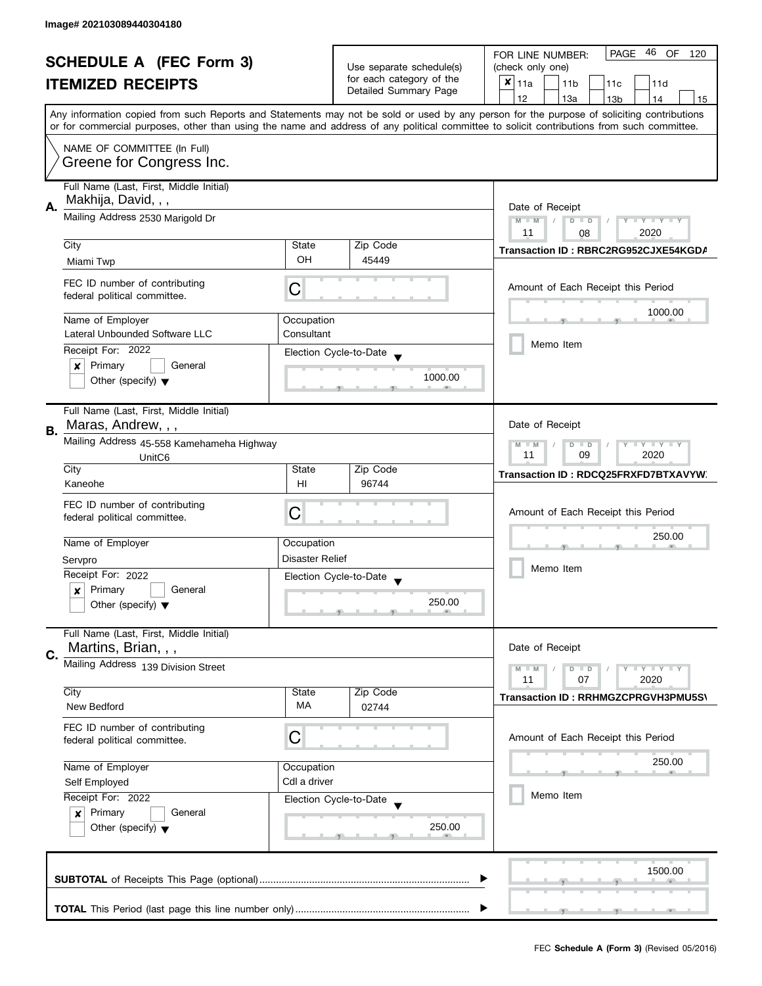| <b>SCHEDULE A (FEC Form 3)</b> |                                                                                |                                                                       | PAGE 46 OF<br>FOR LINE NUMBER:<br>120             |                                                                                                                                                                                                                                                                                         |
|--------------------------------|--------------------------------------------------------------------------------|-----------------------------------------------------------------------|---------------------------------------------------|-----------------------------------------------------------------------------------------------------------------------------------------------------------------------------------------------------------------------------------------------------------------------------------------|
|                                |                                                                                | Use separate schedule(s)                                              | (check only one)                                  |                                                                                                                                                                                                                                                                                         |
|                                | <b>ITEMIZED RECEIPTS</b>                                                       |                                                                       | for each category of the<br>Detailed Summary Page | $x _{11a}$<br>11 <sub>b</sub><br>11c<br>11d                                                                                                                                                                                                                                             |
|                                |                                                                                |                                                                       |                                                   | 12<br>13a<br>13 <sub>b</sub><br>14<br>15                                                                                                                                                                                                                                                |
|                                |                                                                                |                                                                       |                                                   | Any information copied from such Reports and Statements may not be sold or used by any person for the purpose of soliciting contributions<br>or for commercial purposes, other than using the name and address of any political committee to solicit contributions from such committee. |
|                                | NAME OF COMMITTEE (In Full)                                                    |                                                                       |                                                   |                                                                                                                                                                                                                                                                                         |
|                                | Greene for Congress Inc.                                                       |                                                                       |                                                   |                                                                                                                                                                                                                                                                                         |
| А.                             | Full Name (Last, First, Middle Initial)<br>Makhija, David, , ,                 |                                                                       |                                                   | Date of Receipt                                                                                                                                                                                                                                                                         |
|                                | Mailing Address 2530 Marigold Dr                                               | $M - M$<br>$\sqrt{2}$<br>$D$ $D$<br>Y I Y I Y I Y<br>2020<br>11<br>08 |                                                   |                                                                                                                                                                                                                                                                                         |
|                                | City                                                                           | State                                                                 | Zip Code                                          | Transaction ID: RBRC2RG952CJXE54KGDA                                                                                                                                                                                                                                                    |
|                                | Miami Twp                                                                      | OH                                                                    | 45449                                             |                                                                                                                                                                                                                                                                                         |
|                                | FEC ID number of contributing<br>federal political committee.                  | C                                                                     |                                                   | Amount of Each Receipt this Period                                                                                                                                                                                                                                                      |
|                                | Name of Employer                                                               | Occupation                                                            |                                                   | 1000.00                                                                                                                                                                                                                                                                                 |
|                                | Lateral Unbounded Software LLC                                                 | Consultant                                                            |                                                   |                                                                                                                                                                                                                                                                                         |
|                                | Receipt For: 2022                                                              |                                                                       | Election Cycle-to-Date                            | Memo Item                                                                                                                                                                                                                                                                               |
|                                | General<br>Primary<br>×                                                        |                                                                       | 1000.00                                           |                                                                                                                                                                                                                                                                                         |
|                                | Other (specify) $\blacktriangledown$                                           |                                                                       |                                                   |                                                                                                                                                                                                                                                                                         |
|                                | Full Name (Last, First, Middle Initial)<br>Maras, Andrew, , ,                  |                                                                       |                                                   | Date of Receipt                                                                                                                                                                                                                                                                         |
| В.                             | Mailing Address 45-558 Kamehameha Highway                                      |                                                                       |                                                   | $Y = Y = Y$<br>$M - M$<br>D<br>$\Box$                                                                                                                                                                                                                                                   |
|                                | Unit <sub>C6</sub>                                                             | 2020<br>11<br>09                                                      |                                                   |                                                                                                                                                                                                                                                                                         |
|                                | City                                                                           | State                                                                 | Zip Code                                          | Transaction ID: RDCQ25FRXFD7BTXAVYW.                                                                                                                                                                                                                                                    |
|                                | Kaneohe                                                                        | H <sub>II</sub>                                                       | 96744                                             |                                                                                                                                                                                                                                                                                         |
|                                | FEC ID number of contributing                                                  | C                                                                     |                                                   | Amount of Each Receipt this Period                                                                                                                                                                                                                                                      |
|                                | federal political committee.                                                   |                                                                       |                                                   |                                                                                                                                                                                                                                                                                         |
|                                | Name of Employer                                                               | Occupation                                                            |                                                   | 250.00                                                                                                                                                                                                                                                                                  |
|                                | Servpro                                                                        | Disaster Relief                                                       |                                                   |                                                                                                                                                                                                                                                                                         |
|                                | Receipt For: 2022                                                              |                                                                       | Election Cycle-to-Date                            | Memo Item                                                                                                                                                                                                                                                                               |
|                                | Primary<br>General<br>x                                                        |                                                                       |                                                   |                                                                                                                                                                                                                                                                                         |
|                                | Other (specify) $\blacktriangledown$                                           |                                                                       | 250.00                                            |                                                                                                                                                                                                                                                                                         |
|                                | Full Name (Last, First, Middle Initial)                                        |                                                                       |                                                   | Date of Receipt                                                                                                                                                                                                                                                                         |
| C.                             | Martins, Brian, , ,<br>Mailing Address 139 Division Street                     |                                                                       |                                                   |                                                                                                                                                                                                                                                                                         |
|                                |                                                                                |                                                                       |                                                   | $M - M$<br>$Y - Y - Y$<br>D<br>$\blacksquare$<br>11<br>07<br>2020                                                                                                                                                                                                                       |
|                                | City                                                                           | State                                                                 | Zip Code                                          | Transaction ID: RRHMGZCPRGVH3PMU5S\                                                                                                                                                                                                                                                     |
|                                | New Bedford                                                                    | <b>MA</b>                                                             | 02744                                             |                                                                                                                                                                                                                                                                                         |
|                                | FEC ID number of contributing<br>federal political committee.                  | C                                                                     |                                                   | Amount of Each Receipt this Period                                                                                                                                                                                                                                                      |
|                                | Name of Employer                                                               | Occupation                                                            |                                                   | 250.00                                                                                                                                                                                                                                                                                  |
|                                | Self Employed                                                                  | Cdl a driver                                                          |                                                   |                                                                                                                                                                                                                                                                                         |
|                                | Receipt For: 2022                                                              |                                                                       | Election Cycle-to-Date                            | Memo Item                                                                                                                                                                                                                                                                               |
|                                | Primary<br>General<br>$\boldsymbol{x}$<br>Other (specify) $\blacktriangledown$ |                                                                       |                                                   |                                                                                                                                                                                                                                                                                         |
|                                |                                                                                |                                                                       | 250.00                                            |                                                                                                                                                                                                                                                                                         |
|                                |                                                                                |                                                                       |                                                   |                                                                                                                                                                                                                                                                                         |
|                                |                                                                                |                                                                       |                                                   | 1500.00                                                                                                                                                                                                                                                                                 |
|                                |                                                                                |                                                                       |                                                   |                                                                                                                                                                                                                                                                                         |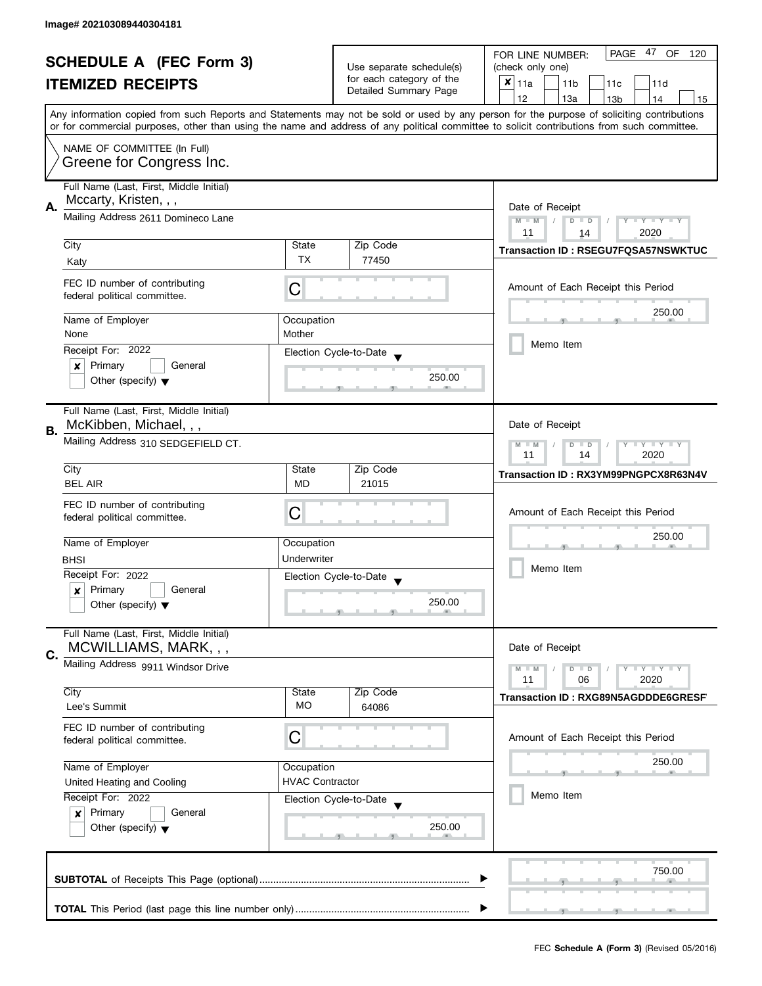| <b>SCHEDULE A (FEC Form 3)</b> |                                                                                       |                                                      | 47 OF<br>PAGE<br>FOR LINE NUMBER:<br>120                          |                                                                                                                                                                                                                                                                                         |  |  |
|--------------------------------|---------------------------------------------------------------------------------------|------------------------------------------------------|-------------------------------------------------------------------|-----------------------------------------------------------------------------------------------------------------------------------------------------------------------------------------------------------------------------------------------------------------------------------------|--|--|
|                                |                                                                                       | Use separate schedule(s)<br>for each category of the | (check only one)                                                  |                                                                                                                                                                                                                                                                                         |  |  |
|                                | <b>ITEMIZED RECEIPTS</b>                                                              |                                                      | Detailed Summary Page                                             | $\boldsymbol{x}$<br>11a<br>11 <sub>b</sub><br>11c<br>11d                                                                                                                                                                                                                                |  |  |
|                                |                                                                                       |                                                      |                                                                   | 12<br>13a<br>13 <sub>b</sub><br>14<br>15                                                                                                                                                                                                                                                |  |  |
|                                |                                                                                       |                                                      |                                                                   | Any information copied from such Reports and Statements may not be sold or used by any person for the purpose of soliciting contributions<br>or for commercial purposes, other than using the name and address of any political committee to solicit contributions from such committee. |  |  |
|                                | NAME OF COMMITTEE (In Full)                                                           |                                                      |                                                                   |                                                                                                                                                                                                                                                                                         |  |  |
|                                | Greene for Congress Inc.                                                              |                                                      |                                                                   |                                                                                                                                                                                                                                                                                         |  |  |
|                                | Full Name (Last, First, Middle Initial)<br>Mccarty, Kristen, , ,                      |                                                      |                                                                   | Date of Receipt                                                                                                                                                                                                                                                                         |  |  |
| А.                             | Mailing Address 2611 Domineco Lane                                                    |                                                      |                                                                   |                                                                                                                                                                                                                                                                                         |  |  |
|                                | City                                                                                  | State                                                | Zip Code                                                          | 2020<br>11<br>14<br>Transaction ID: RSEGU7FQSA57NSWKTUC                                                                                                                                                                                                                                 |  |  |
|                                | Katy                                                                                  | <b>TX</b>                                            | 77450                                                             |                                                                                                                                                                                                                                                                                         |  |  |
|                                | FEC ID number of contributing<br>federal political committee.                         | С                                                    |                                                                   | Amount of Each Receipt this Period                                                                                                                                                                                                                                                      |  |  |
|                                | Name of Employer                                                                      | Occupation                                           |                                                                   | 250.00                                                                                                                                                                                                                                                                                  |  |  |
|                                | None                                                                                  | Mother                                               |                                                                   |                                                                                                                                                                                                                                                                                         |  |  |
|                                | Receipt For: 2022                                                                     |                                                      | Election Cycle-to-Date                                            | Memo Item                                                                                                                                                                                                                                                                               |  |  |
|                                | Primary<br>General<br>×                                                               |                                                      |                                                                   |                                                                                                                                                                                                                                                                                         |  |  |
|                                | Other (specify) $\blacktriangledown$                                                  |                                                      | 250.00                                                            |                                                                                                                                                                                                                                                                                         |  |  |
|                                | Full Name (Last, First, Middle Initial)<br>McKibben, Michael, , ,                     |                                                      |                                                                   | Date of Receipt                                                                                                                                                                                                                                                                         |  |  |
| В.                             | Mailing Address 310 SEDGEFIELD CT.                                                    |                                                      | $Y = Y + Y$<br>$M - M$<br>D<br>$\blacksquare$<br>2020<br>11<br>14 |                                                                                                                                                                                                                                                                                         |  |  |
|                                | City                                                                                  | State                                                | Zip Code                                                          | Transaction ID: RX3YM99PNGPCX8R63N4V                                                                                                                                                                                                                                                    |  |  |
|                                | <b>BEL AIR</b>                                                                        | <b>MD</b>                                            | 21015                                                             |                                                                                                                                                                                                                                                                                         |  |  |
|                                | FEC ID number of contributing                                                         |                                                      |                                                                   |                                                                                                                                                                                                                                                                                         |  |  |
|                                | federal political committee.                                                          | С                                                    |                                                                   | Amount of Each Receipt this Period                                                                                                                                                                                                                                                      |  |  |
|                                |                                                                                       |                                                      |                                                                   | 250.00                                                                                                                                                                                                                                                                                  |  |  |
|                                | Name of Employer                                                                      | Occupation                                           |                                                                   |                                                                                                                                                                                                                                                                                         |  |  |
|                                | <b>BHSI</b>                                                                           | Underwriter                                          |                                                                   | Memo Item                                                                                                                                                                                                                                                                               |  |  |
|                                | Receipt For: 2022                                                                     |                                                      | Election Cycle-to-Date<br>$\overline{\mathbf{v}}$                 |                                                                                                                                                                                                                                                                                         |  |  |
|                                | Primary<br>General<br>$\boldsymbol{x}$                                                |                                                      | 250.00                                                            |                                                                                                                                                                                                                                                                                         |  |  |
|                                | Other (specify) $\blacktriangledown$                                                  |                                                      |                                                                   |                                                                                                                                                                                                                                                                                         |  |  |
|                                | Full Name (Last, First, Middle Initial)<br>MCWILLIAMS, MARK, , ,                      |                                                      |                                                                   | Date of Receipt                                                                                                                                                                                                                                                                         |  |  |
| C.                             | Mailing Address 9911 Windsor Drive                                                    |                                                      |                                                                   | $Y = Y = Y$<br>$M - M$<br>$D$ $D$                                                                                                                                                                                                                                                       |  |  |
|                                |                                                                                       |                                                      |                                                                   | 11<br>06<br>2020                                                                                                                                                                                                                                                                        |  |  |
|                                | City                                                                                  | State                                                | Zip Code                                                          | Transaction ID: RXG89N5AGDDDE6GRESF                                                                                                                                                                                                                                                     |  |  |
|                                | Lee's Summit                                                                          | МO                                                   | 64086                                                             |                                                                                                                                                                                                                                                                                         |  |  |
|                                | FEC ID number of contributing<br>federal political committee.                         | C                                                    |                                                                   | Amount of Each Receipt this Period                                                                                                                                                                                                                                                      |  |  |
|                                | Name of Employer                                                                      | Occupation                                           |                                                                   | 250.00                                                                                                                                                                                                                                                                                  |  |  |
|                                | United Heating and Cooling                                                            | <b>HVAC Contractor</b>                               |                                                                   |                                                                                                                                                                                                                                                                                         |  |  |
|                                | Receipt For: 2022<br>Election Cycle-to-Date<br>Primary<br>General<br>$\boldsymbol{x}$ |                                                      |                                                                   | Memo Item                                                                                                                                                                                                                                                                               |  |  |
|                                |                                                                                       |                                                      |                                                                   |                                                                                                                                                                                                                                                                                         |  |  |
|                                | Other (specify) $\blacktriangledown$                                                  |                                                      | 250.00                                                            |                                                                                                                                                                                                                                                                                         |  |  |
|                                |                                                                                       |                                                      |                                                                   | 750.00                                                                                                                                                                                                                                                                                  |  |  |
|                                |                                                                                       |                                                      |                                                                   |                                                                                                                                                                                                                                                                                         |  |  |
|                                |                                                                                       |                                                      |                                                                   |                                                                                                                                                                                                                                                                                         |  |  |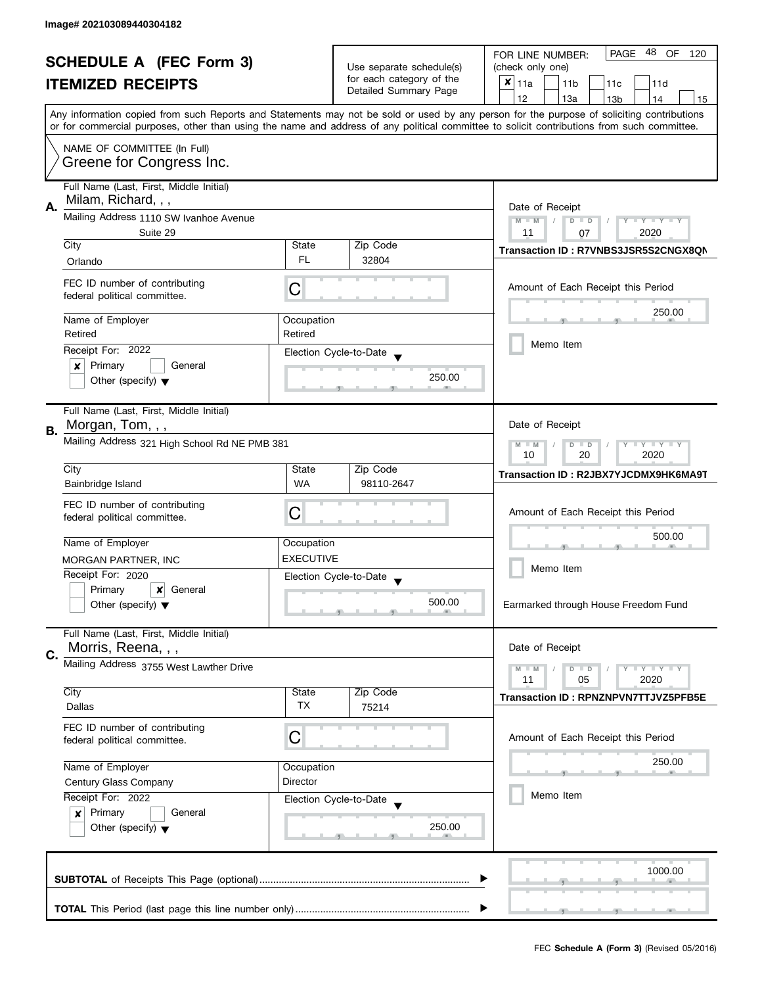| <b>SCHEDULE A (FEC Form 3)</b> |                                                                                                                                                              | Use separate schedule(s) | PAGE 48<br>OF<br>FOR LINE NUMBER:<br>120<br>(check only one) |                                                                                                                                                                                                                                                                                         |  |  |
|--------------------------------|--------------------------------------------------------------------------------------------------------------------------------------------------------------|--------------------------|--------------------------------------------------------------|-----------------------------------------------------------------------------------------------------------------------------------------------------------------------------------------------------------------------------------------------------------------------------------------|--|--|
|                                |                                                                                                                                                              |                          | for each category of the                                     | $x _{11a}$                                                                                                                                                                                                                                                                              |  |  |
|                                | <b>ITEMIZED RECEIPTS</b>                                                                                                                                     |                          | Detailed Summary Page                                        | 11 <sub>b</sub><br>11c<br>11d                                                                                                                                                                                                                                                           |  |  |
|                                |                                                                                                                                                              |                          |                                                              | 12<br>13a<br>13 <sub>b</sub><br>14<br>15                                                                                                                                                                                                                                                |  |  |
|                                |                                                                                                                                                              |                          |                                                              | Any information copied from such Reports and Statements may not be sold or used by any person for the purpose of soliciting contributions<br>or for commercial purposes, other than using the name and address of any political committee to solicit contributions from such committee. |  |  |
|                                | NAME OF COMMITTEE (In Full)                                                                                                                                  |                          |                                                              |                                                                                                                                                                                                                                                                                         |  |  |
|                                | Greene for Congress Inc.                                                                                                                                     |                          |                                                              |                                                                                                                                                                                                                                                                                         |  |  |
|                                | Full Name (Last, First, Middle Initial)<br>Milam, Richard, , ,                                                                                               |                          |                                                              |                                                                                                                                                                                                                                                                                         |  |  |
| А.                             | Mailing Address 1110 SW Ivanhoe Avenue                                                                                                                       |                          |                                                              | Date of Receipt                                                                                                                                                                                                                                                                         |  |  |
|                                | Suite 29                                                                                                                                                     |                          |                                                              | $M - M$<br>$\sqrt{ }$<br>$D$ $D$<br>$Y - Y - Y - Y - Y$<br>2020<br>11<br>07                                                                                                                                                                                                             |  |  |
|                                | City                                                                                                                                                         | State                    | Zip Code                                                     |                                                                                                                                                                                                                                                                                         |  |  |
|                                | Orlando                                                                                                                                                      | FL.                      | 32804                                                        | Transaction ID: R7VNBS3JSR5S2CNGX8QN                                                                                                                                                                                                                                                    |  |  |
|                                |                                                                                                                                                              |                          |                                                              |                                                                                                                                                                                                                                                                                         |  |  |
|                                | FEC ID number of contributing<br>federal political committee.                                                                                                | C                        |                                                              | Amount of Each Receipt this Period                                                                                                                                                                                                                                                      |  |  |
|                                |                                                                                                                                                              |                          |                                                              |                                                                                                                                                                                                                                                                                         |  |  |
|                                | Name of Employer                                                                                                                                             | Occupation               |                                                              | 250.00                                                                                                                                                                                                                                                                                  |  |  |
|                                | Retired                                                                                                                                                      | Retired                  |                                                              |                                                                                                                                                                                                                                                                                         |  |  |
|                                | Receipt For: 2022                                                                                                                                            |                          | Election Cycle-to-Date                                       | Memo Item                                                                                                                                                                                                                                                                               |  |  |
|                                | Primary<br>General<br>×                                                                                                                                      |                          |                                                              |                                                                                                                                                                                                                                                                                         |  |  |
|                                | Other (specify) $\blacktriangledown$                                                                                                                         |                          | 250.00                                                       |                                                                                                                                                                                                                                                                                         |  |  |
|                                | Full Name (Last, First, Middle Initial)                                                                                                                      |                          |                                                              |                                                                                                                                                                                                                                                                                         |  |  |
|                                | Morgan, Tom, , ,                                                                                                                                             |                          |                                                              | Date of Receipt                                                                                                                                                                                                                                                                         |  |  |
| В.                             | Mailing Address 321 High School Rd NE PMB 381                                                                                                                |                          |                                                              | $\bot$ $\gamma$ $\bot$ $\gamma$ $\bot$ $\gamma$<br>$M - M$<br>D<br>$\blacksquare$                                                                                                                                                                                                       |  |  |
|                                |                                                                                                                                                              | 20<br>2020<br>10         |                                                              |                                                                                                                                                                                                                                                                                         |  |  |
|                                | City                                                                                                                                                         | State                    | Zip Code                                                     | Transaction ID: R2JBX7YJCDMX9HK6MA9T                                                                                                                                                                                                                                                    |  |  |
|                                | Bainbridge Island                                                                                                                                            | <b>WA</b>                | 98110-2647                                                   |                                                                                                                                                                                                                                                                                         |  |  |
|                                | FEC ID number of contributing                                                                                                                                |                          |                                                              |                                                                                                                                                                                                                                                                                         |  |  |
|                                | federal political committee.                                                                                                                                 | C                        |                                                              | Amount of Each Receipt this Period                                                                                                                                                                                                                                                      |  |  |
|                                |                                                                                                                                                              |                          |                                                              | 500.00                                                                                                                                                                                                                                                                                  |  |  |
|                                | Name of Employer                                                                                                                                             | Occupation               |                                                              |                                                                                                                                                                                                                                                                                         |  |  |
|                                | MORGAN PARTNER, INC                                                                                                                                          | <b>EXECUTIVE</b>         |                                                              | Memo Item                                                                                                                                                                                                                                                                               |  |  |
|                                | Receipt For: 2020                                                                                                                                            |                          | Election Cycle-to-Date                                       |                                                                                                                                                                                                                                                                                         |  |  |
|                                | Primary<br>$\boldsymbol{x}$<br>General                                                                                                                       |                          | 500.00                                                       |                                                                                                                                                                                                                                                                                         |  |  |
|                                | Other (specify) $\blacktriangledown$                                                                                                                         |                          |                                                              | Earmarked through House Freedom Fund                                                                                                                                                                                                                                                    |  |  |
|                                | Full Name (Last, First, Middle Initial)                                                                                                                      |                          |                                                              |                                                                                                                                                                                                                                                                                         |  |  |
| C.                             | Morris, Reena, , ,                                                                                                                                           |                          |                                                              | Date of Receipt                                                                                                                                                                                                                                                                         |  |  |
|                                | Mailing Address 3755 West Lawther Drive                                                                                                                      |                          |                                                              | $M - M$<br>$Y - Y - Y$<br>$D$ $D$                                                                                                                                                                                                                                                       |  |  |
|                                |                                                                                                                                                              |                          |                                                              | 11<br>05<br>2020                                                                                                                                                                                                                                                                        |  |  |
|                                | City                                                                                                                                                         | State<br><b>TX</b>       | Zip Code                                                     | Transaction ID: RPNZNPVN7TTJVZ5PFB5E                                                                                                                                                                                                                                                    |  |  |
|                                | Dallas                                                                                                                                                       |                          | 75214                                                        |                                                                                                                                                                                                                                                                                         |  |  |
|                                | FEC ID number of contributing                                                                                                                                | C                        |                                                              | Amount of Each Receipt this Period                                                                                                                                                                                                                                                      |  |  |
|                                | federal political committee.                                                                                                                                 |                          |                                                              |                                                                                                                                                                                                                                                                                         |  |  |
|                                | Name of Employer<br>Occupation<br>Director<br>Century Glass Company<br>Receipt For: 2022<br>Election Cycle-to-Date<br>Primary<br>General<br>$\boldsymbol{x}$ |                          |                                                              | 250.00                                                                                                                                                                                                                                                                                  |  |  |
|                                |                                                                                                                                                              |                          |                                                              |                                                                                                                                                                                                                                                                                         |  |  |
|                                |                                                                                                                                                              |                          |                                                              | Memo Item                                                                                                                                                                                                                                                                               |  |  |
|                                |                                                                                                                                                              |                          |                                                              |                                                                                                                                                                                                                                                                                         |  |  |
|                                | Other (specify) $\blacktriangledown$                                                                                                                         |                          | 250.00                                                       |                                                                                                                                                                                                                                                                                         |  |  |
|                                |                                                                                                                                                              |                          |                                                              |                                                                                                                                                                                                                                                                                         |  |  |
|                                |                                                                                                                                                              |                          |                                                              |                                                                                                                                                                                                                                                                                         |  |  |
|                                |                                                                                                                                                              |                          |                                                              | 1000.00                                                                                                                                                                                                                                                                                 |  |  |
|                                |                                                                                                                                                              |                          |                                                              |                                                                                                                                                                                                                                                                                         |  |  |
|                                |                                                                                                                                                              |                          |                                                              |                                                                                                                                                                                                                                                                                         |  |  |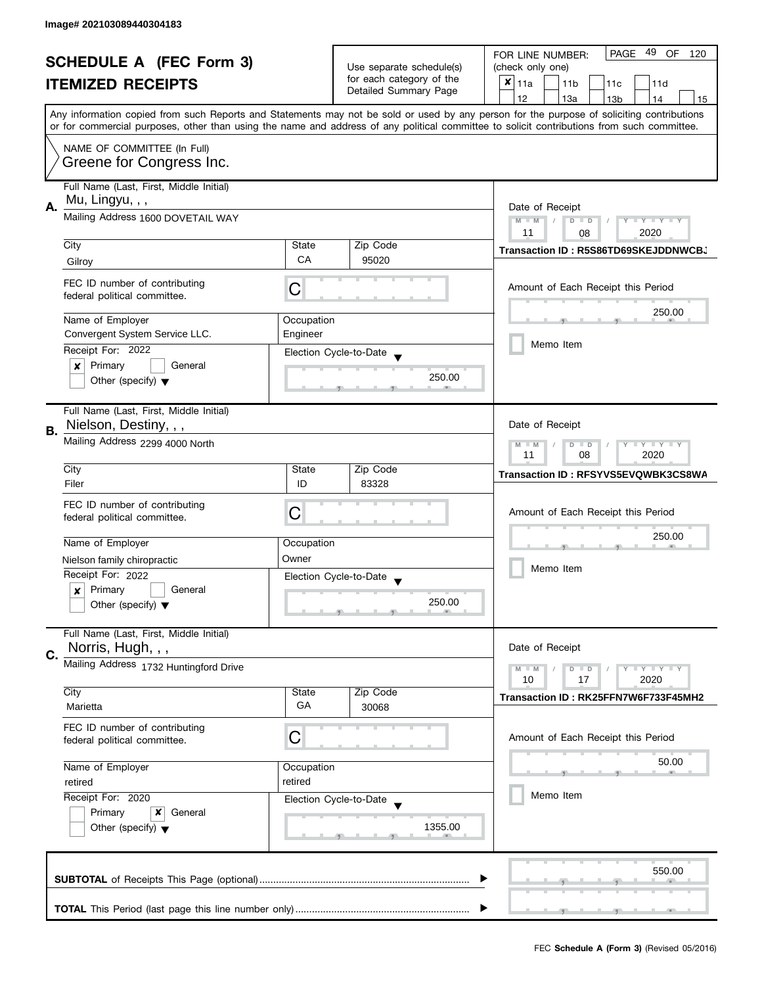| <b>SCHEDULE A (FEC Form 3)</b> |                                                                                                                                                                        |                  | PAGE 49 OF<br>FOR LINE NUMBER:<br>120                                         |                                                                                                                                           |  |  |
|--------------------------------|------------------------------------------------------------------------------------------------------------------------------------------------------------------------|------------------|-------------------------------------------------------------------------------|-------------------------------------------------------------------------------------------------------------------------------------------|--|--|
|                                |                                                                                                                                                                        |                  | Use separate schedule(s)<br>for each category of the<br>Detailed Summary Page | (check only one)                                                                                                                          |  |  |
|                                | <b>ITEMIZED RECEIPTS</b>                                                                                                                                               |                  |                                                                               | $x _{11a}$<br>11 <sub>b</sub><br>11c<br>11d                                                                                               |  |  |
|                                |                                                                                                                                                                        |                  |                                                                               | 12<br>13a<br>13 <sub>b</sub><br>14<br>15                                                                                                  |  |  |
|                                |                                                                                                                                                                        |                  |                                                                               | Any information copied from such Reports and Statements may not be sold or used by any person for the purpose of soliciting contributions |  |  |
|                                | or for commercial purposes, other than using the name and address of any political committee to solicit contributions from such committee.                             |                  |                                                                               |                                                                                                                                           |  |  |
|                                | NAME OF COMMITTEE (In Full)                                                                                                                                            |                  |                                                                               |                                                                                                                                           |  |  |
|                                | Greene for Congress Inc.                                                                                                                                               |                  |                                                                               |                                                                                                                                           |  |  |
|                                | Full Name (Last, First, Middle Initial)                                                                                                                                |                  |                                                                               |                                                                                                                                           |  |  |
| Α.                             | Mu, Lingyu, , ,                                                                                                                                                        |                  |                                                                               | Date of Receipt                                                                                                                           |  |  |
|                                | Mailing Address 1600 DOVETAIL WAY                                                                                                                                      |                  |                                                                               | $M - M$<br>$\sqrt{2}$<br>$D$ $D$<br>Y I Y I Y I Y<br>2020<br>11                                                                           |  |  |
|                                | City                                                                                                                                                                   | State            | Zip Code                                                                      | 08                                                                                                                                        |  |  |
|                                | Gilroy                                                                                                                                                                 | <b>CA</b>        | 95020                                                                         | Transaction ID: R5S86TD69SKEJDDNWCBJ                                                                                                      |  |  |
|                                | FEC ID number of contributing                                                                                                                                          |                  |                                                                               |                                                                                                                                           |  |  |
|                                | federal political committee.                                                                                                                                           | C                |                                                                               | Amount of Each Receipt this Period                                                                                                        |  |  |
|                                | Name of Employer                                                                                                                                                       | Occupation       |                                                                               | 250.00                                                                                                                                    |  |  |
|                                | Convergent System Service LLC.                                                                                                                                         | Engineer         |                                                                               |                                                                                                                                           |  |  |
|                                | Receipt For: 2022                                                                                                                                                      |                  | Election Cycle-to-Date                                                        | Memo Item                                                                                                                                 |  |  |
|                                | Primary<br>General<br>×                                                                                                                                                |                  |                                                                               |                                                                                                                                           |  |  |
|                                | Other (specify) $\blacktriangledown$                                                                                                                                   |                  | 250.00                                                                        |                                                                                                                                           |  |  |
|                                | Full Name (Last, First, Middle Initial)                                                                                                                                |                  |                                                                               |                                                                                                                                           |  |  |
|                                | Nielson, Destiny, , ,                                                                                                                                                  |                  |                                                                               | Date of Receipt                                                                                                                           |  |  |
| В.                             | Mailing Address 2299 4000 North                                                                                                                                        |                  |                                                                               | $Y = Y + Y$<br>$M - M$<br>D<br>$\Box$                                                                                                     |  |  |
|                                |                                                                                                                                                                        | 11<br>08<br>2020 |                                                                               |                                                                                                                                           |  |  |
|                                | City                                                                                                                                                                   | State            | Zip Code                                                                      | Transaction ID: RFSYVS5EVQWBK3CS8WA                                                                                                       |  |  |
|                                | Filer                                                                                                                                                                  | ID               | 83328                                                                         |                                                                                                                                           |  |  |
|                                | FEC ID number of contributing<br>federal political committee.                                                                                                          | С                |                                                                               | Amount of Each Receipt this Period                                                                                                        |  |  |
|                                |                                                                                                                                                                        |                  |                                                                               | 250.00                                                                                                                                    |  |  |
|                                | Name of Employer                                                                                                                                                       | Occupation       |                                                                               |                                                                                                                                           |  |  |
|                                | Nielson family chiropractic                                                                                                                                            | Owner            |                                                                               | Memo Item                                                                                                                                 |  |  |
|                                | Receipt For: 2022                                                                                                                                                      |                  | Election Cycle-to-Date                                                        |                                                                                                                                           |  |  |
|                                | Primary<br>General<br>x                                                                                                                                                |                  |                                                                               |                                                                                                                                           |  |  |
|                                | Other (specify) $\blacktriangledown$                                                                                                                                   |                  | 250.00                                                                        |                                                                                                                                           |  |  |
|                                | Full Name (Last, First, Middle Initial)                                                                                                                                |                  |                                                                               |                                                                                                                                           |  |  |
| C.                             | Norris, Hugh, , ,                                                                                                                                                      |                  |                                                                               | Date of Receipt                                                                                                                           |  |  |
|                                | Mailing Address 1732 Huntingford Drive                                                                                                                                 |                  |                                                                               | $Y = Y + Y$<br>$M - M$<br>$\blacksquare$                                                                                                  |  |  |
|                                |                                                                                                                                                                        |                  |                                                                               | 10<br>17<br>2020                                                                                                                          |  |  |
|                                | City<br>Marietta                                                                                                                                                       | State<br>GA      | Zip Code<br>30068                                                             | Transaction ID: RK25FFN7W6F733F45MH2                                                                                                      |  |  |
|                                | FEC ID number of contributing                                                                                                                                          |                  |                                                                               |                                                                                                                                           |  |  |
|                                | federal political committee.                                                                                                                                           | C                |                                                                               | Amount of Each Receipt this Period                                                                                                        |  |  |
|                                | Name of Employer<br>Occupation<br>retired<br>retired<br>Receipt For: 2020<br>Election Cycle-to-Date<br>Primary<br>x<br>General<br>Other (specify) $\blacktriangledown$ |                  |                                                                               | 50.00                                                                                                                                     |  |  |
|                                |                                                                                                                                                                        |                  |                                                                               |                                                                                                                                           |  |  |
|                                |                                                                                                                                                                        |                  |                                                                               | Memo Item                                                                                                                                 |  |  |
|                                |                                                                                                                                                                        |                  |                                                                               |                                                                                                                                           |  |  |
|                                |                                                                                                                                                                        |                  | 1355.00                                                                       |                                                                                                                                           |  |  |
|                                |                                                                                                                                                                        |                  |                                                                               |                                                                                                                                           |  |  |
|                                |                                                                                                                                                                        |                  |                                                                               | 550.00                                                                                                                                    |  |  |
|                                |                                                                                                                                                                        |                  |                                                                               |                                                                                                                                           |  |  |
|                                |                                                                                                                                                                        |                  |                                                                               |                                                                                                                                           |  |  |
|                                |                                                                                                                                                                        |                  |                                                                               |                                                                                                                                           |  |  |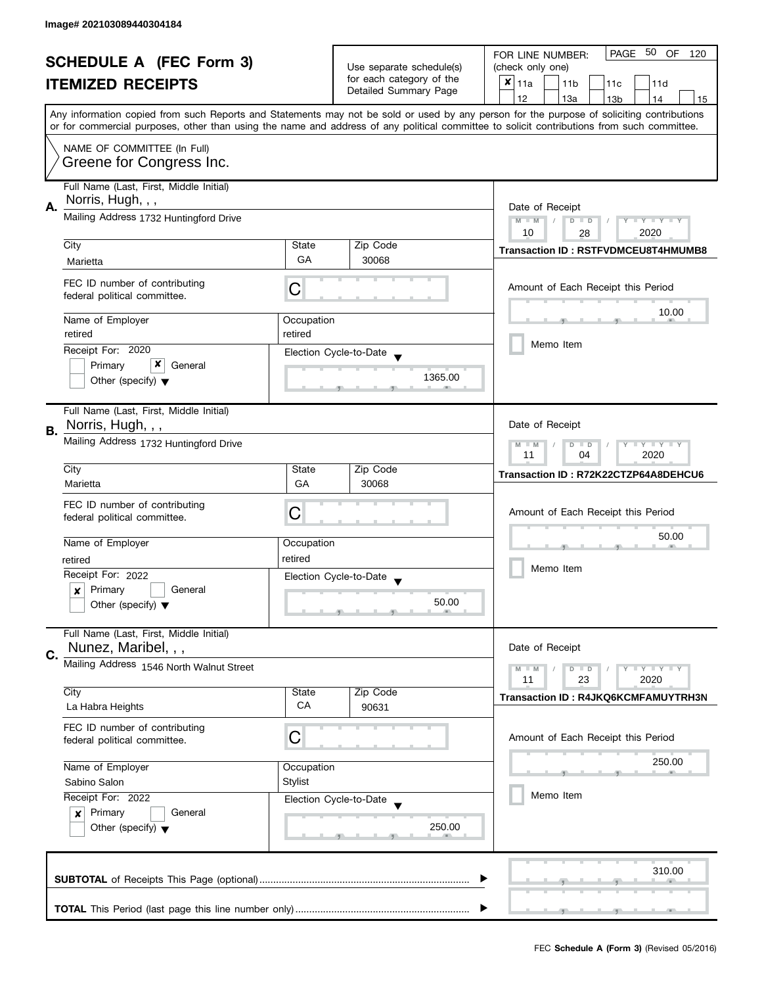| <b>SCHEDULE A (FEC Form 3)</b> |                                                                                                                                                                 | Use separate schedule(s) | PAGE 50 OF<br>FOR LINE NUMBER:<br>120 |                                                                                                                                            |  |
|--------------------------------|-----------------------------------------------------------------------------------------------------------------------------------------------------------------|--------------------------|---------------------------------------|--------------------------------------------------------------------------------------------------------------------------------------------|--|
|                                |                                                                                                                                                                 |                          | (check only one)                      |                                                                                                                                            |  |
|                                | <b>ITEMIZED RECEIPTS</b>                                                                                                                                        |                          | for each category of the              | $x _{11a}$<br>11 <sub>b</sub><br>11c<br>11d                                                                                                |  |
|                                |                                                                                                                                                                 |                          | Detailed Summary Page                 | 12<br>13a<br>13 <sub>b</sub><br>14<br>15                                                                                                   |  |
|                                |                                                                                                                                                                 |                          |                                       | Any information copied from such Reports and Statements may not be sold or used by any person for the purpose of soliciting contributions  |  |
|                                |                                                                                                                                                                 |                          |                                       | or for commercial purposes, other than using the name and address of any political committee to solicit contributions from such committee. |  |
|                                | NAME OF COMMITTEE (In Full)                                                                                                                                     |                          |                                       |                                                                                                                                            |  |
|                                | Greene for Congress Inc.                                                                                                                                        |                          |                                       |                                                                                                                                            |  |
|                                |                                                                                                                                                                 |                          |                                       |                                                                                                                                            |  |
|                                | Full Name (Last, First, Middle Initial)                                                                                                                         |                          |                                       |                                                                                                                                            |  |
| А.                             | Norris, Hugh, , ,                                                                                                                                               | Date of Receipt          |                                       |                                                                                                                                            |  |
|                                | Mailing Address 1732 Huntingford Drive                                                                                                                          |                          |                                       | $M - M$<br>$\sqrt{2}$<br>$D$ $D$<br>$Y - Y - Y - Y - Y$                                                                                    |  |
|                                |                                                                                                                                                                 |                          |                                       | 10<br>28<br>2020                                                                                                                           |  |
|                                | City                                                                                                                                                            | State                    | Zip Code                              | <b>Transaction ID: RSTFVDMCEU8T4HMUMB8</b>                                                                                                 |  |
|                                | Marietta                                                                                                                                                        | GA                       | 30068                                 |                                                                                                                                            |  |
|                                | FEC ID number of contributing                                                                                                                                   |                          |                                       |                                                                                                                                            |  |
|                                | federal political committee.                                                                                                                                    | С                        |                                       | Amount of Each Receipt this Period                                                                                                         |  |
|                                |                                                                                                                                                                 |                          |                                       | 10.00                                                                                                                                      |  |
|                                | Name of Employer                                                                                                                                                | Occupation               |                                       |                                                                                                                                            |  |
|                                | retired                                                                                                                                                         | retired                  |                                       |                                                                                                                                            |  |
|                                | Receipt For: 2020                                                                                                                                               |                          | Election Cycle-to-Date                | Memo Item                                                                                                                                  |  |
|                                | x<br>Primary<br>General                                                                                                                                         |                          |                                       |                                                                                                                                            |  |
|                                | Other (specify) $\blacktriangledown$                                                                                                                            |                          | 1365.00                               |                                                                                                                                            |  |
|                                |                                                                                                                                                                 |                          |                                       |                                                                                                                                            |  |
|                                | Full Name (Last, First, Middle Initial)                                                                                                                         |                          |                                       |                                                                                                                                            |  |
| В.                             | Norris, Hugh, , ,                                                                                                                                               |                          |                                       | Date of Receipt                                                                                                                            |  |
|                                | Mailing Address 1732 Huntingford Drive                                                                                                                          |                          |                                       | $Y = Y + Y$<br>$M - M$<br>D<br>$\Box$                                                                                                      |  |
|                                |                                                                                                                                                                 |                          |                                       | 2020<br>11<br>04                                                                                                                           |  |
|                                | City                                                                                                                                                            | State                    | Zip Code                              | Transaction ID: R72K22CTZP64A8DEHCU6                                                                                                       |  |
|                                | Marietta                                                                                                                                                        | GA                       | 30068                                 |                                                                                                                                            |  |
|                                | FEC ID number of contributing                                                                                                                                   |                          |                                       |                                                                                                                                            |  |
|                                | federal political committee.                                                                                                                                    | С                        |                                       | Amount of Each Receipt this Period                                                                                                         |  |
|                                |                                                                                                                                                                 |                          |                                       | 50.00                                                                                                                                      |  |
|                                | Name of Employer                                                                                                                                                | Occupation               |                                       |                                                                                                                                            |  |
|                                | retired                                                                                                                                                         | retired                  |                                       |                                                                                                                                            |  |
|                                | Receipt For: 2022                                                                                                                                               |                          | Election Cycle-to-Date                | Memo Item                                                                                                                                  |  |
|                                | Primary<br>General<br>x                                                                                                                                         |                          |                                       |                                                                                                                                            |  |
|                                | Other (specify) $\blacktriangledown$                                                                                                                            |                          | 50.00                                 |                                                                                                                                            |  |
|                                |                                                                                                                                                                 |                          |                                       |                                                                                                                                            |  |
|                                | Full Name (Last, First, Middle Initial)                                                                                                                         |                          |                                       |                                                                                                                                            |  |
| C.                             | Nunez, Maribel, , ,                                                                                                                                             |                          |                                       | Date of Receipt                                                                                                                            |  |
|                                | Mailing Address 1546 North Walnut Street                                                                                                                        |                          |                                       | $M - M$<br>$Y - Y - Y$<br>D<br>$\blacksquare$                                                                                              |  |
|                                |                                                                                                                                                                 |                          |                                       | 11<br>23<br>2020                                                                                                                           |  |
|                                | City                                                                                                                                                            | State                    | Zip Code                              | <b>Transaction ID: R4JKQ6KCMFAMUYTRH3N</b>                                                                                                 |  |
|                                | La Habra Heights                                                                                                                                                | CA                       | 90631                                 |                                                                                                                                            |  |
|                                | FEC ID number of contributing                                                                                                                                   |                          |                                       |                                                                                                                                            |  |
|                                | federal political committee.                                                                                                                                    | C                        |                                       | Amount of Each Receipt this Period                                                                                                         |  |
|                                |                                                                                                                                                                 |                          |                                       | 250.00                                                                                                                                     |  |
|                                | Name of Employer                                                                                                                                                | Occupation               |                                       |                                                                                                                                            |  |
|                                | <b>Stylist</b><br>Sabino Salon<br>Receipt For: 2022<br>Election Cycle-to-Date<br>Primary<br>$\boldsymbol{x}$<br>General<br>Other (specify) $\blacktriangledown$ |                          |                                       |                                                                                                                                            |  |
|                                |                                                                                                                                                                 |                          |                                       | Memo Item                                                                                                                                  |  |
|                                |                                                                                                                                                                 |                          |                                       |                                                                                                                                            |  |
|                                |                                                                                                                                                                 |                          | 250.00                                |                                                                                                                                            |  |
|                                |                                                                                                                                                                 |                          |                                       |                                                                                                                                            |  |
|                                |                                                                                                                                                                 |                          |                                       |                                                                                                                                            |  |
|                                |                                                                                                                                                                 |                          |                                       | 310.00                                                                                                                                     |  |
|                                |                                                                                                                                                                 |                          |                                       |                                                                                                                                            |  |
|                                |                                                                                                                                                                 |                          |                                       |                                                                                                                                            |  |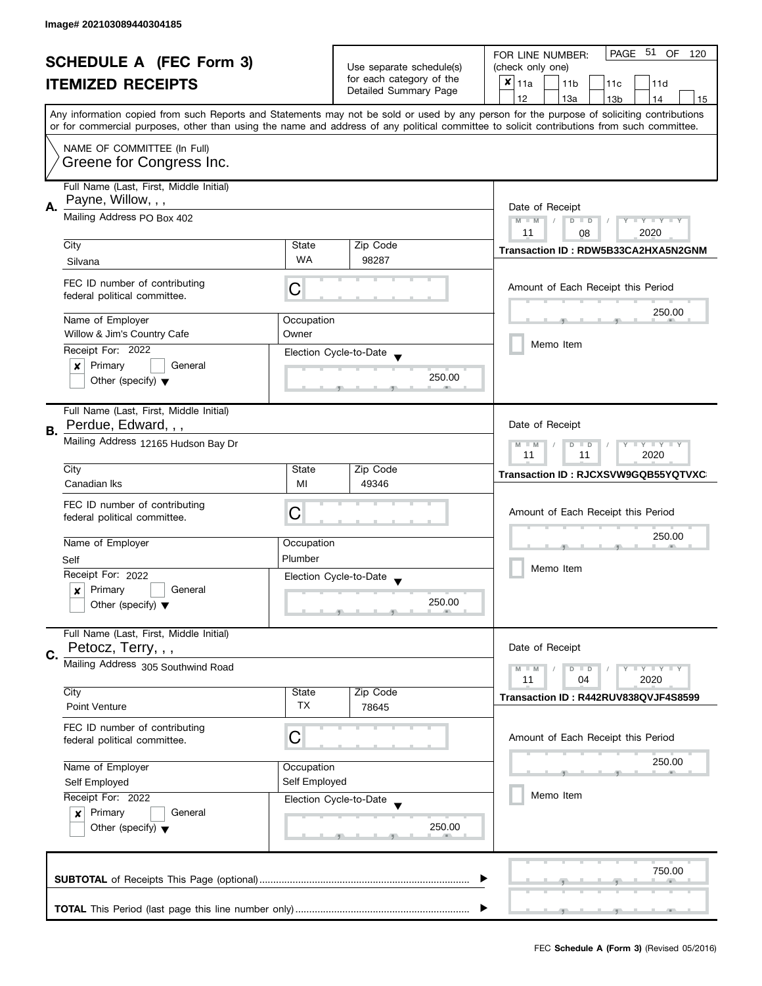| <b>SCHEDULE A (FEC Form 3)</b> |                                                                               | Use separate schedule(s) | PAGE 51 OF<br>FOR LINE NUMBER:<br>120 |                                                                                                                                            |
|--------------------------------|-------------------------------------------------------------------------------|--------------------------|---------------------------------------|--------------------------------------------------------------------------------------------------------------------------------------------|
|                                |                                                                               |                          | (check only one)                      |                                                                                                                                            |
|                                | <b>ITEMIZED RECEIPTS</b>                                                      |                          | for each category of the              | $x _{11a}$<br>11 <sub>b</sub><br>11c<br>11d                                                                                                |
|                                |                                                                               |                          | Detailed Summary Page                 | 12<br>13a<br>13 <sub>b</sub><br>14<br>15                                                                                                   |
|                                |                                                                               |                          |                                       | Any information copied from such Reports and Statements may not be sold or used by any person for the purpose of soliciting contributions  |
|                                |                                                                               |                          |                                       | or for commercial purposes, other than using the name and address of any political committee to solicit contributions from such committee. |
|                                |                                                                               |                          |                                       |                                                                                                                                            |
|                                | NAME OF COMMITTEE (In Full)                                                   |                          |                                       |                                                                                                                                            |
|                                | Greene for Congress Inc.                                                      |                          |                                       |                                                                                                                                            |
|                                | Full Name (Last, First, Middle Initial)                                       |                          |                                       |                                                                                                                                            |
|                                | Payne, Willow, , ,                                                            |                          |                                       |                                                                                                                                            |
| Α.                             |                                                                               | Date of Receipt          |                                       |                                                                                                                                            |
|                                | Mailing Address PO Box 402                                                    |                          |                                       | $M - M$<br>$\sqrt{2}$<br>$D$ $D$<br>$Y - Y - Y - Y - Y$                                                                                    |
|                                |                                                                               |                          |                                       | 11<br>08<br>2020                                                                                                                           |
|                                | City                                                                          | State                    | Zip Code                              | Transaction ID: RDW5B33CA2HXA5N2GNM                                                                                                        |
|                                | Silvana                                                                       | <b>WA</b>                | 98287                                 |                                                                                                                                            |
|                                | FEC ID number of contributing                                                 |                          |                                       |                                                                                                                                            |
|                                | federal political committee.                                                  | С                        |                                       | Amount of Each Receipt this Period                                                                                                         |
|                                |                                                                               |                          |                                       |                                                                                                                                            |
|                                | Name of Employer                                                              | Occupation               |                                       | 250.00                                                                                                                                     |
|                                | Willow & Jim's Country Cafe                                                   | Owner                    |                                       |                                                                                                                                            |
|                                | Receipt For: 2022                                                             |                          |                                       | Memo Item                                                                                                                                  |
|                                | Primary<br>General<br>×                                                       |                          | Election Cycle-to-Date                |                                                                                                                                            |
|                                | Other (specify) $\blacktriangledown$                                          |                          | 250.00                                |                                                                                                                                            |
|                                |                                                                               |                          |                                       |                                                                                                                                            |
|                                |                                                                               |                          |                                       |                                                                                                                                            |
|                                | Full Name (Last, First, Middle Initial)                                       |                          |                                       |                                                                                                                                            |
| В.                             | Perdue, Edward, , ,                                                           |                          |                                       | Date of Receipt                                                                                                                            |
|                                | Mailing Address 12165 Hudson Bay Dr                                           |                          |                                       | $Y = Y + Y$<br>$M - M$<br>D<br>$\Box$                                                                                                      |
|                                |                                                                               | 2020<br>11<br>11         |                                       |                                                                                                                                            |
|                                | City                                                                          | State                    | Zip Code                              | Transaction ID: RJCXSVW9GQB55YQTVXC                                                                                                        |
|                                | Canadian Iks                                                                  | MI                       | 49346                                 |                                                                                                                                            |
|                                | FEC ID number of contributing                                                 |                          |                                       |                                                                                                                                            |
|                                | federal political committee.                                                  | С                        |                                       | Amount of Each Receipt this Period                                                                                                         |
|                                |                                                                               |                          |                                       | 250.00                                                                                                                                     |
|                                | Name of Employer                                                              | Occupation               |                                       |                                                                                                                                            |
|                                | Self                                                                          | Plumber                  |                                       |                                                                                                                                            |
|                                | Receipt For: 2022                                                             |                          | Election Cycle-to-Date                | Memo Item                                                                                                                                  |
|                                | Primary<br>General<br>x                                                       |                          |                                       |                                                                                                                                            |
|                                | Other (specify) $\blacktriangledown$                                          |                          | 250.00                                |                                                                                                                                            |
|                                |                                                                               |                          |                                       |                                                                                                                                            |
|                                | Full Name (Last, First, Middle Initial)                                       |                          |                                       |                                                                                                                                            |
|                                | Petocz, Terry, , ,                                                            |                          |                                       | Date of Receipt                                                                                                                            |
| C.                             | Mailing Address 305 Southwind Road                                            |                          |                                       |                                                                                                                                            |
|                                |                                                                               |                          |                                       | $Y = Y + Y$<br>$M - M$<br>D<br>$\blacksquare$<br>11<br>2020<br>04                                                                          |
|                                | City                                                                          | State                    | Zip Code                              |                                                                                                                                            |
|                                | <b>Point Venture</b>                                                          | <b>TX</b>                | 78645                                 | Transaction ID: R442RUV838QVJF4S8599                                                                                                       |
|                                |                                                                               |                          |                                       |                                                                                                                                            |
|                                | FEC ID number of contributing                                                 | C                        |                                       |                                                                                                                                            |
|                                | federal political committee.                                                  |                          |                                       | Amount of Each Receipt this Period                                                                                                         |
|                                |                                                                               |                          |                                       | 250.00                                                                                                                                     |
|                                | Name of Employer                                                              | Occupation               |                                       |                                                                                                                                            |
|                                | Self Employed<br>Self Employed<br>Receipt For: 2022<br>Election Cycle-to-Date |                          |                                       | Memo Item                                                                                                                                  |
|                                |                                                                               |                          |                                       |                                                                                                                                            |
|                                | Primary<br>$\boldsymbol{x}$<br>General                                        |                          |                                       |                                                                                                                                            |
|                                | Other (specify) $\blacktriangledown$                                          |                          | 250.00                                |                                                                                                                                            |
|                                |                                                                               |                          |                                       |                                                                                                                                            |
|                                |                                                                               |                          |                                       |                                                                                                                                            |
|                                |                                                                               |                          |                                       | 750.00                                                                                                                                     |
|                                |                                                                               |                          |                                       |                                                                                                                                            |
|                                |                                                                               |                          |                                       |                                                                                                                                            |
|                                |                                                                               |                          |                                       |                                                                                                                                            |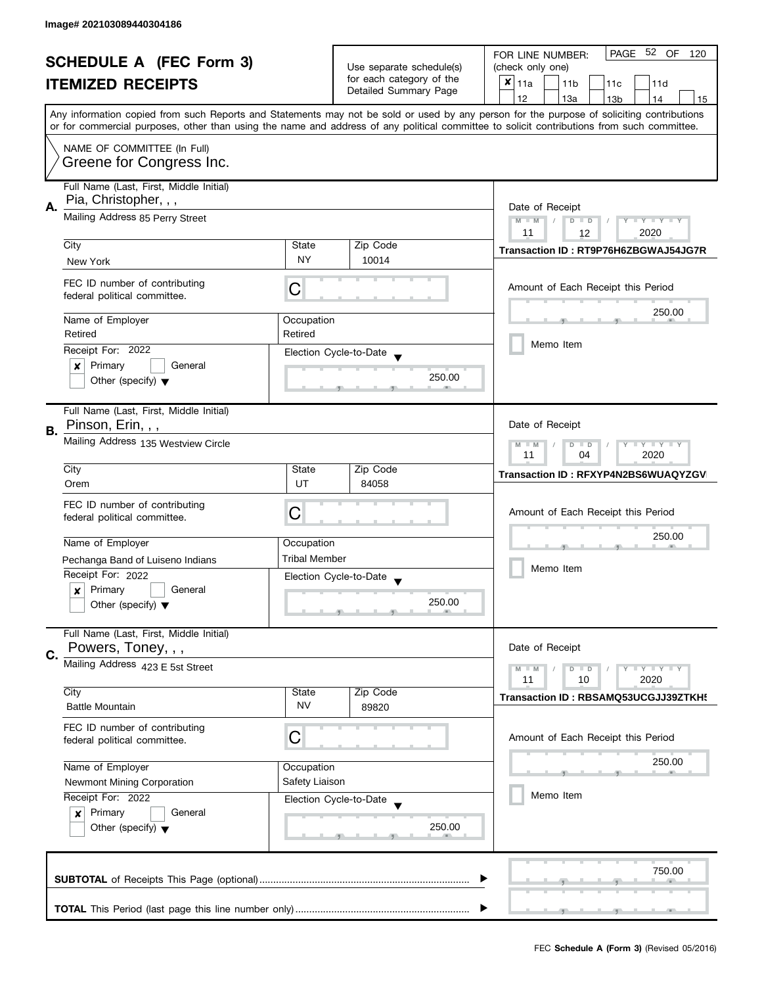| <b>SCHEDULE A (FEC Form 3)</b> |                                                                   |                                                                                  | PAGE 52 OF<br>FOR LINE NUMBER:<br>120 |                                                                                                                                                                                                                                                                                         |  |  |  |
|--------------------------------|-------------------------------------------------------------------|----------------------------------------------------------------------------------|---------------------------------------|-----------------------------------------------------------------------------------------------------------------------------------------------------------------------------------------------------------------------------------------------------------------------------------------|--|--|--|
|                                |                                                                   | Use separate schedule(s)<br>for each category of the                             | (check only one)                      |                                                                                                                                                                                                                                                                                         |  |  |  |
|                                | <b>ITEMIZED RECEIPTS</b>                                          |                                                                                  | Detailed Summary Page                 | $x _{11a}$<br>11 <sub>b</sub><br>11c<br>11d                                                                                                                                                                                                                                             |  |  |  |
|                                |                                                                   |                                                                                  |                                       | 12<br>13a<br>13 <sub>b</sub><br>14<br>15                                                                                                                                                                                                                                                |  |  |  |
|                                |                                                                   |                                                                                  |                                       | Any information copied from such Reports and Statements may not be sold or used by any person for the purpose of soliciting contributions<br>or for commercial purposes, other than using the name and address of any political committee to solicit contributions from such committee. |  |  |  |
|                                | NAME OF COMMITTEE (In Full)                                       |                                                                                  |                                       |                                                                                                                                                                                                                                                                                         |  |  |  |
|                                | Greene for Congress Inc.                                          |                                                                                  |                                       |                                                                                                                                                                                                                                                                                         |  |  |  |
|                                | Full Name (Last, First, Middle Initial)<br>Pia, Christopher, , ,  |                                                                                  |                                       |                                                                                                                                                                                                                                                                                         |  |  |  |
| Α.                             | Mailing Address 85 Perry Street                                   | Date of Receipt<br>$M - M$<br>$Y - Y - Y - Y - Y$<br>$D$ $D$<br>2020<br>11<br>12 |                                       |                                                                                                                                                                                                                                                                                         |  |  |  |
|                                | City                                                              | State                                                                            | Zip Code                              |                                                                                                                                                                                                                                                                                         |  |  |  |
|                                | New York                                                          | <b>NY</b>                                                                        | 10014                                 | Transaction ID: RT9P76H6ZBGWAJ54JG7R                                                                                                                                                                                                                                                    |  |  |  |
|                                | FEC ID number of contributing<br>federal political committee.     | C                                                                                |                                       | Amount of Each Receipt this Period                                                                                                                                                                                                                                                      |  |  |  |
|                                | Name of Employer                                                  | Occupation                                                                       |                                       | 250.00                                                                                                                                                                                                                                                                                  |  |  |  |
|                                | Retired<br>Receipt For: 2022                                      | Retired                                                                          | Election Cycle-to-Date                | Memo Item                                                                                                                                                                                                                                                                               |  |  |  |
|                                | Primary<br>General<br>×                                           |                                                                                  |                                       |                                                                                                                                                                                                                                                                                         |  |  |  |
|                                | Other (specify) $\blacktriangledown$                              |                                                                                  | 250.00                                |                                                                                                                                                                                                                                                                                         |  |  |  |
|                                | Full Name (Last, First, Middle Initial)<br>Pinson, Erin, , ,      |                                                                                  |                                       | Date of Receipt                                                                                                                                                                                                                                                                         |  |  |  |
| В.                             | Mailing Address 135 Westview Circle                               |                                                                                  |                                       | Y LY LY<br>$M - M$<br>D<br>$\Box$<br>2020<br>11<br>04                                                                                                                                                                                                                                   |  |  |  |
|                                | City                                                              | State                                                                            | Zip Code                              | Transaction ID: RFXYP4N2BS6WUAQYZGV                                                                                                                                                                                                                                                     |  |  |  |
|                                | Orem                                                              | UT                                                                               | 84058                                 |                                                                                                                                                                                                                                                                                         |  |  |  |
|                                | FEC ID number of contributing                                     | C                                                                                |                                       | Amount of Each Receipt this Period                                                                                                                                                                                                                                                      |  |  |  |
|                                | federal political committee.                                      |                                                                                  |                                       | 250.00                                                                                                                                                                                                                                                                                  |  |  |  |
|                                | Name of Employer                                                  | Occupation                                                                       |                                       |                                                                                                                                                                                                                                                                                         |  |  |  |
|                                | Pechanga Band of Luiseno Indians                                  | <b>Tribal Member</b>                                                             |                                       | Memo Item                                                                                                                                                                                                                                                                               |  |  |  |
|                                | Receipt For: 2022                                                 |                                                                                  | Election Cycle-to-Date                |                                                                                                                                                                                                                                                                                         |  |  |  |
|                                | Primary<br>General<br>x                                           |                                                                                  |                                       |                                                                                                                                                                                                                                                                                         |  |  |  |
|                                | Other (specify) $\blacktriangledown$                              |                                                                                  | 250.00                                |                                                                                                                                                                                                                                                                                         |  |  |  |
|                                | Full Name (Last, First, Middle Initial)                           |                                                                                  |                                       |                                                                                                                                                                                                                                                                                         |  |  |  |
| C.                             | Powers, Toney, , ,                                                |                                                                                  |                                       | Date of Receipt                                                                                                                                                                                                                                                                         |  |  |  |
|                                | Mailing Address 423 E 5st Street                                  |                                                                                  |                                       | $M - M$<br>Y L Y L Y<br>$D$ $D$<br>11<br>2020<br>10                                                                                                                                                                                                                                     |  |  |  |
|                                | City                                                              | State                                                                            | Zip Code                              | Transaction ID: RBSAMQ53UCGJJ39ZTKH!                                                                                                                                                                                                                                                    |  |  |  |
|                                | <b>Battle Mountain</b>                                            | <b>NV</b>                                                                        | 89820                                 |                                                                                                                                                                                                                                                                                         |  |  |  |
|                                | FEC ID number of contributing<br>federal political committee.     | С                                                                                |                                       | Amount of Each Receipt this Period                                                                                                                                                                                                                                                      |  |  |  |
|                                | Name of Employer                                                  | Occupation                                                                       |                                       | 250.00                                                                                                                                                                                                                                                                                  |  |  |  |
|                                | Safety Liaison<br>Newmont Mining Corporation<br>Receipt For: 2022 |                                                                                  |                                       |                                                                                                                                                                                                                                                                                         |  |  |  |
|                                |                                                                   |                                                                                  |                                       | Memo Item                                                                                                                                                                                                                                                                               |  |  |  |
|                                | Primary<br>General<br>$\boldsymbol{x}$                            |                                                                                  | Election Cycle-to-Date                |                                                                                                                                                                                                                                                                                         |  |  |  |
|                                | Other (specify) $\blacktriangledown$                              |                                                                                  | 250.00                                |                                                                                                                                                                                                                                                                                         |  |  |  |
|                                |                                                                   |                                                                                  |                                       |                                                                                                                                                                                                                                                                                         |  |  |  |
|                                |                                                                   |                                                                                  |                                       | 750.00                                                                                                                                                                                                                                                                                  |  |  |  |
|                                |                                                                   |                                                                                  |                                       |                                                                                                                                                                                                                                                                                         |  |  |  |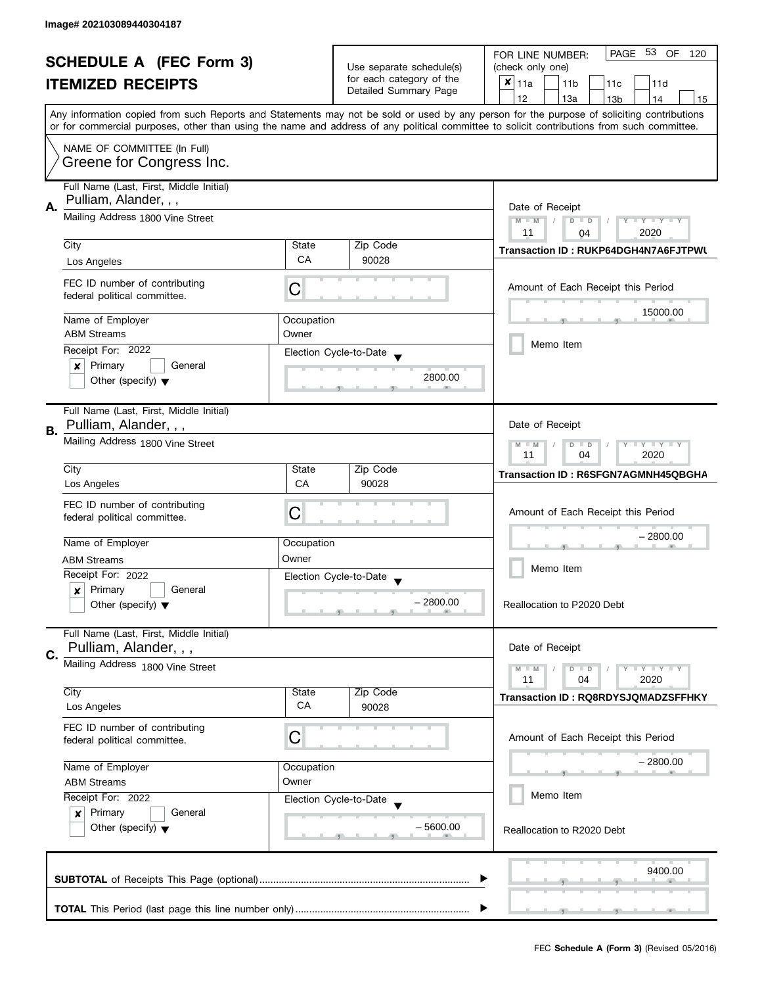| <b>SCHEDULE A (FEC Form 3)</b> |                                                                                                                                                              | Use separate schedule(s) | PAGE 53 OF<br>FOR LINE NUMBER:<br>120             |                                                                                                                                                                                                                                                                                         |
|--------------------------------|--------------------------------------------------------------------------------------------------------------------------------------------------------------|--------------------------|---------------------------------------------------|-----------------------------------------------------------------------------------------------------------------------------------------------------------------------------------------------------------------------------------------------------------------------------------------|
|                                |                                                                                                                                                              |                          | (check only one)                                  |                                                                                                                                                                                                                                                                                         |
|                                | <b>ITEMIZED RECEIPTS</b>                                                                                                                                     |                          | for each category of the<br>Detailed Summary Page | $\boldsymbol{x}$<br>11a<br>11 <sub>b</sub><br>11c<br>11d                                                                                                                                                                                                                                |
|                                |                                                                                                                                                              |                          |                                                   | 12<br>13a<br>13 <sub>b</sub><br>14<br>15                                                                                                                                                                                                                                                |
|                                |                                                                                                                                                              |                          |                                                   | Any information copied from such Reports and Statements may not be sold or used by any person for the purpose of soliciting contributions<br>or for commercial purposes, other than using the name and address of any political committee to solicit contributions from such committee. |
|                                |                                                                                                                                                              |                          |                                                   |                                                                                                                                                                                                                                                                                         |
|                                | NAME OF COMMITTEE (In Full)<br>Greene for Congress Inc.                                                                                                      |                          |                                                   |                                                                                                                                                                                                                                                                                         |
|                                |                                                                                                                                                              |                          |                                                   |                                                                                                                                                                                                                                                                                         |
|                                | Full Name (Last, First, Middle Initial)                                                                                                                      |                          |                                                   |                                                                                                                                                                                                                                                                                         |
| А.                             | Pulliam, Alander, , ,                                                                                                                                        | Date of Receipt          |                                                   |                                                                                                                                                                                                                                                                                         |
|                                | Mailing Address 1800 Vine Street                                                                                                                             |                          |                                                   | $M - M$<br>$Y - Y - Y - Y - Y$<br>$D$ $D$                                                                                                                                                                                                                                               |
|                                |                                                                                                                                                              |                          |                                                   | 2020<br>11<br>04                                                                                                                                                                                                                                                                        |
|                                | City                                                                                                                                                         | State                    | Zip Code                                          | Transaction ID: RUKP64DGH4N7A6FJTPWL                                                                                                                                                                                                                                                    |
|                                | Los Angeles                                                                                                                                                  | СA                       | 90028                                             |                                                                                                                                                                                                                                                                                         |
|                                | FEC ID number of contributing                                                                                                                                |                          |                                                   |                                                                                                                                                                                                                                                                                         |
|                                | federal political committee.                                                                                                                                 | С                        |                                                   | Amount of Each Receipt this Period                                                                                                                                                                                                                                                      |
|                                |                                                                                                                                                              |                          |                                                   | 15000.00                                                                                                                                                                                                                                                                                |
|                                | Name of Employer<br><b>ABM Streams</b>                                                                                                                       | Occupation<br>Owner      |                                                   |                                                                                                                                                                                                                                                                                         |
|                                | Receipt For: 2022                                                                                                                                            |                          |                                                   | Memo Item                                                                                                                                                                                                                                                                               |
|                                | Primary<br>General                                                                                                                                           |                          | Election Cycle-to-Date                            |                                                                                                                                                                                                                                                                                         |
|                                | ×<br>Other (specify) $\blacktriangledown$                                                                                                                    |                          | 2800.00                                           |                                                                                                                                                                                                                                                                                         |
|                                |                                                                                                                                                              |                          |                                                   |                                                                                                                                                                                                                                                                                         |
|                                | Full Name (Last, First, Middle Initial)                                                                                                                      |                          |                                                   |                                                                                                                                                                                                                                                                                         |
|                                | Pulliam, Alander, , ,                                                                                                                                        |                          |                                                   | Date of Receipt                                                                                                                                                                                                                                                                         |
| В.                             | Mailing Address 1800 Vine Street                                                                                                                             |                          |                                                   | $Y - Y - Y$<br>$M - M$<br>$D$ $D$                                                                                                                                                                                                                                                       |
|                                |                                                                                                                                                              |                          |                                                   | 2020<br>11<br>04                                                                                                                                                                                                                                                                        |
|                                | City                                                                                                                                                         | State                    | Zip Code                                          | Transaction ID: R6SFGN7AGMNH45QBGHA                                                                                                                                                                                                                                                     |
|                                | Los Angeles                                                                                                                                                  | CA                       | 90028                                             |                                                                                                                                                                                                                                                                                         |
|                                | FEC ID number of contributing                                                                                                                                |                          |                                                   |                                                                                                                                                                                                                                                                                         |
|                                | federal political committee.                                                                                                                                 | С                        |                                                   | Amount of Each Receipt this Period                                                                                                                                                                                                                                                      |
|                                |                                                                                                                                                              |                          |                                                   | – 2800.00                                                                                                                                                                                                                                                                               |
|                                | Name of Employer                                                                                                                                             | Occupation               |                                                   |                                                                                                                                                                                                                                                                                         |
|                                | <b>ABM Streams</b>                                                                                                                                           | Owner                    |                                                   | Memo Item                                                                                                                                                                                                                                                                               |
|                                | Receipt For: 2022                                                                                                                                            |                          | Election Cycle-to-Date<br>$\overline{\mathbf{v}}$ |                                                                                                                                                                                                                                                                                         |
|                                | Primary<br>General<br>$\boldsymbol{x}$<br>Other (specify) $\blacktriangledown$                                                                               |                          | $-2800.00$                                        | Reallocation to P2020 Debt                                                                                                                                                                                                                                                              |
|                                |                                                                                                                                                              |                          |                                                   |                                                                                                                                                                                                                                                                                         |
|                                | Full Name (Last, First, Middle Initial)                                                                                                                      |                          |                                                   |                                                                                                                                                                                                                                                                                         |
| C.                             | Pulliam, Alander, , ,                                                                                                                                        |                          |                                                   | Date of Receipt                                                                                                                                                                                                                                                                         |
|                                | Mailing Address 1800 Vine Street                                                                                                                             |                          |                                                   | $Y = Y + Y$<br>$M - M$<br>$D$ $D$                                                                                                                                                                                                                                                       |
|                                |                                                                                                                                                              |                          |                                                   | 11<br>04<br>2020                                                                                                                                                                                                                                                                        |
|                                | City                                                                                                                                                         | State                    | Zip Code                                          | Transaction ID: RQ8RDYSJQMADZSFFHKY                                                                                                                                                                                                                                                     |
|                                | Los Angeles                                                                                                                                                  | CA                       | 90028                                             |                                                                                                                                                                                                                                                                                         |
|                                | FEC ID number of contributing                                                                                                                                |                          |                                                   |                                                                                                                                                                                                                                                                                         |
|                                | federal political committee.                                                                                                                                 | C                        |                                                   | Amount of Each Receipt this Period                                                                                                                                                                                                                                                      |
|                                | Name of Employer                                                                                                                                             | Occupation               |                                                   | – 2800.00                                                                                                                                                                                                                                                                               |
|                                | Owner<br><b>ABM Streams</b><br>Receipt For: 2022<br>Election Cycle-to-Date<br>Primary<br>General<br>$\boldsymbol{x}$<br>Other (specify) $\blacktriangledown$ |                          |                                                   |                                                                                                                                                                                                                                                                                         |
|                                |                                                                                                                                                              |                          |                                                   | Memo Item                                                                                                                                                                                                                                                                               |
|                                |                                                                                                                                                              |                          |                                                   |                                                                                                                                                                                                                                                                                         |
|                                |                                                                                                                                                              |                          | $-5600.00$                                        | Reallocation to R2020 Debt                                                                                                                                                                                                                                                              |
|                                |                                                                                                                                                              |                          |                                                   |                                                                                                                                                                                                                                                                                         |
|                                |                                                                                                                                                              |                          |                                                   |                                                                                                                                                                                                                                                                                         |
|                                |                                                                                                                                                              |                          |                                                   | 9400.00                                                                                                                                                                                                                                                                                 |
|                                |                                                                                                                                                              |                          |                                                   |                                                                                                                                                                                                                                                                                         |
|                                |                                                                                                                                                              |                          |                                                   |                                                                                                                                                                                                                                                                                         |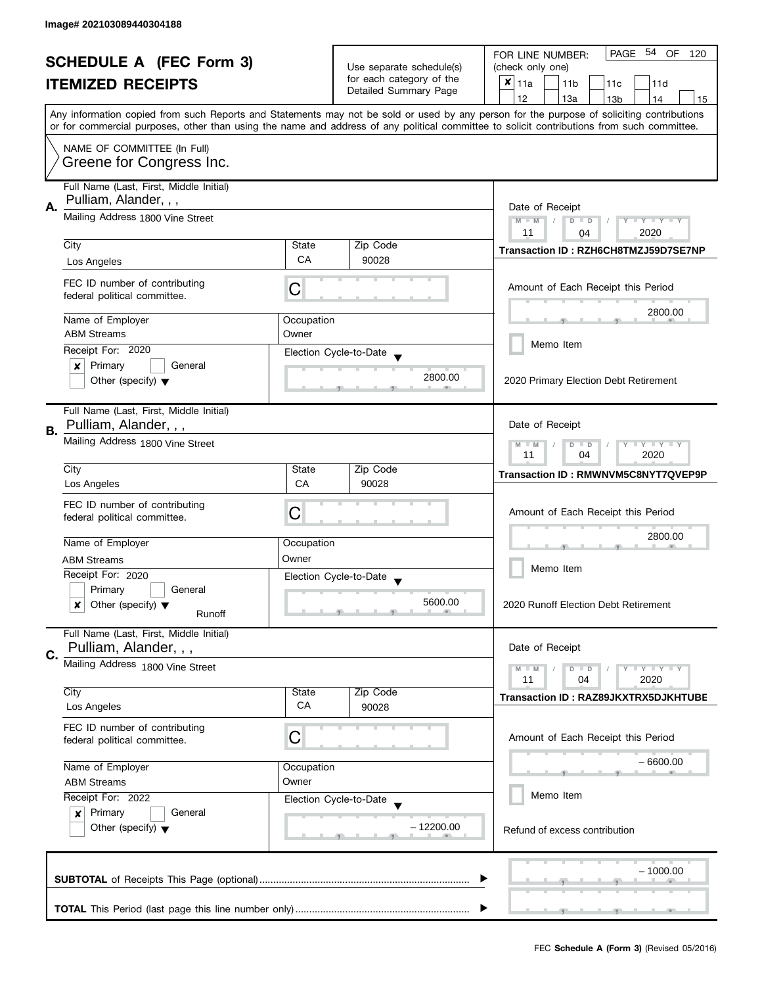| <b>SCHEDULE A (FEC Form 3)</b> |                                                                                                                                                              | Use separate schedule(s) | PAGE 54 OF<br>FOR LINE NUMBER:<br>120             |                                                                                                                                            |
|--------------------------------|--------------------------------------------------------------------------------------------------------------------------------------------------------------|--------------------------|---------------------------------------------------|--------------------------------------------------------------------------------------------------------------------------------------------|
|                                |                                                                                                                                                              |                          | (check only one)                                  |                                                                                                                                            |
|                                | <b>ITEMIZED RECEIPTS</b>                                                                                                                                     |                          | for each category of the<br>Detailed Summary Page | $x _{11a}$<br>11 <sub>b</sub><br>11c<br>11d                                                                                                |
|                                |                                                                                                                                                              |                          |                                                   | 12<br>13a<br>14<br>13 <sub>b</sub><br>15                                                                                                   |
|                                |                                                                                                                                                              |                          |                                                   | Any information copied from such Reports and Statements may not be sold or used by any person for the purpose of soliciting contributions  |
|                                |                                                                                                                                                              |                          |                                                   | or for commercial purposes, other than using the name and address of any political committee to solicit contributions from such committee. |
|                                | NAME OF COMMITTEE (In Full)                                                                                                                                  |                          |                                                   |                                                                                                                                            |
|                                | Greene for Congress Inc.                                                                                                                                     |                          |                                                   |                                                                                                                                            |
|                                | Full Name (Last, First, Middle Initial)                                                                                                                      |                          |                                                   |                                                                                                                                            |
|                                | Pulliam, Alander, , ,                                                                                                                                        |                          |                                                   |                                                                                                                                            |
| А.                             | Mailing Address 1800 Vine Street                                                                                                                             |                          |                                                   | Date of Receipt<br>$M - M$<br>Y TY TY TY<br>$D$ $D$                                                                                        |
|                                |                                                                                                                                                              |                          |                                                   | 2020<br>11<br>04                                                                                                                           |
|                                | City                                                                                                                                                         | State                    | Zip Code                                          | Transaction ID: RZH6CH8TMZJ59D7SE7NP                                                                                                       |
|                                | Los Angeles                                                                                                                                                  | CA                       | 90028                                             |                                                                                                                                            |
|                                |                                                                                                                                                              |                          |                                                   |                                                                                                                                            |
|                                | FEC ID number of contributing<br>federal political committee.                                                                                                | С                        |                                                   | Amount of Each Receipt this Period                                                                                                         |
|                                |                                                                                                                                                              |                          |                                                   | 2800.00                                                                                                                                    |
|                                | Name of Employer                                                                                                                                             | Occupation               |                                                   |                                                                                                                                            |
|                                | <b>ABM Streams</b>                                                                                                                                           | Owner                    |                                                   | Memo Item                                                                                                                                  |
|                                | Receipt For: 2020                                                                                                                                            |                          | Election Cycle-to-Date                            |                                                                                                                                            |
|                                | Primary<br>General<br>×                                                                                                                                      |                          | 2800.00                                           |                                                                                                                                            |
|                                | Other (specify) $\blacktriangledown$                                                                                                                         |                          |                                                   | 2020 Primary Election Debt Retirement                                                                                                      |
|                                |                                                                                                                                                              |                          |                                                   |                                                                                                                                            |
|                                | Full Name (Last, First, Middle Initial)<br>Pulliam, Alander, , ,                                                                                             |                          |                                                   | Date of Receipt                                                                                                                            |
| В.                             |                                                                                                                                                              |                          |                                                   |                                                                                                                                            |
|                                | Mailing Address 1800 Vine Street                                                                                                                             |                          |                                                   | $Y = Y + Y$<br>$M - M$<br>$D$ $D$<br>2020<br>11<br>04                                                                                      |
|                                | City                                                                                                                                                         | State                    | Zip Code                                          |                                                                                                                                            |
|                                | Los Angeles                                                                                                                                                  | CA                       | 90028                                             | Transaction ID: RMWNVM5C8NYT7QVEP9P                                                                                                        |
|                                |                                                                                                                                                              |                          |                                                   |                                                                                                                                            |
|                                | FEC ID number of contributing<br>federal political committee.                                                                                                | C                        |                                                   | Amount of Each Receipt this Period                                                                                                         |
|                                |                                                                                                                                                              |                          |                                                   |                                                                                                                                            |
|                                | Name of Employer                                                                                                                                             | Occupation               |                                                   | 2800.00                                                                                                                                    |
|                                | <b>ABM Streams</b>                                                                                                                                           | Owner                    |                                                   |                                                                                                                                            |
|                                | Receipt For: 2020                                                                                                                                            |                          | Election Cycle-to-Date                            | Memo Item                                                                                                                                  |
|                                | Primary<br>General                                                                                                                                           |                          |                                                   |                                                                                                                                            |
|                                | Other (specify) $\blacktriangledown$<br>x<br>Runoff                                                                                                          |                          | 5600.00                                           | 2020 Runoff Election Debt Retirement                                                                                                       |
|                                |                                                                                                                                                              |                          |                                                   |                                                                                                                                            |
|                                | Full Name (Last, First, Middle Initial)                                                                                                                      |                          |                                                   |                                                                                                                                            |
| C.                             | Pulliam, Alander, , ,                                                                                                                                        |                          |                                                   | Date of Receipt                                                                                                                            |
|                                | Mailing Address 1800 Vine Street                                                                                                                             |                          |                                                   | $\bot$ Y $\bot$ Y $\bot$ Y<br>$M - M$<br>$D$ $D$                                                                                           |
|                                | City                                                                                                                                                         | State                    | Zip Code                                          | 11<br>04<br>2020                                                                                                                           |
|                                | Los Angeles                                                                                                                                                  | CA                       | 90028                                             | Transaction ID: RAZ89JKXTRX5DJKHTUBE                                                                                                       |
|                                |                                                                                                                                                              |                          |                                                   |                                                                                                                                            |
|                                | FEC ID number of contributing<br>federal political committee.                                                                                                | C                        |                                                   | Amount of Each Receipt this Period                                                                                                         |
|                                |                                                                                                                                                              |                          |                                                   |                                                                                                                                            |
|                                | Name of Employer                                                                                                                                             | Occupation               |                                                   | – 6600.00                                                                                                                                  |
|                                | Owner<br><b>ABM Streams</b><br>Receipt For: 2022<br>Election Cycle-to-Date<br>Primary<br>General<br>$\boldsymbol{x}$<br>Other (specify) $\blacktriangledown$ |                          |                                                   |                                                                                                                                            |
|                                |                                                                                                                                                              |                          |                                                   | Memo Item                                                                                                                                  |
|                                |                                                                                                                                                              |                          |                                                   |                                                                                                                                            |
|                                |                                                                                                                                                              |                          | – 12200.00                                        | Refund of excess contribution                                                                                                              |
|                                |                                                                                                                                                              |                          |                                                   |                                                                                                                                            |
|                                |                                                                                                                                                              |                          |                                                   |                                                                                                                                            |
|                                |                                                                                                                                                              |                          |                                                   | $-1000.00$                                                                                                                                 |
|                                |                                                                                                                                                              |                          |                                                   |                                                                                                                                            |
|                                |                                                                                                                                                              |                          |                                                   |                                                                                                                                            |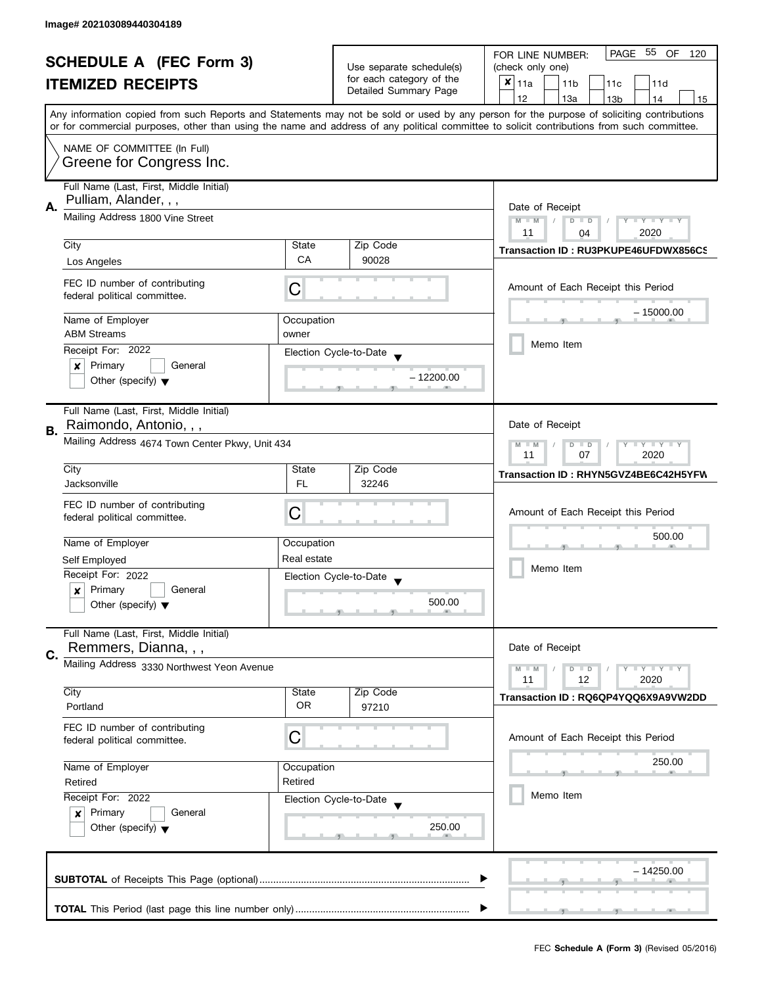| <b>SCHEDULE A (FEC Form 3)</b> |                                                                                       |                               | PAGE 55 OF<br>FOR LINE NUMBER:<br>120             |                                                                                                                                            |
|--------------------------------|---------------------------------------------------------------------------------------|-------------------------------|---------------------------------------------------|--------------------------------------------------------------------------------------------------------------------------------------------|
|                                |                                                                                       |                               | Use separate schedule(s)                          | (check only one)                                                                                                                           |
|                                | <b>ITEMIZED RECEIPTS</b>                                                              |                               | for each category of the<br>Detailed Summary Page | $x _{11a}$<br>11 <sub>b</sub><br>11d<br>11c                                                                                                |
|                                |                                                                                       |                               |                                                   | 12<br>13a<br>13 <sub>b</sub><br>14<br>15                                                                                                   |
|                                |                                                                                       |                               |                                                   | Any information copied from such Reports and Statements may not be sold or used by any person for the purpose of soliciting contributions  |
|                                |                                                                                       |                               |                                                   | or for commercial purposes, other than using the name and address of any political committee to solicit contributions from such committee. |
|                                | NAME OF COMMITTEE (In Full)                                                           |                               |                                                   |                                                                                                                                            |
|                                | Greene for Congress Inc.                                                              |                               |                                                   |                                                                                                                                            |
|                                |                                                                                       |                               |                                                   |                                                                                                                                            |
|                                | Full Name (Last, First, Middle Initial)                                               |                               |                                                   |                                                                                                                                            |
|                                | Pulliam, Alander, , ,                                                                 |                               |                                                   |                                                                                                                                            |
| А.                             | Mailing Address 1800 Vine Street                                                      | Date of Receipt<br>$\sqrt{2}$ |                                                   |                                                                                                                                            |
|                                |                                                                                       |                               |                                                   | $M - M$<br>$D$ $D$<br>$Y - Y - Y - Y - Y$<br>11<br>2020<br>04                                                                              |
|                                | City                                                                                  | State                         | Zip Code                                          |                                                                                                                                            |
|                                |                                                                                       | CA                            | 90028                                             | Transaction ID: RU3PKUPE46UFDWX856CS                                                                                                       |
|                                | Los Angeles                                                                           |                               |                                                   |                                                                                                                                            |
|                                | FEC ID number of contributing                                                         | С                             |                                                   | Amount of Each Receipt this Period                                                                                                         |
|                                | federal political committee.                                                          |                               |                                                   |                                                                                                                                            |
|                                |                                                                                       |                               |                                                   | $-15000.00$                                                                                                                                |
|                                | Name of Employer                                                                      | Occupation                    |                                                   |                                                                                                                                            |
|                                | <b>ABM Streams</b>                                                                    | owner                         |                                                   | Memo Item                                                                                                                                  |
|                                | Receipt For: 2022                                                                     |                               | Election Cycle-to-Date                            |                                                                                                                                            |
|                                | Primary<br>General<br>×                                                               |                               |                                                   |                                                                                                                                            |
|                                | Other (specify) $\blacktriangledown$                                                  |                               | $-12200.00$                                       |                                                                                                                                            |
|                                |                                                                                       |                               |                                                   |                                                                                                                                            |
|                                | Full Name (Last, First, Middle Initial)                                               |                               |                                                   |                                                                                                                                            |
|                                | Raimondo, Antonio, , ,                                                                |                               |                                                   | Date of Receipt                                                                                                                            |
| В.                             | Mailing Address 4674 Town Center Pkwy, Unit 434                                       |                               |                                                   |                                                                                                                                            |
|                                |                                                                                       |                               |                                                   | $Y - Y - Y$<br>$M - M$<br>D<br>$\Box$<br>2020<br>11<br>07                                                                                  |
|                                | City                                                                                  | State                         | Zip Code                                          |                                                                                                                                            |
|                                | Jacksonville                                                                          | <b>FL</b>                     | 32246                                             | Transaction ID: RHYN5GVZ4BE6C42H5YFW                                                                                                       |
|                                |                                                                                       |                               |                                                   |                                                                                                                                            |
|                                | FEC ID number of contributing                                                         | С                             |                                                   | Amount of Each Receipt this Period                                                                                                         |
|                                | federal political committee.                                                          |                               |                                                   |                                                                                                                                            |
|                                |                                                                                       |                               |                                                   | 500.00                                                                                                                                     |
|                                | Name of Employer                                                                      | Occupation                    |                                                   |                                                                                                                                            |
|                                | Self Employed                                                                         | Real estate                   |                                                   | Memo Item                                                                                                                                  |
|                                | Receipt For: 2022                                                                     |                               | Election Cycle-to-Date                            |                                                                                                                                            |
|                                | Primary<br>General<br>x                                                               |                               |                                                   |                                                                                                                                            |
|                                | Other (specify) $\blacktriangledown$                                                  |                               | 500.00                                            |                                                                                                                                            |
|                                |                                                                                       |                               |                                                   |                                                                                                                                            |
|                                | Full Name (Last, First, Middle Initial)                                               |                               |                                                   |                                                                                                                                            |
| C.                             | Remmers, Dianna, , ,                                                                  |                               |                                                   | Date of Receipt                                                                                                                            |
|                                | Mailing Address 3330 Northwest Yeon Avenue                                            |                               |                                                   | $M - M$<br>$Y - Y - Y$<br>$\blacksquare$                                                                                                   |
|                                |                                                                                       |                               |                                                   | 11<br>12<br>2020                                                                                                                           |
|                                | City                                                                                  | State                         | Zip Code                                          | Transaction ID: RQ6QP4YQQ6X9A9VW2DD                                                                                                        |
|                                | Portland                                                                              | <b>OR</b>                     | 97210                                             |                                                                                                                                            |
|                                | FEC ID number of contributing                                                         |                               |                                                   |                                                                                                                                            |
|                                | federal political committee.                                                          | C                             |                                                   | Amount of Each Receipt this Period                                                                                                         |
|                                |                                                                                       |                               |                                                   |                                                                                                                                            |
|                                | Name of Employer                                                                      | Occupation                    |                                                   | 250.00                                                                                                                                     |
|                                | Retired                                                                               | Retired                       |                                                   |                                                                                                                                            |
|                                | Receipt For: 2022<br>Election Cycle-to-Date<br>Primary<br>General<br>$\boldsymbol{x}$ |                               |                                                   | Memo Item                                                                                                                                  |
|                                |                                                                                       |                               |                                                   |                                                                                                                                            |
|                                |                                                                                       |                               | 250.00                                            |                                                                                                                                            |
|                                | Other (specify) $\blacktriangledown$                                                  |                               |                                                   |                                                                                                                                            |
|                                |                                                                                       |                               |                                                   |                                                                                                                                            |
|                                |                                                                                       |                               |                                                   |                                                                                                                                            |
|                                |                                                                                       |                               |                                                   | – 14250.00                                                                                                                                 |
|                                |                                                                                       |                               |                                                   |                                                                                                                                            |
|                                |                                                                                       |                               |                                                   |                                                                                                                                            |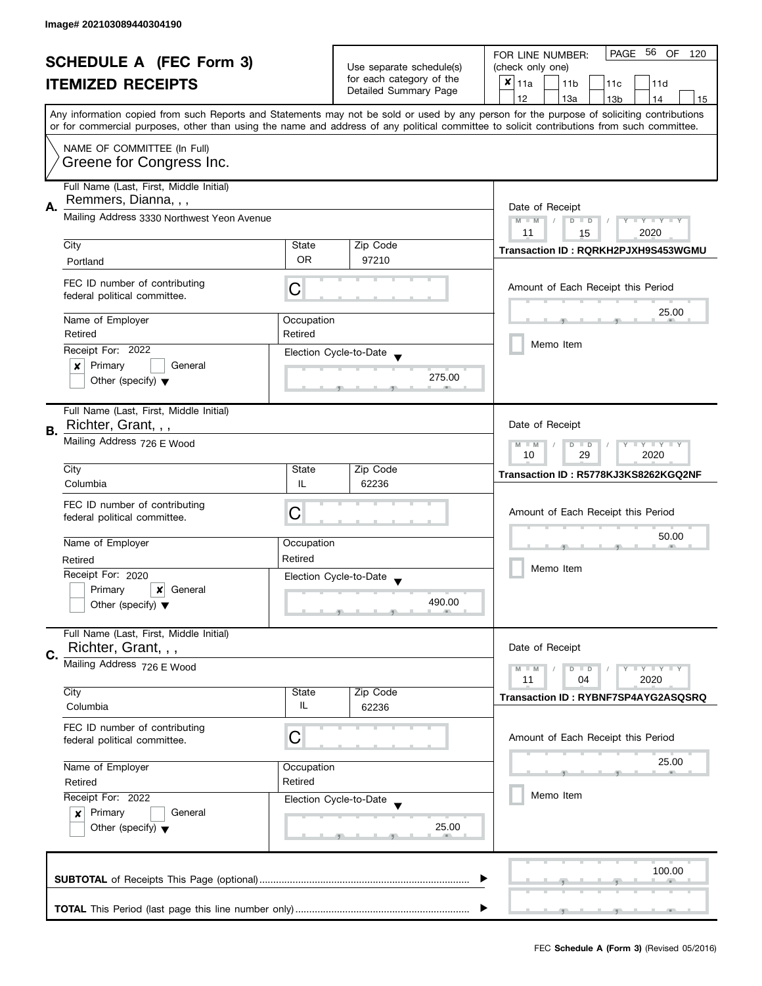|    | <b>SCHEDULE A (FEC Form 3)</b>                                |                 |                                                                               | PAGE<br>56<br>OF<br>FOR LINE NUMBER:<br>120                                                                                                                                                                                                                                             |  |
|----|---------------------------------------------------------------|-----------------|-------------------------------------------------------------------------------|-----------------------------------------------------------------------------------------------------------------------------------------------------------------------------------------------------------------------------------------------------------------------------------------|--|
|    |                                                               |                 | Use separate schedule(s)<br>for each category of the<br>Detailed Summary Page | (check only one)                                                                                                                                                                                                                                                                        |  |
|    | <b>ITEMIZED RECEIPTS</b>                                      |                 |                                                                               | $x _{11a}$<br>11 <sub>b</sub><br>11c<br>11d                                                                                                                                                                                                                                             |  |
|    |                                                               |                 |                                                                               | 12<br>13a<br>14<br>13 <sub>b</sub><br>15                                                                                                                                                                                                                                                |  |
|    |                                                               |                 |                                                                               | Any information copied from such Reports and Statements may not be sold or used by any person for the purpose of soliciting contributions<br>or for commercial purposes, other than using the name and address of any political committee to solicit contributions from such committee. |  |
|    | NAME OF COMMITTEE (In Full)                                   |                 |                                                                               |                                                                                                                                                                                                                                                                                         |  |
|    | Greene for Congress Inc.                                      |                 |                                                                               |                                                                                                                                                                                                                                                                                         |  |
|    | Full Name (Last, First, Middle Initial)                       |                 |                                                                               |                                                                                                                                                                                                                                                                                         |  |
| А. | Remmers, Dianna, , ,                                          | Date of Receipt |                                                                               |                                                                                                                                                                                                                                                                                         |  |
|    | Mailing Address 3330 Northwest Yeon Avenue                    |                 |                                                                               | $M - M$<br>Y TY TY TY<br>$D$ $D$<br>2020<br>11<br>15                                                                                                                                                                                                                                    |  |
|    | City                                                          | State           | Zip Code                                                                      |                                                                                                                                                                                                                                                                                         |  |
|    | Portland                                                      | <b>OR</b>       | 97210                                                                         | Transaction ID: RQRKH2PJXH9S453WGMU                                                                                                                                                                                                                                                     |  |
|    | FEC ID number of contributing<br>federal political committee. | С               |                                                                               | Amount of Each Receipt this Period                                                                                                                                                                                                                                                      |  |
|    | Name of Employer                                              | Occupation      |                                                                               | 25.00                                                                                                                                                                                                                                                                                   |  |
|    | Retired                                                       | Retired         |                                                                               |                                                                                                                                                                                                                                                                                         |  |
|    | Receipt For: 2022                                             |                 | Election Cycle-to-Date                                                        | Memo Item                                                                                                                                                                                                                                                                               |  |
|    | Primary<br>General<br>×                                       |                 | 275.00                                                                        |                                                                                                                                                                                                                                                                                         |  |
|    | Other (specify) $\blacktriangledown$                          |                 |                                                                               |                                                                                                                                                                                                                                                                                         |  |
|    | Full Name (Last, First, Middle Initial)                       |                 |                                                                               |                                                                                                                                                                                                                                                                                         |  |
| В. | Richter, Grant, , ,                                           |                 |                                                                               | Date of Receipt                                                                                                                                                                                                                                                                         |  |
|    | Mailing Address 726 E Wood                                    |                 |                                                                               | $Y - Y - Y$<br>$M - M$<br>$D$ $D$<br>2020<br>10<br>29                                                                                                                                                                                                                                   |  |
|    | City                                                          | State           | Zip Code                                                                      | Transaction ID: R5778KJ3KS8262KGQ2NF                                                                                                                                                                                                                                                    |  |
|    | Columbia                                                      | IL              | 62236                                                                         |                                                                                                                                                                                                                                                                                         |  |
|    | FEC ID number of contributing                                 |                 |                                                                               | Amount of Each Receipt this Period                                                                                                                                                                                                                                                      |  |
|    | federal political committee.                                  | C               |                                                                               |                                                                                                                                                                                                                                                                                         |  |
|    | Name of Employer                                              | Occupation      |                                                                               | 50.00                                                                                                                                                                                                                                                                                   |  |
|    | Retired                                                       | Retired         |                                                                               |                                                                                                                                                                                                                                                                                         |  |
|    | Receipt For: 2020                                             |                 | Election Cycle-to-Date                                                        | Memo Item                                                                                                                                                                                                                                                                               |  |
|    | Primary<br>General<br>x                                       |                 |                                                                               |                                                                                                                                                                                                                                                                                         |  |
|    | Other (specify) $\blacktriangledown$                          |                 | 490.00                                                                        |                                                                                                                                                                                                                                                                                         |  |
|    | Full Name (Last, First, Middle Initial)                       |                 |                                                                               |                                                                                                                                                                                                                                                                                         |  |
| C. | Richter, Grant, , ,                                           |                 |                                                                               | Date of Receipt                                                                                                                                                                                                                                                                         |  |
|    | Mailing Address 726 E Wood                                    |                 |                                                                               | $T - Y = Y + Y$<br>$M - M$<br>$D$ $D$<br>11<br>04<br>2020                                                                                                                                                                                                                               |  |
|    | City                                                          | State           | Zip Code                                                                      | Transaction ID: RYBNF7SP4AYG2ASQSRQ                                                                                                                                                                                                                                                     |  |
|    | Columbia                                                      | IL.             | 62236                                                                         |                                                                                                                                                                                                                                                                                         |  |
|    | FEC ID number of contributing<br>federal political committee. | С               |                                                                               | Amount of Each Receipt this Period                                                                                                                                                                                                                                                      |  |
|    |                                                               |                 |                                                                               |                                                                                                                                                                                                                                                                                         |  |
|    | Name of Employer                                              | Occupation      |                                                                               | 25.00                                                                                                                                                                                                                                                                                   |  |
|    | Retired<br>Retired                                            |                 |                                                                               |                                                                                                                                                                                                                                                                                         |  |
|    | Receipt For: 2022                                             |                 | Election Cycle-to-Date                                                        | Memo Item                                                                                                                                                                                                                                                                               |  |
|    | Primary<br>General<br>$\boldsymbol{\mathsf{x}}$               |                 |                                                                               |                                                                                                                                                                                                                                                                                         |  |
|    | Other (specify) $\blacktriangledown$                          |                 | 25.00                                                                         |                                                                                                                                                                                                                                                                                         |  |
|    |                                                               |                 |                                                                               |                                                                                                                                                                                                                                                                                         |  |
|    |                                                               |                 |                                                                               | 100.00                                                                                                                                                                                                                                                                                  |  |
|    |                                                               |                 |                                                                               |                                                                                                                                                                                                                                                                                         |  |
|    |                                                               |                 |                                                                               |                                                                                                                                                                                                                                                                                         |  |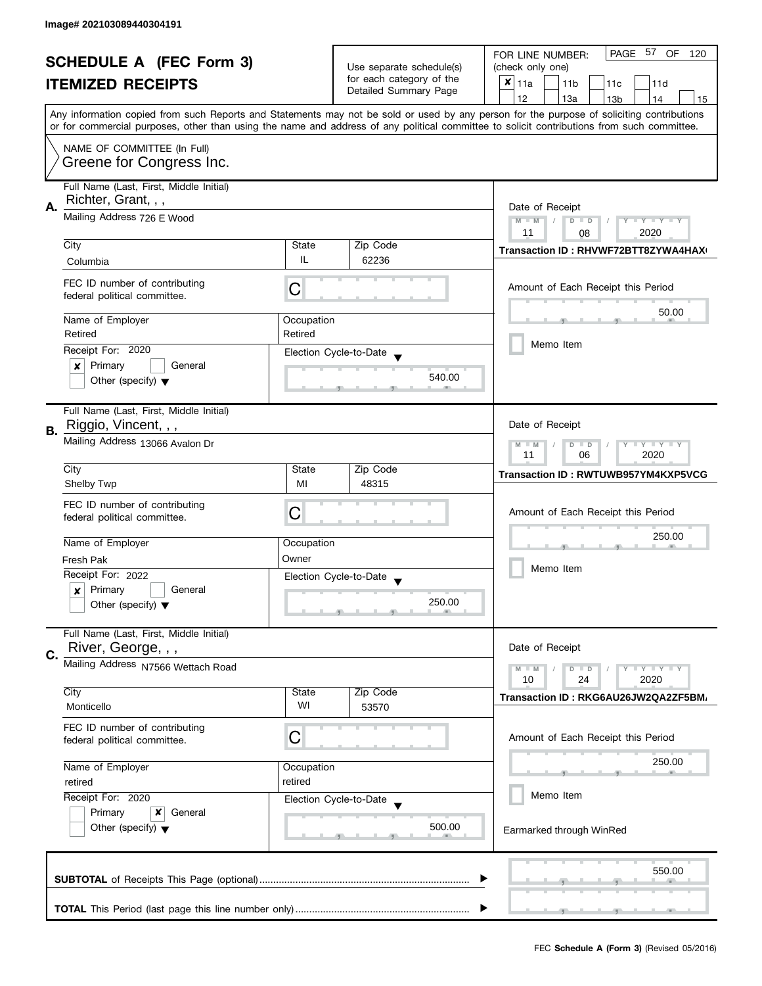| <b>SCHEDULE A (FEC Form 3)</b> |                                                                |                       | PAGE 57 OF<br>FOR LINE NUMBER:<br>120                |                                                                                                                                                                                                                                                                                         |
|--------------------------------|----------------------------------------------------------------|-----------------------|------------------------------------------------------|-----------------------------------------------------------------------------------------------------------------------------------------------------------------------------------------------------------------------------------------------------------------------------------------|
|                                |                                                                |                       | Use separate schedule(s)<br>for each category of the | (check only one)                                                                                                                                                                                                                                                                        |
|                                | <b>ITEMIZED RECEIPTS</b>                                       |                       | Detailed Summary Page                                | $x _{11a}$<br>11 <sub>b</sub><br>11c<br>11d                                                                                                                                                                                                                                             |
|                                |                                                                |                       |                                                      | 12<br>13a<br>14<br>13 <sub>b</sub><br>15                                                                                                                                                                                                                                                |
|                                |                                                                |                       |                                                      | Any information copied from such Reports and Statements may not be sold or used by any person for the purpose of soliciting contributions<br>or for commercial purposes, other than using the name and address of any political committee to solicit contributions from such committee. |
|                                | NAME OF COMMITTEE (In Full)                                    |                       |                                                      |                                                                                                                                                                                                                                                                                         |
|                                | Greene for Congress Inc.                                       |                       |                                                      |                                                                                                                                                                                                                                                                                         |
|                                | Full Name (Last, First, Middle Initial)<br>Richter, Grant, , , |                       |                                                      |                                                                                                                                                                                                                                                                                         |
| А.                             | Mailing Address 726 E Wood                                     |                       |                                                      | Date of Receipt                                                                                                                                                                                                                                                                         |
|                                |                                                                |                       |                                                      | $M - M$<br>Y TY TY TY<br>$D$ $D$                                                                                                                                                                                                                                                        |
|                                | City                                                           | State                 | Zip Code                                             | 2020<br>11<br>08                                                                                                                                                                                                                                                                        |
|                                | Columbia                                                       | IL                    | 62236                                                | Transaction ID: RHVWF72BTT8ZYWA4HAX                                                                                                                                                                                                                                                     |
|                                |                                                                |                       |                                                      |                                                                                                                                                                                                                                                                                         |
|                                | FEC ID number of contributing<br>federal political committee.  | С                     |                                                      | Amount of Each Receipt this Period                                                                                                                                                                                                                                                      |
|                                | Name of Employer                                               |                       |                                                      | 50.00                                                                                                                                                                                                                                                                                   |
|                                | Retired                                                        | Occupation<br>Retired |                                                      |                                                                                                                                                                                                                                                                                         |
|                                | Receipt For: 2020                                              |                       |                                                      | Memo Item                                                                                                                                                                                                                                                                               |
|                                | Primary<br>General<br>×                                        |                       | Election Cycle-to-Date                               |                                                                                                                                                                                                                                                                                         |
|                                | Other (specify) $\blacktriangledown$                           |                       | 540.00                                               |                                                                                                                                                                                                                                                                                         |
|                                |                                                                |                       |                                                      |                                                                                                                                                                                                                                                                                         |
|                                | Full Name (Last, First, Middle Initial)                        |                       |                                                      |                                                                                                                                                                                                                                                                                         |
| В.                             | Riggio, Vincent, , ,                                           |                       |                                                      | Date of Receipt                                                                                                                                                                                                                                                                         |
|                                | Mailing Address 13066 Avalon Dr                                |                       |                                                      | $Y = Y + Y$<br>$M - M$<br>$D$ $D$                                                                                                                                                                                                                                                       |
|                                |                                                                | 11<br>2020<br>06      |                                                      |                                                                                                                                                                                                                                                                                         |
|                                | City                                                           | State                 | Zip Code                                             | Transaction ID: RWTUWB957YM4KXP5VCG                                                                                                                                                                                                                                                     |
|                                | <b>Shelby Twp</b>                                              | MI                    | 48315                                                |                                                                                                                                                                                                                                                                                         |
|                                | FEC ID number of contributing                                  |                       |                                                      |                                                                                                                                                                                                                                                                                         |
|                                | federal political committee.                                   | C                     |                                                      | Amount of Each Receipt this Period                                                                                                                                                                                                                                                      |
|                                |                                                                |                       |                                                      | 250.00                                                                                                                                                                                                                                                                                  |
|                                | Name of Employer                                               | Occupation            |                                                      |                                                                                                                                                                                                                                                                                         |
|                                | Fresh Pak                                                      | Owner                 |                                                      | Memo Item                                                                                                                                                                                                                                                                               |
|                                | Receipt For: 2022                                              |                       | Election Cycle-to-Date                               |                                                                                                                                                                                                                                                                                         |
|                                | Primary<br>General<br>$\boldsymbol{x}$                         |                       | 250.00                                               |                                                                                                                                                                                                                                                                                         |
|                                | Other (specify) $\blacktriangledown$                           |                       |                                                      |                                                                                                                                                                                                                                                                                         |
|                                | Full Name (Last, First, Middle Initial)                        |                       |                                                      |                                                                                                                                                                                                                                                                                         |
| C.                             | River, George, , ,                                             |                       |                                                      | Date of Receipt                                                                                                                                                                                                                                                                         |
|                                | Mailing Address N7566 Wettach Road                             |                       |                                                      | Y LY LY<br>$M - M$<br>$D$ $D$                                                                                                                                                                                                                                                           |
|                                | City                                                           | State                 | Zip Code                                             | 10<br>24<br>2020                                                                                                                                                                                                                                                                        |
|                                | Monticello                                                     | WI                    | 53570                                                | Transaction ID: RKG6AU26JW2QA2ZF5BM/                                                                                                                                                                                                                                                    |
|                                |                                                                |                       |                                                      |                                                                                                                                                                                                                                                                                         |
|                                | FEC ID number of contributing<br>federal political committee.  | С                     |                                                      | Amount of Each Receipt this Period                                                                                                                                                                                                                                                      |
|                                |                                                                |                       |                                                      |                                                                                                                                                                                                                                                                                         |
|                                | Name of Employer                                               | Occupation            |                                                      | 250.00                                                                                                                                                                                                                                                                                  |
|                                | retired                                                        | retired               |                                                      |                                                                                                                                                                                                                                                                                         |
|                                | Receipt For: 2020                                              |                       | Election Cycle-to-Date                               | Memo Item                                                                                                                                                                                                                                                                               |
|                                | Primary<br>x<br>General                                        |                       |                                                      |                                                                                                                                                                                                                                                                                         |
|                                | Other (specify) $\blacktriangledown$                           |                       | 500.00                                               | Earmarked through WinRed                                                                                                                                                                                                                                                                |
|                                |                                                                |                       |                                                      |                                                                                                                                                                                                                                                                                         |
|                                |                                                                |                       |                                                      |                                                                                                                                                                                                                                                                                         |
|                                |                                                                |                       |                                                      | 550.00                                                                                                                                                                                                                                                                                  |
|                                |                                                                |                       |                                                      |                                                                                                                                                                                                                                                                                         |
|                                |                                                                |                       |                                                      |                                                                                                                                                                                                                                                                                         |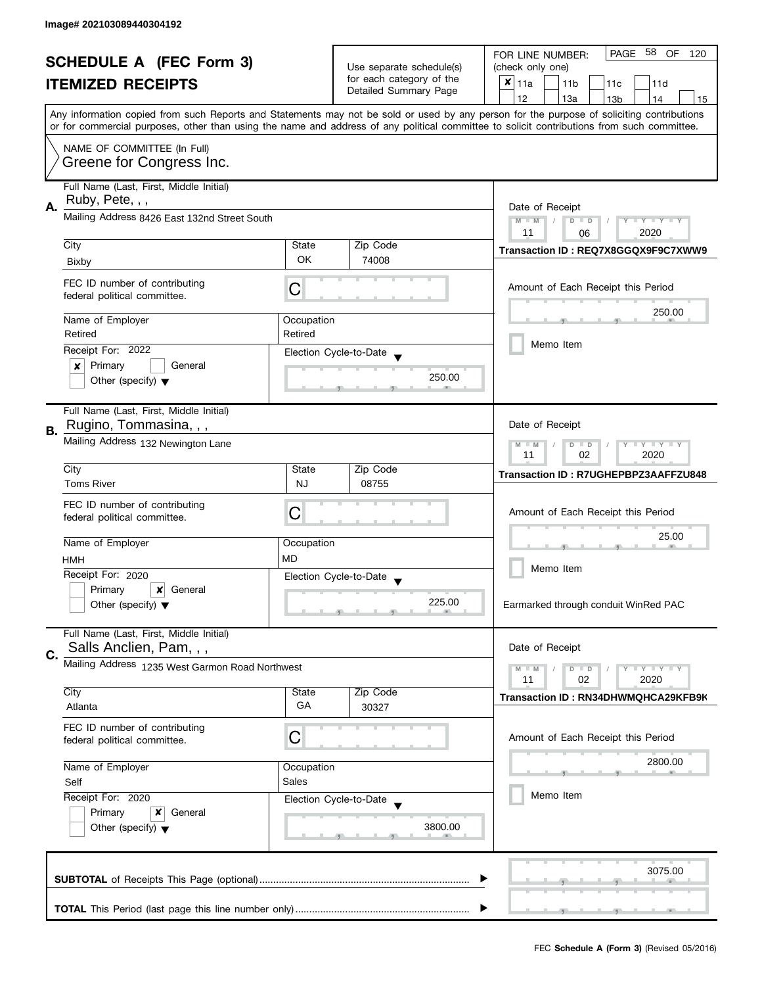| <b>SCHEDULE A (FEC Form 3)</b> |                                                                                                                                 |                          | PAGE 58 OF<br>FOR LINE NUMBER:<br>120             |                                                                                                                                            |  |  |
|--------------------------------|---------------------------------------------------------------------------------------------------------------------------------|--------------------------|---------------------------------------------------|--------------------------------------------------------------------------------------------------------------------------------------------|--|--|
|                                |                                                                                                                                 | Use separate schedule(s) | (check only one)                                  |                                                                                                                                            |  |  |
|                                | <b>ITEMIZED RECEIPTS</b>                                                                                                        |                          | for each category of the<br>Detailed Summary Page | $x _{11a}$<br>11 <sub>b</sub><br>11c<br>11d                                                                                                |  |  |
|                                |                                                                                                                                 |                          |                                                   | 12<br>13a<br>13 <sub>b</sub><br>14<br>15                                                                                                   |  |  |
|                                |                                                                                                                                 |                          |                                                   | Any information copied from such Reports and Statements may not be sold or used by any person for the purpose of soliciting contributions  |  |  |
|                                |                                                                                                                                 |                          |                                                   | or for commercial purposes, other than using the name and address of any political committee to solicit contributions from such committee. |  |  |
|                                | NAME OF COMMITTEE (In Full)                                                                                                     |                          |                                                   |                                                                                                                                            |  |  |
|                                | Greene for Congress Inc.                                                                                                        |                          |                                                   |                                                                                                                                            |  |  |
|                                | Full Name (Last, First, Middle Initial)                                                                                         |                          |                                                   |                                                                                                                                            |  |  |
|                                | Ruby, Pete, , ,<br>Α.<br>Mailing Address 8426 East 132nd Street South                                                           |                          |                                                   |                                                                                                                                            |  |  |
|                                |                                                                                                                                 |                          |                                                   | Date of Receipt<br>$M - M$<br>Y                                                                                                            |  |  |
|                                |                                                                                                                                 |                          |                                                   | $T - Y = Y - T Y$<br>$D$ $D$<br>2020<br>11<br>06                                                                                           |  |  |
|                                | City                                                                                                                            | State                    | Zip Code                                          | Transaction ID: REQ7X8GGQX9F9C7XWW9                                                                                                        |  |  |
|                                | Bixby                                                                                                                           | OK                       | 74008                                             |                                                                                                                                            |  |  |
|                                |                                                                                                                                 |                          |                                                   |                                                                                                                                            |  |  |
|                                | FEC ID number of contributing<br>federal political committee.                                                                   | C                        |                                                   | Amount of Each Receipt this Period                                                                                                         |  |  |
|                                |                                                                                                                                 |                          |                                                   | 250.00                                                                                                                                     |  |  |
|                                | Name of Employer                                                                                                                | Occupation               |                                                   |                                                                                                                                            |  |  |
|                                | Retired                                                                                                                         | Retired                  |                                                   | Memo Item                                                                                                                                  |  |  |
|                                | Receipt For: 2022                                                                                                               |                          | Election Cycle-to-Date                            |                                                                                                                                            |  |  |
|                                | Primary<br>General<br>×                                                                                                         |                          |                                                   |                                                                                                                                            |  |  |
|                                | Other (specify) $\blacktriangledown$                                                                                            |                          | 250.00                                            |                                                                                                                                            |  |  |
|                                |                                                                                                                                 |                          |                                                   |                                                                                                                                            |  |  |
|                                | Full Name (Last, First, Middle Initial)                                                                                         |                          |                                                   |                                                                                                                                            |  |  |
| В.                             | Rugino, Tommasina, , ,                                                                                                          |                          |                                                   | Date of Receipt                                                                                                                            |  |  |
|                                | Mailing Address 132 Newington Lane                                                                                              |                          |                                                   | $\mathbf{y}$ $\mathbf{y}$<br>$M - M$<br>D<br>$\Box$<br>Y<br>02<br>2020<br>11                                                               |  |  |
|                                | City                                                                                                                            | State                    | Zip Code                                          |                                                                                                                                            |  |  |
|                                | <b>Toms River</b>                                                                                                               | <b>NJ</b>                | 08755                                             | Transaction ID: R7UGHEPBPZ3AAFFZU848                                                                                                       |  |  |
|                                |                                                                                                                                 |                          |                                                   |                                                                                                                                            |  |  |
|                                | FEC ID number of contributing<br>federal political committee.                                                                   | С                        |                                                   | Amount of Each Receipt this Period                                                                                                         |  |  |
|                                |                                                                                                                                 |                          |                                                   |                                                                                                                                            |  |  |
|                                | Name of Employer                                                                                                                | Occupation               |                                                   | 25.00                                                                                                                                      |  |  |
|                                | HMH                                                                                                                             | <b>MD</b>                |                                                   |                                                                                                                                            |  |  |
|                                | Receipt For: 2020                                                                                                               |                          | Election Cycle-to-Date                            | Memo Item                                                                                                                                  |  |  |
|                                | Primary<br>$\boldsymbol{\mathsf{x}}$<br>General                                                                                 |                          |                                                   |                                                                                                                                            |  |  |
|                                | Other (specify) $\blacktriangledown$                                                                                            |                          | 225.00                                            | Earmarked through conduit WinRed PAC                                                                                                       |  |  |
|                                |                                                                                                                                 |                          |                                                   |                                                                                                                                            |  |  |
|                                | Full Name (Last, First, Middle Initial)                                                                                         |                          |                                                   |                                                                                                                                            |  |  |
| C.                             | Salls Anclien, Pam, , ,                                                                                                         |                          |                                                   | Date of Receipt                                                                                                                            |  |  |
|                                | Mailing Address 1235 West Garmon Road Northwest                                                                                 |                          |                                                   | $Y \perp Y \perp Y$<br>$M - M$<br>$D$ $D$                                                                                                  |  |  |
|                                | City                                                                                                                            | State                    | Zip Code                                          | 02<br>2020<br>11                                                                                                                           |  |  |
|                                | Atlanta                                                                                                                         | GA                       | 30327                                             | Transaction ID: RN34DHWMQHCA29KFB9K                                                                                                        |  |  |
|                                |                                                                                                                                 |                          |                                                   |                                                                                                                                            |  |  |
|                                | FEC ID number of contributing<br>federal political committee.                                                                   | С                        |                                                   | Amount of Each Receipt this Period                                                                                                         |  |  |
|                                |                                                                                                                                 |                          |                                                   |                                                                                                                                            |  |  |
|                                | Name of Employer                                                                                                                | Occupation               |                                                   | 2800.00                                                                                                                                    |  |  |
|                                | Sales<br>Self<br>Receipt For: 2020<br>Election Cycle-to-Date<br>Primary<br>General<br>x<br>Other (specify) $\blacktriangledown$ |                          |                                                   |                                                                                                                                            |  |  |
|                                |                                                                                                                                 |                          |                                                   | Memo Item                                                                                                                                  |  |  |
|                                |                                                                                                                                 |                          |                                                   |                                                                                                                                            |  |  |
|                                |                                                                                                                                 |                          | 3800.00                                           |                                                                                                                                            |  |  |
|                                |                                                                                                                                 |                          |                                                   |                                                                                                                                            |  |  |
|                                |                                                                                                                                 |                          |                                                   |                                                                                                                                            |  |  |
|                                |                                                                                                                                 |                          |                                                   | 3075.00                                                                                                                                    |  |  |
|                                |                                                                                                                                 |                          |                                                   |                                                                                                                                            |  |  |
|                                |                                                                                                                                 |                          |                                                   |                                                                                                                                            |  |  |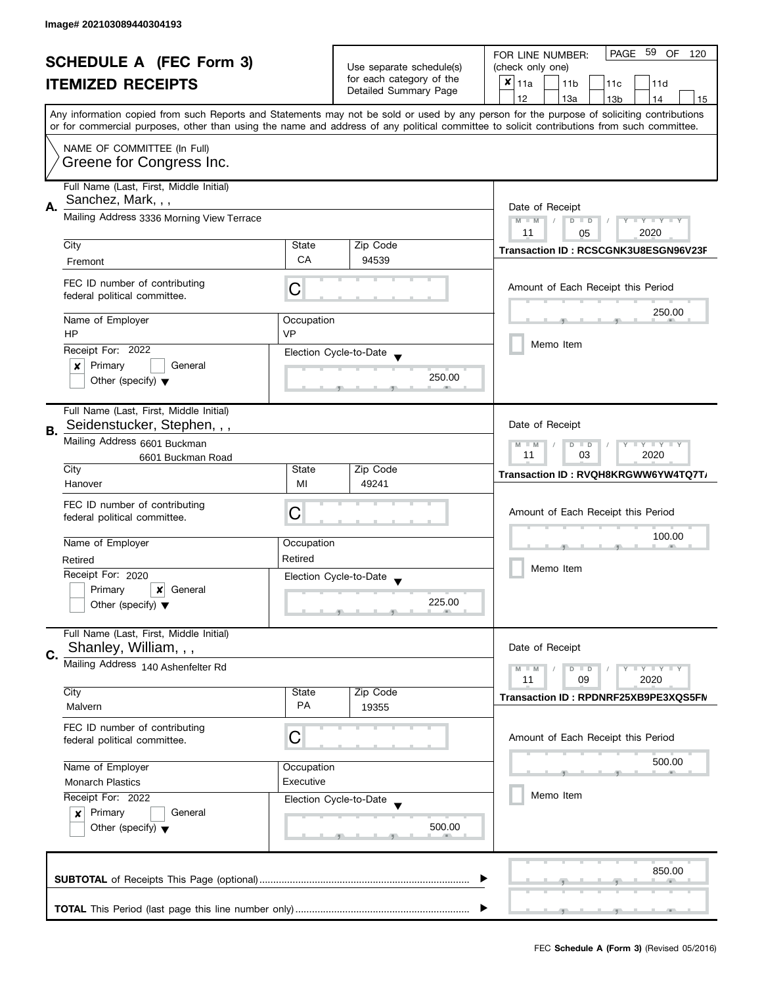| <b>SCHEDULE A (FEC Form 3)</b> |                                                                                                                               | Use separate schedule(s) | PAGE<br>59<br>OF<br>FOR LINE NUMBER:<br>120<br>(check only one) |                                                                                                                                            |  |
|--------------------------------|-------------------------------------------------------------------------------------------------------------------------------|--------------------------|-----------------------------------------------------------------|--------------------------------------------------------------------------------------------------------------------------------------------|--|
|                                | <b>ITEMIZED RECEIPTS</b>                                                                                                      |                          | for each category of the                                        | $x _{11a}$                                                                                                                                 |  |
|                                |                                                                                                                               |                          | Detailed Summary Page                                           | 11 <sub>b</sub><br>11c<br>11d<br>12<br>13a<br>13 <sub>b</sub><br>14<br>15                                                                  |  |
|                                |                                                                                                                               |                          |                                                                 | Any information copied from such Reports and Statements may not be sold or used by any person for the purpose of soliciting contributions  |  |
|                                |                                                                                                                               |                          |                                                                 | or for commercial purposes, other than using the name and address of any political committee to solicit contributions from such committee. |  |
|                                | NAME OF COMMITTEE (In Full)                                                                                                   |                          |                                                                 |                                                                                                                                            |  |
|                                | Greene for Congress Inc.                                                                                                      |                          |                                                                 |                                                                                                                                            |  |
|                                |                                                                                                                               |                          |                                                                 |                                                                                                                                            |  |
|                                | Full Name (Last, First, Middle Initial)<br>Sanchez, Mark, , ,                                                                 |                          |                                                                 |                                                                                                                                            |  |
| Α.                             |                                                                                                                               |                          |                                                                 | Date of Receipt                                                                                                                            |  |
|                                | Mailing Address 3336 Morning View Terrace                                                                                     |                          |                                                                 | $M - M$<br>$D$ $D$<br>Y TY TY TY<br>2020<br>11                                                                                             |  |
|                                | City                                                                                                                          | State                    | Zip Code                                                        | 05                                                                                                                                         |  |
|                                | Fremont                                                                                                                       | CA                       | 94539                                                           | Transaction ID: RCSCGNK3U8ESGN96V23F                                                                                                       |  |
|                                | FEC ID number of contributing                                                                                                 |                          |                                                                 |                                                                                                                                            |  |
|                                | federal political committee.                                                                                                  | С                        |                                                                 | Amount of Each Receipt this Period                                                                                                         |  |
|                                |                                                                                                                               |                          |                                                                 | 250.00                                                                                                                                     |  |
|                                | Name of Employer<br><b>HP</b>                                                                                                 | Occupation<br><b>VP</b>  |                                                                 |                                                                                                                                            |  |
|                                | Receipt For: 2022                                                                                                             |                          |                                                                 | Memo Item                                                                                                                                  |  |
|                                | Primary<br>General<br>x                                                                                                       |                          | Election Cycle-to-Date                                          |                                                                                                                                            |  |
|                                | Other (specify) $\blacktriangledown$                                                                                          |                          | 250.00                                                          |                                                                                                                                            |  |
|                                |                                                                                                                               |                          |                                                                 |                                                                                                                                            |  |
|                                | Full Name (Last, First, Middle Initial)                                                                                       |                          |                                                                 |                                                                                                                                            |  |
| В.                             | Seidenstucker, Stephen, , ,                                                                                                   |                          |                                                                 | Date of Receipt                                                                                                                            |  |
|                                | Mailing Address 6601 Buckman                                                                                                  |                          |                                                                 | $Y - Y - Y$<br>$M - M$<br>$D$ $D$                                                                                                          |  |
|                                | 6601 Buckman Road                                                                                                             |                          |                                                                 | 11<br>03<br>2020                                                                                                                           |  |
|                                | City<br>Hanover                                                                                                               | State<br>MI              | Zip Code<br>49241                                               | Transaction ID: RVQH8KRGWW6YW4TQ7T/                                                                                                        |  |
|                                |                                                                                                                               |                          |                                                                 |                                                                                                                                            |  |
|                                | FEC ID number of contributing<br>federal political committee.                                                                 | C                        |                                                                 | Amount of Each Receipt this Period                                                                                                         |  |
|                                |                                                                                                                               |                          |                                                                 |                                                                                                                                            |  |
|                                | Name of Employer                                                                                                              | Occupation               |                                                                 | 100.00                                                                                                                                     |  |
|                                | Retired                                                                                                                       | Retired                  |                                                                 | Memo Item                                                                                                                                  |  |
|                                | Receipt For: 2020                                                                                                             |                          | Election Cycle-to-Date                                          |                                                                                                                                            |  |
|                                | Primary<br>×<br>General                                                                                                       |                          | 225.00                                                          |                                                                                                                                            |  |
|                                | Other (specify) $\blacktriangledown$                                                                                          |                          |                                                                 |                                                                                                                                            |  |
|                                | Full Name (Last, First, Middle Initial)                                                                                       |                          |                                                                 |                                                                                                                                            |  |
| C.                             | Shanley, William, , ,                                                                                                         |                          |                                                                 | Date of Receipt                                                                                                                            |  |
|                                | Mailing Address 140 Ashenfelter Rd                                                                                            |                          |                                                                 | $\bot$ Y $\bot$ Y $\bot$ Y<br>$M - M$<br>$D$ $D$                                                                                           |  |
|                                |                                                                                                                               |                          |                                                                 | 11<br>09<br>2020                                                                                                                           |  |
|                                | City                                                                                                                          | State<br>PA              | Zip Code                                                        | Transaction ID: RPDNRF25XB9PE3XQS5FN                                                                                                       |  |
|                                | Malvern                                                                                                                       |                          | 19355                                                           |                                                                                                                                            |  |
|                                | FEC ID number of contributing<br>federal political committee.                                                                 | C                        |                                                                 | Amount of Each Receipt this Period                                                                                                         |  |
|                                |                                                                                                                               |                          |                                                                 |                                                                                                                                            |  |
|                                | Name of Employer                                                                                                              | Occupation               |                                                                 | 500.00                                                                                                                                     |  |
|                                | Executive<br><b>Monarch Plastics</b><br>Receipt For: 2022<br>Election Cycle-to-Date<br>Primary<br>General<br>$\boldsymbol{x}$ |                          |                                                                 |                                                                                                                                            |  |
|                                |                                                                                                                               |                          |                                                                 | Memo Item                                                                                                                                  |  |
|                                |                                                                                                                               |                          |                                                                 |                                                                                                                                            |  |
|                                | Other (specify) $\blacktriangledown$                                                                                          |                          | 500.00                                                          |                                                                                                                                            |  |
|                                |                                                                                                                               |                          |                                                                 |                                                                                                                                            |  |
|                                |                                                                                                                               |                          |                                                                 | 850.00                                                                                                                                     |  |
|                                |                                                                                                                               |                          |                                                                 |                                                                                                                                            |  |
|                                |                                                                                                                               |                          |                                                                 |                                                                                                                                            |  |
|                                |                                                                                                                               |                          |                                                                 |                                                                                                                                            |  |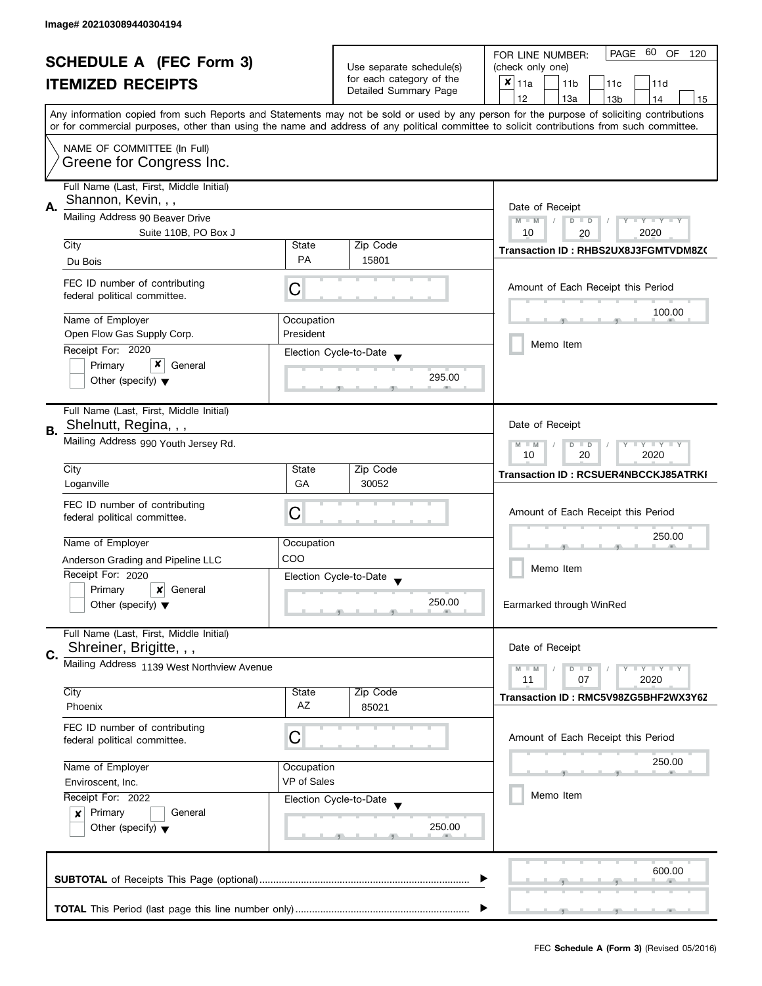|                                       | <b>SCHEDULE A (FEC Form 3)</b>                                                                                                                                                                                                                                            |             |                                                                               | PAGE 60<br>OF<br>FOR LINE NUMBER:<br>120                                                                                                                                                                                                                                                |  |
|---------------------------------------|---------------------------------------------------------------------------------------------------------------------------------------------------------------------------------------------------------------------------------------------------------------------------|-------------|-------------------------------------------------------------------------------|-----------------------------------------------------------------------------------------------------------------------------------------------------------------------------------------------------------------------------------------------------------------------------------------|--|
|                                       |                                                                                                                                                                                                                                                                           |             | Use separate schedule(s)<br>for each category of the<br>Detailed Summary Page | (check only one)                                                                                                                                                                                                                                                                        |  |
|                                       | <b>ITEMIZED RECEIPTS</b>                                                                                                                                                                                                                                                  |             |                                                                               | $x _{11a}$<br>11 <sub>b</sub><br>11c<br>11d                                                                                                                                                                                                                                             |  |
|                                       |                                                                                                                                                                                                                                                                           |             |                                                                               | 12<br>13a<br>13 <sub>b</sub><br>14<br>15                                                                                                                                                                                                                                                |  |
|                                       |                                                                                                                                                                                                                                                                           |             |                                                                               | Any information copied from such Reports and Statements may not be sold or used by any person for the purpose of soliciting contributions<br>or for commercial purposes, other than using the name and address of any political committee to solicit contributions from such committee. |  |
|                                       | NAME OF COMMITTEE (In Full)                                                                                                                                                                                                                                               |             |                                                                               |                                                                                                                                                                                                                                                                                         |  |
|                                       | Greene for Congress Inc.                                                                                                                                                                                                                                                  |             |                                                                               |                                                                                                                                                                                                                                                                                         |  |
|                                       | Full Name (Last, First, Middle Initial)<br>Shannon, Kevin, , ,                                                                                                                                                                                                            |             |                                                                               |                                                                                                                                                                                                                                                                                         |  |
| А.<br>Mailing Address 90 Beaver Drive |                                                                                                                                                                                                                                                                           |             |                                                                               | Date of Receipt<br>$M - M$<br>$D$ $D$<br>$Y - Y - Y - Y - Y$<br>$\sqrt{ }$                                                                                                                                                                                                              |  |
|                                       | Suite 110B, PO Box J<br>City                                                                                                                                                                                                                                              | State       | Zip Code                                                                      | 10<br>2020<br>20                                                                                                                                                                                                                                                                        |  |
|                                       | Du Bois                                                                                                                                                                                                                                                                   | <b>PA</b>   | 15801                                                                         | Transaction ID: RHBS2UX8J3FGMTVDM8Z0                                                                                                                                                                                                                                                    |  |
|                                       | FEC ID number of contributing<br>federal political committee.                                                                                                                                                                                                             | C           |                                                                               | Amount of Each Receipt this Period                                                                                                                                                                                                                                                      |  |
|                                       | Name of Employer                                                                                                                                                                                                                                                          | Occupation  |                                                                               | 100.00                                                                                                                                                                                                                                                                                  |  |
|                                       | Open Flow Gas Supply Corp.                                                                                                                                                                                                                                                | President   |                                                                               | Memo Item                                                                                                                                                                                                                                                                               |  |
|                                       | Receipt For: 2020<br>x<br>Primary<br>General                                                                                                                                                                                                                              |             | Election Cycle-to-Date                                                        |                                                                                                                                                                                                                                                                                         |  |
|                                       | Other (specify) $\blacktriangledown$                                                                                                                                                                                                                                      |             | 295.00                                                                        |                                                                                                                                                                                                                                                                                         |  |
|                                       | Full Name (Last, First, Middle Initial)<br>Shelnutt, Regina, , ,                                                                                                                                                                                                          |             |                                                                               | Date of Receipt                                                                                                                                                                                                                                                                         |  |
| В.                                    | Mailing Address 990 Youth Jersey Rd.                                                                                                                                                                                                                                      |             |                                                                               | $M - M$<br>$Y - Y - Y$<br>D<br>$\blacksquare$                                                                                                                                                                                                                                           |  |
|                                       |                                                                                                                                                                                                                                                                           |             |                                                                               | 10<br>20<br>2020                                                                                                                                                                                                                                                                        |  |
|                                       | City<br>Loganville                                                                                                                                                                                                                                                        | State<br>GA | Zip Code<br>30052                                                             | Transaction ID: RCSUER4NBCCKJ85ATRKI                                                                                                                                                                                                                                                    |  |
|                                       | FEC ID number of contributing                                                                                                                                                                                                                                             |             |                                                                               |                                                                                                                                                                                                                                                                                         |  |
|                                       | federal political committee.                                                                                                                                                                                                                                              | C           |                                                                               | Amount of Each Receipt this Period                                                                                                                                                                                                                                                      |  |
|                                       | Name of Employer                                                                                                                                                                                                                                                          | Occupation  |                                                                               | 250.00                                                                                                                                                                                                                                                                                  |  |
|                                       | Anderson Grading and Pipeline LLC                                                                                                                                                                                                                                         | COO         |                                                                               |                                                                                                                                                                                                                                                                                         |  |
|                                       | Receipt For: 2020                                                                                                                                                                                                                                                         |             | Election Cycle-to-Date                                                        | Memo Item                                                                                                                                                                                                                                                                               |  |
|                                       | Primary<br>$\boldsymbol{x}$<br>General                                                                                                                                                                                                                                    |             |                                                                               |                                                                                                                                                                                                                                                                                         |  |
|                                       | Other (specify) $\blacktriangledown$                                                                                                                                                                                                                                      |             | 250.00                                                                        | Earmarked through WinRed                                                                                                                                                                                                                                                                |  |
|                                       | Full Name (Last, First, Middle Initial)<br>Shreiner, Brigitte, , ,                                                                                                                                                                                                        |             |                                                                               | Date of Receipt                                                                                                                                                                                                                                                                         |  |
| C.                                    | Mailing Address 1139 West Northview Avenue                                                                                                                                                                                                                                |             |                                                                               |                                                                                                                                                                                                                                                                                         |  |
|                                       |                                                                                                                                                                                                                                                                           |             |                                                                               | $M - M$<br>$Y - Y - Y$<br>$D$ $D$<br>11<br>2020<br>07                                                                                                                                                                                                                                   |  |
|                                       | City<br>Phoenix                                                                                                                                                                                                                                                           | State<br>AZ | Zip Code                                                                      | Transaction ID: RMC5V98ZG5BHF2WX3Y62                                                                                                                                                                                                                                                    |  |
|                                       |                                                                                                                                                                                                                                                                           |             | 85021                                                                         |                                                                                                                                                                                                                                                                                         |  |
|                                       | FEC ID number of contributing<br>C<br>federal political committee.<br>Name of Employer<br>Occupation<br>VP of Sales<br>Enviroscent, Inc.<br>Receipt For: 2022<br>Election Cycle-to-Date<br>Primary<br>General<br>$\boldsymbol{x}$<br>Other (specify) $\blacktriangledown$ |             |                                                                               | Amount of Each Receipt this Period                                                                                                                                                                                                                                                      |  |
|                                       |                                                                                                                                                                                                                                                                           |             |                                                                               | 250.00                                                                                                                                                                                                                                                                                  |  |
|                                       |                                                                                                                                                                                                                                                                           |             |                                                                               |                                                                                                                                                                                                                                                                                         |  |
|                                       |                                                                                                                                                                                                                                                                           |             |                                                                               | Memo Item                                                                                                                                                                                                                                                                               |  |
|                                       |                                                                                                                                                                                                                                                                           |             |                                                                               |                                                                                                                                                                                                                                                                                         |  |
|                                       |                                                                                                                                                                                                                                                                           |             | 250.00                                                                        |                                                                                                                                                                                                                                                                                         |  |
|                                       |                                                                                                                                                                                                                                                                           |             |                                                                               | 600.00                                                                                                                                                                                                                                                                                  |  |
|                                       |                                                                                                                                                                                                                                                                           |             |                                                                               |                                                                                                                                                                                                                                                                                         |  |
|                                       |                                                                                                                                                                                                                                                                           |             |                                                                               |                                                                                                                                                                                                                                                                                         |  |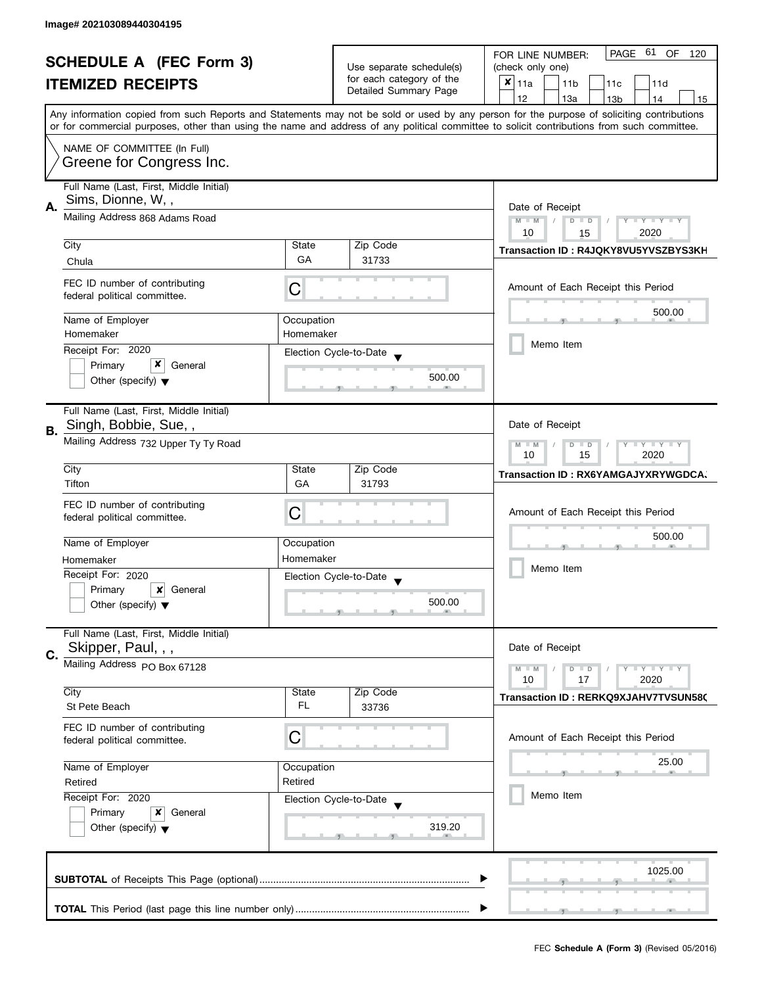| <b>SCHEDULE A (FEC Form 3)</b> |                                                              |                                                                                                                                            | PAGE 61<br>OF<br>FOR LINE NUMBER:<br>120          |                                                                                                                                           |
|--------------------------------|--------------------------------------------------------------|--------------------------------------------------------------------------------------------------------------------------------------------|---------------------------------------------------|-------------------------------------------------------------------------------------------------------------------------------------------|
|                                |                                                              |                                                                                                                                            | Use separate schedule(s)                          | (check only one)                                                                                                                          |
|                                | <b>ITEMIZED RECEIPTS</b>                                     |                                                                                                                                            | for each category of the<br>Detailed Summary Page | $x _{11a}$<br>11 <sub>b</sub><br>11d<br>11 <sub>c</sub>                                                                                   |
|                                |                                                              |                                                                                                                                            |                                                   | 12<br>13a<br>13 <sub>b</sub><br>14<br>15                                                                                                  |
|                                |                                                              |                                                                                                                                            |                                                   | Any information copied from such Reports and Statements may not be sold or used by any person for the purpose of soliciting contributions |
|                                |                                                              | or for commercial purposes, other than using the name and address of any political committee to solicit contributions from such committee. |                                                   |                                                                                                                                           |
|                                | NAME OF COMMITTEE (In Full)                                  |                                                                                                                                            |                                                   |                                                                                                                                           |
|                                | Greene for Congress Inc.                                     |                                                                                                                                            |                                                   |                                                                                                                                           |
|                                |                                                              |                                                                                                                                            |                                                   |                                                                                                                                           |
|                                | Full Name (Last, First, Middle Initial)<br>Sims, Dionne, W,, |                                                                                                                                            |                                                   |                                                                                                                                           |
| Α.                             |                                                              | Date of Receipt                                                                                                                            |                                                   |                                                                                                                                           |
|                                | Mailing Address 868 Adams Road                               |                                                                                                                                            |                                                   | $M - M$<br>$\mathsf{L} \mathsf{Y} \mathsf{L} \mathsf{Y} \mathsf{L} \mathsf{Y}$<br>$\overline{D}$<br>$\Box$<br>Y                           |
|                                |                                                              | State                                                                                                                                      | Zip Code                                          | 10<br>2020<br>15                                                                                                                          |
|                                | City                                                         | GA                                                                                                                                         | 31733                                             | Transaction ID: R4JQKY8VU5YVSZBYS3KH                                                                                                      |
|                                | Chula                                                        |                                                                                                                                            |                                                   |                                                                                                                                           |
|                                | FEC ID number of contributing                                |                                                                                                                                            |                                                   | Amount of Each Receipt this Period                                                                                                        |
|                                | federal political committee.                                 | C                                                                                                                                          |                                                   |                                                                                                                                           |
|                                | Name of Employer                                             | Occupation                                                                                                                                 |                                                   | 500.00                                                                                                                                    |
|                                | Homemaker                                                    | Homemaker                                                                                                                                  |                                                   |                                                                                                                                           |
|                                | Receipt For: 2020                                            |                                                                                                                                            |                                                   | Memo Item                                                                                                                                 |
|                                | x<br>Primary<br>General                                      |                                                                                                                                            | Election Cycle-to-Date                            |                                                                                                                                           |
|                                | Other (specify) $\blacktriangledown$                         |                                                                                                                                            | 500.00                                            |                                                                                                                                           |
|                                |                                                              |                                                                                                                                            |                                                   |                                                                                                                                           |
|                                | Full Name (Last, First, Middle Initial)                      |                                                                                                                                            |                                                   |                                                                                                                                           |
|                                | Singh, Bobbie, Sue,,                                         |                                                                                                                                            |                                                   | Date of Receipt                                                                                                                           |
| В.                             | Mailing Address 732 Upper Ty Ty Road                         |                                                                                                                                            |                                                   |                                                                                                                                           |
|                                |                                                              | $Y + Y$<br>$M - M$<br>D<br>$\Box$<br>15<br>2020<br>10                                                                                      |                                                   |                                                                                                                                           |
|                                | City                                                         | State                                                                                                                                      | Zip Code                                          |                                                                                                                                           |
|                                | Tifton                                                       | GA                                                                                                                                         | 31793                                             | Transaction ID: RX6YAMGAJYXRYWGDCA,                                                                                                       |
|                                | FEC ID number of contributing                                |                                                                                                                                            |                                                   |                                                                                                                                           |
|                                | federal political committee.                                 | C                                                                                                                                          |                                                   | Amount of Each Receipt this Period                                                                                                        |
|                                |                                                              |                                                                                                                                            |                                                   |                                                                                                                                           |
|                                | Name of Employer                                             | Occupation                                                                                                                                 |                                                   | 500.00                                                                                                                                    |
|                                | Homemaker                                                    | Homemaker                                                                                                                                  |                                                   |                                                                                                                                           |
|                                | Receipt For: 2020                                            |                                                                                                                                            | Election Cycle-to-Date                            | Memo Item                                                                                                                                 |
|                                | Primary<br>$\boldsymbol{x}$<br>General                       |                                                                                                                                            |                                                   |                                                                                                                                           |
|                                | Other (specify) $\blacktriangledown$                         |                                                                                                                                            | 500.00                                            |                                                                                                                                           |
|                                |                                                              |                                                                                                                                            |                                                   |                                                                                                                                           |
|                                | Full Name (Last, First, Middle Initial)                      |                                                                                                                                            |                                                   |                                                                                                                                           |
| C.                             | Skipper, Paul, , ,                                           |                                                                                                                                            |                                                   | Date of Receipt                                                                                                                           |
|                                | Mailing Address PO Box 67128                                 |                                                                                                                                            |                                                   | Y LY LY<br>$M - M$<br>$D$ $D$                                                                                                             |
|                                |                                                              |                                                                                                                                            |                                                   | 2020<br>10<br>17                                                                                                                          |
|                                | City                                                         | State                                                                                                                                      | Zip Code                                          | Transaction ID: RERKQ9XJAHV7TVSUN580                                                                                                      |
|                                | St Pete Beach                                                | FL                                                                                                                                         | 33736                                             |                                                                                                                                           |
|                                | FEC ID number of contributing                                |                                                                                                                                            |                                                   |                                                                                                                                           |
|                                | federal political committee.                                 | С                                                                                                                                          |                                                   | Amount of Each Receipt this Period                                                                                                        |
|                                |                                                              |                                                                                                                                            |                                                   | 25.00                                                                                                                                     |
|                                | Name of Employer                                             | Occupation<br>Retired                                                                                                                      |                                                   |                                                                                                                                           |
|                                | Retired                                                      |                                                                                                                                            |                                                   | Memo Item                                                                                                                                 |
|                                | Receipt For: 2020                                            |                                                                                                                                            | Election Cycle-to-Date                            |                                                                                                                                           |
|                                | Primary<br>General<br>x                                      |                                                                                                                                            | 319.20                                            |                                                                                                                                           |
|                                | Other (specify) $\blacktriangledown$                         |                                                                                                                                            |                                                   |                                                                                                                                           |
|                                |                                                              |                                                                                                                                            |                                                   |                                                                                                                                           |
|                                |                                                              |                                                                                                                                            |                                                   | 1025.00                                                                                                                                   |
|                                |                                                              |                                                                                                                                            |                                                   |                                                                                                                                           |
|                                |                                                              |                                                                                                                                            |                                                   |                                                                                                                                           |
|                                |                                                              |                                                                                                                                            |                                                   |                                                                                                                                           |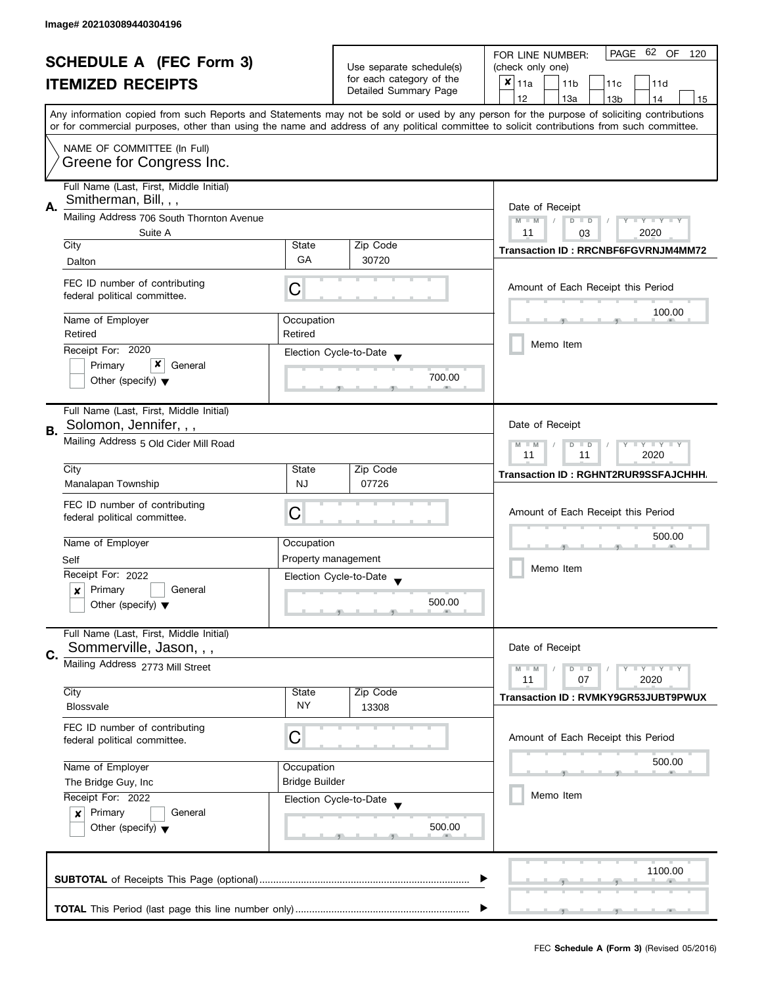| <b>SCHEDULE A (FEC Form 3)</b> |                                                                                                                                                                                                                 |                  |                                                   | PAGE 62 OF<br>FOR LINE NUMBER:<br>120                                                                                                      |  |
|--------------------------------|-----------------------------------------------------------------------------------------------------------------------------------------------------------------------------------------------------------------|------------------|---------------------------------------------------|--------------------------------------------------------------------------------------------------------------------------------------------|--|
|                                |                                                                                                                                                                                                                 |                  | Use separate schedule(s)                          | (check only one)                                                                                                                           |  |
|                                | <b>ITEMIZED RECEIPTS</b>                                                                                                                                                                                        |                  | for each category of the<br>Detailed Summary Page | $x _{11a}$<br>11 <sub>b</sub><br>11d<br>11c                                                                                                |  |
|                                |                                                                                                                                                                                                                 |                  |                                                   | 12<br>13a<br>13 <sub>b</sub><br>14<br>15                                                                                                   |  |
|                                |                                                                                                                                                                                                                 |                  |                                                   | Any information copied from such Reports and Statements may not be sold or used by any person for the purpose of soliciting contributions  |  |
|                                |                                                                                                                                                                                                                 |                  |                                                   | or for commercial purposes, other than using the name and address of any political committee to solicit contributions from such committee. |  |
|                                | NAME OF COMMITTEE (In Full)                                                                                                                                                                                     |                  |                                                   |                                                                                                                                            |  |
|                                | Greene for Congress Inc.                                                                                                                                                                                        |                  |                                                   |                                                                                                                                            |  |
|                                |                                                                                                                                                                                                                 |                  |                                                   |                                                                                                                                            |  |
|                                | Full Name (Last, First, Middle Initial)                                                                                                                                                                         |                  |                                                   |                                                                                                                                            |  |
| А.                             | Smitherman, Bill, , ,                                                                                                                                                                                           | Date of Receipt  |                                                   |                                                                                                                                            |  |
|                                | Mailing Address 706 South Thornton Avenue                                                                                                                                                                       |                  |                                                   | $M - M$<br>$D$ $D$<br>Y TY TY TY                                                                                                           |  |
|                                | Suite A                                                                                                                                                                                                         |                  |                                                   | 2020<br>11<br>03                                                                                                                           |  |
|                                | City                                                                                                                                                                                                            | State            | Zip Code                                          | <b>Transaction ID: RRCNBF6FGVRNJM4MM72</b>                                                                                                 |  |
|                                | Dalton                                                                                                                                                                                                          | GA               | 30720                                             |                                                                                                                                            |  |
|                                | FEC ID number of contributing                                                                                                                                                                                   |                  |                                                   | Amount of Each Receipt this Period                                                                                                         |  |
|                                | federal political committee.                                                                                                                                                                                    | C                |                                                   |                                                                                                                                            |  |
|                                |                                                                                                                                                                                                                 |                  |                                                   | 100.00                                                                                                                                     |  |
|                                | Name of Employer                                                                                                                                                                                                | Occupation       |                                                   |                                                                                                                                            |  |
|                                | Retired                                                                                                                                                                                                         | Retired          |                                                   | Memo Item                                                                                                                                  |  |
|                                | Receipt For: 2020                                                                                                                                                                                               |                  | Election Cycle-to-Date                            |                                                                                                                                            |  |
|                                | x<br>Primary<br>General                                                                                                                                                                                         |                  |                                                   |                                                                                                                                            |  |
|                                | Other (specify) $\blacktriangledown$                                                                                                                                                                            |                  | 700.00                                            |                                                                                                                                            |  |
|                                |                                                                                                                                                                                                                 |                  |                                                   |                                                                                                                                            |  |
|                                | Full Name (Last, First, Middle Initial)                                                                                                                                                                         |                  |                                                   |                                                                                                                                            |  |
| В.                             | Solomon, Jennifer, , ,                                                                                                                                                                                          |                  |                                                   | Date of Receipt                                                                                                                            |  |
|                                | Mailing Address 5 Old Cider Mill Road                                                                                                                                                                           |                  |                                                   | $Y - Y - Y$<br>$M - M$<br>$D$ $D$                                                                                                          |  |
|                                |                                                                                                                                                                                                                 | 2020<br>11<br>11 |                                                   |                                                                                                                                            |  |
|                                | City                                                                                                                                                                                                            | State            | Zip Code                                          | Transaction ID: RGHNT2RUR9SSFAJCHHH.                                                                                                       |  |
|                                | Manalapan Township                                                                                                                                                                                              | <b>NJ</b>        | 07726                                             |                                                                                                                                            |  |
|                                | FEC ID number of contributing                                                                                                                                                                                   |                  |                                                   |                                                                                                                                            |  |
|                                | federal political committee.                                                                                                                                                                                    | С                |                                                   | Amount of Each Receipt this Period                                                                                                         |  |
|                                |                                                                                                                                                                                                                 |                  |                                                   | 500.00                                                                                                                                     |  |
|                                | Name of Employer                                                                                                                                                                                                | Occupation       |                                                   |                                                                                                                                            |  |
|                                | Self                                                                                                                                                                                                            |                  | Property management                               | Memo Item                                                                                                                                  |  |
|                                | Receipt For: 2022                                                                                                                                                                                               |                  | Election Cycle-to-Date                            |                                                                                                                                            |  |
|                                | Primary<br>General<br>x                                                                                                                                                                                         |                  | 500.00                                            |                                                                                                                                            |  |
|                                | Other (specify) $\blacktriangledown$                                                                                                                                                                            |                  |                                                   |                                                                                                                                            |  |
|                                | Full Name (Last, First, Middle Initial)                                                                                                                                                                         |                  |                                                   |                                                                                                                                            |  |
| C.                             | Sommerville, Jason, , ,                                                                                                                                                                                         |                  |                                                   | Date of Receipt                                                                                                                            |  |
|                                | Mailing Address 2773 Mill Street                                                                                                                                                                                |                  |                                                   | $M - M$<br>Y L Y L Y<br>$D$ $D$                                                                                                            |  |
|                                |                                                                                                                                                                                                                 |                  |                                                   | 11<br>07<br>2020                                                                                                                           |  |
|                                | City                                                                                                                                                                                                            | State            | Zip Code                                          | Transaction ID: RVMKY9GR53JUBT9PWUX                                                                                                        |  |
|                                | <b>Blossvale</b>                                                                                                                                                                                                | <b>NY</b>        | 13308                                             |                                                                                                                                            |  |
|                                | FEC ID number of contributing                                                                                                                                                                                   |                  |                                                   |                                                                                                                                            |  |
|                                | federal political committee.                                                                                                                                                                                    | С                |                                                   | Amount of Each Receipt this Period                                                                                                         |  |
|                                |                                                                                                                                                                                                                 |                  |                                                   | 500.00                                                                                                                                     |  |
|                                | Name of Employer<br>Occupation<br><b>Bridge Builder</b><br>The Bridge Guy, Inc<br>Receipt For: 2022<br>Election Cycle-to-Date<br>Primary<br>General<br>$\boldsymbol{x}$<br>Other (specify) $\blacktriangledown$ |                  |                                                   |                                                                                                                                            |  |
|                                |                                                                                                                                                                                                                 |                  |                                                   |                                                                                                                                            |  |
|                                |                                                                                                                                                                                                                 |                  |                                                   | Memo Item                                                                                                                                  |  |
|                                |                                                                                                                                                                                                                 |                  |                                                   |                                                                                                                                            |  |
|                                |                                                                                                                                                                                                                 |                  | 500.00                                            |                                                                                                                                            |  |
|                                |                                                                                                                                                                                                                 |                  |                                                   |                                                                                                                                            |  |
|                                |                                                                                                                                                                                                                 |                  |                                                   |                                                                                                                                            |  |
|                                |                                                                                                                                                                                                                 |                  |                                                   | 1100.00                                                                                                                                    |  |
|                                |                                                                                                                                                                                                                 |                  |                                                   |                                                                                                                                            |  |
|                                |                                                                                                                                                                                                                 |                  |                                                   |                                                                                                                                            |  |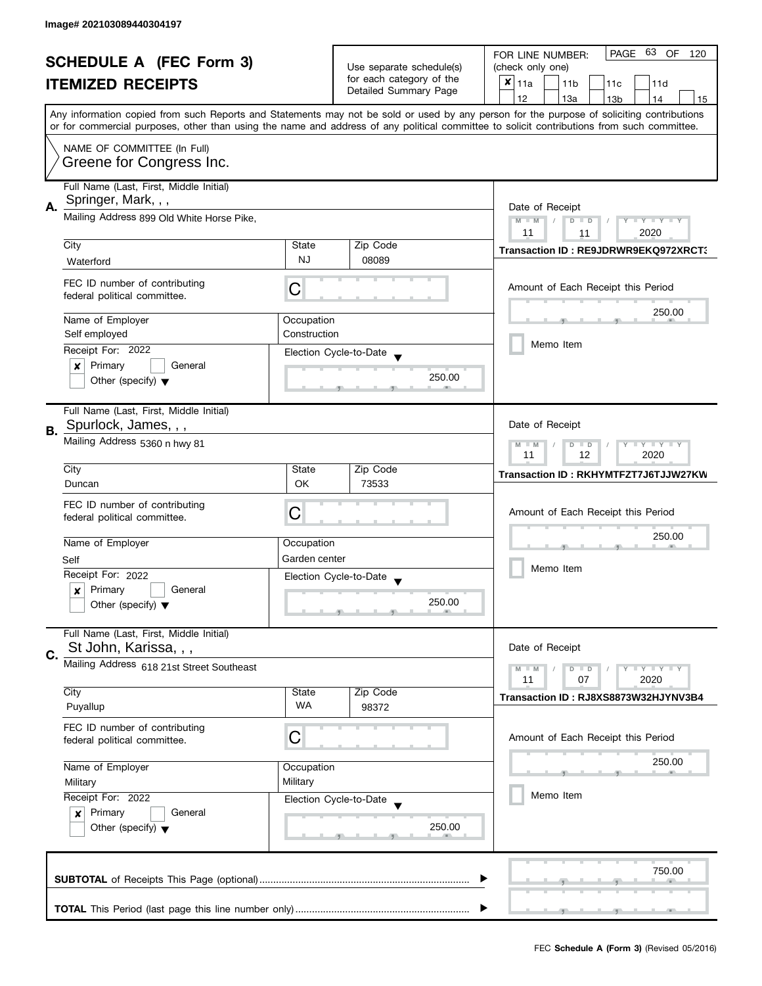| <b>SCHEDULE A (FEC Form 3)</b><br><b>ITEMIZED RECEIPTS</b> |                                           | Use separate schedule(s)<br>for each category of the  | PAGE<br>63<br>OF<br>FOR LINE NUMBER:<br>120<br>(check only one) |                                                                                                                                            |  |  |
|------------------------------------------------------------|-------------------------------------------|-------------------------------------------------------|-----------------------------------------------------------------|--------------------------------------------------------------------------------------------------------------------------------------------|--|--|
|                                                            |                                           |                                                       | $x _{11a}$<br>11 <sub>b</sub><br>11c<br>11d                     |                                                                                                                                            |  |  |
|                                                            |                                           |                                                       | Detailed Summary Page                                           | 12<br>13a<br>14<br>13 <sub>b</sub><br>15                                                                                                   |  |  |
|                                                            |                                           |                                                       |                                                                 | Any information copied from such Reports and Statements may not be sold or used by any person for the purpose of soliciting contributions  |  |  |
|                                                            |                                           |                                                       |                                                                 | or for commercial purposes, other than using the name and address of any political committee to solicit contributions from such committee. |  |  |
|                                                            | NAME OF COMMITTEE (In Full)               |                                                       |                                                                 |                                                                                                                                            |  |  |
|                                                            | Greene for Congress Inc.                  |                                                       |                                                                 |                                                                                                                                            |  |  |
|                                                            |                                           |                                                       |                                                                 |                                                                                                                                            |  |  |
|                                                            | Full Name (Last, First, Middle Initial)   |                                                       |                                                                 |                                                                                                                                            |  |  |
| Α.                                                         | Springer, Mark, , ,                       | Date of Receipt                                       |                                                                 |                                                                                                                                            |  |  |
|                                                            | Mailing Address 899 Old White Horse Pike, |                                                       |                                                                 | $M - M$<br>Y TY TY TY<br>$D$ $D$                                                                                                           |  |  |
|                                                            |                                           |                                                       |                                                                 | 2020<br>11<br>11                                                                                                                           |  |  |
|                                                            | City                                      | State<br><b>NJ</b>                                    | Zip Code<br>08089                                               | Transaction ID: RE9JDRWR9EKQ972XRCT;                                                                                                       |  |  |
|                                                            | Waterford                                 |                                                       |                                                                 |                                                                                                                                            |  |  |
|                                                            | FEC ID number of contributing             | С                                                     |                                                                 | Amount of Each Receipt this Period                                                                                                         |  |  |
|                                                            | federal political committee.              |                                                       |                                                                 |                                                                                                                                            |  |  |
|                                                            | Name of Employer                          | Occupation                                            |                                                                 | 250.00                                                                                                                                     |  |  |
|                                                            | Self employed                             | Construction                                          |                                                                 |                                                                                                                                            |  |  |
|                                                            | Receipt For: 2022                         |                                                       | Election Cycle-to-Date                                          | Memo Item                                                                                                                                  |  |  |
|                                                            | $\boldsymbol{x}$<br>Primary<br>General    |                                                       |                                                                 |                                                                                                                                            |  |  |
|                                                            | Other (specify) $\blacktriangledown$      |                                                       | 250.00                                                          |                                                                                                                                            |  |  |
|                                                            |                                           |                                                       |                                                                 |                                                                                                                                            |  |  |
|                                                            | Full Name (Last, First, Middle Initial)   |                                                       |                                                                 | Date of Receipt                                                                                                                            |  |  |
| <b>B.</b>                                                  | Spurlock, James, , ,                      |                                                       |                                                                 |                                                                                                                                            |  |  |
|                                                            | Mailing Address 5360 n hwy 81             | $Y = Y + Y$<br>$M - M$<br>$D$ $D$<br>11<br>12<br>2020 |                                                                 |                                                                                                                                            |  |  |
|                                                            | City                                      | State                                                 | Zip Code                                                        |                                                                                                                                            |  |  |
|                                                            | Duncan                                    | <b>OK</b>                                             | 73533                                                           | Transaction ID: RKHYMTFZT7J6TJJW27KW                                                                                                       |  |  |
|                                                            | FEC ID number of contributing             |                                                       |                                                                 |                                                                                                                                            |  |  |
|                                                            | federal political committee.              | C                                                     |                                                                 | Amount of Each Receipt this Period                                                                                                         |  |  |
|                                                            |                                           |                                                       |                                                                 | 250.00                                                                                                                                     |  |  |
|                                                            | Name of Employer                          | Occupation                                            |                                                                 |                                                                                                                                            |  |  |
|                                                            | Self                                      | Garden center                                         |                                                                 | Memo Item                                                                                                                                  |  |  |
|                                                            | Receipt For: 2022                         |                                                       | Election Cycle-to-Date                                          |                                                                                                                                            |  |  |
|                                                            | Primary<br>General<br>$\boldsymbol{x}$    |                                                       | 250.00                                                          |                                                                                                                                            |  |  |
|                                                            | Other (specify) $\blacktriangledown$      |                                                       |                                                                 |                                                                                                                                            |  |  |
|                                                            | Full Name (Last, First, Middle Initial)   |                                                       |                                                                 |                                                                                                                                            |  |  |
| C.                                                         | St John, Karissa, , ,                     |                                                       |                                                                 | Date of Receipt                                                                                                                            |  |  |
|                                                            | Mailing Address 618 21st Street Southeast |                                                       |                                                                 | $Y = Y + Y$<br>$M - M$<br>$D$ $D$                                                                                                          |  |  |
|                                                            |                                           |                                                       |                                                                 | 11<br>07<br>2020                                                                                                                           |  |  |
|                                                            | City                                      | State<br>WA                                           | Zip Code                                                        | Transaction ID: RJ8XS8873W32HJYNV3B4                                                                                                       |  |  |
|                                                            | Puyallup                                  |                                                       | 98372                                                           |                                                                                                                                            |  |  |
|                                                            | FEC ID number of contributing             | C                                                     |                                                                 | Amount of Each Receipt this Period                                                                                                         |  |  |
|                                                            | federal political committee.              |                                                       |                                                                 |                                                                                                                                            |  |  |
|                                                            | Name of Employer                          | Occupation                                            |                                                                 | 250.00                                                                                                                                     |  |  |
|                                                            | Military                                  | Military                                              |                                                                 |                                                                                                                                            |  |  |
|                                                            | Receipt For: 2022                         |                                                       | Election Cycle-to-Date                                          | Memo Item                                                                                                                                  |  |  |
|                                                            | Primary<br>General<br>$\boldsymbol{x}$    |                                                       |                                                                 |                                                                                                                                            |  |  |
|                                                            | Other (specify) $\blacktriangledown$      |                                                       | 250.00                                                          |                                                                                                                                            |  |  |
|                                                            |                                           |                                                       |                                                                 |                                                                                                                                            |  |  |
|                                                            |                                           |                                                       |                                                                 | 750.00                                                                                                                                     |  |  |
|                                                            |                                           |                                                       |                                                                 |                                                                                                                                            |  |  |
|                                                            |                                           |                                                       |                                                                 |                                                                                                                                            |  |  |
|                                                            |                                           |                                                       |                                                                 |                                                                                                                                            |  |  |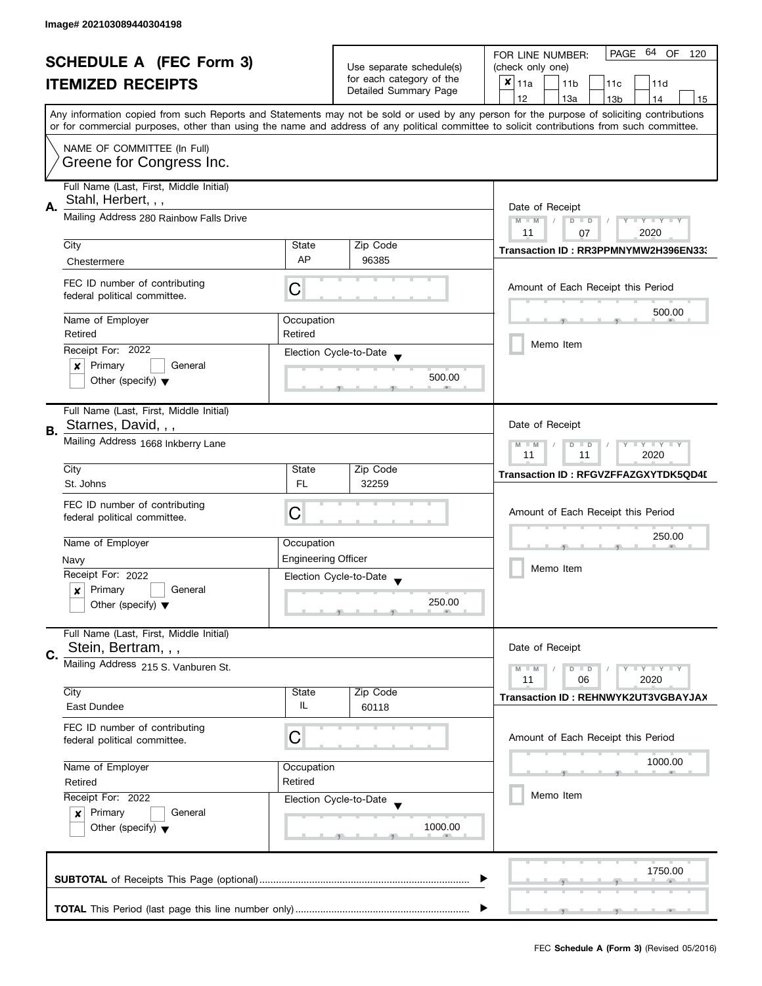| <b>SCHEDULE A (FEC Form 3)</b> |                                                                                                                               |                                                       | PAGE 64 OF<br>FOR LINE NUMBER:<br>120             |                                                                                                                                                                                                                                                                                         |
|--------------------------------|-------------------------------------------------------------------------------------------------------------------------------|-------------------------------------------------------|---------------------------------------------------|-----------------------------------------------------------------------------------------------------------------------------------------------------------------------------------------------------------------------------------------------------------------------------------------|
|                                |                                                                                                                               | Use separate schedule(s)                              | (check only one)                                  |                                                                                                                                                                                                                                                                                         |
|                                | <b>ITEMIZED RECEIPTS</b>                                                                                                      |                                                       | for each category of the<br>Detailed Summary Page | $x _{11a}$<br>11 <sub>b</sub><br>11c<br>11d                                                                                                                                                                                                                                             |
|                                |                                                                                                                               |                                                       |                                                   | 12<br>13a<br>13 <sub>b</sub><br>14<br>15                                                                                                                                                                                                                                                |
|                                |                                                                                                                               |                                                       |                                                   | Any information copied from such Reports and Statements may not be sold or used by any person for the purpose of soliciting contributions<br>or for commercial purposes, other than using the name and address of any political committee to solicit contributions from such committee. |
|                                |                                                                                                                               |                                                       |                                                   |                                                                                                                                                                                                                                                                                         |
|                                | NAME OF COMMITTEE (In Full)<br>Greene for Congress Inc.                                                                       |                                                       |                                                   |                                                                                                                                                                                                                                                                                         |
|                                | Full Name (Last, First, Middle Initial)                                                                                       |                                                       |                                                   |                                                                                                                                                                                                                                                                                         |
| А.                             | Stahl, Herbert, , ,                                                                                                           | Date of Receipt                                       |                                                   |                                                                                                                                                                                                                                                                                         |
|                                | Mailing Address 280 Rainbow Falls Drive                                                                                       |                                                       |                                                   | $M - M$<br>$D$ $D$<br>Y TY TY TY                                                                                                                                                                                                                                                        |
|                                | City                                                                                                                          | State                                                 | Zip Code                                          | 2020<br>11<br>07                                                                                                                                                                                                                                                                        |
|                                | Chestermere                                                                                                                   | AP                                                    | 96385                                             | Transaction ID: RR3PPMNYMW2H396EN333                                                                                                                                                                                                                                                    |
|                                |                                                                                                                               |                                                       |                                                   |                                                                                                                                                                                                                                                                                         |
|                                | FEC ID number of contributing<br>federal political committee.                                                                 | C                                                     |                                                   | Amount of Each Receipt this Period                                                                                                                                                                                                                                                      |
|                                | Name of Employer                                                                                                              | Occupation                                            |                                                   | 500.00                                                                                                                                                                                                                                                                                  |
|                                | Retired                                                                                                                       | Retired                                               |                                                   |                                                                                                                                                                                                                                                                                         |
|                                | Receipt For: 2022                                                                                                             |                                                       | Election Cycle-to-Date                            | Memo Item                                                                                                                                                                                                                                                                               |
|                                | Primary<br>General<br>×                                                                                                       |                                                       |                                                   |                                                                                                                                                                                                                                                                                         |
|                                | Other (specify) $\blacktriangledown$                                                                                          |                                                       | 500.00                                            |                                                                                                                                                                                                                                                                                         |
|                                | Full Name (Last, First, Middle Initial)                                                                                       |                                                       |                                                   |                                                                                                                                                                                                                                                                                         |
| В.                             | Starnes, David, , ,                                                                                                           |                                                       |                                                   | Date of Receipt                                                                                                                                                                                                                                                                         |
|                                | Mailing Address 1668 Inkberry Lane                                                                                            | Y LY LY<br>$M - M$<br>D<br>$\Box$<br>2020<br>11<br>11 |                                                   |                                                                                                                                                                                                                                                                                         |
|                                | City                                                                                                                          | State                                                 | Zip Code                                          | Transaction ID: RFGVZFFAZGXYTDK5QD4I                                                                                                                                                                                                                                                    |
|                                | St. Johns                                                                                                                     | <b>FL</b>                                             | 32259                                             |                                                                                                                                                                                                                                                                                         |
|                                | FEC ID number of contributing                                                                                                 | С                                                     |                                                   | Amount of Each Receipt this Period                                                                                                                                                                                                                                                      |
|                                | federal political committee.                                                                                                  |                                                       |                                                   |                                                                                                                                                                                                                                                                                         |
|                                | Name of Employer                                                                                                              | Occupation                                            |                                                   | 250.00                                                                                                                                                                                                                                                                                  |
|                                | Navy                                                                                                                          | <b>Engineering Officer</b>                            |                                                   |                                                                                                                                                                                                                                                                                         |
|                                | Receipt For: 2022                                                                                                             |                                                       | Election Cycle-to-Date                            | Memo Item                                                                                                                                                                                                                                                                               |
|                                | Primary<br>General<br>x                                                                                                       |                                                       |                                                   |                                                                                                                                                                                                                                                                                         |
|                                | Other (specify) $\blacktriangledown$                                                                                          |                                                       | 250.00                                            |                                                                                                                                                                                                                                                                                         |
|                                | Full Name (Last, First, Middle Initial)                                                                                       |                                                       |                                                   |                                                                                                                                                                                                                                                                                         |
| C.                             | Stein, Bertram, , ,                                                                                                           |                                                       |                                                   | Date of Receipt                                                                                                                                                                                                                                                                         |
|                                | Mailing Address 215 S. Vanburen St.                                                                                           |                                                       |                                                   | $M - M$<br>$Y \perp Y \perp Y$<br>$D$ $D$                                                                                                                                                                                                                                               |
|                                |                                                                                                                               |                                                       |                                                   | 11<br>2020<br>06                                                                                                                                                                                                                                                                        |
|                                | City<br>East Dundee                                                                                                           | State<br>IL                                           | Zip Code<br>60118                                 | Transaction ID: REHNWYK2UT3VGBAYJAX                                                                                                                                                                                                                                                     |
|                                |                                                                                                                               |                                                       |                                                   |                                                                                                                                                                                                                                                                                         |
|                                | FEC ID number of contributing<br>federal political committee.                                                                 | C                                                     |                                                   | Amount of Each Receipt this Period                                                                                                                                                                                                                                                      |
|                                |                                                                                                                               |                                                       |                                                   |                                                                                                                                                                                                                                                                                         |
|                                | Name of Employer                                                                                                              | Occupation                                            |                                                   | 1000.00                                                                                                                                                                                                                                                                                 |
|                                | Retired                                                                                                                       | Retired                                               |                                                   |                                                                                                                                                                                                                                                                                         |
|                                | Receipt For: 2022<br>Election Cycle-to-Date<br>Primary<br>General<br>$\boldsymbol{x}$<br>Other (specify) $\blacktriangledown$ |                                                       |                                                   | Memo Item                                                                                                                                                                                                                                                                               |
|                                |                                                                                                                               |                                                       |                                                   |                                                                                                                                                                                                                                                                                         |
|                                |                                                                                                                               |                                                       | 1000.00                                           |                                                                                                                                                                                                                                                                                         |
|                                |                                                                                                                               |                                                       |                                                   |                                                                                                                                                                                                                                                                                         |
|                                |                                                                                                                               |                                                       |                                                   | 1750.00                                                                                                                                                                                                                                                                                 |
|                                |                                                                                                                               |                                                       |                                                   |                                                                                                                                                                                                                                                                                         |
|                                |                                                                                                                               |                                                       |                                                   |                                                                                                                                                                                                                                                                                         |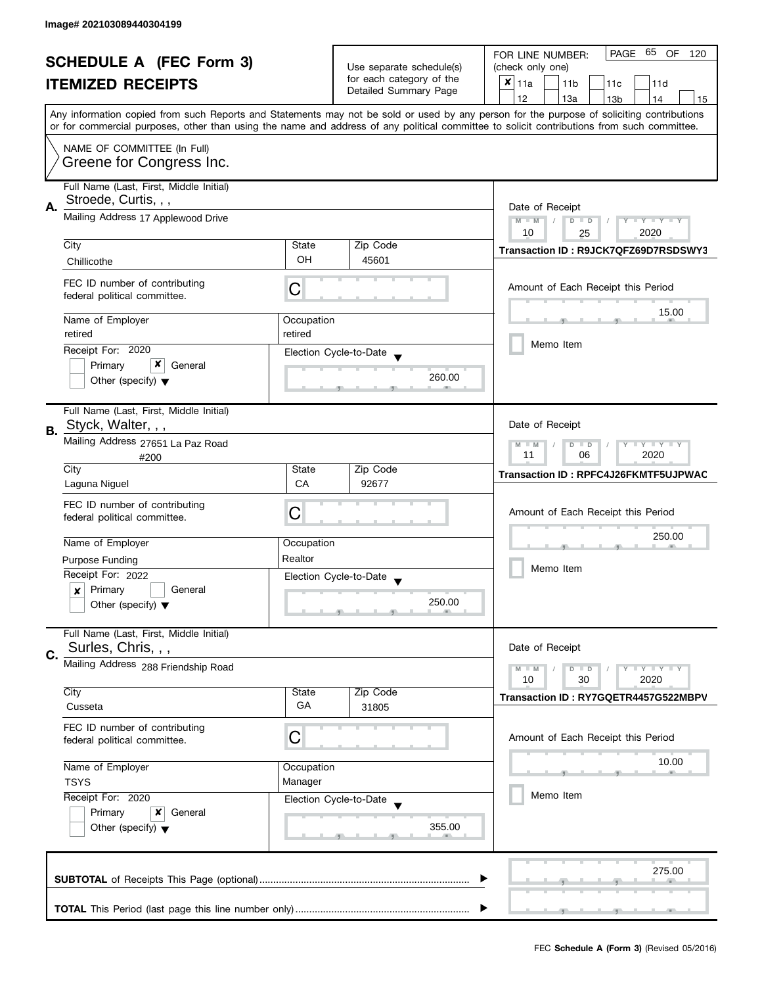| <b>SCHEDULE A (FEC Form 3)</b> |                                                                 | Use separate schedule(s) | PAGE 65 OF<br>FOR LINE NUMBER:<br>120<br>(check only one) |                                                                                                                                            |
|--------------------------------|-----------------------------------------------------------------|--------------------------|-----------------------------------------------------------|--------------------------------------------------------------------------------------------------------------------------------------------|
|                                | <b>ITEMIZED RECEIPTS</b>                                        |                          | for each category of the                                  | $x _{11a}$<br>11 <sub>b</sub><br>11c<br>11d                                                                                                |
|                                |                                                                 |                          | Detailed Summary Page                                     | 12<br>13a<br>13 <sub>b</sub><br>14<br>15                                                                                                   |
|                                |                                                                 |                          |                                                           | Any information copied from such Reports and Statements may not be sold or used by any person for the purpose of soliciting contributions  |
|                                |                                                                 |                          |                                                           | or for commercial purposes, other than using the name and address of any political committee to solicit contributions from such committee. |
|                                | NAME OF COMMITTEE (In Full)                                     |                          |                                                           |                                                                                                                                            |
|                                | Greene for Congress Inc.                                        |                          |                                                           |                                                                                                                                            |
|                                |                                                                 |                          |                                                           |                                                                                                                                            |
|                                | Full Name (Last, First, Middle Initial)                         |                          |                                                           |                                                                                                                                            |
| Α.                             | Stroede, Curtis, , ,                                            |                          |                                                           | Date of Receipt                                                                                                                            |
|                                | Mailing Address 17 Applewood Drive                              |                          |                                                           | $M - M$<br>$D$ $D$<br>$T - Y = T - Y$<br>Y                                                                                                 |
|                                |                                                                 |                          |                                                           | 10<br>2020<br>25                                                                                                                           |
|                                | City                                                            | State<br>OH              | Zip Code<br>45601                                         | Transaction ID: R9JCK7QFZ69D7RSDSWY3                                                                                                       |
|                                | Chillicothe                                                     |                          |                                                           |                                                                                                                                            |
|                                | FEC ID number of contributing                                   | С                        |                                                           | Amount of Each Receipt this Period                                                                                                         |
|                                | federal political committee.                                    |                          |                                                           |                                                                                                                                            |
|                                | Name of Employer                                                | Occupation               |                                                           | 15.00                                                                                                                                      |
|                                | retired                                                         | retired                  |                                                           |                                                                                                                                            |
|                                | Receipt For: 2020                                               |                          | Election Cycle-to-Date                                    | Memo Item                                                                                                                                  |
|                                | x<br>Primary<br>General                                         |                          |                                                           |                                                                                                                                            |
|                                | Other (specify) $\blacktriangledown$                            |                          | 260.00                                                    |                                                                                                                                            |
|                                |                                                                 |                          |                                                           |                                                                                                                                            |
|                                | Full Name (Last, First, Middle Initial)                         |                          |                                                           |                                                                                                                                            |
| В.                             | Styck, Walter, , ,                                              |                          |                                                           | Date of Receipt                                                                                                                            |
|                                | Mailing Address 27651 La Paz Road                               |                          |                                                           | $\bot$ Y $\bot$ Y $\bot$ Y<br>$M - M$<br>$D$ $D$<br>06<br>2020<br>11                                                                       |
|                                | #200<br>City                                                    | State                    | Zip Code                                                  |                                                                                                                                            |
|                                | Laguna Niguel                                                   | CA                       | 92677                                                     | Transaction ID: RPFC4J26FKMTF5UJPWAC                                                                                                       |
|                                | FEC ID number of contributing                                   |                          |                                                           |                                                                                                                                            |
|                                | federal political committee.                                    | C                        |                                                           | Amount of Each Receipt this Period                                                                                                         |
|                                |                                                                 |                          |                                                           | 250.00                                                                                                                                     |
|                                | Name of Employer                                                | Occupation               |                                                           |                                                                                                                                            |
|                                | <b>Purpose Funding</b>                                          | Realtor                  |                                                           | Memo Item                                                                                                                                  |
|                                | Receipt For: 2022                                               |                          | Election Cycle-to-Date                                    |                                                                                                                                            |
|                                | Primary<br>General<br>x<br>Other (specify) $\blacktriangledown$ |                          | 250.00                                                    |                                                                                                                                            |
|                                |                                                                 |                          |                                                           |                                                                                                                                            |
|                                | Full Name (Last, First, Middle Initial)                         |                          |                                                           |                                                                                                                                            |
| C.                             | Surles, Chris, , ,                                              |                          |                                                           | Date of Receipt                                                                                                                            |
|                                | Mailing Address 288 Friendship Road                             |                          |                                                           | $M - M$<br>$Y - Y - Y$<br>$D$ $D$                                                                                                          |
|                                |                                                                 |                          |                                                           | 10<br>30<br>2020                                                                                                                           |
|                                | City                                                            | State<br>GA              | Zip Code                                                  | Transaction ID: RY7GQETR4457G522MBPV                                                                                                       |
|                                | Cusseta                                                         |                          | 31805                                                     |                                                                                                                                            |
|                                | FEC ID number of contributing                                   | С                        |                                                           | Amount of Each Receipt this Period                                                                                                         |
|                                | federal political committee.                                    |                          |                                                           |                                                                                                                                            |
|                                | Name of Employer                                                | Occupation               |                                                           | 10.00                                                                                                                                      |
|                                | <b>TSYS</b>                                                     | Manager                  |                                                           |                                                                                                                                            |
|                                | Receipt For: 2020                                               |                          | Election Cycle-to-Date                                    | Memo Item                                                                                                                                  |
|                                | Primary<br>General<br>x<br>Other (specify) $\blacktriangledown$ |                          |                                                           |                                                                                                                                            |
|                                |                                                                 |                          | 355.00                                                    |                                                                                                                                            |
|                                |                                                                 |                          |                                                           |                                                                                                                                            |
|                                |                                                                 |                          |                                                           | 275.00                                                                                                                                     |
|                                |                                                                 |                          |                                                           |                                                                                                                                            |
|                                |                                                                 |                          |                                                           |                                                                                                                                            |
|                                |                                                                 |                          |                                                           |                                                                                                                                            |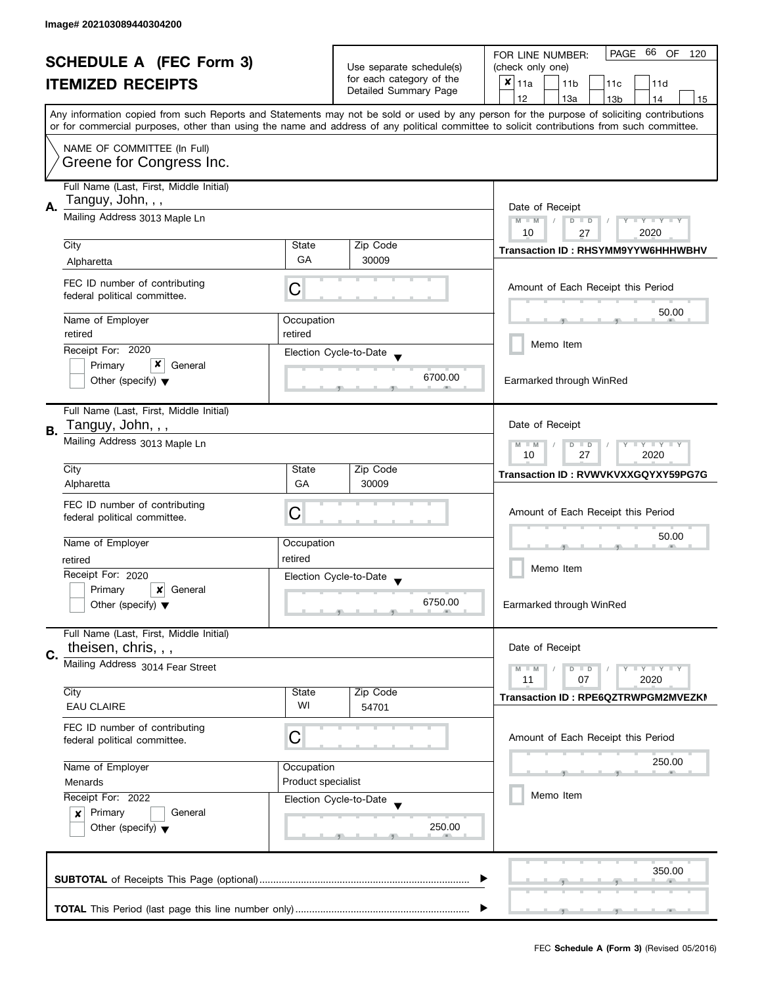|    | <b>SCHEDULE A (FEC Form 3)</b><br><b>ITEMIZED RECEIPTS</b>                                        |                                                                                           | Use separate schedule(s)<br>for each category of the<br>Detailed Summary Page | PAGE 66<br>OF<br>120<br>FOR LINE NUMBER:<br>(check only one)<br>$x _{11a}$<br>11 <sub>b</sub><br>11c<br>11d<br>12<br>13a<br>13 <sub>b</sub><br>14<br>15<br>Any information copied from such Reports and Statements may not be sold or used by any person for the purpose of soliciting contributions |
|----|---------------------------------------------------------------------------------------------------|-------------------------------------------------------------------------------------------|-------------------------------------------------------------------------------|------------------------------------------------------------------------------------------------------------------------------------------------------------------------------------------------------------------------------------------------------------------------------------------------------|
|    | NAME OF COMMITTEE (In Full)<br>Greene for Congress Inc.                                           |                                                                                           |                                                                               | or for commercial purposes, other than using the name and address of any political committee to solicit contributions from such committee.                                                                                                                                                           |
| А. | Full Name (Last, First, Middle Initial)<br>Tanguy, John, , ,<br>Mailing Address 3013 Maple Ln     |                                                                                           |                                                                               | Date of Receipt<br>$M - M$<br>$Y - Y - Y - Y - Y$<br>$D$ $D$<br>10<br>2020<br>27                                                                                                                                                                                                                     |
|    | City                                                                                              | State                                                                                     | Zip Code                                                                      | <b>Transaction ID: RHSYMM9YYW6HHHWBHV</b>                                                                                                                                                                                                                                                            |
|    | Alpharetta                                                                                        | GA                                                                                        | 30009                                                                         |                                                                                                                                                                                                                                                                                                      |
|    | FEC ID number of contributing<br>federal political committee.                                     | C                                                                                         |                                                                               | Amount of Each Receipt this Period                                                                                                                                                                                                                                                                   |
|    | Name of Employer                                                                                  | Occupation                                                                                |                                                                               | 50.00                                                                                                                                                                                                                                                                                                |
|    | retired                                                                                           | retired                                                                                   |                                                                               |                                                                                                                                                                                                                                                                                                      |
|    | Receipt For: 2020                                                                                 |                                                                                           | Election Cycle-to-Date                                                        | Memo Item                                                                                                                                                                                                                                                                                            |
|    | x<br>Primary<br>General<br>Other (specify) $\blacktriangledown$                                   |                                                                                           | 6700.00                                                                       | Earmarked through WinRed                                                                                                                                                                                                                                                                             |
| В. | Full Name (Last, First, Middle Initial)<br>Tanguy, John, , ,                                      |                                                                                           |                                                                               | Date of Receipt                                                                                                                                                                                                                                                                                      |
|    | Mailing Address 3013 Maple Ln                                                                     | $\bot$ $\gamma$ $\bot$ $\gamma$ $\bot$ $\gamma$<br>$M - M$<br>$D$ $D$<br>10<br>27<br>2020 |                                                                               |                                                                                                                                                                                                                                                                                                      |
|    | City                                                                                              | State                                                                                     | Zip Code                                                                      | Transaction ID: RVWVKVXXGQYXY59PG7G                                                                                                                                                                                                                                                                  |
|    | Alpharetta<br>FEC ID number of contributing<br>federal political committee.                       | GA<br>С                                                                                   | 30009                                                                         | Amount of Each Receipt this Period                                                                                                                                                                                                                                                                   |
|    | Name of Employer                                                                                  | Occupation                                                                                |                                                                               | 50.00                                                                                                                                                                                                                                                                                                |
|    | retired                                                                                           | retired                                                                                   |                                                                               |                                                                                                                                                                                                                                                                                                      |
|    | Receipt For: 2020                                                                                 |                                                                                           | Election Cycle-to-Date                                                        | Memo Item                                                                                                                                                                                                                                                                                            |
|    | Primary<br>General<br>x<br>Other (specify) $\blacktriangledown$                                   |                                                                                           | 6750.00                                                                       | Earmarked through WinRed                                                                                                                                                                                                                                                                             |
| C. | Full Name (Last, First, Middle Initial)<br>theisen, chris, , ,                                    |                                                                                           |                                                                               | Date of Receipt                                                                                                                                                                                                                                                                                      |
|    | Mailing Address 3014 Fear Street                                                                  |                                                                                           |                                                                               | $-Y - Y = Y$<br>$M - M$<br>$D$ $D$<br>11<br>07<br>2020                                                                                                                                                                                                                                               |
|    | City<br><b>EAU CLAIRE</b>                                                                         | State<br>WI                                                                               | Zip Code<br>54701                                                             | Transaction ID: RPE6QZTRWPGM2MVEZKI                                                                                                                                                                                                                                                                  |
|    | FEC ID number of contributing<br>federal political committee.                                     | С                                                                                         |                                                                               | Amount of Each Receipt this Period                                                                                                                                                                                                                                                                   |
|    | Name of Employer                                                                                  | Occupation                                                                                |                                                                               | 250.00                                                                                                                                                                                                                                                                                               |
|    | Menards                                                                                           | Product specialist                                                                        |                                                                               |                                                                                                                                                                                                                                                                                                      |
|    | Receipt For: 2022<br>Primary<br>General<br>$\pmb{\times}$<br>Other (specify) $\blacktriangledown$ |                                                                                           | Election Cycle-to-Date<br>250.00                                              | Memo Item                                                                                                                                                                                                                                                                                            |
|    |                                                                                                   |                                                                                           |                                                                               | 350.00                                                                                                                                                                                                                                                                                               |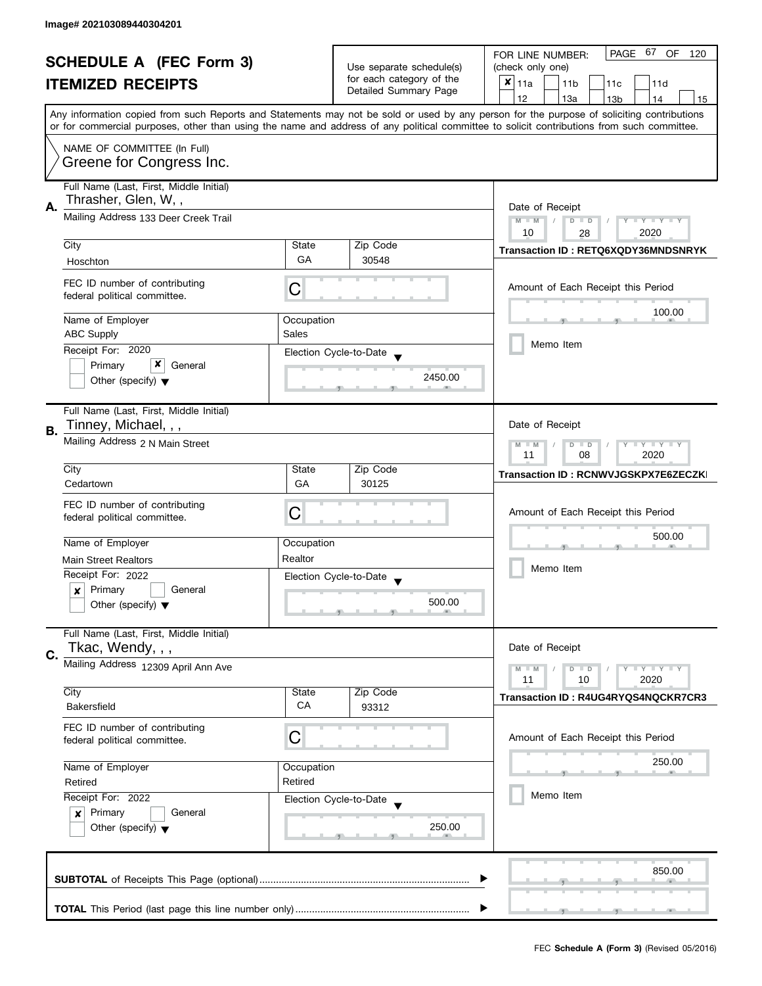| <b>SCHEDULE A (FEC Form 3)</b> |                                                                                                                           |                          | PAGE 67 OF<br>FOR LINE NUMBER:<br>120             |                                                                                                                                            |
|--------------------------------|---------------------------------------------------------------------------------------------------------------------------|--------------------------|---------------------------------------------------|--------------------------------------------------------------------------------------------------------------------------------------------|
|                                |                                                                                                                           | Use separate schedule(s) | (check only one)                                  |                                                                                                                                            |
|                                | <b>ITEMIZED RECEIPTS</b>                                                                                                  |                          | for each category of the<br>Detailed Summary Page | $x _{11a}$<br>11 <sub>b</sub><br>11c<br>11d                                                                                                |
|                                |                                                                                                                           |                          |                                                   | 12<br>13a<br>13 <sub>b</sub><br>14<br>15                                                                                                   |
|                                |                                                                                                                           |                          |                                                   | Any information copied from such Reports and Statements may not be sold or used by any person for the purpose of soliciting contributions  |
|                                |                                                                                                                           |                          |                                                   | or for commercial purposes, other than using the name and address of any political committee to solicit contributions from such committee. |
|                                | NAME OF COMMITTEE (In Full)                                                                                               |                          |                                                   |                                                                                                                                            |
|                                | Greene for Congress Inc.                                                                                                  |                          |                                                   |                                                                                                                                            |
|                                |                                                                                                                           |                          |                                                   |                                                                                                                                            |
|                                | Full Name (Last, First, Middle Initial)<br>Thrasher, Glen, W,,                                                            |                          |                                                   |                                                                                                                                            |
| А.                             |                                                                                                                           |                          |                                                   | Date of Receipt                                                                                                                            |
|                                | Mailing Address 133 Deer Creek Trail                                                                                      |                          |                                                   | $M - M$<br>Y I Y I Y I Y<br>$D$ $D$                                                                                                        |
|                                | City                                                                                                                      | State                    | Zip Code                                          | 2020<br>10<br>28                                                                                                                           |
|                                |                                                                                                                           | GA                       | 30548                                             | Transaction ID: RETQ6XQDY36MNDSNRYK                                                                                                        |
|                                | Hoschton                                                                                                                  |                          |                                                   |                                                                                                                                            |
|                                | FEC ID number of contributing                                                                                             | С                        |                                                   | Amount of Each Receipt this Period                                                                                                         |
|                                | federal political committee.                                                                                              |                          |                                                   |                                                                                                                                            |
|                                | Name of Employer                                                                                                          |                          |                                                   | 100.00                                                                                                                                     |
|                                | <b>ABC Supply</b>                                                                                                         | Occupation<br>Sales      |                                                   |                                                                                                                                            |
|                                | Receipt For: 2020                                                                                                         |                          |                                                   | Memo Item                                                                                                                                  |
|                                | x<br>Primary<br>General                                                                                                   |                          | Election Cycle-to-Date                            |                                                                                                                                            |
|                                | Other (specify) $\blacktriangledown$                                                                                      |                          | 2450.00                                           |                                                                                                                                            |
|                                |                                                                                                                           |                          |                                                   |                                                                                                                                            |
|                                | Full Name (Last, First, Middle Initial)                                                                                   |                          |                                                   |                                                                                                                                            |
|                                | Tinney, Michael, , ,                                                                                                      |                          |                                                   | Date of Receipt                                                                                                                            |
| В.                             | Mailing Address 2 N Main Street                                                                                           |                          |                                                   |                                                                                                                                            |
|                                |                                                                                                                           |                          |                                                   | $Y = Y + Y$<br>$M - M$<br>$D$ $D$<br>T<br>08<br>2020<br>11                                                                                 |
|                                | City                                                                                                                      | State                    | Zip Code                                          |                                                                                                                                            |
|                                | Cedartown                                                                                                                 | GA                       | 30125                                             | Transaction ID: RCNWVJGSKPX7E6ZECZK                                                                                                        |
|                                |                                                                                                                           |                          |                                                   |                                                                                                                                            |
|                                | FEC ID number of contributing<br>federal political committee.                                                             | С                        |                                                   | Amount of Each Receipt this Period                                                                                                         |
|                                |                                                                                                                           |                          |                                                   |                                                                                                                                            |
|                                | Name of Employer                                                                                                          | Occupation               |                                                   | 500.00                                                                                                                                     |
|                                | <b>Main Street Realtors</b>                                                                                               | Realtor                  |                                                   |                                                                                                                                            |
|                                | Receipt For: 2022                                                                                                         |                          | Election Cycle-to-Date                            | Memo Item                                                                                                                                  |
|                                | Primary<br>General<br>x                                                                                                   |                          | $\blacktriangledown$                              |                                                                                                                                            |
|                                | Other (specify) $\blacktriangledown$                                                                                      |                          | 500.00                                            |                                                                                                                                            |
|                                |                                                                                                                           |                          |                                                   |                                                                                                                                            |
|                                | Full Name (Last, First, Middle Initial)                                                                                   |                          |                                                   |                                                                                                                                            |
| C.                             | Tkac, Wendy, , ,                                                                                                          |                          |                                                   | Date of Receipt                                                                                                                            |
|                                | Mailing Address 12309 April Ann Ave                                                                                       |                          |                                                   | $T - Y = T - Y$<br>$M - M$<br>$D$ $D$                                                                                                      |
|                                |                                                                                                                           |                          |                                                   | 11<br>10<br>2020                                                                                                                           |
|                                | City                                                                                                                      | State                    | Zip Code                                          | Transaction ID: R4UG4RYQS4NQCKR7CR3                                                                                                        |
|                                | Bakersfield                                                                                                               | CA                       | 93312                                             |                                                                                                                                            |
|                                | FEC ID number of contributing                                                                                             |                          |                                                   |                                                                                                                                            |
|                                | federal political committee.                                                                                              | С                        |                                                   | Amount of Each Receipt this Period                                                                                                         |
|                                |                                                                                                                           |                          |                                                   | 250.00                                                                                                                                     |
|                                | Name of Employer                                                                                                          | Occupation               |                                                   |                                                                                                                                            |
|                                | Retired                                                                                                                   | Retired                  |                                                   |                                                                                                                                            |
|                                | Receipt For: 2022<br>Election Cycle-to-Date<br>Primary<br>General<br>$\mathbf{x}$<br>Other (specify) $\blacktriangledown$ |                          |                                                   | Memo Item                                                                                                                                  |
|                                |                                                                                                                           |                          |                                                   |                                                                                                                                            |
|                                |                                                                                                                           |                          | 250.00                                            |                                                                                                                                            |
|                                |                                                                                                                           |                          |                                                   |                                                                                                                                            |
|                                |                                                                                                                           |                          |                                                   |                                                                                                                                            |
|                                |                                                                                                                           |                          |                                                   | 850.00                                                                                                                                     |
|                                |                                                                                                                           |                          |                                                   |                                                                                                                                            |
|                                |                                                                                                                           |                          |                                                   |                                                                                                                                            |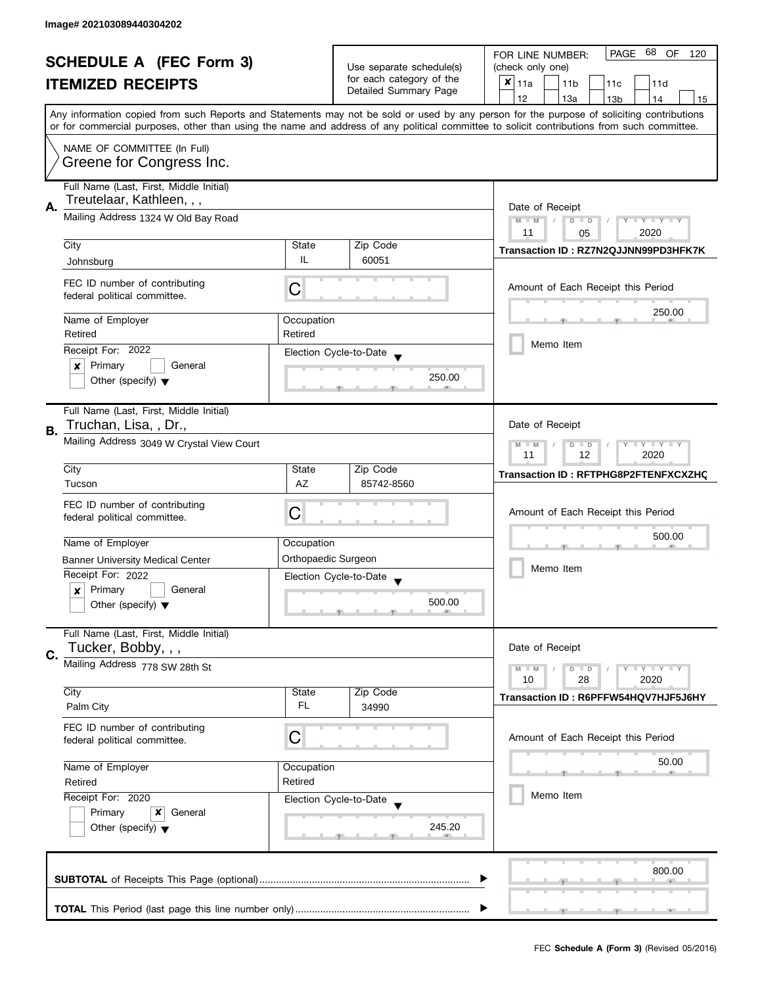| <b>SCHEDULE A (FEC Form 3)</b> |                                                                 | Use separate schedule(s) | PAGE 68 OF<br>FOR LINE NUMBER:<br>120<br>(check only one) |                                                                                                                                                                                                                                                                                         |
|--------------------------------|-----------------------------------------------------------------|--------------------------|-----------------------------------------------------------|-----------------------------------------------------------------------------------------------------------------------------------------------------------------------------------------------------------------------------------------------------------------------------------------|
|                                |                                                                 |                          | for each category of the                                  | $x _{11a}$                                                                                                                                                                                                                                                                              |
|                                | <b>ITEMIZED RECEIPTS</b>                                        |                          | Detailed Summary Page                                     | 11 <sub>b</sub><br>11d<br>11c                                                                                                                                                                                                                                                           |
|                                |                                                                 |                          |                                                           | 12<br>13a<br>13 <sub>b</sub><br>14<br>15                                                                                                                                                                                                                                                |
|                                |                                                                 |                          |                                                           | Any information copied from such Reports and Statements may not be sold or used by any person for the purpose of soliciting contributions<br>or for commercial purposes, other than using the name and address of any political committee to solicit contributions from such committee. |
|                                |                                                                 |                          |                                                           |                                                                                                                                                                                                                                                                                         |
|                                | NAME OF COMMITTEE (In Full)<br>Greene for Congress Inc.         |                          |                                                           |                                                                                                                                                                                                                                                                                         |
|                                | Full Name (Last, First, Middle Initial)                         |                          |                                                           |                                                                                                                                                                                                                                                                                         |
| А.                             | Treutelaar, Kathleen, , ,                                       | Date of Receipt          |                                                           |                                                                                                                                                                                                                                                                                         |
|                                | Mailing Address 1324 W Old Bay Road                             |                          |                                                           | $M - M$<br>$\sqrt{2}$<br>$D$ $D$<br>$Y - Y - Y - Y - Y$<br>11<br>2020<br>05                                                                                                                                                                                                             |
|                                | City                                                            | State                    | Zip Code                                                  |                                                                                                                                                                                                                                                                                         |
|                                | Johnsburg                                                       | IL                       | 60051                                                     | Transaction ID: RZ7N2QJJNN99PD3HFK7K                                                                                                                                                                                                                                                    |
|                                |                                                                 |                          |                                                           |                                                                                                                                                                                                                                                                                         |
|                                | FEC ID number of contributing<br>federal political committee.   | С                        |                                                           | Amount of Each Receipt this Period                                                                                                                                                                                                                                                      |
|                                | Name of Employer                                                | Occupation               |                                                           | 250.00                                                                                                                                                                                                                                                                                  |
|                                | Retired                                                         | Retired                  |                                                           |                                                                                                                                                                                                                                                                                         |
|                                | Receipt For: 2022                                               |                          |                                                           | Memo Item                                                                                                                                                                                                                                                                               |
|                                | Primary<br>General<br>×                                         |                          | Election Cycle-to-Date                                    |                                                                                                                                                                                                                                                                                         |
|                                | Other (specify) $\blacktriangledown$                            |                          | 250.00                                                    |                                                                                                                                                                                                                                                                                         |
|                                |                                                                 |                          |                                                           |                                                                                                                                                                                                                                                                                         |
|                                | Full Name (Last, First, Middle Initial)                         |                          |                                                           |                                                                                                                                                                                                                                                                                         |
|                                | Truchan, Lisa, , Dr.,                                           |                          |                                                           | Date of Receipt                                                                                                                                                                                                                                                                         |
| В.                             | Mailing Address 3049 W Crystal View Court                       |                          |                                                           | $Y - Y - Y$<br>$M - M$<br>D<br>$\Box$<br>2020<br>11<br>12                                                                                                                                                                                                                               |
|                                | City                                                            | State                    | Zip Code                                                  |                                                                                                                                                                                                                                                                                         |
|                                | Tucson                                                          | AZ                       | 85742-8560                                                | Transaction ID: RFTPHG8P2FTENFXCXZHC                                                                                                                                                                                                                                                    |
|                                |                                                                 |                          |                                                           |                                                                                                                                                                                                                                                                                         |
|                                | FEC ID number of contributing                                   | С                        |                                                           | Amount of Each Receipt this Period                                                                                                                                                                                                                                                      |
|                                | federal political committee.                                    |                          |                                                           |                                                                                                                                                                                                                                                                                         |
|                                | Name of Employer                                                | Occupation               |                                                           | 500.00                                                                                                                                                                                                                                                                                  |
|                                | <b>Banner University Medical Center</b>                         | Orthopaedic Surgeon      |                                                           |                                                                                                                                                                                                                                                                                         |
|                                | Receipt For: 2022                                               |                          |                                                           | Memo Item                                                                                                                                                                                                                                                                               |
|                                | Primary<br>General<br>x                                         |                          | Election Cycle-to-Date                                    |                                                                                                                                                                                                                                                                                         |
|                                | Other (specify) $\blacktriangledown$                            |                          | 500.00                                                    |                                                                                                                                                                                                                                                                                         |
|                                |                                                                 |                          |                                                           |                                                                                                                                                                                                                                                                                         |
|                                | Full Name (Last, First, Middle Initial)                         |                          |                                                           |                                                                                                                                                                                                                                                                                         |
| C.                             | Tucker, Bobby, , ,                                              |                          |                                                           | Date of Receipt                                                                                                                                                                                                                                                                         |
|                                | Mailing Address 778 SW 28th St                                  |                          |                                                           | $M - M$<br>$Y - Y - Y$<br>$D$ $D$                                                                                                                                                                                                                                                       |
|                                |                                                                 |                          |                                                           | 10<br>28<br>2020                                                                                                                                                                                                                                                                        |
|                                | City                                                            | State                    | Zip Code                                                  | Transaction ID: R6PFFW54HQV7HJF5J6HY                                                                                                                                                                                                                                                    |
|                                | Palm City                                                       | FL.                      | 34990                                                     |                                                                                                                                                                                                                                                                                         |
|                                | FEC ID number of contributing                                   |                          |                                                           |                                                                                                                                                                                                                                                                                         |
|                                | federal political committee.                                    | C                        |                                                           | Amount of Each Receipt this Period                                                                                                                                                                                                                                                      |
|                                |                                                                 |                          |                                                           | 50.00                                                                                                                                                                                                                                                                                   |
|                                | Name of Employer                                                | Occupation               |                                                           |                                                                                                                                                                                                                                                                                         |
|                                | Retired                                                         | Retired                  |                                                           |                                                                                                                                                                                                                                                                                         |
|                                | Receipt For: 2020                                               |                          | Election Cycle-to-Date                                    | Memo Item                                                                                                                                                                                                                                                                               |
|                                | Primary<br>x<br>General<br>Other (specify) $\blacktriangledown$ |                          |                                                           |                                                                                                                                                                                                                                                                                         |
|                                |                                                                 |                          | 245.20                                                    |                                                                                                                                                                                                                                                                                         |
|                                |                                                                 |                          |                                                           |                                                                                                                                                                                                                                                                                         |
|                                |                                                                 |                          |                                                           | 800.00                                                                                                                                                                                                                                                                                  |
|                                |                                                                 |                          |                                                           |                                                                                                                                                                                                                                                                                         |
|                                |                                                                 |                          |                                                           |                                                                                                                                                                                                                                                                                         |
|                                |                                                                 |                          |                                                           |                                                                                                                                                                                                                                                                                         |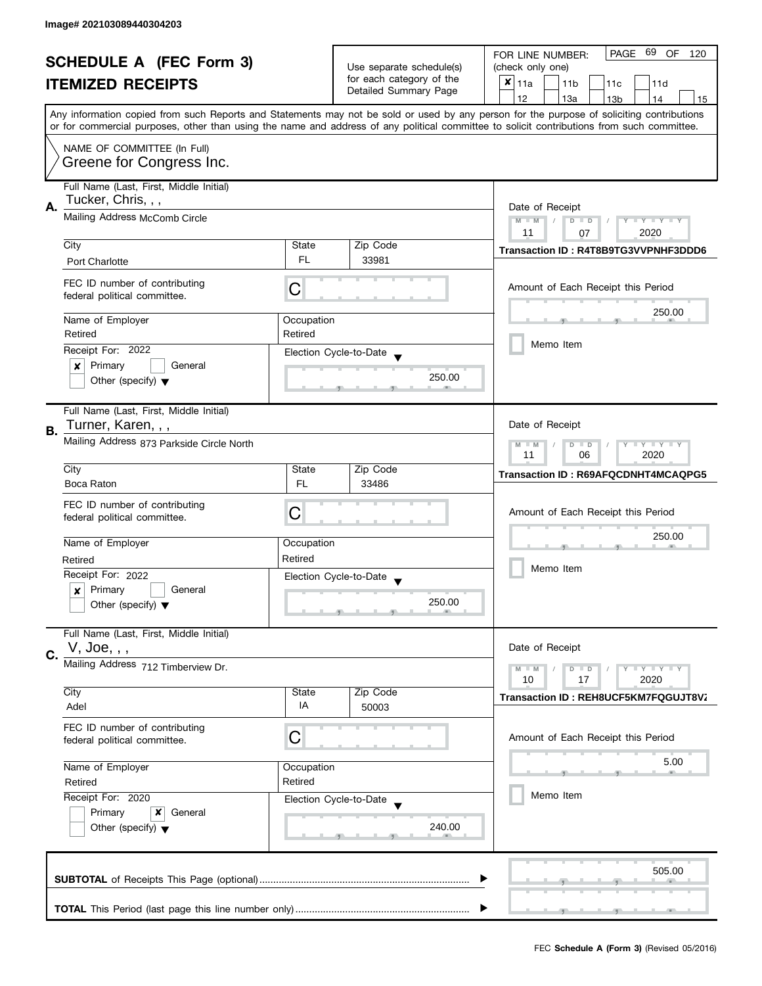| <b>SCHEDULE A (FEC Form 3)</b> |                                                                 | Use separate schedule(s) | PAGE 69 OF<br>FOR LINE NUMBER:<br>120 |                                                                                                                                            |
|--------------------------------|-----------------------------------------------------------------|--------------------------|---------------------------------------|--------------------------------------------------------------------------------------------------------------------------------------------|
|                                |                                                                 |                          | (check only one)                      |                                                                                                                                            |
|                                | <b>ITEMIZED RECEIPTS</b>                                        |                          | for each category of the              | $x _{11a}$<br>11 <sub>b</sub><br>11c<br>11d                                                                                                |
|                                |                                                                 |                          | Detailed Summary Page                 | 12<br>13a<br>13 <sub>b</sub><br>14<br>15                                                                                                   |
|                                |                                                                 |                          |                                       | Any information copied from such Reports and Statements may not be sold or used by any person for the purpose of soliciting contributions  |
|                                |                                                                 |                          |                                       | or for commercial purposes, other than using the name and address of any political committee to solicit contributions from such committee. |
|                                |                                                                 |                          |                                       |                                                                                                                                            |
|                                | NAME OF COMMITTEE (In Full)                                     |                          |                                       |                                                                                                                                            |
|                                | Greene for Congress Inc.                                        |                          |                                       |                                                                                                                                            |
|                                | Full Name (Last, First, Middle Initial)                         |                          |                                       |                                                                                                                                            |
|                                | Tucker, Chris, , ,                                              |                          |                                       |                                                                                                                                            |
| А.                             | Mailing Address McComb Circle                                   | Date of Receipt          |                                       |                                                                                                                                            |
|                                |                                                                 |                          |                                       | $M - M$<br>$\sqrt{ }$<br>$D$ $D$<br>Y I Y I Y I Y<br>2020<br>11                                                                            |
|                                | City                                                            | State                    | Zip Code                              | 07                                                                                                                                         |
|                                |                                                                 | FL.                      | 33981                                 | Transaction ID: R4T8B9TG3VVPNHF3DDD6                                                                                                       |
|                                | <b>Port Charlotte</b>                                           |                          |                                       |                                                                                                                                            |
|                                | FEC ID number of contributing                                   |                          |                                       | Amount of Each Receipt this Period                                                                                                         |
|                                | federal political committee.                                    | С                        |                                       |                                                                                                                                            |
|                                |                                                                 |                          |                                       | 250.00                                                                                                                                     |
|                                | Name of Employer                                                | Occupation               |                                       |                                                                                                                                            |
|                                | Retired                                                         | Retired                  |                                       | Memo Item                                                                                                                                  |
|                                | Receipt For: 2022                                               |                          | Election Cycle-to-Date                |                                                                                                                                            |
|                                | Primary<br>General<br>×                                         |                          |                                       |                                                                                                                                            |
|                                | Other (specify) $\blacktriangledown$                            |                          | 250.00                                |                                                                                                                                            |
|                                |                                                                 |                          |                                       |                                                                                                                                            |
|                                | Full Name (Last, First, Middle Initial)                         |                          |                                       |                                                                                                                                            |
| В.                             | Turner, Karen, , ,                                              |                          |                                       | Date of Receipt                                                                                                                            |
|                                | Mailing Address 873 Parkside Circle North                       |                          |                                       | $Y = Y = Y$<br>$M - M$<br>D<br>$\Box$                                                                                                      |
|                                |                                                                 |                          |                                       | 11<br>06<br>2020                                                                                                                           |
|                                | City                                                            | State                    | Zip Code                              | Transaction ID: R69AFQCDNHT4MCAQPG5                                                                                                        |
|                                | Boca Raton                                                      | <b>FL</b>                | 33486                                 |                                                                                                                                            |
|                                |                                                                 |                          |                                       |                                                                                                                                            |
|                                | FEC ID number of contributing<br>federal political committee.   | C                        |                                       | Amount of Each Receipt this Period                                                                                                         |
|                                |                                                                 |                          |                                       |                                                                                                                                            |
|                                | Name of Employer                                                | Occupation               |                                       | 250.00                                                                                                                                     |
|                                | Retired                                                         | Retired                  |                                       |                                                                                                                                            |
|                                | Receipt For: 2022                                               |                          |                                       | Memo Item                                                                                                                                  |
|                                | Primary<br>General<br>x                                         |                          | Election Cycle-to-Date                |                                                                                                                                            |
|                                | Other (specify) $\blacktriangledown$                            |                          | 250.00                                |                                                                                                                                            |
|                                |                                                                 |                          |                                       |                                                                                                                                            |
|                                | Full Name (Last, First, Middle Initial)                         |                          |                                       |                                                                                                                                            |
|                                | V, Joe, , ,                                                     |                          |                                       | Date of Receipt                                                                                                                            |
| C.                             |                                                                 |                          |                                       |                                                                                                                                            |
|                                | Mailing Address 712 Timberview Dr.                              |                          |                                       | $M - M$<br>$Y - Y - Y$<br>$\blacksquare$                                                                                                   |
|                                | City                                                            | State                    | Zip Code                              | 10<br>17<br>2020                                                                                                                           |
|                                | Adel                                                            | IA                       | 50003                                 | Transaction ID: REH8UCF5KM7FQGUJT8V2                                                                                                       |
|                                |                                                                 |                          |                                       |                                                                                                                                            |
|                                | FEC ID number of contributing                                   | C                        |                                       |                                                                                                                                            |
|                                | federal political committee.                                    |                          |                                       | Amount of Each Receipt this Period                                                                                                         |
|                                |                                                                 |                          |                                       | 5.00                                                                                                                                       |
|                                | Name of Employer                                                | Occupation               |                                       |                                                                                                                                            |
|                                | Retired<br>Retired                                              |                          |                                       | Memo Item                                                                                                                                  |
|                                | Receipt For: 2020                                               |                          | Election Cycle-to-Date                |                                                                                                                                            |
|                                | Primary<br>x<br>General<br>Other (specify) $\blacktriangledown$ |                          |                                       |                                                                                                                                            |
|                                |                                                                 |                          | 240.00                                |                                                                                                                                            |
|                                |                                                                 |                          |                                       |                                                                                                                                            |
|                                |                                                                 |                          |                                       |                                                                                                                                            |
|                                |                                                                 |                          |                                       | 505.00                                                                                                                                     |
|                                |                                                                 |                          |                                       |                                                                                                                                            |
|                                |                                                                 |                          |                                       |                                                                                                                                            |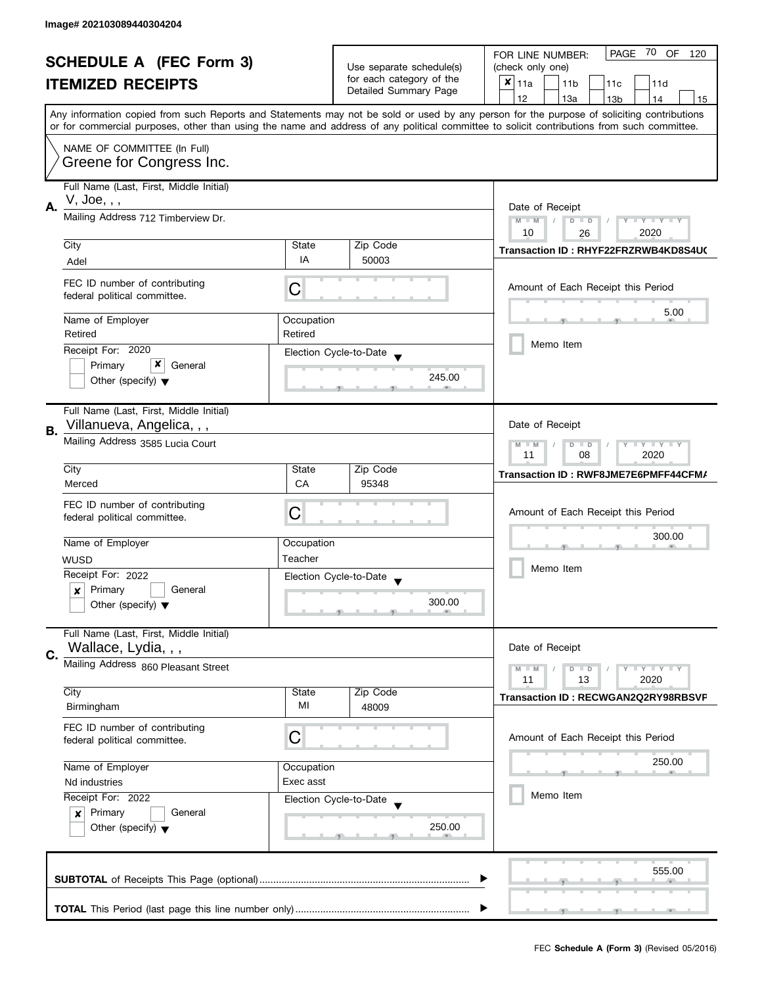| <b>SCHEDULE A (FEC Form 3)</b> |                                                                                |                                                                                                                                            | PAGE 70 OF<br>FOR LINE NUMBER:<br>120             |                                                                                                                                           |
|--------------------------------|--------------------------------------------------------------------------------|--------------------------------------------------------------------------------------------------------------------------------------------|---------------------------------------------------|-------------------------------------------------------------------------------------------------------------------------------------------|
|                                |                                                                                | Use separate schedule(s)                                                                                                                   | (check only one)                                  |                                                                                                                                           |
|                                | <b>ITEMIZED RECEIPTS</b>                                                       |                                                                                                                                            | for each category of the<br>Detailed Summary Page | $x _{11a}$<br>11 <sub>b</sub><br>11c<br>11d                                                                                               |
|                                |                                                                                |                                                                                                                                            |                                                   | 12<br>13a<br>13 <sub>b</sub><br>14<br>15                                                                                                  |
|                                |                                                                                |                                                                                                                                            |                                                   | Any information copied from such Reports and Statements may not be sold or used by any person for the purpose of soliciting contributions |
|                                |                                                                                | or for commercial purposes, other than using the name and address of any political committee to solicit contributions from such committee. |                                                   |                                                                                                                                           |
|                                | NAME OF COMMITTEE (In Full)                                                    |                                                                                                                                            |                                                   |                                                                                                                                           |
|                                | Greene for Congress Inc.                                                       |                                                                                                                                            |                                                   |                                                                                                                                           |
|                                | Full Name (Last, First, Middle Initial)                                        |                                                                                                                                            |                                                   |                                                                                                                                           |
|                                | V, Joe, , ,                                                                    |                                                                                                                                            |                                                   |                                                                                                                                           |
| Α.                             | Mailing Address 712 Timberview Dr.                                             |                                                                                                                                            |                                                   | Date of Receipt<br>$M - M$<br>$\sqrt{2}$<br>$D$ $D$<br>Y I Y I Y I Y                                                                      |
|                                |                                                                                |                                                                                                                                            |                                                   | 10<br>2020<br>26                                                                                                                          |
|                                | City                                                                           | State                                                                                                                                      | Zip Code                                          | Transaction ID: RHYF22FRZRWB4KD8S4UC                                                                                                      |
|                                | Adel                                                                           | IA                                                                                                                                         | 50003                                             |                                                                                                                                           |
|                                | FEC ID number of contributing                                                  |                                                                                                                                            |                                                   |                                                                                                                                           |
|                                | federal political committee.                                                   | С                                                                                                                                          |                                                   | Amount of Each Receipt this Period                                                                                                        |
|                                |                                                                                |                                                                                                                                            |                                                   | 5.00                                                                                                                                      |
|                                | Name of Employer<br>Retired                                                    | Occupation<br>Retired                                                                                                                      |                                                   |                                                                                                                                           |
|                                | Receipt For: 2020                                                              |                                                                                                                                            |                                                   | Memo Item                                                                                                                                 |
|                                | x<br>Primary<br>General                                                        |                                                                                                                                            | Election Cycle-to-Date                            |                                                                                                                                           |
|                                | Other (specify) $\blacktriangledown$                                           |                                                                                                                                            | 245.00                                            |                                                                                                                                           |
|                                |                                                                                |                                                                                                                                            |                                                   |                                                                                                                                           |
|                                | Full Name (Last, First, Middle Initial)                                        |                                                                                                                                            |                                                   |                                                                                                                                           |
| В.                             | Villanueva, Angelica, , ,                                                      |                                                                                                                                            |                                                   | Date of Receipt                                                                                                                           |
|                                | Mailing Address 3585 Lucia Court                                               |                                                                                                                                            |                                                   | $Y - Y - Y$<br>$M - M$<br>D<br>$\Box$                                                                                                     |
|                                |                                                                                |                                                                                                                                            |                                                   | 2020<br>11<br>08                                                                                                                          |
|                                | City                                                                           | State                                                                                                                                      | Zip Code                                          | Transaction ID: RWF8JME7E6PMFF44CFM/                                                                                                      |
|                                | Merced                                                                         | <b>CA</b>                                                                                                                                  | 95348                                             |                                                                                                                                           |
|                                | FEC ID number of contributing                                                  | C                                                                                                                                          |                                                   | Amount of Each Receipt this Period                                                                                                        |
|                                | federal political committee.                                                   |                                                                                                                                            |                                                   |                                                                                                                                           |
|                                | Name of Employer                                                               | Occupation                                                                                                                                 |                                                   | 300.00                                                                                                                                    |
|                                | <b>WUSD</b>                                                                    | Teacher                                                                                                                                    |                                                   |                                                                                                                                           |
|                                | Receipt For: 2022                                                              |                                                                                                                                            | Election Cycle-to-Date                            | Memo Item                                                                                                                                 |
|                                | Primary<br>General<br>x                                                        |                                                                                                                                            |                                                   |                                                                                                                                           |
|                                | Other (specify) $\blacktriangledown$                                           |                                                                                                                                            | 300.00                                            |                                                                                                                                           |
|                                |                                                                                |                                                                                                                                            |                                                   |                                                                                                                                           |
|                                | Full Name (Last, First, Middle Initial)                                        |                                                                                                                                            |                                                   |                                                                                                                                           |
| C.                             | Wallace, Lydia, , ,                                                            |                                                                                                                                            |                                                   | Date of Receipt                                                                                                                           |
|                                | Mailing Address 860 Pleasant Street                                            |                                                                                                                                            |                                                   | $M - M$<br>$Y - Y - Y$<br>D<br>$\blacksquare$                                                                                             |
|                                | City                                                                           | State                                                                                                                                      | Zip Code                                          | 11<br>13<br>2020                                                                                                                          |
|                                | Birmingham                                                                     | МI                                                                                                                                         | 48009                                             | Transaction ID: RECWGAN2Q2RY98RBSVP                                                                                                       |
|                                | FEC ID number of contributing                                                  |                                                                                                                                            |                                                   |                                                                                                                                           |
|                                | federal political committee.                                                   | C                                                                                                                                          |                                                   | Amount of Each Receipt this Period                                                                                                        |
|                                |                                                                                |                                                                                                                                            |                                                   |                                                                                                                                           |
|                                | Name of Employer                                                               | Occupation                                                                                                                                 |                                                   | 250.00                                                                                                                                    |
|                                | Exec asst<br>Nd industries                                                     |                                                                                                                                            |                                                   |                                                                                                                                           |
|                                | Receipt For: 2022                                                              |                                                                                                                                            | Election Cycle-to-Date                            | Memo Item                                                                                                                                 |
|                                | Primary<br>General<br>$\boldsymbol{x}$<br>Other (specify) $\blacktriangledown$ |                                                                                                                                            |                                                   |                                                                                                                                           |
|                                |                                                                                |                                                                                                                                            | 250.00                                            |                                                                                                                                           |
|                                |                                                                                |                                                                                                                                            |                                                   |                                                                                                                                           |
|                                |                                                                                |                                                                                                                                            |                                                   | 555.00                                                                                                                                    |
|                                |                                                                                |                                                                                                                                            |                                                   |                                                                                                                                           |
|                                |                                                                                |                                                                                                                                            |                                                   |                                                                                                                                           |
|                                |                                                                                |                                                                                                                                            |                                                   |                                                                                                                                           |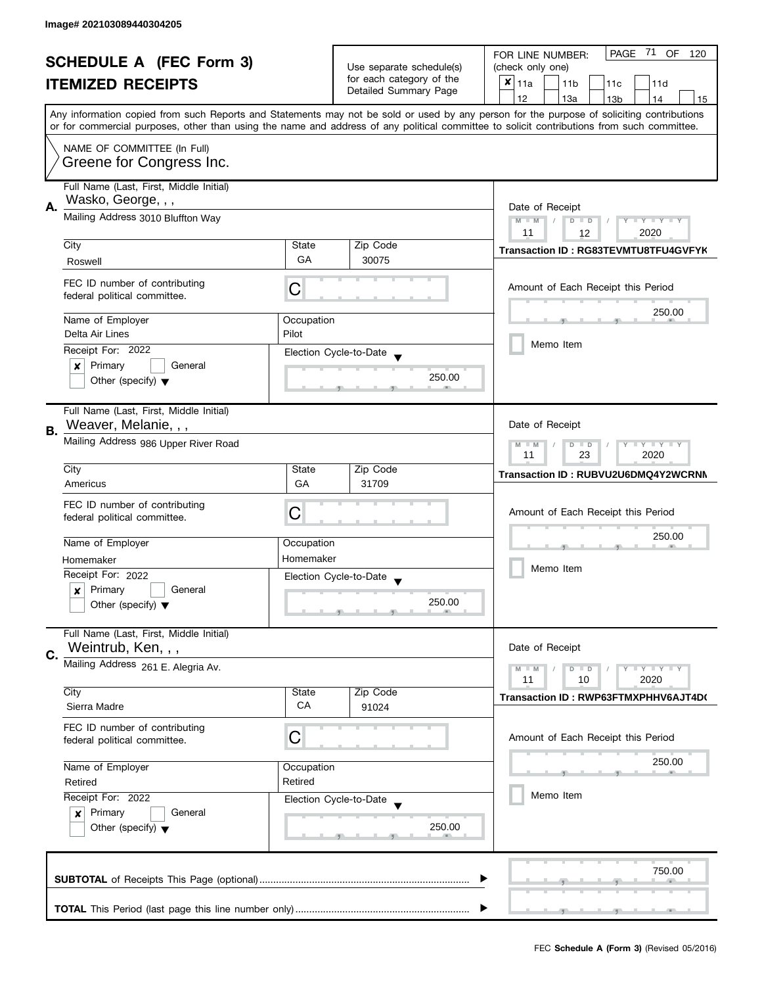| <b>SCHEDULE A (FEC Form 3)</b> |                                                                                                                                               |                                                           | PAGE 71 OF<br>FOR LINE NUMBER:<br>120 |                                                                                                                                            |
|--------------------------------|-----------------------------------------------------------------------------------------------------------------------------------------------|-----------------------------------------------------------|---------------------------------------|--------------------------------------------------------------------------------------------------------------------------------------------|
|                                |                                                                                                                                               | Use separate schedule(s)                                  | (check only one)                      |                                                                                                                                            |
|                                | <b>ITEMIZED RECEIPTS</b>                                                                                                                      |                                                           | for each category of the              | $x _{11a}$<br>11 <sub>b</sub><br>11c<br>11d                                                                                                |
|                                |                                                                                                                                               |                                                           | Detailed Summary Page                 | 12<br>13a<br>13 <sub>b</sub><br>14<br>15                                                                                                   |
|                                |                                                                                                                                               |                                                           |                                       | Any information copied from such Reports and Statements may not be sold or used by any person for the purpose of soliciting contributions  |
|                                |                                                                                                                                               |                                                           |                                       | or for commercial purposes, other than using the name and address of any political committee to solicit contributions from such committee. |
|                                | NAME OF COMMITTEE (In Full)                                                                                                                   |                                                           |                                       |                                                                                                                                            |
|                                | Greene for Congress Inc.                                                                                                                      |                                                           |                                       |                                                                                                                                            |
|                                |                                                                                                                                               |                                                           |                                       |                                                                                                                                            |
|                                | Full Name (Last, First, Middle Initial)                                                                                                       |                                                           |                                       |                                                                                                                                            |
| А.                             | Wasko, George, , ,                                                                                                                            | Date of Receipt                                           |                                       |                                                                                                                                            |
|                                | Mailing Address 3010 Bluffton Way                                                                                                             |                                                           |                                       | $M - M$<br>$\sqrt{2}$<br>$D$ $D$<br>$Y - Y - Y - Y - Y$                                                                                    |
|                                |                                                                                                                                               |                                                           |                                       | 11<br>12<br>2020                                                                                                                           |
|                                | City                                                                                                                                          | State                                                     | Zip Code                              | Transaction ID: RG83TEVMTU8TFU4GVFYK                                                                                                       |
|                                | Roswell                                                                                                                                       | GA                                                        | 30075                                 |                                                                                                                                            |
|                                |                                                                                                                                               |                                                           |                                       |                                                                                                                                            |
|                                | FEC ID number of contributing                                                                                                                 | С                                                         |                                       | Amount of Each Receipt this Period                                                                                                         |
|                                | federal political committee.                                                                                                                  |                                                           |                                       |                                                                                                                                            |
|                                | Name of Employer                                                                                                                              | Occupation                                                |                                       | 250.00                                                                                                                                     |
|                                | Delta Air Lines                                                                                                                               | Pilot                                                     |                                       |                                                                                                                                            |
|                                | Receipt For: 2022                                                                                                                             |                                                           | Election Cycle-to-Date                | Memo Item                                                                                                                                  |
|                                | Primary<br>General<br>×                                                                                                                       |                                                           |                                       |                                                                                                                                            |
|                                | Other (specify) $\blacktriangledown$                                                                                                          |                                                           | 250.00                                |                                                                                                                                            |
|                                |                                                                                                                                               |                                                           |                                       |                                                                                                                                            |
|                                | Full Name (Last, First, Middle Initial)                                                                                                       |                                                           |                                       |                                                                                                                                            |
|                                | Weaver, Melanie, , ,                                                                                                                          |                                                           |                                       | Date of Receipt                                                                                                                            |
| В.                             | Mailing Address 986 Upper River Road                                                                                                          |                                                           |                                       |                                                                                                                                            |
|                                |                                                                                                                                               | $Y - Y - Y$<br>$M - M$<br>D<br>$\Box$<br>23<br>11<br>2020 |                                       |                                                                                                                                            |
|                                | City                                                                                                                                          | State                                                     | Zip Code                              |                                                                                                                                            |
|                                | Americus                                                                                                                                      | GA                                                        | 31709                                 | Transaction ID: RUBVU2U6DMQ4Y2WCRNM                                                                                                        |
|                                |                                                                                                                                               |                                                           |                                       |                                                                                                                                            |
|                                | FEC ID number of contributing<br>federal political committee.                                                                                 | С                                                         |                                       | Amount of Each Receipt this Period                                                                                                         |
|                                |                                                                                                                                               |                                                           |                                       |                                                                                                                                            |
|                                | Name of Employer                                                                                                                              | Occupation                                                |                                       | 250.00                                                                                                                                     |
|                                | Homemaker                                                                                                                                     | Homemaker                                                 |                                       |                                                                                                                                            |
|                                | Receipt For: 2022                                                                                                                             |                                                           | Election Cycle-to-Date                | Memo Item                                                                                                                                  |
|                                | Primary<br>General<br>x                                                                                                                       |                                                           |                                       |                                                                                                                                            |
|                                | Other (specify) $\blacktriangledown$                                                                                                          |                                                           | 250.00                                |                                                                                                                                            |
|                                |                                                                                                                                               |                                                           |                                       |                                                                                                                                            |
|                                | Full Name (Last, First, Middle Initial)                                                                                                       |                                                           |                                       |                                                                                                                                            |
| C.                             | Weintrub, Ken, , ,                                                                                                                            |                                                           |                                       | Date of Receipt                                                                                                                            |
|                                | Mailing Address 261 E. Alegria Av.                                                                                                            |                                                           |                                       | $M - M$<br>$Y - Y - Y$<br>D<br>$\blacksquare$                                                                                              |
|                                |                                                                                                                                               |                                                           |                                       | 11<br>2020<br>10                                                                                                                           |
|                                | City                                                                                                                                          | State                                                     | Zip Code                              | Transaction ID: RWP63FTMXPHHV6AJT4D(                                                                                                       |
|                                | Sierra Madre                                                                                                                                  | CA                                                        | 91024                                 |                                                                                                                                            |
|                                | FEC ID number of contributing                                                                                                                 |                                                           |                                       |                                                                                                                                            |
|                                | federal political committee.                                                                                                                  | C                                                         |                                       | Amount of Each Receipt this Period                                                                                                         |
|                                |                                                                                                                                               |                                                           |                                       | 250.00                                                                                                                                     |
|                                | Name of Employer<br>Occupation<br>Retired<br>Retired<br>Receipt For: 2022<br>Election Cycle-to-Date<br>Primary<br>$\boldsymbol{x}$<br>General |                                                           |                                       |                                                                                                                                            |
|                                |                                                                                                                                               |                                                           |                                       |                                                                                                                                            |
|                                |                                                                                                                                               |                                                           |                                       | Memo Item                                                                                                                                  |
|                                |                                                                                                                                               |                                                           |                                       |                                                                                                                                            |
|                                | Other (specify) $\blacktriangledown$                                                                                                          |                                                           | 250.00                                |                                                                                                                                            |
|                                |                                                                                                                                               |                                                           |                                       |                                                                                                                                            |
|                                |                                                                                                                                               |                                                           |                                       | 750.00                                                                                                                                     |
|                                |                                                                                                                                               |                                                           |                                       |                                                                                                                                            |
|                                |                                                                                                                                               |                                                           |                                       |                                                                                                                                            |
|                                |                                                                                                                                               |                                                           |                                       |                                                                                                                                            |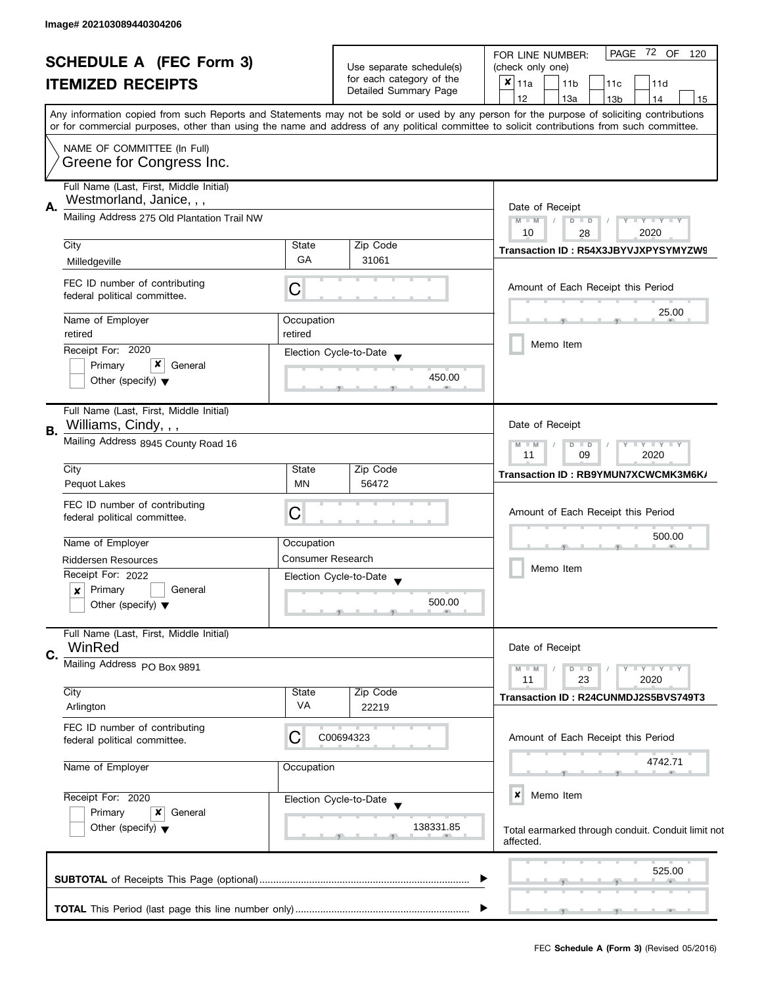| <b>SCHEDULE A (FEC Form 3)</b><br><b>ITEMIZED RECEIPTS</b> |                                                                     |                                               | Use separate schedule(s) | PAGE 72 OF<br>FOR LINE NUMBER:<br>120<br>(check only one)                                                                                                                                                                                                                               |
|------------------------------------------------------------|---------------------------------------------------------------------|-----------------------------------------------|--------------------------|-----------------------------------------------------------------------------------------------------------------------------------------------------------------------------------------------------------------------------------------------------------------------------------------|
|                                                            |                                                                     |                                               | for each category of the |                                                                                                                                                                                                                                                                                         |
|                                                            |                                                                     |                                               | Detailed Summary Page    | $x _{11a}$<br>11c<br>11 <sub>b</sub><br>11d                                                                                                                                                                                                                                             |
|                                                            |                                                                     |                                               |                          | 12<br>13a<br>14<br>13 <sub>b</sub><br>15                                                                                                                                                                                                                                                |
|                                                            |                                                                     |                                               |                          | Any information copied from such Reports and Statements may not be sold or used by any person for the purpose of soliciting contributions<br>or for commercial purposes, other than using the name and address of any political committee to solicit contributions from such committee. |
|                                                            | NAME OF COMMITTEE (In Full)                                         |                                               |                          |                                                                                                                                                                                                                                                                                         |
|                                                            | Greene for Congress Inc.                                            |                                               |                          |                                                                                                                                                                                                                                                                                         |
|                                                            | Full Name (Last, First, Middle Initial)<br>Westmorland, Janice, , , |                                               |                          |                                                                                                                                                                                                                                                                                         |
| Α.                                                         | Mailing Address 275 Old Plantation Trail NW                         |                                               |                          | Date of Receipt<br>$M - M$<br>$Y - Y - Y - Y - Y$<br>$D$ $D$                                                                                                                                                                                                                            |
|                                                            |                                                                     | 10<br>2020<br>28                              |                          |                                                                                                                                                                                                                                                                                         |
|                                                            | City                                                                | State                                         | Zip Code                 | Transaction ID: R54X3JBYVJXPYSYMYZW9                                                                                                                                                                                                                                                    |
|                                                            | Milledgeville                                                       | GA                                            | 31061                    |                                                                                                                                                                                                                                                                                         |
|                                                            |                                                                     |                                               |                          |                                                                                                                                                                                                                                                                                         |
|                                                            | FEC ID number of contributing<br>federal political committee.       | С                                             |                          | Amount of Each Receipt this Period                                                                                                                                                                                                                                                      |
|                                                            |                                                                     |                                               |                          | 25.00                                                                                                                                                                                                                                                                                   |
|                                                            | Name of Employer<br>retired                                         | Occupation<br>retired                         |                          |                                                                                                                                                                                                                                                                                         |
|                                                            | Receipt For: 2020                                                   |                                               |                          | Memo Item                                                                                                                                                                                                                                                                               |
|                                                            | x<br>Primary<br>General                                             |                                               | Election Cycle-to-Date   |                                                                                                                                                                                                                                                                                         |
|                                                            | Other (specify) $\blacktriangledown$                                |                                               | 450.00                   |                                                                                                                                                                                                                                                                                         |
|                                                            |                                                                     |                                               |                          |                                                                                                                                                                                                                                                                                         |
|                                                            | Full Name (Last, First, Middle Initial)                             |                                               |                          |                                                                                                                                                                                                                                                                                         |
| В.                                                         | Williams, Cindy, , ,                                                |                                               |                          | Date of Receipt                                                                                                                                                                                                                                                                         |
|                                                            | Mailing Address 8945 County Road 16                                 | $Y = Y + Y$<br>$M - M$<br>D<br>$\blacksquare$ |                          |                                                                                                                                                                                                                                                                                         |
|                                                            |                                                                     |                                               |                          | 11<br>09<br>2020                                                                                                                                                                                                                                                                        |
|                                                            | City                                                                | State                                         | Zip Code                 | Transaction ID: RB9YMUN7XCWCMK3M6K/                                                                                                                                                                                                                                                     |
|                                                            | Pequot Lakes                                                        | <b>MN</b>                                     | 56472                    |                                                                                                                                                                                                                                                                                         |
|                                                            | FEC ID number of contributing                                       | С                                             |                          | Amount of Each Receipt this Period                                                                                                                                                                                                                                                      |
|                                                            | federal political committee.                                        |                                               |                          |                                                                                                                                                                                                                                                                                         |
|                                                            | Name of Employer                                                    | Occupation                                    |                          | 500.00                                                                                                                                                                                                                                                                                  |
|                                                            | <b>Riddersen Resources</b>                                          | <b>Consumer Research</b>                      |                          |                                                                                                                                                                                                                                                                                         |
|                                                            | Receipt For: 2022                                                   |                                               | Election Cycle-to-Date   | Memo Item                                                                                                                                                                                                                                                                               |
|                                                            | Primary<br>General<br>×                                             |                                               |                          |                                                                                                                                                                                                                                                                                         |
|                                                            | Other (specify) $\blacktriangledown$                                |                                               | 500.00                   |                                                                                                                                                                                                                                                                                         |
|                                                            |                                                                     |                                               |                          |                                                                                                                                                                                                                                                                                         |
|                                                            | Full Name (Last, First, Middle Initial)<br>WinRed                   |                                               |                          | Date of Receipt                                                                                                                                                                                                                                                                         |
| C.                                                         | Mailing Address PO Box 9891                                         |                                               |                          |                                                                                                                                                                                                                                                                                         |
|                                                            |                                                                     |                                               |                          | $M - M$<br>$D$ $D$<br>$ \gamma$ $  \gamma$ $  \gamma$<br>11<br>23<br>2020                                                                                                                                                                                                               |
|                                                            | City                                                                | State                                         | Zip Code                 | Transaction ID: R24CUNMDJ2S5BVS749T3                                                                                                                                                                                                                                                    |
|                                                            | Arlington                                                           | VA                                            | 22219                    |                                                                                                                                                                                                                                                                                         |
|                                                            | FEC ID number of contributing                                       |                                               |                          |                                                                                                                                                                                                                                                                                         |
|                                                            | federal political committee.                                        | С                                             | C00694323                | Amount of Each Receipt this Period                                                                                                                                                                                                                                                      |
|                                                            |                                                                     |                                               |                          | 4742.71                                                                                                                                                                                                                                                                                 |
|                                                            | Name of Employer                                                    | Occupation                                    |                          |                                                                                                                                                                                                                                                                                         |
|                                                            | Receipt For: 2020                                                   |                                               |                          | ×<br>Memo Item                                                                                                                                                                                                                                                                          |
|                                                            | Primary<br>$\boldsymbol{x}$<br>General                              |                                               | Election Cycle-to-Date   |                                                                                                                                                                                                                                                                                         |
|                                                            | Other (specify) $\blacktriangledown$                                |                                               | 138331.85                |                                                                                                                                                                                                                                                                                         |
|                                                            |                                                                     |                                               |                          | Total earmarked through conduit. Conduit limit not<br>affected.                                                                                                                                                                                                                         |
|                                                            |                                                                     |                                               |                          |                                                                                                                                                                                                                                                                                         |
|                                                            |                                                                     |                                               |                          | 525.00                                                                                                                                                                                                                                                                                  |
|                                                            |                                                                     |                                               |                          |                                                                                                                                                                                                                                                                                         |
|                                                            |                                                                     |                                               |                          |                                                                                                                                                                                                                                                                                         |
|                                                            |                                                                     |                                               |                          |                                                                                                                                                                                                                                                                                         |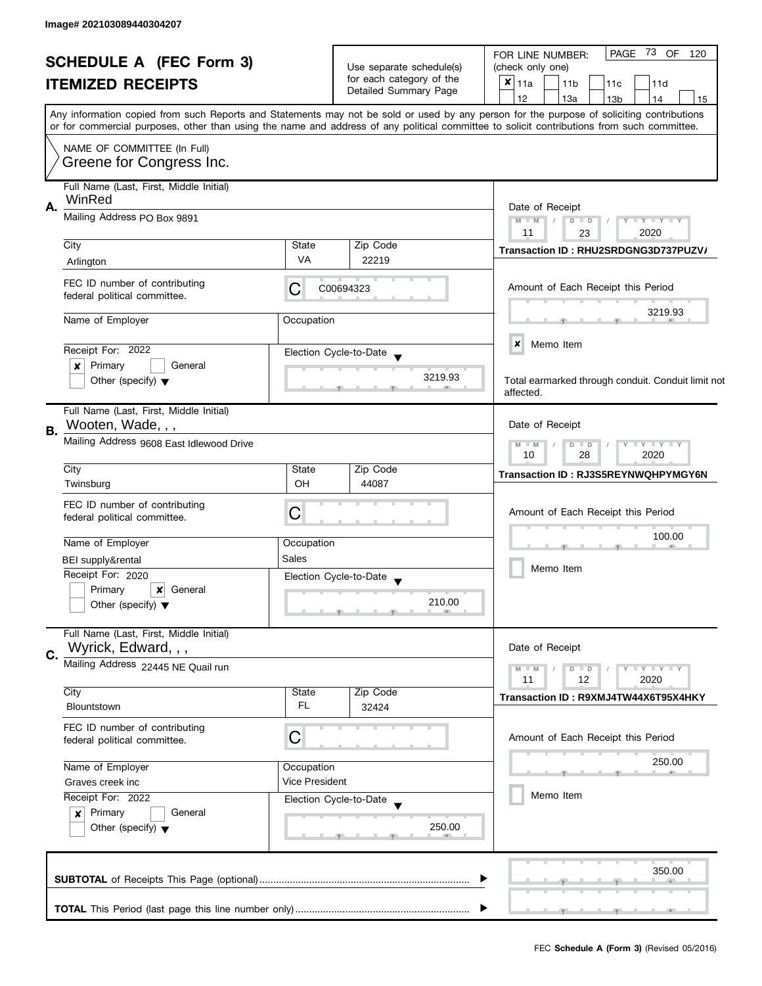|                                |                                                                |                                               |                          | PAGE 73 OF 120<br>FOR LINE NUMBER:                                                                                                         |  |  |  |  |  |  |  |  |
|--------------------------------|----------------------------------------------------------------|-----------------------------------------------|--------------------------|--------------------------------------------------------------------------------------------------------------------------------------------|--|--|--|--|--|--|--|--|
| <b>SCHEDULE A (FEC Form 3)</b> |                                                                |                                               | Use separate schedule(s) | (check only one)                                                                                                                           |  |  |  |  |  |  |  |  |
| <b>ITEMIZED RECEIPTS</b>       |                                                                |                                               | for each category of the | $x _{11a}$<br>11 <sub>b</sub><br>11c<br>11d                                                                                                |  |  |  |  |  |  |  |  |
|                                |                                                                |                                               | Detailed Summary Page    | 12<br>13a<br>13 <sub>b</sub><br>14<br>15                                                                                                   |  |  |  |  |  |  |  |  |
|                                |                                                                |                                               |                          | Any information copied from such Reports and Statements may not be sold or used by any person for the purpose of soliciting contributions  |  |  |  |  |  |  |  |  |
|                                |                                                                |                                               |                          | or for commercial purposes, other than using the name and address of any political committee to solicit contributions from such committee. |  |  |  |  |  |  |  |  |
|                                | NAME OF COMMITTEE (In Full)                                    |                                               |                          |                                                                                                                                            |  |  |  |  |  |  |  |  |
|                                | Greene for Congress Inc.                                       |                                               |                          |                                                                                                                                            |  |  |  |  |  |  |  |  |
|                                | Full Name (Last, First, Middle Initial)                        |                                               |                          |                                                                                                                                            |  |  |  |  |  |  |  |  |
|                                | WinRed                                                         |                                               |                          |                                                                                                                                            |  |  |  |  |  |  |  |  |
| А.                             | Mailing Address PO Box 9891                                    |                                               |                          | Date of Receipt<br>$M - M$<br>$D$ $D$<br>$Y - Y - Y - Y - Y$                                                                               |  |  |  |  |  |  |  |  |
|                                |                                                                |                                               |                          | 11<br>2020<br>23                                                                                                                           |  |  |  |  |  |  |  |  |
|                                | City                                                           | State                                         | Zip Code                 | Transaction ID: RHU2SRDGNG3D737PUZV/                                                                                                       |  |  |  |  |  |  |  |  |
|                                | Arlington                                                      | VA                                            | 22219                    |                                                                                                                                            |  |  |  |  |  |  |  |  |
|                                | FEC ID number of contributing                                  |                                               |                          |                                                                                                                                            |  |  |  |  |  |  |  |  |
|                                | federal political committee.                                   | С                                             | C00694323                | Amount of Each Receipt this Period                                                                                                         |  |  |  |  |  |  |  |  |
|                                |                                                                |                                               |                          | 3219.93                                                                                                                                    |  |  |  |  |  |  |  |  |
|                                | Name of Employer                                               | Occupation                                    |                          |                                                                                                                                            |  |  |  |  |  |  |  |  |
|                                |                                                                |                                               |                          | ×<br>Memo Item                                                                                                                             |  |  |  |  |  |  |  |  |
|                                | Receipt For: 2022<br>Primary<br>×<br>General                   |                                               | Election Cycle-to-Date   |                                                                                                                                            |  |  |  |  |  |  |  |  |
|                                | Other (specify) $\blacktriangledown$                           |                                               | 3219.93                  | Total earmarked through conduit. Conduit limit not                                                                                         |  |  |  |  |  |  |  |  |
|                                |                                                                |                                               |                          | affected.                                                                                                                                  |  |  |  |  |  |  |  |  |
|                                | Full Name (Last, First, Middle Initial)                        |                                               |                          |                                                                                                                                            |  |  |  |  |  |  |  |  |
| В.                             | Wooten, Wade, , ,                                              |                                               |                          | Date of Receipt                                                                                                                            |  |  |  |  |  |  |  |  |
|                                | Mailing Address 9608 East Idlewood Drive                       | $Y - Y - Y - Y - Y$<br>$M - M$<br>$\Box$<br>D |                          |                                                                                                                                            |  |  |  |  |  |  |  |  |
|                                |                                                                | 28<br>2020<br>10                              |                          |                                                                                                                                            |  |  |  |  |  |  |  |  |
|                                | City                                                           | State                                         | Zip Code                 | <b>Transaction ID: RJ3S5REYNWQHPYMGY6N</b>                                                                                                 |  |  |  |  |  |  |  |  |
|                                | Twinsburg                                                      | OH                                            | 44087                    |                                                                                                                                            |  |  |  |  |  |  |  |  |
|                                | FEC ID number of contributing                                  | C                                             |                          | Amount of Each Receipt this Period                                                                                                         |  |  |  |  |  |  |  |  |
|                                | federal political committee.                                   |                                               |                          |                                                                                                                                            |  |  |  |  |  |  |  |  |
|                                | Name of Employer                                               | Occupation                                    |                          | 100.00                                                                                                                                     |  |  |  |  |  |  |  |  |
|                                | BEI supply&rental                                              | Sales                                         |                          | Memo Item                                                                                                                                  |  |  |  |  |  |  |  |  |
|                                | Receipt For: 2020                                              |                                               | Election Cycle-to-Date   |                                                                                                                                            |  |  |  |  |  |  |  |  |
|                                | Primary<br>General<br>$\boldsymbol{x}$                         |                                               |                          |                                                                                                                                            |  |  |  |  |  |  |  |  |
|                                | Other (specify) $\blacktriangledown$                           |                                               | 210.00                   |                                                                                                                                            |  |  |  |  |  |  |  |  |
|                                |                                                                |                                               |                          |                                                                                                                                            |  |  |  |  |  |  |  |  |
|                                | Full Name (Last, First, Middle Initial)<br>Wyrick, Edward, , , |                                               |                          | Date of Receipt                                                                                                                            |  |  |  |  |  |  |  |  |
| C.                             | Mailing Address 22445 NE Quail run                             |                                               |                          |                                                                                                                                            |  |  |  |  |  |  |  |  |
|                                |                                                                |                                               |                          | $M - M$<br>$D$ $D$<br>$Y + Y + Y + Y$<br>11<br>12<br>2020                                                                                  |  |  |  |  |  |  |  |  |
|                                | City                                                           | State                                         | Zip Code                 | Transaction ID: R9XMJ4TW44X6T95X4HKY                                                                                                       |  |  |  |  |  |  |  |  |
|                                | Blountstown                                                    | FL.                                           | 32424                    |                                                                                                                                            |  |  |  |  |  |  |  |  |
|                                | FEC ID number of contributing                                  |                                               |                          |                                                                                                                                            |  |  |  |  |  |  |  |  |
|                                | federal political committee.                                   | С                                             |                          | Amount of Each Receipt this Period                                                                                                         |  |  |  |  |  |  |  |  |
|                                | Name of Employer                                               | Occupation                                    |                          | 250.00                                                                                                                                     |  |  |  |  |  |  |  |  |
|                                | Graves creek inc                                               | Vice President                                |                          |                                                                                                                                            |  |  |  |  |  |  |  |  |
|                                | Receipt For: 2022                                              |                                               | Election Cycle-to-Date   | Memo Item                                                                                                                                  |  |  |  |  |  |  |  |  |
|                                | Primary<br>General<br>$\boldsymbol{x}$                         |                                               |                          |                                                                                                                                            |  |  |  |  |  |  |  |  |
|                                | Other (specify) $\blacktriangledown$                           |                                               | 250.00                   |                                                                                                                                            |  |  |  |  |  |  |  |  |
|                                |                                                                |                                               |                          |                                                                                                                                            |  |  |  |  |  |  |  |  |
|                                |                                                                |                                               |                          |                                                                                                                                            |  |  |  |  |  |  |  |  |
|                                |                                                                |                                               |                          | 350.00                                                                                                                                     |  |  |  |  |  |  |  |  |
|                                |                                                                |                                               |                          |                                                                                                                                            |  |  |  |  |  |  |  |  |
|                                |                                                                |                                               |                          |                                                                                                                                            |  |  |  |  |  |  |  |  |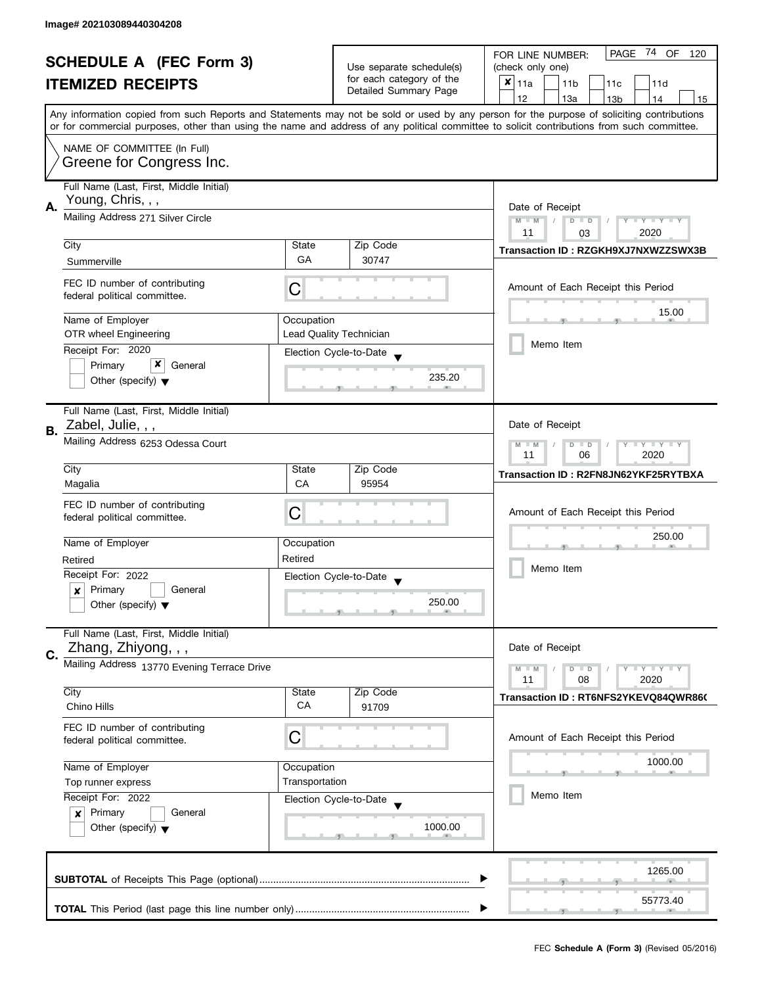|                                                            |                                                                        |                       | PAGE 74 OF<br>FOR LINE NUMBER:<br>120    |                                                                                                                                            |  |  |  |  |  |  |  |  |  |  |
|------------------------------------------------------------|------------------------------------------------------------------------|-----------------------|------------------------------------------|--------------------------------------------------------------------------------------------------------------------------------------------|--|--|--|--|--|--|--|--|--|--|
| <b>SCHEDULE A (FEC Form 3)</b><br><b>ITEMIZED RECEIPTS</b> |                                                                        |                       | Use separate schedule(s)                 | (check only one)                                                                                                                           |  |  |  |  |  |  |  |  |  |  |
|                                                            |                                                                        |                       | for each category of the                 | $x _{11a}$<br>11 <sub>b</sub><br>11c<br>11d                                                                                                |  |  |  |  |  |  |  |  |  |  |
|                                                            |                                                                        | Detailed Summary Page | 12<br>13a<br>13 <sub>b</sub><br>14<br>15 |                                                                                                                                            |  |  |  |  |  |  |  |  |  |  |
|                                                            |                                                                        |                       |                                          | Any information copied from such Reports and Statements may not be sold or used by any person for the purpose of soliciting contributions  |  |  |  |  |  |  |  |  |  |  |
|                                                            |                                                                        |                       |                                          | or for commercial purposes, other than using the name and address of any political committee to solicit contributions from such committee. |  |  |  |  |  |  |  |  |  |  |
|                                                            | NAME OF COMMITTEE (In Full)                                            |                       |                                          |                                                                                                                                            |  |  |  |  |  |  |  |  |  |  |
|                                                            | Greene for Congress Inc.                                               |                       |                                          |                                                                                                                                            |  |  |  |  |  |  |  |  |  |  |
|                                                            |                                                                        |                       |                                          |                                                                                                                                            |  |  |  |  |  |  |  |  |  |  |
|                                                            | Full Name (Last, First, Middle Initial)                                |                       |                                          |                                                                                                                                            |  |  |  |  |  |  |  |  |  |  |
| А.                                                         | Young, Chris, , ,                                                      |                       |                                          | Date of Receipt                                                                                                                            |  |  |  |  |  |  |  |  |  |  |
|                                                            | Mailing Address 271 Silver Circle                                      |                       |                                          | $M - M$<br>$Y - Y - Y - Y - Y$<br>$D$ $D$                                                                                                  |  |  |  |  |  |  |  |  |  |  |
|                                                            |                                                                        |                       |                                          | 11<br>2020<br>03                                                                                                                           |  |  |  |  |  |  |  |  |  |  |
|                                                            | City                                                                   | State                 | Zip Code                                 | Transaction ID: RZGKH9XJ7NXWZZSWX3B                                                                                                        |  |  |  |  |  |  |  |  |  |  |
|                                                            | Summerville                                                            | GA                    | 30747                                    |                                                                                                                                            |  |  |  |  |  |  |  |  |  |  |
|                                                            |                                                                        |                       |                                          |                                                                                                                                            |  |  |  |  |  |  |  |  |  |  |
|                                                            | FEC ID number of contributing                                          | C                     |                                          | Amount of Each Receipt this Period                                                                                                         |  |  |  |  |  |  |  |  |  |  |
|                                                            | federal political committee.                                           |                       |                                          |                                                                                                                                            |  |  |  |  |  |  |  |  |  |  |
|                                                            | Name of Employer                                                       | Occupation            |                                          | 15.00                                                                                                                                      |  |  |  |  |  |  |  |  |  |  |
|                                                            | OTR wheel Engineering                                                  |                       | Lead Quality Technician                  |                                                                                                                                            |  |  |  |  |  |  |  |  |  |  |
|                                                            | Receipt For: 2020                                                      |                       | Election Cycle-to-Date                   | Memo Item                                                                                                                                  |  |  |  |  |  |  |  |  |  |  |
|                                                            | x<br>Primary<br>General                                                |                       |                                          |                                                                                                                                            |  |  |  |  |  |  |  |  |  |  |
|                                                            | Other (specify) $\blacktriangledown$                                   |                       | 235.20                                   |                                                                                                                                            |  |  |  |  |  |  |  |  |  |  |
|                                                            |                                                                        |                       |                                          |                                                                                                                                            |  |  |  |  |  |  |  |  |  |  |
|                                                            | Full Name (Last, First, Middle Initial)                                |                       |                                          |                                                                                                                                            |  |  |  |  |  |  |  |  |  |  |
|                                                            | Zabel, Julie, , ,                                                      |                       |                                          | Date of Receipt                                                                                                                            |  |  |  |  |  |  |  |  |  |  |
| В.                                                         | Mailing Address 6253 Odessa Court                                      |                       |                                          | Y LY LY<br>$D$ $D$                                                                                                                         |  |  |  |  |  |  |  |  |  |  |
|                                                            |                                                                        |                       |                                          | $M - M$<br>06<br>2020<br>11                                                                                                                |  |  |  |  |  |  |  |  |  |  |
|                                                            | City                                                                   | State                 | Zip Code                                 | Transaction ID: R2FN8JN62YKF25RYTBXA                                                                                                       |  |  |  |  |  |  |  |  |  |  |
|                                                            | Magalia                                                                | CA                    | 95954                                    |                                                                                                                                            |  |  |  |  |  |  |  |  |  |  |
|                                                            | FEC ID number of contributing                                          |                       |                                          |                                                                                                                                            |  |  |  |  |  |  |  |  |  |  |
|                                                            | federal political committee.                                           | C                     |                                          | Amount of Each Receipt this Period                                                                                                         |  |  |  |  |  |  |  |  |  |  |
|                                                            |                                                                        |                       |                                          |                                                                                                                                            |  |  |  |  |  |  |  |  |  |  |
|                                                            | Name of Employer                                                       | Occupation            |                                          | 250.00                                                                                                                                     |  |  |  |  |  |  |  |  |  |  |
|                                                            | Retired                                                                | Retired               |                                          | Memo Item                                                                                                                                  |  |  |  |  |  |  |  |  |  |  |
|                                                            | Receipt For: 2022                                                      |                       | Election Cycle-to-Date                   |                                                                                                                                            |  |  |  |  |  |  |  |  |  |  |
|                                                            | Primary<br>General<br>x                                                |                       |                                          |                                                                                                                                            |  |  |  |  |  |  |  |  |  |  |
|                                                            | Other (specify) $\blacktriangledown$                                   |                       | 250.00                                   |                                                                                                                                            |  |  |  |  |  |  |  |  |  |  |
|                                                            |                                                                        |                       |                                          |                                                                                                                                            |  |  |  |  |  |  |  |  |  |  |
|                                                            | Full Name (Last, First, Middle Initial)                                |                       |                                          |                                                                                                                                            |  |  |  |  |  |  |  |  |  |  |
| C.                                                         | Zhang, Zhiyong, , ,                                                    |                       |                                          | Date of Receipt                                                                                                                            |  |  |  |  |  |  |  |  |  |  |
|                                                            | Mailing Address 13770 Evening Terrace Drive                            |                       |                                          | $Y \perp Y \perp Y$<br>$M - M$<br>$D$ $D$                                                                                                  |  |  |  |  |  |  |  |  |  |  |
|                                                            |                                                                        |                       |                                          | 11<br>08<br>2020                                                                                                                           |  |  |  |  |  |  |  |  |  |  |
|                                                            | City                                                                   | State                 | Zip Code                                 | Transaction ID: RT6NFS2YKEVQ84QWR860                                                                                                       |  |  |  |  |  |  |  |  |  |  |
|                                                            | Chino Hills                                                            | CA                    | 91709                                    |                                                                                                                                            |  |  |  |  |  |  |  |  |  |  |
|                                                            | FEC ID number of contributing                                          |                       |                                          |                                                                                                                                            |  |  |  |  |  |  |  |  |  |  |
|                                                            | federal political committee.                                           | С                     |                                          | Amount of Each Receipt this Period                                                                                                         |  |  |  |  |  |  |  |  |  |  |
|                                                            | Name of Employer<br>Occupation<br>Transportation<br>Top runner express |                       |                                          | 1000.00                                                                                                                                    |  |  |  |  |  |  |  |  |  |  |
|                                                            |                                                                        |                       |                                          |                                                                                                                                            |  |  |  |  |  |  |  |  |  |  |
|                                                            |                                                                        |                       |                                          | Memo Item                                                                                                                                  |  |  |  |  |  |  |  |  |  |  |
|                                                            | Receipt For: 2022                                                      |                       | Election Cycle-to-Date                   |                                                                                                                                            |  |  |  |  |  |  |  |  |  |  |
|                                                            | Primary<br>General<br>×                                                |                       | 1000.00                                  |                                                                                                                                            |  |  |  |  |  |  |  |  |  |  |
|                                                            | Other (specify) $\blacktriangledown$                                   |                       |                                          |                                                                                                                                            |  |  |  |  |  |  |  |  |  |  |
|                                                            |                                                                        |                       |                                          |                                                                                                                                            |  |  |  |  |  |  |  |  |  |  |
|                                                            |                                                                        |                       |                                          | 1265.00                                                                                                                                    |  |  |  |  |  |  |  |  |  |  |
|                                                            |                                                                        |                       |                                          |                                                                                                                                            |  |  |  |  |  |  |  |  |  |  |
|                                                            |                                                                        |                       |                                          | 55773.40                                                                                                                                   |  |  |  |  |  |  |  |  |  |  |
|                                                            |                                                                        |                       |                                          |                                                                                                                                            |  |  |  |  |  |  |  |  |  |  |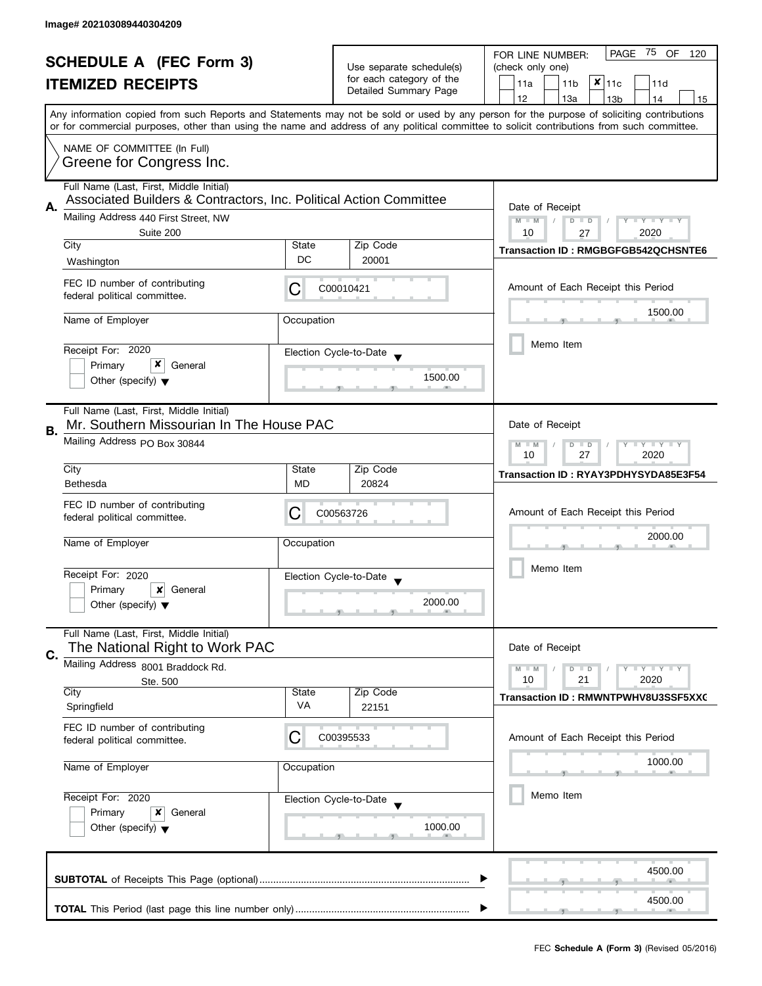| <b>SCHEDULE A (FEC Form 3)</b><br><b>ITEMIZED RECEIPTS</b><br>Any information copied from such Reports and Statements may not be sold or used by any person for the purpose of soliciting contributions |                                                                                                                                                                                                                                                                          |                         | Use separate schedule(s)<br>for each category of the<br>Detailed Summary Page | 75 OF<br>PAGE<br>120<br>FOR LINE NUMBER:<br>(check only one)<br>$x _{11c}$<br>11a<br>11 <sub>b</sub><br>11d<br>12<br>13a<br>13 <sub>b</sub><br>14<br>15    |  |  |  |  |  |
|---------------------------------------------------------------------------------------------------------------------------------------------------------------------------------------------------------|--------------------------------------------------------------------------------------------------------------------------------------------------------------------------------------------------------------------------------------------------------------------------|-------------------------|-------------------------------------------------------------------------------|------------------------------------------------------------------------------------------------------------------------------------------------------------|--|--|--|--|--|
|                                                                                                                                                                                                         | or for commercial purposes, other than using the name and address of any political committee to solicit contributions from such committee.<br>NAME OF COMMITTEE (In Full)<br>Greene for Congress Inc.                                                                    |                         |                                                                               |                                                                                                                                                            |  |  |  |  |  |
| А.                                                                                                                                                                                                      | Full Name (Last, First, Middle Initial)<br>Associated Builders & Contractors, Inc. Political Action Committee<br>Mailing Address 440 First Street, NW<br>Suite 200<br>City                                                                                               |                         | Zip Code                                                                      | Date of Receipt<br>$M - M$<br>$\bot$ $\gamma$ $\bot$ $\gamma$ $\bot$ $\gamma$<br>$D$ $D$<br>10<br>2020<br>27<br><b>Transaction ID: RMGBGFGB542QCHSNTE6</b> |  |  |  |  |  |
|                                                                                                                                                                                                         | Washington<br>FEC ID number of contributing<br>federal political committee.<br>Name of Employer                                                                                                                                                                          | DC<br>C<br>Occupation   | 20001<br>C00010421                                                            | Amount of Each Receipt this Period<br>1500.00                                                                                                              |  |  |  |  |  |
|                                                                                                                                                                                                         | Receipt For: 2020<br>x<br>Primary<br>General<br>Other (specify) $\blacktriangledown$                                                                                                                                                                                     |                         | Election Cycle-to-Date<br>1500.00                                             | Memo Item                                                                                                                                                  |  |  |  |  |  |
| В.                                                                                                                                                                                                      | Full Name (Last, First, Middle Initial)<br>Mr. Southern Missourian In The House PAC<br>Mailing Address PO Box 30844                                                                                                                                                      |                         |                                                                               | Date of Receipt<br>$M - M$<br>$Y - Y - Y$<br>D<br>$\Box$<br>10<br>27<br>2020                                                                               |  |  |  |  |  |
|                                                                                                                                                                                                         | City<br>Bethesda<br>FEC ID number of contributing<br>federal political committee.                                                                                                                                                                                        | State<br><b>MD</b><br>C | Zip Code<br>20824<br>C00563726                                                | Transaction ID: RYAY3PDHYSYDA85E3F54<br>Amount of Each Receipt this Period                                                                                 |  |  |  |  |  |
|                                                                                                                                                                                                         | Name of Employer<br>Receipt For: 2020<br>Primary<br>×<br>General<br>Other (specify) $\blacktriangledown$                                                                                                                                                                 | Occupation              | Election Cycle-to-Date<br>2000.00                                             | 2000.00<br>Memo Item                                                                                                                                       |  |  |  |  |  |
| C.                                                                                                                                                                                                      | Full Name (Last, First, Middle Initial)<br>The National Right to Work PAC<br>Mailing Address 8001 Braddock Rd.<br>Ste. 500<br>City<br>State<br>VA<br>Springfield<br>FEC ID number of contributing<br>C<br>federal political committee.<br>Name of Employer<br>Occupation |                         | Zip Code<br>22151                                                             | Date of Receipt<br>$M - M$<br>$Y - Y - Y$<br>D<br>$\blacksquare$<br>2020<br>10<br>21<br>Transaction ID: RMWNTPWHV8U3SSF5XXC                                |  |  |  |  |  |
|                                                                                                                                                                                                         |                                                                                                                                                                                                                                                                          |                         | C00395533                                                                     | Amount of Each Receipt this Period<br>1000.00                                                                                                              |  |  |  |  |  |
| Receipt For: 2020<br>Election Cycle-to-Date<br>Primary<br>x<br>General<br>Other (specify) $\blacktriangledown$                                                                                          |                                                                                                                                                                                                                                                                          |                         | 1000.00                                                                       | Memo Item                                                                                                                                                  |  |  |  |  |  |
|                                                                                                                                                                                                         |                                                                                                                                                                                                                                                                          |                         |                                                                               | 4500.00<br>4500.00                                                                                                                                         |  |  |  |  |  |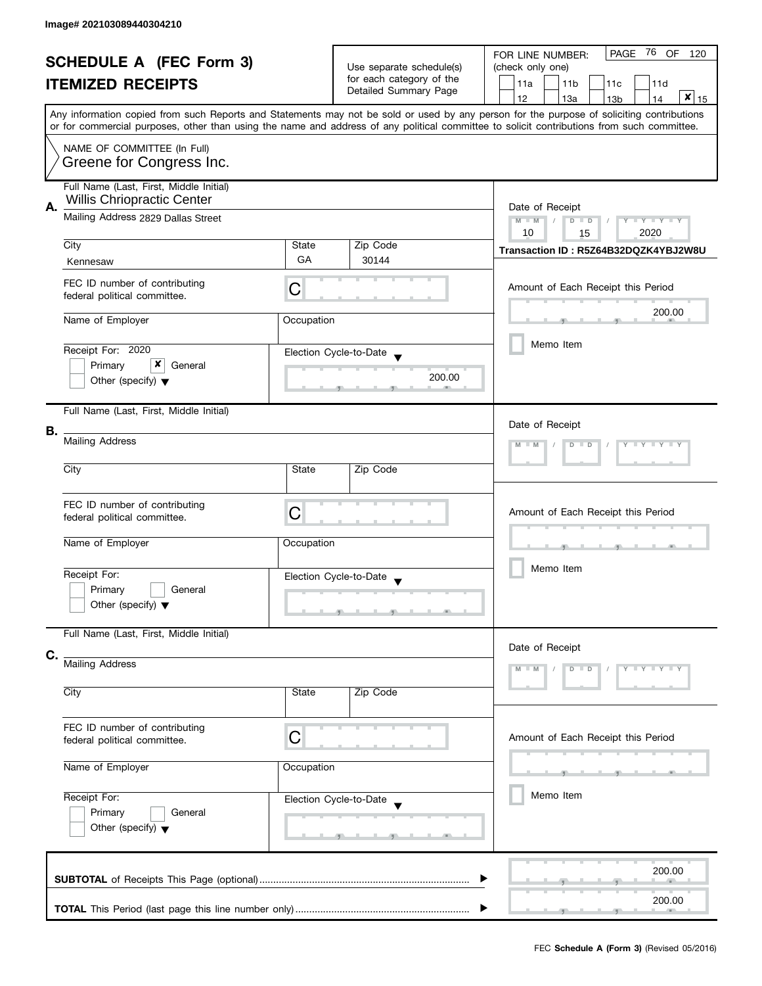| <b>SCHEDULE A (FEC Form 3)</b><br><b>ITEMIZED RECEIPTS</b> |                                                                       |                            | Use separate schedule(s)                                                                                         | PAGE 76 OF<br>120<br>FOR LINE NUMBER:<br>(check only one)                                                                                                                                                                                                                               |  |  |  |  |  |  |
|------------------------------------------------------------|-----------------------------------------------------------------------|----------------------------|------------------------------------------------------------------------------------------------------------------|-----------------------------------------------------------------------------------------------------------------------------------------------------------------------------------------------------------------------------------------------------------------------------------------|--|--|--|--|--|--|
|                                                            |                                                                       |                            | for each category of the<br>Detailed Summary Page                                                                | 11a<br>11 <sub>b</sub><br>11c<br>11d                                                                                                                                                                                                                                                    |  |  |  |  |  |  |
|                                                            |                                                                       |                            |                                                                                                                  | $\mathbf{x} _{15}$<br>12<br>13a<br>14<br>13 <sub>b</sub>                                                                                                                                                                                                                                |  |  |  |  |  |  |
|                                                            |                                                                       |                            |                                                                                                                  | Any information copied from such Reports and Statements may not be sold or used by any person for the purpose of soliciting contributions<br>or for commercial purposes, other than using the name and address of any political committee to solicit contributions from such committee. |  |  |  |  |  |  |
|                                                            | NAME OF COMMITTEE (In Full)<br>Greene for Congress Inc.               |                            |                                                                                                                  |                                                                                                                                                                                                                                                                                         |  |  |  |  |  |  |
|                                                            | Full Name (Last, First, Middle Initial)<br>Willis Chriopractic Center |                            |                                                                                                                  |                                                                                                                                                                                                                                                                                         |  |  |  |  |  |  |
| А.                                                         | Mailing Address 2829 Dallas Street                                    |                            |                                                                                                                  | Date of Receipt<br>$M - M$<br>$D$ $D$<br>$Y - Y - Y - Y - Y$<br>10<br>2020<br>15                                                                                                                                                                                                        |  |  |  |  |  |  |
|                                                            | City                                                                  | State                      | Zip Code                                                                                                         | Transaction ID: R5Z64B32DQZK4YBJ2W8U                                                                                                                                                                                                                                                    |  |  |  |  |  |  |
|                                                            | Kennesaw                                                              | GA                         | 30144                                                                                                            |                                                                                                                                                                                                                                                                                         |  |  |  |  |  |  |
|                                                            | FEC ID number of contributing<br>federal political committee.         | C                          |                                                                                                                  | Amount of Each Receipt this Period                                                                                                                                                                                                                                                      |  |  |  |  |  |  |
|                                                            | Name of Employer                                                      | Occupation                 |                                                                                                                  | 200.00                                                                                                                                                                                                                                                                                  |  |  |  |  |  |  |
|                                                            |                                                                       |                            |                                                                                                                  |                                                                                                                                                                                                                                                                                         |  |  |  |  |  |  |
|                                                            | Receipt For: 2020                                                     |                            | Election Cycle-to-Date                                                                                           | Memo Item                                                                                                                                                                                                                                                                               |  |  |  |  |  |  |
|                                                            | x<br>Primary<br>General                                               |                            |                                                                                                                  |                                                                                                                                                                                                                                                                                         |  |  |  |  |  |  |
|                                                            | Other (specify) $\blacktriangledown$                                  |                            | 200.00                                                                                                           |                                                                                                                                                                                                                                                                                         |  |  |  |  |  |  |
|                                                            | Full Name (Last, First, Middle Initial)                               |                            |                                                                                                                  |                                                                                                                                                                                                                                                                                         |  |  |  |  |  |  |
| В.                                                         |                                                                       |                            |                                                                                                                  | Date of Receipt                                                                                                                                                                                                                                                                         |  |  |  |  |  |  |
|                                                            | Mailing Address                                                       | $Y = Y = Y = Y$<br>$D$ $D$ |                                                                                                                  |                                                                                                                                                                                                                                                                                         |  |  |  |  |  |  |
|                                                            | City                                                                  | State                      | Zip Code                                                                                                         |                                                                                                                                                                                                                                                                                         |  |  |  |  |  |  |
|                                                            | FEC ID number of contributing<br>federal political committee.         | C                          |                                                                                                                  | Amount of Each Receipt this Period                                                                                                                                                                                                                                                      |  |  |  |  |  |  |
|                                                            | Name of Employer                                                      | Occupation                 |                                                                                                                  | -<br>æ.                                                                                                                                                                                                                                                                                 |  |  |  |  |  |  |
|                                                            | Receipt For:                                                          |                            | Election Cycle-to-Date                                                                                           | Memo Item                                                                                                                                                                                                                                                                               |  |  |  |  |  |  |
|                                                            | Primary<br>General                                                    |                            |                                                                                                                  |                                                                                                                                                                                                                                                                                         |  |  |  |  |  |  |
|                                                            | Other (specify) $\blacktriangledown$                                  |                            | $\overline{y}$ and $\overline{y}$ and $\overline{y}$ and $\overline{y}$<br><b>The Contract Contract Contract</b> |                                                                                                                                                                                                                                                                                         |  |  |  |  |  |  |
|                                                            | Full Name (Last, First, Middle Initial)                               |                            |                                                                                                                  | Date of Receipt                                                                                                                                                                                                                                                                         |  |  |  |  |  |  |
| C.                                                         | <b>Mailing Address</b>                                                |                            |                                                                                                                  |                                                                                                                                                                                                                                                                                         |  |  |  |  |  |  |
|                                                            | City                                                                  | State                      | Zip Code                                                                                                         |                                                                                                                                                                                                                                                                                         |  |  |  |  |  |  |
|                                                            | FEC ID number of contributing<br>federal political committee.         | C                          |                                                                                                                  | Amount of Each Receipt this Period                                                                                                                                                                                                                                                      |  |  |  |  |  |  |
|                                                            | Name of Employer                                                      | Occupation                 |                                                                                                                  |                                                                                                                                                                                                                                                                                         |  |  |  |  |  |  |
|                                                            | Receipt For:                                                          | Election Cycle-to-Date     |                                                                                                                  |                                                                                                                                                                                                                                                                                         |  |  |  |  |  |  |
|                                                            | Primary<br>General                                                    |                            |                                                                                                                  |                                                                                                                                                                                                                                                                                         |  |  |  |  |  |  |
|                                                            | Other (specify) $\blacktriangledown$                                  |                            |                                                                                                                  |                                                                                                                                                                                                                                                                                         |  |  |  |  |  |  |
|                                                            |                                                                       |                            |                                                                                                                  | 200.00                                                                                                                                                                                                                                                                                  |  |  |  |  |  |  |
|                                                            |                                                                       |                            |                                                                                                                  | 200.00                                                                                                                                                                                                                                                                                  |  |  |  |  |  |  |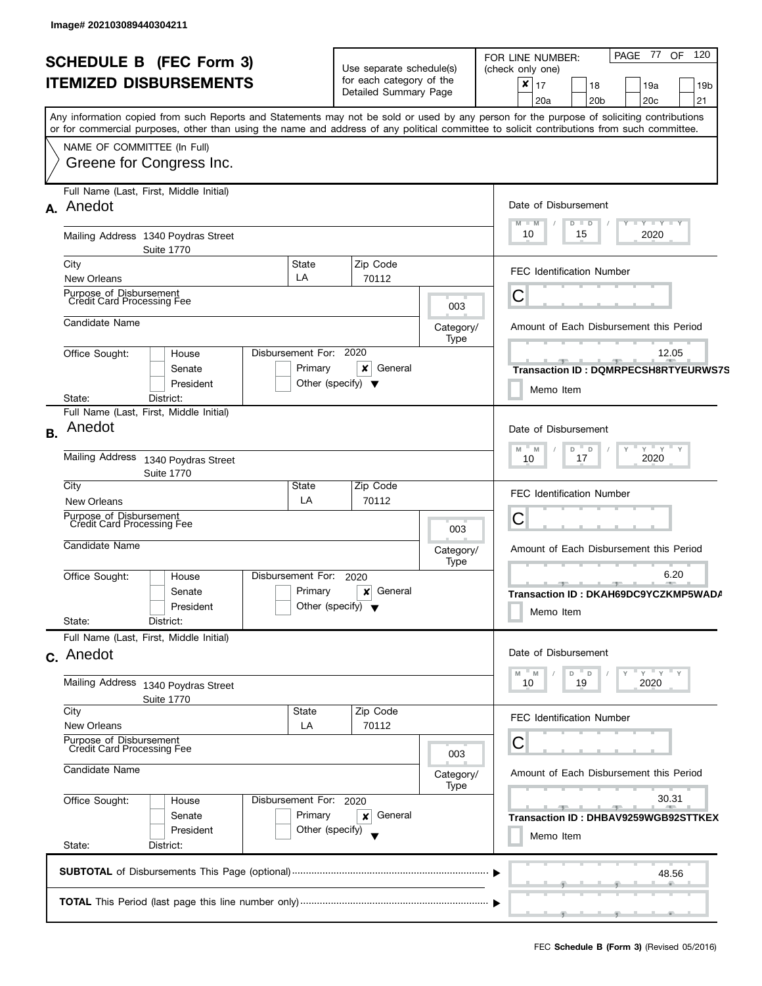| <b>SCHEDULE B (FEC Form 3)</b><br><b>ITEMIZED DISBURSEMENTS</b> |                                                                                                                                                                                                                                                                                                                                                    |                                                                      | Use separate schedule(s)<br>for each category of the<br>Detailed Summary Page |                                                            | 120<br>PAGE 77 OF<br>FOR LINE NUMBER:<br>(check only one)<br>×<br>17<br>18<br>19a<br>19 <sub>b</sub><br>21<br>20a<br>20 <sub>b</sub><br>20 <sub>c</sub> |  |  |  |  |  |
|-----------------------------------------------------------------|----------------------------------------------------------------------------------------------------------------------------------------------------------------------------------------------------------------------------------------------------------------------------------------------------------------------------------------------------|----------------------------------------------------------------------|-------------------------------------------------------------------------------|------------------------------------------------------------|---------------------------------------------------------------------------------------------------------------------------------------------------------|--|--|--|--|--|
|                                                                 | Any information copied from such Reports and Statements may not be sold or used by any person for the purpose of soliciting contributions<br>or for commercial purposes, other than using the name and address of any political committee to solicit contributions from such committee.<br>NAME OF COMMITTEE (In Full)<br>Greene for Congress Inc. |                                                                      |                                                                               |                                                            |                                                                                                                                                         |  |  |  |  |  |
|                                                                 | Full Name (Last, First, Middle Initial)<br>A. Anedot                                                                                                                                                                                                                                                                                               |                                                                      |                                                                               |                                                            | Date of Disbursement<br>$T - Y = T - Y = T - Y$<br>M<br>M<br>$D$ $D$                                                                                    |  |  |  |  |  |
|                                                                 | Mailing Address 1340 Poydras Street<br><b>Suite 1770</b>                                                                                                                                                                                                                                                                                           |                                                                      |                                                                               |                                                            | 2020<br>10<br>15                                                                                                                                        |  |  |  |  |  |
|                                                                 | City<br><b>New Orleans</b>                                                                                                                                                                                                                                                                                                                         | State<br>LA                                                          | Zip Code<br>70112                                                             |                                                            | <b>FEC Identification Number</b>                                                                                                                        |  |  |  |  |  |
|                                                                 | Purpose of Disbursement<br>Credit Card Processing Fee                                                                                                                                                                                                                                                                                              |                                                                      |                                                                               | 003                                                        | С                                                                                                                                                       |  |  |  |  |  |
|                                                                 | Candidate Name                                                                                                                                                                                                                                                                                                                                     |                                                                      |                                                                               | Category/<br>Type                                          | Amount of Each Disbursement this Period                                                                                                                 |  |  |  |  |  |
|                                                                 | Office Sought:<br>House<br>Senate<br>President<br>State:<br>District:                                                                                                                                                                                                                                                                              | Disbursement For:<br>Primary<br>Other (specify) $\blacktriangledown$ | 2020<br>x<br>General                                                          |                                                            | 12.05<br><b>Transaction ID: DQMRPECSH8RTYEURWS7S</b><br>Memo Item                                                                                       |  |  |  |  |  |
| <b>B.</b>                                                       | Full Name (Last, First, Middle Initial)<br>Anedot                                                                                                                                                                                                                                                                                                  |                                                                      |                                                                               |                                                            | Date of Disbursement                                                                                                                                    |  |  |  |  |  |
|                                                                 | <b>Mailing Address</b><br>1340 Poydras Street<br><b>Suite 1770</b>                                                                                                                                                                                                                                                                                 |                                                                      | $Y$ $Y$ $Y$ $Y$<br>M<br>D<br>$\mathsf{D}$<br>M<br>2020<br>17<br>10            |                                                            |                                                                                                                                                         |  |  |  |  |  |
|                                                                 | City<br>New Orleans                                                                                                                                                                                                                                                                                                                                | State<br>LA                                                          | Zip Code<br>70112                                                             |                                                            | <b>FEC Identification Number</b>                                                                                                                        |  |  |  |  |  |
|                                                                 | Purpose of Disbursement<br>Credit Card Processing Fee                                                                                                                                                                                                                                                                                              |                                                                      |                                                                               | 003                                                        | С                                                                                                                                                       |  |  |  |  |  |
|                                                                 | Candidate Name                                                                                                                                                                                                                                                                                                                                     |                                                                      |                                                                               | Category/<br>Type                                          | Amount of Each Disbursement this Period                                                                                                                 |  |  |  |  |  |
|                                                                 | Office Sought:<br>House<br>Senate<br>President<br>State:<br>District:                                                                                                                                                                                                                                                                              | Disbursement For:<br>Primary<br>Other (specify) $\blacktriangledown$ | 2020<br>General<br>$\boldsymbol{\mathsf{x}}$                                  |                                                            | 6.20<br>- 92<br>Transaction ID: DKAH69DC9YCZKMP5WADA<br>Memo Item                                                                                       |  |  |  |  |  |
|                                                                 | Full Name (Last, First, Middle Initial)<br>c. Anedot                                                                                                                                                                                                                                                                                               |                                                                      |                                                                               |                                                            | Date of Disbursement                                                                                                                                    |  |  |  |  |  |
|                                                                 | <b>Mailing Address</b><br>1340 Poydras Street<br><b>Suite 1770</b>                                                                                                                                                                                                                                                                                 |                                                                      | Y''Y''<br>D<br>$\mathsf{D}$<br>M<br>19<br>2020<br>10                          |                                                            |                                                                                                                                                         |  |  |  |  |  |
|                                                                 | City<br><b>New Orleans</b>                                                                                                                                                                                                                                                                                                                         | State<br>LA                                                          | Zip Code<br>70112                                                             |                                                            | FEC Identification Number                                                                                                                               |  |  |  |  |  |
|                                                                 | Purpose of Disbursement<br>Credit Card Processing Fee                                                                                                                                                                                                                                                                                              |                                                                      |                                                                               | 003                                                        | С                                                                                                                                                       |  |  |  |  |  |
|                                                                 | Candidate Name                                                                                                                                                                                                                                                                                                                                     |                                                                      |                                                                               | Category/<br>Type                                          | Amount of Each Disbursement this Period                                                                                                                 |  |  |  |  |  |
|                                                                 | Office Sought:<br>House<br>Senate<br>President<br>State:<br>District:                                                                                                                                                                                                                                                                              | Disbursement For: 2020<br>Primary<br>Other (specify)                 |                                                                               | 30.31<br>Transaction ID: DHBAV9259WGB92STTKEX<br>Memo Item |                                                                                                                                                         |  |  |  |  |  |
|                                                                 |                                                                                                                                                                                                                                                                                                                                                    |                                                                      |                                                                               |                                                            | 48.56                                                                                                                                                   |  |  |  |  |  |
|                                                                 |                                                                                                                                                                                                                                                                                                                                                    |                                                                      |                                                                               |                                                            |                                                                                                                                                         |  |  |  |  |  |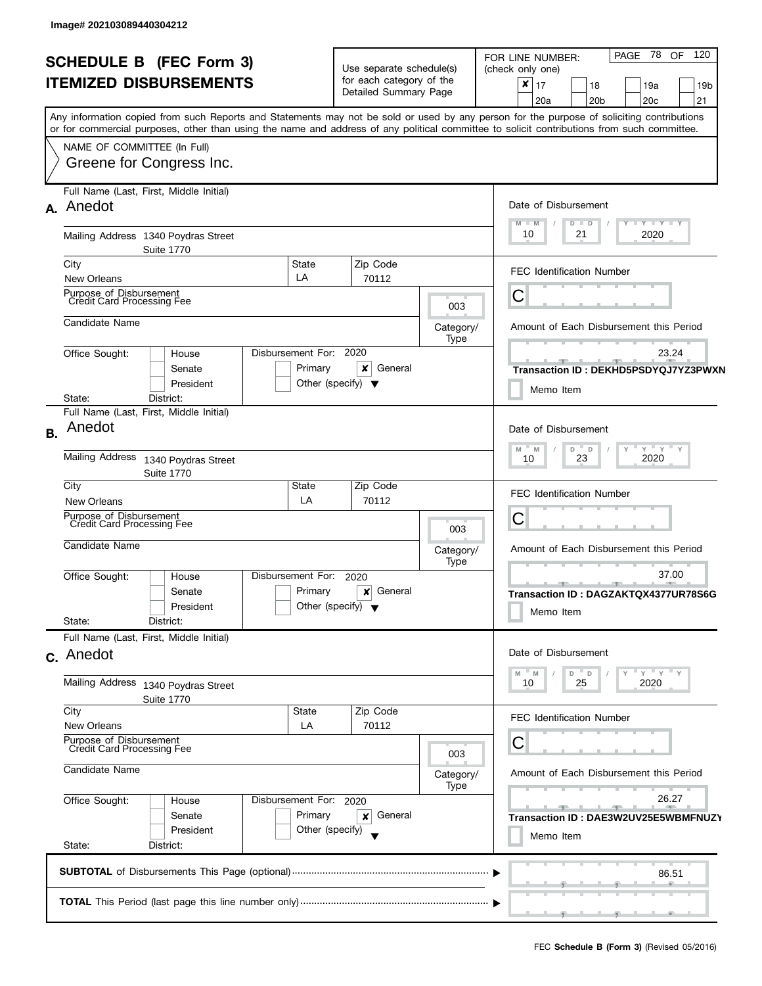| <b>SCHEDULE B</b> (FEC Form 3)<br><b>ITEMIZED DISBURSEMENTS</b><br>Any information copied from such Reports and Statements may not be sold or used by any person for the purpose of soliciting contributions<br>or for commercial purposes, other than using the name and address of any political committee to solicit contributions from such committee. |                                                                                                 |                                                 | Use separate schedule(s)<br>for each category of the<br>Detailed Summary Page |                   | PAGE 78<br>120<br>OF<br>FOR LINE NUMBER:<br>(check only one)<br>$\pmb{\times}$<br>17<br>19a<br>18<br>19 <sub>b</sub><br>20 <sub>b</sub><br>20c<br>21<br>20a |  |  |  |
|------------------------------------------------------------------------------------------------------------------------------------------------------------------------------------------------------------------------------------------------------------------------------------------------------------------------------------------------------------|-------------------------------------------------------------------------------------------------|-------------------------------------------------|-------------------------------------------------------------------------------|-------------------|-------------------------------------------------------------------------------------------------------------------------------------------------------------|--|--|--|
|                                                                                                                                                                                                                                                                                                                                                            | NAME OF COMMITTEE (In Full)<br>Greene for Congress Inc.                                         |                                                 |                                                                               |                   |                                                                                                                                                             |  |  |  |
|                                                                                                                                                                                                                                                                                                                                                            | Full Name (Last, First, Middle Initial)<br>A. Anedot                                            |                                                 |                                                                               |                   | Date of Disbursement<br>$Y - Y - Y - Y - Y$<br>$M - M$<br>$D$ $D$                                                                                           |  |  |  |
|                                                                                                                                                                                                                                                                                                                                                            | Mailing Address 1340 Poydras Street<br><b>Suite 1770</b>                                        |                                                 |                                                                               |                   | 10<br>21<br>2020                                                                                                                                            |  |  |  |
|                                                                                                                                                                                                                                                                                                                                                            | State<br>City<br>LA<br>New Orleans                                                              |                                                 | Zip Code<br>70112                                                             |                   | <b>FEC Identification Number</b>                                                                                                                            |  |  |  |
|                                                                                                                                                                                                                                                                                                                                                            | Purpose of Disbursement<br><b>Credit Card Processing Fee</b>                                    |                                                 |                                                                               | 003               | C                                                                                                                                                           |  |  |  |
|                                                                                                                                                                                                                                                                                                                                                            | Candidate Name                                                                                  |                                                 |                                                                               | Category/<br>Type | Amount of Each Disbursement this Period                                                                                                                     |  |  |  |
|                                                                                                                                                                                                                                                                                                                                                            | Disbursement For: 2020<br>Office Sought:<br>House<br>Senate<br>President<br>District:<br>State: | Primary<br>Other (specify) $\blacktriangledown$ | x<br>General                                                                  |                   | 23.24<br>$-1$<br>$-1$<br>Transaction ID: DEKHD5PSDYQJ7YZ3PWXN<br>Memo Item                                                                                  |  |  |  |
| <b>B.</b>                                                                                                                                                                                                                                                                                                                                                  | Full Name (Last, First, Middle Initial)<br>Anedot<br><b>Mailing Address</b>                     |                                                 |                                                                               |                   | Date of Disbursement<br>$Y$ $Y$ $Y$<br>$-M$<br>D<br>- D<br>Y<br>M                                                                                           |  |  |  |
|                                                                                                                                                                                                                                                                                                                                                            | 1340 Poydras Street<br><b>Suite 1770</b>                                                        |                                                 | 2020<br>23<br>10                                                              |                   |                                                                                                                                                             |  |  |  |
|                                                                                                                                                                                                                                                                                                                                                            | City<br>State<br>LA<br><b>New Orleans</b>                                                       |                                                 | Zip Code<br>70112                                                             |                   | <b>FEC Identification Number</b>                                                                                                                            |  |  |  |
|                                                                                                                                                                                                                                                                                                                                                            | Purpose of Disbursement<br>Credit Card Processing Fee                                           |                                                 |                                                                               | 003               | С                                                                                                                                                           |  |  |  |
|                                                                                                                                                                                                                                                                                                                                                            | Candidate Name                                                                                  |                                                 |                                                                               | Category/<br>Type | Amount of Each Disbursement this Period                                                                                                                     |  |  |  |
|                                                                                                                                                                                                                                                                                                                                                            | Disbursement For:<br>Office Sought:<br>House<br>Senate<br>President<br>State:<br>District:      | Primary<br>Other (specify) $\blacktriangledown$ | 2020<br>General<br>×                                                          |                   | 37.00<br>一<br>Transaction ID: DAGZAKTQX4377UR78S6G<br>Memo Item                                                                                             |  |  |  |
|                                                                                                                                                                                                                                                                                                                                                            | Full Name (Last, First, Middle Initial)<br>c. Anedot                                            |                                                 |                                                                               |                   | Date of Disbursement                                                                                                                                        |  |  |  |
|                                                                                                                                                                                                                                                                                                                                                            | Mailing Address<br>1340 Poydras Street<br><b>Suite 1770</b>                                     |                                                 | $Y = Y = Y$<br>" M<br>D<br>- D<br>M<br>25<br>2020<br>10                       |                   |                                                                                                                                                             |  |  |  |
|                                                                                                                                                                                                                                                                                                                                                            | City<br><b>State</b><br><b>New Orleans</b><br>LA                                                |                                                 | Zip Code<br>70112                                                             |                   | <b>FEC Identification Number</b>                                                                                                                            |  |  |  |
|                                                                                                                                                                                                                                                                                                                                                            | Purpose of Disbursement<br>Credit Card Processing Fee                                           |                                                 | 003                                                                           | С                 |                                                                                                                                                             |  |  |  |
|                                                                                                                                                                                                                                                                                                                                                            | Candidate Name                                                                                  | Category/<br>Type                               | Amount of Each Disbursement this Period                                       |                   |                                                                                                                                                             |  |  |  |
| Office Sought:<br>Disbursement For:<br>House<br>Primary<br>Senate<br>President<br>Other (specify)<br>State:<br>District:                                                                                                                                                                                                                                   |                                                                                                 |                                                 | 2020<br>General<br>×                                                          |                   | 26.27<br><b>SEP 10</b><br>$-1$<br>Transaction ID: DAE3W2UV25E5WBMFNUZY<br>Memo Item                                                                         |  |  |  |
|                                                                                                                                                                                                                                                                                                                                                            |                                                                                                 |                                                 |                                                                               |                   | 86.51                                                                                                                                                       |  |  |  |
|                                                                                                                                                                                                                                                                                                                                                            |                                                                                                 |                                                 |                                                                               |                   |                                                                                                                                                             |  |  |  |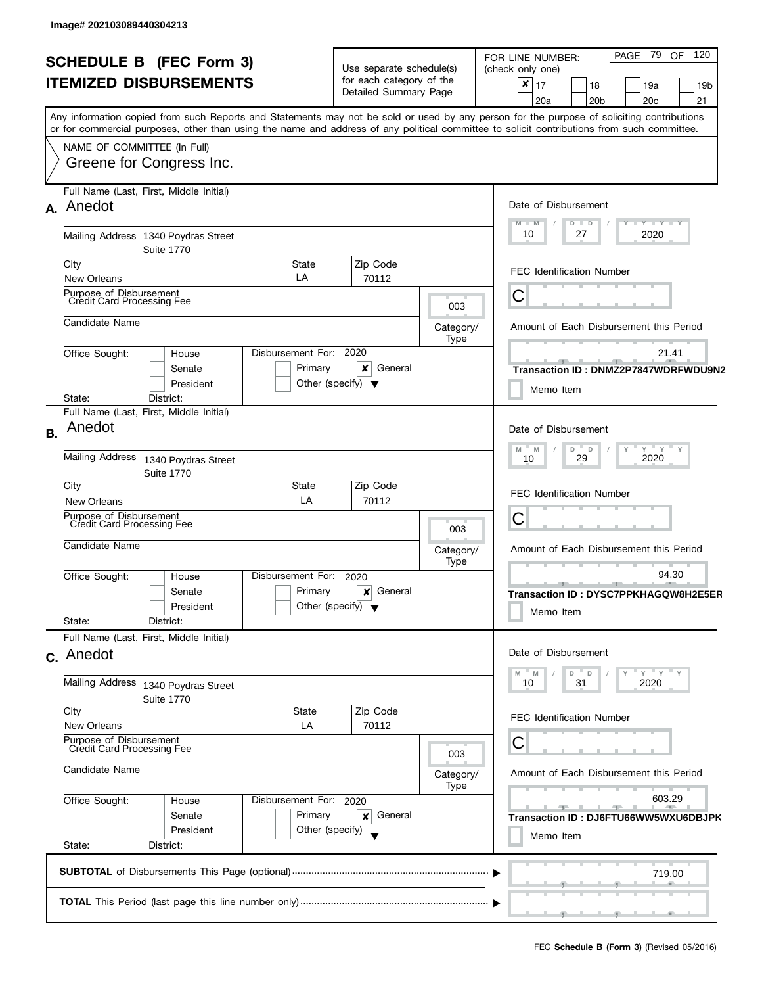| PAGE 79<br>OF 120<br>FOR LINE NUMBER:<br>(check only one)                                                                                  |  |  |  |  |  |
|--------------------------------------------------------------------------------------------------------------------------------------------|--|--|--|--|--|
| $\boldsymbol{x}$                                                                                                                           |  |  |  |  |  |
| 17<br>19a<br>18<br>19 <sub>b</sub>                                                                                                         |  |  |  |  |  |
| 20a<br>20 <sub>b</sub><br>20c<br>21                                                                                                        |  |  |  |  |  |
| Any information copied from such Reports and Statements may not be sold or used by any person for the purpose of soliciting contributions  |  |  |  |  |  |
| or for commercial purposes, other than using the name and address of any political committee to solicit contributions from such committee. |  |  |  |  |  |
|                                                                                                                                            |  |  |  |  |  |
|                                                                                                                                            |  |  |  |  |  |
|                                                                                                                                            |  |  |  |  |  |
|                                                                                                                                            |  |  |  |  |  |
| Date of Disbursement                                                                                                                       |  |  |  |  |  |
| $T$ $Y$ $T$ $Y$ $T$ $Y$<br>$M - M$<br>Y<br>$D$ $D$                                                                                         |  |  |  |  |  |
| 10<br>27<br>2020                                                                                                                           |  |  |  |  |  |
|                                                                                                                                            |  |  |  |  |  |
| <b>FEC Identification Number</b>                                                                                                           |  |  |  |  |  |
|                                                                                                                                            |  |  |  |  |  |
| С                                                                                                                                          |  |  |  |  |  |
|                                                                                                                                            |  |  |  |  |  |
| Amount of Each Disbursement this Period                                                                                                    |  |  |  |  |  |
|                                                                                                                                            |  |  |  |  |  |
| 21.41                                                                                                                                      |  |  |  |  |  |
| Transaction ID: DNMZ2P7847WDRFWDU9N2                                                                                                       |  |  |  |  |  |
| Memo Item                                                                                                                                  |  |  |  |  |  |
|                                                                                                                                            |  |  |  |  |  |
|                                                                                                                                            |  |  |  |  |  |
| Date of Disbursement                                                                                                                       |  |  |  |  |  |
| $Y$ $Y$ $Y$<br>M<br>$- M$<br>D<br>$\mathsf D$                                                                                              |  |  |  |  |  |
| 29<br>2020<br>10                                                                                                                           |  |  |  |  |  |
|                                                                                                                                            |  |  |  |  |  |
| <b>FEC Identification Number</b>                                                                                                           |  |  |  |  |  |
|                                                                                                                                            |  |  |  |  |  |
| C                                                                                                                                          |  |  |  |  |  |
|                                                                                                                                            |  |  |  |  |  |
| Amount of Each Disbursement this Period                                                                                                    |  |  |  |  |  |
| 94.30                                                                                                                                      |  |  |  |  |  |
| $-9$                                                                                                                                       |  |  |  |  |  |
| Transaction ID: DYSC7PPKHAGQW8H2E5ER                                                                                                       |  |  |  |  |  |
| Memo Item                                                                                                                                  |  |  |  |  |  |
|                                                                                                                                            |  |  |  |  |  |
| Date of Disbursement                                                                                                                       |  |  |  |  |  |
|                                                                                                                                            |  |  |  |  |  |
| $Y = Y$<br>D<br>M<br>D<br>M<br>31<br>2020<br>10                                                                                            |  |  |  |  |  |
|                                                                                                                                            |  |  |  |  |  |
|                                                                                                                                            |  |  |  |  |  |
| <b>FEC Identification Number</b>                                                                                                           |  |  |  |  |  |
| С                                                                                                                                          |  |  |  |  |  |
|                                                                                                                                            |  |  |  |  |  |
| Amount of Each Disbursement this Period                                                                                                    |  |  |  |  |  |
|                                                                                                                                            |  |  |  |  |  |
| 603.29                                                                                                                                     |  |  |  |  |  |
| $-$ 40 $-$ 1 $-$<br>$-9$<br>Transaction ID: DJ6FTU66WW5WXU6DBJPK                                                                           |  |  |  |  |  |
|                                                                                                                                            |  |  |  |  |  |
| Memo Item                                                                                                                                  |  |  |  |  |  |
|                                                                                                                                            |  |  |  |  |  |
| 719.00                                                                                                                                     |  |  |  |  |  |
|                                                                                                                                            |  |  |  |  |  |
|                                                                                                                                            |  |  |  |  |  |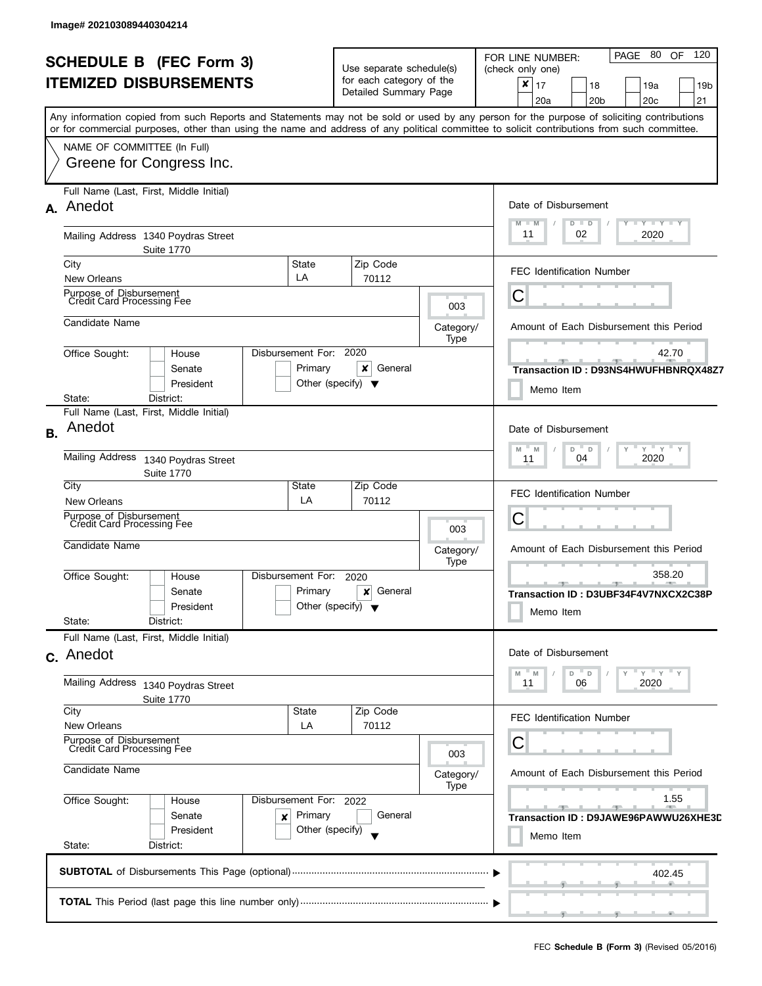| <b>SCHEDULE B (FEC Form 3)</b><br><b>ITEMIZED DISBURSEMENTS</b> |                                                                                                                                            |                        | Use separate schedule(s)<br>for each category of the     |                                                        | PAGE 80 OF<br>- 120<br>FOR LINE NUMBER:<br>(check only one)<br>$\boldsymbol{x}$<br>17<br>18<br>19a |  |  |  |  |  |  |
|-----------------------------------------------------------------|--------------------------------------------------------------------------------------------------------------------------------------------|------------------------|----------------------------------------------------------|--------------------------------------------------------|----------------------------------------------------------------------------------------------------|--|--|--|--|--|--|
|                                                                 |                                                                                                                                            | Detailed Summary Page  |                                                          | 19 <sub>b</sub><br>20c<br>21<br>20a<br>20 <sub>b</sub> |                                                                                                    |  |  |  |  |  |  |
|                                                                 | Any information copied from such Reports and Statements may not be sold or used by any person for the purpose of soliciting contributions  |                        |                                                          |                                                        |                                                                                                    |  |  |  |  |  |  |
|                                                                 | or for commercial purposes, other than using the name and address of any political committee to solicit contributions from such committee. |                        |                                                          |                                                        |                                                                                                    |  |  |  |  |  |  |
|                                                                 | NAME OF COMMITTEE (In Full)                                                                                                                |                        |                                                          |                                                        |                                                                                                    |  |  |  |  |  |  |
|                                                                 | Greene for Congress Inc.                                                                                                                   |                        |                                                          |                                                        |                                                                                                    |  |  |  |  |  |  |
|                                                                 |                                                                                                                                            |                        |                                                          |                                                        |                                                                                                    |  |  |  |  |  |  |
|                                                                 | Full Name (Last, First, Middle Initial)                                                                                                    |                        |                                                          |                                                        |                                                                                                    |  |  |  |  |  |  |
|                                                                 | A. Anedot                                                                                                                                  |                        |                                                          |                                                        | Date of Disbursement                                                                               |  |  |  |  |  |  |
|                                                                 |                                                                                                                                            |                        |                                                          |                                                        | $Y - Y - Y - Y - Y$<br>$M - M$<br>$D$ $D$                                                          |  |  |  |  |  |  |
|                                                                 | Mailing Address 1340 Poydras Street                                                                                                        |                        |                                                          |                                                        | 2020<br>11<br>02                                                                                   |  |  |  |  |  |  |
|                                                                 | <b>Suite 1770</b>                                                                                                                          |                        |                                                          |                                                        |                                                                                                    |  |  |  |  |  |  |
|                                                                 | City<br><b>New Orleans</b>                                                                                                                 | State<br>LA            | Zip Code<br>70112                                        |                                                        | <b>FEC Identification Number</b>                                                                   |  |  |  |  |  |  |
|                                                                 |                                                                                                                                            |                        |                                                          |                                                        |                                                                                                    |  |  |  |  |  |  |
|                                                                 | Purpose of Disbursement<br>Credit Card Processing Fee                                                                                      |                        |                                                          | 003                                                    | С                                                                                                  |  |  |  |  |  |  |
|                                                                 | Candidate Name                                                                                                                             |                        |                                                          | Category/                                              | Amount of Each Disbursement this Period                                                            |  |  |  |  |  |  |
|                                                                 |                                                                                                                                            |                        |                                                          | Type                                                   |                                                                                                    |  |  |  |  |  |  |
|                                                                 | Office Sought:<br>House                                                                                                                    | Disbursement For: 2020 |                                                          |                                                        | 42.70                                                                                              |  |  |  |  |  |  |
|                                                                 | Senate                                                                                                                                     | Primary                | x<br>General                                             |                                                        | Transaction ID: D93NS4HWUFHBNRQX48Z7                                                               |  |  |  |  |  |  |
|                                                                 | President                                                                                                                                  |                        | Other (specify) $\blacktriangledown$                     |                                                        | Memo Item                                                                                          |  |  |  |  |  |  |
|                                                                 | State:<br>District:                                                                                                                        |                        |                                                          |                                                        |                                                                                                    |  |  |  |  |  |  |
|                                                                 | Full Name (Last, First, Middle Initial)                                                                                                    |                        |                                                          |                                                        |                                                                                                    |  |  |  |  |  |  |
| <b>B.</b>                                                       | Anedot                                                                                                                                     |                        |                                                          |                                                        | Date of Disbursement                                                                               |  |  |  |  |  |  |
|                                                                 | <b>Mailing Address</b>                                                                                                                     |                        | $Y = Y = Y$<br>M<br>M<br>D<br>$\Box$<br>2020<br>04<br>11 |                                                        |                                                                                                    |  |  |  |  |  |  |
|                                                                 | 1340 Poydras Street<br><b>Suite 1770</b>                                                                                                   |                        |                                                          |                                                        |                                                                                                    |  |  |  |  |  |  |
|                                                                 | City                                                                                                                                       | State                  | Zip Code                                                 |                                                        |                                                                                                    |  |  |  |  |  |  |
|                                                                 | New Orleans                                                                                                                                | LA                     | 70112                                                    |                                                        | <b>FEC Identification Number</b>                                                                   |  |  |  |  |  |  |
|                                                                 | Purpose of Disbursement<br>Credit Card Processing Fee                                                                                      |                        |                                                          |                                                        | С                                                                                                  |  |  |  |  |  |  |
|                                                                 |                                                                                                                                            |                        |                                                          | 003                                                    |                                                                                                    |  |  |  |  |  |  |
|                                                                 | Candidate Name                                                                                                                             |                        |                                                          | Category/                                              | Amount of Each Disbursement this Period                                                            |  |  |  |  |  |  |
|                                                                 | Office Sought:<br>House                                                                                                                    | Disbursement For:      | 2020                                                     | Type                                                   | 358.20                                                                                             |  |  |  |  |  |  |
|                                                                 | Senate                                                                                                                                     | Primary                | General<br>×                                             |                                                        | $-1$                                                                                               |  |  |  |  |  |  |
|                                                                 | President                                                                                                                                  |                        | Other (specify) $\blacktriangledown$                     |                                                        | Transaction ID: D3UBF34F4V7NXCX2C38P                                                               |  |  |  |  |  |  |
|                                                                 | State:<br>District:                                                                                                                        |                        |                                                          |                                                        | Memo Item                                                                                          |  |  |  |  |  |  |
|                                                                 | Full Name (Last, First, Middle Initial)                                                                                                    |                        |                                                          |                                                        |                                                                                                    |  |  |  |  |  |  |
|                                                                 | c. Anedot                                                                                                                                  |                        |                                                          |                                                        | Date of Disbursement                                                                               |  |  |  |  |  |  |
|                                                                 |                                                                                                                                            |                        |                                                          |                                                        | $Y = Y$<br>- M<br>D<br>D<br>M                                                                      |  |  |  |  |  |  |
|                                                                 | Mailing Address 1340 Poydras Street                                                                                                        |                        |                                                          |                                                        | 06<br>2020<br>11                                                                                   |  |  |  |  |  |  |
|                                                                 | <b>Suite 1770</b>                                                                                                                          |                        |                                                          |                                                        |                                                                                                    |  |  |  |  |  |  |
|                                                                 | City<br><b>New Orleans</b>                                                                                                                 | <b>State</b><br>LA     | Zip Code<br>70112                                        |                                                        | <b>FEC Identification Number</b>                                                                   |  |  |  |  |  |  |
|                                                                 | Purpose of Disbursement                                                                                                                    |                        |                                                          |                                                        | С                                                                                                  |  |  |  |  |  |  |
|                                                                 | Credit Card Processing Fee                                                                                                                 |                        |                                                          | 003                                                    |                                                                                                    |  |  |  |  |  |  |
|                                                                 | Candidate Name                                                                                                                             | Category/              | Amount of Each Disbursement this Period                  |                                                        |                                                                                                    |  |  |  |  |  |  |
|                                                                 |                                                                                                                                            |                        |                                                          |                                                        |                                                                                                    |  |  |  |  |  |  |
|                                                                 | Office Sought:<br>Disbursement For: 2022<br>House                                                                                          |                        | 1.55                                                     |                                                        |                                                                                                    |  |  |  |  |  |  |
|                                                                 | Senate<br>×                                                                                                                                | Primary<br>General     |                                                          |                                                        |                                                                                                    |  |  |  |  |  |  |
|                                                                 | President                                                                                                                                  | Other (specify)        |                                                          | Memo Item                                              |                                                                                                    |  |  |  |  |  |  |
|                                                                 | State:<br>District:                                                                                                                        |                        |                                                          |                                                        |                                                                                                    |  |  |  |  |  |  |
|                                                                 |                                                                                                                                            |                        |                                                          |                                                        | 402.45                                                                                             |  |  |  |  |  |  |
|                                                                 |                                                                                                                                            |                        |                                                          |                                                        |                                                                                                    |  |  |  |  |  |  |
|                                                                 |                                                                                                                                            |                        |                                                          |                                                        |                                                                                                    |  |  |  |  |  |  |
|                                                                 |                                                                                                                                            |                        |                                                          |                                                        |                                                                                                    |  |  |  |  |  |  |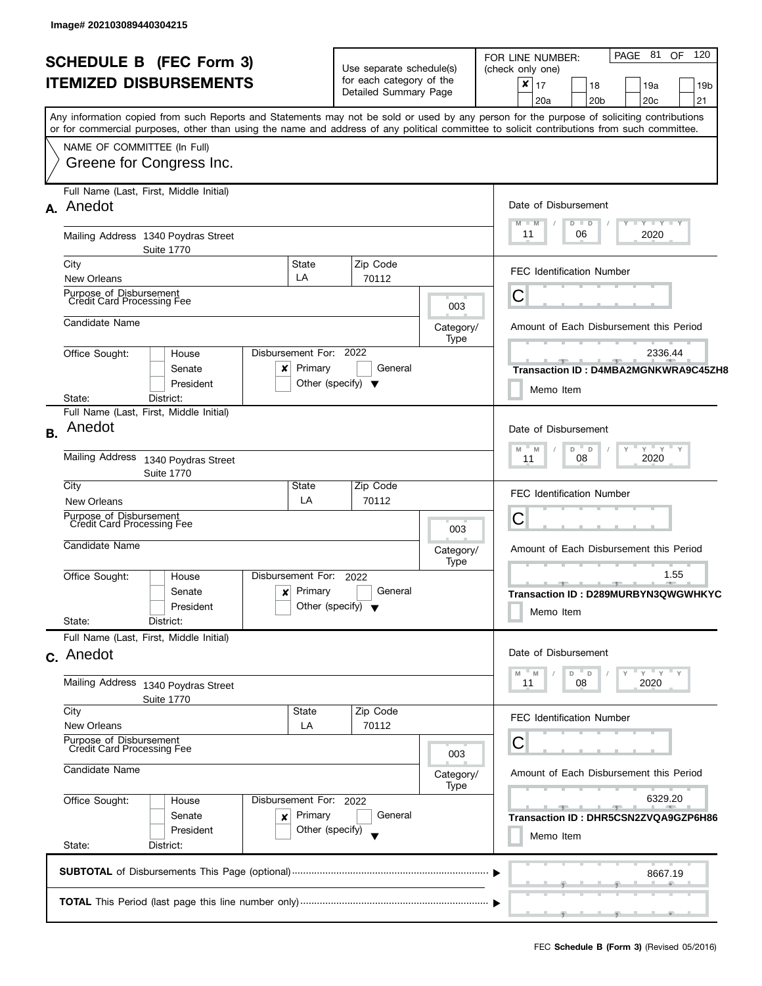| <b>SCHEDULE B (FEC Form 3)</b><br>Use separate schedule(s)<br>for each category of the<br><b>ITEMIZED DISBURSEMENTS</b><br>Detailed Summary Page<br>Any information copied from such Reports and Statements may not be sold or used by any person for the purpose of soliciting contributions<br>or for commercial purposes, other than using the name and address of any political committee to solicit contributions from such committee.<br>NAME OF COMMITTEE (In Full)<br>Greene for Congress Inc.<br>Full Name (Last, First, Middle Initial)<br>A. Anedot<br>Mailing Address 1340 Poydras Street<br><b>Suite 1770</b><br>City<br>State<br>Zip Code<br>LA<br><b>New Orleans</b><br>70112<br>Purpose of Disbursement<br>Credit Card Processing Fee<br>003<br>Candidate Name<br>Category/<br>Type<br>Disbursement For: 2022<br>Office Sought:<br>House<br>Primary<br>General<br>Senate<br>×<br>Other (specify) $\blacktriangledown$<br>President<br>District:<br>State:<br>Full Name (Last, First, Middle Initial)<br>Anedot<br><b>B.</b><br><b>Mailing Address</b><br>1340 Poydras Street<br><b>Suite 1770</b><br>City<br>Zip Code<br>State<br>LA<br>70112<br><b>New Orleans</b><br>Purpose of Disbursement<br>Credit Card Processing Fee<br>003<br>Candidate Name<br>Category/<br>Type<br>Disbursement For:<br>Office Sought:<br>2022<br>House<br>Primary<br>General<br>Senate<br>×<br>Other (specify) $\blacktriangledown$<br>President<br>State:<br>District:<br>Full Name (Last, First, Middle Initial)<br>c. Anedot<br>Mailing Address<br>1340 Poydras Street<br><b>Suite 1770</b><br>City<br>State<br>Zip Code<br><b>New Orleans</b><br>LA<br>70112<br>Purpose of Disbursement<br>Credit Card Processing Fee<br>003<br>Candidate Name<br>Category/<br>Type<br>Office Sought:<br>Disbursement For: 2022<br>House |                                                                |  |  |  |  |  |
|--------------------------------------------------------------------------------------------------------------------------------------------------------------------------------------------------------------------------------------------------------------------------------------------------------------------------------------------------------------------------------------------------------------------------------------------------------------------------------------------------------------------------------------------------------------------------------------------------------------------------------------------------------------------------------------------------------------------------------------------------------------------------------------------------------------------------------------------------------------------------------------------------------------------------------------------------------------------------------------------------------------------------------------------------------------------------------------------------------------------------------------------------------------------------------------------------------------------------------------------------------------------------------------------------------------------------------------------------------------------------------------------------------------------------------------------------------------------------------------------------------------------------------------------------------------------------------------------------------------------------------------------------------------------------------------------------------------------------------------------------------------------------------------------------------------------------|----------------------------------------------------------------|--|--|--|--|--|
|                                                                                                                                                                                                                                                                                                                                                                                                                                                                                                                                                                                                                                                                                                                                                                                                                                                                                                                                                                                                                                                                                                                                                                                                                                                                                                                                                                                                                                                                                                                                                                                                                                                                                                                                                                                                                          | PAGE 81<br>120<br>OF<br>FOR LINE NUMBER:<br>(check only one)   |  |  |  |  |  |
|                                                                                                                                                                                                                                                                                                                                                                                                                                                                                                                                                                                                                                                                                                                                                                                                                                                                                                                                                                                                                                                                                                                                                                                                                                                                                                                                                                                                                                                                                                                                                                                                                                                                                                                                                                                                                          | $\pmb{\times}$<br>17<br>18<br>19a<br>19 <sub>b</sub>           |  |  |  |  |  |
|                                                                                                                                                                                                                                                                                                                                                                                                                                                                                                                                                                                                                                                                                                                                                                                                                                                                                                                                                                                                                                                                                                                                                                                                                                                                                                                                                                                                                                                                                                                                                                                                                                                                                                                                                                                                                          | 20 <sub>b</sub><br>20c<br>21<br>20a                            |  |  |  |  |  |
|                                                                                                                                                                                                                                                                                                                                                                                                                                                                                                                                                                                                                                                                                                                                                                                                                                                                                                                                                                                                                                                                                                                                                                                                                                                                                                                                                                                                                                                                                                                                                                                                                                                                                                                                                                                                                          |                                                                |  |  |  |  |  |
|                                                                                                                                                                                                                                                                                                                                                                                                                                                                                                                                                                                                                                                                                                                                                                                                                                                                                                                                                                                                                                                                                                                                                                                                                                                                                                                                                                                                                                                                                                                                                                                                                                                                                                                                                                                                                          |                                                                |  |  |  |  |  |
|                                                                                                                                                                                                                                                                                                                                                                                                                                                                                                                                                                                                                                                                                                                                                                                                                                                                                                                                                                                                                                                                                                                                                                                                                                                                                                                                                                                                                                                                                                                                                                                                                                                                                                                                                                                                                          |                                                                |  |  |  |  |  |
|                                                                                                                                                                                                                                                                                                                                                                                                                                                                                                                                                                                                                                                                                                                                                                                                                                                                                                                                                                                                                                                                                                                                                                                                                                                                                                                                                                                                                                                                                                                                                                                                                                                                                                                                                                                                                          |                                                                |  |  |  |  |  |
|                                                                                                                                                                                                                                                                                                                                                                                                                                                                                                                                                                                                                                                                                                                                                                                                                                                                                                                                                                                                                                                                                                                                                                                                                                                                                                                                                                                                                                                                                                                                                                                                                                                                                                                                                                                                                          |                                                                |  |  |  |  |  |
|                                                                                                                                                                                                                                                                                                                                                                                                                                                                                                                                                                                                                                                                                                                                                                                                                                                                                                                                                                                                                                                                                                                                                                                                                                                                                                                                                                                                                                                                                                                                                                                                                                                                                                                                                                                                                          | Date of Disbursement                                           |  |  |  |  |  |
|                                                                                                                                                                                                                                                                                                                                                                                                                                                                                                                                                                                                                                                                                                                                                                                                                                                                                                                                                                                                                                                                                                                                                                                                                                                                                                                                                                                                                                                                                                                                                                                                                                                                                                                                                                                                                          | $T$ $Y$ $T$ $Y$ $T$ $Y$<br>$M - M$<br>$D$ $D$                  |  |  |  |  |  |
|                                                                                                                                                                                                                                                                                                                                                                                                                                                                                                                                                                                                                                                                                                                                                                                                                                                                                                                                                                                                                                                                                                                                                                                                                                                                                                                                                                                                                                                                                                                                                                                                                                                                                                                                                                                                                          | 11<br>2020<br>06                                               |  |  |  |  |  |
|                                                                                                                                                                                                                                                                                                                                                                                                                                                                                                                                                                                                                                                                                                                                                                                                                                                                                                                                                                                                                                                                                                                                                                                                                                                                                                                                                                                                                                                                                                                                                                                                                                                                                                                                                                                                                          |                                                                |  |  |  |  |  |
|                                                                                                                                                                                                                                                                                                                                                                                                                                                                                                                                                                                                                                                                                                                                                                                                                                                                                                                                                                                                                                                                                                                                                                                                                                                                                                                                                                                                                                                                                                                                                                                                                                                                                                                                                                                                                          | <b>FEC Identification Number</b>                               |  |  |  |  |  |
|                                                                                                                                                                                                                                                                                                                                                                                                                                                                                                                                                                                                                                                                                                                                                                                                                                                                                                                                                                                                                                                                                                                                                                                                                                                                                                                                                                                                                                                                                                                                                                                                                                                                                                                                                                                                                          |                                                                |  |  |  |  |  |
|                                                                                                                                                                                                                                                                                                                                                                                                                                                                                                                                                                                                                                                                                                                                                                                                                                                                                                                                                                                                                                                                                                                                                                                                                                                                                                                                                                                                                                                                                                                                                                                                                                                                                                                                                                                                                          | С                                                              |  |  |  |  |  |
|                                                                                                                                                                                                                                                                                                                                                                                                                                                                                                                                                                                                                                                                                                                                                                                                                                                                                                                                                                                                                                                                                                                                                                                                                                                                                                                                                                                                                                                                                                                                                                                                                                                                                                                                                                                                                          |                                                                |  |  |  |  |  |
|                                                                                                                                                                                                                                                                                                                                                                                                                                                                                                                                                                                                                                                                                                                                                                                                                                                                                                                                                                                                                                                                                                                                                                                                                                                                                                                                                                                                                                                                                                                                                                                                                                                                                                                                                                                                                          | Amount of Each Disbursement this Period                        |  |  |  |  |  |
|                                                                                                                                                                                                                                                                                                                                                                                                                                                                                                                                                                                                                                                                                                                                                                                                                                                                                                                                                                                                                                                                                                                                                                                                                                                                                                                                                                                                                                                                                                                                                                                                                                                                                                                                                                                                                          |                                                                |  |  |  |  |  |
|                                                                                                                                                                                                                                                                                                                                                                                                                                                                                                                                                                                                                                                                                                                                                                                                                                                                                                                                                                                                                                                                                                                                                                                                                                                                                                                                                                                                                                                                                                                                                                                                                                                                                                                                                                                                                          | 2336.44                                                        |  |  |  |  |  |
|                                                                                                                                                                                                                                                                                                                                                                                                                                                                                                                                                                                                                                                                                                                                                                                                                                                                                                                                                                                                                                                                                                                                                                                                                                                                                                                                                                                                                                                                                                                                                                                                                                                                                                                                                                                                                          | Transaction ID: D4MBA2MGNKWRA9C45ZH8                           |  |  |  |  |  |
|                                                                                                                                                                                                                                                                                                                                                                                                                                                                                                                                                                                                                                                                                                                                                                                                                                                                                                                                                                                                                                                                                                                                                                                                                                                                                                                                                                                                                                                                                                                                                                                                                                                                                                                                                                                                                          | Memo Item                                                      |  |  |  |  |  |
|                                                                                                                                                                                                                                                                                                                                                                                                                                                                                                                                                                                                                                                                                                                                                                                                                                                                                                                                                                                                                                                                                                                                                                                                                                                                                                                                                                                                                                                                                                                                                                                                                                                                                                                                                                                                                          |                                                                |  |  |  |  |  |
|                                                                                                                                                                                                                                                                                                                                                                                                                                                                                                                                                                                                                                                                                                                                                                                                                                                                                                                                                                                                                                                                                                                                                                                                                                                                                                                                                                                                                                                                                                                                                                                                                                                                                                                                                                                                                          | Date of Disbursement                                           |  |  |  |  |  |
|                                                                                                                                                                                                                                                                                                                                                                                                                                                                                                                                                                                                                                                                                                                                                                                                                                                                                                                                                                                                                                                                                                                                                                                                                                                                                                                                                                                                                                                                                                                                                                                                                                                                                                                                                                                                                          | $Y$ $Y$ $Y$<br>$\mathsf{Y}$<br>D<br>$\mathbb D$<br>Υ<br>M<br>M |  |  |  |  |  |
|                                                                                                                                                                                                                                                                                                                                                                                                                                                                                                                                                                                                                                                                                                                                                                                                                                                                                                                                                                                                                                                                                                                                                                                                                                                                                                                                                                                                                                                                                                                                                                                                                                                                                                                                                                                                                          | 2020<br>08<br>11                                               |  |  |  |  |  |
|                                                                                                                                                                                                                                                                                                                                                                                                                                                                                                                                                                                                                                                                                                                                                                                                                                                                                                                                                                                                                                                                                                                                                                                                                                                                                                                                                                                                                                                                                                                                                                                                                                                                                                                                                                                                                          | <b>FEC Identification Number</b>                               |  |  |  |  |  |
|                                                                                                                                                                                                                                                                                                                                                                                                                                                                                                                                                                                                                                                                                                                                                                                                                                                                                                                                                                                                                                                                                                                                                                                                                                                                                                                                                                                                                                                                                                                                                                                                                                                                                                                                                                                                                          |                                                                |  |  |  |  |  |
|                                                                                                                                                                                                                                                                                                                                                                                                                                                                                                                                                                                                                                                                                                                                                                                                                                                                                                                                                                                                                                                                                                                                                                                                                                                                                                                                                                                                                                                                                                                                                                                                                                                                                                                                                                                                                          | C                                                              |  |  |  |  |  |
|                                                                                                                                                                                                                                                                                                                                                                                                                                                                                                                                                                                                                                                                                                                                                                                                                                                                                                                                                                                                                                                                                                                                                                                                                                                                                                                                                                                                                                                                                                                                                                                                                                                                                                                                                                                                                          |                                                                |  |  |  |  |  |
|                                                                                                                                                                                                                                                                                                                                                                                                                                                                                                                                                                                                                                                                                                                                                                                                                                                                                                                                                                                                                                                                                                                                                                                                                                                                                                                                                                                                                                                                                                                                                                                                                                                                                                                                                                                                                          | Amount of Each Disbursement this Period                        |  |  |  |  |  |
|                                                                                                                                                                                                                                                                                                                                                                                                                                                                                                                                                                                                                                                                                                                                                                                                                                                                                                                                                                                                                                                                                                                                                                                                                                                                                                                                                                                                                                                                                                                                                                                                                                                                                                                                                                                                                          | 1.55                                                           |  |  |  |  |  |
|                                                                                                                                                                                                                                                                                                                                                                                                                                                                                                                                                                                                                                                                                                                                                                                                                                                                                                                                                                                                                                                                                                                                                                                                                                                                                                                                                                                                                                                                                                                                                                                                                                                                                                                                                                                                                          | -91<br>Transaction ID: D289MURBYN3QWGWHKYC                     |  |  |  |  |  |
|                                                                                                                                                                                                                                                                                                                                                                                                                                                                                                                                                                                                                                                                                                                                                                                                                                                                                                                                                                                                                                                                                                                                                                                                                                                                                                                                                                                                                                                                                                                                                                                                                                                                                                                                                                                                                          |                                                                |  |  |  |  |  |
|                                                                                                                                                                                                                                                                                                                                                                                                                                                                                                                                                                                                                                                                                                                                                                                                                                                                                                                                                                                                                                                                                                                                                                                                                                                                                                                                                                                                                                                                                                                                                                                                                                                                                                                                                                                                                          | Memo Item                                                      |  |  |  |  |  |
|                                                                                                                                                                                                                                                                                                                                                                                                                                                                                                                                                                                                                                                                                                                                                                                                                                                                                                                                                                                                                                                                                                                                                                                                                                                                                                                                                                                                                                                                                                                                                                                                                                                                                                                                                                                                                          |                                                                |  |  |  |  |  |
|                                                                                                                                                                                                                                                                                                                                                                                                                                                                                                                                                                                                                                                                                                                                                                                                                                                                                                                                                                                                                                                                                                                                                                                                                                                                                                                                                                                                                                                                                                                                                                                                                                                                                                                                                                                                                          | Date of Disbursement                                           |  |  |  |  |  |
|                                                                                                                                                                                                                                                                                                                                                                                                                                                                                                                                                                                                                                                                                                                                                                                                                                                                                                                                                                                                                                                                                                                                                                                                                                                                                                                                                                                                                                                                                                                                                                                                                                                                                                                                                                                                                          | $Y = Y$<br>$D$ $D$<br>M                                        |  |  |  |  |  |
|                                                                                                                                                                                                                                                                                                                                                                                                                                                                                                                                                                                                                                                                                                                                                                                                                                                                                                                                                                                                                                                                                                                                                                                                                                                                                                                                                                                                                                                                                                                                                                                                                                                                                                                                                                                                                          | 08<br>2020<br>11                                               |  |  |  |  |  |
|                                                                                                                                                                                                                                                                                                                                                                                                                                                                                                                                                                                                                                                                                                                                                                                                                                                                                                                                                                                                                                                                                                                                                                                                                                                                                                                                                                                                                                                                                                                                                                                                                                                                                                                                                                                                                          |                                                                |  |  |  |  |  |
|                                                                                                                                                                                                                                                                                                                                                                                                                                                                                                                                                                                                                                                                                                                                                                                                                                                                                                                                                                                                                                                                                                                                                                                                                                                                                                                                                                                                                                                                                                                                                                                                                                                                                                                                                                                                                          | <b>FEC Identification Number</b>                               |  |  |  |  |  |
|                                                                                                                                                                                                                                                                                                                                                                                                                                                                                                                                                                                                                                                                                                                                                                                                                                                                                                                                                                                                                                                                                                                                                                                                                                                                                                                                                                                                                                                                                                                                                                                                                                                                                                                                                                                                                          | C                                                              |  |  |  |  |  |
|                                                                                                                                                                                                                                                                                                                                                                                                                                                                                                                                                                                                                                                                                                                                                                                                                                                                                                                                                                                                                                                                                                                                                                                                                                                                                                                                                                                                                                                                                                                                                                                                                                                                                                                                                                                                                          |                                                                |  |  |  |  |  |
|                                                                                                                                                                                                                                                                                                                                                                                                                                                                                                                                                                                                                                                                                                                                                                                                                                                                                                                                                                                                                                                                                                                                                                                                                                                                                                                                                                                                                                                                                                                                                                                                                                                                                                                                                                                                                          | Amount of Each Disbursement this Period                        |  |  |  |  |  |
|                                                                                                                                                                                                                                                                                                                                                                                                                                                                                                                                                                                                                                                                                                                                                                                                                                                                                                                                                                                                                                                                                                                                                                                                                                                                                                                                                                                                                                                                                                                                                                                                                                                                                                                                                                                                                          |                                                                |  |  |  |  |  |
|                                                                                                                                                                                                                                                                                                                                                                                                                                                                                                                                                                                                                                                                                                                                                                                                                                                                                                                                                                                                                                                                                                                                                                                                                                                                                                                                                                                                                                                                                                                                                                                                                                                                                                                                                                                                                          | 6329.20                                                        |  |  |  |  |  |
| Primary<br>Senate<br>General<br>×                                                                                                                                                                                                                                                                                                                                                                                                                                                                                                                                                                                                                                                                                                                                                                                                                                                                                                                                                                                                                                                                                                                                                                                                                                                                                                                                                                                                                                                                                                                                                                                                                                                                                                                                                                                        | Transaction ID: DHR5CSN2ZVQA9GZP6H86                           |  |  |  |  |  |
| President<br>Other (specify)                                                                                                                                                                                                                                                                                                                                                                                                                                                                                                                                                                                                                                                                                                                                                                                                                                                                                                                                                                                                                                                                                                                                                                                                                                                                                                                                                                                                                                                                                                                                                                                                                                                                                                                                                                                             | Memo Item                                                      |  |  |  |  |  |
| State:<br>District:                                                                                                                                                                                                                                                                                                                                                                                                                                                                                                                                                                                                                                                                                                                                                                                                                                                                                                                                                                                                                                                                                                                                                                                                                                                                                                                                                                                                                                                                                                                                                                                                                                                                                                                                                                                                      |                                                                |  |  |  |  |  |
|                                                                                                                                                                                                                                                                                                                                                                                                                                                                                                                                                                                                                                                                                                                                                                                                                                                                                                                                                                                                                                                                                                                                                                                                                                                                                                                                                                                                                                                                                                                                                                                                                                                                                                                                                                                                                          |                                                                |  |  |  |  |  |
|                                                                                                                                                                                                                                                                                                                                                                                                                                                                                                                                                                                                                                                                                                                                                                                                                                                                                                                                                                                                                                                                                                                                                                                                                                                                                                                                                                                                                                                                                                                                                                                                                                                                                                                                                                                                                          | 8667.19                                                        |  |  |  |  |  |
|                                                                                                                                                                                                                                                                                                                                                                                                                                                                                                                                                                                                                                                                                                                                                                                                                                                                                                                                                                                                                                                                                                                                                                                                                                                                                                                                                                                                                                                                                                                                                                                                                                                                                                                                                                                                                          |                                                                |  |  |  |  |  |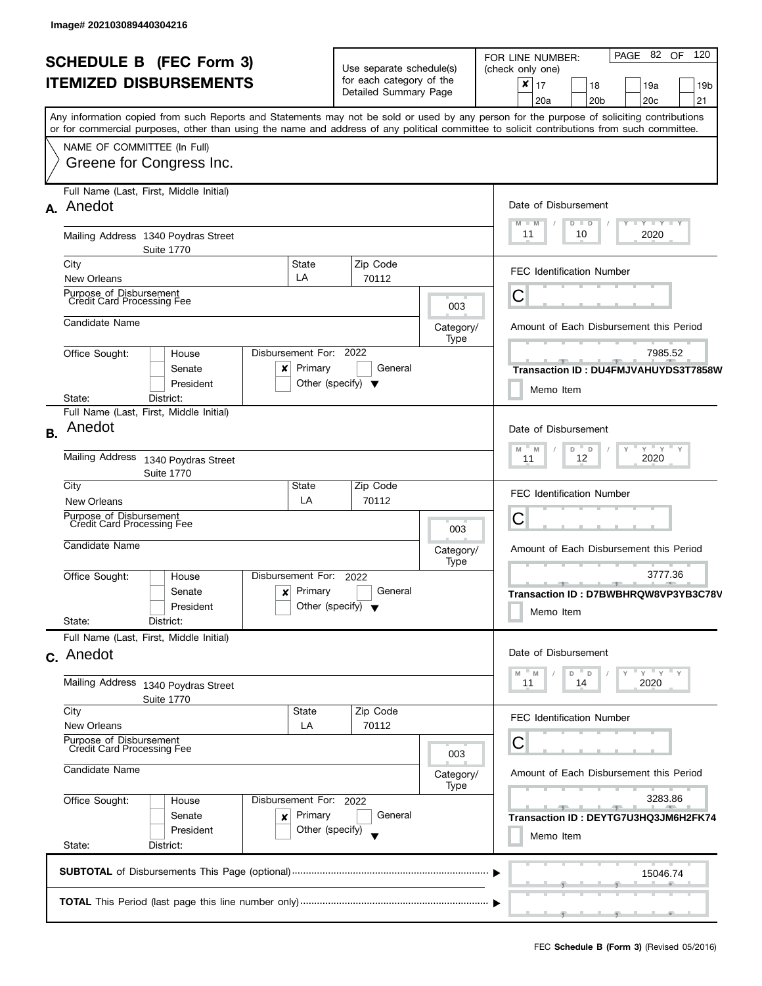|                                |                                                                                                                                                                                                                                                                                         |                                                                                           |                                                          |                   | PAGE 82 OF<br>120<br>FOR LINE NUMBER:                                                      |  |  |  |  |  |
|--------------------------------|-----------------------------------------------------------------------------------------------------------------------------------------------------------------------------------------------------------------------------------------------------------------------------------------|-------------------------------------------------------------------------------------------|----------------------------------------------------------|-------------------|--------------------------------------------------------------------------------------------|--|--|--|--|--|
| <b>SCHEDULE B (FEC Form 3)</b> |                                                                                                                                                                                                                                                                                         |                                                                                           | Use separate schedule(s)                                 |                   | (check only one)                                                                           |  |  |  |  |  |
| <b>ITEMIZED DISBURSEMENTS</b>  |                                                                                                                                                                                                                                                                                         |                                                                                           | for each category of the<br>Detailed Summary Page        |                   | ×<br>17<br>18<br>19a<br>19 <sub>b</sub><br>21<br>20a<br>20 <sub>b</sub><br>20 <sub>c</sub> |  |  |  |  |  |
|                                | Any information copied from such Reports and Statements may not be sold or used by any person for the purpose of soliciting contributions<br>or for commercial purposes, other than using the name and address of any political committee to solicit contributions from such committee. |                                                                                           |                                                          |                   |                                                                                            |  |  |  |  |  |
|                                | NAME OF COMMITTEE (In Full)                                                                                                                                                                                                                                                             |                                                                                           |                                                          |                   |                                                                                            |  |  |  |  |  |
|                                | Greene for Congress Inc.                                                                                                                                                                                                                                                                |                                                                                           |                                                          |                   |                                                                                            |  |  |  |  |  |
|                                | Full Name (Last, First, Middle Initial)<br>A. Anedot                                                                                                                                                                                                                                    |                                                                                           |                                                          |                   | Date of Disbursement                                                                       |  |  |  |  |  |
|                                | Mailing Address 1340 Poydras Street                                                                                                                                                                                                                                                     |                                                                                           |                                                          |                   | $T - Y = Y + Y$<br>$M - M$<br>Ÿ<br>D<br>$\blacksquare$<br>11<br>10<br>2020                 |  |  |  |  |  |
|                                | <b>Suite 1770</b>                                                                                                                                                                                                                                                                       |                                                                                           |                                                          |                   |                                                                                            |  |  |  |  |  |
|                                | City<br>State<br>LA<br>New Orleans                                                                                                                                                                                                                                                      |                                                                                           | Zip Code<br>70112                                        |                   | <b>FEC Identification Number</b>                                                           |  |  |  |  |  |
|                                | Purpose of Disbursement<br>Credit Card Processing Fee                                                                                                                                                                                                                                   |                                                                                           |                                                          | 003               | C                                                                                          |  |  |  |  |  |
|                                | Candidate Name                                                                                                                                                                                                                                                                          |                                                                                           |                                                          | Category/<br>Type | Amount of Each Disbursement this Period                                                    |  |  |  |  |  |
|                                | Disbursement For: 2022<br>Office Sought:<br>House                                                                                                                                                                                                                                       |                                                                                           |                                                          |                   | 7985.52                                                                                    |  |  |  |  |  |
|                                | Senate<br>x<br>President                                                                                                                                                                                                                                                                | Primary<br>Other (specify) $\blacktriangledown$                                           | General                                                  |                   | Transaction ID: DU4FMJVAHUYDS3T7858W<br>Memo Item                                          |  |  |  |  |  |
|                                | District:<br>State:                                                                                                                                                                                                                                                                     |                                                                                           |                                                          |                   |                                                                                            |  |  |  |  |  |
| <b>B.</b>                      | Full Name (Last, First, Middle Initial)<br>Anedot                                                                                                                                                                                                                                       |                                                                                           |                                                          |                   | Date of Disbursement                                                                       |  |  |  |  |  |
|                                | Mailing Address 1340 Poydras Street<br><b>Suite 1770</b>                                                                                                                                                                                                                                | $Y$ $Y$ $Y$<br>$M$ <sup><math>=</math></sup><br>M<br>$\mathsf D$<br>D<br>11<br>12<br>2020 |                                                          |                   |                                                                                            |  |  |  |  |  |
|                                | City<br>State<br><b>New Orleans</b>                                                                                                                                                                                                                                                     | LA                                                                                        | Zip Code<br>70112                                        |                   | <b>FEC Identification Number</b>                                                           |  |  |  |  |  |
|                                | Purpose of Disbursement<br>Credit Card Processing Fee                                                                                                                                                                                                                                   |                                                                                           |                                                          |                   | С                                                                                          |  |  |  |  |  |
|                                | Candidate Name                                                                                                                                                                                                                                                                          |                                                                                           |                                                          | 003<br>Category/  | Amount of Each Disbursement this Period                                                    |  |  |  |  |  |
|                                | Disbursement For:<br>Office Sought:<br>House                                                                                                                                                                                                                                            |                                                                                           | 2022                                                     | Type              | 3777.36<br>$-9$                                                                            |  |  |  |  |  |
|                                | Senate<br>x<br>President                                                                                                                                                                                                                                                                | Primary<br>Other (specify) $\blacktriangledown$                                           | General                                                  |                   | Transaction ID: D7BWBHRQW8VP3YB3C78V<br>Memo Item                                          |  |  |  |  |  |
|                                | State:<br>District:                                                                                                                                                                                                                                                                     |                                                                                           |                                                          |                   |                                                                                            |  |  |  |  |  |
|                                | Full Name (Last, First, Middle Initial)<br>c. Anedot                                                                                                                                                                                                                                    |                                                                                           |                                                          |                   | Date of Disbursement                                                                       |  |  |  |  |  |
|                                | Mailing Address 1340 Poydras Street                                                                                                                                                                                                                                                     |                                                                                           | $-$ Y<br>Y<br>$- M$<br>- D<br>M<br>D<br>11<br>2020<br>14 |                   |                                                                                            |  |  |  |  |  |
|                                | <b>Suite 1770</b><br>City<br><b>New Orleans</b>                                                                                                                                                                                                                                         | State<br>LA                                                                               | Zip Code<br>70112                                        |                   | <b>FEC Identification Number</b>                                                           |  |  |  |  |  |
|                                | Purpose of Disbursement<br>Credit Card Processing Fee                                                                                                                                                                                                                                   |                                                                                           |                                                          | 003               | С                                                                                          |  |  |  |  |  |
|                                | Candidate Name<br>Office Sought:<br>Disbursement For: 2022<br>House<br>Primary<br>Senate<br>×                                                                                                                                                                                           |                                                                                           |                                                          | Category/         | Amount of Each Disbursement this Period                                                    |  |  |  |  |  |
|                                |                                                                                                                                                                                                                                                                                         |                                                                                           |                                                          | Type              | 3283.86                                                                                    |  |  |  |  |  |
|                                |                                                                                                                                                                                                                                                                                         |                                                                                           | General                                                  |                   | $-1$<br>Transaction ID : DEYTG7U3HQ3JM6H2FK74                                              |  |  |  |  |  |
|                                | President<br>State:<br>District:                                                                                                                                                                                                                                                        | Other (specify)                                                                           |                                                          |                   | Memo Item                                                                                  |  |  |  |  |  |
|                                |                                                                                                                                                                                                                                                                                         |                                                                                           |                                                          |                   | 15046.74                                                                                   |  |  |  |  |  |
|                                |                                                                                                                                                                                                                                                                                         |                                                                                           |                                                          |                   |                                                                                            |  |  |  |  |  |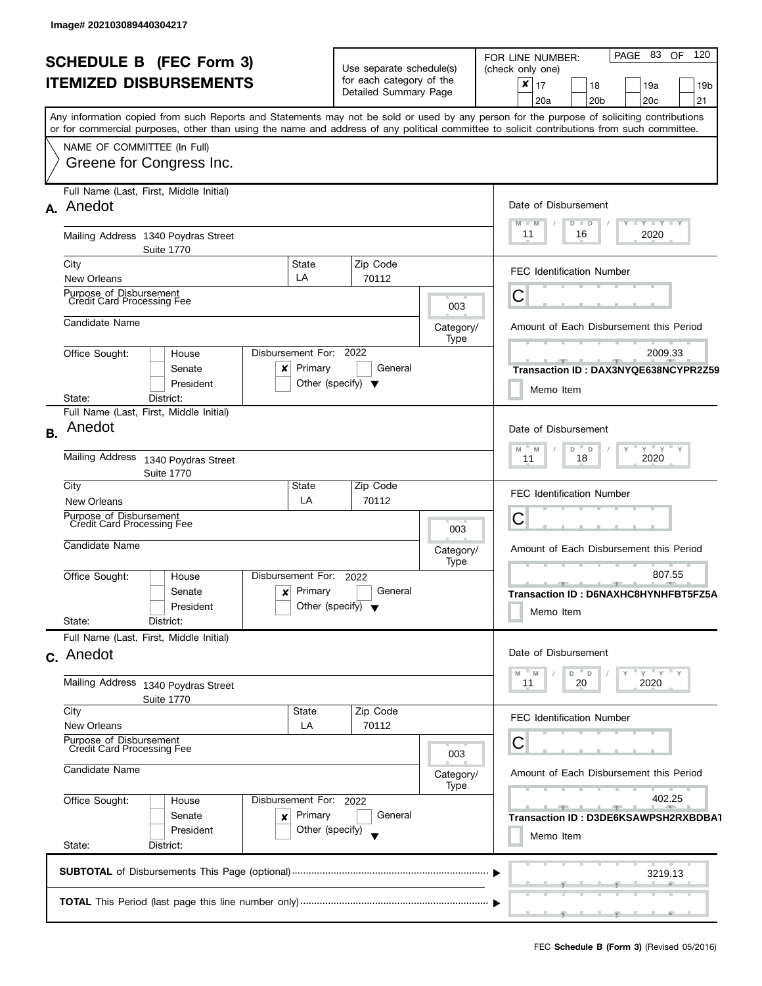| <b>SCHEDULE B (FEC Form 3)</b> |                                                                                                                                            |                    | Use separate schedule(s) |                                                   |   | PAGE 83 OF 120<br>FOR LINE NUMBER:<br>(check only one) |                                         |                 |             |                                                 |        |                 |
|--------------------------------|--------------------------------------------------------------------------------------------------------------------------------------------|--------------------|--------------------------|---------------------------------------------------|---|--------------------------------------------------------|-----------------------------------------|-----------------|-------------|-------------------------------------------------|--------|-----------------|
| <b>ITEMIZED DISBURSEMENTS</b>  |                                                                                                                                            |                    | for each category of the |                                                   |   | ×<br>17                                                |                                         | 18              |             | 19a                                             |        | 19 <sub>b</sub> |
|                                |                                                                                                                                            |                    | Detailed Summary Page    |                                                   |   | 20a                                                    |                                         | 20 <sub>b</sub> |             | 20c                                             |        | 21              |
|                                | Any information copied from such Reports and Statements may not be sold or used by any person for the purpose of soliciting contributions  |                    |                          |                                                   |   |                                                        |                                         |                 |             |                                                 |        |                 |
|                                | or for commercial purposes, other than using the name and address of any political committee to solicit contributions from such committee. |                    |                          |                                                   |   |                                                        |                                         |                 |             |                                                 |        |                 |
|                                | NAME OF COMMITTEE (In Full)                                                                                                                |                    |                          |                                                   |   |                                                        |                                         |                 |             |                                                 |        |                 |
|                                | Greene for Congress Inc.                                                                                                                   |                    |                          |                                                   |   |                                                        |                                         |                 |             |                                                 |        |                 |
|                                | Full Name (Last, First, Middle Initial)                                                                                                    |                    |                          |                                                   |   |                                                        |                                         |                 |             |                                                 |        |                 |
|                                | A. Anedot                                                                                                                                  |                    |                          |                                                   |   | Date of Disbursement                                   |                                         |                 |             |                                                 |        |                 |
|                                |                                                                                                                                            |                    |                          |                                                   |   | $M - M$                                                | D<br>$\blacksquare$                     |                 |             | $\bot$ $\gamma$ $\bot$ $\gamma$ $\bot$ $\gamma$ |        |                 |
|                                | Mailing Address 1340 Poydras Street                                                                                                        |                    |                          |                                                   |   | 11                                                     | 16                                      |                 |             | 2020                                            |        |                 |
|                                | <b>Suite 1770</b><br>State                                                                                                                 |                    |                          |                                                   |   |                                                        |                                         |                 |             |                                                 |        |                 |
|                                | City<br>LA<br>New Orleans                                                                                                                  |                    | Zip Code<br>70112        |                                                   |   | <b>FEC Identification Number</b>                       |                                         |                 |             |                                                 |        |                 |
|                                | Purpose of Disbursement                                                                                                                    |                    |                          |                                                   |   |                                                        |                                         |                 |             |                                                 |        |                 |
|                                | <b>Credit Card Processing Fee</b>                                                                                                          |                    |                          | 003                                               | С |                                                        |                                         |                 |             |                                                 |        |                 |
|                                | Candidate Name                                                                                                                             |                    |                          | Category/                                         |   | Amount of Each Disbursement this Period                |                                         |                 |             |                                                 |        |                 |
|                                |                                                                                                                                            |                    |                          | Type                                              |   |                                                        |                                         |                 |             |                                                 |        |                 |
|                                | Disbursement For: 2022<br>Office Sought:<br>House                                                                                          |                    |                          |                                                   |   |                                                        |                                         |                 |             | 2009.33                                         |        |                 |
|                                | Primary<br>Senate<br>×                                                                                                                     |                    | General                  |                                                   |   | Transaction ID: DAX3NYQE638NCYPR2Z59                   |                                         |                 |             |                                                 |        |                 |
|                                | President<br>Other (specify) $\blacktriangledown$                                                                                          |                    |                          |                                                   |   | Memo Item                                              |                                         |                 |             |                                                 |        |                 |
|                                | State:<br>District:                                                                                                                        |                    |                          |                                                   |   |                                                        |                                         |                 |             |                                                 |        |                 |
|                                | Full Name (Last, First, Middle Initial)                                                                                                    |                    |                          |                                                   |   |                                                        |                                         |                 |             |                                                 |        |                 |
| <b>B.</b>                      | Anedot                                                                                                                                     |                    |                          |                                                   |   | Date of Disbursement                                   |                                         |                 |             |                                                 |        |                 |
|                                | Mailing Address                                                                                                                            |                    |                          | $Y$ $Y$ $Y$<br>" D<br>$\mathsf{Y}$<br>M<br>M<br>D |   |                                                        |                                         |                 |             |                                                 |        |                 |
|                                | 1340 Poydras Street<br><b>Suite 1770</b>                                                                                                   |                    | 2020<br>18<br>11         |                                                   |   |                                                        |                                         |                 |             |                                                 |        |                 |
|                                | City<br>State                                                                                                                              |                    | Zip Code                 |                                                   |   |                                                        |                                         |                 |             |                                                 |        |                 |
|                                | LA<br><b>New Orleans</b>                                                                                                                   |                    | 70112                    |                                                   |   | <b>FEC Identification Number</b>                       |                                         |                 |             |                                                 |        |                 |
|                                | Purpose of Disbursement<br><b>Credit Card Processing Fee</b>                                                                               |                    |                          |                                                   | С |                                                        |                                         |                 |             |                                                 |        |                 |
|                                |                                                                                                                                            |                    |                          | 003                                               |   |                                                        |                                         |                 |             |                                                 |        |                 |
|                                | Candidate Name                                                                                                                             |                    |                          | Category/                                         |   | Amount of Each Disbursement this Period                |                                         |                 |             |                                                 |        |                 |
|                                |                                                                                                                                            |                    |                          | Type                                              |   |                                                        |                                         |                 |             |                                                 | 807.55 |                 |
|                                | Disbursement For:<br>Office Sought:<br>House                                                                                               |                    | 2022                     |                                                   |   |                                                        |                                         |                 | <u>n – </u> |                                                 |        |                 |
|                                | Primary<br>Senate<br>$\pmb{\times}$<br>Other (specify) $\blacktriangledown$<br>President                                                   |                    | General                  |                                                   |   | Transaction ID: D6NAXHC8HYNHFBT5FZ5A                   |                                         |                 |             |                                                 |        |                 |
|                                | State:<br>District:                                                                                                                        |                    |                          |                                                   |   | Memo Item                                              |                                         |                 |             |                                                 |        |                 |
|                                | Full Name (Last, First, Middle Initial)                                                                                                    |                    |                          |                                                   |   |                                                        |                                         |                 |             |                                                 |        |                 |
|                                | c. Anedot                                                                                                                                  |                    |                          |                                                   |   | Date of Disbursement                                   |                                         |                 |             |                                                 |        |                 |
|                                |                                                                                                                                            |                    |                          |                                                   |   |                                                        |                                         |                 |             |                                                 |        |                 |
|                                | Mailing Address<br>1340 Poydras Street                                                                                                     |                    |                          |                                                   | M | " M<br>11                                              | $^{\circ}$ D<br>D<br>20                 |                 |             | $-$ Y<br>Y<br>2020                              |        |                 |
|                                | Suite 1770                                                                                                                                 |                    |                          |                                                   |   |                                                        |                                         |                 |             |                                                 |        |                 |
|                                | City<br><b>State</b>                                                                                                                       |                    | Zip Code                 |                                                   |   | <b>FEC Identification Number</b>                       |                                         |                 |             |                                                 |        |                 |
|                                | <b>New Orleans</b><br>LA                                                                                                                   |                    | 70112                    |                                                   |   |                                                        |                                         |                 |             |                                                 |        |                 |
|                                | Purpose of Disbursement<br>Credit Card Processing Fee                                                                                      |                    |                          | 003                                               | С |                                                        |                                         |                 |             |                                                 |        |                 |
|                                | Candidate Name                                                                                                                             |                    |                          |                                                   |   |                                                        |                                         |                 |             |                                                 |        |                 |
|                                | Category/<br>Type                                                                                                                          |                    |                          |                                                   |   |                                                        | Amount of Each Disbursement this Period |                 |             |                                                 |        |                 |
|                                | Office Sought:<br>Disbursement For: 2022<br>House                                                                                          |                    |                          |                                                   |   | <b>Contract Contract</b>                               |                                         |                 |             | 402.25                                          |        |                 |
|                                | Senate                                                                                                                                     | Primary<br>General |                          |                                                   |   |                                                        |                                         | $-7-$           |             |                                                 |        |                 |
|                                | ×<br>President<br>Other (specify)                                                                                                          |                    |                          |                                                   |   | Transaction ID: D3DE6KSAWPSH2RXBDBA1<br>Memo Item      |                                         |                 |             |                                                 |        |                 |
|                                | State:<br>District:                                                                                                                        |                    |                          |                                                   |   |                                                        |                                         |                 |             |                                                 |        |                 |
|                                |                                                                                                                                            |                    |                          |                                                   |   |                                                        |                                         |                 |             |                                                 |        |                 |
|                                |                                                                                                                                            |                    |                          |                                                   |   |                                                        |                                         |                 |             | 3219.13                                         |        |                 |
|                                |                                                                                                                                            |                    |                          |                                                   |   |                                                        |                                         |                 |             |                                                 |        |                 |
|                                |                                                                                                                                            |                    |                          |                                                   |   |                                                        |                                         |                 |             |                                                 | an a   |                 |
|                                |                                                                                                                                            |                    |                          |                                                   |   |                                                        |                                         |                 |             |                                                 |        |                 |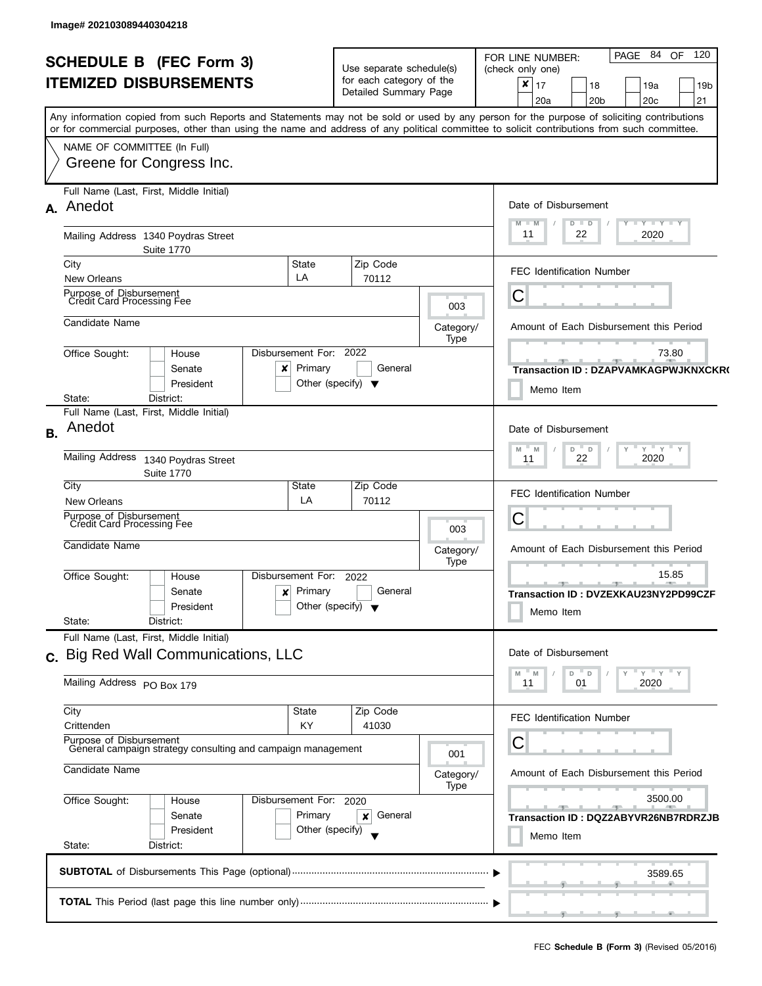| <b>SCHEDULE B</b> (FEC Form 3)<br><b>ITEMIZED DISBURSEMENTS</b>                                                               |                                                                                                           |                                                                                |                                   | Use separate schedule(s)<br>for each category of the<br>Detailed Summary Page |                   | 84<br>120<br><b>OF</b><br>PAGE<br>FOR LINE NUMBER:<br>(check only one)<br>$\boldsymbol{x}$<br>17<br>18<br>19a<br>19 <sub>b</sub><br>20 <sub>b</sub><br>20 <sub>c</sub><br>21<br>20a                                                                                                     |  |  |  |  |
|-------------------------------------------------------------------------------------------------------------------------------|-----------------------------------------------------------------------------------------------------------|--------------------------------------------------------------------------------|-----------------------------------|-------------------------------------------------------------------------------|-------------------|-----------------------------------------------------------------------------------------------------------------------------------------------------------------------------------------------------------------------------------------------------------------------------------------|--|--|--|--|
|                                                                                                                               | NAME OF COMMITTEE (In Full)                                                                               | Greene for Congress Inc.                                                       |                                   |                                                                               |                   | Any information copied from such Reports and Statements may not be sold or used by any person for the purpose of soliciting contributions<br>or for commercial purposes, other than using the name and address of any political committee to solicit contributions from such committee. |  |  |  |  |
|                                                                                                                               | A. Anedot                                                                                                 | Full Name (Last, First, Middle Initial)                                        |                                   |                                                                               |                   | Date of Disbursement<br>$\bot$ $\gamma$ $\bot$ $\gamma$ $\bot$ $\gamma$<br>M<br>$D$ $D$<br>11<br>2020<br>22                                                                                                                                                                             |  |  |  |  |
|                                                                                                                               | City<br><b>New Orleans</b>                                                                                | Mailing Address 1340 Poydras Street<br><b>Suite 1770</b>                       | State<br>LA                       | Zip Code<br>70112                                                             |                   | <b>FEC Identification Number</b>                                                                                                                                                                                                                                                        |  |  |  |  |
|                                                                                                                               | Purpose of Disbursement<br>Credit Card Processing Fee                                                     |                                                                                |                                   |                                                                               | 003               | С                                                                                                                                                                                                                                                                                       |  |  |  |  |
|                                                                                                                               | Candidate Name                                                                                            |                                                                                |                                   |                                                                               | Category/<br>Type | Amount of Each Disbursement this Period                                                                                                                                                                                                                                                 |  |  |  |  |
|                                                                                                                               | Office Sought:<br>State:                                                                                  | House<br>Senate<br>President<br>District:                                      | Disbursement For:<br>Primary<br>x | 2022<br>General<br>Other (specify) $\blacktriangledown$                       |                   | 73.80<br>$-1$<br>Transaction ID: DZAPVAMKAGPWJKNXCKR<br>Memo Item                                                                                                                                                                                                                       |  |  |  |  |
| <b>B.</b>                                                                                                                     | Anedot<br><b>Mailing Address</b>                                                                          | Full Name (Last, First, Middle Initial)                                        |                                   |                                                                               |                   | Date of Disbursement<br>$Y$ $Y$ $Y$<br>D<br>$\mathbb D$<br>Y<br>M<br>M<br>2020<br>22<br>11                                                                                                                                                                                              |  |  |  |  |
|                                                                                                                               | City                                                                                                      | 1340 Poydras Street<br><b>Suite 1770</b>                                       | State                             | Zip Code                                                                      |                   |                                                                                                                                                                                                                                                                                         |  |  |  |  |
|                                                                                                                               | New Orleans                                                                                               |                                                                                | LA                                | 70112                                                                         |                   | <b>FEC Identification Number</b>                                                                                                                                                                                                                                                        |  |  |  |  |
|                                                                                                                               | Purpose of Disbursement<br>Credit Card Processing Fee<br>Candidate Name                                   |                                                                                |                                   |                                                                               | 003<br>Category/  | С<br>Amount of Each Disbursement this Period                                                                                                                                                                                                                                            |  |  |  |  |
|                                                                                                                               | Office Sought:<br>State:                                                                                  | House<br>Senate<br>President<br>District:                                      | Disbursement For:<br>Primary<br>× | 2022<br>General<br>Other (specify) $\blacktriangledown$                       | Type              | 15.85<br>Transaction ID: DVZEXKAU23NY2PD99CZF<br>Memo Item                                                                                                                                                                                                                              |  |  |  |  |
|                                                                                                                               |                                                                                                           | Full Name (Last, First, Middle Initial)<br>c. Big Red Wall Communications, LLC |                                   |                                                                               |                   | Date of Disbursement                                                                                                                                                                                                                                                                    |  |  |  |  |
|                                                                                                                               | Mailing Address PO Box 179                                                                                |                                                                                |                                   |                                                                               |                   | $Y = Y = Y$<br>$D$ $D$<br>M<br>M<br>11<br>01<br>2020                                                                                                                                                                                                                                    |  |  |  |  |
|                                                                                                                               | City<br>Crittenden                                                                                        |                                                                                | State<br>KY                       | Zip Code<br>41030                                                             |                   | FEC Identification Number                                                                                                                                                                                                                                                               |  |  |  |  |
|                                                                                                                               | Purpose of Disbursement<br>General campaign strategy consulting and campaign management<br>Candidate Name |                                                                                |                                   |                                                                               | 001<br>Category/  | С<br>Amount of Each Disbursement this Period                                                                                                                                                                                                                                            |  |  |  |  |
| Office Sought:<br>Disbursement For: 2020<br>House<br>Primary<br>Senate<br>President<br>Other (specify)<br>State:<br>District: |                                                                                                           |                                                                                |                                   | General<br>×                                                                  | Type              | 3500.00<br>Transaction ID: DQZ2ABYVR26NB7RDRZJB<br>Memo Item                                                                                                                                                                                                                            |  |  |  |  |
|                                                                                                                               |                                                                                                           |                                                                                |                                   |                                                                               |                   | 3589.65                                                                                                                                                                                                                                                                                 |  |  |  |  |
|                                                                                                                               |                                                                                                           |                                                                                |                                   |                                                                               |                   |                                                                                                                                                                                                                                                                                         |  |  |  |  |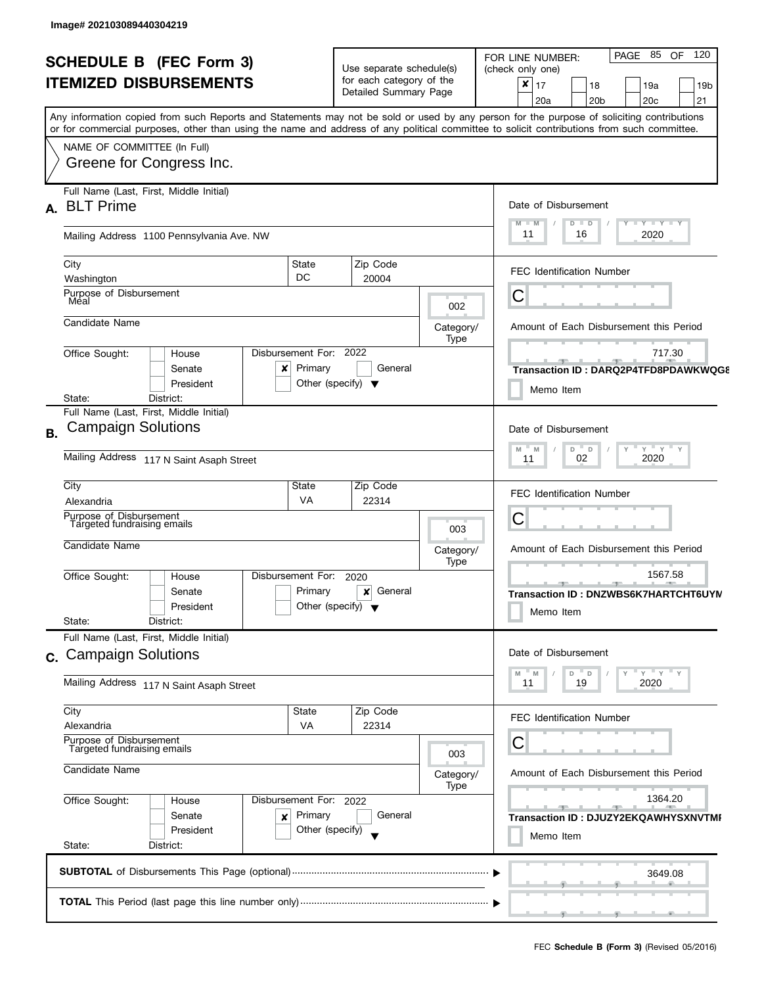|                | <b>SCHEDULE B</b> (FEC Form 3)<br><b>ITEMIZED DISBURSEMENTS</b>                                                  |                                                           | Use separate schedule(s)<br>for each category of the<br>Detailed Summary Page |                                         | 120<br>PAGE 85 OF<br>FOR LINE NUMBER:<br>(check only one)<br>$\pmb{\times}$<br>17<br>18<br>19a<br>19 <sub>b</sub><br>20 <sub>b</sub><br>20 <sub>c</sub><br>21<br>20a                                                                                                                    |
|----------------|------------------------------------------------------------------------------------------------------------------|-----------------------------------------------------------|-------------------------------------------------------------------------------|-----------------------------------------|-----------------------------------------------------------------------------------------------------------------------------------------------------------------------------------------------------------------------------------------------------------------------------------------|
|                | NAME OF COMMITTEE (In Full)<br>Greene for Congress Inc.                                                          |                                                           |                                                                               |                                         | Any information copied from such Reports and Statements may not be sold or used by any person for the purpose of soliciting contributions<br>or for commercial purposes, other than using the name and address of any political committee to solicit contributions from such committee. |
| А.             | Full Name (Last, First, Middle Initial)<br><b>BLT Prime</b>                                                      |                                                           |                                                                               |                                         | Date of Disbursement                                                                                                                                                                                                                                                                    |
|                | Mailing Address 1100 Pennsylvania Ave. NW                                                                        |                                                           |                                                                               |                                         | $T - Y = T - Y$<br>$D$ $D$<br>$-M$<br>2020<br>11<br>16                                                                                                                                                                                                                                  |
|                | City<br>Washington                                                                                               | State<br>DC                                               | Zip Code<br>20004                                                             |                                         | <b>FEC Identification Number</b>                                                                                                                                                                                                                                                        |
|                | Purpose of Disbursement<br>Meal<br>Candidate Name                                                                |                                                           |                                                                               | 002                                     | C                                                                                                                                                                                                                                                                                       |
|                | Office Sought:<br>House<br>Senate<br>President<br>District:<br>State:                                            | Disbursement For:<br>Primary<br>x                         | 2022<br>General<br>Other (specify) $\blacktriangledown$                       | Category/<br>Type                       | Amount of Each Disbursement this Period<br>717.30<br>Transaction ID: DARQ2P4TFD8PDAWKWQG8<br>Memo Item                                                                                                                                                                                  |
| Β.             | Full Name (Last, First, Middle Initial)<br><b>Campaign Solutions</b><br>Mailing Address 117 N Saint Asaph Street |                                                           |                                                                               |                                         | Date of Disbursement<br>$Y$ $Y$ $Y$<br>D<br>M<br>$\Box$<br>M<br>2020<br>02<br>11                                                                                                                                                                                                        |
|                | City<br>Alexandria<br>Purpose of Disbursement                                                                    | State<br><b>VA</b>                                        | Zip Code<br>22314                                                             |                                         | <b>FEC Identification Number</b><br>С                                                                                                                                                                                                                                                   |
|                | Targeted fundraising emails<br>Candidate Name                                                                    |                                                           |                                                                               | 003<br>Category/<br>Type                | Amount of Each Disbursement this Period                                                                                                                                                                                                                                                 |
|                | Office Sought:<br>House<br>Senate<br>President<br>State:<br>District:                                            | Disbursement For:<br>Primary                              | 2020<br>General<br>×<br>Other (specify) $\blacktriangledown$                  |                                         | 1567.58<br>_______________<br>Transaction ID: DNZWBS6K7HARTCHT6UYN<br>Memo Item                                                                                                                                                                                                         |
| $\mathbf{C}$ . | Full Name (Last, First, Middle Initial)<br><b>Campaign Solutions</b>                                             | Date of Disbursement                                      |                                                                               |                                         |                                                                                                                                                                                                                                                                                         |
|                | Mailing Address 117 N Saint Asaph Street                                                                         |                                                           |                                                                               |                                         | Y''Y''<br>D<br>$\mathsf D$<br>M<br>2020<br>11<br>19                                                                                                                                                                                                                                     |
|                | City<br>Alexandria<br>Purpose of Disbursement<br>Targeted fundraising emails                                     | State<br><b>VA</b>                                        | Zip Code<br>22314                                                             | 003                                     | <b>FEC Identification Number</b><br>С                                                                                                                                                                                                                                                   |
|                | Candidate Name                                                                                                   |                                                           | Category/<br>Type                                                             | Amount of Each Disbursement this Period |                                                                                                                                                                                                                                                                                         |
|                | Office Sought:<br>House<br>Senate<br>President<br>State:<br>District:                                            | Disbursement For: 2022<br>Primary<br>×<br>Other (specify) | General                                                                       |                                         | 1364.20<br>Transaction ID: DJUZY2EKQAWHYSXNVTMI<br>Memo Item                                                                                                                                                                                                                            |
|                |                                                                                                                  |                                                           |                                                                               |                                         |                                                                                                                                                                                                                                                                                         |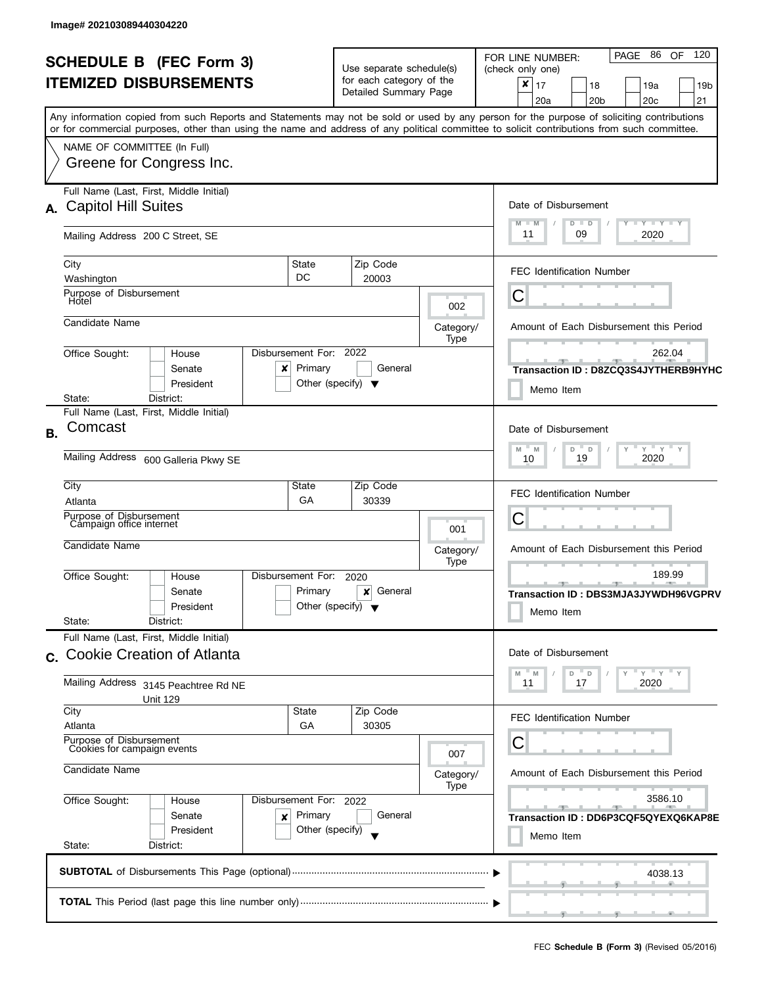|    |                                                                                                                                                                                                                                                                                         |                                                                 |                                                   |                   | 120<br>PAGE 86 OF<br>FOR LINE NUMBER:                             |  |
|----|-----------------------------------------------------------------------------------------------------------------------------------------------------------------------------------------------------------------------------------------------------------------------------------------|-----------------------------------------------------------------|---------------------------------------------------|-------------------|-------------------------------------------------------------------|--|
|    | <b>SCHEDULE B (FEC Form 3)</b><br><b>ITEMIZED DISBURSEMENTS</b>                                                                                                                                                                                                                         |                                                                 | Use separate schedule(s)                          |                   | (check only one)                                                  |  |
|    |                                                                                                                                                                                                                                                                                         |                                                                 | for each category of the<br>Detailed Summary Page |                   | ×<br>17<br>18<br>19a<br>19 <sub>b</sub>                           |  |
|    |                                                                                                                                                                                                                                                                                         |                                                                 |                                                   |                   | 21<br>20a<br>20 <sub>b</sub><br>20 <sub>c</sub>                   |  |
|    | Any information copied from such Reports and Statements may not be sold or used by any person for the purpose of soliciting contributions<br>or for commercial purposes, other than using the name and address of any political committee to solicit contributions from such committee. |                                                                 |                                                   |                   |                                                                   |  |
|    | NAME OF COMMITTEE (In Full)                                                                                                                                                                                                                                                             |                                                                 |                                                   |                   |                                                                   |  |
|    | Greene for Congress Inc.                                                                                                                                                                                                                                                                |                                                                 |                                                   |                   |                                                                   |  |
|    |                                                                                                                                                                                                                                                                                         |                                                                 |                                                   |                   |                                                                   |  |
|    | Full Name (Last, First, Middle Initial)                                                                                                                                                                                                                                                 |                                                                 |                                                   |                   |                                                                   |  |
| А. | <b>Capitol Hill Suites</b>                                                                                                                                                                                                                                                              |                                                                 |                                                   |                   | Date of Disbursement                                              |  |
|    | Mailing Address 200 C Street, SE                                                                                                                                                                                                                                                        |                                                                 |                                                   |                   | $T - Y$ $T - Y$ $T - Y$<br>$M - M$<br>$D$ $D$<br>11<br>09<br>2020 |  |
|    |                                                                                                                                                                                                                                                                                         |                                                                 |                                                   |                   |                                                                   |  |
|    | City<br>State                                                                                                                                                                                                                                                                           |                                                                 | Zip Code                                          |                   | <b>FEC Identification Number</b>                                  |  |
|    | DC<br>Washington<br>Purpose of Disbursement                                                                                                                                                                                                                                             |                                                                 | 20003                                             |                   |                                                                   |  |
|    | Hotel                                                                                                                                                                                                                                                                                   |                                                                 |                                                   | 002               | С                                                                 |  |
|    | Candidate Name                                                                                                                                                                                                                                                                          |                                                                 |                                                   | Category/         | Amount of Each Disbursement this Period                           |  |
|    |                                                                                                                                                                                                                                                                                         |                                                                 |                                                   | Type              |                                                                   |  |
|    | Disbursement For: 2022<br>Office Sought:<br>House                                                                                                                                                                                                                                       |                                                                 |                                                   |                   | 262.04                                                            |  |
|    | Senate<br>x<br>President                                                                                                                                                                                                                                                                | Primary<br>Other (specify) $\blacktriangledown$                 | General                                           |                   | Transaction ID: D8ZCQ3S4JYTHERB9HYHC                              |  |
|    | District:<br>State:                                                                                                                                                                                                                                                                     |                                                                 |                                                   |                   | Memo Item                                                         |  |
|    | Full Name (Last, First, Middle Initial)                                                                                                                                                                                                                                                 |                                                                 |                                                   |                   |                                                                   |  |
| В. | Comcast                                                                                                                                                                                                                                                                                 |                                                                 |                                                   |                   |                                                                   |  |
|    |                                                                                                                                                                                                                                                                                         | $-\gamma + \gamma + \gamma$<br>$-M$<br>$\overline{a}$<br>M<br>D |                                                   |                   |                                                                   |  |
|    | Mailing Address 600 Galleria Pkwy SE                                                                                                                                                                                                                                                    | 19<br>2020<br>10                                                |                                                   |                   |                                                                   |  |
|    | City<br>State                                                                                                                                                                                                                                                                           |                                                                 | Zip Code                                          |                   |                                                                   |  |
|    | Atlanta                                                                                                                                                                                                                                                                                 | GA                                                              | 30339                                             |                   | <b>FEC Identification Number</b>                                  |  |
|    | Purpose of Disbursement<br>Campaign office internet                                                                                                                                                                                                                                     |                                                                 |                                                   | 001               | С                                                                 |  |
|    | Candidate Name                                                                                                                                                                                                                                                                          |                                                                 |                                                   |                   |                                                                   |  |
|    |                                                                                                                                                                                                                                                                                         |                                                                 |                                                   | Category/<br>Type | Amount of Each Disbursement this Period                           |  |
|    | Disbursement For:<br>Office Sought:<br>House                                                                                                                                                                                                                                            |                                                                 | 2020                                              |                   | 189.99                                                            |  |
|    | Senate                                                                                                                                                                                                                                                                                  | Primary                                                         | General<br>×                                      |                   | $-9$<br>Transaction ID: DBS3MJA3JYWDH96VGPRV                      |  |
|    | President                                                                                                                                                                                                                                                                               | Other (specify) $\blacktriangledown$                            |                                                   |                   | Memo Item                                                         |  |
|    | State:<br>District:<br>Full Name (Last, First, Middle Initial)                                                                                                                                                                                                                          |                                                                 |                                                   |                   |                                                                   |  |
|    | <b>Cookie Creation of Atlanta</b>                                                                                                                                                                                                                                                       |                                                                 |                                                   |                   | Date of Disbursement                                              |  |
| C. |                                                                                                                                                                                                                                                                                         |                                                                 |                                                   |                   | $-$ Y<br>Y<br>$- M$<br>- D<br>M<br>D                              |  |
|    | Mailing Address 3145 Peachtree Rd NE                                                                                                                                                                                                                                                    | 11<br>17<br>2020                                                |                                                   |                   |                                                                   |  |
|    | Unit 129<br>City<br>State                                                                                                                                                                                                                                                               |                                                                 | Zip Code                                          |                   |                                                                   |  |
|    | Atlanta                                                                                                                                                                                                                                                                                 | GA                                                              | 30305                                             |                   | <b>FEC Identification Number</b>                                  |  |
|    | Purpose of Disbursement                                                                                                                                                                                                                                                                 |                                                                 |                                                   |                   | С                                                                 |  |
|    | Cookies for campaign events                                                                                                                                                                                                                                                             |                                                                 |                                                   | 007               |                                                                   |  |
|    | Candidate Name                                                                                                                                                                                                                                                                          |                                                                 |                                                   | Category/         | Amount of Each Disbursement this Period                           |  |
|    | Office Sought:<br>Disbursement For: 2022<br>House                                                                                                                                                                                                                                       |                                                                 |                                                   | Type              | 3586.10                                                           |  |
|    | Senate<br>×                                                                                                                                                                                                                                                                             | Primary                                                         | General                                           |                   | $-1$<br>$-9-$<br>Transaction ID : DD6P3CQF5QYEXQ6KAP8E            |  |
|    | President                                                                                                                                                                                                                                                                               | Other (specify)                                                 |                                                   |                   | Memo Item                                                         |  |
|    | State:<br>District:                                                                                                                                                                                                                                                                     |                                                                 |                                                   |                   |                                                                   |  |
|    |                                                                                                                                                                                                                                                                                         |                                                                 |                                                   |                   | 4038.13                                                           |  |
|    |                                                                                                                                                                                                                                                                                         |                                                                 |                                                   |                   |                                                                   |  |
|    |                                                                                                                                                                                                                                                                                         |                                                                 |                                                   |                   |                                                                   |  |
|    |                                                                                                                                                                                                                                                                                         |                                                                 |                                                   |                   |                                                                   |  |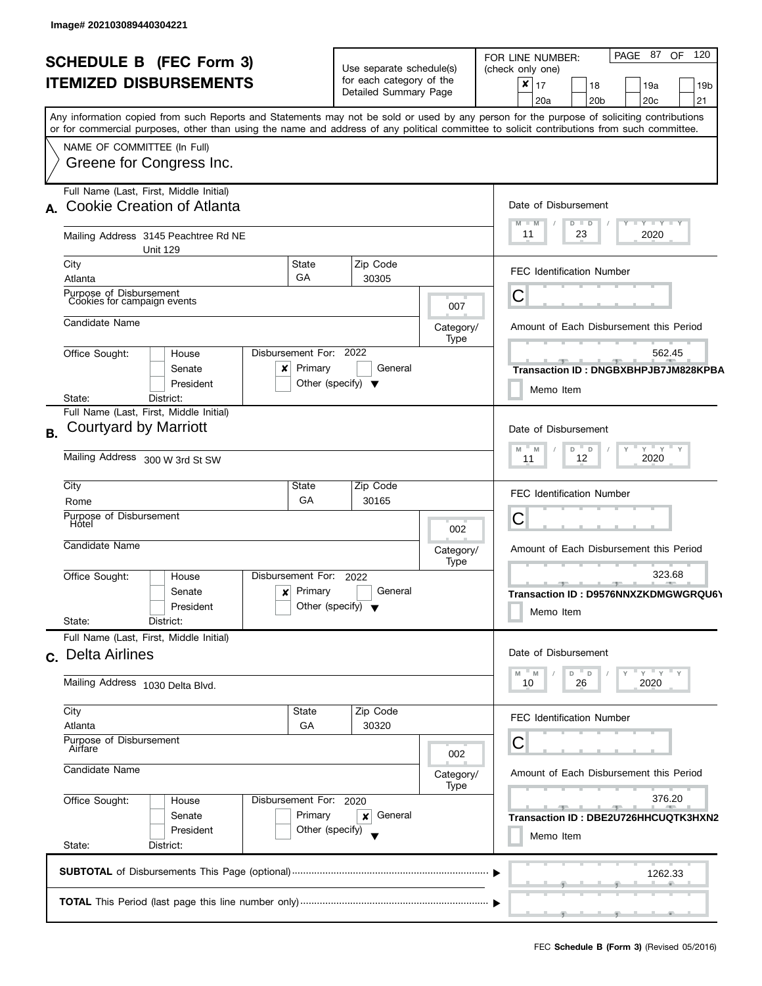| <b>SCHEDULE B (FEC Form 3)</b><br><b>ITEMIZED DISBURSEMENTS</b>                                                                            |                                                              | Use separate schedule(s)                          | PAGE 87 OF 120<br>FOR LINE NUMBER:<br>(check only one) |  |  |
|--------------------------------------------------------------------------------------------------------------------------------------------|--------------------------------------------------------------|---------------------------------------------------|--------------------------------------------------------|--|--|
|                                                                                                                                            |                                                              | for each category of the<br>Detailed Summary Page | ×<br>17<br>18<br>19a<br>19 <sub>b</sub>                |  |  |
| Any information copied from such Reports and Statements may not be sold or used by any person for the purpose of soliciting contributions  |                                                              |                                                   | 21<br>20a<br>20 <sub>b</sub><br>20 <sub>c</sub>        |  |  |
| or for commercial purposes, other than using the name and address of any political committee to solicit contributions from such committee. |                                                              |                                                   |                                                        |  |  |
| NAME OF COMMITTEE (In Full)                                                                                                                |                                                              |                                                   |                                                        |  |  |
| Greene for Congress Inc.                                                                                                                   |                                                              |                                                   |                                                        |  |  |
| Full Name (Last, First, Middle Initial)<br><b>Cookie Creation of Atlanta</b>                                                               |                                                              |                                                   | Date of Disbursement                                   |  |  |
| A.                                                                                                                                         |                                                              |                                                   | $T - Y = Y + Y$<br>$M - M$<br>D<br>$\blacksquare$      |  |  |
| Mailing Address 3145 Peachtree Rd NE<br><b>Unit 129</b>                                                                                    |                                                              |                                                   | 11<br>23<br>2020                                       |  |  |
| City                                                                                                                                       | State                                                        | Zip Code                                          | <b>FEC Identification Number</b>                       |  |  |
| Atlanta                                                                                                                                    | GA                                                           | 30305                                             |                                                        |  |  |
| Purpose of Disbursement<br>Cookies for campaign events                                                                                     |                                                              | 007                                               | С                                                      |  |  |
| Candidate Name                                                                                                                             |                                                              | Category/                                         | Amount of Each Disbursement this Period                |  |  |
| Office Sought:<br>House                                                                                                                    | Disbursement For: 2022                                       | Type                                              | 562.45                                                 |  |  |
| Senate                                                                                                                                     | Primary<br>x                                                 | General                                           | Transaction ID: DNGBXBHPJB7JM828KPBA                   |  |  |
| President                                                                                                                                  | Other (specify) $\blacktriangledown$                         |                                                   | Memo Item                                              |  |  |
| District:<br>State:<br>Full Name (Last, First, Middle Initial)                                                                             |                                                              |                                                   |                                                        |  |  |
| Courtyard by Marriott<br><b>B.</b>                                                                                                         |                                                              |                                                   | Date of Disbursement                                   |  |  |
|                                                                                                                                            | $Y$ $Y$ $Y$ $Y$<br>$M - M$<br>$\overline{a}$<br>D            |                                                   |                                                        |  |  |
| Mailing Address 300 W 3rd St SW                                                                                                            | 12<br>2020<br>11                                             |                                                   |                                                        |  |  |
| City                                                                                                                                       | State                                                        | Zip Code                                          | <b>FEC Identification Number</b>                       |  |  |
| Rome<br>Purpose of Disbursement                                                                                                            | GA                                                           | 30165                                             | С                                                      |  |  |
| Hotel                                                                                                                                      |                                                              | 002                                               |                                                        |  |  |
| Candidate Name                                                                                                                             |                                                              | Category/<br>Type                                 | Amount of Each Disbursement this Period                |  |  |
| Office Sought:<br>House                                                                                                                    | Disbursement For:<br>2022                                    |                                                   | 323.68                                                 |  |  |
| Senate                                                                                                                                     | Primary<br>$\boldsymbol{x}$                                  | General                                           | ____<br>Transaction ID: D9576NNXZKDMGWGRQU6\           |  |  |
| President<br>State:<br>District:                                                                                                           | Other (specify) $\blacktriangledown$                         |                                                   | Memo Item                                              |  |  |
| Full Name (Last, First, Middle Initial)                                                                                                    |                                                              |                                                   |                                                        |  |  |
| c. Delta Airlines                                                                                                                          |                                                              |                                                   | Date of Disbursement                                   |  |  |
| Mailing Address 1030 Delta Blvd.                                                                                                           | $Y'$ Y<br>$-M$<br>$^{\circ}$ D<br>D<br>M<br>26<br>2020<br>10 |                                                   |                                                        |  |  |
| City                                                                                                                                       | State                                                        | Zip Code                                          | <b>FEC Identification Number</b>                       |  |  |
| Atlanta                                                                                                                                    | GA                                                           | 30320                                             | С                                                      |  |  |
| Airfare                                                                                                                                    | Purpose of Disbursement                                      |                                                   |                                                        |  |  |
| Candidate Name                                                                                                                             | Category/<br>Type                                            | Amount of Each Disbursement this Period           |                                                        |  |  |
| Office Sought:<br>House                                                                                                                    | Disbursement For: 2020                                       |                                                   | 376.20                                                 |  |  |
| Senate                                                                                                                                     | Primary<br>×                                                 | General                                           | - 90<br>Transaction ID: DBE2U726HHCUQTK3HXN2           |  |  |
|                                                                                                                                            | Memo Item                                                    |                                                   |                                                        |  |  |
| President                                                                                                                                  | Other (specify)                                              |                                                   |                                                        |  |  |
| State:<br>District:                                                                                                                        |                                                              |                                                   |                                                        |  |  |
|                                                                                                                                            |                                                              |                                                   | 1262.33                                                |  |  |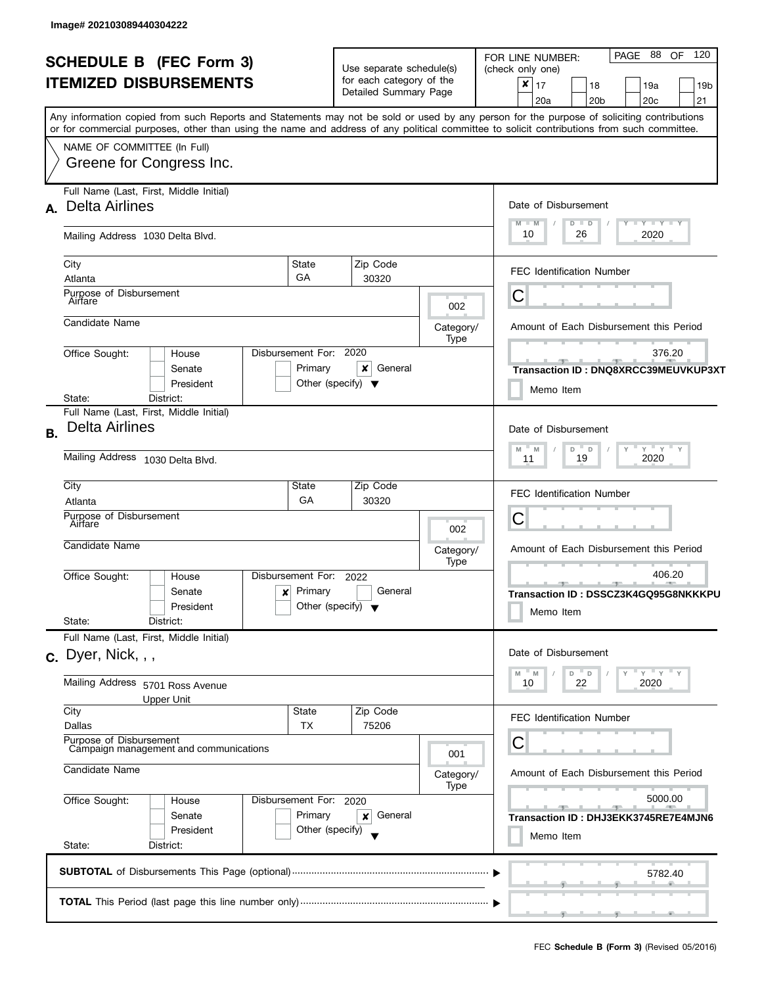|           | <b>SCHEDULE B</b> (FEC Form 3)<br><b>ITEMIZED DISBURSEMENTS</b>                                                                                                                                                                                                                                                                                    | Use separate schedule(s)<br>for each category of the<br>Detailed Summary Page |                                                                             | PAGE 88<br>OF 120<br>FOR LINE NUMBER:<br>(check only one)<br>$\pmb{\times}$<br>17<br>18<br>19a<br>19 <sub>b</sub><br>20a<br>20 <sub>b</sub><br>20c<br>21 |
|-----------|----------------------------------------------------------------------------------------------------------------------------------------------------------------------------------------------------------------------------------------------------------------------------------------------------------------------------------------------------|-------------------------------------------------------------------------------|-----------------------------------------------------------------------------|----------------------------------------------------------------------------------------------------------------------------------------------------------|
|           | Any information copied from such Reports and Statements may not be sold or used by any person for the purpose of soliciting contributions<br>or for commercial purposes, other than using the name and address of any political committee to solicit contributions from such committee.<br>NAME OF COMMITTEE (In Full)<br>Greene for Congress Inc. |                                                                               |                                                                             |                                                                                                                                                          |
|           | Full Name (Last, First, Middle Initial)<br>A. Delta Airlines                                                                                                                                                                                                                                                                                       |                                                                               |                                                                             | Date of Disbursement<br>Y I Y I Y I Y<br>$M - M$<br>$D$ $D$                                                                                              |
|           | Mailing Address 1030 Delta Blvd.                                                                                                                                                                                                                                                                                                                   |                                                                               |                                                                             | 10<br>26<br>2020                                                                                                                                         |
|           | City<br>State<br>GA<br>Atlanta                                                                                                                                                                                                                                                                                                                     | Zip Code<br>30320                                                             |                                                                             | <b>FEC Identification Number</b>                                                                                                                         |
|           | Purpose of Disbursement<br>Airfare                                                                                                                                                                                                                                                                                                                 |                                                                               | 002                                                                         | C                                                                                                                                                        |
|           | Candidate Name                                                                                                                                                                                                                                                                                                                                     |                                                                               | Category/<br>Type                                                           | Amount of Each Disbursement this Period                                                                                                                  |
|           | Disbursement For: 2020<br>Office Sought:<br>House<br>Primary<br>Senate<br>President<br>District:<br>State:                                                                                                                                                                                                                                         | General<br>x<br>Other (specify) $\blacktriangledown$                          |                                                                             | 376.20<br>Transaction ID: DNQ8XRCC39MEUVKUP3XT<br>Memo Item                                                                                              |
| <b>B.</b> | Full Name (Last, First, Middle Initial)<br><b>Delta Airlines</b>                                                                                                                                                                                                                                                                                   |                                                                               | Date of Disbursement<br>$-\gamma + \gamma - \gamma$<br>$-M$<br>$D$ $D$<br>M |                                                                                                                                                          |
|           | Mailing Address 1030 Delta Blvd.                                                                                                                                                                                                                                                                                                                   |                                                                               | 2020<br>19<br>11                                                            |                                                                                                                                                          |
|           | City<br>State<br>GA<br>Atlanta                                                                                                                                                                                                                                                                                                                     | Zip Code<br>30320                                                             |                                                                             | <b>FEC Identification Number</b>                                                                                                                         |
|           | Purpose of Disbursement<br>Airfare                                                                                                                                                                                                                                                                                                                 |                                                                               | 002                                                                         | С                                                                                                                                                        |
|           | Candidate Name                                                                                                                                                                                                                                                                                                                                     |                                                                               | Category/<br>Type                                                           | Amount of Each Disbursement this Period                                                                                                                  |
|           | Disbursement For:<br>Office Sought:<br>House<br>Primary<br>Senate<br>×<br>President<br>State:<br>District:                                                                                                                                                                                                                                         | 2022<br>General<br>Other (specify) $\blacktriangledown$                       |                                                                             | 406.20<br>-90-<br>Transaction ID: DSSCZ3K4GQ95G8NKKKPU<br>Memo Item                                                                                      |
|           | Full Name (Last, First, Middle Initial)<br>$c.$ Dyer, Nick, , ,                                                                                                                                                                                                                                                                                    | Date of Disbursement                                                          |                                                                             |                                                                                                                                                          |
|           | Mailing Address 5701 Ross Avenue<br><b>Upper Unit</b>                                                                                                                                                                                                                                                                                              |                                                                               | $Y'$ $Y'$ $Y$<br>$-M$<br>$D$ $D$<br>M<br>22<br>2020<br>10                   |                                                                                                                                                          |
|           | City<br>State<br>Dallas<br>ТX                                                                                                                                                                                                                                                                                                                      | Zip Code<br>75206                                                             |                                                                             | FEC Identification Number                                                                                                                                |
|           | Purpose of Disbursement<br>Campaign management and communications                                                                                                                                                                                                                                                                                  | 001                                                                           | С                                                                           |                                                                                                                                                          |
|           | Candidate Name                                                                                                                                                                                                                                                                                                                                     | Category/<br>Type                                                             | Amount of Each Disbursement this Period                                     |                                                                                                                                                          |
|           | Office Sought:<br>Disbursement For: 2020<br>House<br>Primary<br>Senate<br>President<br>State:<br>District:                                                                                                                                                                                                                                         | General<br>×<br>Other (specify)                                               |                                                                             | 5000.00<br>$-9 -$<br>Transaction ID: DHJ3EKK3745RE7E4MJN6<br>Memo Item                                                                                   |
|           |                                                                                                                                                                                                                                                                                                                                                    |                                                                               |                                                                             | 5782.40                                                                                                                                                  |
|           |                                                                                                                                                                                                                                                                                                                                                    |                                                                               |                                                                             | <u> 1989 - Jan James Barnett, politik politik (</u>                                                                                                      |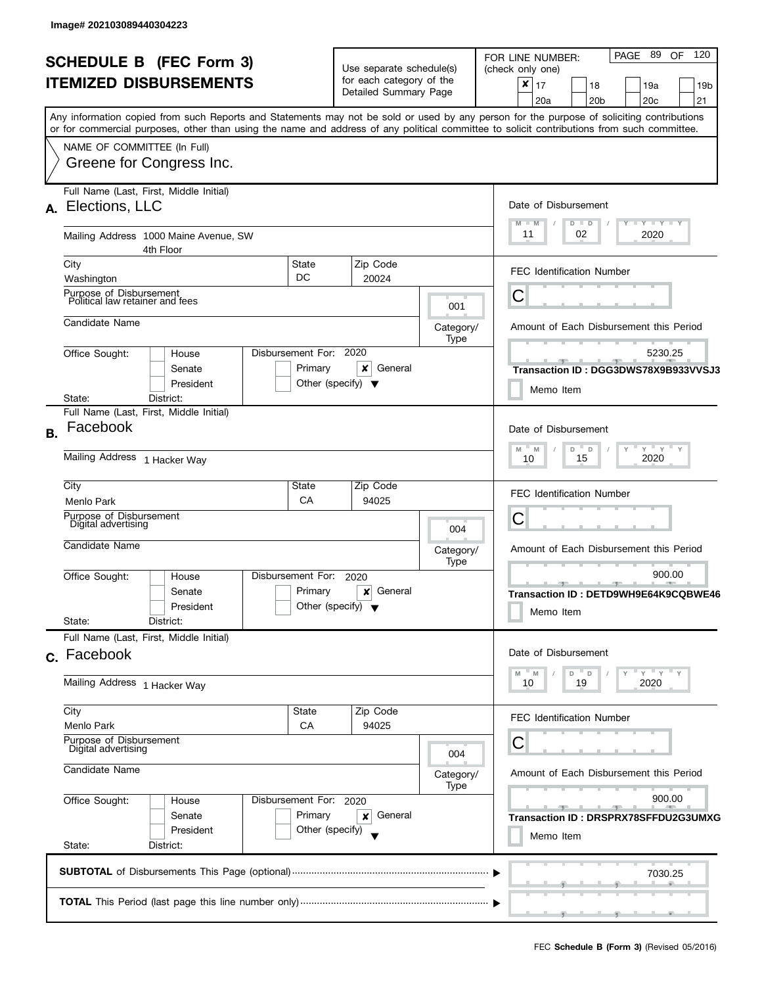|           |                                                                  | <b>SCHEDULE B (FEC Form 3)</b><br><b>ITEMIZED DISBURSEMENTS</b>                                |                        |                            | Use separate schedule(s)<br>for each category of the<br>Detailed Summary Page |                          | 120<br>89<br>PAGE<br>OF.<br>FOR LINE NUMBER:<br>(check only one)<br>×<br>17<br>18<br>19 <sub>b</sub><br>19a<br>20c<br>21<br>20a<br>20b                                                                                                                                                  |
|-----------|------------------------------------------------------------------|------------------------------------------------------------------------------------------------|------------------------|----------------------------|-------------------------------------------------------------------------------|--------------------------|-----------------------------------------------------------------------------------------------------------------------------------------------------------------------------------------------------------------------------------------------------------------------------------------|
|           | NAME OF COMMITTEE (In Full)                                      | Greene for Congress Inc.                                                                       |                        |                            |                                                                               |                          | Any information copied from such Reports and Statements may not be sold or used by any person for the purpose of soliciting contributions<br>or for commercial purposes, other than using the name and address of any political committee to solicit contributions from such committee. |
| А.        | Full Name (Last, First, Middle Initial)<br>Elections, LLC        |                                                                                                |                        |                            |                                                                               |                          | Date of Disbursement<br>$\mathbf{I}$ $\mathbf{Y}$ $\mathbf{I}$ $\mathbf{Y}$ $\mathbf{I}$ $\mathbf{Y}$<br>$M - M$<br>$D$ $D$                                                                                                                                                             |
|           |                                                                  | Mailing Address 1000 Maine Avenue, SW<br>4th Floor                                             |                        |                            |                                                                               |                          | 11<br>02<br>2020                                                                                                                                                                                                                                                                        |
|           | City<br>Washington                                               |                                                                                                | State<br>DC.           |                            | Zip Code<br>20024                                                             |                          | <b>FEC Identification Number</b>                                                                                                                                                                                                                                                        |
|           | Purpose of Disbursement<br>Political law retainer and fees       |                                                                                                |                        |                            |                                                                               | 001                      | Ĉ                                                                                                                                                                                                                                                                                       |
|           | Candidate Name                                                   |                                                                                                |                        |                            |                                                                               | Category/<br>Type        | Amount of Each Disbursement this Period                                                                                                                                                                                                                                                 |
|           | Office Sought:                                                   | House<br>Senate<br>President                                                                   | Disbursement For:      | Primary                    | 2020<br>×<br>General<br>Other (specify) $\blacktriangledown$                  |                          | 5230.25<br>Transaction ID: DGG3DWS78X9B933VVSJ3<br>Memo Item                                                                                                                                                                                                                            |
| <b>B.</b> | Facebook                                                         | State:<br>District:<br>Full Name (Last, First, Middle Initial)<br>Mailing Address 1 Hacker Way |                        |                            |                                                                               |                          | Date of Disbursement<br>$Y = Y - Y$<br>M<br>$\mathsf D$<br>M<br>D<br>15<br>2020<br>10                                                                                                                                                                                                   |
|           | City<br>Menlo Park                                               |                                                                                                | State<br>СA            |                            | Zip Code<br>94025                                                             |                          | <b>FEC Identification Number</b>                                                                                                                                                                                                                                                        |
|           | Purpose of Disbursement<br>Digital advertising                   |                                                                                                |                        |                            |                                                                               |                          | С                                                                                                                                                                                                                                                                                       |
|           | Candidate Name                                                   |                                                                                                |                        |                            |                                                                               | 004<br>Category/<br>Type | Amount of Each Disbursement this Period                                                                                                                                                                                                                                                 |
|           | Office Sought:<br>State:                                         | House<br>Senate<br>President<br>District:                                                      | Disbursement For:      | Primary                    | 2020<br>General<br>×<br>Other (specify) $\blacktriangledown$                  |                          | 900.00<br><u> 1955 - 1956 - 1956 - 1956 - 1956 - 1956 - 1956 - 1956 - 1956 - 1956 - 1956 - 1956 - 1956 - 1956 - 1956 - 195</u><br>Transaction ID: DETD9WH9E64K9CQBWE46<br>Memo Item                                                                                                     |
|           | Full Name (Last, First, Middle Initial)<br>c. Facebook           |                                                                                                |                        |                            |                                                                               |                          | Date of Disbursement                                                                                                                                                                                                                                                                    |
|           | Mailing Address 1 Hacker Way                                     |                                                                                                |                        |                            |                                                                               |                          | $^-$ D<br>$Y = Y$<br>- M<br>D<br>M<br>2020<br>10<br>19                                                                                                                                                                                                                                  |
|           | City<br>Menlo Park                                               |                                                                                                | State<br>CA            |                            | Zip Code<br>94025                                                             |                          | <b>FEC Identification Number</b>                                                                                                                                                                                                                                                        |
|           | Purpose of Disbursement<br>Digital advertising<br>Candidate Name |                                                                                                |                        |                            |                                                                               | 004<br>Category/         | С<br>Amount of Each Disbursement this Period                                                                                                                                                                                                                                            |
|           | Office Sought:<br>State:                                         | House<br>Senate<br>President<br>District:                                                      | Disbursement For: 2020 | Primary<br>Other (specify) | General<br>×                                                                  | Type                     | 900.00<br>$-1$<br><u>_____</u><br>Transaction ID: DRSPRX78SFFDU2G3UMXG<br>Memo Item                                                                                                                                                                                                     |
|           |                                                                  |                                                                                                |                        |                            |                                                                               |                          | 7030.25                                                                                                                                                                                                                                                                                 |
|           |                                                                  |                                                                                                |                        |                            |                                                                               |                          |                                                                                                                                                                                                                                                                                         |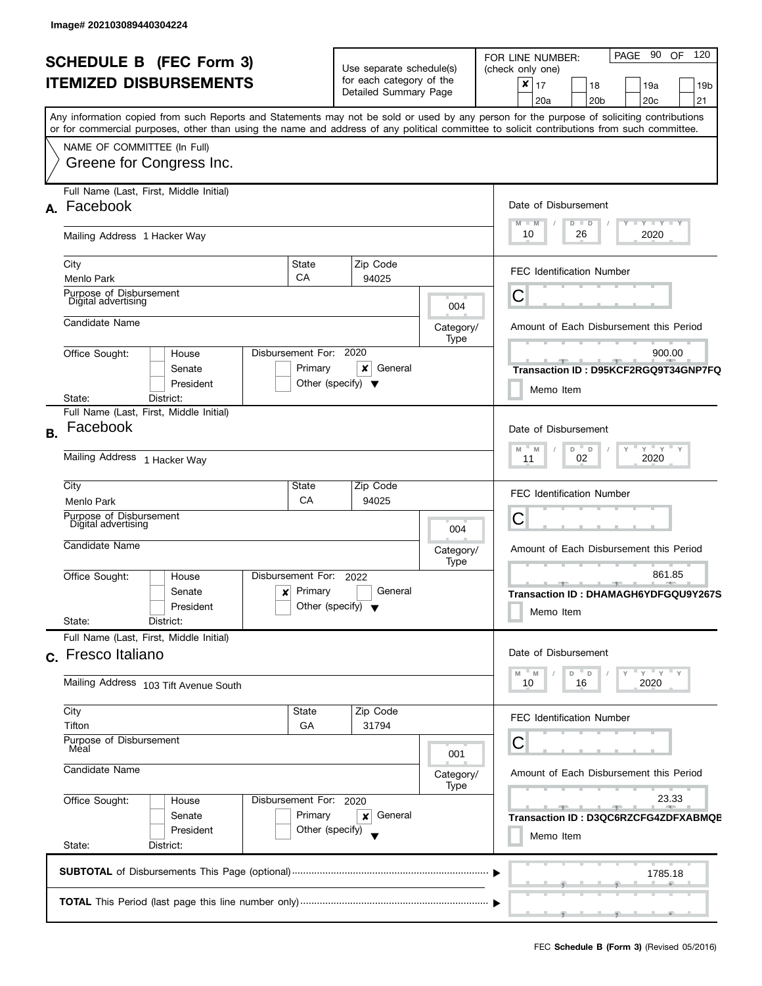| <b>SCHEDULE B (FEC Form 3)</b><br><b>ITEMIZED DISBURSEMENTS</b> |                                                                                                                                                                                                                                                                                                                                                    |                                                                               | Use separate schedule(s)<br>for each category of the<br>Detailed Summary Page                             |                                         | 120<br>90<br>OF<br><b>PAGE</b><br>FOR LINE NUMBER:<br>(check only one)<br>×<br>17<br>18<br>19a<br>19 <sub>b</sub><br>21<br>20 <sub>b</sub><br>20 <sub>c</sub><br>20a |
|-----------------------------------------------------------------|----------------------------------------------------------------------------------------------------------------------------------------------------------------------------------------------------------------------------------------------------------------------------------------------------------------------------------------------------|-------------------------------------------------------------------------------|-----------------------------------------------------------------------------------------------------------|-----------------------------------------|----------------------------------------------------------------------------------------------------------------------------------------------------------------------|
|                                                                 | Any information copied from such Reports and Statements may not be sold or used by any person for the purpose of soliciting contributions<br>or for commercial purposes, other than using the name and address of any political committee to solicit contributions from such committee.<br>NAME OF COMMITTEE (In Full)<br>Greene for Congress Inc. |                                                                               |                                                                                                           |                                         |                                                                                                                                                                      |
|                                                                 | Full Name (Last, First, Middle Initial)<br>A. Facebook                                                                                                                                                                                                                                                                                             |                                                                               |                                                                                                           |                                         | Date of Disbursement<br>$T$ $T$ $Y$ $T$ $T$ $Y$ $T$ $T$ $Y$<br>$M - M$<br>$D$ $D$<br>10<br>26<br>2020                                                                |
|                                                                 | Mailing Address 1 Hacker Way<br>State<br>City<br>CA<br>Menlo Park                                                                                                                                                                                                                                                                                  |                                                                               | Zip Code<br>94025                                                                                         |                                         | <b>FEC Identification Number</b>                                                                                                                                     |
|                                                                 | Purpose of Disbursement<br>Digital advertising<br>Candidate Name                                                                                                                                                                                                                                                                                   |                                                                               |                                                                                                           | 004                                     | С                                                                                                                                                                    |
|                                                                 | Disbursement For: 2020<br>Office Sought:<br>House<br>Senate<br>President<br>District:<br>State:                                                                                                                                                                                                                                                    | Primary<br>Other (specify) $\blacktriangledown$                               | ×<br>General                                                                                              | Category/<br>Type                       | Amount of Each Disbursement this Period<br>900.00<br>$-1$<br>Transaction ID: D95KCF2RGQ9T34GNP7FQ<br>Memo Item                                                       |
| <b>B.</b>                                                       | Full Name (Last, First, Middle Initial)<br>Facebook<br>Mailing Address 1 Hacker Way                                                                                                                                                                                                                                                                |                                                                               | Date of Disbursement<br>$-\gamma + \gamma + \gamma$<br>$- M$<br>D<br>$^-$ D<br>Y<br>M<br>2020<br>02<br>11 |                                         |                                                                                                                                                                      |
|                                                                 | City<br>State<br>CA<br>Menlo Park<br>Purpose of Disbursement<br>Digital advertising                                                                                                                                                                                                                                                                |                                                                               | Zip Code<br>94025                                                                                         | 004                                     | <b>FEC Identification Number</b><br>С                                                                                                                                |
|                                                                 | Candidate Name<br>Disbursement For:<br>Office Sought:<br>House                                                                                                                                                                                                                                                                                     |                                                                               | 2022                                                                                                      | Category/<br>Type                       | Amount of Each Disbursement this Period<br>861.85<br>$-1$                                                                                                            |
|                                                                 | Senate<br>×<br>President<br>State:<br>District:                                                                                                                                                                                                                                                                                                    | Primary<br>Other (specify) $\blacktriangledown$                               | General                                                                                                   |                                         | Transaction ID: DHAMAGH6YDFGQU9Y267S<br>Memo Item                                                                                                                    |
|                                                                 | Full Name (Last, First, Middle Initial)<br>c. Fresco Italiano<br>Mailing Address 103 Tift Avenue South                                                                                                                                                                                                                                             | Date of Disbursement<br>$Y = Y + Y$<br>$M - M$<br>$D$ $D$<br>16<br>2020<br>10 |                                                                                                           |                                         |                                                                                                                                                                      |
|                                                                 | City<br>State<br>Tifton<br>GA<br>Purpose of Disbursement                                                                                                                                                                                                                                                                                           | Zip Code<br>31794                                                             |                                                                                                           | FEC Identification Number<br>С          |                                                                                                                                                                      |
|                                                                 | Méal<br>Candidate Name                                                                                                                                                                                                                                                                                                                             |                                                                               | 001<br>Category/<br>Type                                                                                  | Amount of Each Disbursement this Period |                                                                                                                                                                      |
|                                                                 | Office Sought:<br>Disbursement For: 2020<br>House<br>Primary<br>Senate<br>Other (specify)<br>President<br>State:<br>District:                                                                                                                                                                                                                      |                                                                               | 23.33<br><u> 1959 - Jan Jan Jan</u><br>Transaction ID: D3QC6RZCFG4ZDFXABMQE<br>Memo Item                  |                                         |                                                                                                                                                                      |
|                                                                 |                                                                                                                                                                                                                                                                                                                                                    |                                                                               |                                                                                                           |                                         | 1785.18                                                                                                                                                              |
|                                                                 |                                                                                                                                                                                                                                                                                                                                                    |                                                                               |                                                                                                           |                                         |                                                                                                                                                                      |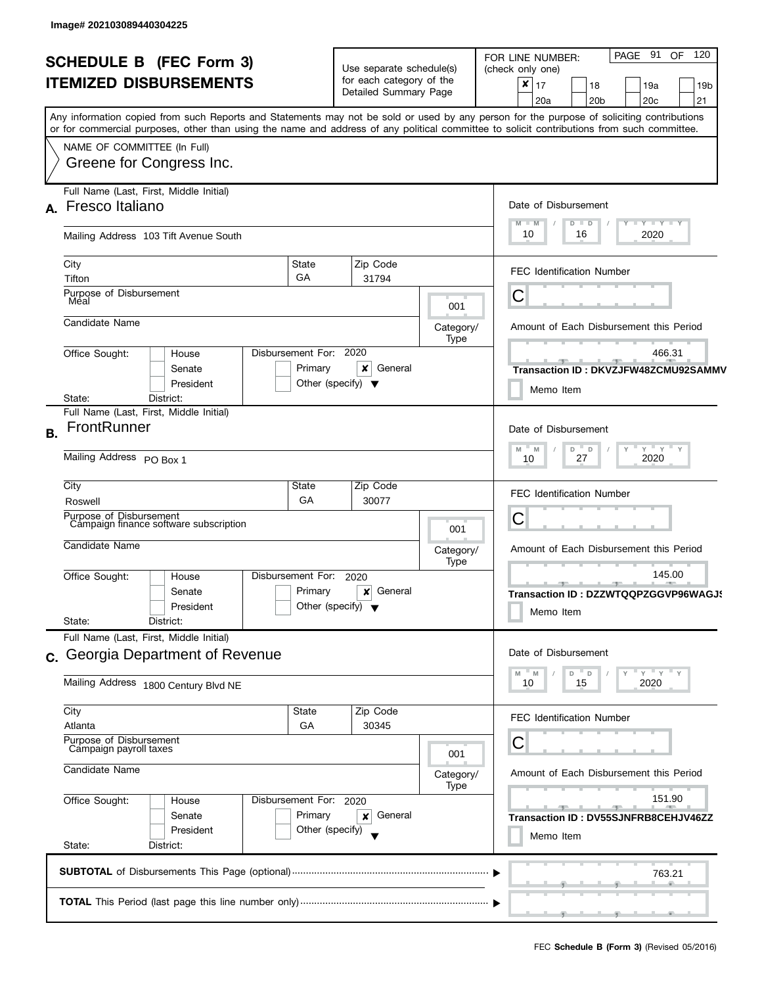| <b>SCHEDULE B (FEC Form 3)</b> |                                                                                                                                                                                                                                                                                         |                                                                                                | Use separate schedule(s)                                              |                                                  | PAGE 91<br>OF 120<br>FOR LINE NUMBER:<br>(check only one)                                     |  |
|--------------------------------|-----------------------------------------------------------------------------------------------------------------------------------------------------------------------------------------------------------------------------------------------------------------------------------------|------------------------------------------------------------------------------------------------|-----------------------------------------------------------------------|--------------------------------------------------|-----------------------------------------------------------------------------------------------|--|
|                                | <b>ITEMIZED DISBURSEMENTS</b>                                                                                                                                                                                                                                                           |                                                                                                | for each category of the<br>Detailed Summary Page                     |                                                  | $\boldsymbol{x}$<br>17<br>18<br>19a<br>19b<br>20 <sub>b</sub><br>20 <sub>c</sub><br>21<br>20a |  |
|                                | Any information copied from such Reports and Statements may not be sold or used by any person for the purpose of soliciting contributions<br>or for commercial purposes, other than using the name and address of any political committee to solicit contributions from such committee. |                                                                                                |                                                                       |                                                  |                                                                                               |  |
|                                | NAME OF COMMITTEE (In Full)                                                                                                                                                                                                                                                             |                                                                                                |                                                                       |                                                  |                                                                                               |  |
|                                | Greene for Congress Inc.                                                                                                                                                                                                                                                                |                                                                                                |                                                                       |                                                  |                                                                                               |  |
|                                | Full Name (Last, First, Middle Initial)<br>A. Fresco Italiano                                                                                                                                                                                                                           |                                                                                                |                                                                       |                                                  | Date of Disbursement                                                                          |  |
|                                | Mailing Address 103 Tift Avenue South                                                                                                                                                                                                                                                   |                                                                                                |                                                                       |                                                  | Y TY TY TY<br>$M - M$<br>$D$ $D$<br>10<br>2020<br>16                                          |  |
|                                | City<br>State<br>GA<br>Tifton                                                                                                                                                                                                                                                           |                                                                                                | Zip Code<br>31794                                                     |                                                  | <b>FEC Identification Number</b>                                                              |  |
|                                | Purpose of Disbursement<br>Mėal                                                                                                                                                                                                                                                         |                                                                                                |                                                                       | 001                                              | С                                                                                             |  |
|                                | Candidate Name                                                                                                                                                                                                                                                                          |                                                                                                |                                                                       | Category/<br>Type                                | Amount of Each Disbursement this Period                                                       |  |
|                                | Disbursement For:<br>Office Sought:<br>House<br>Primary<br>Senate<br>President                                                                                                                                                                                                          |                                                                                                | 2020<br>×<br>General<br>Other (specify) $\blacktriangledown$          |                                                  | 466.31<br>$-1$<br>Transaction ID: DKVZJFW48ZCMU92SAMMV<br>Memo Item                           |  |
|                                | District:<br>State:                                                                                                                                                                                                                                                                     |                                                                                                |                                                                       |                                                  |                                                                                               |  |
| <b>B.</b>                      | Full Name (Last, First, Middle Initial)<br>FrontRunner                                                                                                                                                                                                                                  |                                                                                                | Date of Disbursement                                                  |                                                  |                                                                                               |  |
|                                | Mailing Address PO Box 1                                                                                                                                                                                                                                                                | $Y$ $Y$ $Y$<br>$\overline{a}$<br>M<br>M<br>D<br>2020<br>27<br>10                               |                                                                       |                                                  |                                                                                               |  |
|                                | City<br>State<br>GA<br>Roswell                                                                                                                                                                                                                                                          |                                                                                                | Zip Code<br>30077                                                     |                                                  | <b>FEC Identification Number</b>                                                              |  |
|                                | Purpose of Disbursement<br>Campaign finance software subscription                                                                                                                                                                                                                       |                                                                                                | 001                                                                   | C                                                |                                                                                               |  |
|                                | Candidate Name                                                                                                                                                                                                                                                                          |                                                                                                | Category/<br>Type                                                     | Amount of Each Disbursement this Period          |                                                                                               |  |
|                                | Disbursement For:<br>Office Sought:<br>House<br>Primary<br>Senate<br>Other (specify) $\blacktriangledown$<br>President<br>State:<br>District:                                                                                                                                           | 145.00<br>_______________________________<br>Transaction ID: DZZWTQQPZGGVP96WAGJS<br>Memo Item |                                                                       |                                                  |                                                                                               |  |
|                                | Full Name (Last, First, Middle Initial)                                                                                                                                                                                                                                                 |                                                                                                |                                                                       |                                                  | Date of Disbursement                                                                          |  |
|                                |                                                                                                                                                                                                                                                                                         | c. Georgia Department of Revenue                                                               |                                                                       |                                                  |                                                                                               |  |
|                                | Mailing Address 1800 Century Blvd NE                                                                                                                                                                                                                                                    |                                                                                                |                                                                       | $Y'$ Y<br>D<br>D<br>M<br>- M<br>15<br>2020<br>10 |                                                                                               |  |
|                                | City<br>State<br>Atlanta<br>GA                                                                                                                                                                                                                                                          |                                                                                                | Zip Code<br>30345                                                     |                                                  | <b>FEC Identification Number</b>                                                              |  |
|                                | Purpose of Disbursement<br>Campaign payroll taxes                                                                                                                                                                                                                                       |                                                                                                |                                                                       | 001                                              | С                                                                                             |  |
|                                | Candidate Name                                                                                                                                                                                                                                                                          |                                                                                                | Category/<br>Type                                                     | Amount of Each Disbursement this Period          |                                                                                               |  |
|                                | Office Sought:<br>Disbursement For: 2020<br>House<br>Primary<br>Senate<br>President<br>Other (specify)                                                                                                                                                                                  |                                                                                                | 151.90<br>$-9 -$<br>Transaction ID: DV55SJNFRB8CEHJV46ZZ<br>Memo Item |                                                  |                                                                                               |  |
|                                | State:<br>District:                                                                                                                                                                                                                                                                     |                                                                                                |                                                                       |                                                  |                                                                                               |  |
|                                |                                                                                                                                                                                                                                                                                         |                                                                                                |                                                                       |                                                  | 763.21                                                                                        |  |
|                                |                                                                                                                                                                                                                                                                                         |                                                                                                |                                                                       |                                                  | $\overline{y}$ and the set of $\overline{y}$ and the set of $\overline{y}$                    |  |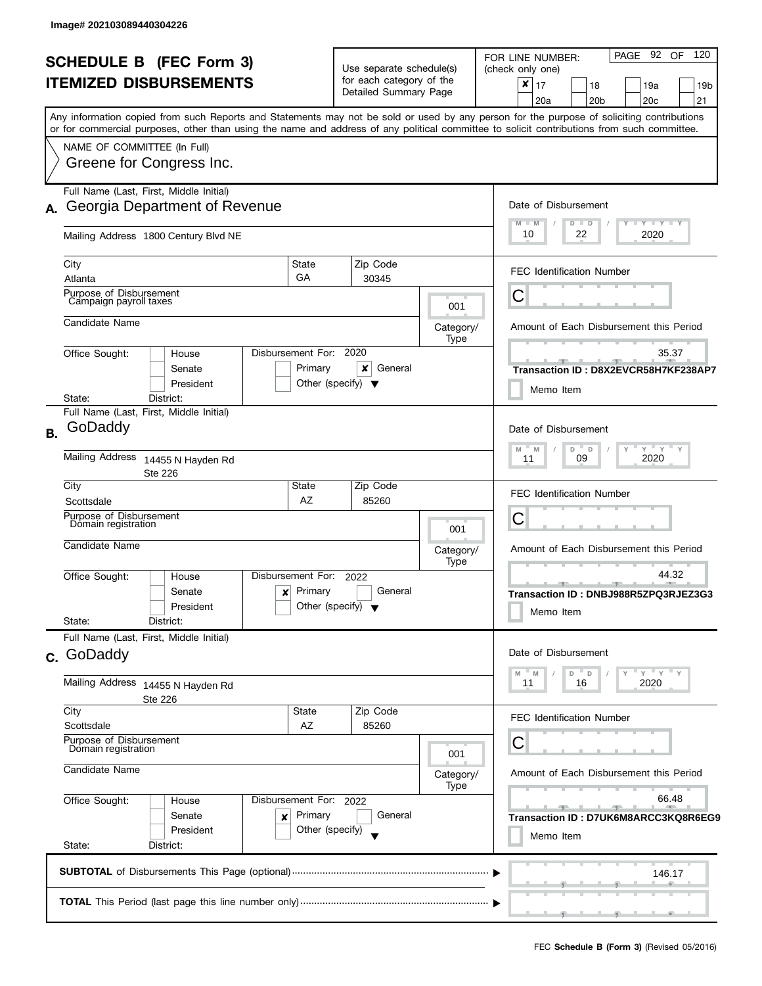|           | <b>SCHEDULE B (FEC Form 3)</b><br><b>ITEMIZED DISBURSEMENTS</b>                                                                                                                                       |                                                      | Use separate schedule(s)<br>for each category of the<br>Detailed Summary Page |                          | PAGE 92 OF<br>120<br>FOR LINE NUMBER:<br>(check only one)<br>$\boldsymbol{x}$<br>17<br>18<br>19a<br>19b<br>21<br>20a<br>20 <sub>b</sub><br>20c |
|-----------|-------------------------------------------------------------------------------------------------------------------------------------------------------------------------------------------------------|------------------------------------------------------|-------------------------------------------------------------------------------|--------------------------|------------------------------------------------------------------------------------------------------------------------------------------------|
|           | or for commercial purposes, other than using the name and address of any political committee to solicit contributions from such committee.<br>NAME OF COMMITTEE (In Full)<br>Greene for Congress Inc. |                                                      |                                                                               |                          | Any information copied from such Reports and Statements may not be sold or used by any person for the purpose of soliciting contributions      |
| А.        | Full Name (Last, First, Middle Initial)<br>Georgia Department of Revenue<br>Mailing Address 1800 Century Blvd NE                                                                                      |                                                      |                                                                               |                          | Date of Disbursement<br>$M - M$<br>$T - Y = T - Y$<br>$D$ $D$<br>10<br>22<br>2020                                                              |
|           | City<br>Atlanta<br>Purpose of Disbursement                                                                                                                                                            | <b>State</b><br>GA                                   | Zip Code<br>30345                                                             |                          | <b>FEC Identification Number</b>                                                                                                               |
|           | Campaign payroll taxes<br>Candidate Name                                                                                                                                                              |                                                      |                                                                               | 001<br>Category/<br>Type | Ĉ<br>Amount of Each Disbursement this Period                                                                                                   |
|           | Office Sought:<br>House<br>Senate<br>President<br>District:<br>State:                                                                                                                                 | Disbursement For:<br>Primary                         | 2020<br>General<br>x<br>Other (specify) $\blacktriangledown$                  |                          | 35.37<br>Transaction ID: D8X2EVCR58H7KF238AP7<br>Memo Item                                                                                     |
| <b>B.</b> | Full Name (Last, First, Middle Initial)<br>GoDaddy<br>Mailing Address 14455 N Hayden Rd                                                                                                               |                                                      |                                                                               |                          | Date of Disbursement<br>$Y$ $Y$ $Y$<br>M<br>D<br>M<br>D<br>2020<br>09<br>11                                                                    |
|           | <b>Ste 226</b><br>City<br>Scottsdale<br>Purpose of Disbursement<br>Dómain registration                                                                                                                | State<br>AZ                                          | Zip Code<br>85260                                                             |                          | <b>FEC Identification Number</b><br>С                                                                                                          |
|           | Candidate Name                                                                                                                                                                                        |                                                      |                                                                               | 001<br>Category/<br>Type | Amount of Each Disbursement this Period                                                                                                        |
|           | Office Sought:<br>House<br>Senate<br>$\boldsymbol{x}$<br>President<br>State:<br>District:                                                                                                             | Disbursement For:<br>Primary                         | 2022<br>General<br>Other (specify) $\blacktriangledown$                       |                          | 44.32<br>Transaction ID: DNBJ988R5ZPQ3RJEZ3G3<br>Memo Item                                                                                     |
| $C_{1}$   | Full Name (Last, First, Middle Initial)<br>GoDaddy                                                                                                                                                    |                                                      |                                                                               |                          | Date of Disbursement<br>D<br>D<br>M<br>M                                                                                                       |
|           | Mailing Address<br>14455 N Hayden Rd<br>Ste 226<br>City                                                                                                                                               | State                                                | Zip Code                                                                      |                          | 2020<br>11<br>16<br><b>FEC Identification Number</b>                                                                                           |
|           | Scottsdale<br>Purpose of Disbursement<br>Domain registration<br>Candidate Name                                                                                                                        | AZ                                                   | 85260                                                                         | 001<br>Category/         | С<br>Amount of Each Disbursement this Period                                                                                                   |
|           | Office Sought:<br>House<br>Senate<br>×<br>President<br>State:<br>District:                                                                                                                            | Disbursement For: 2022<br>Primary<br>Other (specify) | General                                                                       | Type                     | 66.48<br>$-1$<br>Transaction ID: D7UK6M8ARCC3KQ8R6EG9<br>Memo Item                                                                             |
|           |                                                                                                                                                                                                       |                                                      |                                                                               |                          | 146.17                                                                                                                                         |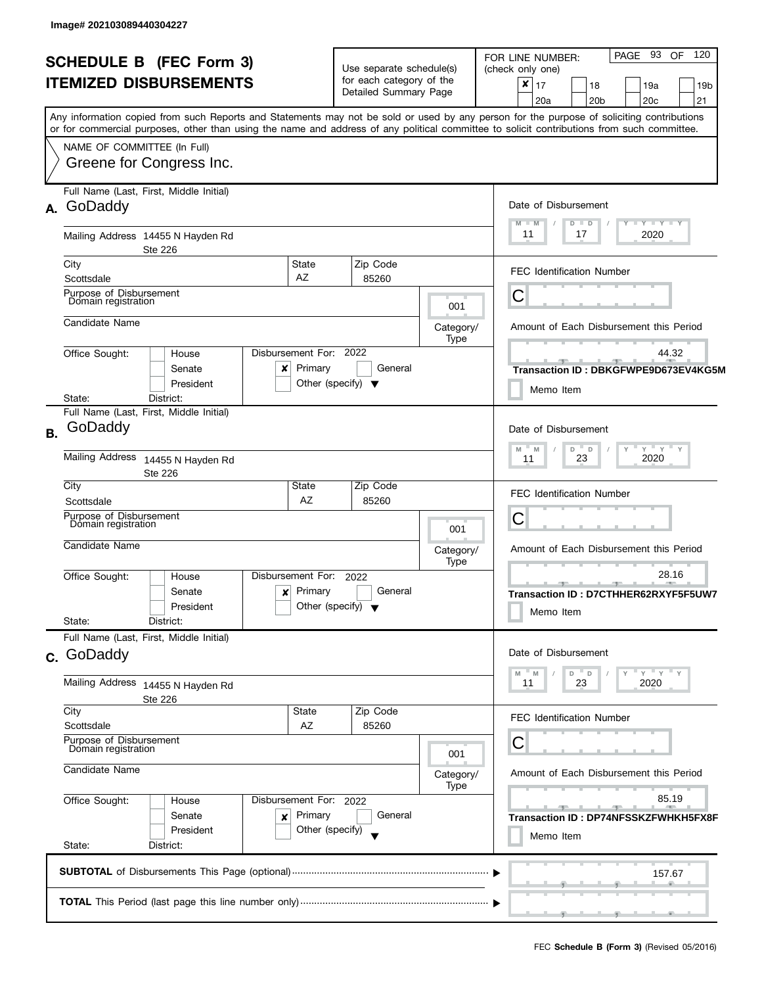|    | <b>SCHEDULE B (FEC Form 3)</b><br><b>ITEMIZED DISBURSEMENTS</b>                                                                                                                                                                                                                                                                                    |                                                 | Use separate schedule(s)<br>for each category of the<br>Detailed Summary Page |                   | PAGE 93<br>- 120<br>OF.<br>FOR LINE NUMBER:<br>(check only one)<br>$\mathsf{x}$   17<br>19a<br>18<br>19 <sub>b</sub><br>20a<br>20c<br>21<br>20 <sub>b</sub> |
|----|----------------------------------------------------------------------------------------------------------------------------------------------------------------------------------------------------------------------------------------------------------------------------------------------------------------------------------------------------|-------------------------------------------------|-------------------------------------------------------------------------------|-------------------|-------------------------------------------------------------------------------------------------------------------------------------------------------------|
|    | Any information copied from such Reports and Statements may not be sold or used by any person for the purpose of soliciting contributions<br>or for commercial purposes, other than using the name and address of any political committee to solicit contributions from such committee.<br>NAME OF COMMITTEE (In Full)<br>Greene for Congress Inc. |                                                 |                                                                               |                   |                                                                                                                                                             |
|    | Full Name (Last, First, Middle Initial)<br>A. GoDaddy                                                                                                                                                                                                                                                                                              |                                                 |                                                                               |                   | Date of Disbursement<br>$T - Y$ $T - Y$<br>M<br>$-M$<br>$D$ $D$                                                                                             |
|    | Mailing Address 14455 N Hayden Rd<br><b>Ste 226</b>                                                                                                                                                                                                                                                                                                |                                                 |                                                                               |                   | 11<br>17<br>2020                                                                                                                                            |
|    | City<br>Scottsdale                                                                                                                                                                                                                                                                                                                                 | State<br>AZ                                     | Zip Code<br>85260                                                             |                   | <b>FEC Identification Number</b>                                                                                                                            |
|    | Purpose of Disbursement<br>Domain registration                                                                                                                                                                                                                                                                                                     |                                                 |                                                                               | 001               | C                                                                                                                                                           |
|    | Candidate Name                                                                                                                                                                                                                                                                                                                                     |                                                 |                                                                               | Category/<br>Type | Amount of Each Disbursement this Period                                                                                                                     |
|    | Disbursement For:<br>Office Sought:<br>House<br>Senate<br>×<br>President                                                                                                                                                                                                                                                                           | Primary<br>Other (specify) $\blacktriangledown$ | 2022<br>General                                                               |                   | 44.32<br>Transaction ID: DBKGFWPE9D673EV4KG5M<br>Memo Item                                                                                                  |
| В. | State:<br>District:<br>Full Name (Last, First, Middle Initial)<br>GoDaddy                                                                                                                                                                                                                                                                          |                                                 | Date of Disbursement                                                          |                   |                                                                                                                                                             |
|    | Mailing Address<br>14455 N Hayden Rd<br><b>Ste 226</b>                                                                                                                                                                                                                                                                                             |                                                 | $Y$ $Y$ $Y$<br>D<br>$\mathsf D$<br>M<br>M<br>23<br>2020<br>11                 |                   |                                                                                                                                                             |
|    | City<br>Scottsdale<br>Purpose of Disbursement                                                                                                                                                                                                                                                                                                      | State<br>AZ                                     | Zip Code<br>85260                                                             |                   | FEC Identification Number<br>C                                                                                                                              |
|    | Domain registration<br>Candidate Name                                                                                                                                                                                                                                                                                                              | 001<br>Category/                                | Amount of Each Disbursement this Period                                       |                   |                                                                                                                                                             |
|    | Disbursement For:<br>Office Sought:<br>House<br>Senate<br>×<br>President<br>State:<br>District:                                                                                                                                                                                                                                                    | Primary<br>Other (specify) $\blacktriangledown$ | 2022<br>General                                                               | Type              | 28.16<br>____ <del>_</del><br>Transaction ID: D7CTHHER62RXYF5F5UW7<br>Memo Item                                                                             |
|    | Full Name (Last, First, Middle Initial)<br>c. GoDaddy                                                                                                                                                                                                                                                                                              |                                                 |                                                                               |                   | Date of Disbursement                                                                                                                                        |
|    | Mailing Address<br>14455 N Hayden Rd<br>Ste 226                                                                                                                                                                                                                                                                                                    |                                                 |                                                                               |                   | $Y$ $Y$<br>M<br>D<br>$\mathsf D$<br>M<br>23<br>2020<br>11                                                                                                   |
|    | City<br>Scottsdale<br>Purpose of Disbursement                                                                                                                                                                                                                                                                                                      | State<br>AZ                                     | Zip Code<br>85260                                                             |                   | <b>FEC Identification Number</b>                                                                                                                            |
|    | Domain registration<br>Candidate Name                                                                                                                                                                                                                                                                                                              | 001<br>Category/                                | С<br>Amount of Each Disbursement this Period                                  |                   |                                                                                                                                                             |
|    | Office Sought:<br>Disbursement For: 2022<br>House<br>Primary<br>Senate<br>×<br>Other (specify)<br>President                                                                                                                                                                                                                                        | Type                                            | 85.19<br>$-1$<br>Transaction ID: DP74NFSSKZFWHKH5FX8F<br>Memo Item            |                   |                                                                                                                                                             |
|    | State:<br>District:                                                                                                                                                                                                                                                                                                                                |                                                 |                                                                               |                   |                                                                                                                                                             |
|    |                                                                                                                                                                                                                                                                                                                                                    |                                                 |                                                                               |                   | 157.67                                                                                                                                                      |
|    |                                                                                                                                                                                                                                                                                                                                                    |                                                 |                                                                               |                   |                                                                                                                                                             |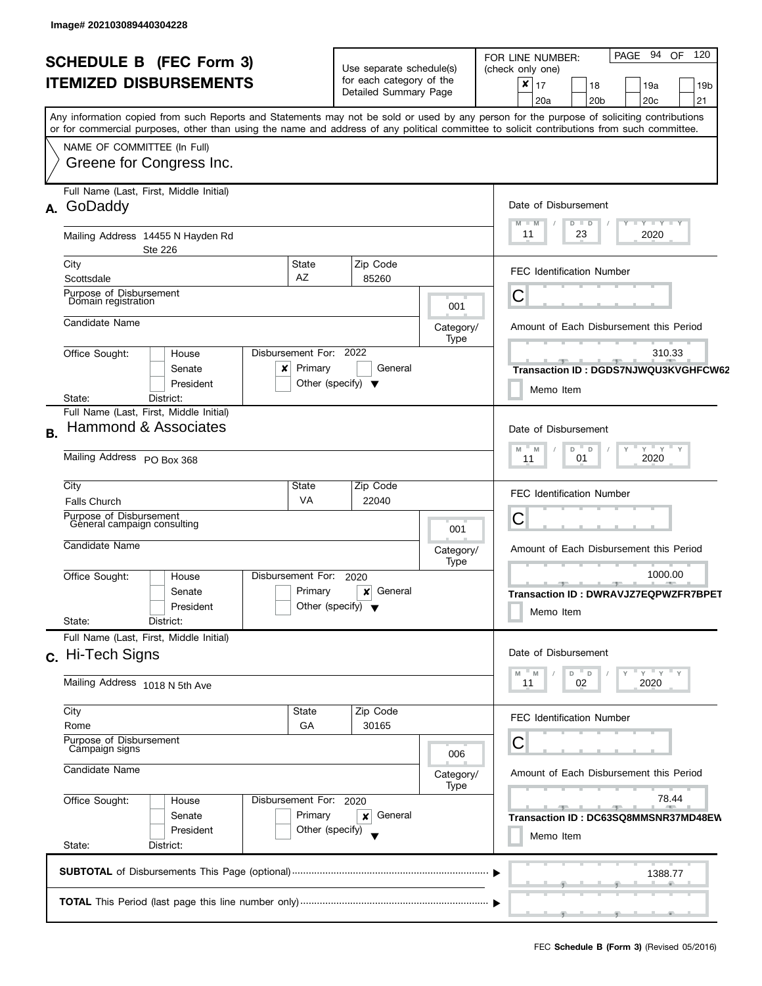| <b>SCHEDULE B</b> (FEC Form 3) |                                                                                                                                            |                                      | Use separate schedule(s)                                           |                   | PAGE 94 OF<br>120<br>FOR LINE NUMBER:<br>(check only one)                |
|--------------------------------|--------------------------------------------------------------------------------------------------------------------------------------------|--------------------------------------|--------------------------------------------------------------------|-------------------|--------------------------------------------------------------------------|
|                                | <b>ITEMIZED DISBURSEMENTS</b>                                                                                                              |                                      | for each category of the                                           |                   | ×<br>17<br>18<br>19a<br>19 <sub>b</sub>                                  |
|                                |                                                                                                                                            |                                      | Detailed Summary Page                                              |                   | 21<br>20a<br>20 <sub>b</sub><br>20 <sub>c</sub>                          |
|                                | Any information copied from such Reports and Statements may not be sold or used by any person for the purpose of soliciting contributions  |                                      |                                                                    |                   |                                                                          |
|                                | or for commercial purposes, other than using the name and address of any political committee to solicit contributions from such committee. |                                      |                                                                    |                   |                                                                          |
|                                | NAME OF COMMITTEE (In Full)                                                                                                                |                                      |                                                                    |                   |                                                                          |
|                                | Greene for Congress Inc.                                                                                                                   |                                      |                                                                    |                   |                                                                          |
|                                |                                                                                                                                            |                                      |                                                                    |                   |                                                                          |
|                                | Full Name (Last, First, Middle Initial)                                                                                                    |                                      |                                                                    |                   |                                                                          |
| А.                             | GoDaddy                                                                                                                                    |                                      |                                                                    |                   | Date of Disbursement                                                     |
|                                |                                                                                                                                            |                                      |                                                                    |                   | $T - Y = T - Y = T - Y$<br>$D$ $D$<br>11<br>23<br>2020                   |
|                                | Mailing Address 14455 N Hayden Rd<br><b>Ste 226</b>                                                                                        |                                      |                                                                    |                   |                                                                          |
|                                | City<br>State                                                                                                                              |                                      | Zip Code                                                           |                   |                                                                          |
|                                | AZ<br>Scottsdale                                                                                                                           |                                      | 85260                                                              |                   | <b>FEC Identification Number</b>                                         |
|                                | Purpose of Disbursement                                                                                                                    |                                      |                                                                    |                   | С                                                                        |
|                                | Domain registration                                                                                                                        |                                      |                                                                    | 001               |                                                                          |
|                                | Candidate Name                                                                                                                             |                                      |                                                                    | Category/         | Amount of Each Disbursement this Period                                  |
|                                |                                                                                                                                            |                                      |                                                                    | Type              |                                                                          |
|                                | Disbursement For:<br>Office Sought:<br>House                                                                                               |                                      | 2022                                                               |                   | 310.33                                                                   |
|                                | Senate<br>x                                                                                                                                | Primary                              | General                                                            |                   | Transaction ID: DGDS7NJWQU3KVGHFCW62                                     |
|                                | President<br>District:<br>State:                                                                                                           | Other (specify) $\blacktriangledown$ |                                                                    |                   | Memo Item                                                                |
|                                | Full Name (Last, First, Middle Initial)                                                                                                    |                                      |                                                                    |                   |                                                                          |
| Β.                             | Hammond & Associates                                                                                                                       |                                      |                                                                    |                   | Date of Disbursement                                                     |
|                                |                                                                                                                                            |                                      | $Y$ $Y$ $Y$ $Y$<br>$\overline{a}$                                  |                   |                                                                          |
|                                | Mailing Address PO Box 368                                                                                                                 |                                      |                                                                    |                   | D<br>M<br>M<br>2020<br>01<br>11                                          |
|                                |                                                                                                                                            |                                      |                                                                    |                   |                                                                          |
|                                | City<br>State                                                                                                                              |                                      | Zip Code                                                           |                   | <b>FEC Identification Number</b>                                         |
|                                | VA<br><b>Falls Church</b><br>Purpose of Disbursement                                                                                       |                                      | 22040                                                              |                   |                                                                          |
|                                | General campaign consulting                                                                                                                |                                      |                                                                    | 001               | С                                                                        |
|                                | Candidate Name                                                                                                                             |                                      |                                                                    |                   | Amount of Each Disbursement this Period                                  |
|                                |                                                                                                                                            |                                      |                                                                    | Category/<br>Type |                                                                          |
|                                | Disbursement For:<br>Office Sought:<br>House                                                                                               |                                      | 2020                                                               |                   | 1000.00<br>ு                                                             |
|                                | Senate                                                                                                                                     | Primary                              | General<br>×                                                       |                   | Transaction ID: DWRAVJZ7EQPWZFR7BPET                                     |
|                                | President                                                                                                                                  | Other (specify) $\blacktriangledown$ |                                                                    |                   | Memo Item                                                                |
|                                | State:<br>District:                                                                                                                        |                                      |                                                                    |                   |                                                                          |
|                                | Full Name (Last, First, Middle Initial)                                                                                                    |                                      |                                                                    |                   |                                                                          |
|                                | c. Hi-Tech Signs                                                                                                                           |                                      |                                                                    |                   | Date of Disbursement                                                     |
|                                | Mailing Address 1018 N 5th Ave                                                                                                             |                                      | Y''Y''<br>D<br>$\overline{\phantom{a}}$ D<br>M<br>02<br>2020<br>11 |                   |                                                                          |
|                                |                                                                                                                                            |                                      |                                                                    |                   |                                                                          |
|                                | City<br>State                                                                                                                              |                                      | Zip Code                                                           |                   | FEC Identification Number                                                |
|                                | Rome                                                                                                                                       | GA                                   | 30165                                                              |                   |                                                                          |
|                                | Purpose of Disbursement<br>Campaign signs                                                                                                  |                                      |                                                                    |                   | С                                                                        |
|                                |                                                                                                                                            |                                      |                                                                    | 006               |                                                                          |
|                                | Candidate Name                                                                                                                             |                                      |                                                                    | Category/         | Amount of Each Disbursement this Period                                  |
|                                | Office Sought:<br>Disbursement For: 2020<br>House                                                                                          |                                      |                                                                    | Type              | 78.44                                                                    |
|                                | Senate                                                                                                                                     | Primary                              | General<br>x                                                       |                   | <b>Contract Contract</b><br>$-1$<br>Transaction ID: DC63SQ8MMSNR37MD48EW |
|                                | President                                                                                                                                  | Other (specify)                      |                                                                    |                   |                                                                          |
|                                | State:<br>District:                                                                                                                        |                                      |                                                                    |                   | Memo Item                                                                |
|                                |                                                                                                                                            |                                      |                                                                    |                   |                                                                          |
|                                |                                                                                                                                            |                                      |                                                                    |                   | 1388.77                                                                  |
|                                |                                                                                                                                            |                                      |                                                                    |                   |                                                                          |
|                                |                                                                                                                                            |                                      |                                                                    |                   |                                                                          |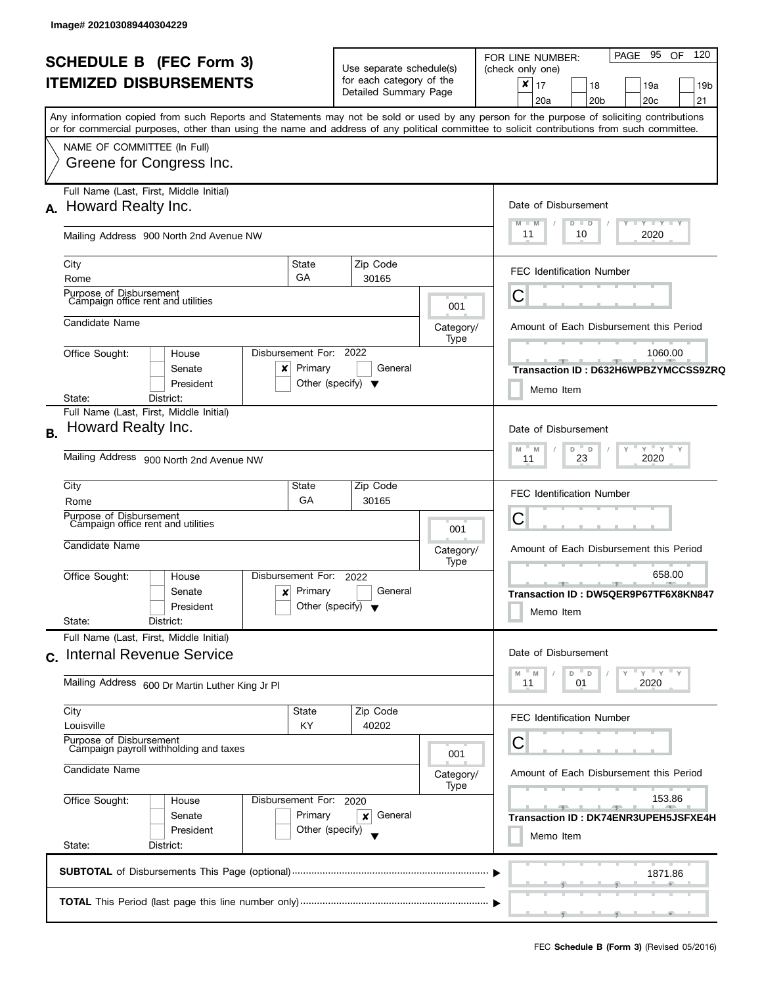| <b>SCHEDULE B</b> (FEC Form 3)                                                                                                             | Use separate schedule(s)             |                                           | PAGE 95<br>OF 120<br>FOR LINE NUMBER:<br>(check only one)     |
|--------------------------------------------------------------------------------------------------------------------------------------------|--------------------------------------|-------------------------------------------|---------------------------------------------------------------|
| <b>ITEMIZED DISBURSEMENTS</b>                                                                                                              | for each category of the             |                                           | $\boldsymbol{x}$<br>17<br>19a<br>18<br>19 <sub>b</sub>        |
|                                                                                                                                            | Detailed Summary Page                |                                           | 20a<br>20 <sub>b</sub><br>20c<br>21                           |
| Any information copied from such Reports and Statements may not be sold or used by any person for the purpose of soliciting contributions  |                                      |                                           |                                                               |
| or for commercial purposes, other than using the name and address of any political committee to solicit contributions from such committee. |                                      |                                           |                                                               |
| NAME OF COMMITTEE (In Full)                                                                                                                |                                      |                                           |                                                               |
| Greene for Congress Inc.                                                                                                                   |                                      |                                           |                                                               |
|                                                                                                                                            |                                      |                                           |                                                               |
| Full Name (Last, First, Middle Initial)                                                                                                    |                                      |                                           |                                                               |
| Howard Realty Inc.<br>А.                                                                                                                   |                                      |                                           | Date of Disbursement                                          |
|                                                                                                                                            |                                      |                                           | $Y - Y - Y - Y - Y$<br>$M - M$<br>$D$ $D$<br>11<br>2020<br>10 |
| Mailing Address 900 North 2nd Avenue NW                                                                                                    |                                      |                                           |                                                               |
| City<br>State                                                                                                                              | Zip Code                             |                                           |                                                               |
| GA<br>Rome                                                                                                                                 | 30165                                |                                           | <b>FEC Identification Number</b>                              |
| Purpose of Disbursement                                                                                                                    |                                      |                                           | C                                                             |
| Campaign office rent and utilities                                                                                                         |                                      | 001                                       |                                                               |
| Candidate Name                                                                                                                             |                                      | Category/                                 | Amount of Each Disbursement this Period                       |
|                                                                                                                                            |                                      | Type                                      |                                                               |
| Disbursement For: 2022<br>Office Sought:<br>House                                                                                          | General                              |                                           | 1060.00                                                       |
| Primary<br>Senate<br>×<br>President                                                                                                        | Other (specify) $\blacktriangledown$ |                                           | Transaction ID: D632H6WPBZYMCCSS9ZRQ                          |
| District:<br>State:                                                                                                                        |                                      |                                           | Memo Item                                                     |
| Full Name (Last, First, Middle Initial)                                                                                                    |                                      |                                           |                                                               |
| Howard Realty Inc.                                                                                                                         |                                      |                                           | Date of Disbursement                                          |
|                                                                                                                                            |                                      | $Y$ $Y$ $Y$<br>M<br>D<br>$\mathsf D$<br>M |                                                               |
| Mailing Address 900 North 2nd Avenue NW                                                                                                    | 23<br>2020<br>11                     |                                           |                                                               |
|                                                                                                                                            |                                      |                                           |                                                               |
| City<br>State                                                                                                                              | Zip Code                             |                                           | <b>FEC Identification Number</b>                              |
| GA<br>Rome<br>Purpose of Disbursement                                                                                                      | 30165                                |                                           |                                                               |
| Campaign office rent and utilities                                                                                                         |                                      | 001                                       | C                                                             |
| Candidate Name                                                                                                                             | Category/                            | Amount of Each Disbursement this Period   |                                                               |
|                                                                                                                                            | Type                                 |                                           |                                                               |
| Disbursement For:<br>Office Sought:<br>House                                                                                               | 2022                                 |                                           | 658.00<br>____ <del>_</del>                                   |
| Primary<br>Senate<br>×                                                                                                                     | General                              |                                           | Transaction ID: DW5QER9P67TF6X8KN847                          |
| President                                                                                                                                  | Other (specify) $\blacktriangledown$ |                                           | Memo Item                                                     |
| State:<br>District:                                                                                                                        |                                      |                                           |                                                               |
| Full Name (Last, First, Middle Initial)                                                                                                    |                                      |                                           |                                                               |
| <b>Internal Revenue Service</b><br>$\mathbf{C}$ .                                                                                          |                                      |                                           | Date of Disbursement                                          |
|                                                                                                                                            |                                      |                                           | $Y = Y$<br>D<br>M<br>D<br>M<br>01<br>2020<br>11               |
| Mailing Address 600 Dr Martin Luther King Jr Pl                                                                                            |                                      |                                           |                                                               |
| City<br>State                                                                                                                              | Zip Code                             |                                           |                                                               |
| Louisville<br>KY.                                                                                                                          | 40202                                |                                           | <b>FEC Identification Number</b>                              |
| Purpose of Disbursement<br>Campaign payroll withholding and taxes                                                                          |                                      |                                           | С                                                             |
|                                                                                                                                            |                                      | 001                                       |                                                               |
|                                                                                                                                            | Category/                            | Amount of Each Disbursement this Period   |                                                               |
| Candidate Name                                                                                                                             |                                      |                                           |                                                               |
|                                                                                                                                            |                                      | <b>Type</b>                               |                                                               |
| Office Sought:<br>Disbursement For:<br>House                                                                                               | 2020                                 |                                           | 153.86<br><b>SPACE 1999</b><br>$-9-$                          |
| Primary<br>Senate                                                                                                                          | General<br>×                         |                                           |                                                               |
| President                                                                                                                                  | Other (specify)                      |                                           | Transaction ID: DK74ENR3UPEH5JSFXE4H<br>Memo Item             |
| State:<br>District:                                                                                                                        |                                      |                                           |                                                               |
|                                                                                                                                            |                                      |                                           | 1871.86                                                       |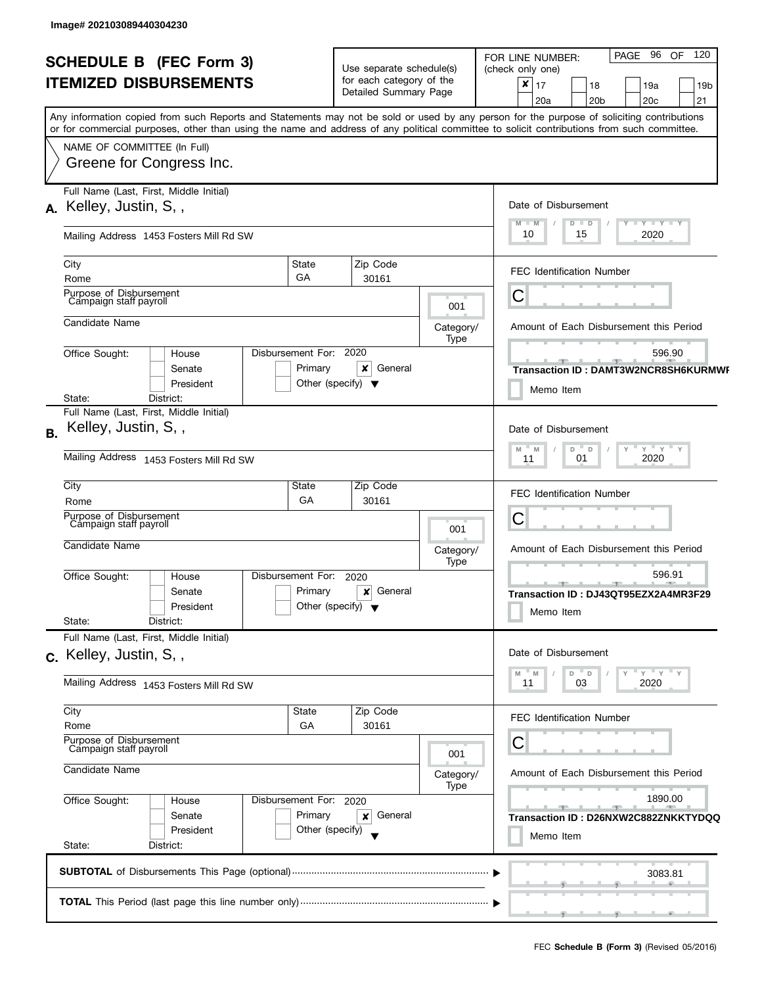| <b>SCHEDULE B (FEC Form 3)</b><br><b>ITEMIZED DISBURSEMENTS</b> |                                                                                                                                  |                                                      | Use separate schedule(s)<br>for each category of the<br>Detailed Summary Page |                                                                                                 | PAGE 96 OF<br>120<br>FOR LINE NUMBER:<br>(check only one)<br>$\pmb{\times}$<br>17<br>19a<br>18<br>19 <sub>b</sub>                                                                                                                                                                                                              |
|-----------------------------------------------------------------|----------------------------------------------------------------------------------------------------------------------------------|------------------------------------------------------|-------------------------------------------------------------------------------|-------------------------------------------------------------------------------------------------|--------------------------------------------------------------------------------------------------------------------------------------------------------------------------------------------------------------------------------------------------------------------------------------------------------------------------------|
|                                                                 | NAME OF COMMITTEE (In Full)<br>Greene for Congress Inc.                                                                          |                                                      |                                                                               |                                                                                                 | 21<br>20a<br>20 <sub>b</sub><br>20c<br>Any information copied from such Reports and Statements may not be sold or used by any person for the purpose of soliciting contributions<br>or for commercial purposes, other than using the name and address of any political committee to solicit contributions from such committee. |
|                                                                 | Full Name (Last, First, Middle Initial)<br>A. Kelley, Justin, S.,                                                                |                                                      |                                                                               |                                                                                                 | Date of Disbursement<br>$T - Y = T - Y$<br>$M - M$<br>$D$ $D$                                                                                                                                                                                                                                                                  |
|                                                                 | Mailing Address 1453 Fosters Mill Rd SW                                                                                          |                                                      |                                                                               |                                                                                                 | 10<br>2020<br>15                                                                                                                                                                                                                                                                                                               |
|                                                                 | City<br>Rome                                                                                                                     | State<br>GA                                          | Zip Code<br>30161                                                             |                                                                                                 | <b>FEC Identification Number</b>                                                                                                                                                                                                                                                                                               |
|                                                                 | Purpose of Disbursement<br>Campaign staff payroll                                                                                |                                                      |                                                                               | 001                                                                                             | Ĉ                                                                                                                                                                                                                                                                                                                              |
|                                                                 | Candidate Name                                                                                                                   |                                                      |                                                                               | Category/<br>Type                                                                               | Amount of Each Disbursement this Period                                                                                                                                                                                                                                                                                        |
|                                                                 | Office Sought:<br>House<br>Senate<br>President                                                                                   | Disbursement For:<br>Primary                         | 2020<br>$\pmb{\times}$<br>General<br>Other (specify) $\blacktriangledown$     |                                                                                                 | 596.90<br>Transaction ID: DAMT3W2NCR8SH6KURMWI<br>Memo Item                                                                                                                                                                                                                                                                    |
| <b>B.</b>                                                       | State:<br>District:<br>Full Name (Last, First, Middle Initial)<br>Kelley, Justin, S,,<br>Mailing Address 1453 Fosters Mill Rd SW |                                                      |                                                                               | Date of Disbursement<br>$Y$ $Y$ $Y$ $Y$<br>$D^{-}$<br>$\mathsf D$<br>M<br>M<br>2020<br>01<br>11 |                                                                                                                                                                                                                                                                                                                                |
|                                                                 | City<br>Rome                                                                                                                     | Zip Code<br>30161                                    |                                                                               | FEC Identification Number                                                                       |                                                                                                                                                                                                                                                                                                                                |
|                                                                 | Purpose of Disbursement<br>Campaign staff payroll<br>Candidate Name                                                              |                                                      |                                                                               | 001<br>Category/                                                                                | С<br>Amount of Each Disbursement this Period                                                                                                                                                                                                                                                                                   |
|                                                                 | Office Sought:<br>House<br>Senate<br>President<br>State:<br>District:                                                            | Disbursement For:<br>Primary                         | 2020<br>General<br>×<br>Other (specify) $\blacktriangledown$                  | Type                                                                                            | 596.91<br><u>.</u><br>Transaction ID: DJ43QT95EZX2A4MR3F29<br>Memo Item                                                                                                                                                                                                                                                        |
|                                                                 | Full Name (Last, First, Middle Initial)<br>c. Kelley, Justin, S,,                                                                | Date of Disbursement                                 |                                                                               |                                                                                                 |                                                                                                                                                                                                                                                                                                                                |
|                                                                 | Mailing Address 1453 Fosters Mill Rd SW                                                                                          |                                                      |                                                                               |                                                                                                 | $D$ D<br>$Y = Y = Y$<br>M<br>M<br>2020<br>03<br>11                                                                                                                                                                                                                                                                             |
|                                                                 | City<br>Rome                                                                                                                     | State<br>GA                                          | Zip Code<br>30161                                                             |                                                                                                 | <b>FEC Identification Number</b>                                                                                                                                                                                                                                                                                               |
|                                                                 | Purpose of Disbursement<br>Campaign staff payroll<br>Candidate Name                                                              |                                                      |                                                                               | 001<br>Category/                                                                                | С<br>Amount of Each Disbursement this Period                                                                                                                                                                                                                                                                                   |
|                                                                 | Office Sought:<br>House<br>Senate<br>President<br>State:<br>District:                                                            | Disbursement For: 2020<br>Primary<br>Other (specify) | Type<br>General                                                               | 1890.00<br>$-1$<br>Transaction ID: D26NXW2C882ZNKKTYDQQ<br>Memo Item                            |                                                                                                                                                                                                                                                                                                                                |
|                                                                 |                                                                                                                                  |                                                      |                                                                               |                                                                                                 | 3083.81                                                                                                                                                                                                                                                                                                                        |
|                                                                 |                                                                                                                                  |                                                      |                                                                               |                                                                                                 |                                                                                                                                                                                                                                                                                                                                |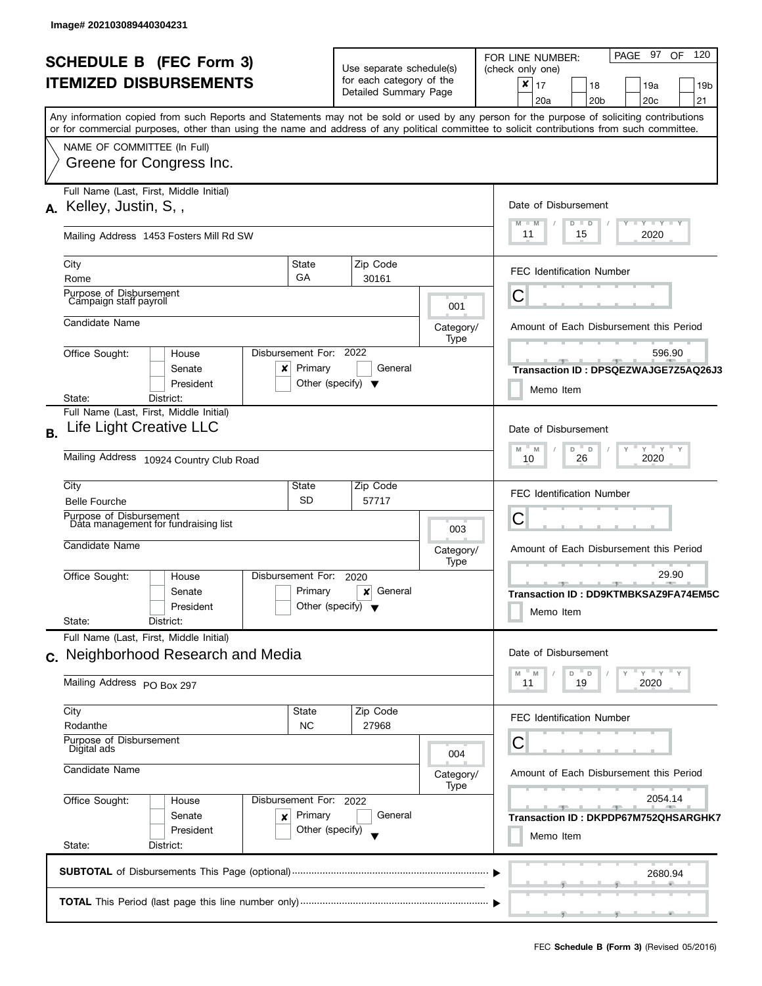|    | <b>SCHEDULE B (FEC Form 3)</b><br><b>ITEMIZED DISBURSEMENTS</b>                                                                                                                                       |                              | Use separate schedule(s)<br>for each category of the<br>Detailed Summary Page                                                                |                          | 120<br>PAGE 97<br>OF<br>FOR LINE NUMBER:<br>(check only one)<br>×<br>17<br>18<br>19a<br>19 <sub>b</sub><br>21<br>20c<br>20a<br>20 <sub>b</sub><br>Any information copied from such Reports and Statements may not be sold or used by any person for the purpose of soliciting contributions |
|----|-------------------------------------------------------------------------------------------------------------------------------------------------------------------------------------------------------|------------------------------|----------------------------------------------------------------------------------------------------------------------------------------------|--------------------------|---------------------------------------------------------------------------------------------------------------------------------------------------------------------------------------------------------------------------------------------------------------------------------------------|
|    | or for commercial purposes, other than using the name and address of any political committee to solicit contributions from such committee.<br>NAME OF COMMITTEE (In Full)<br>Greene for Congress Inc. |                              |                                                                                                                                              |                          |                                                                                                                                                                                                                                                                                             |
|    | Full Name (Last, First, Middle Initial)<br>A. Kelley, Justin, S,,<br>Mailing Address 1453 Fosters Mill Rd SW                                                                                          |                              |                                                                                                                                              |                          | Date of Disbursement<br><b>LYLYLY</b><br>$M - M$<br>Y<br>D<br>$\Box$<br>11<br>2020<br>15                                                                                                                                                                                                    |
|    | City<br>Rome                                                                                                                                                                                          | State<br>GA                  | Zip Code<br>30161                                                                                                                            |                          | <b>FEC Identification Number</b>                                                                                                                                                                                                                                                            |
|    | Purpose of Disbursement<br>Campaign staff payroll<br>Candidate Name                                                                                                                                   |                              |                                                                                                                                              | 001<br>Category/<br>Type | C<br>Amount of Each Disbursement this Period                                                                                                                                                                                                                                                |
|    | Office Sought:<br>House<br>Senate<br>×<br>President<br>State:<br>District:                                                                                                                            | Disbursement For:<br>Primary | 2022<br>General<br>Other (specify) $\blacktriangledown$                                                                                      |                          | 596.90<br>Transaction ID: DPSQEZWAJGE7Z5AQ26J3<br>Memo Item                                                                                                                                                                                                                                 |
| В. | Full Name (Last, First, Middle Initial)<br>Life Light Creative LLC<br>Mailing Address 10924 Country Club Road                                                                                         |                              |                                                                                                                                              |                          | Date of Disbursement<br>$Y$ $Y$ $Y$<br>$-M$<br>M<br>D<br>D<br>26<br>2020<br>10                                                                                                                                                                                                              |
|    | City<br><b>Belle Fourche</b><br>Purpose of Disbursement<br>Data management for fundraising list                                                                                                       | State<br><b>SD</b>           | Zip Code<br>57717                                                                                                                            | 003                      | <b>FEC Identification Number</b><br>С                                                                                                                                                                                                                                                       |
|    | Candidate Name<br>Office Sought:<br>House<br>Senate<br>President<br>State:<br>District:                                                                                                               | Disbursement For:<br>Primary | 2020<br>General<br>×<br>Other (specify) $\blacktriangledown$                                                                                 | Category/<br>Type        | Amount of Each Disbursement this Period<br>29.90<br><u>.</u><br>Transaction ID: DD9KTMBKSAZ9FA74EM5C<br>Memo Item                                                                                                                                                                           |
|    | Full Name (Last, First, Middle Initial)<br>c. Neighborhood Research and Media<br>Mailing Address PO Box 297                                                                                           |                              |                                                                                                                                              |                          | Date of Disbursement<br>$Y$ $Y$<br>D<br>D<br>M<br>M<br>11<br>19<br>2020                                                                                                                                                                                                                     |
|    | City<br>Rodanthe<br>Purpose of Disbursement<br>Digital ads                                                                                                                                            | State<br><b>NC</b>           | Zip Code<br>27968                                                                                                                            | 004                      | <b>FEC Identification Number</b><br>С                                                                                                                                                                                                                                                       |
|    | Candidate Name<br>Office Sought:<br>Disbursement For: 2022<br>House<br>Senate<br>×<br>President<br>State:<br>District:                                                                                | Category/<br>Type            | Amount of Each Disbursement this Period<br>2054.14<br><b>All Control</b><br><u>___</u><br>Transaction ID : DKPDP67M752QHSARGHK7<br>Memo Item |                          |                                                                                                                                                                                                                                                                                             |
|    |                                                                                                                                                                                                       |                              |                                                                                                                                              |                          | 2680.94                                                                                                                                                                                                                                                                                     |
|    |                                                                                                                                                                                                       |                              |                                                                                                                                              |                          |                                                                                                                                                                                                                                                                                             |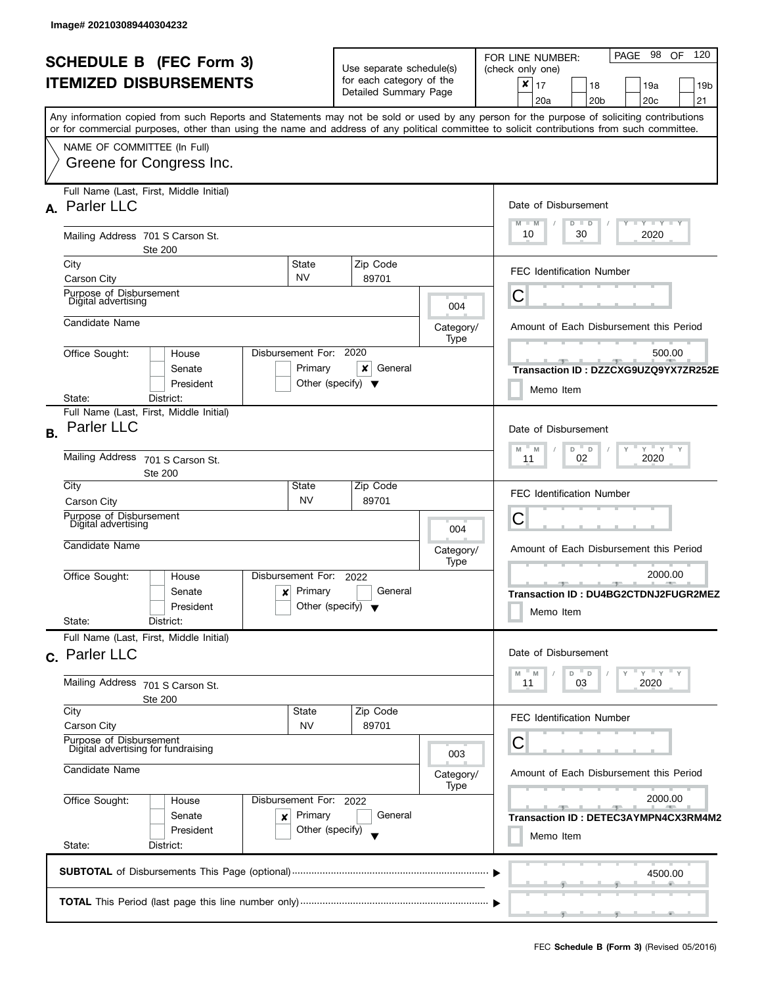| <b>SCHEDULE B (FEC Form 3)</b>                                                                                                                                                                                                                                                          |                                                              | Use separate schedule(s)                                |                                                                                                           | 98<br>120<br>OF<br>PAGE<br>FOR LINE NUMBER:<br>(check only one)       |  |  |
|-----------------------------------------------------------------------------------------------------------------------------------------------------------------------------------------------------------------------------------------------------------------------------------------|--------------------------------------------------------------|---------------------------------------------------------|-----------------------------------------------------------------------------------------------------------|-----------------------------------------------------------------------|--|--|
| <b>ITEMIZED DISBURSEMENTS</b>                                                                                                                                                                                                                                                           | for each category of the<br>Detailed Summary Page            |                                                         | $\boldsymbol{x}$<br>17<br>19a<br>18<br>19 <sub>b</sub><br>20 <sub>b</sub><br>20 <sub>c</sub><br>21<br>20a |                                                                       |  |  |
| Any information copied from such Reports and Statements may not be sold or used by any person for the purpose of soliciting contributions<br>or for commercial purposes, other than using the name and address of any political committee to solicit contributions from such committee. |                                                              |                                                         |                                                                                                           |                                                                       |  |  |
| NAME OF COMMITTEE (In Full)<br>Greene for Congress Inc.                                                                                                                                                                                                                                 |                                                              |                                                         |                                                                                                           |                                                                       |  |  |
| Full Name (Last, First, Middle Initial)<br>A. Parler LLC                                                                                                                                                                                                                                |                                                              |                                                         |                                                                                                           | Date of Disbursement<br>$Y - Y - Y - Y - Y$<br>$M - M$<br>$D$ $D$     |  |  |
| Mailing Address 701 S Carson St.<br>Ste 200                                                                                                                                                                                                                                             |                                                              |                                                         |                                                                                                           | 10<br>30<br>2020                                                      |  |  |
| City<br>Carson City                                                                                                                                                                                                                                                                     | State<br><b>NV</b>                                           | Zip Code<br>89701                                       |                                                                                                           | <b>FEC Identification Number</b>                                      |  |  |
| Purpose of Disbursement<br>Digital advertising                                                                                                                                                                                                                                          |                                                              |                                                         | 004                                                                                                       | С                                                                     |  |  |
| Candidate Name                                                                                                                                                                                                                                                                          |                                                              |                                                         | Category/<br>Type                                                                                         | Amount of Each Disbursement this Period                               |  |  |
| Office Sought:<br>House<br>Senate<br>President                                                                                                                                                                                                                                          | Disbursement For: 2020<br>Primary                            | ×<br>General<br>Other (specify) $\blacktriangledown$    |                                                                                                           | 500.00<br>$-9-$<br>Transaction ID: DZZCXG9UZQ9YX7ZR252E<br>Memo Item  |  |  |
| Full Name (Last, First, Middle Initial)<br><b>Parler LLC</b><br><b>B.</b>                                                                                                                                                                                                               | District:<br>State:                                          |                                                         |                                                                                                           |                                                                       |  |  |
| <b>Mailing Address</b><br>701 S Carson St.<br><b>Ste 200</b>                                                                                                                                                                                                                            | $Y'$ $Y'$ $Y$<br>$D^{\perp}$ D<br>M<br>M<br>2020<br>02<br>11 |                                                         |                                                                                                           |                                                                       |  |  |
| City<br>Carson City                                                                                                                                                                                                                                                                     | State<br><b>NV</b>                                           | Zip Code<br>89701                                       |                                                                                                           | <b>FEC Identification Number</b>                                      |  |  |
| Purpose of Disbursement<br>Digital advertising                                                                                                                                                                                                                                          |                                                              |                                                         | 004                                                                                                       | С                                                                     |  |  |
| Candidate Name                                                                                                                                                                                                                                                                          |                                                              |                                                         | Category/<br>Type                                                                                         | Amount of Each Disbursement this Period                               |  |  |
| Office Sought:<br>House<br>Senate<br>President<br>District:<br>State:                                                                                                                                                                                                                   | Disbursement For:<br>Primary<br>×                            | 2022<br>General<br>Other (specify) $\blacktriangledown$ |                                                                                                           | 2000.00<br>$-9-$<br>Transaction ID: DU4BG2CTDNJ2FUGR2MEZ<br>Memo Item |  |  |
| Full Name (Last, First, Middle Initial)<br>c. Parler LLC                                                                                                                                                                                                                                |                                                              |                                                         |                                                                                                           | Date of Disbursement<br>'γ "γ "γ<br>$-M$<br>$-$ D                     |  |  |
| Mailing Address 701 S Carson St.<br>Ste 200                                                                                                                                                                                                                                             |                                                              |                                                         |                                                                                                           |                                                                       |  |  |
| City<br>Carson City                                                                                                                                                                                                                                                                     | State<br>NV                                                  | Zip Code<br>89701                                       |                                                                                                           | FEC Identification Number                                             |  |  |
| Purpose of Disbursement<br>Digital advertising for fundraising                                                                                                                                                                                                                          |                                                              | 003                                                     | С                                                                                                         |                                                                       |  |  |
| Candidate Name                                                                                                                                                                                                                                                                          |                                                              | Category/<br>Type                                       | Amount of Each Disbursement this Period                                                                   |                                                                       |  |  |
| Office Sought:<br>House<br>Senate<br>President                                                                                                                                                                                                                                          | Disbursement For: 2022<br>Primary<br>×<br>Other (specify)    | General                                                 |                                                                                                           | 2000.00<br>$-1$<br>Transaction ID: DETEC3AYMPN4CX3RM4M2<br>Memo Item  |  |  |
| State:<br>District:                                                                                                                                                                                                                                                                     |                                                              |                                                         |                                                                                                           | 4500.00                                                               |  |  |
|                                                                                                                                                                                                                                                                                         |                                                              |                                                         |                                                                                                           | والمستناة والمتأخر والمسترات والمستنقص                                |  |  |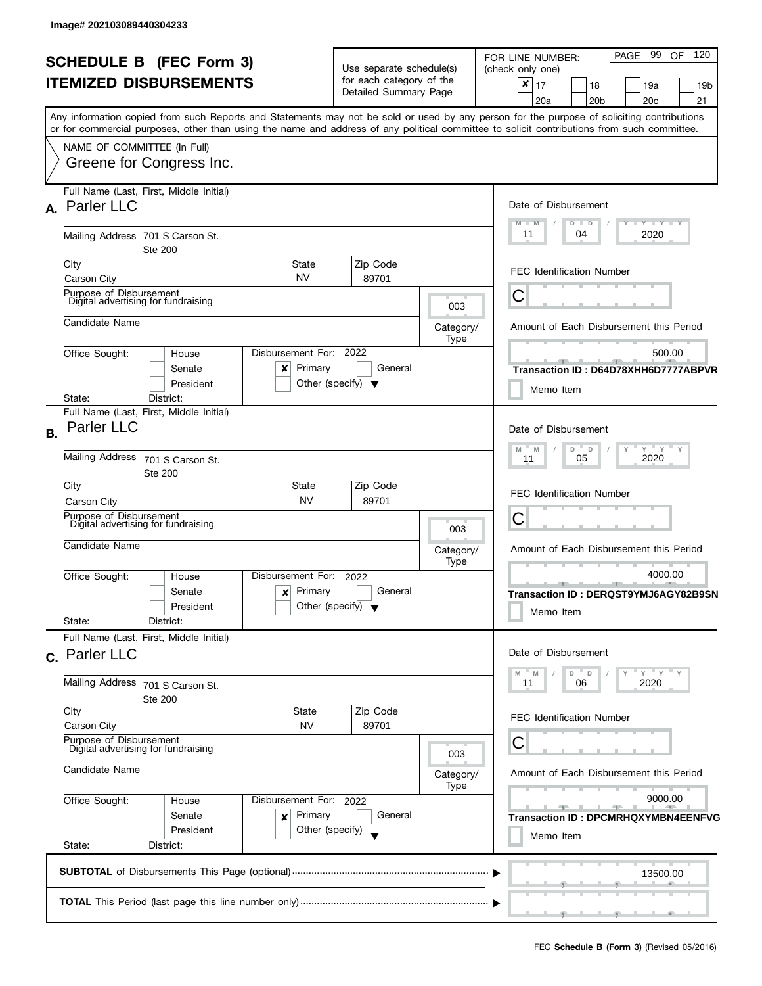| <b>SCHEDULE B</b> (FEC Form 3)<br><b>ITEMIZED DISBURSEMENTS</b> |                                                                                                                                            | Use separate schedule(s)                                     |           | PAGE 99<br>120<br><b>OF</b><br>FOR LINE NUMBER:<br>(check only one) |
|-----------------------------------------------------------------|--------------------------------------------------------------------------------------------------------------------------------------------|--------------------------------------------------------------|-----------|---------------------------------------------------------------------|
|                                                                 |                                                                                                                                            | for each category of the<br>Detailed Summary Page            |           | $\boldsymbol{x}$<br>17<br>18<br>19a<br>19 <sub>b</sub>              |
|                                                                 |                                                                                                                                            |                                                              |           | 20a<br>20 <sub>b</sub><br>20c<br>21                                 |
|                                                                 | Any information copied from such Reports and Statements may not be sold or used by any person for the purpose of soliciting contributions  |                                                              |           |                                                                     |
|                                                                 | or for commercial purposes, other than using the name and address of any political committee to solicit contributions from such committee. |                                                              |           |                                                                     |
|                                                                 | NAME OF COMMITTEE (In Full)                                                                                                                |                                                              |           |                                                                     |
|                                                                 | Greene for Congress Inc.                                                                                                                   |                                                              |           |                                                                     |
|                                                                 |                                                                                                                                            |                                                              |           |                                                                     |
|                                                                 | Full Name (Last, First, Middle Initial)                                                                                                    |                                                              |           |                                                                     |
|                                                                 | A. Parler LLC                                                                                                                              |                                                              |           | Date of Disbursement                                                |
|                                                                 |                                                                                                                                            |                                                              |           | Y TY TY TY<br>$M - M$<br>$D$ $D$                                    |
|                                                                 | Mailing Address 701 S Carson St.                                                                                                           |                                                              |           | 11<br>2020<br>04                                                    |
|                                                                 | <b>Ste 200</b>                                                                                                                             |                                                              |           |                                                                     |
|                                                                 | City<br>State                                                                                                                              | Zip Code                                                     |           | <b>FEC Identification Number</b>                                    |
|                                                                 | <b>NV</b><br>Carson City                                                                                                                   | 89701                                                        |           |                                                                     |
|                                                                 | Purpose of Disbursement<br>Digital advertising for fundraising                                                                             |                                                              | 003       | С                                                                   |
|                                                                 |                                                                                                                                            |                                                              |           |                                                                     |
|                                                                 | Candidate Name                                                                                                                             |                                                              | Category/ | Amount of Each Disbursement this Period                             |
|                                                                 | Disbursement For:<br>Office Sought:<br>House                                                                                               | 2022                                                         | Type      | 500.00                                                              |
|                                                                 | Primary<br>Senate<br>x                                                                                                                     | General                                                      |           |                                                                     |
|                                                                 | President                                                                                                                                  | Other (specify) $\blacktriangledown$                         |           | Transaction ID : D64D78XHH6D7777ABPVR                               |
|                                                                 | State:<br>District:                                                                                                                        |                                                              |           | Memo Item                                                           |
|                                                                 | Full Name (Last, First, Middle Initial)                                                                                                    |                                                              |           |                                                                     |
| <b>B.</b>                                                       | <b>Parler LLC</b>                                                                                                                          |                                                              |           | Date of Disbursement                                                |
|                                                                 |                                                                                                                                            |                                                              |           |                                                                     |
|                                                                 | <b>Mailing Address</b><br>701 S Carson St.                                                                                                 | $Y = Y$<br>$\overline{a}$<br>M<br>D<br>M<br>2020<br>05<br>11 |           |                                                                     |
|                                                                 | Ste 200                                                                                                                                    |                                                              |           |                                                                     |
|                                                                 | City<br>State                                                                                                                              | Zip Code                                                     |           | <b>FEC Identification Number</b>                                    |
|                                                                 | <b>NV</b><br>Carson City                                                                                                                   | 89701                                                        |           |                                                                     |
|                                                                 | Purpose of Disbursement<br>Digital advertising for fundraising                                                                             |                                                              |           | С                                                                   |
|                                                                 |                                                                                                                                            |                                                              | 003       |                                                                     |
|                                                                 | Candidate Name                                                                                                                             |                                                              | Category/ | Amount of Each Disbursement this Period                             |
|                                                                 | Disbursement For:<br>Office Sought:<br>House                                                                                               | 2022                                                         | Type      | 4000.00                                                             |
|                                                                 | Primary<br>Senate<br>×                                                                                                                     | General                                                      |           | -90-                                                                |
|                                                                 | President                                                                                                                                  | Other (specify) $\blacktriangledown$                         |           | Transaction ID: DERQST9YMJ6AGY82B9SN                                |
|                                                                 | State:<br>District:                                                                                                                        |                                                              |           | Memo Item                                                           |
|                                                                 | Full Name (Last, First, Middle Initial)                                                                                                    |                                                              |           |                                                                     |
|                                                                 | c. Parler LLC                                                                                                                              |                                                              |           | Date of Disbursement                                                |
|                                                                 |                                                                                                                                            |                                                              |           | $Y$ $Y$<br>- M                                                      |
|                                                                 | Mailing Address<br>701 S Carson St.                                                                                                        |                                                              |           | $\mathsf D$<br>$\mathsf D$<br>M<br>2020<br>06<br>11                 |
|                                                                 | Ste 200                                                                                                                                    |                                                              |           |                                                                     |
|                                                                 | City<br>State                                                                                                                              | Zip Code                                                     |           | <b>FEC Identification Number</b>                                    |
|                                                                 | Carson City<br><b>NV</b>                                                                                                                   | 89701                                                        |           |                                                                     |
|                                                                 | Purpose of Disbursement<br>Digital advertising for fundraising                                                                             |                                                              |           | С                                                                   |
|                                                                 | Candidate Name                                                                                                                             |                                                              | 003       |                                                                     |
|                                                                 |                                                                                                                                            | Amount of Each Disbursement this Period<br>Category/         |           |                                                                     |
|                                                                 | Office Sought:<br>Disbursement For: 2022<br>House                                                                                          |                                                              | Type      | 9000.00                                                             |
|                                                                 | Primary<br>Senate                                                                                                                          | General                                                      |           | $-1$<br>$-1$                                                        |
|                                                                 | ×<br>President                                                                                                                             | Other (specify)                                              |           | <b>Transaction ID: DPCMRHQXYMBN4EENFVG</b>                          |
|                                                                 | State:<br>District:                                                                                                                        | Memo Item                                                    |           |                                                                     |
|                                                                 |                                                                                                                                            |                                                              |           |                                                                     |
|                                                                 |                                                                                                                                            |                                                              |           | 13500.00                                                            |
|                                                                 |                                                                                                                                            |                                                              |           |                                                                     |
|                                                                 |                                                                                                                                            |                                                              |           |                                                                     |
|                                                                 |                                                                                                                                            |                                                              |           | ____                                                                |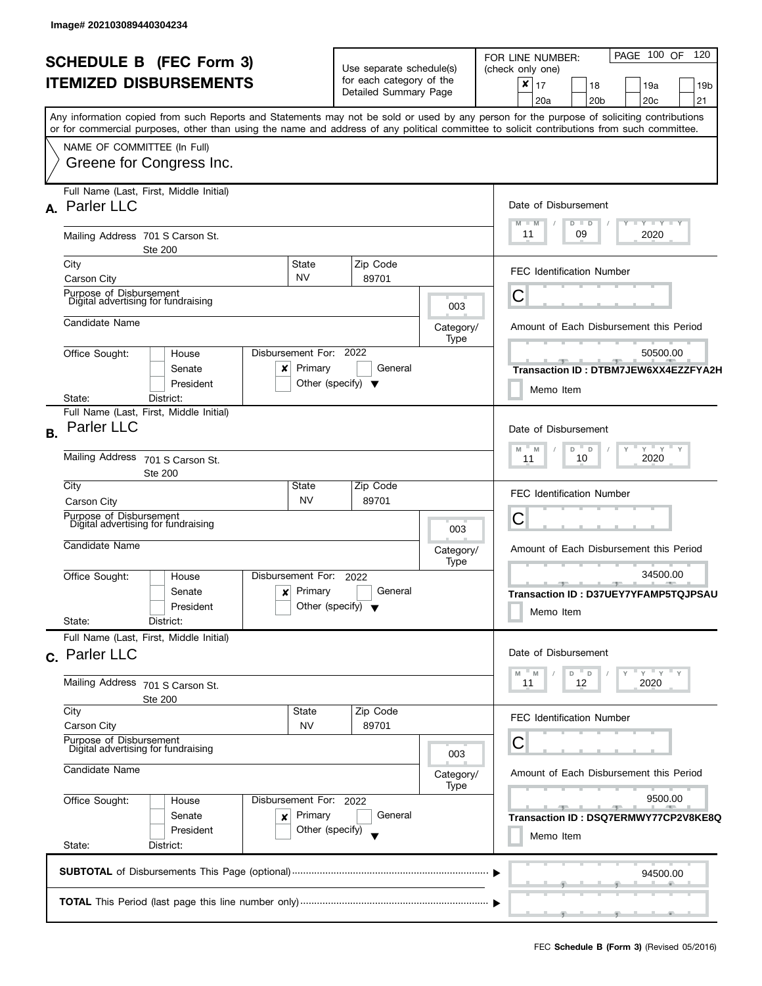| <b>SCHEDULE B</b> (FEC Form 3) |                                                                                                                                                                                                                                                                                         |                                                                               | Use separate schedule(s)                                        |                   | PAGE 100 OF<br>120<br>FOR LINE NUMBER:<br>(check only one)                         |  |
|--------------------------------|-----------------------------------------------------------------------------------------------------------------------------------------------------------------------------------------------------------------------------------------------------------------------------------------|-------------------------------------------------------------------------------|-----------------------------------------------------------------|-------------------|------------------------------------------------------------------------------------|--|
|                                | <b>ITEMIZED DISBURSEMENTS</b>                                                                                                                                                                                                                                                           |                                                                               | for each category of the<br>Detailed Summary Page               |                   | $x \mid 17$<br>18<br>19a<br>19 <sub>b</sub><br>20a<br>20 <sub>b</sub><br>20c<br>21 |  |
|                                | Any information copied from such Reports and Statements may not be sold or used by any person for the purpose of soliciting contributions<br>or for commercial purposes, other than using the name and address of any political committee to solicit contributions from such committee. |                                                                               |                                                                 |                   |                                                                                    |  |
|                                | NAME OF COMMITTEE (In Full)<br>Greene for Congress Inc.                                                                                                                                                                                                                                 |                                                                               |                                                                 |                   |                                                                                    |  |
|                                | Full Name (Last, First, Middle Initial)<br>A. Parler LLC                                                                                                                                                                                                                                |                                                                               |                                                                 |                   | Date of Disbursement                                                               |  |
|                                | Mailing Address 701 S Carson St.<br><b>Ste 200</b>                                                                                                                                                                                                                                      |                                                                               |                                                                 |                   | Y TY TY TY<br>$M - M$<br>$D$ $D$<br>11<br>09<br>2020                               |  |
|                                | City<br>Carson City                                                                                                                                                                                                                                                                     | State<br><b>NV</b>                                                            | Zip Code<br>89701                                               |                   | <b>FEC Identification Number</b>                                                   |  |
|                                | Purpose of Disbursement<br>Digital advertising for fundraising                                                                                                                                                                                                                          |                                                                               |                                                                 | 003               | С                                                                                  |  |
|                                | Candidate Name                                                                                                                                                                                                                                                                          |                                                                               |                                                                 | Category/<br>Type | Amount of Each Disbursement this Period                                            |  |
|                                | Office Sought:<br>House<br>Senate<br>President<br>District:<br>State:                                                                                                                                                                                                                   | Disbursement For: 2022<br>$x$ Primary<br>Other (specify) $\blacktriangledown$ | General                                                         |                   | 50500.00<br>Transaction ID: DTBM7JEW6XX4EZZFYA2H<br>Memo Item                      |  |
| <b>B.</b>                      | Full Name (Last, First, Middle Initial)<br><b>Parler LLC</b>                                                                                                                                                                                                                            |                                                                               |                                                                 |                   | Date of Disbursement                                                               |  |
|                                | Mailing Address<br>701 S Carson St.<br>Ste 200                                                                                                                                                                                                                                          |                                                                               | $Y$ $Y$ $Y$ $Y$<br>$-M$<br>M<br>D<br>$\Box$<br>10<br>2020<br>11 |                   |                                                                                    |  |
|                                | City<br>Carson City                                                                                                                                                                                                                                                                     | State<br><b>NV</b>                                                            | Zip Code<br>89701                                               |                   | <b>FEC Identification Number</b>                                                   |  |
|                                | Purpose of Disbursement<br>Digital advertising for fundraising                                                                                                                                                                                                                          |                                                                               |                                                                 | 003               | С                                                                                  |  |
|                                | Candidate Name                                                                                                                                                                                                                                                                          |                                                                               |                                                                 | Category/<br>Type | Amount of Each Disbursement this Period                                            |  |
|                                | Office Sought:<br>House<br>Senate<br>$\boldsymbol{x}$<br>President<br>State:<br>District:                                                                                                                                                                                               | Disbursement For:<br>Primary<br>Other (specify) $\blacktriangledown$          | 2022<br>General                                                 |                   | 34500.00<br>$-1$<br>Transaction ID: D37UEY7YFAMP5TQJPSAU<br>Memo Item              |  |
|                                | Full Name (Last, First, Middle Initial)<br>c. Parler LLC                                                                                                                                                                                                                                |                                                                               |                                                                 |                   | Date of Disbursement                                                               |  |
|                                | Mailing Address 701 S Carson St.<br><b>Ste 200</b>                                                                                                                                                                                                                                      | $Y = Y = Y$<br>$-M$<br>$\mathbb M$<br>$\Box$<br>- D<br>11<br>12<br>2020       |                                                                 |                   |                                                                                    |  |
|                                | City<br>Carson City                                                                                                                                                                                                                                                                     | <b>State</b><br><b>NV</b>                                                     | Zip Code<br>89701                                               |                   | <b>FEC Identification Number</b>                                                   |  |
|                                | Purpose of Disbursement<br>Digital advertising for fundraising                                                                                                                                                                                                                          | 003                                                                           | С                                                               |                   |                                                                                    |  |
|                                | Candidate Name                                                                                                                                                                                                                                                                          | Category/<br>Type                                                             | Amount of Each Disbursement this Period                         |                   |                                                                                    |  |
|                                | Office Sought:<br>Disbursement For: 2022<br>House<br>Senate<br>×<br>President<br>State:<br>District:                                                                                                                                                                                    |                                                                               | 9500.00<br>Transaction ID : DSQ7ERMWY77CP2V8KE8Q<br>Memo Item   |                   |                                                                                    |  |
|                                |                                                                                                                                                                                                                                                                                         |                                                                               |                                                                 |                   | 94500.00                                                                           |  |
|                                |                                                                                                                                                                                                                                                                                         |                                                                               |                                                                 |                   |                                                                                    |  |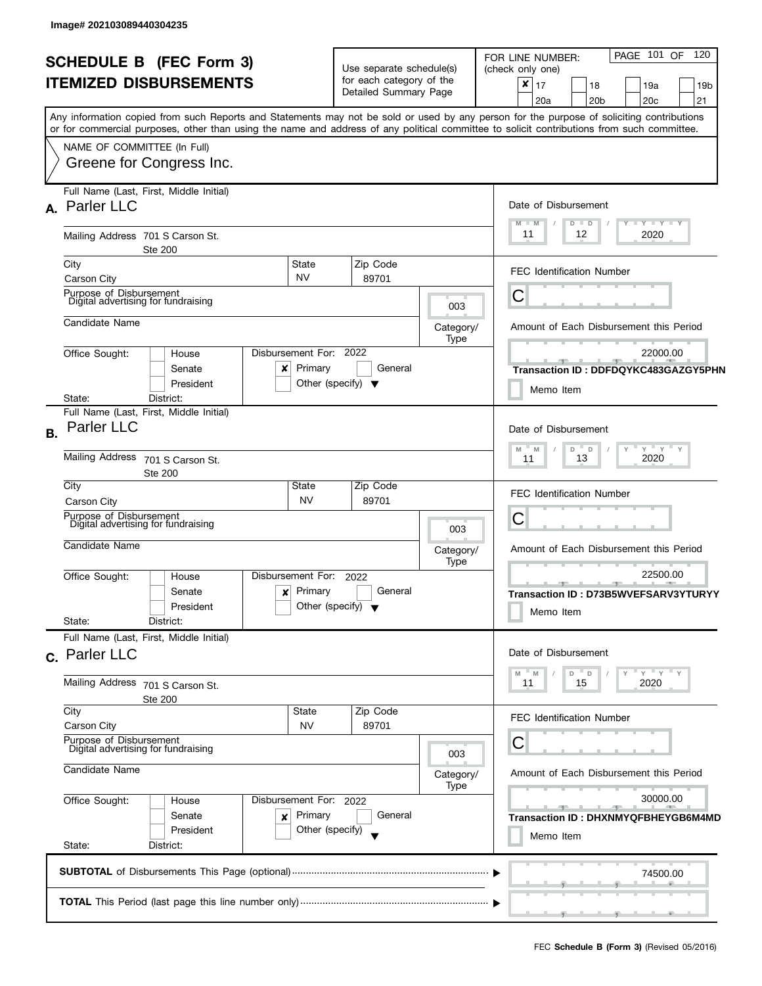| <b>SCHEDULE B</b> (FEC Form 3)<br><b>ITEMIZED DISBURSEMENTS</b> |                                                                                                                                            | Use separate schedule(s)                          |                                                                  | PAGE 101 OF 120<br>FOR LINE NUMBER:<br>(check only one) |  |  |
|-----------------------------------------------------------------|--------------------------------------------------------------------------------------------------------------------------------------------|---------------------------------------------------|------------------------------------------------------------------|---------------------------------------------------------|--|--|
|                                                                 |                                                                                                                                            | for each category of the<br>Detailed Summary Page |                                                                  | ×<br>17<br>18<br>19a<br>19 <sub>b</sub>                 |  |  |
|                                                                 |                                                                                                                                            |                                                   |                                                                  | 20a<br>20 <sub>b</sub><br>20c<br>21                     |  |  |
|                                                                 | Any information copied from such Reports and Statements may not be sold or used by any person for the purpose of soliciting contributions  |                                                   |                                                                  |                                                         |  |  |
|                                                                 | or for commercial purposes, other than using the name and address of any political committee to solicit contributions from such committee. |                                                   |                                                                  |                                                         |  |  |
|                                                                 | NAME OF COMMITTEE (In Full)                                                                                                                |                                                   |                                                                  |                                                         |  |  |
|                                                                 | Greene for Congress Inc.                                                                                                                   |                                                   |                                                                  |                                                         |  |  |
|                                                                 | Full Name (Last, First, Middle Initial)                                                                                                    |                                                   |                                                                  |                                                         |  |  |
|                                                                 | A. Parler LLC                                                                                                                              |                                                   |                                                                  | Date of Disbursement                                    |  |  |
|                                                                 |                                                                                                                                            |                                                   |                                                                  | Y Y Y Y Y<br>M<br>M<br>$D$ $D$                          |  |  |
|                                                                 | Mailing Address 701 S Carson St.<br><b>Ste 200</b>                                                                                         |                                                   |                                                                  | 11<br>12<br>2020                                        |  |  |
|                                                                 | City<br>State                                                                                                                              | Zip Code                                          |                                                                  |                                                         |  |  |
|                                                                 | <b>NV</b><br>Carson City                                                                                                                   | 89701                                             |                                                                  | <b>FEC Identification Number</b>                        |  |  |
|                                                                 | Purpose of Disbursement<br>Digital advertising for fundraising                                                                             |                                                   |                                                                  | Ü                                                       |  |  |
|                                                                 |                                                                                                                                            |                                                   | 003                                                              |                                                         |  |  |
|                                                                 | Candidate Name                                                                                                                             |                                                   | Category/<br>Type                                                | Amount of Each Disbursement this Period                 |  |  |
|                                                                 | Disbursement For:<br>Office Sought:<br>House                                                                                               | 2022                                              |                                                                  | 22000.00                                                |  |  |
|                                                                 | Primary<br>Senate<br>x                                                                                                                     | General                                           |                                                                  | Transaction ID: DDFDQYKC483GAZGY5PHN                    |  |  |
|                                                                 | President                                                                                                                                  | Other (specify) $\blacktriangledown$              |                                                                  | Memo Item                                               |  |  |
|                                                                 | District:<br>State:                                                                                                                        |                                                   |                                                                  |                                                         |  |  |
|                                                                 | Full Name (Last, First, Middle Initial)<br><b>Parler LLC</b>                                                                               | Date of Disbursement                              |                                                                  |                                                         |  |  |
| <b>B.</b>                                                       |                                                                                                                                            |                                                   |                                                                  |                                                         |  |  |
|                                                                 | <b>Mailing Address</b><br>701 S Carson St.                                                                                                 |                                                   | $Y$ $Y$ $Y$<br>$\overline{a}$<br>M<br>M<br>D<br>2020<br>13<br>11 |                                                         |  |  |
|                                                                 | Ste 200                                                                                                                                    |                                                   |                                                                  |                                                         |  |  |
|                                                                 | City<br>State<br><b>NV</b><br>Carson City                                                                                                  | Zip Code<br>89701                                 |                                                                  | <b>FEC Identification Number</b>                        |  |  |
|                                                                 | Purpose of Disbursement                                                                                                                    |                                                   |                                                                  | С                                                       |  |  |
|                                                                 | Digital advertising for fundraising                                                                                                        |                                                   | 003                                                              |                                                         |  |  |
|                                                                 | Candidate Name                                                                                                                             |                                                   | Category/                                                        | Amount of Each Disbursement this Period                 |  |  |
|                                                                 |                                                                                                                                            |                                                   | Type                                                             | 22500.00                                                |  |  |
|                                                                 | Disbursement For:<br>Office Sought:<br>House<br>Primary<br>Senate                                                                          | 2022<br>General                                   |                                                                  | $-1$ $-1$                                               |  |  |
|                                                                 | ×<br>President                                                                                                                             | Other (specify) $\blacktriangledown$              |                                                                  | Transaction ID: D73B5WVEFSARV3YTURYY                    |  |  |
|                                                                 | State:<br>District:                                                                                                                        |                                                   |                                                                  | Memo Item                                               |  |  |
|                                                                 | Full Name (Last, First, Middle Initial)                                                                                                    |                                                   |                                                                  |                                                         |  |  |
|                                                                 | c. Parler LLC                                                                                                                              |                                                   |                                                                  | Date of Disbursement                                    |  |  |
|                                                                 |                                                                                                                                            |                                                   |                                                                  | $Y'$ Y<br>M<br>$\mathsf D$<br>$\mathsf D$<br>M          |  |  |
|                                                                 | Mailing Address<br>701 S Carson St.<br><b>Ste 200</b>                                                                                      |                                                   |                                                                  | 15<br>2020<br>11                                        |  |  |
|                                                                 | City<br>State                                                                                                                              | Zip Code                                          |                                                                  | <b>FEC Identification Number</b>                        |  |  |
|                                                                 | Carson City<br><b>NV</b>                                                                                                                   | 89701                                             |                                                                  |                                                         |  |  |
|                                                                 | Purpose of Disbursement<br>Digital advertising for fundraising                                                                             |                                                   | 003                                                              | С                                                       |  |  |
|                                                                 | Candidate Name                                                                                                                             |                                                   | Category/                                                        |                                                         |  |  |
|                                                                 |                                                                                                                                            | Amount of Each Disbursement this Period           |                                                                  |                                                         |  |  |
|                                                                 | Office Sought:<br>Disbursement For: 2022<br>House                                                                                          | Type                                              | 30000.00<br>$-1$                                                 |                                                         |  |  |
|                                                                 | Primary<br>Senate<br>×                                                                                                                     | General                                           |                                                                  | Transaction ID: DHXNMYQFBHEYGB6M4MD                     |  |  |
|                                                                 | President                                                                                                                                  | Other (specify)                                   |                                                                  | Memo Item                                               |  |  |
|                                                                 | State:<br>District:                                                                                                                        |                                                   |                                                                  |                                                         |  |  |
|                                                                 |                                                                                                                                            |                                                   |                                                                  | 74500.00                                                |  |  |
|                                                                 |                                                                                                                                            |                                                   |                                                                  |                                                         |  |  |
|                                                                 |                                                                                                                                            |                                                   |                                                                  | _____                                                   |  |  |
|                                                                 |                                                                                                                                            |                                                   |                                                                  |                                                         |  |  |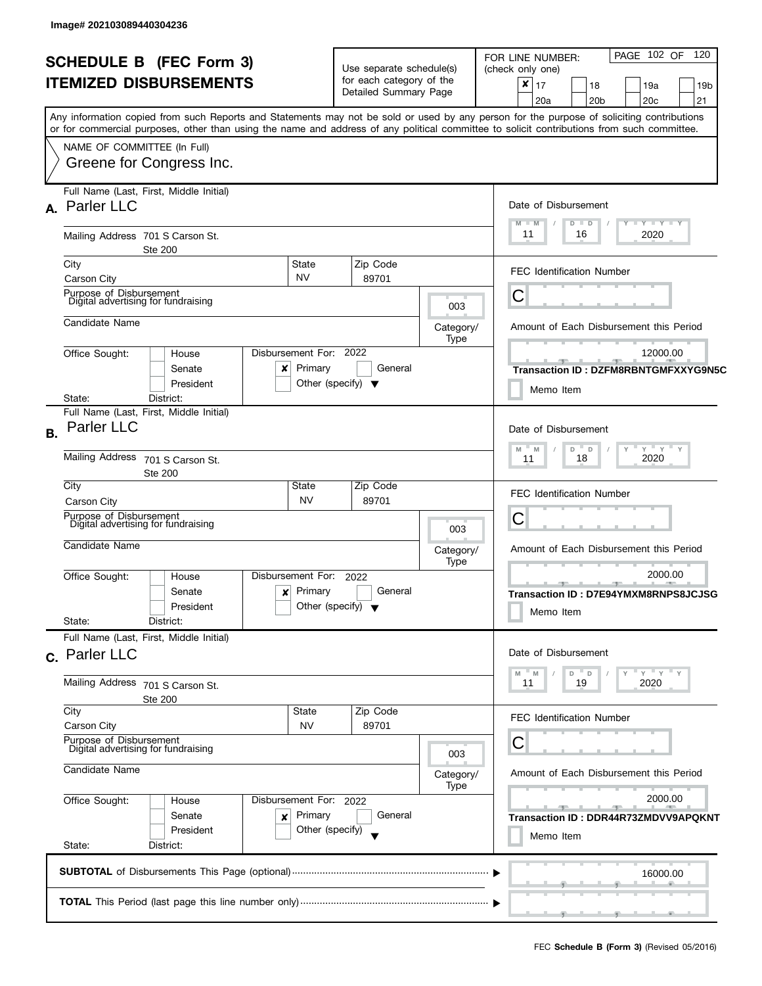| <b>SCHEDULE B</b> (FEC Form 3)<br><b>ITEMIZED DISBURSEMENTS</b> |                                                                                                                                                                                                                                                                                         |                                                 | Use separate schedule(s)                                             |                                                         | PAGE 102 OF 120<br>FOR LINE NUMBER:<br>(check only one)                                       |
|-----------------------------------------------------------------|-----------------------------------------------------------------------------------------------------------------------------------------------------------------------------------------------------------------------------------------------------------------------------------------|-------------------------------------------------|----------------------------------------------------------------------|---------------------------------------------------------|-----------------------------------------------------------------------------------------------|
|                                                                 |                                                                                                                                                                                                                                                                                         |                                                 | for each category of the<br>Detailed Summary Page                    |                                                         | $\boldsymbol{x}$<br>17<br>19a<br>18<br>19b<br>20a<br>20 <sub>b</sub><br>20 <sub>c</sub><br>21 |
|                                                                 | Any information copied from such Reports and Statements may not be sold or used by any person for the purpose of soliciting contributions<br>or for commercial purposes, other than using the name and address of any political committee to solicit contributions from such committee. |                                                 |                                                                      |                                                         |                                                                                               |
|                                                                 | NAME OF COMMITTEE (In Full)                                                                                                                                                                                                                                                             |                                                 |                                                                      |                                                         |                                                                                               |
|                                                                 | Greene for Congress Inc.                                                                                                                                                                                                                                                                |                                                 |                                                                      |                                                         |                                                                                               |
|                                                                 | Full Name (Last, First, Middle Initial)<br>A. Parler LLC                                                                                                                                                                                                                                |                                                 |                                                                      |                                                         | Date of Disbursement                                                                          |
|                                                                 | Mailing Address 701 S Carson St.<br><b>Ste 200</b>                                                                                                                                                                                                                                      |                                                 |                                                                      |                                                         | Y TY TY TY<br>$M - M$<br>$D$ $D$<br>11<br>2020<br>16                                          |
|                                                                 | City<br>State<br><b>NV</b><br>Carson City                                                                                                                                                                                                                                               |                                                 | Zip Code<br>89701                                                    |                                                         | <b>FEC Identification Number</b>                                                              |
|                                                                 | Purpose of Disbursement<br>Digital advertising for fundraising                                                                                                                                                                                                                          |                                                 |                                                                      | 003                                                     | Ĉ                                                                                             |
|                                                                 | Candidate Name                                                                                                                                                                                                                                                                          |                                                 |                                                                      | Category/<br>Type                                       | Amount of Each Disbursement this Period                                                       |
|                                                                 | Office Sought:<br>Disbursement For:<br>House<br>Senate<br>x<br>President                                                                                                                                                                                                                | Primary<br>Other (specify) $\blacktriangledown$ | 2022<br>General                                                      |                                                         | 12000.00<br>Transaction ID: DZFM8RBNTGMFXXYG9N5C<br>Memo Item                                 |
| <b>B.</b>                                                       | District:<br>State:<br>Full Name (Last, First, Middle Initial)<br><b>Parler LLC</b>                                                                                                                                                                                                     |                                                 | Date of Disbursement                                                 |                                                         |                                                                                               |
|                                                                 | <b>Mailing Address</b><br>701 S Carson St.<br><b>Ste 200</b>                                                                                                                                                                                                                            |                                                 |                                                                      | $Y'$ $Y'$ $Y$<br>D<br>. D<br>M<br>M<br>2020<br>18<br>11 |                                                                                               |
|                                                                 | City<br>State<br><b>NV</b><br>Carson City                                                                                                                                                                                                                                               |                                                 | Zip Code<br>89701                                                    |                                                         | <b>FEC Identification Number</b>                                                              |
|                                                                 | Purpose of Disbursement<br>Digital advertising for fundraising                                                                                                                                                                                                                          |                                                 |                                                                      | 003                                                     | С                                                                                             |
|                                                                 | Candidate Name                                                                                                                                                                                                                                                                          |                                                 |                                                                      | Category/<br>Type                                       | Amount of Each Disbursement this Period                                                       |
|                                                                 | Disbursement For:<br>Office Sought:<br>House<br>Senate<br>×<br>President<br>State:<br>District:                                                                                                                                                                                         | Primary<br>Other (specify) $\blacktriangledown$ | 2022<br>General                                                      |                                                         | 2000.00<br>ு<br>Transaction ID: D7E94YMXM8RNPS8JCJSG<br>Memo Item                             |
|                                                                 | Full Name (Last, First, Middle Initial)<br>c. Parler LLC                                                                                                                                                                                                                                | Date of Disbursement                            |                                                                      |                                                         |                                                                                               |
|                                                                 | Mailing Address 701 S Carson St.<br><b>Ste 200</b>                                                                                                                                                                                                                                      |                                                 | $-$ Y<br>D<br>M<br>M<br>$\mathsf D$<br>19<br>2020<br>11              |                                                         |                                                                                               |
|                                                                 | City<br>State<br>Carson City<br><b>NV</b>                                                                                                                                                                                                                                               |                                                 | Zip Code<br>89701                                                    |                                                         | <b>FEC Identification Number</b>                                                              |
|                                                                 | Purpose of Disbursement<br>Digital advertising for fundraising                                                                                                                                                                                                                          |                                                 |                                                                      | 003                                                     | С                                                                                             |
|                                                                 | Candidate Name                                                                                                                                                                                                                                                                          | Category/<br>Type                               | Amount of Each Disbursement this Period                              |                                                         |                                                                                               |
|                                                                 | Office Sought:<br>Disbursement For: 2022<br>House<br>Primary<br>Senate<br>×<br>President<br>Other (specify)                                                                                                                                                                             |                                                 | 2000.00<br>$-1$<br>Transaction ID: DDR44R73ZMDVV9APQKNT<br>Memo Item |                                                         |                                                                                               |
|                                                                 | State:<br>District:                                                                                                                                                                                                                                                                     |                                                 |                                                                      |                                                         |                                                                                               |
|                                                                 |                                                                                                                                                                                                                                                                                         |                                                 |                                                                      |                                                         | 16000.00                                                                                      |
|                                                                 |                                                                                                                                                                                                                                                                                         |                                                 |                                                                      |                                                         | ____                                                                                          |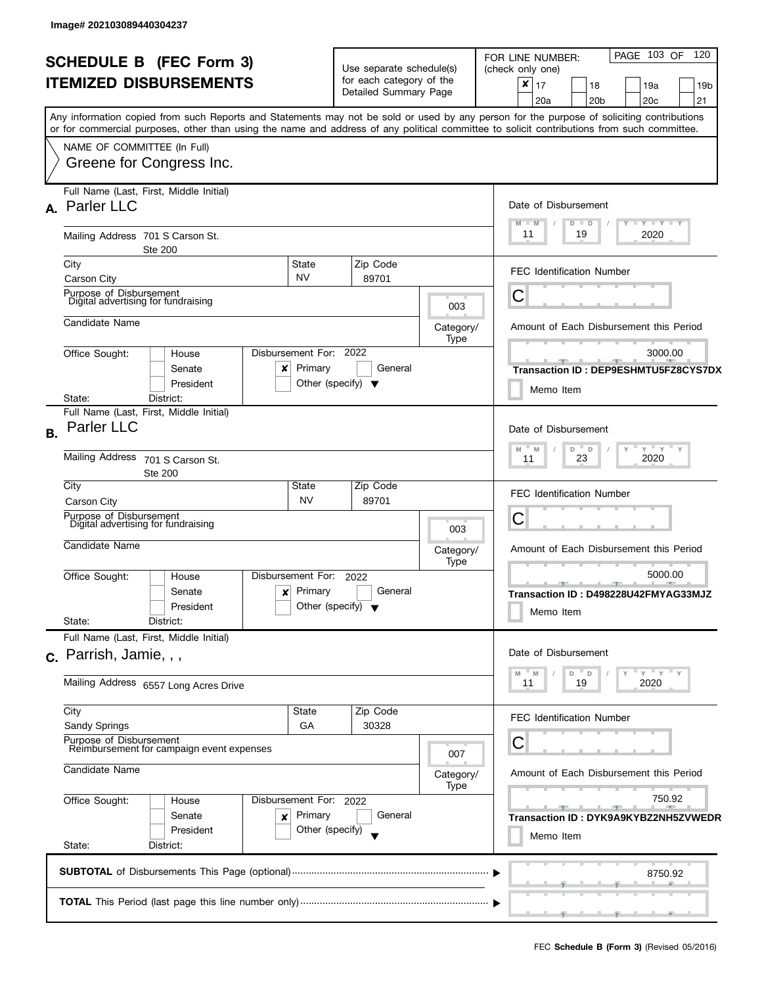|                                |                                                                                                                                                                                                                                                                                         |                                                               |                                         | PAGE 103 OF<br>120<br>FOR LINE NUMBER:                    |  |  |
|--------------------------------|-----------------------------------------------------------------------------------------------------------------------------------------------------------------------------------------------------------------------------------------------------------------------------------------|---------------------------------------------------------------|-----------------------------------------|-----------------------------------------------------------|--|--|
| <b>SCHEDULE B (FEC Form 3)</b> |                                                                                                                                                                                                                                                                                         | Use separate schedule(s)                                      |                                         | (check only one)                                          |  |  |
|                                | <b>ITEMIZED DISBURSEMENTS</b>                                                                                                                                                                                                                                                           | for each category of the<br>Detailed Summary Page             |                                         | $\times$<br>17<br>18<br>19a<br>19 <sub>b</sub>            |  |  |
|                                |                                                                                                                                                                                                                                                                                         |                                                               |                                         | 21<br>20a<br>20 <sub>b</sub><br>20 <sub>c</sub>           |  |  |
|                                | Any information copied from such Reports and Statements may not be sold or used by any person for the purpose of soliciting contributions<br>or for commercial purposes, other than using the name and address of any political committee to solicit contributions from such committee. |                                                               |                                         |                                                           |  |  |
|                                | NAME OF COMMITTEE (In Full)                                                                                                                                                                                                                                                             |                                                               |                                         |                                                           |  |  |
|                                | Greene for Congress Inc.                                                                                                                                                                                                                                                                |                                                               |                                         |                                                           |  |  |
|                                | Full Name (Last, First, Middle Initial)                                                                                                                                                                                                                                                 |                                                               |                                         |                                                           |  |  |
|                                | A. Parler LLC                                                                                                                                                                                                                                                                           |                                                               |                                         | Date of Disbursement                                      |  |  |
|                                | Mailing Address 701 S Carson St.                                                                                                                                                                                                                                                        |                                                               |                                         | $T - Y = T - Y$<br>$M - M$<br>$D$ $D$<br>11<br>19<br>2020 |  |  |
|                                | <b>Ste 200</b><br>State<br>City                                                                                                                                                                                                                                                         | Zip Code                                                      |                                         |                                                           |  |  |
|                                | <b>NV</b><br>Carson City                                                                                                                                                                                                                                                                | 89701                                                         |                                         | <b>FEC Identification Number</b>                          |  |  |
|                                | Purpose of Disbursement<br>Digital advertising for fundraising                                                                                                                                                                                                                          |                                                               | 003                                     | С                                                         |  |  |
|                                | Candidate Name                                                                                                                                                                                                                                                                          |                                                               | Category/                               | Amount of Each Disbursement this Period                   |  |  |
|                                |                                                                                                                                                                                                                                                                                         |                                                               | Type                                    |                                                           |  |  |
|                                | Disbursement For:<br>Office Sought:<br>House                                                                                                                                                                                                                                            | 2022                                                          |                                         | 3000.00                                                   |  |  |
|                                | Primary<br>Senate<br>x<br>President                                                                                                                                                                                                                                                     | General<br>Other (specify) $\blacktriangledown$               |                                         | Transaction ID: DEP9ESHMTU5FZ8CYS7DX                      |  |  |
|                                | State:<br>District:                                                                                                                                                                                                                                                                     |                                                               |                                         | Memo Item                                                 |  |  |
|                                | Full Name (Last, First, Middle Initial)                                                                                                                                                                                                                                                 |                                                               |                                         |                                                           |  |  |
| <b>B.</b>                      | Parler LLC                                                                                                                                                                                                                                                                              | Date of Disbursement                                          |                                         |                                                           |  |  |
|                                | <b>Mailing Address</b>                                                                                                                                                                                                                                                                  | $Y$ $Y$ $Y$<br>$\overline{a}$<br>M<br>M<br>D<br>23<br>2020    |                                         |                                                           |  |  |
|                                | 701 S Carson St.<br>Ste 200                                                                                                                                                                                                                                                             | 11                                                            |                                         |                                                           |  |  |
|                                | City<br>State                                                                                                                                                                                                                                                                           | Zip Code                                                      |                                         | <b>FEC Identification Number</b>                          |  |  |
|                                | <b>NV</b><br>Carson City<br>Purpose of Disbursement                                                                                                                                                                                                                                     | 89701                                                         |                                         |                                                           |  |  |
|                                | Digital advertising for fundraising                                                                                                                                                                                                                                                     |                                                               | 003                                     | С                                                         |  |  |
|                                | Candidate Name                                                                                                                                                                                                                                                                          |                                                               | Category/                               | Amount of Each Disbursement this Period                   |  |  |
|                                |                                                                                                                                                                                                                                                                                         |                                                               | Type                                    | 5000.00                                                   |  |  |
|                                | Disbursement For:<br>Office Sought:<br>House<br>Primary<br>Senate<br>x                                                                                                                                                                                                                  | 2022<br>General                                               |                                         | $\rightarrow$                                             |  |  |
|                                | President                                                                                                                                                                                                                                                                               | Other (specify) $\blacktriangledown$                          |                                         | Transaction ID: D498228U42FMYAG33MJZ                      |  |  |
|                                | State:<br>District:                                                                                                                                                                                                                                                                     |                                                               |                                         | Memo Item                                                 |  |  |
|                                | Full Name (Last, First, Middle Initial)                                                                                                                                                                                                                                                 |                                                               |                                         |                                                           |  |  |
|                                | $c.$ Parrish, Jamie, , ,                                                                                                                                                                                                                                                                |                                                               |                                         | Date of Disbursement                                      |  |  |
|                                | Mailing Address 6557 Long Acres Drive                                                                                                                                                                                                                                                   | $Y'$ Y<br>$- M$<br>$^{\circ}$ D<br>D<br>M<br>11<br>19<br>2020 |                                         |                                                           |  |  |
|                                | City<br><b>State</b>                                                                                                                                                                                                                                                                    | Zip Code                                                      |                                         |                                                           |  |  |
|                                | Sandy Springs<br>GA                                                                                                                                                                                                                                                                     | 30328                                                         |                                         | <b>FEC Identification Number</b>                          |  |  |
|                                | Purpose of Disbursement<br>Reimbursement for campaign event expenses                                                                                                                                                                                                                    |                                                               |                                         | С                                                         |  |  |
|                                |                                                                                                                                                                                                                                                                                         | 007                                                           |                                         |                                                           |  |  |
|                                | Candidate Name                                                                                                                                                                                                                                                                          | Category/<br>Type                                             | Amount of Each Disbursement this Period |                                                           |  |  |
|                                | Office Sought:<br>Disbursement For: 2022<br>House                                                                                                                                                                                                                                       |                                                               | 750.92<br><b>Report Follows</b>         |                                                           |  |  |
|                                | Primary<br>Senate<br>×                                                                                                                                                                                                                                                                  | General                                                       |                                         | $-9-$<br>Transaction ID: DYK9A9KYBZ2NH5ZVWEDR             |  |  |
|                                | President                                                                                                                                                                                                                                                                               | Other (specify)                                               |                                         | Memo Item                                                 |  |  |
|                                | State:<br>District:                                                                                                                                                                                                                                                                     |                                                               |                                         |                                                           |  |  |
|                                |                                                                                                                                                                                                                                                                                         |                                                               |                                         | 8750.92                                                   |  |  |
|                                |                                                                                                                                                                                                                                                                                         |                                                               |                                         |                                                           |  |  |
|                                |                                                                                                                                                                                                                                                                                         |                                                               |                                         | ___                                                       |  |  |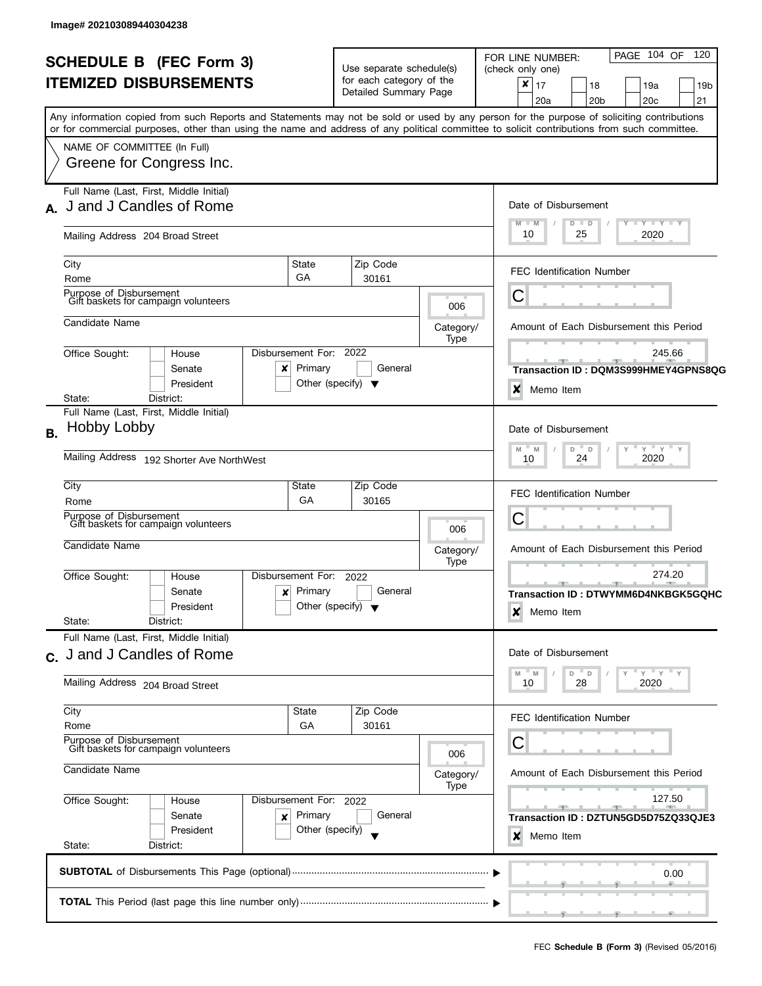|                                                                                                              | <b>SCHEDULE B (FEC Form 3)</b><br><b>ITEMIZED DISBURSEMENTS</b>                                                                                                                                                                                                                                                                                    |                                                 | Use separate schedule(s)<br>for each category of the<br>Detailed Summary Page |                          | PAGE 104 OF<br>120<br>FOR LINE NUMBER:<br>(check only one)<br>X<br>17<br>19a<br>18<br>19 <sub>b</sub><br>20a<br>20 <sub>b</sub><br>20 <sub>c</sub><br>21 |
|--------------------------------------------------------------------------------------------------------------|----------------------------------------------------------------------------------------------------------------------------------------------------------------------------------------------------------------------------------------------------------------------------------------------------------------------------------------------------|-------------------------------------------------|-------------------------------------------------------------------------------|--------------------------|----------------------------------------------------------------------------------------------------------------------------------------------------------|
|                                                                                                              | Any information copied from such Reports and Statements may not be sold or used by any person for the purpose of soliciting contributions<br>or for commercial purposes, other than using the name and address of any political committee to solicit contributions from such committee.<br>NAME OF COMMITTEE (In Full)<br>Greene for Congress Inc. |                                                 |                                                                               |                          |                                                                                                                                                          |
| Full Name (Last, First, Middle Initial)<br>J and J Candles of Rome<br>A.<br>Mailing Address 204 Broad Street |                                                                                                                                                                                                                                                                                                                                                    |                                                 |                                                                               |                          | Date of Disbursement<br>$Y + Y + Y + Y$<br>$M - M$<br>$D$ $D$<br>10<br>25<br>2020                                                                        |
|                                                                                                              | City<br>Rome                                                                                                                                                                                                                                                                                                                                       | State<br>GA                                     | Zip Code<br>30161                                                             |                          | <b>FEC Identification Number</b>                                                                                                                         |
|                                                                                                              | Purpose of Disbursement<br>Gift baskets for campaign volunteers<br>Candidate Name                                                                                                                                                                                                                                                                  |                                                 |                                                                               | 006<br>Category/         | С<br>Amount of Each Disbursement this Period                                                                                                             |
|                                                                                                              | Disbursement For: 2022<br>Office Sought:<br>House<br>Senate<br>x<br>President<br>District:<br>State:                                                                                                                                                                                                                                               | Primary<br>Other (specify) $\blacktriangledown$ | General                                                                       | Type                     | 245.66<br><u> 1952 - Jan Jan Jan</u><br>Transaction ID : DQM3S999HMEY4GPNS8QG<br>×<br>Memo Item                                                          |
| <b>B.</b>                                                                                                    | Full Name (Last, First, Middle Initial)<br>Hobby Lobby<br>Mailing Address 192 Shorter Ave NorthWest                                                                                                                                                                                                                                                |                                                 |                                                                               |                          | Date of Disbursement<br>$Y$ $Y$ $Y$<br>D<br>$\overline{D}$<br>M<br>M<br>2020<br>24<br>10                                                                 |
|                                                                                                              | City<br>Rome<br>Purpose of Disbursement<br>Gift baskets for campaign volunteers                                                                                                                                                                                                                                                                    | State<br>GA                                     | Zip Code<br>30165                                                             |                          | <b>FEC Identification Number</b><br>С                                                                                                                    |
|                                                                                                              | Candidate Name<br>Office Sought:<br>Disbursement For:<br>House                                                                                                                                                                                                                                                                                     |                                                 | 2022                                                                          | 006<br>Category/<br>Type | Amount of Each Disbursement this Period<br>274.20<br>$-1$                                                                                                |
|                                                                                                              | Senate<br>x<br>President<br>State:<br>District:                                                                                                                                                                                                                                                                                                    | Primary<br>Other (specify) $\blacktriangledown$ | General                                                                       |                          | Transaction ID: DTWYMM6D4NKBGK5GQHC<br>x<br>Memo Item                                                                                                    |
|                                                                                                              | Full Name (Last, First, Middle Initial)<br>c. J and J Candles of Rome<br>Mailing Address 204 Broad Street                                                                                                                                                                                                                                          |                                                 |                                                                               |                          | Date of Disbursement<br>" ү " ү " ү<br>$D$ $D$<br>M<br>28<br>2020<br>10                                                                                  |
|                                                                                                              | City<br>Rome<br>Purpose of Disbursement<br>Gift baskets for campaign volunteers                                                                                                                                                                                                                                                                    | <b>State</b><br>GА                              | Zip Code<br>30161                                                             | 006                      | FEC Identification Number<br>С                                                                                                                           |
|                                                                                                              | Candidate Name<br>Office Sought:<br>Disbursement For: 2022<br>House<br>Senate<br>×<br>President                                                                                                                                                                                                                                                    | Primary<br>Other (specify)                      | General                                                                       | Category/<br>Type        | Amount of Each Disbursement this Period<br>127.50<br>Transaction ID : DZTUN5GD5D75ZQ33QJE3<br>×<br>Memo Item                                             |
|                                                                                                              | State:<br>District:                                                                                                                                                                                                                                                                                                                                |                                                 |                                                                               |                          | 0.00                                                                                                                                                     |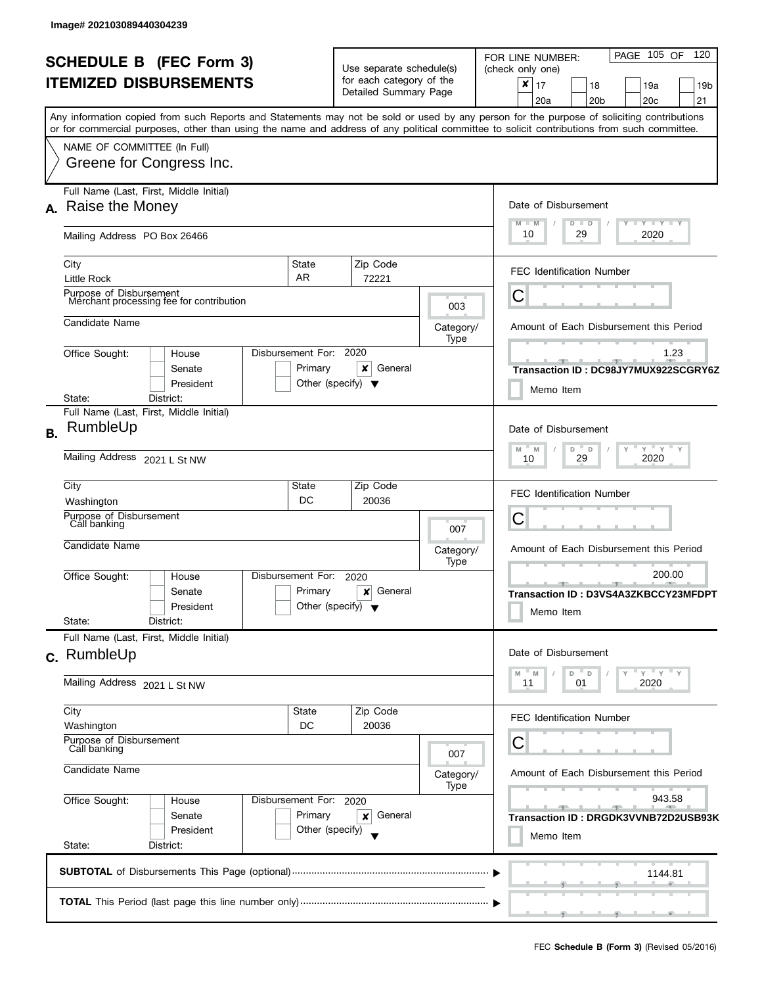|           | <b>SCHEDULE B (FEC Form 3)</b><br><b>ITEMIZED DISBURSEMENTS</b>                                                                                                                                                                                                                                                        |                                                      | Use separate schedule(s)<br>for each category of the<br>Detailed Summary Page |                   | PAGE 105 OF 120<br>FOR LINE NUMBER:<br>(check only one)<br>$\boldsymbol{x}$<br>17<br>18<br>19a<br>19 <sub>b</sub> |
|-----------|------------------------------------------------------------------------------------------------------------------------------------------------------------------------------------------------------------------------------------------------------------------------------------------------------------------------|------------------------------------------------------|-------------------------------------------------------------------------------|-------------------|-------------------------------------------------------------------------------------------------------------------|
|           | Any information copied from such Reports and Statements may not be sold or used by any person for the purpose of soliciting contributions<br>or for commercial purposes, other than using the name and address of any political committee to solicit contributions from such committee.<br>NAME OF COMMITTEE (In Full) |                                                      |                                                                               |                   | 20a<br>20 <sub>b</sub><br>20 <sub>c</sub><br>21                                                                   |
|           | Greene for Congress Inc.                                                                                                                                                                                                                                                                                               |                                                      |                                                                               |                   |                                                                                                                   |
| А.        | Full Name (Last, First, Middle Initial)<br>Raise the Money                                                                                                                                                                                                                                                             |                                                      |                                                                               |                   | Date of Disbursement<br><b>LYLYLY</b><br>$M - M$<br>$D$ $D$                                                       |
|           | Mailing Address PO Box 26466                                                                                                                                                                                                                                                                                           |                                                      |                                                                               |                   | 10<br>29<br>2020                                                                                                  |
|           | City<br>Little Rock                                                                                                                                                                                                                                                                                                    | State<br>AR                                          | Zip Code<br>72221                                                             |                   | <b>FEC Identification Number</b>                                                                                  |
|           | Purpose of Disbursement<br>Merchant processing fee for contribution                                                                                                                                                                                                                                                    |                                                      |                                                                               | 003               | Ĉ                                                                                                                 |
|           | Candidate Name                                                                                                                                                                                                                                                                                                         |                                                      |                                                                               | Category/<br>Type | Amount of Each Disbursement this Period                                                                           |
|           | Office Sought:<br>House<br>Senate<br>President                                                                                                                                                                                                                                                                         | Disbursement For: 2020<br>Primary                    | ×<br>General<br>Other (specify) $\blacktriangledown$                          |                   | 1.23<br>Transaction ID: DC98JY7MUX922SCGRY6Z<br>Memo Item                                                         |
|           | District:<br>State:<br>Full Name (Last, First, Middle Initial)                                                                                                                                                                                                                                                         |                                                      |                                                                               |                   |                                                                                                                   |
| <b>B.</b> | RumbleUp                                                                                                                                                                                                                                                                                                               |                                                      |                                                                               |                   | Date of Disbursement<br>$Y$ $Y$ $Y$<br>$-M$<br>D<br>M<br>$\mathsf D$                                              |
|           | Mailing Address 2021 L St NW                                                                                                                                                                                                                                                                                           | 29<br>2020<br>10                                     |                                                                               |                   |                                                                                                                   |
|           | City<br>Washington                                                                                                                                                                                                                                                                                                     | State<br>DC                                          | Zip Code<br>20036                                                             |                   | <b>FEC Identification Number</b>                                                                                  |
|           | Purpose of Disbursement<br>Call banking                                                                                                                                                                                                                                                                                |                                                      |                                                                               | 007               | C                                                                                                                 |
|           | Candidate Name                                                                                                                                                                                                                                                                                                         |                                                      |                                                                               | Category/<br>Type | Amount of Each Disbursement this Period                                                                           |
|           | Office Sought:<br>House<br>Senate<br>President<br>State:<br>District:                                                                                                                                                                                                                                                  | Disbursement For:<br>Primary                         | 2020<br>General<br>×<br>Other (specify) $\bullet$                             |                   | 200.00<br>Transaction ID: D3VS4A3ZKBCCY23MFDPT<br>Memo Item                                                       |
|           | Full Name (Last, First, Middle Initial)<br>c. RumbleUp                                                                                                                                                                                                                                                                 |                                                      |                                                                               |                   | Date of Disbursement                                                                                              |
|           | Mailing Address 2021 L St NW                                                                                                                                                                                                                                                                                           | $Y = Y = Y$<br>D<br>D<br>M<br>M<br>11<br>01<br>2020  |                                                                               |                   |                                                                                                                   |
|           | City<br>Washington                                                                                                                                                                                                                                                                                                     | State<br>DC                                          | Zip Code<br>20036                                                             |                   | FEC Identification Number                                                                                         |
|           | Purpose of Disbursement<br>Call banking<br>Candidate Name                                                                                                                                                                                                                                                              | С<br>Amount of Each Disbursement this Period         |                                                                               |                   |                                                                                                                   |
|           |                                                                                                                                                                                                                                                                                                                        | Category/                                            |                                                                               |                   |                                                                                                                   |
|           | Office Sought:<br>House<br>Senate<br>President                                                                                                                                                                                                                                                                         | Disbursement For: 2020<br>Primary<br>Other (specify) | General<br>x                                                                  |                   | 943.58<br>$-1$<br>Transaction ID: DRGDK3VVNB72D2USB93K<br>Memo Item                                               |
|           | State:<br>District:                                                                                                                                                                                                                                                                                                    |                                                      |                                                                               |                   |                                                                                                                   |
|           |                                                                                                                                                                                                                                                                                                                        |                                                      |                                                                               |                   | 1144.81                                                                                                           |
|           |                                                                                                                                                                                                                                                                                                                        |                                                      |                                                                               |                   |                                                                                                                   |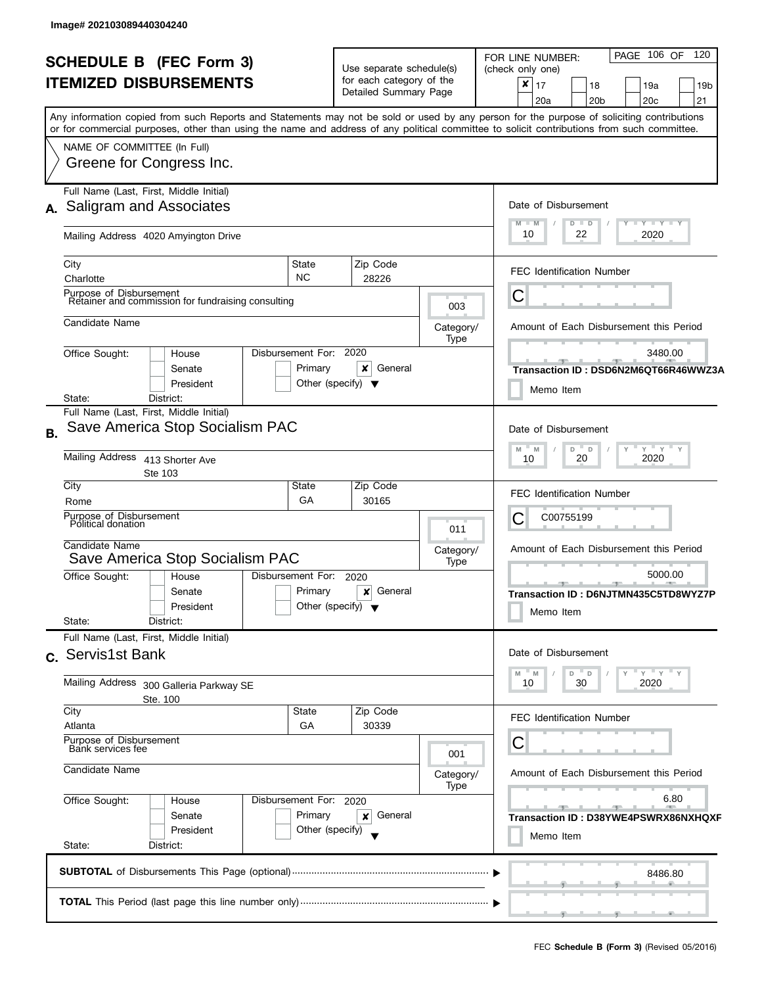|                                                                                                               | <b>SCHEDULE B (FEC Form 3)</b><br><b>ITEMIZED DISBURSEMENTS</b>                                                                                                                                       |                                                           | Use separate schedule(s)<br>for each category of the<br>Detailed Summary Page    |                   | PAGE 106 OF<br>120<br>FOR LINE NUMBER:<br>(check only one)<br>×<br>17<br>18<br>19a<br>19 <sub>b</sub><br>21<br>20a<br>20 <sub>b</sub><br>20 <sub>c</sub> |
|---------------------------------------------------------------------------------------------------------------|-------------------------------------------------------------------------------------------------------------------------------------------------------------------------------------------------------|-----------------------------------------------------------|----------------------------------------------------------------------------------|-------------------|----------------------------------------------------------------------------------------------------------------------------------------------------------|
|                                                                                                               | or for commercial purposes, other than using the name and address of any political committee to solicit contributions from such committee.<br>NAME OF COMMITTEE (In Full)<br>Greene for Congress Inc. |                                                           |                                                                                  |                   | Any information copied from such Reports and Statements may not be sold or used by any person for the purpose of soliciting contributions                |
| Full Name (Last, First, Middle Initial)<br>A. Saligram and Associates<br>Mailing Address 4020 Amyington Drive |                                                                                                                                                                                                       |                                                           |                                                                                  |                   | Date of Disbursement<br>$Y - Y - Y - Y + Y$<br>$M - M$<br>D<br>$\Box$<br>10<br>22<br>2020                                                                |
| City                                                                                                          | Charlotte<br>Purpose of Disbursement<br>Retainer and commission for fundraising consulting                                                                                                            | State<br><b>NC</b>                                        | Zip Code<br>28226                                                                | 003               | <b>FEC Identification Number</b><br>С                                                                                                                    |
| State:                                                                                                        | Candidate Name<br>Disbursement For: 2020<br>Office Sought:<br>House<br>Senate<br>President<br>District:                                                                                               | Primary<br>Other (specify) $\blacktriangledown$           | ×<br>General                                                                     | Category/<br>Type | Amount of Each Disbursement this Period<br>3480.00<br>Transaction ID: DSD6N2M6QT66R46WWZ3A<br>Memo Item                                                  |
| <b>B.</b>                                                                                                     | Full Name (Last, First, Middle Initial)<br>Save America Stop Socialism PAC<br>Mailing Address 413 Shorter Ave<br>Ste 103                                                                              |                                                           |                                                                                  |                   | Date of Disbursement<br>$Y'$ $Y'$ $Y$<br>$-$ D<br>$M - M$<br>D<br>2020<br>20<br>10                                                                       |
| City                                                                                                          | Rome<br>Purpose of Disbursement<br>Political donation<br>Candidate Name                                                                                                                               | State<br>GA                                               | Zip Code<br>30165                                                                | 011<br>Category/  | <b>FEC Identification Number</b><br>C00755199<br>C<br>Amount of Each Disbursement this Period                                                            |
|                                                                                                               | Save America Stop Socialism PAC<br>Disbursement For:<br>Office Sought:<br>House<br>Senate<br>President<br>District:                                                                                   | Primary<br>Other (specify) $\blacktriangledown$           | 2020<br>General<br>×                                                             | Type              | 5000.00<br>Transaction ID: D6NJTMN435C5TD8WYZ7P<br>Memo Item                                                                                             |
|                                                                                                               | State:<br>Full Name (Last, First, Middle Initial)<br>c. Servis1st Bank<br>Mailing Address 300 Galleria Parkway SE                                                                                     |                                                           |                                                                                  |                   | Date of Disbursement<br>$Y$ $Y$ $Y$ $Y$<br>M<br>D<br>$^-$ D<br>M<br>2020<br>10<br>30                                                                     |
| City                                                                                                          | Ste. 100<br>State<br>Atlanta<br>Purpose of Disbursement<br>Bank services fee<br>Candidate Name                                                                                                        | 001<br>Category/<br>Type                                  | <b>FEC Identification Number</b><br>Ĉ<br>Amount of Each Disbursement this Period |                   |                                                                                                                                                          |
| State:                                                                                                        | Office Sought:<br>Disbursement For: 2020<br>House<br>Primary<br>Senate<br>Other (specify)<br>President<br>District:                                                                                   | 6.80<br>Transaction ID: D38YWE4PSWRX86NXHQXF<br>Memo Item |                                                                                  |                   |                                                                                                                                                          |
|                                                                                                               |                                                                                                                                                                                                       |                                                           |                                                                                  |                   | 8486.80                                                                                                                                                  |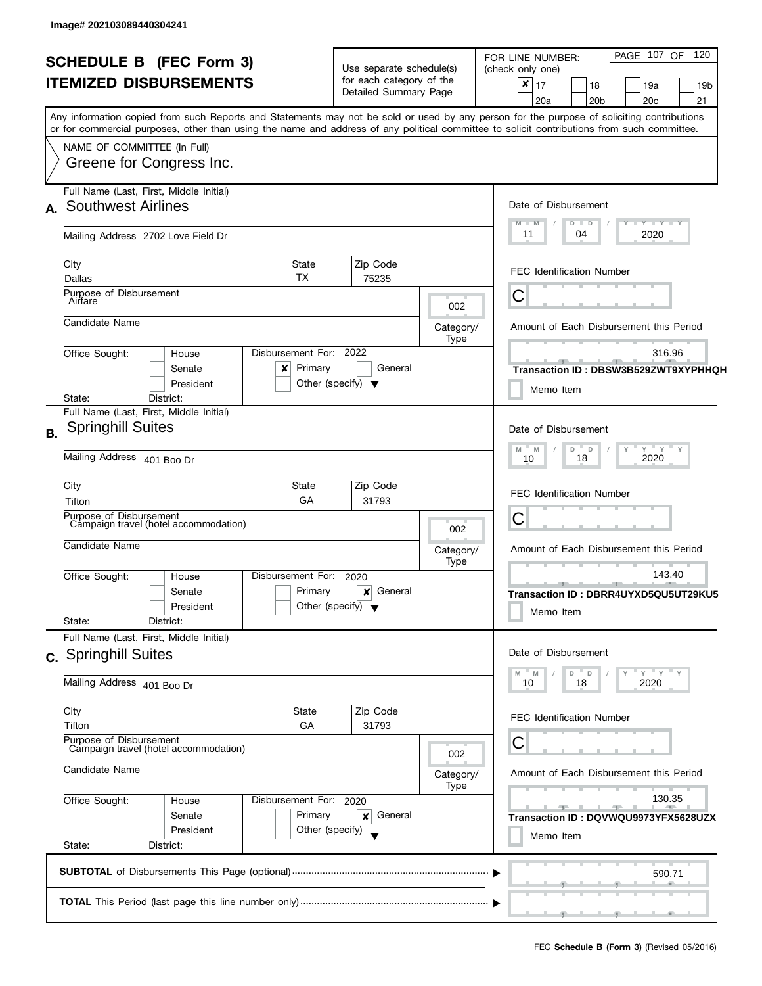| <b>SCHEDULE B (FEC Form 3)</b> |                                                                                                                                            |                        | Use separate schedule(s)<br>for each category of the |                                         | PAGE 107 OF 120<br>FOR LINE NUMBER:<br>(check only one) |  |
|--------------------------------|--------------------------------------------------------------------------------------------------------------------------------------------|------------------------|------------------------------------------------------|-----------------------------------------|---------------------------------------------------------|--|
| <b>ITEMIZED DISBURSEMENTS</b>  |                                                                                                                                            |                        | Detailed Summary Page                                |                                         | $\boldsymbol{x}$<br>17<br>18<br>19a<br>19b              |  |
|                                |                                                                                                                                            |                        |                                                      |                                         | 20 <sub>b</sub><br>20 <sub>c</sub><br>21<br>20a         |  |
|                                | Any information copied from such Reports and Statements may not be sold or used by any person for the purpose of soliciting contributions  |                        |                                                      |                                         |                                                         |  |
|                                | or for commercial purposes, other than using the name and address of any political committee to solicit contributions from such committee. |                        |                                                      |                                         |                                                         |  |
|                                | NAME OF COMMITTEE (In Full)                                                                                                                |                        |                                                      |                                         |                                                         |  |
|                                | Greene for Congress Inc.                                                                                                                   |                        |                                                      |                                         |                                                         |  |
|                                | Full Name (Last, First, Middle Initial)                                                                                                    |                        |                                                      |                                         |                                                         |  |
|                                | A. Southwest Airlines                                                                                                                      |                        |                                                      |                                         | Date of Disbursement                                    |  |
|                                |                                                                                                                                            |                        |                                                      |                                         | Y TY TY TY<br>$M - M$<br>$D$ $D$                        |  |
|                                | Mailing Address 2702 Love Field Dr                                                                                                         |                        |                                                      |                                         | 11<br>04<br>2020                                        |  |
|                                | City<br>State                                                                                                                              |                        | Zip Code                                             |                                         |                                                         |  |
|                                | TX<br>Dallas                                                                                                                               |                        | 75235                                                |                                         | <b>FEC Identification Number</b>                        |  |
|                                | Purpose of Disbursement                                                                                                                    |                        |                                                      |                                         | С                                                       |  |
|                                | Airfare                                                                                                                                    |                        |                                                      | 002                                     |                                                         |  |
|                                | Candidate Name                                                                                                                             |                        |                                                      | Category/                               | Amount of Each Disbursement this Period                 |  |
|                                |                                                                                                                                            |                        |                                                      | Type                                    |                                                         |  |
|                                | Disbursement For:<br>Office Sought:<br>House                                                                                               |                        | 2022                                                 |                                         | 316.96                                                  |  |
|                                | Primary<br>Senate<br>×<br>President                                                                                                        |                        | General<br>Other (specify) $\blacktriangledown$      |                                         | Transaction ID: DBSW3B529ZWT9XYPHHQH                    |  |
|                                | State:<br>District:                                                                                                                        |                        |                                                      |                                         | Memo Item                                               |  |
|                                | Full Name (Last, First, Middle Initial)                                                                                                    |                        |                                                      |                                         |                                                         |  |
| <b>B.</b>                      | <b>Springhill Suites</b>                                                                                                                   |                        |                                                      |                                         |                                                         |  |
|                                |                                                                                                                                            |                        | $Y$ $Y$ $Y$<br>$\overline{a}$<br>M<br>M<br>D         |                                         |                                                         |  |
|                                | Mailing Address 401 Boo Dr                                                                                                                 | 2020<br>18<br>10       |                                                      |                                         |                                                         |  |
|                                | City<br>State                                                                                                                              |                        | Zip Code                                             |                                         | <b>FEC Identification Number</b>                        |  |
|                                | GA<br>Tifton                                                                                                                               |                        | 31793                                                |                                         |                                                         |  |
|                                | Purpose of Disbursement<br>Campaign travel (hotel accommodation)                                                                           |                        |                                                      | 002                                     | C                                                       |  |
|                                | Candidate Name                                                                                                                             |                        | Category/                                            | Amount of Each Disbursement this Period |                                                         |  |
|                                |                                                                                                                                            |                        |                                                      |                                         |                                                         |  |
|                                | Disbursement For:<br>Office Sought:<br>House                                                                                               |                        | 2020                                                 | Type                                    | 143.40<br>_______________                               |  |
|                                | Primary<br>Senate                                                                                                                          |                        | General<br>×                                         |                                         | Transaction ID: DBRR4UYXD5QU5UT29KU5                    |  |
|                                | President                                                                                                                                  |                        | Other (specify) $\blacktriangledown$                 |                                         | Memo Item                                               |  |
|                                | State:<br>District:                                                                                                                        |                        |                                                      |                                         |                                                         |  |
|                                | Full Name (Last, First, Middle Initial)                                                                                                    |                        |                                                      |                                         | Date of Disbursement                                    |  |
|                                | c. Springhill Suites                                                                                                                       |                        |                                                      |                                         |                                                         |  |
|                                | Mailing Address 401 Boo Dr                                                                                                                 |                        | $Y'$ Y<br>" D<br>D<br>M<br>M T<br>18<br>2020<br>10   |                                         |                                                         |  |
|                                |                                                                                                                                            |                        |                                                      |                                         |                                                         |  |
|                                | City<br>State<br>Tifton<br>GA                                                                                                              |                        | Zip Code<br>31793                                    |                                         | <b>FEC Identification Number</b>                        |  |
|                                | Purpose of Disbursement                                                                                                                    |                        |                                                      |                                         | С                                                       |  |
|                                | Campaign travel (hotel accommodation)                                                                                                      |                        |                                                      | 002                                     |                                                         |  |
|                                | Candidate Name                                                                                                                             |                        |                                                      | Category/                               | Amount of Each Disbursement this Period                 |  |
|                                |                                                                                                                                            | Type                   | 130.35                                               |                                         |                                                         |  |
|                                | Office Sought:<br>House                                                                                                                    | Disbursement For: 2020 |                                                      |                                         |                                                         |  |
|                                | Primary<br>Senate                                                                                                                          |                        | General<br>×                                         |                                         | Transaction ID: DQVWQU9973YFX5628UZX                    |  |
|                                | President<br>Other (specify)                                                                                                               |                        |                                                      |                                         | Memo Item                                               |  |
|                                | State:<br>District:                                                                                                                        |                        |                                                      |                                         |                                                         |  |
|                                |                                                                                                                                            |                        |                                                      |                                         | 590.71                                                  |  |
|                                |                                                                                                                                            |                        |                                                      |                                         |                                                         |  |
|                                |                                                                                                                                            |                        |                                                      |                                         | بالمستلمس والمستنقص والمستعد                            |  |
|                                |                                                                                                                                            |                        |                                                      |                                         |                                                         |  |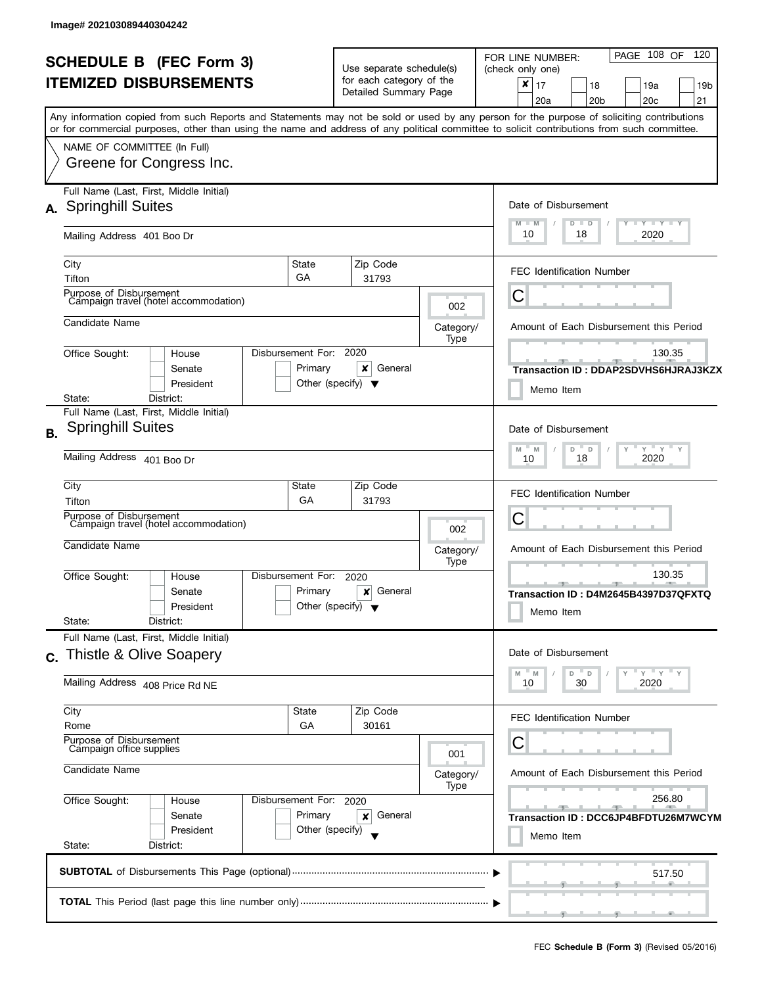|    | <b>SCHEDULE B</b> (FEC Form 3)<br><b>ITEMIZED DISBURSEMENTS</b>                                                                                                                                       |                                                      | Use separate schedule(s)<br>for each category of the<br>Detailed Summary Page |                                                                                                                                 | PAGE 108 OF<br>120<br>FOR LINE NUMBER:<br>(check only one)<br>×<br>17<br>18<br>19a<br>19 <sub>b</sub><br>21<br>20 <sub>c</sub><br>20a<br>20 <sub>b</sub><br>Any information copied from such Reports and Statements may not be sold or used by any person for the purpose of soliciting contributions |
|----|-------------------------------------------------------------------------------------------------------------------------------------------------------------------------------------------------------|------------------------------------------------------|-------------------------------------------------------------------------------|---------------------------------------------------------------------------------------------------------------------------------|-------------------------------------------------------------------------------------------------------------------------------------------------------------------------------------------------------------------------------------------------------------------------------------------------------|
|    | or for commercial purposes, other than using the name and address of any political committee to solicit contributions from such committee.<br>NAME OF COMMITTEE (In Full)<br>Greene for Congress Inc. |                                                      |                                                                               |                                                                                                                                 |                                                                                                                                                                                                                                                                                                       |
|    | Full Name (Last, First, Middle Initial)<br>A. Springhill Suites<br>Mailing Address 401 Boo Dr                                                                                                         |                                                      |                                                                               |                                                                                                                                 | Date of Disbursement<br>$\mathbf{I}$ $\mathbf{Y}$ $\mathbf{I}$ $\mathbf{Y}$ $\mathbf{I}$ $\mathbf{Y}$<br>$M - M$<br>Y<br>D<br>$\Box$<br>10<br>2020<br>18                                                                                                                                              |
|    | City<br>Tifton                                                                                                                                                                                        | State<br>GA                                          | Zip Code<br>31793                                                             |                                                                                                                                 | <b>FEC Identification Number</b>                                                                                                                                                                                                                                                                      |
|    | Purpose of Disbursement<br>Campaign travel (hotel accommodation)<br>Candidate Name                                                                                                                    |                                                      |                                                                               | 002<br>Category/<br>Type                                                                                                        | C<br>Amount of Each Disbursement this Period                                                                                                                                                                                                                                                          |
|    | Office Sought:<br>House<br>Senate<br>President<br>District:<br>State:                                                                                                                                 | Disbursement For:<br>Primary                         | 2020<br>x<br>General<br>Other (specify) $\blacktriangledown$                  |                                                                                                                                 | 130.35<br>Transaction ID: DDAP2SDVHS6HJRAJ3KZX<br>Memo Item                                                                                                                                                                                                                                           |
| В. | Full Name (Last, First, Middle Initial)<br><b>Springhill Suites</b><br>Mailing Address 401 Boo Dr                                                                                                     |                                                      |                                                                               |                                                                                                                                 | Date of Disbursement<br>$Y$ $Y$ $Y$<br>M<br>M<br>D<br>D<br>2020<br>18<br>10                                                                                                                                                                                                                           |
|    | City<br>Tifton<br>Purpose of Disbursement<br>Campaign travel (hotel accommodation)                                                                                                                    | State<br>GA                                          | Zip Code<br>31793                                                             | 002                                                                                                                             | <b>FEC Identification Number</b><br>С                                                                                                                                                                                                                                                                 |
|    | Candidate Name<br>Office Sought:<br>House<br>Senate<br>President<br>State:<br>District:                                                                                                               | Disbursement For:<br>Primary                         | 2020<br>General<br>×<br>Other (specify) $\blacktriangledown$                  | Category/<br>Type                                                                                                               | Amount of Each Disbursement this Period<br>130.35<br>_____<br>Transaction ID: D4M2645B4397D37QFXTQ<br>Memo Item                                                                                                                                                                                       |
| C. | Full Name (Last, First, Middle Initial)<br>Thistle & Olive Soapery<br>Mailing Address 408 Price Rd NE                                                                                                 |                                                      |                                                                               |                                                                                                                                 | Date of Disbursement<br>$Y'$ Y<br>D<br>D<br>M<br>M<br>30<br>10<br>2020                                                                                                                                                                                                                                |
|    | City<br>Rome<br>Purpose of Disbursement<br>Campaign office supplies                                                                                                                                   | State<br>GA                                          | Zip Code<br>30161                                                             | 001                                                                                                                             | <b>FEC Identification Number</b><br>С                                                                                                                                                                                                                                                                 |
|    | Candidate Name<br>Office Sought:<br>House<br>Senate<br>President<br>State:<br>District:                                                                                                               | Disbursement For: 2020<br>Primary<br>Other (specify) | Category/<br>Type                                                             | Amount of Each Disbursement this Period<br>256.80<br>$-1$<br><u>_____</u><br>Transaction ID : DCC6JP4BFDTU26M7WCYM<br>Memo Item |                                                                                                                                                                                                                                                                                                       |
|    |                                                                                                                                                                                                       |                                                      |                                                                               |                                                                                                                                 | 517.50                                                                                                                                                                                                                                                                                                |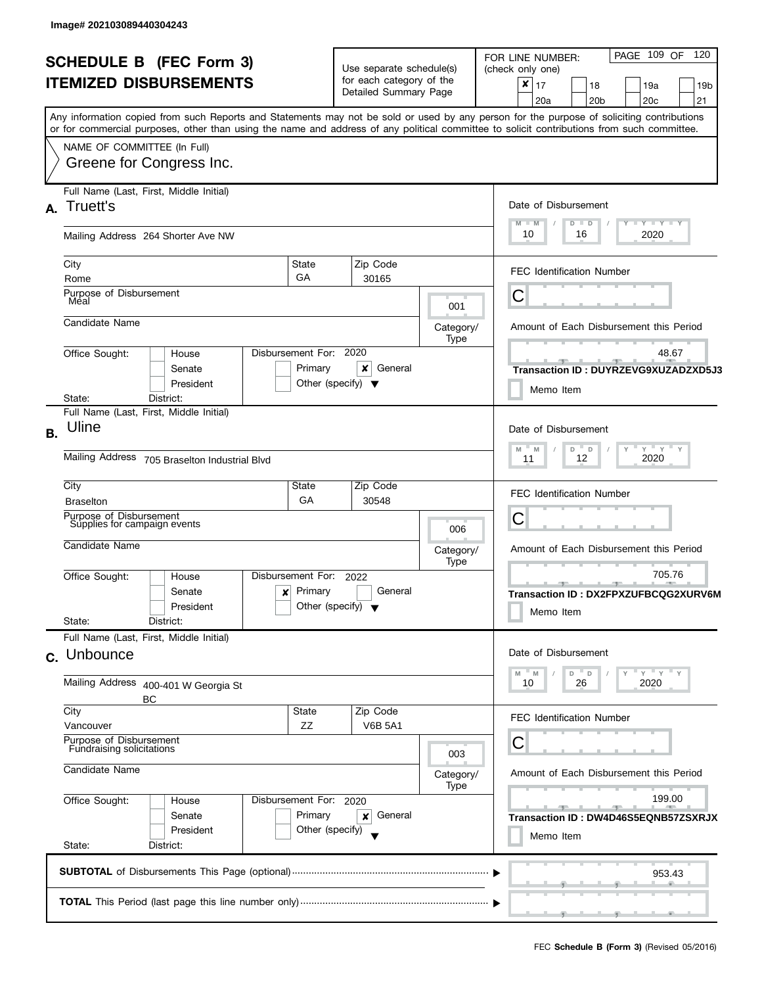| <b>SCHEDULE B (FEC Form 3)</b><br><b>ITEMIZED DISBURSEMENTS</b><br>Any information copied from such Reports and Statements may not be sold or used by any person for the purpose of soliciting contributions<br>or for commercial purposes, other than using the name and address of any political committee to solicit contributions from such committee. |                                                                                                                                                    |                                                           | Use separate schedule(s)<br>for each category of the<br>Detailed Summary Page |                                         | PAGE 109 OF<br>120<br>FOR LINE NUMBER:<br>(check only one)<br>×<br>17<br>18<br>19a<br>19 <sub>b</sub><br>21<br>20 <sub>b</sub><br>20 <sub>c</sub><br>20a |  |
|------------------------------------------------------------------------------------------------------------------------------------------------------------------------------------------------------------------------------------------------------------------------------------------------------------------------------------------------------------|----------------------------------------------------------------------------------------------------------------------------------------------------|-----------------------------------------------------------|-------------------------------------------------------------------------------|-----------------------------------------|----------------------------------------------------------------------------------------------------------------------------------------------------------|--|
|                                                                                                                                                                                                                                                                                                                                                            | NAME OF COMMITTEE (In Full)<br>Greene for Congress Inc.                                                                                            |                                                           |                                                                               |                                         |                                                                                                                                                          |  |
| A.                                                                                                                                                                                                                                                                                                                                                         | Full Name (Last, First, Middle Initial)<br>Truett's                                                                                                |                                                           |                                                                               |                                         | Date of Disbursement<br>$T - Y = T - Y$<br>$M - M$<br>D<br>$\blacksquare$                                                                                |  |
|                                                                                                                                                                                                                                                                                                                                                            | Mailing Address 264 Shorter Ave NW                                                                                                                 |                                                           |                                                                               |                                         | 10<br>16<br>2020                                                                                                                                         |  |
|                                                                                                                                                                                                                                                                                                                                                            | City<br>State<br>GA<br>Rome                                                                                                                        |                                                           | Zip Code<br>30165                                                             |                                         | <b>FEC Identification Number</b>                                                                                                                         |  |
|                                                                                                                                                                                                                                                                                                                                                            | Purpose of Disbursement<br>Méal                                                                                                                    |                                                           |                                                                               | 001                                     | C                                                                                                                                                        |  |
|                                                                                                                                                                                                                                                                                                                                                            | Candidate Name                                                                                                                                     |                                                           |                                                                               | Category/<br>Type                       | Amount of Each Disbursement this Period                                                                                                                  |  |
|                                                                                                                                                                                                                                                                                                                                                            | Disbursement For: 2020<br>Office Sought:<br>House<br>Primary<br>Senate<br>President                                                                | Other (specify) $\blacktriangledown$                      | ×<br>General                                                                  |                                         | 48.67<br>$-1$<br>Transaction ID: DUYRZEVG9XUZADZXD5J3<br>Memo Item                                                                                       |  |
|                                                                                                                                                                                                                                                                                                                                                            | State:<br>District:<br>Full Name (Last, First, Middle Initial)                                                                                     |                                                           |                                                                               |                                         |                                                                                                                                                          |  |
| В.                                                                                                                                                                                                                                                                                                                                                         | Uline<br>Mailing Address 705 Braselton Industrial Blvd                                                                                             |                                                           |                                                                               |                                         |                                                                                                                                                          |  |
|                                                                                                                                                                                                                                                                                                                                                            | City<br>State<br>GA<br><b>Braselton</b>                                                                                                            |                                                           | Zip Code<br>30548                                                             |                                         | <b>FEC Identification Number</b>                                                                                                                         |  |
|                                                                                                                                                                                                                                                                                                                                                            | Purpose of Disbursement<br>Supplies for campaign events                                                                                            |                                                           |                                                                               | 006                                     | С                                                                                                                                                        |  |
|                                                                                                                                                                                                                                                                                                                                                            | Candidate Name                                                                                                                                     |                                                           | Category/<br>Type                                                             | Amount of Each Disbursement this Period |                                                                                                                                                          |  |
|                                                                                                                                                                                                                                                                                                                                                            | Disbursement For:<br>Office Sought:<br>House<br>Primary<br>Senate<br>×<br>Other (specify) $\blacktriangledown$<br>President<br>State:<br>District: |                                                           | 705.76<br>- 91 -<br>Transaction ID: DX2FPXZUFBCQG2XURV6M<br>Memo Item         |                                         |                                                                                                                                                          |  |
|                                                                                                                                                                                                                                                                                                                                                            | Full Name (Last, First, Middle Initial)<br>c. Unbounce                                                                                             | Date of Disbursement                                      |                                                                               |                                         |                                                                                                                                                          |  |
|                                                                                                                                                                                                                                                                                                                                                            | Mailing Address 400-401 W Georgia St<br>ВC                                                                                                         | "ү "ү "ү<br>$- M$<br>D<br>$^-$ D<br>M<br>10<br>26<br>2020 |                                                                               |                                         |                                                                                                                                                          |  |
|                                                                                                                                                                                                                                                                                                                                                            | City<br>State<br>ZZ<br>Vancouver                                                                                                                   |                                                           | Zip Code<br><b>V6B 5A1</b>                                                    |                                         | FEC Identification Number                                                                                                                                |  |
|                                                                                                                                                                                                                                                                                                                                                            | Purpose of Disbursement<br>Fundraising solicitations                                                                                               |                                                           |                                                                               | 003                                     | С                                                                                                                                                        |  |
|                                                                                                                                                                                                                                                                                                                                                            | Candidate Name                                                                                                                                     |                                                           | Category/<br>Type                                                             | Amount of Each Disbursement this Period |                                                                                                                                                          |  |
|                                                                                                                                                                                                                                                                                                                                                            | Office Sought:<br>Disbursement For: 2020<br>House<br>Primary<br>Senate<br>Other (specify)<br>President<br>State:<br>District:                      |                                                           | 199.00<br>$-1$<br>Transaction ID : DW4D46S5EQNB57ZSXRJX<br>Memo Item          |                                         |                                                                                                                                                          |  |
|                                                                                                                                                                                                                                                                                                                                                            |                                                                                                                                                    |                                                           |                                                                               |                                         | 953.43                                                                                                                                                   |  |
|                                                                                                                                                                                                                                                                                                                                                            |                                                                                                                                                    |                                                           |                                                                               |                                         |                                                                                                                                                          |  |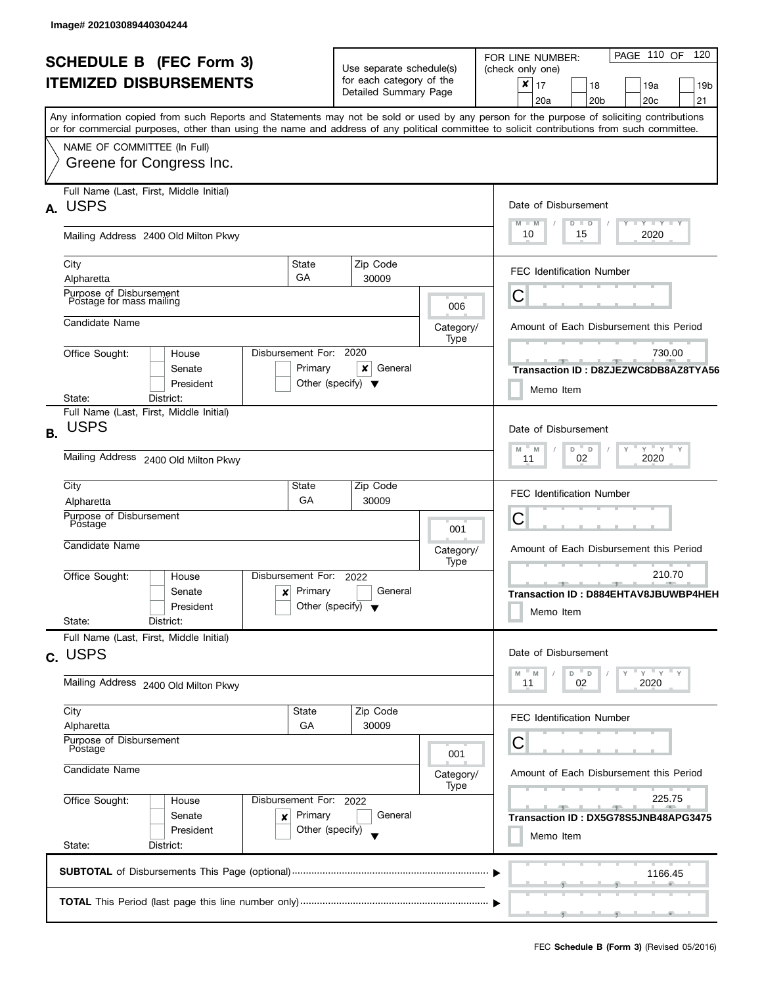| <b>SCHEDULE B (FEC Form 3)</b><br><b>ITEMIZED DISBURSEMENTS</b><br>Any information copied from such Reports and Statements may not be sold or used by any person for the purpose of soliciting contributions |                                                                       |                                                                           | Use separate schedule(s)<br>for each category of the<br>Detailed Summary Page         |                                                                                     | PAGE 110 OF<br>120<br>FOR LINE NUMBER:<br>(check only one)<br>$\pmb{\times}$<br>17<br>18<br>19a<br>19 <sub>b</sub><br>20a<br>20 <sub>b</sub><br>20 <sub>c</sub><br>21 |  |
|--------------------------------------------------------------------------------------------------------------------------------------------------------------------------------------------------------------|-----------------------------------------------------------------------|---------------------------------------------------------------------------|---------------------------------------------------------------------------------------|-------------------------------------------------------------------------------------|-----------------------------------------------------------------------------------------------------------------------------------------------------------------------|--|
|                                                                                                                                                                                                              | NAME OF COMMITTEE (In Full)<br>Greene for Congress Inc.               |                                                                           |                                                                                       |                                                                                     | or for commercial purposes, other than using the name and address of any political committee to solicit contributions from such committee.                            |  |
| А.                                                                                                                                                                                                           | Full Name (Last, First, Middle Initial)<br><b>USPS</b>                |                                                                           |                                                                                       |                                                                                     | Date of Disbursement<br>$M - M$<br>$T - Y = T - Y$<br>$D$ $D$                                                                                                         |  |
|                                                                                                                                                                                                              | Mailing Address 2400 Old Milton Pkwy                                  |                                                                           |                                                                                       |                                                                                     | 2020<br>10<br>15                                                                                                                                                      |  |
|                                                                                                                                                                                                              | City<br>Alpharetta                                                    | State<br>GA                                                               | Zip Code<br>30009                                                                     |                                                                                     | <b>FEC Identification Number</b>                                                                                                                                      |  |
|                                                                                                                                                                                                              | Purpose of Disbursement<br>Postage for mass mailing                   |                                                                           |                                                                                       | 006                                                                                 | Ĉ                                                                                                                                                                     |  |
|                                                                                                                                                                                                              | Candidate Name                                                        |                                                                           |                                                                                       | Category/<br>Type                                                                   | Amount of Each Disbursement this Period                                                                                                                               |  |
|                                                                                                                                                                                                              | Office Sought:<br>House<br>Senate<br>President                        | Disbursement For:<br>Primary                                              | 2020<br>×<br>General<br>Other (specify) $\blacktriangledown$                          |                                                                                     | 730.00<br>Transaction ID: D8ZJEZWC8DB8AZ8TYA56<br>Memo Item                                                                                                           |  |
|                                                                                                                                                                                                              | District:<br>State:<br>Full Name (Last, First, Middle Initial)        |                                                                           |                                                                                       |                                                                                     |                                                                                                                                                                       |  |
| В.                                                                                                                                                                                                           | <b>USPS</b><br>Mailing Address 2400 Old Milton Pkwy                   |                                                                           | Date of Disbursement<br>$Y$ $Y$ $Y$<br>M<br>M<br>D<br>$\mathsf D$<br>02<br>2020<br>11 |                                                                                     |                                                                                                                                                                       |  |
|                                                                                                                                                                                                              |                                                                       |                                                                           |                                                                                       |                                                                                     |                                                                                                                                                                       |  |
|                                                                                                                                                                                                              | City<br>State<br>Zip Code<br>GA<br>30009<br>Alpharetta                |                                                                           |                                                                                       |                                                                                     | <b>FEC Identification Number</b>                                                                                                                                      |  |
|                                                                                                                                                                                                              | Purpose of Disbursement<br>Postage                                    |                                                                           |                                                                                       | 001                                                                                 | С                                                                                                                                                                     |  |
|                                                                                                                                                                                                              | Candidate Name                                                        |                                                                           | Category/<br>Type                                                                     | Amount of Each Disbursement this Period                                             |                                                                                                                                                                       |  |
|                                                                                                                                                                                                              | Office Sought:<br>House<br>Senate<br>President<br>State:<br>District: | Disbursement For:<br>Primary<br>x<br>Other (specify) $\blacktriangledown$ |                                                                                       | 210.70<br>_____<br>Transaction ID: D884EHTAV8JBUWBP4HEH<br>Memo Item                |                                                                                                                                                                       |  |
|                                                                                                                                                                                                              | Full Name (Last, First, Middle Initial)                               |                                                                           |                                                                                       |                                                                                     |                                                                                                                                                                       |  |
|                                                                                                                                                                                                              | c. USPS                                                               |                                                                           |                                                                                       |                                                                                     | Date of Disbursement<br>$Y = Y = Y$<br>D<br>D<br>M<br>M                                                                                                               |  |
|                                                                                                                                                                                                              | Mailing Address 2400 Old Milton Pkwy                                  | 02<br>2020<br>11                                                          |                                                                                       |                                                                                     |                                                                                                                                                                       |  |
|                                                                                                                                                                                                              | City<br>Alpharetta                                                    | State<br>GA                                                               | Zip Code<br>30009                                                                     |                                                                                     | <b>FEC Identification Number</b>                                                                                                                                      |  |
|                                                                                                                                                                                                              | Purpose of Disbursement<br>Postage                                    |                                                                           | 001                                                                                   | С                                                                                   |                                                                                                                                                                       |  |
|                                                                                                                                                                                                              | Candidate Name                                                        |                                                                           | Category/                                                                             | Amount of Each Disbursement this Period                                             |                                                                                                                                                                       |  |
|                                                                                                                                                                                                              | Office Sought:<br>House<br>Senate<br>President                        | Disbursement For: 2022<br>Primary<br>×<br>Other (specify)                 | Type                                                                                  | 225.75<br><u>and the state</u><br>Transaction ID: DX5G78S5JNB48APG3475<br>Memo Item |                                                                                                                                                                       |  |
|                                                                                                                                                                                                              | State:<br>District:                                                   |                                                                           |                                                                                       |                                                                                     |                                                                                                                                                                       |  |
|                                                                                                                                                                                                              |                                                                       |                                                                           |                                                                                       |                                                                                     | 1166.45                                                                                                                                                               |  |
|                                                                                                                                                                                                              |                                                                       |                                                                           |                                                                                       |                                                                                     |                                                                                                                                                                       |  |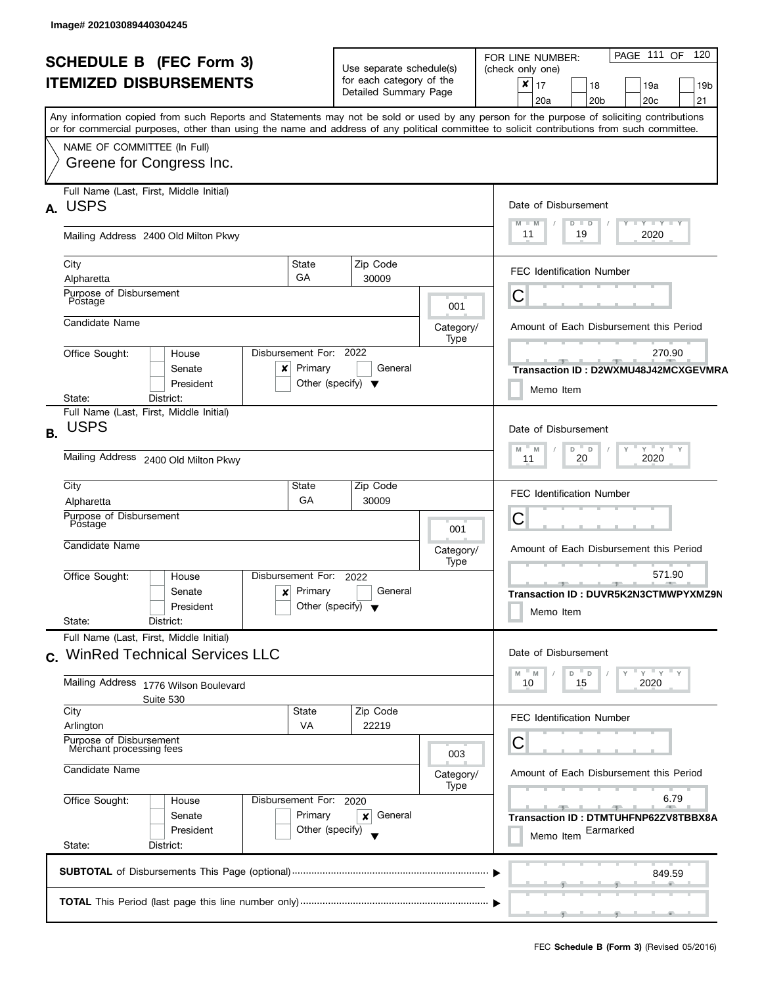| <b>SCHEDULE B (FEC Form 3)</b><br><b>ITEMIZED DISBURSEMENTS</b><br>Any information copied from such Reports and Statements may not be sold or used by any person for the purpose of soliciting contributions<br>or for commercial purposes, other than using the name and address of any political committee to solicit contributions from such committee.<br>NAME OF COMMITTEE (In Full) |                                                                                                                 |                                                         | Use separate schedule(s)<br>for each category of the<br>Detailed Summary Page |                                                                                          | PAGE 111 OF 120<br>FOR LINE NUMBER:<br>(check only one)<br>$\boldsymbol{x}$<br>17<br>18<br>19a<br>19 <sub>b</sub><br>20 <sub>b</sub><br>20 <sub>c</sub><br>21<br>20a |  |  |
|-------------------------------------------------------------------------------------------------------------------------------------------------------------------------------------------------------------------------------------------------------------------------------------------------------------------------------------------------------------------------------------------|-----------------------------------------------------------------------------------------------------------------|---------------------------------------------------------|-------------------------------------------------------------------------------|------------------------------------------------------------------------------------------|----------------------------------------------------------------------------------------------------------------------------------------------------------------------|--|--|
|                                                                                                                                                                                                                                                                                                                                                                                           | Greene for Congress Inc.                                                                                        |                                                         |                                                                               |                                                                                          |                                                                                                                                                                      |  |  |
|                                                                                                                                                                                                                                                                                                                                                                                           | Full Name (Last, First, Middle Initial)<br>A. USPS                                                              |                                                         |                                                                               |                                                                                          | Date of Disbursement<br>$T + Y + Y + Y$<br>$M - M$<br>$D$ $D$                                                                                                        |  |  |
|                                                                                                                                                                                                                                                                                                                                                                                           | Mailing Address 2400 Old Milton Pkwy                                                                            |                                                         |                                                                               |                                                                                          | 11<br>19<br>2020                                                                                                                                                     |  |  |
|                                                                                                                                                                                                                                                                                                                                                                                           | City<br>State<br><b>GA</b><br>Alpharetta                                                                        |                                                         | Zip Code<br>30009                                                             |                                                                                          | <b>FEC Identification Number</b>                                                                                                                                     |  |  |
|                                                                                                                                                                                                                                                                                                                                                                                           | Purpose of Disbursement<br>Postage                                                                              |                                                         |                                                                               | 001                                                                                      | С                                                                                                                                                                    |  |  |
|                                                                                                                                                                                                                                                                                                                                                                                           | Candidate Name                                                                                                  |                                                         |                                                                               | Category/<br>Type                                                                        | Amount of Each Disbursement this Period                                                                                                                              |  |  |
|                                                                                                                                                                                                                                                                                                                                                                                           | Disbursement For: 2022<br>Office Sought:<br>House<br>Primary<br>Senate<br>x<br>President<br>District:<br>State: | Other (specify) $\blacktriangledown$                    | General                                                                       |                                                                                          | 270.90<br><u>- Jan Jan Jan Jan</u><br>Transaction ID: D2WXMU48J42MCXGEVMRA<br>Memo Item                                                                              |  |  |
| В.                                                                                                                                                                                                                                                                                                                                                                                        | Full Name (Last, First, Middle Initial)<br><b>USPS</b>                                                          |                                                         |                                                                               |                                                                                          | Date of Disbursement<br>$Y$ $Y$ $Y$ $Y$<br>$D$ $D$<br>Y<br>M<br>M                                                                                                    |  |  |
|                                                                                                                                                                                                                                                                                                                                                                                           | Mailing Address 2400 Old Milton Pkwy                                                                            | 2020<br>20<br>11                                        |                                                                               |                                                                                          |                                                                                                                                                                      |  |  |
|                                                                                                                                                                                                                                                                                                                                                                                           | City<br>State<br>GA<br>Alpharetta                                                                               |                                                         | Zip Code<br>30009                                                             |                                                                                          | <b>FEC Identification Number</b>                                                                                                                                     |  |  |
|                                                                                                                                                                                                                                                                                                                                                                                           | Purpose of Disbursement<br>Postage                                                                              |                                                         |                                                                               | 001                                                                                      | С                                                                                                                                                                    |  |  |
|                                                                                                                                                                                                                                                                                                                                                                                           | Candidate Name                                                                                                  |                                                         |                                                                               | Category/<br>Type                                                                        | Amount of Each Disbursement this Period                                                                                                                              |  |  |
|                                                                                                                                                                                                                                                                                                                                                                                           | Disbursement For:<br>Office Sought:<br>House<br>Primary<br>Senate<br>×<br>President<br>State:<br>District:      | 2022<br>General<br>Other (specify) $\blacktriangledown$ |                                                                               | 571.90<br>$\overline{\phantom{a}}$<br>Transaction ID : DUVR5K2N3CTMWPYXMZ9N<br>Memo Item |                                                                                                                                                                      |  |  |
|                                                                                                                                                                                                                                                                                                                                                                                           | Full Name (Last, First, Middle Initial)<br>c. WinRed Technical Services LLC                                     |                                                         |                                                                               |                                                                                          | Date of Disbursement<br>$Y = Y = Y$<br>- M<br>$D$ $D$<br>M                                                                                                           |  |  |
|                                                                                                                                                                                                                                                                                                                                                                                           | Mailing Address 1776 Wilson Boulevard<br>Suite 530                                                              |                                                         |                                                                               |                                                                                          |                                                                                                                                                                      |  |  |
|                                                                                                                                                                                                                                                                                                                                                                                           | City<br>State<br><b>VA</b><br>Arlington                                                                         |                                                         | Zip Code<br>22219                                                             |                                                                                          | FEC Identification Number                                                                                                                                            |  |  |
|                                                                                                                                                                                                                                                                                                                                                                                           | Purpose of Disbursement<br>Merchant processing fees                                                             |                                                         |                                                                               | 003                                                                                      | С                                                                                                                                                                    |  |  |
|                                                                                                                                                                                                                                                                                                                                                                                           | Candidate Name                                                                                                  |                                                         |                                                                               | Category/<br>Type                                                                        | Amount of Each Disbursement this Period                                                                                                                              |  |  |
|                                                                                                                                                                                                                                                                                                                                                                                           | Office Sought:<br>Disbursement For: 2020<br>House<br>Senate<br>President<br>State:<br>District:                 | Primary<br>Other (specify)                              | General<br>×                                                                  |                                                                                          | 6.79<br>Transaction ID: DTMTUHFNP62ZV8TBBX8A<br>Earmarked<br>Memo Item                                                                                               |  |  |
|                                                                                                                                                                                                                                                                                                                                                                                           |                                                                                                                 |                                                         |                                                                               |                                                                                          | 849.59                                                                                                                                                               |  |  |
|                                                                                                                                                                                                                                                                                                                                                                                           |                                                                                                                 |                                                         |                                                                               |                                                                                          | --                                                                                                                                                                   |  |  |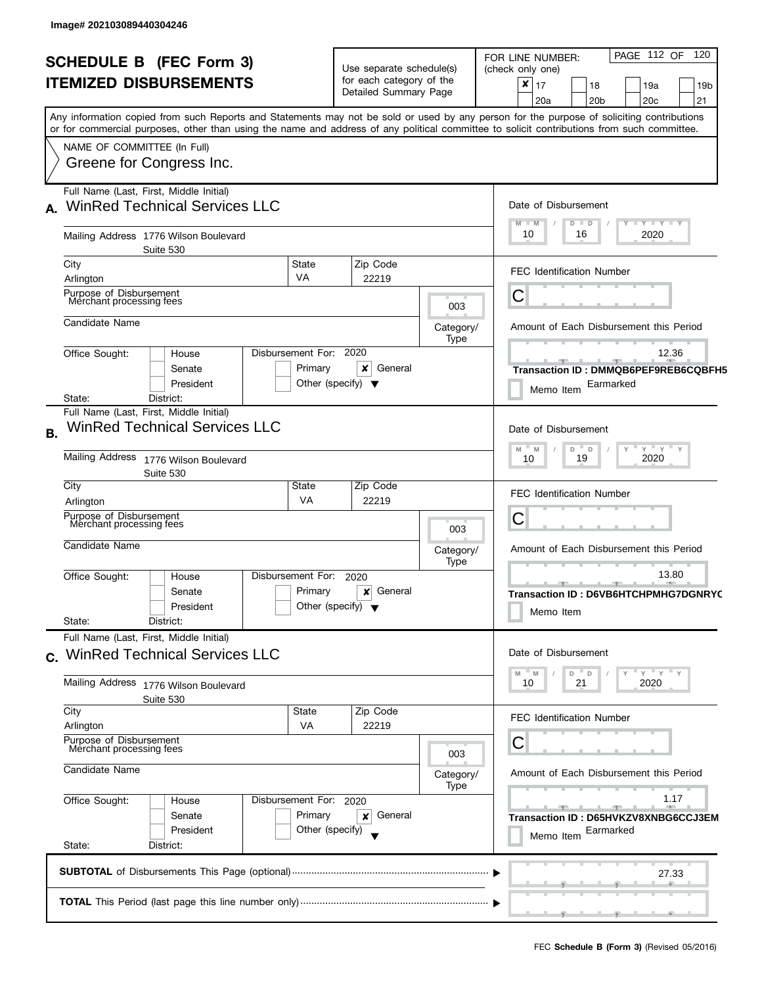| <b>SCHEDULE B (FEC Form 3)</b>                                                                                                             | Use separate schedule(s)             |                                    | PAGE 112 OF 120<br>FOR LINE NUMBER:<br>(check only one)      |  |  |  |
|--------------------------------------------------------------------------------------------------------------------------------------------|--------------------------------------|------------------------------------|--------------------------------------------------------------|--|--|--|
| <b>ITEMIZED DISBURSEMENTS</b>                                                                                                              | for each category of the             |                                    | $\boldsymbol{x}$<br>17<br>18<br>19a<br>19 <sub>b</sub>       |  |  |  |
|                                                                                                                                            | Detailed Summary Page                |                                    | 20a<br>20 <sub>b</sub><br>20 <sub>c</sub><br>21              |  |  |  |
| Any information copied from such Reports and Statements may not be sold or used by any person for the purpose of soliciting contributions  |                                      |                                    |                                                              |  |  |  |
| or for commercial purposes, other than using the name and address of any political committee to solicit contributions from such committee. |                                      |                                    |                                                              |  |  |  |
| NAME OF COMMITTEE (In Full)                                                                                                                |                                      |                                    |                                                              |  |  |  |
| Greene for Congress Inc.                                                                                                                   |                                      |                                    |                                                              |  |  |  |
|                                                                                                                                            |                                      |                                    |                                                              |  |  |  |
| Full Name (Last, First, Middle Initial)                                                                                                    |                                      |                                    |                                                              |  |  |  |
| <b>WinRed Technical Services LLC</b><br>A.                                                                                                 |                                      |                                    | Date of Disbursement                                         |  |  |  |
|                                                                                                                                            |                                      |                                    | Y TY TY TY<br>$M - M$<br>$D$ $D$                             |  |  |  |
| Mailing Address 1776 Wilson Boulevard                                                                                                      |                                      |                                    | 10<br>2020<br>16                                             |  |  |  |
| Suite 530                                                                                                                                  |                                      |                                    |                                                              |  |  |  |
| City<br>State                                                                                                                              | Zip Code                             |                                    | <b>FEC Identification Number</b>                             |  |  |  |
| <b>VA</b><br>Arlington                                                                                                                     | 22219                                |                                    |                                                              |  |  |  |
| Purpose of Disbursement<br>Merchant processing fees                                                                                        |                                      | 003                                | C                                                            |  |  |  |
|                                                                                                                                            |                                      |                                    |                                                              |  |  |  |
| Candidate Name                                                                                                                             |                                      | Category/                          | Amount of Each Disbursement this Period                      |  |  |  |
| Office Sought:<br>Disbursement For:<br>House                                                                                               | 2020                                 | Type                               | 12.36                                                        |  |  |  |
| Primary<br>Senate                                                                                                                          | ×<br>General                         |                                    | Transaction ID: DMMQB6PEF9REB6CQBFH5                         |  |  |  |
| President                                                                                                                                  | Other (specify) $\blacktriangledown$ |                                    | Earmarked                                                    |  |  |  |
| State:<br>District:                                                                                                                        |                                      |                                    | Memo Item                                                    |  |  |  |
| Full Name (Last, First, Middle Initial)                                                                                                    |                                      |                                    |                                                              |  |  |  |
| <b>WinRed Technical Services LLC</b><br>В.                                                                                                 |                                      |                                    | Date of Disbursement                                         |  |  |  |
|                                                                                                                                            |                                      | $Y'$ $Y'$ $Y$<br>$D$ $D$<br>M<br>M |                                                              |  |  |  |
| <b>Mailing Address</b><br>1776 Wilson Boulevard                                                                                            |                                      | 19<br>2020<br>10                   |                                                              |  |  |  |
| Suite 530                                                                                                                                  |                                      |                                    |                                                              |  |  |  |
| City<br>State                                                                                                                              | Zip Code                             |                                    | <b>FEC Identification Number</b>                             |  |  |  |
| VA<br>Arlington<br>Purpose of Disbursement                                                                                                 | 22219                                |                                    |                                                              |  |  |  |
| Merchant processing fees                                                                                                                   |                                      | 003                                | С                                                            |  |  |  |
| Candidate Name                                                                                                                             |                                      |                                    |                                                              |  |  |  |
|                                                                                                                                            |                                      | Category/<br>Type                  | Amount of Each Disbursement this Period                      |  |  |  |
| Disbursement For:<br>Office Sought:<br>House                                                                                               | 2020                                 |                                    | 13.80                                                        |  |  |  |
| Primary<br>Senate                                                                                                                          | General<br>×                         |                                    | Transaction ID: D6VB6HTCHPMHG7DGNRYC                         |  |  |  |
| President                                                                                                                                  | Other (specify) $\blacktriangledown$ |                                    | Memo Item                                                    |  |  |  |
| State:<br>District:                                                                                                                        |                                      |                                    |                                                              |  |  |  |
| Full Name (Last, First, Middle Initial)                                                                                                    |                                      |                                    |                                                              |  |  |  |
| c. WinRed Technical Services LLC                                                                                                           |                                      |                                    | Date of Disbursement                                         |  |  |  |
|                                                                                                                                            |                                      |                                    | $Y'$ Y<br>D<br>$\mathsf D$<br>M<br>M T                       |  |  |  |
| Mailing Address 1776 Wilson Boulevard                                                                                                      |                                      |                                    | 2020<br>10<br>21                                             |  |  |  |
| Suite 530                                                                                                                                  |                                      |                                    |                                                              |  |  |  |
| City<br>State<br><b>VA</b><br>Arlington                                                                                                    | Zip Code<br>22219                    |                                    | <b>FEC Identification Number</b>                             |  |  |  |
| Purpose of Disbursement                                                                                                                    |                                      |                                    | С                                                            |  |  |  |
| Merchant processing fees                                                                                                                   |                                      | 003                                |                                                              |  |  |  |
| Candidate Name                                                                                                                             |                                      |                                    | Amount of Each Disbursement this Period                      |  |  |  |
|                                                                                                                                            |                                      | Category/<br>Type                  |                                                              |  |  |  |
| Office Sought:<br>Disbursement For:<br>House                                                                                               | 2020                                 |                                    | 1.17                                                         |  |  |  |
| Primary<br>Senate                                                                                                                          | General<br>×                         |                                    | <u>.</u><br>المستطرف<br>Transaction ID: D65HVKZV8XNBG6CCJ3EM |  |  |  |
| President                                                                                                                                  | Other (specify)                      |                                    | Earmarked<br>Memo Item                                       |  |  |  |
| State:<br>District:                                                                                                                        |                                      |                                    |                                                              |  |  |  |
|                                                                                                                                            |                                      |                                    |                                                              |  |  |  |
|                                                                                                                                            |                                      |                                    | 27.33                                                        |  |  |  |
|                                                                                                                                            |                                      |                                    |                                                              |  |  |  |
|                                                                                                                                            |                                      |                                    |                                                              |  |  |  |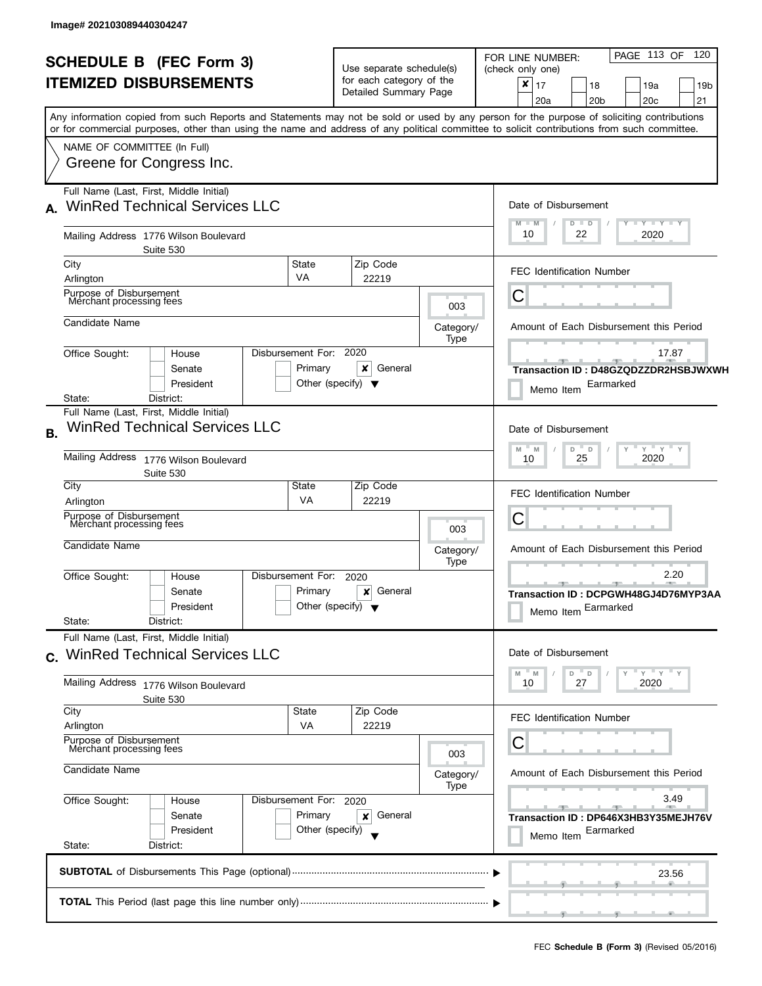| <b>SCHEDULE B (FEC Form 3)</b> |                                                                                                                                                                                                                                                                                         |                                                                               | Use separate schedule(s)                          |                                         | PAGE 113 OF<br>120<br>FOR LINE NUMBER:<br>(check only one)                                                                            |  |  |  |
|--------------------------------|-----------------------------------------------------------------------------------------------------------------------------------------------------------------------------------------------------------------------------------------------------------------------------------------|-------------------------------------------------------------------------------|---------------------------------------------------|-----------------------------------------|---------------------------------------------------------------------------------------------------------------------------------------|--|--|--|
|                                | <b>ITEMIZED DISBURSEMENTS</b>                                                                                                                                                                                                                                                           |                                                                               | for each category of the<br>Detailed Summary Page |                                         | ×<br>17<br>18<br>19a<br>19b                                                                                                           |  |  |  |
|                                |                                                                                                                                                                                                                                                                                         |                                                                               |                                                   |                                         | 20a<br>20 <sub>b</sub><br>20 <sub>c</sub><br>21                                                                                       |  |  |  |
|                                | Any information copied from such Reports and Statements may not be sold or used by any person for the purpose of soliciting contributions<br>or for commercial purposes, other than using the name and address of any political committee to solicit contributions from such committee. |                                                                               |                                                   |                                         |                                                                                                                                       |  |  |  |
|                                | NAME OF COMMITTEE (In Full)                                                                                                                                                                                                                                                             |                                                                               |                                                   |                                         |                                                                                                                                       |  |  |  |
|                                | Greene for Congress Inc.                                                                                                                                                                                                                                                                |                                                                               |                                                   |                                         |                                                                                                                                       |  |  |  |
|                                | Full Name (Last, First, Middle Initial)                                                                                                                                                                                                                                                 |                                                                               |                                                   |                                         |                                                                                                                                       |  |  |  |
| A.                             | <b>WinRed Technical Services LLC</b>                                                                                                                                                                                                                                                    |                                                                               |                                                   |                                         | Date of Disbursement                                                                                                                  |  |  |  |
|                                | Mailing Address 1776 Wilson Boulevard<br>Suite 530                                                                                                                                                                                                                                      |                                                                               |                                                   |                                         | <b>LY LY LY</b><br>$M - M$<br>$D$ $D$<br>10<br>22<br>2020                                                                             |  |  |  |
|                                | City<br>State                                                                                                                                                                                                                                                                           |                                                                               | Zip Code                                          |                                         | <b>FEC Identification Number</b>                                                                                                      |  |  |  |
|                                | <b>VA</b><br>Arlington                                                                                                                                                                                                                                                                  |                                                                               | 22219                                             |                                         |                                                                                                                                       |  |  |  |
|                                | Purpose of Disbursement<br>Merchant processing fees                                                                                                                                                                                                                                     |                                                                               |                                                   | 003                                     | Ĉ                                                                                                                                     |  |  |  |
|                                | Candidate Name                                                                                                                                                                                                                                                                          |                                                                               |                                                   | Category/                               | Amount of Each Disbursement this Period                                                                                               |  |  |  |
|                                |                                                                                                                                                                                                                                                                                         |                                                                               |                                                   | Type                                    |                                                                                                                                       |  |  |  |
|                                | Disbursement For: 2020<br>Office Sought:<br>House<br>Senate                                                                                                                                                                                                                             |                                                                               | ×<br>General                                      |                                         | 17.87<br>Transaction ID: D48GZQDZZDR2HSBJWXWH                                                                                         |  |  |  |
|                                | President                                                                                                                                                                                                                                                                               | Primary<br>Other (specify) $\blacktriangledown$                               |                                                   |                                         |                                                                                                                                       |  |  |  |
|                                | State:<br>District:                                                                                                                                                                                                                                                                     |                                                                               |                                                   |                                         | Earmarked<br>Memo Item                                                                                                                |  |  |  |
|                                | Full Name (Last, First, Middle Initial)                                                                                                                                                                                                                                                 |                                                                               |                                                   |                                         |                                                                                                                                       |  |  |  |
| В.                             | <b>WinRed Technical Services LLC</b>                                                                                                                                                                                                                                                    | Date of Disbursement                                                          |                                                   |                                         |                                                                                                                                       |  |  |  |
|                                | <b>Mailing Address</b><br>1776 Wilson Boulevard                                                                                                                                                                                                                                         | $Y$ $Y$ $Y$<br>D<br>$\mathsf D$<br>$\mathsf{Y}$<br>M<br>M<br>25<br>2020<br>10 |                                                   |                                         |                                                                                                                                       |  |  |  |
|                                | Suite 530                                                                                                                                                                                                                                                                               |                                                                               |                                                   |                                         |                                                                                                                                       |  |  |  |
|                                | City<br>State                                                                                                                                                                                                                                                                           |                                                                               | Zip Code                                          |                                         | <b>FEC Identification Number</b>                                                                                                      |  |  |  |
|                                | <b>VA</b><br>Arlington                                                                                                                                                                                                                                                                  |                                                                               | 22219                                             |                                         | C                                                                                                                                     |  |  |  |
|                                | Merchant processing fees                                                                                                                                                                                                                                                                | Purpose of Disbursement                                                       |                                                   |                                         |                                                                                                                                       |  |  |  |
|                                | Candidate Name                                                                                                                                                                                                                                                                          |                                                                               | 003<br>Category/                                  | Amount of Each Disbursement this Period |                                                                                                                                       |  |  |  |
|                                |                                                                                                                                                                                                                                                                                         |                                                                               | Type                                              |                                         |                                                                                                                                       |  |  |  |
|                                | Disbursement For:<br>Office Sought:<br>House                                                                                                                                                                                                                                            |                                                                               | 2020<br>General<br>×                              |                                         | 2.20<br>-91                                                                                                                           |  |  |  |
|                                | Senate<br>President                                                                                                                                                                                                                                                                     | Primary<br>Other (specify) $\blacktriangledown$                               |                                                   | Transaction ID: DCPGWH48GJ4D76MYP3AA    |                                                                                                                                       |  |  |  |
|                                | State:<br>District:                                                                                                                                                                                                                                                                     |                                                                               |                                                   |                                         | Memo Item Earmarked                                                                                                                   |  |  |  |
|                                | Full Name (Last, First, Middle Initial)                                                                                                                                                                                                                                                 |                                                                               |                                                   |                                         |                                                                                                                                       |  |  |  |
|                                | c. WinRed Technical Services LLC                                                                                                                                                                                                                                                        |                                                                               |                                                   |                                         | Date of Disbursement                                                                                                                  |  |  |  |
|                                |                                                                                                                                                                                                                                                                                         |                                                                               |                                                   |                                         |                                                                                                                                       |  |  |  |
|                                | Mailing Address 1776 Wilson Boulevard<br>Suite 530                                                                                                                                                                                                                                      |                                                                               | 27<br>2020<br>10                                  |                                         |                                                                                                                                       |  |  |  |
|                                | City<br>State                                                                                                                                                                                                                                                                           |                                                                               | Zip Code                                          |                                         | <b>FEC Identification Number</b>                                                                                                      |  |  |  |
|                                | <b>VA</b><br>Arlington                                                                                                                                                                                                                                                                  |                                                                               | 22219                                             |                                         |                                                                                                                                       |  |  |  |
|                                | Purpose of Disbursement<br>Merchant processing fees                                                                                                                                                                                                                                     |                                                                               |                                                   | 003                                     | C                                                                                                                                     |  |  |  |
|                                | Candidate Name                                                                                                                                                                                                                                                                          |                                                                               |                                                   | Category/                               | Amount of Each Disbursement this Period                                                                                               |  |  |  |
|                                |                                                                                                                                                                                                                                                                                         |                                                                               |                                                   |                                         |                                                                                                                                       |  |  |  |
|                                | Office Sought:<br>Disbursement For: 2020<br>House                                                                                                                                                                                                                                       |                                                                               | General                                           |                                         | 3.49<br><b>The Contract of the Contract of the Contract of the Contract of the Contract of the Contract of the Contract o</b><br>$-1$ |  |  |  |
|                                | Primary<br>Senate                                                                                                                                                                                                                                                                       | Transaction ID: DP646X3HB3Y35MEJH76V                                          |                                                   |                                         |                                                                                                                                       |  |  |  |
|                                | President<br>Other (specify)<br>State:<br>District:                                                                                                                                                                                                                                     | Earmarked<br>Memo Item                                                        |                                                   |                                         |                                                                                                                                       |  |  |  |
|                                |                                                                                                                                                                                                                                                                                         |                                                                               |                                                   |                                         |                                                                                                                                       |  |  |  |
|                                |                                                                                                                                                                                                                                                                                         |                                                                               |                                                   |                                         | 23.56                                                                                                                                 |  |  |  |
|                                |                                                                                                                                                                                                                                                                                         |                                                                               |                                                   |                                         |                                                                                                                                       |  |  |  |
|                                |                                                                                                                                                                                                                                                                                         |                                                                               |                                                   |                                         | $\mathcal{L}$                                                                                                                         |  |  |  |
|                                |                                                                                                                                                                                                                                                                                         |                                                                               |                                                   |                                         |                                                                                                                                       |  |  |  |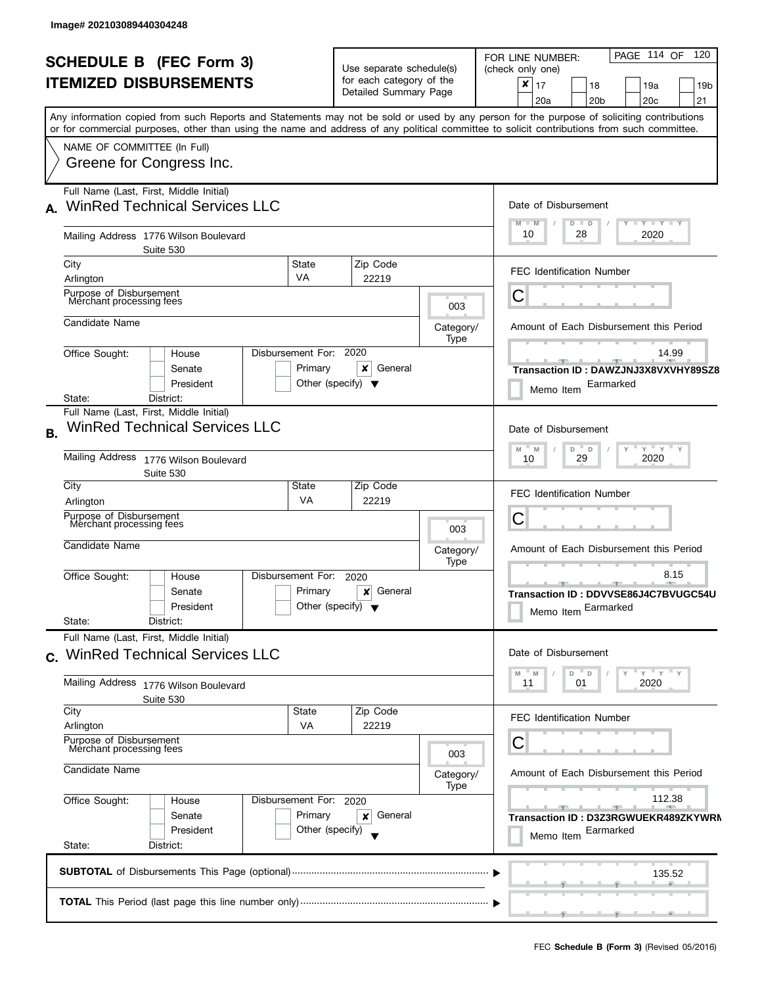|           | <b>SCHEDULE B</b> (FEC Form 3)                                                                                                                                                                                                                                                          |                                                 |                                                                                         |                   | PAGE 114 OF 120<br>FOR LINE NUMBER:                                                                            |  |  |
|-----------|-----------------------------------------------------------------------------------------------------------------------------------------------------------------------------------------------------------------------------------------------------------------------------------------|-------------------------------------------------|-----------------------------------------------------------------------------------------|-------------------|----------------------------------------------------------------------------------------------------------------|--|--|
|           | <b>ITEMIZED DISBURSEMENTS</b>                                                                                                                                                                                                                                                           |                                                 | Use separate schedule(s)<br>for each category of the<br>Detailed Summary Page           |                   | (check only one)<br>x<br>17<br>18<br>19a<br>19 <sub>b</sub><br>20a<br>20 <sub>b</sub><br>20 <sub>c</sub><br>21 |  |  |
|           | Any information copied from such Reports and Statements may not be sold or used by any person for the purpose of soliciting contributions<br>or for commercial purposes, other than using the name and address of any political committee to solicit contributions from such committee. |                                                 |                                                                                         |                   |                                                                                                                |  |  |
|           | NAME OF COMMITTEE (In Full)<br>Greene for Congress Inc.                                                                                                                                                                                                                                 |                                                 |                                                                                         |                   |                                                                                                                |  |  |
|           | Full Name (Last, First, Middle Initial)<br><b>WinRed Technical Services LLC</b>                                                                                                                                                                                                         |                                                 |                                                                                         |                   | Date of Disbursement                                                                                           |  |  |
|           | Mailing Address 1776 Wilson Boulevard<br>Suite 530                                                                                                                                                                                                                                      |                                                 |                                                                                         |                   | $Y - Y - Y - Y - Y$<br>$M - M$<br>$D$ $D$<br>10<br>2020<br>28                                                  |  |  |
|           | City<br>Arlington                                                                                                                                                                                                                                                                       | State<br>VA                                     | Zip Code<br>22219                                                                       |                   | <b>FEC Identification Number</b>                                                                               |  |  |
|           | Purpose of Disbursement<br>Merchant processing fees                                                                                                                                                                                                                                     |                                                 |                                                                                         | 003               | C                                                                                                              |  |  |
|           | Candidate Name                                                                                                                                                                                                                                                                          |                                                 |                                                                                         | Category/<br>Type | Amount of Each Disbursement this Period                                                                        |  |  |
|           | Disbursement For: 2020<br>Office Sought:<br>House<br>Senate<br>President<br>State:<br>District:                                                                                                                                                                                         | Primary<br>Other (specify) $\blacktriangledown$ | x<br>General                                                                            |                   | 14.99<br>Transaction ID: DAWZJNJ3X8VXVHY89SZ8<br>Earmarked<br>Memo Item                                        |  |  |
| <b>B.</b> | Full Name (Last, First, Middle Initial)<br><b>WinRed Technical Services LLC</b>                                                                                                                                                                                                         |                                                 |                                                                                         |                   |                                                                                                                |  |  |
|           | Mailing Address<br>1776 Wilson Boulevard<br>Suite 530                                                                                                                                                                                                                                   |                                                 | $Y$ $Y$ $Y$<br>M<br>M<br>D<br>D<br>29<br>2020<br>10                                     |                   |                                                                                                                |  |  |
|           | City<br>Arlington                                                                                                                                                                                                                                                                       | State<br><b>VA</b>                              | Zip Code<br>22219                                                                       |                   | <b>FEC Identification Number</b>                                                                               |  |  |
|           | Purpose of Disbursement<br>Merchant processing fees                                                                                                                                                                                                                                     |                                                 |                                                                                         | 003               | С                                                                                                              |  |  |
|           | Candidate Name                                                                                                                                                                                                                                                                          |                                                 |                                                                                         | Category/<br>Type | Amount of Each Disbursement this Period                                                                        |  |  |
|           | Disbursement For:<br>Office Sought:<br>House<br>Primary<br>Senate<br>Other (specify) $\blacktriangledown$<br>President<br>State:<br>District:                                                                                                                                           |                                                 | 8.15<br><b>ARCHITECT</b><br>Transaction ID: DDVVSE86J4C7BVUGC54U<br>Memo Item Earmarked |                   |                                                                                                                |  |  |
|           | Full Name (Last, First, Middle Initial)<br>c. WinRed Technical Services LLC                                                                                                                                                                                                             |                                                 |                                                                                         |                   | Date of Disbursement                                                                                           |  |  |
|           | Mailing Address 1776 Wilson Boulevard<br>Suite 530                                                                                                                                                                                                                                      |                                                 |                                                                                         |                   | D<br>$Y = Y = Y$<br>M<br>" M<br>$\mathsf{D}$<br>2020<br>11<br>01                                               |  |  |
|           | City<br>Arlington                                                                                                                                                                                                                                                                       | State<br><b>VA</b>                              | Zip Code<br>22219                                                                       |                   | <b>FEC Identification Number</b>                                                                               |  |  |
|           | Purpose of Disbursement<br>Merchant processing fees                                                                                                                                                                                                                                     |                                                 |                                                                                         | С<br>003          |                                                                                                                |  |  |
|           | Candidate Name                                                                                                                                                                                                                                                                          |                                                 |                                                                                         | Category/<br>Type | Amount of Each Disbursement this Period                                                                        |  |  |
|           | Office Sought:<br>Disbursement For: 2020<br>House<br>Senate<br>President<br>State:<br>District:                                                                                                                                                                                         | Primary<br>Other (specify)                      | General<br>×                                                                            |                   | 112.38<br>$-1$<br>Transaction ID: D3Z3RGWUEKR489ZKYWRM<br>Earmarked<br>Memo Item                               |  |  |
|           |                                                                                                                                                                                                                                                                                         |                                                 |                                                                                         |                   | 135.52                                                                                                         |  |  |
|           |                                                                                                                                                                                                                                                                                         |                                                 |                                                                                         |                   |                                                                                                                |  |  |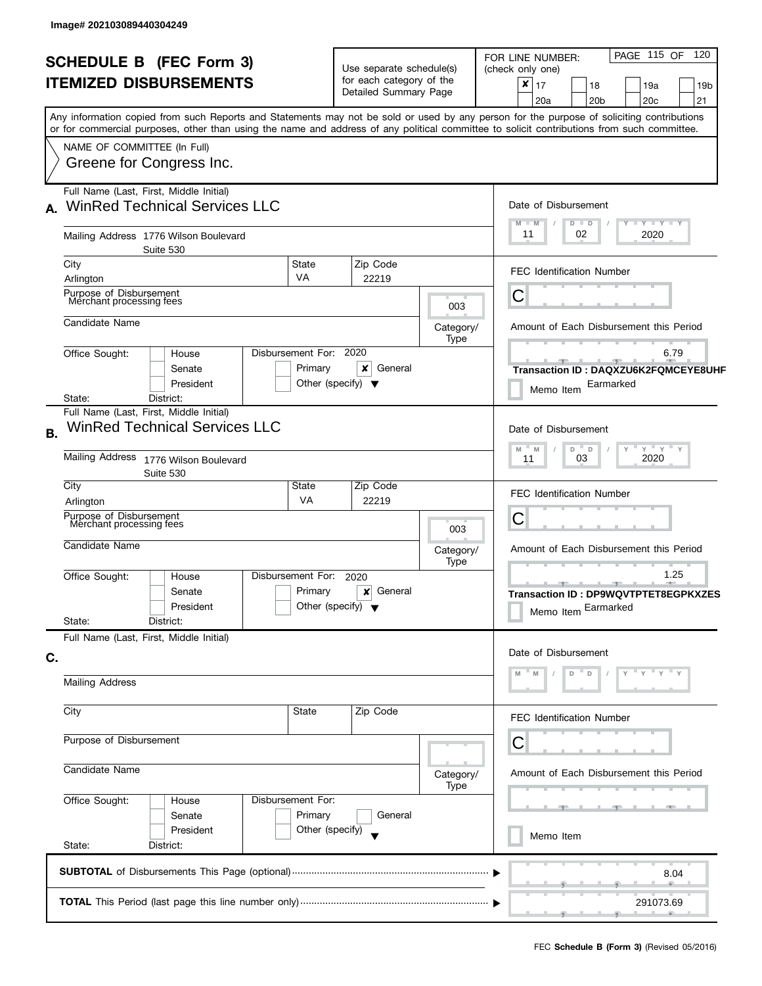| <b>SCHEDULE B (FEC Form 3)</b> |                                                                                                                                               |                                      | Use separate schedule(s)                                            |                                         | PAGE 115 OF 120<br>FOR LINE NUMBER:<br>(check only one)                                       |  |  |  |
|--------------------------------|-----------------------------------------------------------------------------------------------------------------------------------------------|--------------------------------------|---------------------------------------------------------------------|-----------------------------------------|-----------------------------------------------------------------------------------------------|--|--|--|
| <b>ITEMIZED DISBURSEMENTS</b>  |                                                                                                                                               |                                      | for each category of the<br>Detailed Summary Page                   |                                         | $\boldsymbol{x}$<br>17<br>18<br>19a<br>19 <sub>b</sub><br>20a<br>20 <sub>b</sub><br>20c<br>21 |  |  |  |
|                                | Any information copied from such Reports and Statements may not be sold or used by any person for the purpose of soliciting contributions     |                                      |                                                                     |                                         |                                                                                               |  |  |  |
|                                | or for commercial purposes, other than using the name and address of any political committee to solicit contributions from such committee.    |                                      |                                                                     |                                         |                                                                                               |  |  |  |
|                                | NAME OF COMMITTEE (In Full)<br>Greene for Congress Inc.                                                                                       |                                      |                                                                     |                                         |                                                                                               |  |  |  |
| A.                             | Full Name (Last, First, Middle Initial)<br><b>WinRed Technical Services LLC</b>                                                               |                                      |                                                                     |                                         | Date of Disbursement                                                                          |  |  |  |
|                                | Mailing Address 1776 Wilson Boulevard<br>Suite 530                                                                                            |                                      |                                                                     |                                         | <b>TEY LY LY</b><br>M<br>Y<br>$-M$<br>$D$ $D$<br>11<br>02<br>2020                             |  |  |  |
|                                | State<br>City<br>VA<br>Arlington                                                                                                              |                                      | Zip Code<br>22219                                                   |                                         | <b>FEC Identification Number</b>                                                              |  |  |  |
|                                | Purpose of Disbursement<br>Merchant processing fees                                                                                           |                                      |                                                                     | 003                                     | С                                                                                             |  |  |  |
|                                | Candidate Name                                                                                                                                |                                      |                                                                     | Category/<br>Type                       | Amount of Each Disbursement this Period                                                       |  |  |  |
|                                | Disbursement For: 2020<br>Office Sought:<br>House<br>Primary<br>Senate<br>President<br>District:<br>State:                                    | Other (specify) $\blacktriangledown$ | x<br>General                                                        |                                         | 6.79<br>Transaction ID: DAQXZU6K2FQMCEYE8UHF<br>Earmarked<br>Memo Item                        |  |  |  |
| <b>B.</b>                      | Full Name (Last, First, Middle Initial)<br><b>WinRed Technical Services LLC</b>                                                               |                                      |                                                                     |                                         | Date of Disbursement                                                                          |  |  |  |
|                                | <b>Mailing Address</b><br>1776 Wilson Boulevard<br>Suite 530                                                                                  |                                      |                                                                     |                                         | $Y$ $Y$ $Y$<br>M<br>D<br>$\mathsf D$<br>M<br>2020<br>03<br>11                                 |  |  |  |
|                                | City<br>State<br>VA<br>Arlington                                                                                                              |                                      | Zip Code<br>22219                                                   |                                         | <b>FEC Identification Number</b>                                                              |  |  |  |
|                                | Purpose of Disbursement<br>Merchant processing fees                                                                                           |                                      |                                                                     | 003                                     | С                                                                                             |  |  |  |
|                                | Candidate Name                                                                                                                                |                                      | Category/<br>Type                                                   | Amount of Each Disbursement this Period |                                                                                               |  |  |  |
|                                | Disbursement For:<br>Office Sought:<br>House<br>Primary<br>Senate<br>Other (specify) $\blacktriangledown$<br>President<br>State:<br>District: |                                      | 1.25<br>Transaction ID: DP9WQVTPTET8EGPKXZES<br>Memo Item Earmarked |                                         |                                                                                               |  |  |  |
|                                | Full Name (Last, First, Middle Initial)                                                                                                       |                                      |                                                                     |                                         | Date of Disbursement                                                                          |  |  |  |
| C.                             | <b>Mailing Address</b>                                                                                                                        |                                      |                                                                     |                                         |                                                                                               |  |  |  |
|                                | City<br>State                                                                                                                                 |                                      | Zip Code                                                            |                                         | FEC Identification Number                                                                     |  |  |  |
|                                | Purpose of Disbursement                                                                                                                       |                                      |                                                                     |                                         | С                                                                                             |  |  |  |
|                                | Candidate Name                                                                                                                                |                                      |                                                                     | Category/<br>Type                       | Amount of Each Disbursement this Period                                                       |  |  |  |
|                                | Disbursement For:<br>Office Sought:<br>House<br>Primary<br>Senate                                                                             |                                      | General                                                             |                                         | -90                                                                                           |  |  |  |
|                                | President<br>State:<br>District:                                                                                                              | Other (specify)                      |                                                                     |                                         | Memo Item                                                                                     |  |  |  |
|                                |                                                                                                                                               |                                      |                                                                     |                                         | 8.04                                                                                          |  |  |  |
|                                |                                                                                                                                               |                                      |                                                                     |                                         | 291073.69                                                                                     |  |  |  |
|                                |                                                                                                                                               |                                      |                                                                     |                                         |                                                                                               |  |  |  |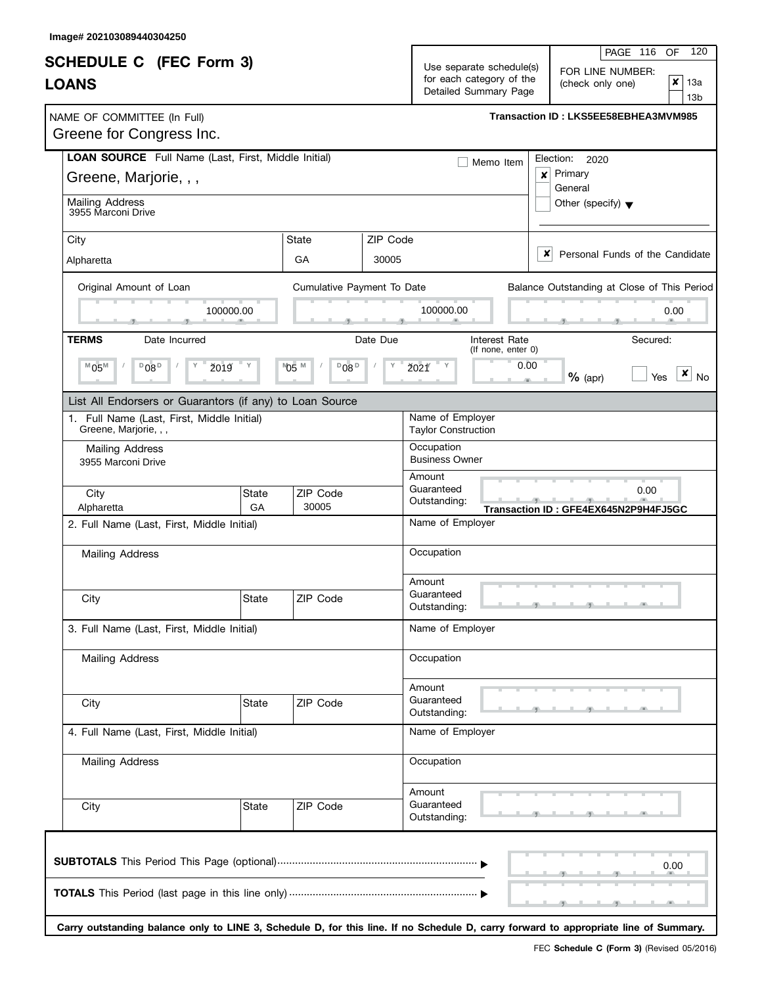|                                                                              |             |                            |                                                                                                                                         |                                                     | 120<br>PAGE 116<br>OF                                                                                                                |  |  |
|------------------------------------------------------------------------------|-------------|----------------------------|-----------------------------------------------------------------------------------------------------------------------------------------|-----------------------------------------------------|--------------------------------------------------------------------------------------------------------------------------------------|--|--|
| <b>SCHEDULE C</b> (FEC Form 3)<br><b>LOANS</b>                               |             |                            | Use separate schedule(s)<br>FOR LINE NUMBER:<br>for each category of the<br>$\pmb{\times}$<br>(check only one)<br>Detailed Summary Page |                                                     |                                                                                                                                      |  |  |
| NAME OF COMMITTEE (In Full)<br>Greene for Congress Inc.                      |             |                            |                                                                                                                                         |                                                     | Transaction ID: LKS5EE58EBHEA3MVM985                                                                                                 |  |  |
| LOAN SOURCE Full Name (Last, First, Middle Initial)<br>Greene, Marjorie, , , |             |                            |                                                                                                                                         | Memo Item                                           | Election: 2020<br>Primary<br>$\boldsymbol{x}$<br>General                                                                             |  |  |
| <b>Mailing Address</b><br>3955 Marconi Drive                                 |             |                            |                                                                                                                                         |                                                     | Other (specify) $\blacktriangledown$                                                                                                 |  |  |
| City<br>Alpharetta                                                           |             | <b>State</b><br>GA         | ZIP Code<br>30005                                                                                                                       |                                                     | x<br>Personal Funds of the Candidate                                                                                                 |  |  |
| Original Amount of Loan                                                      | 100000.00   | Cumulative Payment To Date |                                                                                                                                         | 100000.00                                           | Balance Outstanding at Close of This Period<br>0.00                                                                                  |  |  |
| <b>TERMS</b><br>Date Incurred<br>$^{\text{M}}$ 05 <sup>M</sup><br>$D_{08}D$  | ž019        | №5 №<br>$D_{08}D$          | Date Due                                                                                                                                | Interest Rate<br>(If none, enter 0)<br>0.00<br>2021 | Secured:<br>x<br>$%$ (apr)<br><b>No</b><br>Yes                                                                                       |  |  |
| List All Endorsers or Guarantors (if any) to Loan Source                     |             |                            |                                                                                                                                         |                                                     |                                                                                                                                      |  |  |
| 1. Full Name (Last, First, Middle Initial)<br>Greene, Marjorie, , ,          |             |                            |                                                                                                                                         | Name of Employer<br><b>Taylor Construction</b>      |                                                                                                                                      |  |  |
| Mailing Address<br>3955 Marconi Drive                                        |             |                            |                                                                                                                                         | Occupation<br><b>Business Owner</b><br>Amount       |                                                                                                                                      |  |  |
| City<br>Alpharetta                                                           | State<br>GA | ZIP Code<br>30005          |                                                                                                                                         | Guaranteed<br>Outstanding:                          | 0.00<br>Transaction ID: GFE4EX645N2P9H4FJ5GC                                                                                         |  |  |
| 2. Full Name (Last, First, Middle Initial)                                   |             |                            |                                                                                                                                         | Name of Employer                                    |                                                                                                                                      |  |  |
| <b>Mailing Address</b>                                                       |             |                            |                                                                                                                                         | Occupation                                          |                                                                                                                                      |  |  |
| City                                                                         | State       | ZIP Code                   |                                                                                                                                         | Amount<br>Guaranteed<br>Outstanding:                | $-1$ $-7$                                                                                                                            |  |  |
| 3. Full Name (Last, First, Middle Initial)                                   |             |                            |                                                                                                                                         | Name of Employer                                    |                                                                                                                                      |  |  |
| <b>Mailing Address</b>                                                       |             |                            |                                                                                                                                         | Occupation                                          |                                                                                                                                      |  |  |
| City                                                                         | State       | ZIP Code                   |                                                                                                                                         | Amount<br>Guaranteed<br>Outstanding:                |                                                                                                                                      |  |  |
| 4. Full Name (Last, First, Middle Initial)                                   |             |                            |                                                                                                                                         | Name of Employer                                    |                                                                                                                                      |  |  |
| Mailing Address                                                              |             |                            |                                                                                                                                         | Occupation                                          |                                                                                                                                      |  |  |
| City                                                                         | State       | ZIP Code                   |                                                                                                                                         | Amount<br>Guaranteed<br>Outstanding:                |                                                                                                                                      |  |  |
|                                                                              |             |                            |                                                                                                                                         |                                                     | 0.00                                                                                                                                 |  |  |
|                                                                              |             |                            |                                                                                                                                         |                                                     | Carry outstanding balance only to LINE 3, Schedule D, for this line. If no Schedule D, carry forward to appropriate line of Summary. |  |  |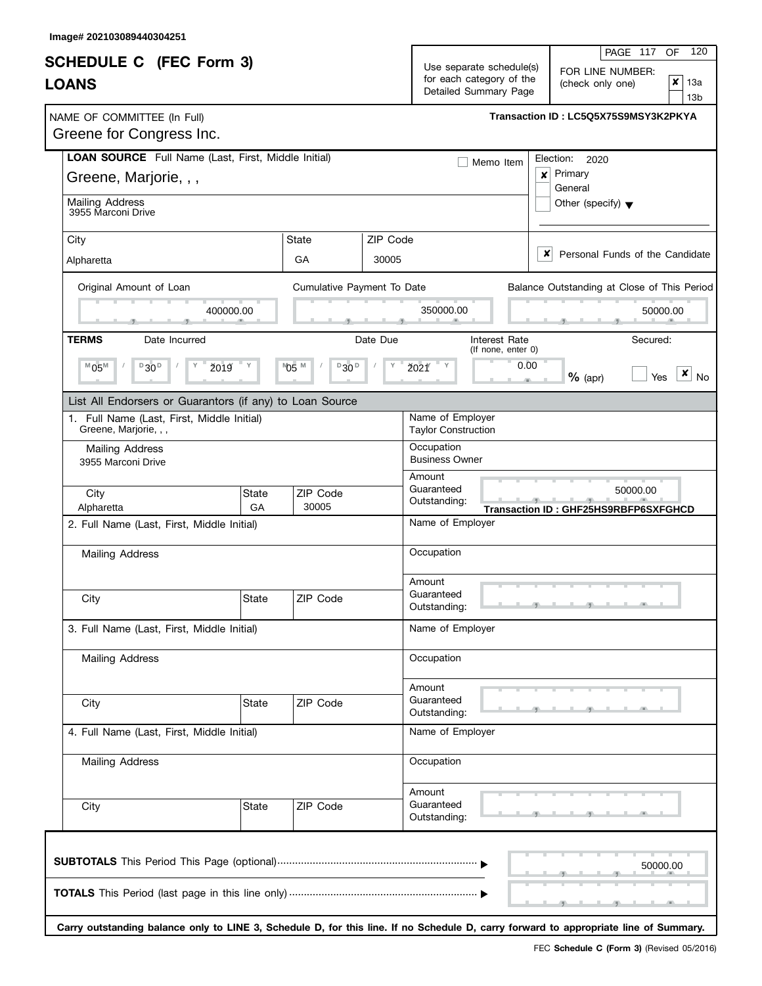|                                                                              |              |                            |                                                                                                                                                       |                                                | 120<br>PAGE 117<br><b>OF</b>                                                                                                         |  |
|------------------------------------------------------------------------------|--------------|----------------------------|-------------------------------------------------------------------------------------------------------------------------------------------------------|------------------------------------------------|--------------------------------------------------------------------------------------------------------------------------------------|--|
| <b>SCHEDULE C</b> (FEC Form 3)<br><b>LOANS</b>                               |              |                            | Use separate schedule(s)<br>FOR LINE NUMBER:<br>for each category of the<br> x<br>13a<br>(check only one)<br>Detailed Summary Page<br>13 <sub>b</sub> |                                                |                                                                                                                                      |  |
| NAME OF COMMITTEE (In Full)<br>Greene for Congress Inc.                      |              |                            |                                                                                                                                                       |                                                | Transaction ID: LC5Q5X75S9MSY3K2PKYA                                                                                                 |  |
| LOAN SOURCE Full Name (Last, First, Middle Initial)<br>Greene, Marjorie, , , |              |                            |                                                                                                                                                       | Memo Item                                      | Election:<br>2020<br>Primary<br>$\boldsymbol{x}$                                                                                     |  |
| Mailing Address<br>3955 Marconi Drive                                        |              |                            |                                                                                                                                                       |                                                | General<br>Other (specify) $\blacktriangledown$                                                                                      |  |
| City<br>Alpharetta                                                           |              | <b>State</b><br>GA         | ZIP Code<br>30005                                                                                                                                     |                                                | x<br>Personal Funds of the Candidate                                                                                                 |  |
| Original Amount of Loan                                                      |              | Cumulative Payment To Date |                                                                                                                                                       |                                                | Balance Outstanding at Close of This Period                                                                                          |  |
|                                                                              | 400000.00    |                            |                                                                                                                                                       | 350000.00                                      | 50000.00                                                                                                                             |  |
| <b>TERMS</b><br>Date Incurred                                                |              |                            | Date Due                                                                                                                                              | Interest Rate<br>(If none, enter 0)            | Secured:                                                                                                                             |  |
| $M$ <sub>05<math>M</math></sub><br>$D$ 30 <sup>D</sup>                       | Υ<br>ž019    | $D$ 30 $D$<br>№5 м         | Υ                                                                                                                                                     | <b>Ž021</b><br>$\mathbb{R}^n$                  | 0.00<br>×<br>$%$ (apr)<br><b>No</b><br>Yes<br>$-10$                                                                                  |  |
| List All Endorsers or Guarantors (if any) to Loan Source                     |              |                            |                                                                                                                                                       |                                                |                                                                                                                                      |  |
| 1. Full Name (Last, First, Middle Initial)<br>Greene, Marjorie, , ,          |              |                            |                                                                                                                                                       | Name of Employer<br><b>Taylor Construction</b> |                                                                                                                                      |  |
| <b>Mailing Address</b><br>3955 Marconi Drive                                 |              |                            |                                                                                                                                                       | Occupation<br><b>Business Owner</b>            |                                                                                                                                      |  |
| City<br>Alpharetta                                                           | State<br>GA  | ZIP Code<br>30005          |                                                                                                                                                       | Amount<br>Guaranteed<br>Outstanding:           | 50000.00<br>Transaction ID: GHF25HS9RBFP6SXFGHCD                                                                                     |  |
| 2. Full Name (Last, First, Middle Initial)                                   |              |                            |                                                                                                                                                       | Name of Employer                               |                                                                                                                                      |  |
| <b>Mailing Address</b>                                                       |              |                            |                                                                                                                                                       | Occupation                                     |                                                                                                                                      |  |
|                                                                              |              |                            |                                                                                                                                                       | Amount<br>Guaranteed                           |                                                                                                                                      |  |
| City                                                                         | State        | ZIP Code                   |                                                                                                                                                       | Outstanding:                                   |                                                                                                                                      |  |
| 3. Full Name (Last, First, Middle Initial)                                   |              |                            |                                                                                                                                                       | Name of Employer                               |                                                                                                                                      |  |
| Mailing Address                                                              |              |                            |                                                                                                                                                       | Occupation                                     |                                                                                                                                      |  |
| City                                                                         | <b>State</b> | ZIP Code                   |                                                                                                                                                       | Amount<br>Guaranteed<br>Outstanding:           |                                                                                                                                      |  |
| 4. Full Name (Last, First, Middle Initial)                                   |              |                            |                                                                                                                                                       | Name of Employer                               |                                                                                                                                      |  |
| Mailing Address                                                              |              |                            |                                                                                                                                                       | Occupation                                     |                                                                                                                                      |  |
| City                                                                         | State        | ZIP Code                   |                                                                                                                                                       | Amount<br>Guaranteed<br>Outstanding:           |                                                                                                                                      |  |
|                                                                              |              |                            |                                                                                                                                                       |                                                | 50000.00                                                                                                                             |  |
|                                                                              |              |                            |                                                                                                                                                       |                                                | Carry outstanding balance only to LINE 3, Schedule D, for this line. If no Schedule D, carry forward to appropriate line of Summary. |  |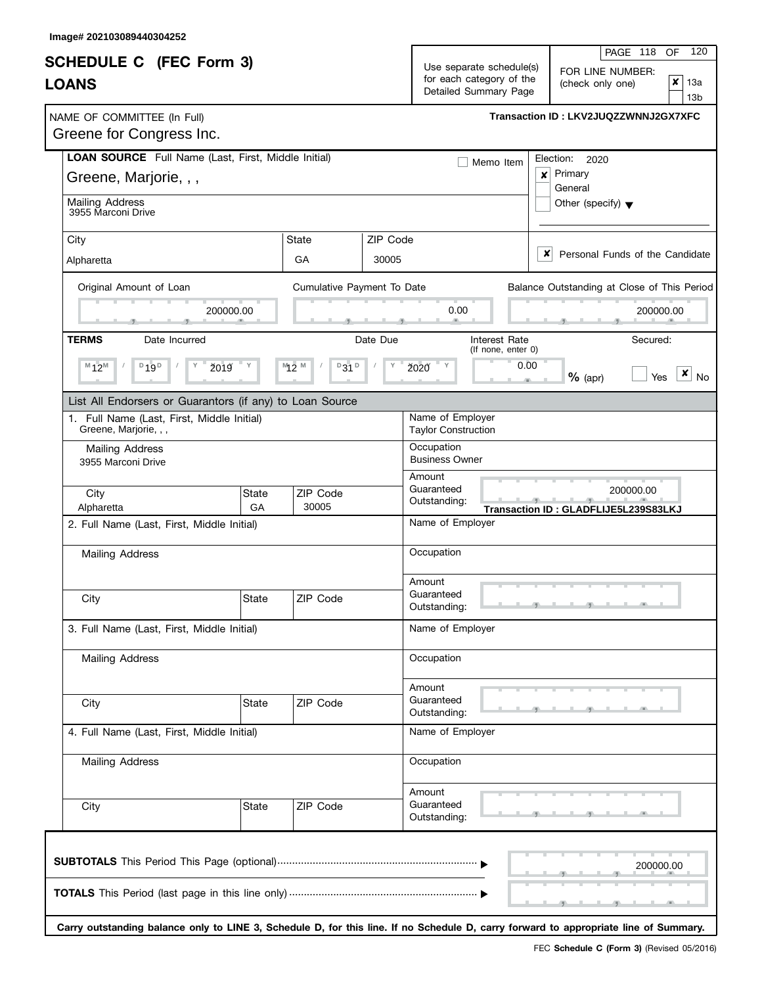| <b>SCHEDULE C</b> (FEC Form 3)<br><b>LOANS</b>                                                                                       |                                          | PAGE 118<br><b>OF</b><br>Use separate schedule(s)<br>FOR LINE NUMBER:<br>for each category of the<br>$\pmb{\times}$<br>(check only one)<br>Detailed Summary Page |                                                            |                                                          |
|--------------------------------------------------------------------------------------------------------------------------------------|------------------------------------------|------------------------------------------------------------------------------------------------------------------------------------------------------------------|------------------------------------------------------------|----------------------------------------------------------|
| NAME OF COMMITTEE (In Full)<br>Greene for Congress Inc.                                                                              |                                          |                                                                                                                                                                  |                                                            | 13b<br>Transaction ID: LKV2JUQZZWNNJ2GX7XFC              |
| LOAN SOURCE Full Name (Last, First, Middle Initial)<br>Greene, Marjorie, , ,                                                         |                                          |                                                                                                                                                                  | Memo Item                                                  | Election:<br>2020<br>Primary<br>$\boldsymbol{x}$         |
| <b>Mailing Address</b><br>3955 Marconi Drive                                                                                         |                                          |                                                                                                                                                                  |                                                            | General<br>Other (specify) $\blacktriangledown$          |
| City<br>Alpharetta                                                                                                                   | State<br>GA                              | ZIP Code<br>30005                                                                                                                                                |                                                            | x<br>Personal Funds of the Candidate                     |
| Original Amount of Loan<br>200000.00                                                                                                 | Cumulative Payment To Date               |                                                                                                                                                                  | 0.00                                                       | Balance Outstanding at Close of This Period<br>200000.00 |
| <b>TERMS</b><br>Date Incurred<br>$M_{12}M$<br>$D$ 19 $D$<br>ž019                                                                     | $M_2$ $\overline{2}$ $M_2$<br>$D$ 31 $D$ | Date Due                                                                                                                                                         | Interest Rate<br>(If none, enter 0)<br>0.00<br><b>Ž020</b> | Secured:<br>×<br>$%$ (apr)<br><b>No</b><br>Yes           |
| List All Endorsers or Guarantors (if any) to Loan Source<br>1. Full Name (Last, First, Middle Initial)                               |                                          |                                                                                                                                                                  | Name of Employer                                           |                                                          |
| Greene, Marjorie, , ,<br>Mailing Address<br>3955 Marconi Drive                                                                       |                                          | <b>Taylor Construction</b><br>Occupation<br><b>Business Owner</b>                                                                                                |                                                            |                                                          |
| City<br><b>State</b><br>Alpharetta<br>GA                                                                                             | ZIP Code<br>30005                        |                                                                                                                                                                  | Amount<br>Guaranteed<br>Outstanding:                       | 200000.00<br>Transaction ID: GLADFLIJE5L239S83LKJ        |
| 2. Full Name (Last, First, Middle Initial)                                                                                           |                                          |                                                                                                                                                                  | Name of Employer                                           |                                                          |
| <b>Mailing Address</b>                                                                                                               |                                          |                                                                                                                                                                  | Occupation<br>Amount                                       |                                                          |
| State<br>City                                                                                                                        | <b>ZIP Code</b>                          |                                                                                                                                                                  | Guaranteed<br>Outstanding:                                 |                                                          |
| 3. Full Name (Last, First, Middle Initial)                                                                                           |                                          |                                                                                                                                                                  | Name of Employer                                           |                                                          |
| <b>Mailing Address</b>                                                                                                               |                                          |                                                                                                                                                                  | Occupation                                                 |                                                          |
| City<br><b>State</b>                                                                                                                 | ZIP Code                                 |                                                                                                                                                                  | Amount<br>Guaranteed<br>Outstanding:                       |                                                          |
| 4. Full Name (Last, First, Middle Initial)                                                                                           |                                          |                                                                                                                                                                  | Name of Employer                                           |                                                          |
| Mailing Address                                                                                                                      |                                          |                                                                                                                                                                  | Occupation                                                 |                                                          |
| City<br><b>State</b>                                                                                                                 | ZIP Code                                 |                                                                                                                                                                  | Amount<br>Guaranteed<br>Outstanding:                       |                                                          |
|                                                                                                                                      |                                          |                                                                                                                                                                  |                                                            | 200000.00                                                |
| Carry outstanding balance only to LINE 3, Schedule D, for this line. If no Schedule D, carry forward to appropriate line of Summary. |                                          |                                                                                                                                                                  |                                                            |                                                          |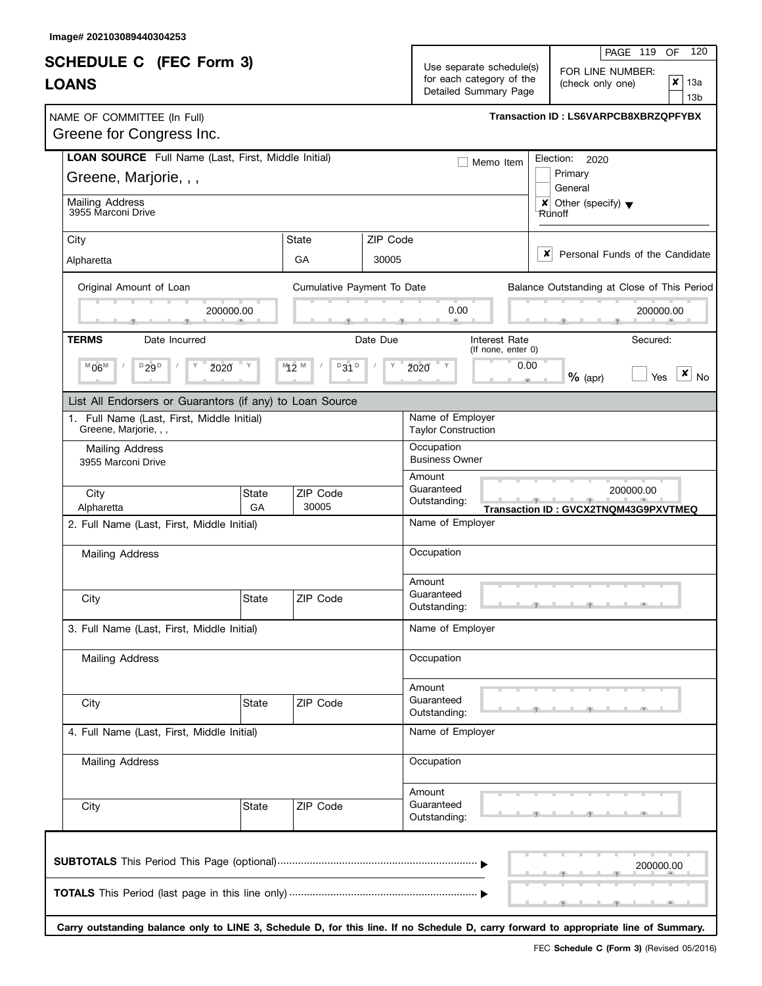|                                                                                  |             |                            |                                                                                                                                         |                                                                   | 120<br>PAGE 119<br>OF                                                                                                                |
|----------------------------------------------------------------------------------|-------------|----------------------------|-----------------------------------------------------------------------------------------------------------------------------------------|-------------------------------------------------------------------|--------------------------------------------------------------------------------------------------------------------------------------|
| <b>SCHEDULE C</b> (FEC Form 3)<br><b>LOANS</b>                                   |             |                            | Use separate schedule(s)<br>FOR LINE NUMBER:<br>for each category of the<br>$\pmb{\times}$<br>(check only one)<br>Detailed Summary Page |                                                                   |                                                                                                                                      |
| NAME OF COMMITTEE (In Full)<br>Greene for Congress Inc.                          |             |                            |                                                                                                                                         |                                                                   | Transaction ID: LS6VARPCB8XBRZQPFYBX                                                                                                 |
| LOAN SOURCE Full Name (Last, First, Middle Initial)<br>Greene, Marjorie, , ,     |             |                            |                                                                                                                                         | Memo Item                                                         | Election: 2020<br>Primary<br>General                                                                                                 |
| <b>Mailing Address</b><br>3955 Marconi Drive                                     |             |                            |                                                                                                                                         |                                                                   | $\vert x \vert$ Other (specify) $\vert x \vert$<br>Runoff                                                                            |
| City<br>Alpharetta                                                               |             | <b>State</b><br>GA         | ZIP Code<br>30005                                                                                                                       |                                                                   | x<br>Personal Funds of the Candidate                                                                                                 |
| Original Amount of Loan                                                          | 200000.00   | Cumulative Payment To Date |                                                                                                                                         | 0.00                                                              | Balance Outstanding at Close of This Period<br>200000.00                                                                             |
| <b>TERMS</b><br>Date Incurred<br>$^{\mathbb{M}}$ 06 $^{\mathbb{M}}$<br>$D_{29}D$ | <b>Ž020</b> | $M_2$ $M_2$<br>$D$ 31 $D$  | Date Due                                                                                                                                | <b>Interest Rate</b><br>(If none, enter 0)<br>0.00<br><b>Ž020</b> | Secured:<br>x<br>$%$ (apr)<br><b>No</b><br>Yes                                                                                       |
| List All Endorsers or Guarantors (if any) to Loan Source                         |             |                            |                                                                                                                                         |                                                                   |                                                                                                                                      |
| 1. Full Name (Last, First, Middle Initial)<br>Greene, Marjorie, , ,              |             |                            |                                                                                                                                         | Name of Employer<br><b>Taylor Construction</b>                    |                                                                                                                                      |
| Mailing Address<br>3955 Marconi Drive                                            |             |                            |                                                                                                                                         | Occupation<br><b>Business Owner</b><br>Amount                     |                                                                                                                                      |
| City<br>Alpharetta                                                               | State<br>GA | ZIP Code<br>30005          |                                                                                                                                         | Guaranteed<br>Outstanding:                                        | 200000.00<br>Transaction ID: GVCX2TNQM43G9PXVTMEQ                                                                                    |
| 2. Full Name (Last, First, Middle Initial)                                       |             |                            |                                                                                                                                         | Name of Employer                                                  |                                                                                                                                      |
| <b>Mailing Address</b>                                                           |             |                            |                                                                                                                                         | Occupation                                                        |                                                                                                                                      |
| City                                                                             | State       | ZIP Code                   |                                                                                                                                         | Amount<br>Guaranteed<br>Outstanding:                              | المستوات المست                                                                                                                       |
| 3. Full Name (Last, First, Middle Initial)                                       |             |                            |                                                                                                                                         | Name of Employer                                                  |                                                                                                                                      |
| <b>Mailing Address</b>                                                           |             |                            |                                                                                                                                         | Occupation                                                        |                                                                                                                                      |
| City                                                                             | State       | ZIP Code                   |                                                                                                                                         | Amount<br>Guaranteed<br>Outstanding:                              |                                                                                                                                      |
| 4. Full Name (Last, First, Middle Initial)                                       |             |                            |                                                                                                                                         | Name of Employer                                                  |                                                                                                                                      |
| Mailing Address                                                                  |             |                            |                                                                                                                                         | Occupation                                                        |                                                                                                                                      |
| City                                                                             | State       | ZIP Code                   |                                                                                                                                         | Amount<br>Guaranteed<br>Outstanding:                              |                                                                                                                                      |
|                                                                                  |             |                            |                                                                                                                                         |                                                                   | 200000.00                                                                                                                            |
|                                                                                  |             |                            |                                                                                                                                         |                                                                   | Carry outstanding balance only to LINE 3, Schedule D, for this line. If no Schedule D, carry forward to appropriate line of Summary. |